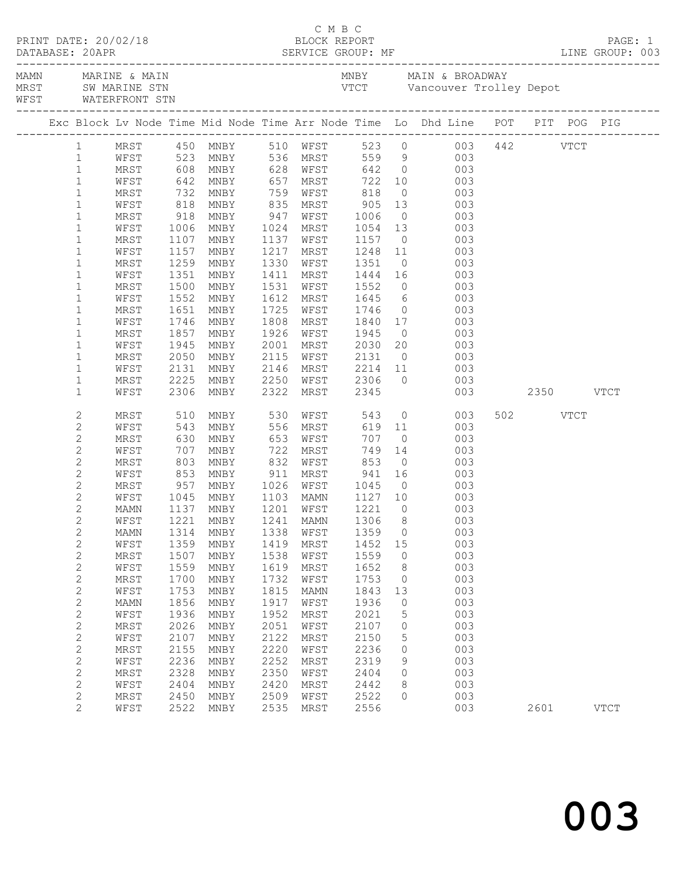| DATABASE: 20APR     |                              |      |              |                                |              |                      |                   |                |                                                                                                                         |               |          | PAGE: 1     |
|---------------------|------------------------------|------|--------------|--------------------------------|--------------|----------------------|-------------------|----------------|-------------------------------------------------------------------------------------------------------------------------|---------------|----------|-------------|
| WFST WATERFRONT STN |                              |      |              |                                |              |                      |                   |                |                                                                                                                         |               |          |             |
|                     |                              |      |              |                                |              |                      |                   |                | Exc Block Lv Node Time Mid Node Time Arr Node Time Lo Dhd Line POT PIT POG PIG                                          |               |          |             |
|                     |                              |      |              |                                |              |                      |                   |                | 1 MRST 450 MNBY 510 WFST 523 0 003 442 VTCT<br>1 WFST 523 MNBY 536 MRST 559 9 003<br>1 MRST 608 MNBY 628 WFST 642 0 003 |               |          |             |
|                     |                              |      |              |                                |              |                      |                   |                |                                                                                                                         |               |          |             |
|                     |                              |      |              |                                |              |                      |                   |                |                                                                                                                         |               |          |             |
|                     | $\mathbf{1}$                 | WFST |              | 642 MNBY 657 MRST 722 10       |              |                      |                   |                | 003                                                                                                                     |               |          |             |
|                     | $\mathbf{1}$                 | MRST | 732          | MNBY                           | 759          | WFST                 | 818               | $\overline{0}$ | 003                                                                                                                     |               |          |             |
|                     | $\mathbf{1}$                 | WFST | 818<br>918   | MNBY                           |              | 835 MRST<br>947 WFST | $905$<br>1006     |                | $\begin{array}{c} 13 \\ 0 \end{array}$<br>003                                                                           |               |          |             |
|                     | $\mathbf{1}$                 | MRST |              | MNBY                           |              |                      |                   |                | 003                                                                                                                     |               |          |             |
|                     | $\mathbf 1$                  | WFST | 1006         | MNBY                           |              | 1024 MRST            | 1054              | 13             | 003                                                                                                                     |               |          |             |
|                     | $\mathbf{1}$                 | MRST | 1107         | MNBY                           | 1137         | WFST                 | 1157              | $\overline{0}$ | 003                                                                                                                     |               |          |             |
|                     | $\mathbf{1}$                 | WFST | 1157         | MNBY                           |              | 1217 MRST            | 1248 11<br>1351 0 |                | 003<br>$\begin{bmatrix} 0 \\ 0 \end{bmatrix}$                                                                           |               |          |             |
|                     | $\mathbf{1}$                 | MRST | 115,<br>1259 | MNBY                           |              | 1330 WFST            |                   |                | 003                                                                                                                     |               |          |             |
|                     | $\mathbf{1}$                 | WFST | 1351         | MNBY                           | 1411         | MRST                 | 1444 16           |                | 003                                                                                                                     |               |          |             |
|                     | $\mathbf{1}$                 | MRST | 1500         | MNBY                           | 1531         | WFST                 | 1552              |                | $\overline{0}$<br>003                                                                                                   |               |          |             |
|                     | $\mathbf{1}$                 | WFST | 1552         | MNBY                           |              | 1612 MRST            | 1645<br>1746      |                | $\begin{array}{c} 6 \\ 0 \end{array}$<br>003                                                                            |               |          |             |
|                     | $\mathbf 1$                  | MRST | 1651         | MNBY                           |              | 1725 WFST            |                   |                | 003                                                                                                                     |               |          |             |
|                     | $\mathbf{1}$                 | WFST | 1746         | MNBY                           |              | 1808 MRST            | 1840              |                | 17<br>003                                                                                                               |               |          |             |
|                     | $\mathbf{1}$                 | MRST | 1857         | MNBY                           |              | 1926 WFST            | 1945              | $\overline{0}$ | 003                                                                                                                     |               |          |             |
|                     | $\mathbf{1}$                 | WFST | 1945         | MNBY                           | 2001         | MRST                 | 2030              | 20             | 003                                                                                                                     |               |          |             |
|                     | $\mathbf{1}$                 | MRST | 2050         | MNBY                           |              | 2115 WFST            | 2131              | $\overline{0}$ | 003                                                                                                                     |               |          |             |
|                     | $\mathbf{1}$                 | WFST | 2131         | MNBY                           |              | 2146 MRST            | $2214$ 11         |                | 003                                                                                                                     |               |          |             |
|                     | $\mathbf{1}$                 | MRST | 2225         | MNBY                           |              |                      | 2250 WFST 2306    |                | $\overline{0}$<br>003                                                                                                   |               |          |             |
|                     | $\mathbf 1$                  | WFST | 2306         | MNBY                           |              | 2322 MRST            | 2345              |                |                                                                                                                         | 003 2350 VTCT |          |             |
|                     | $\sqrt{2}$                   | MRST | 510          | MNBY                           |              | 530 WFST             | 543               |                | $\overline{0}$<br>003                                                                                                   |               | 502 VTCT |             |
|                     | $\mathbf{2}$                 | WFST | 543          | MNBY                           |              | 556 MRST             | 619 11            |                | 003                                                                                                                     |               |          |             |
|                     | $\mathbf{2}$                 | MRST | 630          | MNBY                           | 653          | WFST                 |                   | $\overline{0}$ | 003                                                                                                                     |               |          |             |
|                     | $\overline{c}$               | WFST | 707<br>803   | MNBY                           | 722          | MRST                 | 707<br>749<br>853 | 14             | 003                                                                                                                     |               |          |             |
|                     | $\sqrt{2}$                   | MRST |              | MNBY                           | 832          | WFST                 |                   | $\overline{0}$ | 003                                                                                                                     |               |          |             |
|                     | $\mathbf{2}$                 | WFST | 853          | MNBY                           | 911          | MRST                 | 941 16            |                | 003                                                                                                                     |               |          |             |
|                     | $\mathbf{2}$                 | MRST | 957          | MNBY                           |              | 1026 WFST            | 1045              | $\overline{0}$ | 003                                                                                                                     |               |          |             |
|                     | $\mathbf{2}$                 | WFST |              | 1045 MNBY<br>1137 MNBY         |              | 1103 MAMN            | 1127 10           |                | $\begin{array}{c} 003 \\ 003 \end{array}$                                                                               |               |          |             |
|                     | $\overline{c}$               | MAMN |              |                                |              | $1201$ WFST          | 1221              | $\bigcirc$     |                                                                                                                         |               |          |             |
|                     | $\overline{c}$               |      |              |                                |              |                      |                   |                | WFST 1221 MNBY 1241 MAMN 1306 8 003                                                                                     |               |          |             |
|                     | $\sqrt{2}$                   | MAMN | 1314         | MNBY                           | 1338         | WFST                 | 1359              | $\circ$        | 003                                                                                                                     |               |          |             |
|                     | $\mathbf{2}$                 | WFST | 1359         | MNBY                           | 1419         | MRST                 | 1452              | 15             | 003                                                                                                                     |               |          |             |
|                     | $\mathbf{2}$                 | MRST | 1507         | MNBY                           | 1538         | WFST                 | 1559              | $\circ$        | 003                                                                                                                     |               |          |             |
|                     | $\mathbf{2}$                 | WFST | 1559         | MNBY                           | 1619         | MRST                 | 1652              | 8              | 003                                                                                                                     |               |          |             |
|                     | $\mathbf{2}$                 | MRST | 1700         | MNBY                           | 1732         | WFST                 | 1753              | $\circ$        | 003                                                                                                                     |               |          |             |
|                     | $\mathbf{2}$                 | WFST | 1753         | MNBY                           | 1815         | MAMN                 | 1843              | 13             | 003                                                                                                                     |               |          |             |
|                     | $\sqrt{2}$                   | MAMN | 1856         | $\operatorname{\texttt{MNBY}}$ | 1917         | WFST                 | 1936              | $\circ$        | 003                                                                                                                     |               |          |             |
|                     | $\mathbf{2}$                 | WFST | 1936         | MNBY                           | 1952         | MRST                 | 2021              | 5              | 003                                                                                                                     |               |          |             |
|                     | $\sqrt{2}$                   | MRST | 2026         | MNBY                           | 2051         | WFST                 | 2107              | 0              | 003                                                                                                                     |               |          |             |
|                     | $\mathbf{2}$                 | WFST | 2107         | $\operatorname{\texttt{MNBY}}$ | 2122         | MRST                 | 2150              | 5              | 003                                                                                                                     |               |          |             |
|                     | $\mathbf{2}$                 | MRST | 2155         | MNBY                           | 2220         | WFST                 | 2236              | 0              | 003                                                                                                                     |               |          |             |
|                     | $\mathbf{2}$                 | WFST | 2236         | MNBY                           | 2252         | MRST                 | 2319              | 9              | 003                                                                                                                     |               |          |             |
|                     | $\mathbf{2}$                 | MRST | 2328         | MNBY                           | 2350<br>2420 | WFST                 | 2404              | $\circ$        | 003<br>003                                                                                                              |               |          |             |
|                     | $\mathbf{2}$<br>$\mathbf{2}$ | WFST | 2404         | MNBY                           | 2509         | MRST                 | 2442<br>2522      | 8<br>$\circ$   | 003                                                                                                                     |               |          |             |
|                     | $\overline{2}$               | MRST | 2450         | MNBY                           |              | WFST                 |                   |                |                                                                                                                         |               |          |             |
|                     |                              | WFST | 2522         | MNBY                           | 2535         | MRST                 | 2556              |                | 003                                                                                                                     |               | 2601     | <b>VTCT</b> |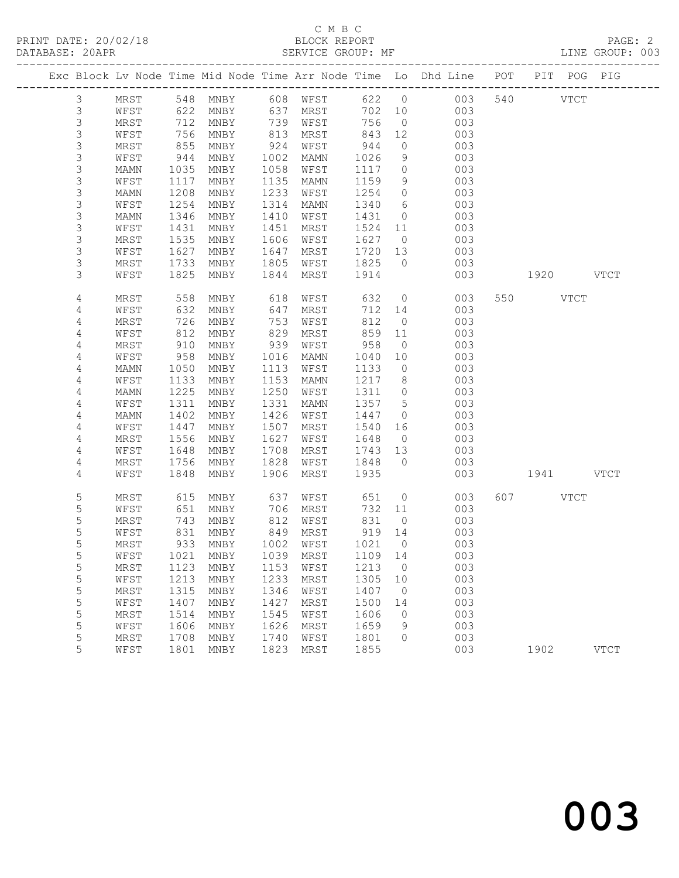### C M B C<br>BLOCK REPORT SERVICE GROUP: MF

|                |      |      |      |      |                             |        |                          | Exc Block Lv Node Time Mid Node Time Arr Node Time Lo Dhd Line POT |           | PIT POG PIG |
|----------------|------|------|------|------|-----------------------------|--------|--------------------------|--------------------------------------------------------------------|-----------|-------------|
| $\mathfrak{Z}$ | MRST |      |      |      | 548 MNBY 608 WFST           | 622 0  |                          | 003                                                                | 540 VTCT  |             |
| $\mathsf 3$    | WFST | 622  | MNBY | 637  | MRST                        | 702 10 |                          | 003                                                                |           |             |
| $\mathsf S$    | MRST | 712  | MNBY | 739  | WFST                        | 756    | $\overline{0}$           | 003                                                                |           |             |
| $\mathsf S$    | WFST | 756  | MNBY | 813  | MRST                        | 843    | 12                       | 003                                                                |           |             |
| $\mathsf S$    | MRST | 855  | MNBY | 924  | WFST                        | 944    | $\circ$                  | 003                                                                |           |             |
| $\mathsf S$    | WFST | 944  | MNBY | 1002 | MAMN                        | 1026   | 9 <sup>°</sup>           | 003                                                                |           |             |
| $\mathsf 3$    | MAMN | 1035 | MNBY | 1058 | WFST                        | 1117   | $\overline{0}$           | 003                                                                |           |             |
| $\mathsf S$    | WFST | 1117 | MNBY | 1135 | MAMN                        | 1159   | 9                        | 003                                                                |           |             |
| $\mathsf S$    | MAMN | 1208 | MNBY | 1233 | WFST                        | 1254   | $\overline{0}$           | 003                                                                |           |             |
| $\mathsf S$    | WFST | 1254 | MNBY | 1314 | MAMN                        | 1340   | $6\overline{6}$          | 003                                                                |           |             |
| $\mathsf S$    | MAMN | 1346 | MNBY | 1410 | WFST                        | 1431   | $\overline{0}$           | 003                                                                |           |             |
| $\mathsf S$    | WFST | 1431 | MNBY | 1451 | MRST                        | 1524   | 11                       | 003                                                                |           |             |
| $\mathsf S$    | MRST | 1535 | MNBY | 1606 | WFST                        | 1627   | $\overline{0}$           | 003                                                                |           |             |
| $\mathsf S$    | WFST | 1627 | MNBY | 1647 | MRST                        | 1720   | 13                       | 003                                                                |           |             |
| 3              | MRST | 1733 | MNBY | 1805 | WFST                        | 1825   | $\overline{0}$           | 003                                                                |           |             |
| 3              | WFST | 1825 | MNBY | 1844 | MRST                        | 1914   |                          | 003                                                                | 1920 VTCT |             |
| 4              | MRST | 558  | MNBY | 618  | WFST                        | 632    | $\overline{0}$           | 003                                                                | 550 VTCT  |             |
| 4              | WFST | 632  | MNBY | 647  | MRST                        | 712 14 |                          | 003                                                                |           |             |
| 4              | MRST | 726  | MNBY | 753  | WFST                        | 812    | $\overline{0}$           | 003                                                                |           |             |
| $\sqrt{4}$     | WFST | 812  | MNBY | 829  | MRST                        | 859    | 11                       | 003                                                                |           |             |
| 4              | MRST | 910  | MNBY | 939  | WFST                        | 958    | $\overline{0}$           | 003                                                                |           |             |
| $\sqrt{4}$     | WFST | 958  | MNBY | 1016 | MAMN                        | 1040   | 10                       | 003                                                                |           |             |
| 4              | MAMN | 1050 | MNBY | 1113 | WFST                        | 1133   | $\overline{0}$           | 003                                                                |           |             |
| 4              | WFST | 1133 | MNBY | 1153 | MAMN                        | 1217   | 8 <sup>8</sup>           | 003                                                                |           |             |
| 4              | MAMN | 1225 | MNBY | 1250 | WFST                        | 1311   | $\overline{0}$           | 003                                                                |           |             |
| 4              | WFST | 1311 | MNBY | 1331 | MAMN                        | 1357   | $5\overline{)}$          | 003                                                                |           |             |
| 4              | MAMN | 1402 | MNBY | 1426 | WFST                        | 1447   | $\overline{0}$           | 003                                                                |           |             |
| 4              | WFST | 1447 | MNBY | 1507 | MRST                        | 1540   | 16                       | 003                                                                |           |             |
| 4              | MRST | 1556 | MNBY | 1627 | WFST                        | 1648   | $\overline{0}$           | 003                                                                |           |             |
| 4              | WFST | 1648 | MNBY | 1708 | MRST                        | 1743   | 13                       | 003                                                                |           |             |
| 4              | MRST | 1756 | MNBY | 1828 | WFST                        | 1848   | $\overline{0}$           | 003                                                                |           |             |
| 4              | WFST | 1848 | MNBY | 1906 | MRST                        | 1935   |                          | 003                                                                | 1941 VTCT |             |
| 5              | MRST | 615  | MNBY | 637  | WFST                        | 651    | $\overline{0}$           | 003                                                                | 607 VTCT  |             |
| 5              | WFST | 651  | MNBY | 706  | MRST                        | 732 11 |                          | 003                                                                |           |             |
| 5              | MRST | 743  | MNBY | 812  | WFST                        | 831    | $\overline{0}$           | 003                                                                |           |             |
| 5              | WFST | 831  | MNBY | 849  | MRST                        | 919 14 |                          | 003                                                                |           |             |
| 5              | MRST | 933  | MNBY | 1002 | WFST                        | 1021   | $\overline{0}$           | 003                                                                |           |             |
| 5              | WFST |      |      |      | 1021 MNBY 1039 MRST 1109 14 |        |                          | 003                                                                |           |             |
| 5              | MRST | 1123 | MNBY | 1153 | WFST                        | 1213   | $\overline{\phantom{0}}$ | 003                                                                |           |             |
| 5              | WFST | 1213 | MNBY | 1233 | MRST                        | 1305   | 10                       | 003                                                                |           |             |
| 5              | MRST | 1315 | MNBY | 1346 | WFST                        | 1407   | $\overline{0}$           | 003                                                                |           |             |
| $\mathsf S$    | WFST | 1407 | MNBY | 1427 | MRST                        | 1500   | 14                       | 003                                                                |           |             |
| 5              | MRST | 1514 | MNBY | 1545 | WFST                        | 1606   | $\mathbf{0}$             | 003                                                                |           |             |
| 5              | WFST | 1606 | MNBY | 1626 | MRST                        | 1659   | 9                        | 003                                                                |           |             |
| 5              | MRST | 1708 | MNBY | 1740 | WFST                        | 1801   | $\circ$                  | 003                                                                |           |             |
| 5              | WFST | 1801 | MNBY | 1823 | MRST                        | 1855   |                          | 003                                                                | 1902      | <b>VTCT</b> |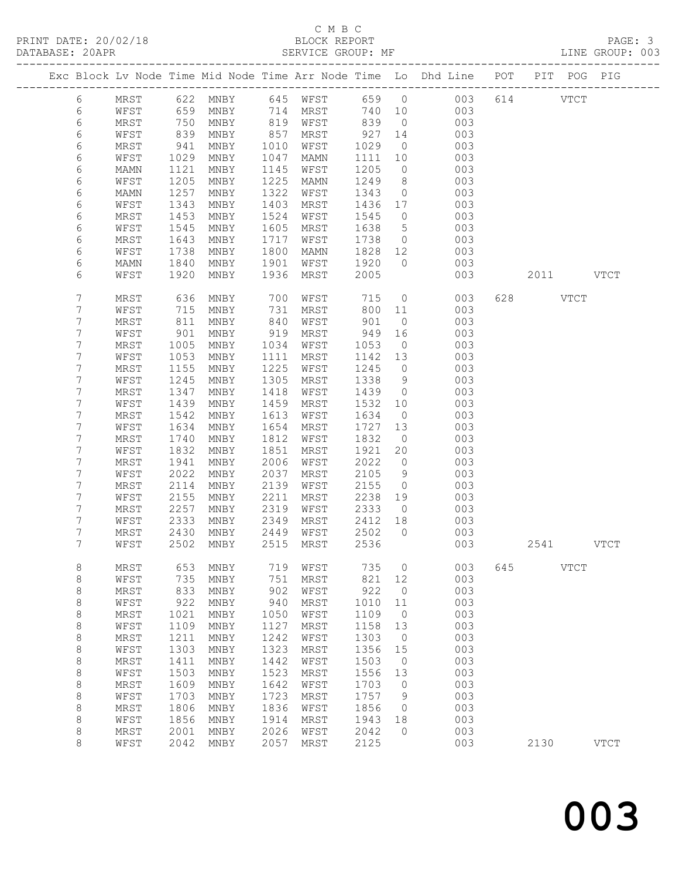# C M B C<br>BLOCK REPORT

LINE GROUP: 003

|                 |              |              |                                |              |              |              |                            | Exc Block Lv Node Time Mid Node Time Arr Node Time Lo Dhd Line POT PIT POG PIG |     |      |             |             |
|-----------------|--------------|--------------|--------------------------------|--------------|--------------|--------------|----------------------------|--------------------------------------------------------------------------------|-----|------|-------------|-------------|
| 6               | MRST         | 622          | MNBY                           | 645          | WFST         | 659          | $\overline{0}$             | 003                                                                            |     | 614  | <b>VTCT</b> |             |
| $\epsilon$      | WFST         | 659          | MNBY                           | 714          | MRST         | 740          | 10                         | 003                                                                            |     |      |             |             |
| 6               | MRST         | 750          | MNBY                           | 819          | WFST         | 839          | $\overline{0}$             | 003                                                                            |     |      |             |             |
| 6               | WFST         | 839          | MNBY                           | 857          | MRST         | 927          | 14                         | 003                                                                            |     |      |             |             |
| 6               | MRST         | 941          | MNBY                           | 1010         | WFST         | 1029         | $\overline{0}$             | 003                                                                            |     |      |             |             |
| 6               | WFST         | 1029         | MNBY                           | 1047         | MAMN         | 1111         | 10                         | 003                                                                            |     |      |             |             |
| 6               | MAMN         | 1121         | MNBY                           | 1145         | WFST         | 1205         | $\circ$                    | 003                                                                            |     |      |             |             |
| 6               | WFST         | 1205         | MNBY                           | 1225         | MAMN         | 1249         | 8                          | 003                                                                            |     |      |             |             |
| 6               | MAMN         | 1257         | MNBY                           | 1322         | WFST         | 1343         | $\circ$                    | 003                                                                            |     |      |             |             |
| 6               | WFST         | 1343         | MNBY                           | 1403         | MRST         | 1436         | 17                         | 003                                                                            |     |      |             |             |
| 6               | MRST         | 1453         | MNBY                           | 1524         | WFST         | 1545         | $\circ$                    | 003                                                                            |     |      |             |             |
| 6               | WFST         | 1545         | MNBY                           | 1605         | MRST         | 1638         | $5\phantom{.0}$            | 003                                                                            |     |      |             |             |
| 6<br>6          | MRST         | 1643         | MNBY                           | 1717<br>1800 | WFST         | 1738         | $\circ$<br>12 <sup>°</sup> | 003<br>003                                                                     |     |      |             |             |
|                 | WFST         | 1738         | MNBY                           |              | MAMN         | 1828         | $\circ$                    |                                                                                |     |      |             |             |
| $\epsilon$<br>6 | MAMN<br>WFST | 1840<br>1920 | MNBY<br>MNBY                   | 1901<br>1936 | WFST<br>MRST | 1920         |                            | 003                                                                            |     | 2011 |             | <b>VTCT</b> |
|                 |              |              |                                |              |              | 2005         |                            | 003                                                                            |     |      |             |             |
| 7               | MRST         | 636          | MNBY                           | 700          | WFST         | 715          | $\circ$                    | 003                                                                            | 628 |      | <b>VTCT</b> |             |
| 7               | WFST         | 715          | MNBY                           | 731          | MRST         | 800          | 11                         | 003                                                                            |     |      |             |             |
| 7               | MRST         | 811          | MNBY                           | 840          | WFST         | 901          | $\circ$                    | 003                                                                            |     |      |             |             |
| 7               | WFST         | 901          | MNBY                           | 919          | MRST         | 949          | 16                         | 003                                                                            |     |      |             |             |
| 7               | MRST         | 1005         | MNBY                           | 1034         | WFST         | 1053         | $\overline{0}$             | 003                                                                            |     |      |             |             |
| 7               | WFST         | 1053         | MNBY                           | 1111         | MRST         | 1142         | 13                         | 003                                                                            |     |      |             |             |
| 7               | MRST         | 1155         | MNBY                           | 1225         | WFST         | 1245         | $\circ$                    | 003                                                                            |     |      |             |             |
| 7               | WFST         | 1245         | MNBY                           | 1305         | MRST         | 1338         | 9                          | 003                                                                            |     |      |             |             |
| 7               | MRST         | 1347         | MNBY                           | 1418         | WFST         | 1439         | $\circ$                    | 003                                                                            |     |      |             |             |
| 7               | WFST         | 1439         | MNBY                           | 1459         | MRST         | 1532         | 10                         | 003                                                                            |     |      |             |             |
| 7               | MRST         | 1542         | MNBY                           | 1613         | WFST         | 1634         | $\overline{0}$             | 003                                                                            |     |      |             |             |
| 7               | WFST         | 1634         | MNBY                           | 1654         | MRST         | 1727         | 13                         | 003                                                                            |     |      |             |             |
| 7               | MRST         | 1740         | MNBY                           | 1812         | WFST         | 1832         | $\overline{0}$             | 003                                                                            |     |      |             |             |
| 7               | WFST         | 1832         | MNBY                           | 1851         | MRST         | 1921         | 20                         | 003                                                                            |     |      |             |             |
| 7<br>7          | MRST         | 1941<br>2022 | MNBY                           | 2006<br>2037 | WFST         | 2022         | $\circ$                    | 003<br>003                                                                     |     |      |             |             |
| 7               | WFST<br>MRST | 2114         | MNBY                           | 2139         | MRST<br>WFST | 2105<br>2155 | 9<br>$\circ$               | 003                                                                            |     |      |             |             |
| 7               | WFST         | 2155         | MNBY<br>MNBY                   | 2211         | MRST         | 2238         | 19                         | 003                                                                            |     |      |             |             |
| 7               | MRST         | 2257         | MNBY                           | 2319         | WFST         | 2333         | $\overline{0}$             | 003                                                                            |     |      |             |             |
| 7               | WFST         | 2333         | MNBY                           | 2349         | MRST         | 2412         | 18                         | 003                                                                            |     |      |             |             |
| 7               | MRST         | 2430         | MNBY                           | 2449         | WFST         | 2502         | $\circ$                    | 003                                                                            |     |      |             |             |
| 7               | WFST         | 2502         | MNBY                           | 2515         | MRST         | 2536         |                            | 003                                                                            |     | 2541 |             | <b>VTCT</b> |
| 8               | MRST         | 653          | MNBY                           | 719          | WFST         | 735          | $\circ$                    | 003                                                                            | 645 |      | <b>VTCT</b> |             |
| 8               | WFST         | 735          | MNBY                           | 751          | MRST         | 821          | 12                         | 003                                                                            |     |      |             |             |
| 8               | MRST         | 833          | MNBY                           | 902          | WFST         | 922          | 0                          | 003                                                                            |     |      |             |             |
| $\,8\,$         | WFST         | 922          | MNBY                           | 940          | MRST         | 1010         | $11$                       | 003                                                                            |     |      |             |             |
| 8               | $\tt MRST$   | 1021         | $\operatorname{\mathsf{MNBY}}$ | 1050         | WFST         | 1109         | $\circ$                    | 003                                                                            |     |      |             |             |
| $\,8\,$         | WFST         | 1109         | MNBY                           | 1127         | MRST         | 1158         | 13                         | 003                                                                            |     |      |             |             |
| $\,8\,$         | MRST         | 1211         | MNBY                           | 1242         | WFST         | 1303         | 0                          | 003                                                                            |     |      |             |             |
| $\,8\,$         | WFST         | 1303         | MNBY                           | 1323         | MRST         | 1356         | 15                         | 003                                                                            |     |      |             |             |
| $\,8\,$         | MRST         | 1411         | MNBY                           | 1442         | WFST         | 1503         | $\circ$                    | 003                                                                            |     |      |             |             |
| $\,8\,$         | WFST         | 1503         | MNBY                           | 1523         | MRST         | 1556         | 13                         | 003                                                                            |     |      |             |             |
| $\,8\,$         | MRST         | 1609         | MNBY                           | 1642         | WFST         | 1703         | 0                          | 003                                                                            |     |      |             |             |
| $\,8\,$         | WFST         | 1703         | MNBY                           | 1723         | MRST         | 1757         | 9                          | 003                                                                            |     |      |             |             |
| $\,8\,$         | MRST         | 1806         | MNBY                           | 1836         | WFST         | 1856         | $\circ$                    | 003                                                                            |     |      |             |             |
| $\,8\,$         | WFST         | 1856         | MNBY                           | 1914         | MRST         | 1943         | 18                         | 003                                                                            |     |      |             |             |
| 8               | MRST         | 2001         | MNBY                           | 2026         | WFST         | 2042         | $\Omega$                   | 003                                                                            |     |      |             |             |
| 8               | WFST         | 2042         | MNBY                           | 2057         | MRST         | 2125         |                            | 003                                                                            |     | 2130 |             | <b>VTCT</b> |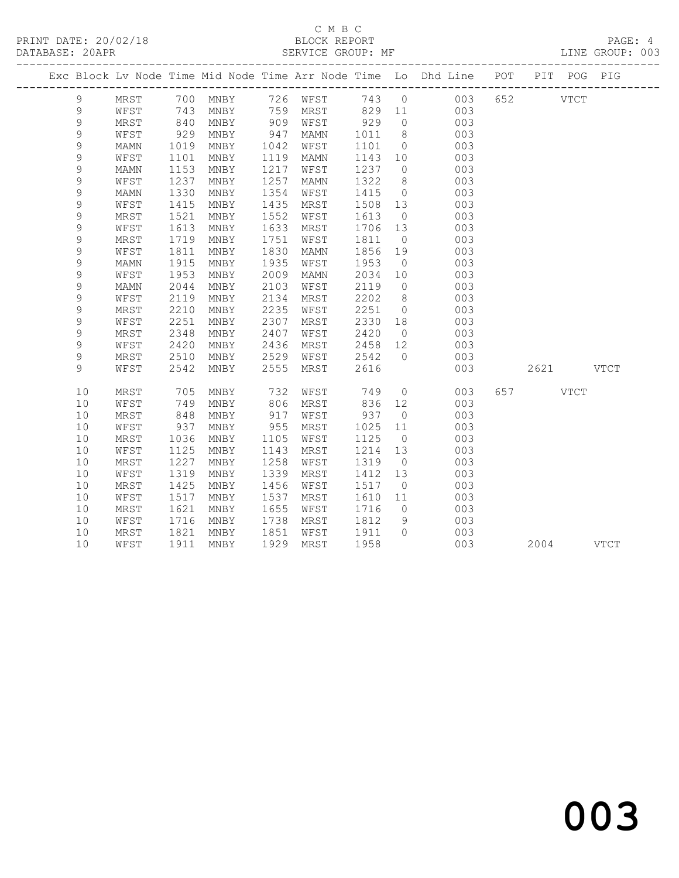### C M B C<br>BLOCK REPORT SERVICE GROUP: MF

|               |      |                  |      |            |          |         |                | Exc Block Lv Node Time Mid Node Time Arr Node Time Lo Dhd Line POT PIT POG PIG |          |             |
|---------------|------|------------------|------|------------|----------|---------|----------------|--------------------------------------------------------------------------------|----------|-------------|
| 9             |      |                  |      |            |          |         |                | MRST 700 MNBY 726 WFST 743 0 003<br>WFST 743 MNBY 759 MRST 829 11 003          | 652 VTCT |             |
| $\mathsf 9$   |      |                  |      |            |          |         |                |                                                                                |          |             |
| 9             | MRST | 840              | MNBY |            | 909 WFST | 929     | $\overline{0}$ | 003                                                                            |          |             |
| 9             | WFST | 929              | MNBY | 947        | MAMN     | 1011    | 8 <sup>8</sup> | 003                                                                            |          |             |
| 9             | MAMN | 1019             | MNBY | 1042       | WFST     | 1101    | $\overline{0}$ | 003                                                                            |          |             |
| $\mathsf 9$   | WFST | 1101             | MNBY | 1119       | MAMN     | 1143    | 10             | 003                                                                            |          |             |
| $\mathcal{G}$ | MAMN | 1153             | MNBY | 1217       | WFST     | 1237    | $\overline{0}$ | 003                                                                            |          |             |
| $\mathcal{G}$ | WFST | 1237             | MNBY | 1257       | MAMN     | 1322    | 8 <sup>8</sup> | 003                                                                            |          |             |
| $\mathsf 9$   | MAMN | 1330             | MNBY | 1354       | WFST     | 1415    | $\overline{0}$ | 003                                                                            |          |             |
| 9             | WFST | 1415             | MNBY | 1435       | MRST     | 1508    | 13             | 003                                                                            |          |             |
| $\mathsf 9$   | MRST | 1521             | MNBY | 1552       | WFST     | 1613    | $\overline{0}$ | 003                                                                            |          |             |
| 9             | WFST | 1613             | MNBY | 1633       | MRST     | 1706 13 |                | 003                                                                            |          |             |
| 9             | MRST | 1719             | MNBY | 1751       | WFST     | 1811    | $\overline{0}$ | 003                                                                            |          |             |
| 9             | WFST | 1811             | MNBY | 1830       | MAMN     | 1856    | 19             | 003                                                                            |          |             |
| 9             | MAMN | 1915             | MNBY | 1935       | WFST     | 1953    | $\overline{0}$ | 003                                                                            |          |             |
| $\mathcal{G}$ | WFST | 1953             | MNBY | 2009       | MAMN     | 2034    | 10             | 003                                                                            |          |             |
| 9             | MAMN | 2044             | MNBY | 2103       | WFST     | 2119    | $\overline{0}$ | 003                                                                            |          |             |
| $\mathsf 9$   | WFST | 2119             | MNBY | 2134       | MRST     | 2202    | 8 <sup>8</sup> | 003                                                                            |          |             |
| 9             | MRST | 2210             | MNBY | 2235       | WFST     | 2251    | $\overline{0}$ | 003                                                                            |          |             |
| $\mathsf 9$   | WFST | 2251             | MNBY | 2307       | MRST     | 2330    | 18             | 003                                                                            |          |             |
| 9             | MRST | 2348             | MNBY | 2407       | WFST     | 2420    | $\overline{0}$ | 003                                                                            |          |             |
| 9             | WFST | 2420             | MNBY | 2436       | MRST     | 2458    | 12             | 003                                                                            |          |             |
| 9             | MRST | 2510             | MNBY | 2529       | WFST     | 2542    | $\bigcirc$     | 003                                                                            |          |             |
| 9             | WFST | 2542             | MNBY | 2555       | MRST     | 2616    |                | 003                                                                            |          | 2621 VTCT   |
| 10            | MRST | 705              | MNBY | 732        | WFST     | 749     | $\overline{0}$ | 003                                                                            | 657      | <b>VTCT</b> |
| 10            | WFST | 749              | MNBY | 806        | MRST     | 836     | 12             | 003                                                                            |          |             |
| 10            | MRST | 848              | MNBY | 917<br>955 | WFST     | 937     | $\overline{0}$ | 003                                                                            |          |             |
| 10            | WFST | 937              | MNBY |            | MRST     | 1025    | 11             | 003                                                                            |          |             |
| 10            | MRST | 1036             | MNBY | 1105       | WFST     | 1125    | $\overline{0}$ | 003                                                                            |          |             |
| 10            | WFST | 1125             | MNBY | 1143       | MRST     | 1214    | 13             | 003                                                                            |          |             |
| 10            | MRST | 1227             | MNBY | 1258       | WFST     | 1319    | $\overline{0}$ | 003                                                                            |          |             |
| 10            | WFST | 1319             | MNBY | 1339       | MRST     | 1412    | 13             | 003                                                                            |          |             |
| 10            | MRST | 1425             | MNBY | 1456       | WFST     | 1517    | $\overline{0}$ | 003                                                                            |          |             |
| 10            | WFST | 1517             | MNBY | 1537       | MRST     | 1610    | 11             | 003                                                                            |          |             |
| 10            | MRST | 1621             | MNBY | 1655       | WFST     | 1716    | $\overline{0}$ | 003                                                                            |          |             |
| 10            | WFST | 1716             | MNBY | 1738       | MRST     | 1812    | 9              | 003                                                                            |          |             |
| 10            | MRST | $\frac{1}{1821}$ | MNBY | 1851       | WFST     | 1911 0  |                | 003                                                                            |          |             |
| 10            | WFST | 1911             | MNBY | 1929       | MRST     | 1958    |                | 003                                                                            |          | 2004 VTCT   |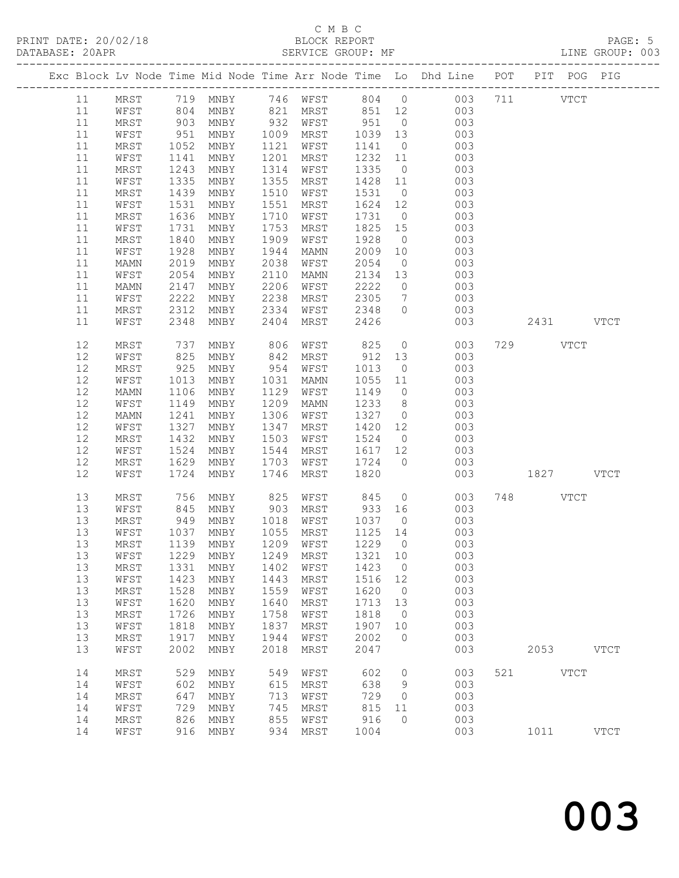# C M B C<br>BLOCK REPORT

LINE GROUP: 003

|  |    |      |      |      |          |      |      |                                      |                 |                | Exc Block Lv Node Time Mid Node Time Arr Node Time Lo Dhd Line POT PIT POG PIG |           |           |             |
|--|----|------|------|------|----------|------|------|--------------------------------------|-----------------|----------------|--------------------------------------------------------------------------------|-----------|-----------|-------------|
|  | 11 |      |      |      |          |      |      |                                      |                 |                | MRST 719 MNBY 746 WFST 804 0 003                                               | 711 VTCT  |           |             |
|  | 11 | WFST | 804  |      |          |      |      | MNBY 821 MRST 851 12 003             |                 |                |                                                                                |           |           |             |
|  | 11 | MRST | 903  | MNBY | 932 WFST |      |      | 951                                  | $\overline{0}$  |                | 003                                                                            |           |           |             |
|  | 11 | WFST |      |      | 1009     |      |      | 1039 13                              |                 |                | 003                                                                            |           |           |             |
|  |    |      | 951  | MNBY |          | MRST |      |                                      |                 |                |                                                                                |           |           |             |
|  | 11 | MRST | 1052 | MNBY | 1121     | WFST |      | 1141                                 | $\overline{0}$  |                | 003                                                                            |           |           |             |
|  | 11 | WFST | 1141 | MNBY | 1201     | MRST |      | 1232 11                              |                 |                | 003                                                                            |           |           |             |
|  | 11 | MRST | 1243 | MNBY | 1314     | WFST |      | 1335                                 | $\overline{0}$  |                | 003                                                                            |           |           |             |
|  | 11 | WFST | 1335 | MNBY | 1355     | MRST |      | 1428                                 | 11              |                | 003                                                                            |           |           |             |
|  | 11 | MRST | 1439 | MNBY | 1510     | WFST |      | 1531 0                               |                 |                | 003                                                                            |           |           |             |
|  | 11 | WFST | 1531 | MNBY | 1551     | MRST |      | 1624 12                              |                 |                | 003                                                                            |           |           |             |
|  | 11 | MRST | 1636 | MNBY | 1710     | WFST |      | 1731                                 | $\overline{0}$  |                | 003                                                                            |           |           |             |
|  | 11 | WFST | 1731 | MNBY | 1753     | MRST |      | 1825 15                              |                 |                | 003                                                                            |           |           |             |
|  | 11 | MRST | 1840 | MNBY | 1909     | WFST |      | 1928                                 | $\overline{0}$  |                | 003                                                                            |           |           |             |
|  | 11 | WFST | 1928 | MNBY | 1944     | MAMN |      | 2009                                 | 10              |                | 003                                                                            |           |           |             |
|  | 11 | MAMN | 2019 | MNBY | 2038     | WFST |      | 2054                                 | $\overline{0}$  |                | 003                                                                            |           |           |             |
|  | 11 | WFST | 2054 | MNBY | 2110     | MAMN |      | 2134                                 | 13              |                | 003                                                                            |           |           |             |
|  |    |      |      |      | 2206     |      |      |                                      |                 |                |                                                                                |           |           |             |
|  | 11 | MAMN | 2147 | MNBY |          | WFST |      | 2222                                 | $\overline{0}$  |                | 003                                                                            |           |           |             |
|  | 11 | WFST | 2222 | MNBY | 2238     | MRST |      | 2305                                 | $7\overline{ }$ |                | 003                                                                            |           |           |             |
|  | 11 | MRST | 2312 | MNBY | 2334     |      | WFST | 2348                                 | $\overline{0}$  |                | 003                                                                            |           |           |             |
|  | 11 | WFST | 2348 | MNBY | 2404     |      | MRST | 2426                                 |                 |                | 003                                                                            |           | 2431 VTCT |             |
|  | 12 | MRST | 737  | MNBY | 806      | WFST |      | 825                                  |                 | $\overline{O}$ | 003                                                                            | 729 VTCT  |           |             |
|  | 12 | WFST | 825  | MNBY | 842      | MRST |      | 912 13                               |                 |                | 003                                                                            |           |           |             |
|  | 12 | MRST | 925  | MNBY | 954      | WFST |      | 1013                                 | $\overline{0}$  |                | 003                                                                            |           |           |             |
|  | 12 | WFST | 1013 | MNBY | 1031     | MAMN |      | 1055                                 | 11              |                | 003                                                                            |           |           |             |
|  | 12 | MAMN | 1106 | MNBY | 1129     | WFST |      | 1149 0                               |                 |                | 003                                                                            |           |           |             |
|  |    |      |      |      |          |      |      |                                      |                 |                |                                                                                |           |           |             |
|  | 12 | WFST | 1149 | MNBY | 1209     | MAMN |      | 1233                                 | 8 <sup>8</sup>  |                | 003                                                                            |           |           |             |
|  | 12 | MAMN | 1241 | MNBY | 1306     | WFST |      | 1327                                 | $\overline{0}$  |                | 003                                                                            |           |           |             |
|  | 12 | WFST | 1327 | MNBY | 1347     | MRST |      | 1420                                 | 12              |                | 003                                                                            |           |           |             |
|  | 12 | MRST | 1432 | MNBY | 1503     | WFST |      | 1524                                 | $\overline{0}$  |                | 003                                                                            |           |           |             |
|  | 12 | WFST | 1524 | MNBY | 1544     | MRST |      | 1617 12                              |                 |                | 003                                                                            |           |           |             |
|  | 12 | MRST | 1629 | MNBY | 1703     | WFST |      | 1724                                 | $\overline{0}$  |                | 003                                                                            |           |           |             |
|  | 12 | WFST | 1724 | MNBY | 1746     | MRST |      | 1820                                 |                 |                | 003                                                                            | 1827 VTCT |           |             |
|  | 13 | MRST | 756  | MNBY | 825      | WFST |      | 845                                  | $\overline{0}$  |                | 003                                                                            | 748 VTCT  |           |             |
|  | 13 | WFST | 845  | MNBY | 903      | MRST |      | 933 16                               |                 |                | 003                                                                            |           |           |             |
|  | 13 | MRST | 949  | MNBY | 1018     | WFST |      | 1037                                 | $\overline{0}$  |                | 003                                                                            |           |           |             |
|  | 13 | WFST | 1037 | MNBY | 1055     | MRST |      | 1125 14                              |                 |                | 003                                                                            |           |           |             |
|  | 13 | MRST | 1139 | MNBY | 1209     | WFST |      | 1229 0                               |                 |                | 003                                                                            |           |           |             |
|  | 13 |      |      |      |          |      |      |                                      |                 |                |                                                                                |           |           |             |
|  |    |      |      |      |          |      |      | WFST 1229 MNBY 1249 MRST 1321 10 003 |                 |                |                                                                                |           |           |             |
|  | 13 | MRST | 1331 | MNBY | 1402     | WFST |      | 1423                                 | $\overline{0}$  |                | 003                                                                            |           |           |             |
|  | 13 | WFST | 1423 | MNBY | 1443     | MRST |      | 1516 12                              |                 |                | 003                                                                            |           |           |             |
|  | 13 | MRST | 1528 | MNBY | 1559     | WFST |      | 1620                                 | $\overline{0}$  |                | 003                                                                            |           |           |             |
|  | 13 | WFST | 1620 | MNBY | 1640     | MRST |      | 1713                                 | 13              |                | 003                                                                            |           |           |             |
|  | 13 | MRST | 1726 | MNBY | 1758     | WFST |      | 1818                                 | $\overline{0}$  |                | 003                                                                            |           |           |             |
|  | 13 | WFST | 1818 | MNBY | 1837     | MRST |      | 1907                                 | 10              |                | 003                                                                            |           |           |             |
|  | 13 | MRST | 1917 | MNBY | 1944     | WFST |      | 2002                                 | $\overline{0}$  |                | 003                                                                            |           |           |             |
|  | 13 | WFST | 2002 | MNBY | 2018     | MRST |      | 2047                                 |                 |                | 003                                                                            |           | 2053 VTCT |             |
|  | 14 | MRST | 529  | MNBY | 549      | WFST |      | 602                                  | $\overline{0}$  |                | 003                                                                            | 521 VTCT  |           |             |
|  | 14 | WFST | 602  | MNBY | 615      | MRST |      | 638                                  | 9               |                | 003                                                                            |           |           |             |
|  | 14 | MRST | 647  | MNBY | 713      | WFST |      | 729                                  | $\overline{0}$  |                | 003                                                                            |           |           |             |
|  | 14 | WFST | 729  | MNBY | 745      | MRST |      | 815                                  | 11              |                | 003                                                                            |           |           |             |
|  | 14 |      | 826  |      | 855      |      |      | 916                                  | $\circ$         |                | 003                                                                            |           |           |             |
|  |    | MRST |      | MNBY |          | WFST |      | 1004                                 |                 |                |                                                                                |           |           |             |
|  | 14 | WFST | 916  | MNBY | 934      | MRST |      |                                      |                 |                | 003                                                                            | 1011      |           | <b>VTCT</b> |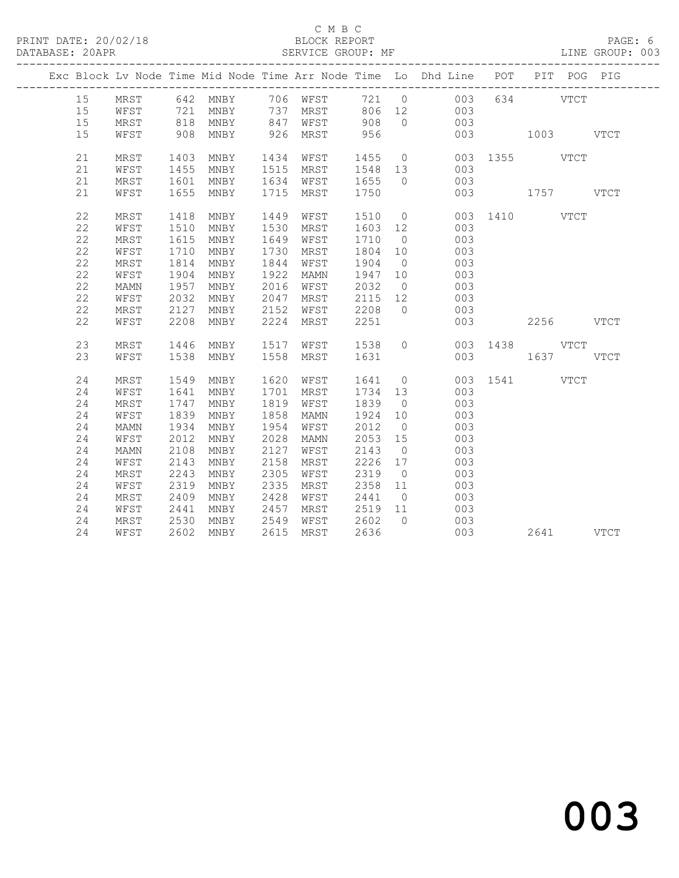#### C M B C<br>BLOCK REPORT SERVICE GROUP: MF

|             |      |                |                                                                                      |           |      |                             |                | Exc Block Lv Node Time Mid Node Time Arr Node Time Lo Dhd Line POT PIT POG PIG |               |           |      |
|-------------|------|----------------|--------------------------------------------------------------------------------------|-----------|------|-----------------------------|----------------|--------------------------------------------------------------------------------|---------------|-----------|------|
| 15          | MRST |                |                                                                                      |           |      |                             |                | 642 MNBY 706 WFST 721 0 003                                                    |               | 634 VTCT  |      |
| 15          | WFST |                | 721 MNBY      737  MRST       806   12<br>818  MNBY       847   WFST        908    0 |           |      |                             |                | $\begin{array}{c} 003 \\ 003 \end{array}$                                      |               |           |      |
| 15          | MRST |                |                                                                                      |           |      |                             |                |                                                                                |               |           |      |
| 15          | WFST |                | 908 MNBY                                                                             | 926 MRST  |      | 956                         |                | 003                                                                            | 1003 VTCT     |           |      |
| 21          | MRST | 1403           | MNBY                                                                                 | 1434 WFST |      | 1455                        |                | 0 003 1355 VTCT                                                                |               |           |      |
| 21          | WFST | 1455           | MNBY                                                                                 | 1515 MRST |      |                             |                | 003                                                                            |               |           |      |
| 21          | MRST | 1601           | MNBY                                                                                 | 1634 WFST |      | 1548 13<br>1655 0           |                | 003                                                                            |               |           |      |
| 21          | WFST |                | 1655 MNBY                                                                            | 1715 MRST |      | 1750                        |                |                                                                                | 003 1757 VTCT |           |      |
|             |      |                |                                                                                      |           |      |                             |                |                                                                                |               |           |      |
| 22          | MRST | 1418           | MNBY                                                                                 | 1449      | WFST | 1510                        | $\overline{0}$ |                                                                                | 003 1410 VTCT |           |      |
| $2\sqrt{2}$ | WFST | 1510           | MNBY                                                                                 | 1530      | MRST | 1603 12                     |                | 003                                                                            |               |           |      |
| 22          | MRST | 1615           | MNBY                                                                                 | 1649      | WFST | 1710                        | $\overline{0}$ | 003                                                                            |               |           |      |
| 22          | WFST | 1710           | MNBY                                                                                 | 1730      | MRST | 1804 10                     |                | 003                                                                            |               |           |      |
| 22          | MRST | 1814           | MNBY                                                                                 | 1844      | WFST | 1904                        | $\overline{0}$ | 003                                                                            |               |           |      |
| 22          | WFST | 1904           | MNBY                                                                                 | 1922      | MAMN | 1947 10                     |                | 003                                                                            |               |           |      |
| 22          | MAMN | 1957           | MNBY                                                                                 | 2016      | WFST | 2032                        | $\overline{0}$ | 003                                                                            |               |           |      |
| 22          | WFST | 2032           | MNBY                                                                                 | 2047      | MRST | 2115 12<br>2115<br>2208     |                | 003                                                                            |               |           |      |
| 22          | MRST | 2127           | MNBY                                                                                 | 2152      | WFST |                             | $\bigcirc$     | 003                                                                            |               |           |      |
| 22          | WFST | 2208           | MNBY                                                                                 | 2224 MRST |      | 2251                        |                | 003                                                                            |               | 2256 VTCT |      |
|             |      |                |                                                                                      |           |      |                             |                |                                                                                |               |           |      |
| 23          | MRST | 1446           | MNBY                                                                                 | 1517      | WFST | 1538                        | $\Omega$       |                                                                                | 003 1438 VTCT |           |      |
| 23          | WFST | 1538           | MNBY                                                                                 | 1558 MRST |      | 1631                        |                |                                                                                | 003           | 1637      | VTCT |
| 24          | MRST | 1549           | MNBY                                                                                 | 1620 WFST |      | 1641 0                      |                |                                                                                | 003 1541 VTCT |           |      |
| 24          | WFST | 1641           | MNBY                                                                                 | 1701      | MRST | 1734 13                     |                | 003                                                                            |               |           |      |
| 24          | MRST | 1747           | MNBY                                                                                 | 1819      | WFST | 1839                        | $\overline{0}$ | 003                                                                            |               |           |      |
| 24          | WFST | 1839           | MNBY                                                                                 | 1858      | MAMN | 1924 10                     |                | 003                                                                            |               |           |      |
| 24          | MAMN | 1934           | MNBY                                                                                 | 1954      | WFST | 2012                        | $\overline{0}$ | 003                                                                            |               |           |      |
| 24          | WFST | 2012           | MNBY                                                                                 | 2028      | MAMN | 2053 15                     |                | 003                                                                            |               |           |      |
| 24          | MAMN | 2108           | MNBY                                                                                 | 2127      | WFST | 2143                        | $\overline{0}$ | 003                                                                            |               |           |      |
| 24          | WFST | 2143           | MNBY                                                                                 | 2158      | MRST | 2226 17                     |                | 003                                                                            |               |           |      |
| 24          | MRST | 2243           | MNBY                                                                                 | 2305      | WFST | 2319                        | $\overline{0}$ | 003                                                                            |               |           |      |
| 24          | WFST | 2319           | MNBY                                                                                 | 2335      | MRST | 2358                        | 11             | 003                                                                            |               |           |      |
| 24          | MRST | 2409           | MNBY                                                                                 | 2428      | WFST | 2441                        | $\overline{0}$ | 003                                                                            |               |           |      |
| 24          | WFST |                | MNBY                                                                                 | 2457      |      | MRST 2519 11<br>WFST 2602 0 |                | $\begin{array}{c} 003 \\ 003 \end{array}$                                      |               |           |      |
| 24          | MRST | $2441$<br>2530 | MNBY                                                                                 | 2549      |      |                             | $\overline{0}$ |                                                                                |               |           |      |
| 24          | WFST |                | 2602 MNBY                                                                            | 2615 MRST |      | 2636                        |                | 003                                                                            |               | 2641 VTCT |      |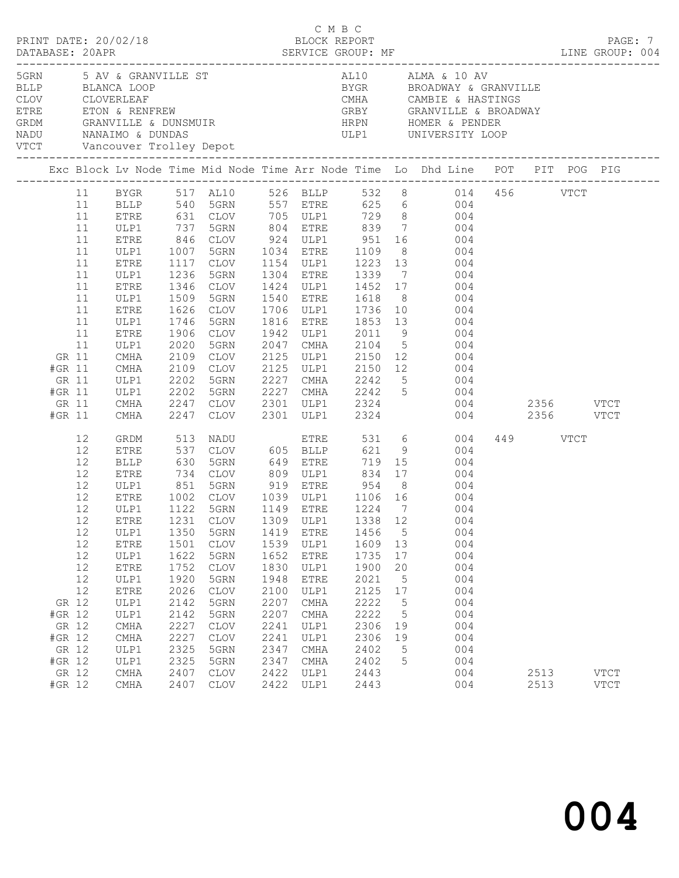|              |                                                                          |                                                                                  |                                                                                                                                                                              |                                                                                                                                                                                                |                                                                                                                                                                                                                              |                                                                                                              |                                                                                                                                                                                                                             |                                                                                                                                        |                                                                                                |                                                                                                                                                                                                                                                                                                                        |                          | PAGE: 7                    |
|--------------|--------------------------------------------------------------------------|----------------------------------------------------------------------------------|------------------------------------------------------------------------------------------------------------------------------------------------------------------------------|------------------------------------------------------------------------------------------------------------------------------------------------------------------------------------------------|------------------------------------------------------------------------------------------------------------------------------------------------------------------------------------------------------------------------------|--------------------------------------------------------------------------------------------------------------|-----------------------------------------------------------------------------------------------------------------------------------------------------------------------------------------------------------------------------|----------------------------------------------------------------------------------------------------------------------------------------|------------------------------------------------------------------------------------------------|------------------------------------------------------------------------------------------------------------------------------------------------------------------------------------------------------------------------------------------------------------------------------------------------------------------------|--------------------------|----------------------------|
| NADU<br>VTCT |                                                                          |                                                                                  | 5GRN 5 AV & GRANVILLE ST                                                                                                                                                     |                                                                                                                                                                                                | NANAIMO & DUNDAS                                                                                                                                                                                                             |                                                                                                              |                                                                                                                                                                                                                             |                                                                                                                                        |                                                                                                | AL10 ALMA & 10 AV<br>ELLP BLANCA LOOP<br>CLOV CLOVERLEAF CLOVER COVER COVER COVER CLOVER CLOVER CLOVER CLOVER COVER COVER COVER COVER CALL CALL CAMBIE & HASTINGS<br>ETRE ETON & RENFREW GRANVILLE & BROADWAY<br>GRANVILLE & COVER CRANVILLE & CONSMUIR<br><br>ULP1 UNIVERSITY LOOP                                    |                          |                            |
|              |                                                                          |                                                                                  |                                                                                                                                                                              |                                                                                                                                                                                                |                                                                                                                                                                                                                              |                                                                                                              |                                                                                                                                                                                                                             |                                                                                                                                        |                                                                                                |                                                                                                                                                                                                                                                                                                                        |                          |                            |
|              | GR 11<br>#GR 11<br>GR 11<br>#GR 11<br>GR 11<br>#GR 11                    | 11<br>11<br>11<br>11<br>11<br>11<br>11<br>11<br>11<br>11<br>11<br>11<br>11<br>11 | ULP1<br>ETRE<br>ULP1<br>ETRE<br>ULP1<br>ETRE<br>ULP1<br>ETRE<br>ULP1<br>ETRE<br>ULP1<br>CMHA<br>CMHA<br>ULP1<br>ULP1<br>CMHA<br>CMHA                                         | 737<br>846<br>1007<br>1117<br>1236<br>1346<br>1509<br>1626<br>1746<br>1906<br>2020<br>2109<br>2109<br>2202<br>2202<br>2247<br>2247<br>2247                                                     | 5GRN<br>CLOV<br>5GRN<br>CLOV<br>5GRN<br>CLOV<br>5GRN<br>CLOV<br>5GRN<br>CLOV<br>5GRN<br>CLOV<br>CLOV<br>5GRN<br>5GRN<br>CLOV<br>CLOV                                                                                         | 1942<br>2047<br>2125<br>2125<br>2227<br>2227                                                                 | 924 ULP1 951<br>1034 ETRE 1109 8<br>1154 ULP1 1223 13<br>1034 ETRE<br>1304 ETRE<br>1424 ULP1<br>1540 ETRE<br>1706 ULP1<br>1816 ETRE<br>ULP1<br>CMHA<br>ULP1<br>ULP1<br><b>CMHA</b><br>2301 ULP1<br>$2301$ ULP1              | 1339 7<br>1452 17<br>1618 8<br>1736 10<br>2011<br>2150 12<br>2324<br>2324                                                              | 9                                                                                              | BYGR 517 AL10 526 BLLP 532 8 014 456 VTCT<br>BLLP 540 5GRN 557 ETRE 625 6 004<br>ETRE 631 CLOV 705 ULP1 729 8 004<br>804 ETRE 839 7 004<br>16 004<br>$004$<br>$004$<br>004<br>004<br>$rac{1}{2}$<br>004<br>1853 13 004<br>004<br>2104 5 004<br>004<br>2150 12<br>004<br>2242 5<br>004<br>CMHA 2242 5 004<br>004<br>004 | 2356 VTCT<br>2356 VTCT   |                            |
|              | GR 12<br>#GR 12<br>GR 12<br>#GR 12<br>GR 12<br>#GR 12<br>GR 12<br>#GR 12 | 12<br>12<br>12<br>12<br>12<br>12<br>12<br>12<br>12<br>12<br>12<br>12<br>12       | GRDM<br>ETRE<br>BLLP<br>ETRE<br>ULP1<br>ETRE<br>ULP1<br>ULP1<br>ETRE<br>ULP1<br>${\tt ETRE}$<br>ULP1<br>ETRE<br>ULP1<br>ULP1<br>CMHA<br>CMHA<br>ULP1<br>ULP1<br>CMHA<br>CMHA | 513<br>537<br>630<br>734<br>$\begin{array}{c} 851 \\ 1002 \\ 1122 \end{array}$<br>1350<br>1501<br>1622<br>1752<br>1920<br>2026<br>2142<br>2142<br>2227<br>2227<br>2325<br>2325<br>2407<br>2407 | NADU ETRE<br>CLOV 605 BLLP<br>5GRN<br>CLOV<br>5GRN<br>CLOV<br>5GRN<br>5GRN<br>CLOV<br>5GRN<br><b>CLOV</b><br>5GRN<br><b>CLOV</b><br>5GRN<br>5GRN<br><b>CLOV</b><br><b>CLOV</b><br>5GRN<br>5GRN<br><b>CLOV</b><br><b>CLOV</b> | 1419<br>1539<br>1652<br>1830<br>1948<br>2100<br>2207<br>2207<br>2241<br>2241<br>2347<br>2347<br>2422<br>2422 | 649 ETRE<br>809 ULP1 834 17<br>919 ETRE<br>1039 ULP1 1106 16<br>1149 ETRE 1224 7<br>1149 ETRE<br>ETRE<br>ULP1<br><b>ETRE</b><br>ULP1<br>ETRE<br>ULP1<br>CMHA<br><b>CMHA</b><br>ULP1<br>ULP1<br>CMHA<br>CMHA<br>ULP1<br>ULP1 | 621 9<br>719 15<br>954<br>1456<br>1609<br>1735<br>1900<br>2021<br>2125<br>2222<br>2222<br>2306<br>2306<br>2402<br>2402<br>2443<br>2443 | 8 <sup>8</sup><br>5<br>13<br>17<br>20<br>5<br>17<br>$5\phantom{.0}$<br>5<br>19<br>19<br>5<br>5 | 531 6<br>004<br>004<br>004<br>004<br>004<br>004<br>004<br>12 ETRE 1231 CLOV 1309 ULP1 1338 12 004<br>004<br>004<br>004<br>004<br>004<br>004<br>004<br>004<br>004<br>004<br>004<br>004<br>004<br>004                                                                                                                    | 449 VTCT<br>2513<br>2513 | <b>VTCT</b><br><b>VTCT</b> |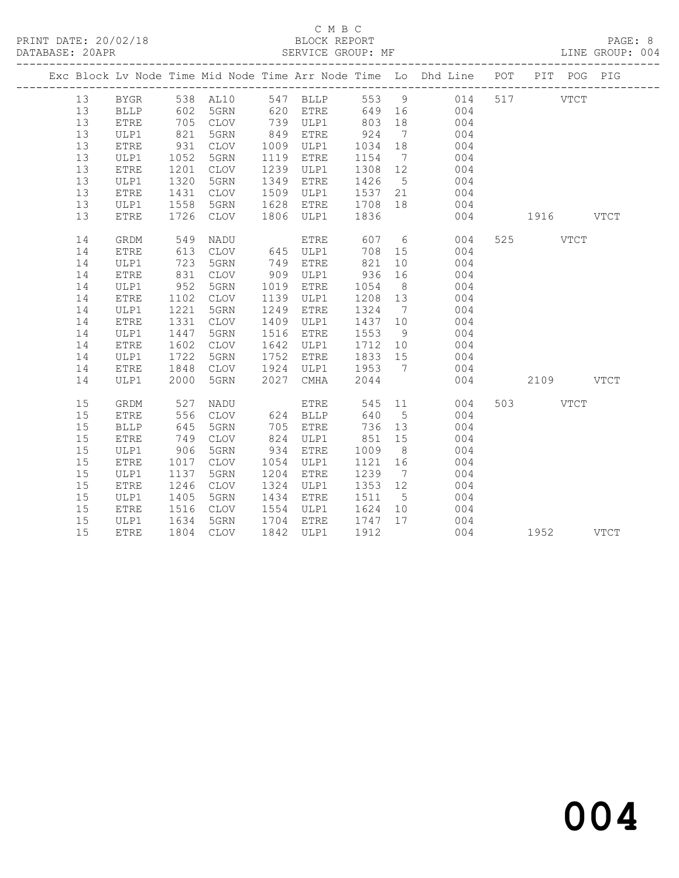# C M B C<br>BLOCK REPORT

LINE GROUP: 004

|    |              |              |                        |      |             |                        |                | Exc Block Lv Node Time Mid Node Time Arr Node Time Lo Dhd Line POT PIT POG PIG              |           |  |
|----|--------------|--------------|------------------------|------|-------------|------------------------|----------------|---------------------------------------------------------------------------------------------|-----------|--|
| 13 |              |              |                        |      |             |                        |                | BYGR 538 AL10 547 BLLP 553 9 014                                                            | 517 VTCT  |  |
| 13 | BLLP         |              |                        |      |             |                        |                | 602 5GRN 620 ETRE 649 16 004<br>705 CLOV 739 ULP1 803 18 004<br>821 5GRN 849 ETRE 924 7 004 |           |  |
| 13 | ETRE         |              |                        |      |             |                        |                |                                                                                             |           |  |
| 13 | ULP1         |              |                        |      | 849 ETRE    |                        |                |                                                                                             |           |  |
| 13 | ETRE         | 931          | CLOV 1009 ULP1 1034 18 |      |             |                        |                | 004                                                                                         |           |  |
| 13 | ULP1         | 1052         | 5GRN                   |      | 1119 ETRE   | 1154 7                 |                | 004                                                                                         |           |  |
| 13 | ETRE         | 1201<br>1320 | CLOV                   |      | 1239 ULP1   | 1308 12                |                | $004$                                                                                       |           |  |
| 13 | ULP1         |              | 5GRN                   | 1349 | <b>ETRE</b> |                        |                | 1426 5 004<br>1537 21 004                                                                   |           |  |
| 13 | <b>ETRE</b>  | 1431         | CLOV                   |      | 1509 ULP1   |                        |                |                                                                                             |           |  |
| 13 | ULP1         | 1558         | 5GRN                   | 1628 | ETRE        | 1708 18                |                | 004                                                                                         |           |  |
| 13 | ETRE         | 1726         | CLOV                   |      |             | 1806 ULP1 1836         |                | 004 1916 VTCT                                                                               |           |  |
| 14 | GRDM         |              |                        |      |             |                        |                |                                                                                             | 525 VTCT  |  |
| 14 | ETRE         |              |                        |      |             |                        |                |                                                                                             |           |  |
| 14 | ULP1         |              |                        |      |             |                        |                |                                                                                             |           |  |
| 14 | <b>ETRE</b>  | 831          | CLOV                   |      | 909 ULP1    | 936 16                 |                | 004                                                                                         |           |  |
| 14 | ULP1         | 952          | 5GRN                   |      | 1019 ETRE   | 1054                   | 8 <sup>8</sup> | 004                                                                                         |           |  |
| 14 | ETRE         | 1102         | CLOV                   |      | 1139 ULP1   | 1208 13                |                | 004                                                                                         |           |  |
| 14 | ULP1         | 1221         | 5GRN                   |      | 1249 ETRE   |                        |                |                                                                                             |           |  |
| 14 | <b>ETRE</b>  | 1331         | CLOV                   |      | 1409 ULP1   | 1437 10                |                | 1324 7 004<br>1437 10 004<br>1553 9 004                                                     |           |  |
| 14 | ULP1         | 1447         | 5GRN                   |      | 1516 ETRE   |                        |                |                                                                                             |           |  |
| 14 | ${\tt ETRE}$ | 1602         | CLOV                   | 1642 | ULP1        | 1712 10                |                | 004                                                                                         |           |  |
| 14 | ULP1         | 1722         | 5GRN                   | 1752 | ETRE        | 1833 15                |                | 004                                                                                         |           |  |
| 14 | <b>ETRE</b>  | 1848         |                        |      |             |                        |                | CLOV 1924 ULP1 1953 7 004                                                                   |           |  |
| 14 | ULP1         | 2000         | 5GRN                   | 2027 | CMHA        | 2044                   |                | 004                                                                                         | 2109 VTCT |  |
| 15 | GRDM         | 527          | NADU                   |      | <b>ETRE</b> |                        |                | 545 11 004                                                                                  | 503 VTCT  |  |
| 15 | <b>ETRE</b>  | 556          | CLOV                   |      | 624 BLLP    |                        |                | 640 5 004                                                                                   |           |  |
| 15 | <b>BLLP</b>  | 645          | 5GRN                   |      | 705 ETRE    | 736 13                 |                | 004                                                                                         |           |  |
| 15 | <b>ETRE</b>  | 749          | CLOV                   |      | 824 ULP1    | 851 15                 |                | 004                                                                                         |           |  |
| 15 | ULP1         | 906          | 5GRN                   | 934  | ETRE        | 1009 8                 |                | $004$<br>$004$                                                                              |           |  |
| 15 | <b>ETRE</b>  | 1017         | CLOV                   |      | 1054 ULP1   | 1121 16                |                |                                                                                             |           |  |
| 15 | ULP1         | 1137         | 5GRN                   |      | 1204 ETRE   | 1239 7                 |                | 004                                                                                         |           |  |
| 15 | ETRE         | 1246         | CLOV                   |      | 1324 ULP1   | 1353 12                |                | 004                                                                                         |           |  |
| 15 | ULP1         | 1405         | 5GRN                   |      | 1434 ETRE   | 1511 5                 |                | 004                                                                                         |           |  |
| 15 | ETRE         | 1516         | CLOV                   |      |             | 1554 ULP1 1624 10      |                | 004                                                                                         |           |  |
| 15 | ULP1         | 1634         | 5GRN 1704 ETRE         |      |             | $\frac{1747}{1912}$ 17 |                | $\begin{array}{c} 004 \\ 004 \end{array}$                                                   |           |  |
| 15 | ETRE         |              | 1804 CLOV              |      | 1842 ULP1   | 1912                   |                |                                                                                             | 1952 VTCT |  |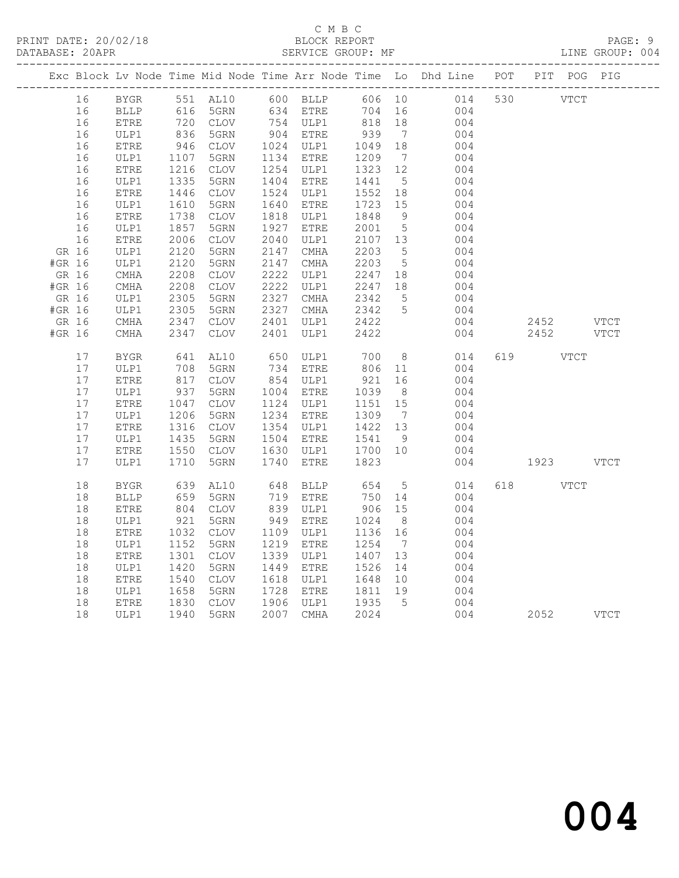# C M B C<br>BLOCK REPORT

LINE GROUP: 004

|        |          |                       |                                  |                                                            |      |                        |                   |                              | Exc Block Lv Node Time Mid Node Time Arr Node Time Lo Dhd Line POT PIT POG PIG |     |             |             |             |
|--------|----------|-----------------------|----------------------------------|------------------------------------------------------------|------|------------------------|-------------------|------------------------------|--------------------------------------------------------------------------------|-----|-------------|-------------|-------------|
|        | 16       | BYGR                  |                                  | 551 AL10 600 BLLF<br>634 ETRE<br>551<br>616 5GRN<br>2 CLOV |      |                        |                   |                              | 606 10 014<br>704 16 004                                                       | 530 | <b>VTCT</b> |             |             |
|        | 16       | BLLP                  |                                  |                                                            |      |                        | 704               | 16                           | 004                                                                            |     |             |             |             |
|        | 16       | <b>ETRE</b>           |                                  | 720 CLOV<br>836 5GRN                                       |      | 754 ULP1<br>904 ETRE   | 818               | 18                           | 004                                                                            |     |             |             |             |
|        | 16       | ULP1                  |                                  |                                                            |      |                        | 939               | $7\phantom{.0}\phantom{.0}7$ | 004                                                                            |     |             |             |             |
|        | 16       | ETRE                  | 946                              | CLOV                                                       |      | 1024 ULP1              | 1049              | 18                           | 004                                                                            |     |             |             |             |
|        | 16       | ULP1                  | 1107                             | 5GRN                                                       |      | 1134 ETRE              | 1209              | $\overline{7}$               | 004                                                                            |     |             |             |             |
|        | 16       | ETRE                  | 1216                             | CLOV                                                       |      | 1254 ULP1              | 1323 12           |                              | 004                                                                            |     |             |             |             |
|        | 16       | ULP1                  | 1335<br>$132$<br>$1446$<br>$-10$ | 5GRN                                                       |      | 1404 ETRE              | 1441              | 5 <sup>5</sup>               | 004                                                                            |     |             |             |             |
|        | 16       | ${\tt ETRE}$          |                                  | CLOV                                                       |      | 1524 ULP1              | 1552              | 18                           | 004                                                                            |     |             |             |             |
|        | 16       | ULP1                  | 1610<br>1610<br>1738             | 5GRN                                                       | 1640 | ETRE                   | 1723              | 15                           | 004                                                                            |     |             |             |             |
|        | 16<br>16 | ETRE<br>ULP1          | 1857                             | CLOV<br>5GRN                                               |      | 1818 ULP1<br>1927 ETRE | 1848<br>2001      | 9<br>$5\overline{)}$         | 004<br>004                                                                     |     |             |             |             |
|        | 16       | ${\tt ETRE}$          | 2006                             | $\mathtt{CLOV}$                                            |      | 2040 ULP1              | 2107 13           |                              | 004                                                                            |     |             |             |             |
| GR 16  |          | ULP1                  | 2120                             | 5GRN                                                       |      | 2147 CMHA              | 2203              | 5                            | 004                                                                            |     |             |             |             |
| #GR 16 |          | ULP1                  | 2120                             | 5GRN                                                       | 2147 | CMHA                   | 2203              | 5 <sup>5</sup>               | 004                                                                            |     |             |             |             |
| GR 16  |          | CMHA                  | 2208                             | CLOV                                                       | 2222 | ULP1                   | 2247 18           |                              | 004                                                                            |     |             |             |             |
| #GR 16 |          | $\rm CMHA$            | 2208                             | CLOV                                                       | 2222 | ULP1                   |                   |                              | 004                                                                            |     |             |             |             |
| GR 16  |          | ULP1                  | 2305                             | 5GRN                                                       | 2327 | CMHA                   | 2247 18<br>2342 5 |                              | 004                                                                            |     |             |             |             |
| #GR 16 |          | ULP1                  | 2305                             | 5GRN                                                       | 2327 | CMHA                   | 2342              | 5 <sup>5</sup>               | 004                                                                            |     |             |             |             |
| GR 16  |          | CMHA                  | 2347                             | CLOV                                                       | 2401 | ULP1                   | 2422              |                              | 004                                                                            |     | 2452 VTCT   |             |             |
| #GR 16 |          | $\rm CMHz$            | 2347                             | <b>CLOV</b>                                                | 2401 | ULP1                   | 2422              |                              | 004                                                                            |     | 2452        |             | <b>VTCT</b> |
|        | 17       | <b>BYGR</b>           | 641                              | AL10                                                       | 650  | ULP1                   | 700               | 8 <sup>8</sup>               | 014                                                                            |     | 619 VTCT    |             |             |
|        | 17       | ULP1                  | 708                              | 5GRN                                                       |      | 734 ETRE               | 806 11            |                              | 004                                                                            |     |             |             |             |
|        | 17       | ETRE                  | 817                              | CLOV                                                       |      | 854 ULP1               | 921               | 16                           | 004                                                                            |     |             |             |             |
|        | 17       | ULP1                  | 937<br>1047                      | 5GRN                                                       |      | 1004 ETRE              | $1039$<br>$1151$  | 8 <sup>8</sup>               | 004                                                                            |     |             |             |             |
|        | 17       | ${\tt ETRE}$          |                                  | CLOV                                                       |      | 1124 ULP1              | 1151              | 15                           | 004                                                                            |     |             |             |             |
|        | 17       | ULP1                  | 1206                             | 5GRN                                                       |      | 1234 ETRE              | 1309              | $7\phantom{0}$               | 004                                                                            |     |             |             |             |
|        | 17       | ETRE                  | 1206<br>1316                     | CLOV                                                       |      | 1354 ULP1              | 1422 13           |                              | 004                                                                            |     |             |             |             |
|        | 17       | ULP1                  | 1435<br>1550                     | 5GRN                                                       |      | 1504 ETRE              | 1541              | 9                            | 004                                                                            |     |             |             |             |
|        | 17       | ETRE                  | 1550                             | CLOV                                                       |      | 1630 ULP1              | 1700 10           |                              | 004                                                                            |     |             |             |             |
|        | 17       | ULP1                  | 1710                             | 5GRN                                                       | 1740 | ETRE                   | 1823              |                              | 004                                                                            |     | 1923 VTCT   |             |             |
|        | 18       | <b>BYGR</b>           | 639                              | AL10                                                       | 648  | BLLP                   | 654               | $5\overline{)}$              | 014                                                                            |     | 618 — 18    | <b>VTCT</b> |             |
|        | 18       | $\operatorname{BLLP}$ | 659<br>804                       | 5GRN                                                       |      | 719 ETRE<br>839 ULP1   | 750               | 14                           | 004                                                                            |     |             |             |             |
|        | 18       | <b>ETRE</b>           |                                  | CLOV                                                       |      |                        | 906               | 15                           | 004                                                                            |     |             |             |             |
|        | 18       | ULP1                  | 921                              | 5GRN                                                       | 949  | ETRE                   | 1024              | 8 <sup>8</sup>               | 004                                                                            |     |             |             |             |
|        | 18       | ETRE                  | 1032                             | CLOV                                                       | 1109 | ULP1                   | 1136              | 16                           | 004                                                                            |     |             |             |             |
|        | 18       | ULP1                  | 1152                             | 5GRN                                                       | 1219 | ETRE                   | 1254              | $\overline{7}$               | 004                                                                            |     |             |             |             |
|        | 18       | ${\tt ETRE}$          | 1301                             | CLOV                                                       | 1339 | ULP1                   | 1407              | 13                           | 004                                                                            |     |             |             |             |
|        | 18       | ULP1                  | 1420                             | 5GRN                                                       |      | 1449 ETRE              | 1526              | 14                           | 004                                                                            |     |             |             |             |
|        | 18       | ${\tt ETRE}$          | 1540                             | CLOV                                                       |      | 1618 ULP1              | 1648 10           |                              | 004                                                                            |     |             |             |             |
|        | 18       | ULP1                  | 1658                             | 5GRN                                                       |      | 1728 ETRE              | 1811 19           |                              | 004                                                                            |     |             |             |             |
|        | 18       | ETRE                  | 1830<br>1940                     | CLOV                                                       |      | 1906 ULP1              | 1935<br>2024      | $5^{\circ}$                  | 004                                                                            |     |             |             |             |
|        | 18       | ULP1                  | 1940                             | 5GRN                                                       |      | 2007 CMHA              | 2024              |                              | 004                                                                            |     | 2052        |             | <b>VTCT</b> |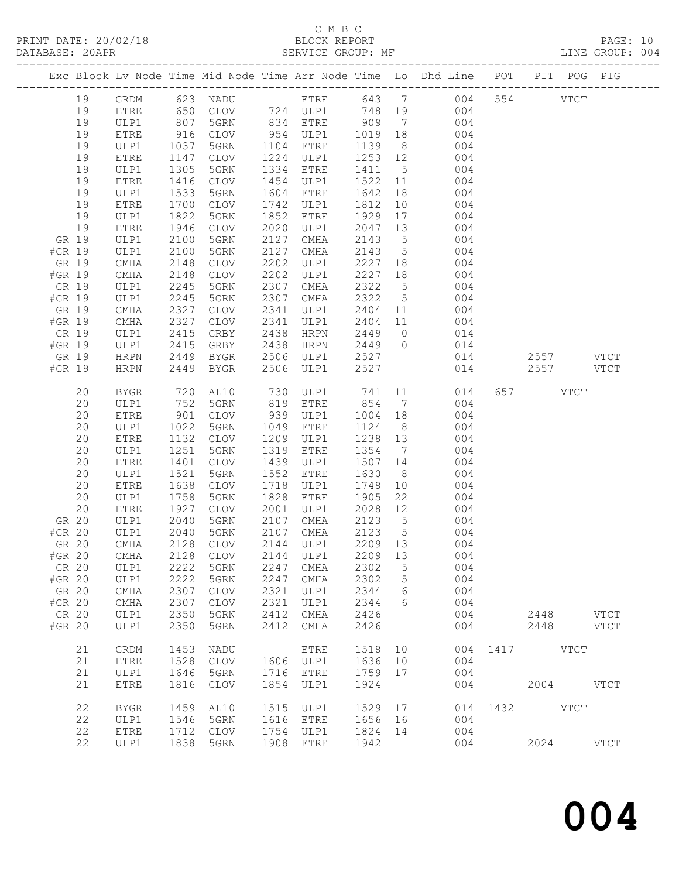# C M B C<br>BLOCK REPORT

-------------------------------------------------------------------------------------------------

LINE GROUP: 004

PRINT DATE: 20/02/18 BLOCK REPORT PAGE: 10

|        |       |              |      | . _ _ _ _ _ _ _ _ _ _ _ _ _ _ |      |                                                  |         |                              | Exc Block Lv Node Time Mid Node Time Arr Node Time Lo Dhd Line | POT | PIT           | POG PIG       |  |
|--------|-------|--------------|------|-------------------------------|------|--------------------------------------------------|---------|------------------------------|----------------------------------------------------------------|-----|---------------|---------------|--|
|        | 19    | GRDM         | 623  | NADU                          |      | _________________________________<br><b>ETRE</b> | 643     | $\overline{7}$               | 004                                                            | 554 | $_{\rm VTCT}$ |               |  |
|        | 19    | ETRE         | 650  | CLOV                          |      | 724 ULP1                                         | 748     | 19                           | 004                                                            |     |               |               |  |
|        | 19    | ULP1         | 807  | 5GRN                          | 834  | ETRE                                             | 909     | $7\phantom{.0}\phantom{.0}7$ | 004                                                            |     |               |               |  |
|        | 19    | ETRE         | 916  | CLOV                          | 954  | ULP1                                             | 1019    | 18                           | 004                                                            |     |               |               |  |
|        | 19    | ULP1         | 1037 | 5GRN                          | 1104 | ETRE                                             | 1139    | 8                            | 004                                                            |     |               |               |  |
|        | 19    | ETRE         | 1147 | CLOV                          | 1224 | ULP1                                             | 1253    | 12                           | 004                                                            |     |               |               |  |
|        | 19    | ULP1         | 1305 | 5GRN                          | 1334 | ETRE                                             | 1411    | $5\overline{)}$              | 004                                                            |     |               |               |  |
|        | 19    | ${\tt ETRE}$ | 1416 | CLOV                          | 1454 | ULP1                                             | 1522    | 11                           | 004                                                            |     |               |               |  |
|        | 19    | ULP1         | 1533 | 5GRN                          | 1604 | <b>ETRE</b>                                      | 1642    | 18                           | 004                                                            |     |               |               |  |
|        | 19    | ETRE         | 1700 | <b>CLOV</b>                   | 1742 | ULP1                                             | 1812    | 10                           | 004                                                            |     |               |               |  |
|        | 19    | ULP1         | 1822 | 5GRN                          | 1852 | <b>ETRE</b>                                      | 1929    | 17                           | 004                                                            |     |               |               |  |
|        | 19    | ETRE         | 1946 | <b>CLOV</b>                   | 2020 | ULP1                                             | 2047    | 13                           | 004                                                            |     |               |               |  |
|        | GR 19 | ULP1         | 2100 | 5GRN                          | 2127 | CMHA                                             | 2143    | $5\overline{)}$              | 004                                                            |     |               |               |  |
| #GR 19 |       | ULP1         | 2100 | 5GRN                          | 2127 | CMHA                                             | 2143    | 5                            | 004                                                            |     |               |               |  |
|        | GR 19 | CMHA         | 2148 | <b>CLOV</b>                   | 2202 | ULP1                                             | 2227    | 18                           | 004                                                            |     |               |               |  |
| #GR 19 |       | CMHA         | 2148 | CLOV                          | 2202 | ULP1                                             | 2227    | 18                           | 004                                                            |     |               |               |  |
| GR 19  |       | ULP1         | 2245 | 5GRN                          | 2307 | CMHA                                             | 2322    | 5                            | 004                                                            |     |               |               |  |
| #GR 19 |       | ULP1         | 2245 | 5GRN                          | 2307 | CMHA                                             | 2322    | 5                            | 004                                                            |     |               |               |  |
|        | GR 19 | CMHA         | 2327 | CLOV                          | 2341 | ULP1                                             | 2404    | 11                           | 004                                                            |     |               |               |  |
| #GR 19 |       | CMHA         | 2327 | CLOV                          | 2341 | ULP1                                             | 2404    | 11                           | 004                                                            |     |               |               |  |
|        | GR 19 | ULP1         | 2415 | GRBY                          | 2438 | HRPN                                             | 2449    | $\circ$                      | 014                                                            |     |               |               |  |
| #GR 19 |       | ULP1         | 2415 | GRBY                          | 2438 | HRPN                                             | 2449    | $\Omega$                     | 014                                                            |     |               |               |  |
|        | GR 19 | HRPN         | 2449 | BYGR                          | 2506 | ULP1                                             | 2527    |                              | 014                                                            |     | 2557          | <b>VTCT</b>   |  |
| #GR 19 |       | <b>HRPN</b>  | 2449 | BYGR                          | 2506 | ULP1                                             | 2527    |                              | 014                                                            |     | 2557          | <b>VTCT</b>   |  |
|        |       |              |      |                               |      |                                                  |         |                              |                                                                |     |               |               |  |
|        | 20    | <b>BYGR</b>  | 720  | AL10                          | 730  | ULP1                                             | 741     | 11                           | 014                                                            | 657 | <b>VTCT</b>   |               |  |
|        | 20    | ULP1         | 752  | 5GRN                          | 819  | <b>ETRE</b>                                      | 854     | $7\phantom{.0}\phantom{.0}7$ | 004                                                            |     |               |               |  |
|        | 20    | ETRE         | 901  | CLOV                          | 939  | ULP1                                             | 1004    | 18                           | 004                                                            |     |               |               |  |
|        | 20    | ULP1         | 1022 | 5GRN                          | 1049 | ETRE                                             | 1124    | 8                            | 004                                                            |     |               |               |  |
|        | 20    | ETRE         | 1132 | CLOV                          | 1209 | ULP1                                             | 1238    | 13                           | 004                                                            |     |               |               |  |
|        | 20    | ULP1         | 1251 | 5GRN                          | 1319 | <b>ETRE</b>                                      | 1354    | 7                            | 004                                                            |     |               |               |  |
|        | 20    | ETRE         | 1401 | <b>CLOV</b>                   | 1439 | ULP1                                             | 1507    | 14                           | 004                                                            |     |               |               |  |
|        | 20    | ULP1         | 1521 | 5GRN                          | 1552 | ETRE                                             | 1630    | 8                            | 004                                                            |     |               |               |  |
|        | 20    | ETRE         | 1638 | <b>CLOV</b>                   | 1718 | ULP1                                             | 1748    | 10                           | 004                                                            |     |               |               |  |
|        | 20    | ULP1         | 1758 | 5GRN                          | 1828 | ETRE                                             | 1905    | 22                           | 004                                                            |     |               |               |  |
|        | 20    | ETRE         | 1927 | <b>CLOV</b>                   | 2001 | ULP1                                             | 2028    | 12                           | 004                                                            |     |               |               |  |
| GR 20  |       | ULP1         | 2040 | 5GRN                          | 2107 | CMHA                                             | 2123    | $5\phantom{.0}$              | 004                                                            |     |               |               |  |
| #GR 20 |       | ULP1         | 2040 | 5GRN                          | 2107 | CMHA                                             | 2123    | $5\phantom{.0}$              | 004                                                            |     |               |               |  |
| GR 20  |       | CMHA         | 2128 | CLOV                          | 2144 | ULP1                                             | 2209    | 13                           | 004                                                            |     |               |               |  |
| #GR 20 |       | <b>CMHA</b>  | 2128 | <b>CLOV</b>                   | 2144 | ULP1                                             | 2209    | 13                           | 004                                                            |     |               |               |  |
| GR 20  |       | ULP1         |      | 2222 5GRN                     |      | 2247 CMHA                                        | 2302 5  |                              | 004                                                            |     |               |               |  |
| #GR 20 |       | ULP1         | 2222 | 5GRN                          | 2247 | CMHA                                             | 2302    | 5                            | 004                                                            |     |               |               |  |
| GR 20  |       | <b>CMHA</b>  | 2307 | CLOV                          | 2321 | ULP1                                             | 2344    | 6                            | 004                                                            |     |               |               |  |
| #GR 20 |       | CMHA         | 2307 | CLOV                          | 2321 | ULP1                                             | 2344    | 6                            | 004                                                            |     |               |               |  |
| GR 20  |       | ULP1         | 2350 | 5GRN                          | 2412 | CMHA                                             | 2426    |                              | 004                                                            |     | 2448 VTCT     |               |  |
| #GR 20 |       | ULP1         | 2350 | 5GRN                          | 2412 | CMHA                                             | 2426    |                              | 004                                                            |     | 2448 VTCT     |               |  |
|        |       |              |      |                               |      |                                                  |         |                              |                                                                |     |               |               |  |
|        | 21    | GRDM         | 1453 | NADU                          |      | ETRE                                             | 1518 10 |                              | 004                                                            |     | 1417 VTCT     |               |  |
|        | 21    | <b>ETRE</b>  | 1528 | CLOV                          |      | 1606 ULP1                                        | 1636    | 10                           | 004                                                            |     |               |               |  |
|        | 21    | ULP1         | 1646 | 5GRN                          | 1716 | <b>ETRE</b>                                      | 1759    | 17                           | 004                                                            |     |               |               |  |
|        | 21    | <b>ETRE</b>  | 1816 | CLOV                          | 1854 | ULP1                                             | 1924    |                              | 004                                                            |     | 2004 VTCT     |               |  |
|        | 22    | <b>BYGR</b>  | 1459 | AL10                          | 1515 | ULP1                                             | 1529 17 |                              | 014                                                            |     | 1432 VTCT     |               |  |
|        | 22    | ULP1         | 1546 | 5GRN                          | 1616 | ETRE                                             | 1656 16 |                              | 004                                                            |     |               |               |  |
|        | 22    | ETRE         | 1712 | CLOV                          | 1754 | ULP1                                             | 1824 14 |                              | 004                                                            |     |               |               |  |
|        | 22    | ULP1         | 1838 | 5GRN                          | 1908 | ETRE                                             | 1942    |                              | 004                                                            |     | 2024          | $_{\rm VTCT}$ |  |
|        |       |              |      |                               |      |                                                  |         |                              |                                                                |     |               |               |  |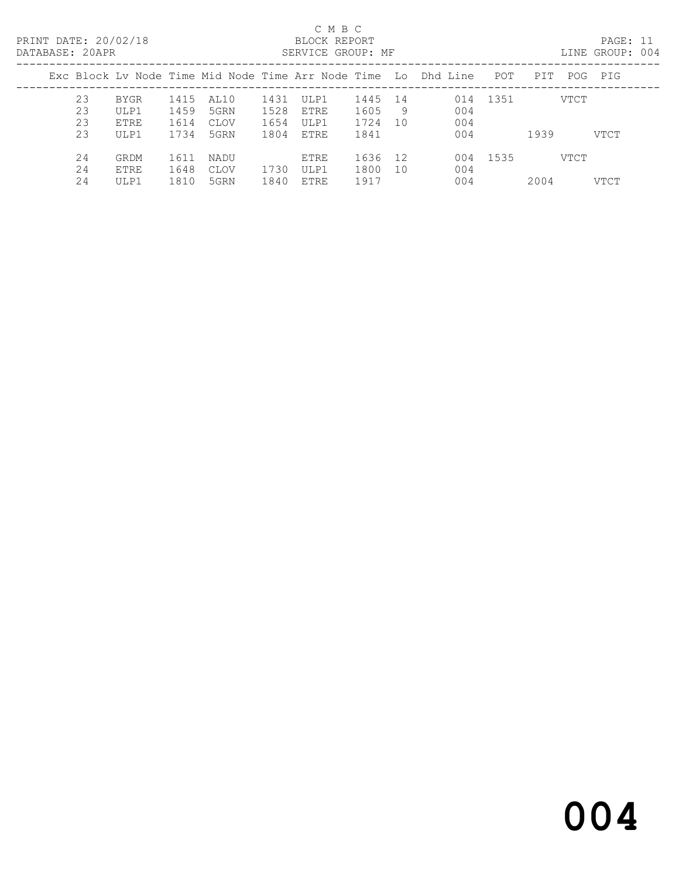PRINT DATE: 20/02/18 BLOCK REPORT<br>
DATABASE: 20APR<br>
SERVICE GROUP: MF

## C M B C<br>BLOCK REPORT

PAGE: 11<br>LINE GROUP: 004

| DAIADASE. ZUAPR |    |      |      |      |      | SLAVICE GAUUF. MP |         |     |                                                                |      |      |         | LIND GROUP. UVS |
|-----------------|----|------|------|------|------|-------------------|---------|-----|----------------------------------------------------------------|------|------|---------|-----------------|
|                 |    |      |      |      |      |                   |         |     | Exc Block Ly Node Time Mid Node Time Arr Node Time Lo Dhd Line | POT  | PIT  | POG PIG |                 |
|                 | 23 | BYGR | 1415 | AL10 | 1431 | ULP1              | 1445 14 |     | 014                                                            | 1351 |      | VTCT    |                 |
|                 | 23 | ULP1 | 1459 | 5GRN | 1528 | ETRE              | 1605    | - 9 | 004                                                            |      |      |         |                 |
|                 | 23 | ETRE | 1614 | CLOV | 1654 | ULP1              | 1724    | 10  | 004                                                            |      |      |         |                 |
|                 | 23 | ULP1 | 1734 | 5GRN | 1804 | ETRE              | 1841    |     | 004                                                            |      | 1939 | VTCT    |                 |
|                 | 24 | GRDM | 1611 | NADU |      | ETRE              | 1636    | 12  | 004                                                            | 1535 |      | VTCT    |                 |
|                 | 24 | ETRE | 1648 | CLOV | 1730 | ULP1              | 1800    | 10  | 004                                                            |      |      |         |                 |
|                 | 24 | ULP1 | 1810 | 5GRN | 1840 | ETRE              | 1917    |     | 004                                                            |      | 2004 | VTCT    |                 |
|                 |    |      |      |      |      |                   |         |     |                                                                |      |      |         |                 |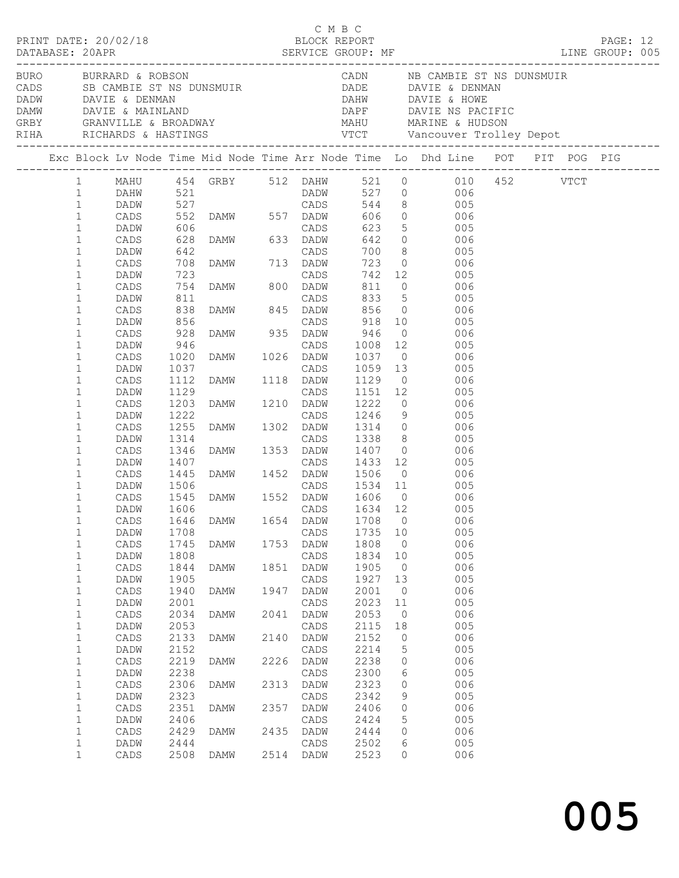|  |                                                          | PRINT DATE: 20/02/18                    |                              |                                                                                                   |              | C M B C<br>BLOCK REPORT      |                              |                                              |                                                                                                                                                                                                                                                  |  | PAGE: 12 |  |
|--|----------------------------------------------------------|-----------------------------------------|------------------------------|---------------------------------------------------------------------------------------------------|--------------|------------------------------|------------------------------|----------------------------------------------|--------------------------------------------------------------------------------------------------------------------------------------------------------------------------------------------------------------------------------------------------|--|----------|--|
|  |                                                          | BURO BURRARD & ROBSON                   |                              |                                                                                                   |              |                              |                              |                                              | CADN NB CAMBIE ST NS DUNSMUIR<br>CADS SB CAMBIE ST NS DUNSMUIR<br>DADE DAVIE & DENMAN<br>DADW DAVIE & DENMAN<br>DAMW DAVIE & MAINLAND<br>CRBY GRANVILLE & BROADWAY MAHU MARINE & HUDSON<br>RIHA RICHARDS & HASTINGS VTCT Vancouver Trolley Depot |  |          |  |
|  |                                                          |                                         |                              |                                                                                                   |              |                              |                              |                                              | Exc Block Lv Node Time Mid Node Time Arr Node Time Lo Dhd Line POT PIT POG PIG                                                                                                                                                                   |  |          |  |
|  | $1 \qquad \qquad$<br>$\mathbf{1}$<br>$\mathbf{1}$        |                                         |                              |                                                                                                   |              |                              |                              |                                              | 1 MAHU 454 GRBY 512 DAHW 521 0 010 452 VTCT                                                                                                                                                                                                      |  |          |  |
|  | $\mathbf{1}$<br>$\mathbf{1}$<br>$\mathbf{1}$             | DADW                                    |                              |                                                                                                   |              |                              |                              |                                              | 700 8 005<br>723 0 006                                                                                                                                                                                                                           |  |          |  |
|  | $\mathbf 1$<br>$\mathbf 1$<br>$\mathbf 1$<br>$\mathbf 1$ | CADS<br>DADW<br>CADS<br>DADW            |                              | 642<br>708 DAMW 713 DADW<br>723 CADS<br>754 DAMW 800 DADW                                         |              |                              |                              |                                              | 742 12 005                                                                                                                                                                                                                                       |  |          |  |
|  | $\mathbf 1$<br>$\mathbf 1$<br>$\mathbf 1$                | CADS<br>DADW<br>CADS                    | $754\n811\n838\n856$<br>928  | DAMW 935 DADW                                                                                     |              |                              | 946                          |                                              | CADS 833 5 006<br>DAMW 845 DADW 856 0 006<br>CADS 918 10 006<br>$0$ 006                                                                                                                                                                          |  |          |  |
|  | $\mathbf 1$<br>$\mathbf 1$<br>$\mathbf 1$                | DADW<br>CADS<br>DADW                    | $946$<br>$1020$<br>$1037$    |                                                                                                   |              |                              |                              |                                              | 946 CADS 1008 12 005<br>1020 DAMW 1026 DADW 1037 0 006<br>1037 CADS 1059 13 005<br>1112 DAMW 1118 DADW 1129 0 006                                                                                                                                |  |          |  |
|  | $\mathbf 1$<br>$\mathbf 1$<br>$\mathbf 1$<br>$\mathbf 1$ | CADS<br>DADW<br>CADS<br>DADW            | 1129<br>1203<br>1222         |                                                                                                   |              |                              |                              |                                              | CADS 1151 12 005<br>DAMW 1210 DADW 1222 0 006<br>CADS 1246 9 005<br>DAMW 1302 DADW 1314 0 006                                                                                                                                                    |  |          |  |
|  | $\mathbf 1$<br>$\mathbf 1$<br>$\mathbf 1$                | CADS<br>DADW<br>CADS                    | 1255                         |                                                                                                   |              |                              |                              |                                              | 1338 8 005<br>006                                                                                                                                                                                                                                |  |          |  |
|  | $\mathbf 1$<br>$\mathbf 1$<br>$\mathbf{1}$               | DADW<br>CADS<br>DADW                    | 1506                         | 1314 CADS 1338 8<br>1346 DAMW 1353 DADW 1407 0<br>1407 CADS 1433 12<br>1445 DAMW 1452 DADW 1506 0 |              |                              |                              |                                              | $1433$ $12$ 005<br>$0$ 006                                                                                                                                                                                                                       |  |          |  |
|  | $\mathbf 1$<br>$\mathbf{1}$<br>$\mathbf{1}$              | CADS<br>DADW                            | 1545<br>1606                 |                                                                                                   |              |                              |                              |                                              | CADS 1534 11 005<br>DAMW 1552 DADW 1606 0 006<br>CADS 1634 12 005<br>CADS 1646 DAMW 1654 DADW 1708 0 006                                                                                                                                         |  |          |  |
|  | $\mathbf 1$<br>$\mathbf 1$<br>$1\,$<br>$\mathbf 1$       | DADW<br>$\mathtt{CADS}$<br>DADW<br>CADS | 1708<br>1745<br>1808<br>1844 | DAMW<br>DAMW                                                                                      | 1753<br>1851 | CADS<br>DADW<br>CADS<br>DADW | 1735<br>1808<br>1834<br>1905 | 10<br>$\overline{0}$<br>10<br>$\overline{0}$ | 005<br>006<br>005<br>006                                                                                                                                                                                                                         |  |          |  |
|  | $\mathbf 1$<br>$\mathbf 1$<br>$1\,$                      | DADW<br>$\mathtt{CADS}$<br>DADW         | 1905<br>1940<br>2001         | <b>DAMW</b>                                                                                       | 1947         | CADS<br>DADW<br>CADS         | 1927<br>2001<br>2023         | 13<br>$\overline{0}$<br>11                   | 005<br>006<br>005                                                                                                                                                                                                                                |  |          |  |
|  | $\mathbf 1$<br>$1\,$<br>$\mathbf 1$                      | $\mathtt{CADS}$<br>DADW<br>CADS         | 2034<br>2053<br>2133         | DAMW<br>DAMW                                                                                      | 2041<br>2140 | DADW<br>CADS<br>DADW         | 2053<br>2115<br>2152         | $\overline{0}$<br>18<br>0                    | 006<br>005<br>006                                                                                                                                                                                                                                |  |          |  |
|  | $1\,$<br>$\mathbf 1$<br>$\mathbf 1$                      | DADW<br>CADS<br>DADW                    | 2152<br>2219<br>2238         | DAMW                                                                                              | 2226         | CADS<br>DADW<br>CADS         | 2214<br>2238<br>2300         | 5<br>0<br>6                                  | 005<br>006<br>005                                                                                                                                                                                                                                |  |          |  |
|  | $\mathbf 1$<br>$1\,$<br>$\mathbf 1$<br>$\mathbf 1$       | $\mathtt{CADS}$<br>DADW<br>CADS<br>DADW | 2306<br>2323<br>2351<br>2406 | DAMW<br>DAMW                                                                                      | 2313<br>2357 | DADW<br>CADS<br>DADW<br>CADS | 2323<br>2342<br>2406<br>2424 | 0<br>9<br>0<br>5                             | 006<br>005<br>006<br>005                                                                                                                                                                                                                         |  |          |  |
|  | $\mathbf 1$<br>$1\,$<br>$\mathbf 1$                      | CADS<br>DADW<br>CADS                    | 2429<br>2444<br>2508         | DAMW<br>DAMW                                                                                      | 2435         | DADW<br>CADS<br>2514 DADW    | 2444<br>2502<br>2523         | $\circ$<br>6<br>0                            | 006<br>005<br>006                                                                                                                                                                                                                                |  |          |  |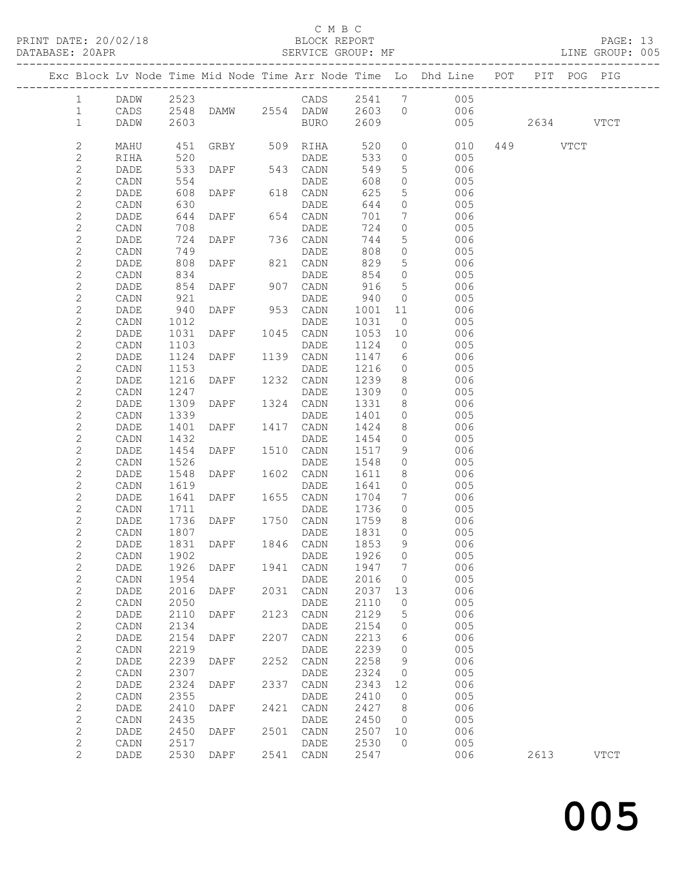### C M B C<br>BLOCK REPORT

| DATABASE: 20APR |                |      |            | SERVICE GROUP: MF |      |                 |      |                 |                                                                                |          | LINE GROUP: 005 |
|-----------------|----------------|------|------------|-------------------|------|-----------------|------|-----------------|--------------------------------------------------------------------------------|----------|-----------------|
|                 |                |      |            |                   |      |                 |      |                 | Exc Block Lv Node Time Mid Node Time Arr Node Time Lo Dhd Line POT PIT POG PIG |          |                 |
|                 | $\mathbf{1}$   |      |            |                   |      |                 |      |                 | DADW 2523 CADS 2541 7 005                                                      |          |                 |
|                 | $\mathbf{1}$   | CADS |            |                   |      |                 |      |                 | 2548 DAMW 2554 DADW 2603 0 006                                                 |          |                 |
|                 | $\mathbf{1}$   | DADW | 2603       |                   |      | BURO 2609       |      |                 | 005 2634 VTCT                                                                  |          |                 |
|                 | 2              | MAHU | 451        |                   |      | GRBY 509 RIHA   | 520  |                 | $\overline{0}$<br>010                                                          | 449 VTCT |                 |
|                 | $\mathbf{2}$   | RIHA | 520        |                   |      | DADE            | 533  | $\overline{0}$  | 005                                                                            |          |                 |
|                 | 2              | DADE | 533        | DAPF 543 CADN     |      |                 | 549  | 5 <sup>5</sup>  | 006                                                                            |          |                 |
|                 | $\mathbf{2}$   | CADN |            |                   |      | DADE            | 608  | $\circ$         | 005                                                                            |          |                 |
|                 | $\mathbf{2}$   | DADE | 554<br>608 | DAPF 618 CADN     |      |                 | 625  | $5\phantom{.0}$ | 006                                                                            |          |                 |
|                 | $\mathbf{2}$   | CADN | 630        |                   |      | DADE            | 644  | $\circ$         | 005                                                                            |          |                 |
|                 | $\mathbf{2}$   | DADE | 644        | DAPF 654 CADN     |      |                 | 701  | $7\phantom{.}$  | 006                                                                            |          |                 |
|                 | $\mathbf{2}$   | CADN | 708        |                   |      | DADE            | 724  | $\circ$         | 005                                                                            |          |                 |
|                 | $\mathbf{2}$   | DADE | 724        | DAPF 736 CADN     |      |                 | 744  | 5 <sup>5</sup>  | 006                                                                            |          |                 |
|                 | $\mathbf{2}$   | CADN | 749        |                   |      | DADE            | 808  | $\circ$         | 005                                                                            |          |                 |
|                 | $\mathbf{2}$   | DADE | 808        | DAPF 821 CADN     |      |                 | 829  | $5\phantom{.0}$ | 006                                                                            |          |                 |
|                 | $\mathbf{2}$   | CADN |            |                   |      | DADE            | 854  | $\overline{0}$  | 005                                                                            |          |                 |
|                 | $\mathbf{2}$   | DADE | 834<br>854 | DAPF 907 CADN     |      |                 | 916  | $5\phantom{.0}$ | 006                                                                            |          |                 |
|                 | $\mathbf{2}$   | CADN | 921        |                   |      | DADE            | 940  | $\overline{0}$  | 005                                                                            |          |                 |
|                 | $\mathbf{2}$   | DADE | 940        | DAPF 953 CADN     |      |                 | 1001 | 11              | 006                                                                            |          |                 |
|                 | $\mathbf{2}$   | CADN | 1012       |                   |      | DADE            | 1031 | $\overline{0}$  | 005                                                                            |          |                 |
|                 | $\mathbf{2}$   | DADE | 1031       | DAPF 1045 CADN    |      |                 | 1053 | 10              | 006                                                                            |          |                 |
|                 | 2              | CADN | 1103       |                   |      | DADE            | 1124 | $\overline{0}$  | 005                                                                            |          |                 |
|                 | $\mathbf{2}$   | DADE | 1124       | DAPF 1139 CADN    |      |                 | 1147 | 6               | 006                                                                            |          |                 |
|                 | $\mathbf{2}$   | CADN | 1153       |                   |      |                 | 1216 | $\overline{0}$  | 005                                                                            |          |                 |
|                 | $\mathbf{2}$   | DADE | 1216       |                   |      |                 | 1239 | 8 <sup>8</sup>  | 006                                                                            |          |                 |
|                 | $\mathbf{2}$   | CADN | 1247       |                   |      | DADE            | 1309 | $\overline{0}$  | 005                                                                            |          |                 |
|                 | $\mathbf{2}$   | DADE | 1309       | DAPF 1324 CADN    |      |                 | 1331 | 8               | 006                                                                            |          |                 |
|                 | $\mathbf{2}$   | CADN | 1339       |                   |      | DADE            | 1401 | $\circ$         | 005                                                                            |          |                 |
|                 | $\mathbf{2}$   | DADE | 1401       | DAPF 1417 CADN    |      |                 | 1424 | 8               | 006                                                                            |          |                 |
|                 | $\mathbf{2}$   | CADN | 1432       |                   |      | DADE            | 1454 | $\overline{0}$  | 005                                                                            |          |                 |
|                 | $\mathbf{2}$   | DADE | 1454       | DAPF 1510 CADN    |      |                 | 1517 | 9               | 006                                                                            |          |                 |
|                 | $\mathbf{2}$   | CADN | 1526       |                   |      | DADE            | 1548 | $\circ$         | 005                                                                            |          |                 |
|                 | $\mathbf{2}$   | DADE | 1548       | DAPF              |      | 1602 CADN       | 1611 | 8               | 006                                                                            |          |                 |
|                 | $\mathbf{2}$   | CADN | 1619       |                   |      | DADE            | 1641 | $\overline{0}$  | 005                                                                            |          |                 |
|                 | $\mathbf{2}$   | DADE | 1641       | DAPF 1655 CADN    |      |                 | 1704 | 7               | 006                                                                            |          |                 |
|                 | $\mathbf{2}$   | CADN | 1711       |                   |      | DADE            | 1736 | $\circ$         | 005                                                                            |          |                 |
|                 | $\mathbf{2}$   | DADE | 1736       | DAPF 1750 CADN    |      |                 | 1759 | 8 <sup>8</sup>  | 006                                                                            |          |                 |
|                 | $\mathbf{2}$   | CADN | 1807       |                   |      | DADE            | 1831 | $\overline{0}$  | 005                                                                            |          |                 |
|                 | $\overline{2}$ | DADE |            | 1831 DAPF         |      | 1846 CADN 1853  |      | 9               | 006                                                                            |          |                 |
|                 | $\mathbf{2}$   | CADN | 1902       |                   |      | DADE            | 1926 | 0               | 005                                                                            |          |                 |
|                 | $\mathbf{2}$   | DADE | 1926       | DAPF              | 1941 | CADN            | 1947 | 7               | 006                                                                            |          |                 |
|                 | $\mathbf{2}$   | CADN | 1954       |                   |      | DADE            | 2016 | 0               | 005                                                                            |          |                 |
|                 | $\mathbf{2}$   | DADE | 2016       | DAPF              | 2031 | CADN            | 2037 | 13              | 006                                                                            |          |                 |
|                 | $\mathbf{2}$   | CADN | 2050       |                   |      | DADE            | 2110 | 0               | 005                                                                            |          |                 |
|                 | $\mathbf{2}$   | DADE | 2110       | DAPF              | 2123 | CADN            | 2129 | 5               | 006                                                                            |          |                 |
|                 | $\mathbf{2}$   | CADN | 2134       |                   |      | DADE            | 2154 | 0               | 005                                                                            |          |                 |
|                 | $\mathbf{2}$   | DADE | 2154       | DAPF              | 2207 | CADN            | 2213 | 6               | 006                                                                            |          |                 |
|                 | $\sqrt{2}$     | CADN | 2219       |                   |      | DADE            | 2239 | 0               | 005                                                                            |          |                 |
|                 | $\mathbf{2}$   | DADE | 2239       | DAPF              | 2252 | CADN            | 2258 | 9               | 006                                                                            |          |                 |
|                 | $\sqrt{2}$     | CADN | 2307       |                   |      | DADE            | 2324 | 0               | 005                                                                            |          |                 |
|                 | $\mathbf{2}$   | DADE | 2324       | DAPF              | 2337 | $\mathtt{CADN}$ | 2343 | 12              | 006                                                                            |          |                 |
|                 | $\mathbf{2}$   | CADN | 2355       |                   |      | DADE            | 2410 | 0               | 005                                                                            |          |                 |
|                 | $\mathbf{2}$   | DADE | 2410       | DAPF              | 2421 | CADN            | 2427 | 8               | 006                                                                            |          |                 |
|                 | $\mathbf{2}$   | CADN | 2435       |                   |      | DADE            | 2450 | $\overline{0}$  | 005                                                                            |          |                 |
|                 | $\sqrt{2}$     | DADE | 2450       | DAPF              | 2501 | CADN            | 2507 | 10              | 006                                                                            |          |                 |
|                 | $\mathbf{2}$   | CADN | 2517       |                   |      | DADE            | 2530 | $\mathbf{0}$    | 005                                                                            |          |                 |
|                 | 2              | DADE | 2530       | DAPF              |      | 2541 CADN       | 2547 |                 | 006                                                                            | 2613     | <b>VTCT</b>     |
|                 |                |      |            |                   |      |                 |      |                 |                                                                                |          |                 |

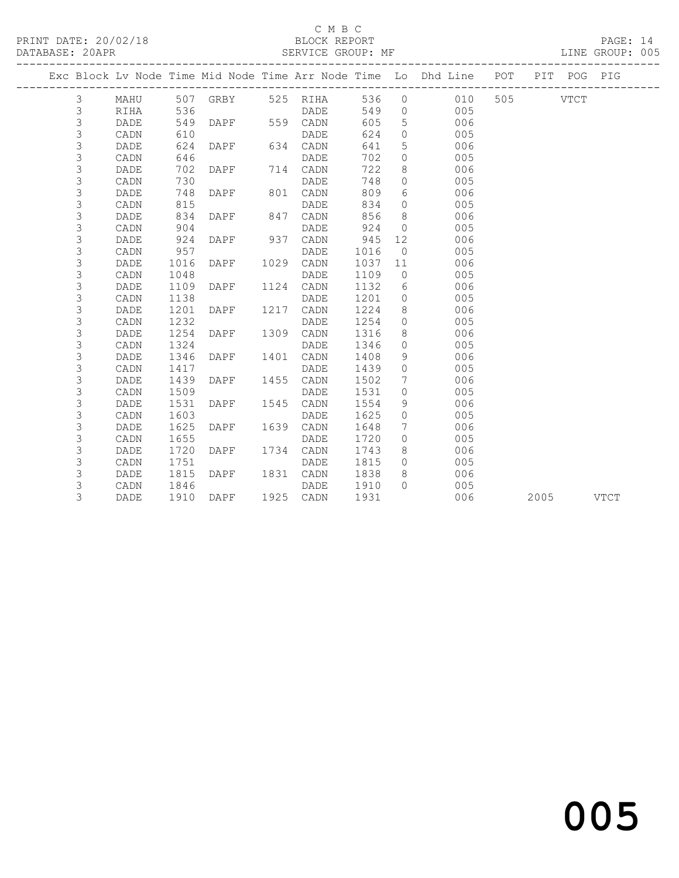## C M B C<br>BLOCK REPORT

PAGE: 14<br>LINE GROUP: 005

|  |                |      |      |             |      |                   |      |                | Exc Block Lv Node Time Mid Node Time Arr Node Time Lo Dhd Line POT |          |      | PIT POG PIG |             |
|--|----------------|------|------|-------------|------|-------------------|------|----------------|--------------------------------------------------------------------|----------|------|-------------|-------------|
|  | 3              | MAHU |      |             |      | 507 GRBY 525 RIHA |      |                | 536 0 010                                                          | 505 VTCT |      |             |             |
|  | 3              | RIHA | 536  |             |      | DADE              | 549  | $\overline{0}$ | 005                                                                |          |      |             |             |
|  | 3              | DADE | 549  | <b>DAPF</b> |      | 559 CADN          | 605  | 5              | 006                                                                |          |      |             |             |
|  | $\mathsf 3$    | CADN | 610  |             |      | DADE              | 624  | $\circ$        | 005                                                                |          |      |             |             |
|  | 3              | DADE | 624  | <b>DAPF</b> |      | 634 CADN          | 641  | 5              | 006                                                                |          |      |             |             |
|  | 3              | CADN | 646  |             |      | DADE              | 702  | $\circ$        | 005                                                                |          |      |             |             |
|  | 3              | DADE | 702  | DAPF        |      | 714 CADN          | 722  | 8              | 006                                                                |          |      |             |             |
|  | 3              | CADN | 730  |             |      | DADE              | 748  | $\circ$        | 005                                                                |          |      |             |             |
|  | 3              | DADE | 748  | DAPF        |      | 801 CADN          | 809  | 6              | 006                                                                |          |      |             |             |
|  | 3              | CADN | 815  |             |      | DADE              | 834  | $\Omega$       | 005                                                                |          |      |             |             |
|  | 3              | DADE | 834  | DAPF        |      | 847 CADN          | 856  | 8              | 006                                                                |          |      |             |             |
|  | 3              | CADN | 904  |             |      | DADE              | 924  | $\circ$        | 005                                                                |          |      |             |             |
|  | 3              | DADE | 924  | DAPF        |      | 937 CADN          | 945  | 12             | 006                                                                |          |      |             |             |
|  | 3              | CADN | 957  |             |      | DADE              | 1016 | $\overline{0}$ | 005                                                                |          |      |             |             |
|  | 3              | DADE | 1016 | DAPF        |      | 1029 CADN         | 1037 | 11             | 006                                                                |          |      |             |             |
|  | 3              | CADN | 1048 |             |      | DADE              | 1109 | $\overline{0}$ | 005                                                                |          |      |             |             |
|  | 3              | DADE | 1109 | DAPF        |      | 1124 CADN         | 1132 | 6              | 006                                                                |          |      |             |             |
|  | 3              | CADN | 1138 |             |      | DADE              | 1201 | $\overline{0}$ | 005                                                                |          |      |             |             |
|  | $\mathfrak{Z}$ | DADE | 1201 | DAPF        |      | 1217 CADN         | 1224 | 8              | 006                                                                |          |      |             |             |
|  | 3              | CADN | 1232 |             |      | DADE              | 1254 | $\overline{0}$ | 005                                                                |          |      |             |             |
|  | 3              | DADE | 1254 | DAPF        |      | 1309 CADN         | 1316 | 8              | 006                                                                |          |      |             |             |
|  | 3              | CADN | 1324 |             |      | DADE              | 1346 | $\Omega$       | 005                                                                |          |      |             |             |
|  | 3              | DADE | 1346 | DAPF        |      | 1401 CADN         | 1408 | 9              | 006                                                                |          |      |             |             |
|  | 3              | CADN | 1417 |             |      | DADE              | 1439 | $\Omega$       | 005                                                                |          |      |             |             |
|  | 3              | DADE | 1439 | DAPF        |      | 1455 CADN         | 1502 | 7              | 006                                                                |          |      |             |             |
|  | $\mathfrak{Z}$ | CADN | 1509 |             |      | DADE              | 1531 | $\circ$        | 005                                                                |          |      |             |             |
|  | 3              | DADE | 1531 | DAPF        |      | 1545 CADN         | 1554 | 9              | 006                                                                |          |      |             |             |
|  | 3              | CADN | 1603 |             |      | <b>DADE</b>       | 1625 | $\Omega$       | 005                                                                |          |      |             |             |
|  | 3              | DADE | 1625 | DAPF        | 1639 | CADN              | 1648 | 7              | 006                                                                |          |      |             |             |
|  | 3              | CADN | 1655 |             |      | DADE              | 1720 | $\Omega$       | 005                                                                |          |      |             |             |
|  | 3              | DADE | 1720 | DAPF        |      | 1734 CADN         | 1743 | 8              | 006                                                                |          |      |             |             |
|  | 3              | CADN | 1751 |             |      | DADE              | 1815 | $\Omega$       | 005                                                                |          |      |             |             |
|  | 3              | DADE | 1815 | DAPF        |      | 1831 CADN         | 1838 | 8              | 006                                                                |          |      |             |             |
|  | 3              | CADN | 1846 |             |      | DADE              | 1910 | $\cap$         | 005                                                                |          |      |             |             |
|  | 3              | DADE | 1910 | DAPF        |      | 1925 CADN         | 1931 |                | 006                                                                |          | 2005 |             | <b>VTCT</b> |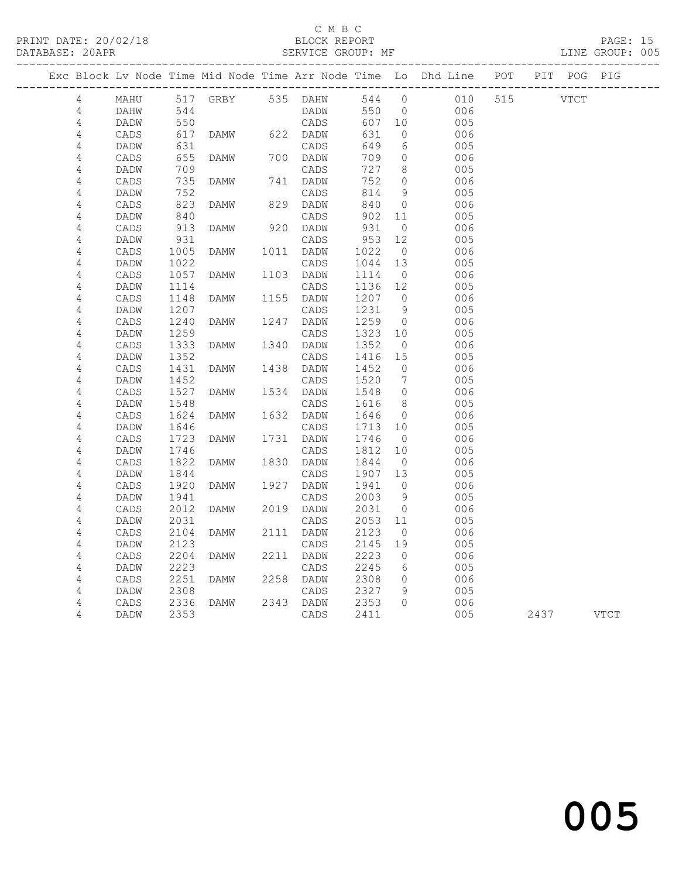### C M B C<br>BLOCK REPORT

|  |                              |                 |              |                   |                   |                 |                      | Exc Block Lv Node Time Mid Node Time Arr Node Time Lo Dhd Line POT PIT POG PIG |           |  |
|--|------------------------------|-----------------|--------------|-------------------|-------------------|-----------------|----------------------|--------------------------------------------------------------------------------|-----------|--|
|  | 4                            | MAHU            |              | 517 GRBY 535 DAHW |                   |                 | 544 0                | 010                                                                            | 515 VTCT  |  |
|  | $\overline{4}$               | DAHW            | 544          |                   | DADW              |                 | 550 0                | 006                                                                            |           |  |
|  | 4                            | DADW            | 550<br>617   |                   | CADS              | 607 10          |                      | 005                                                                            |           |  |
|  | $\overline{4}$               | CADS            |              | DAMW              | 622 DADW          | 631             | $\overline{0}$       | 006                                                                            |           |  |
|  | 4                            | DADW            | 631          |                   | CADS              | 649             | 6                    | 005                                                                            |           |  |
|  | $\sqrt{4}$                   | CADS            | 655          | DAMW              | 700 DADW          | 709             | $\overline{0}$       | 006                                                                            |           |  |
|  | $\overline{4}$               | DADW            | 709          |                   | CADS              | 727             | 8 <sup>8</sup>       | 005                                                                            |           |  |
|  | 4                            | CADS            | 735          | DAMW              | 741 DADW          | 752             | $\overline{0}$       | 006                                                                            |           |  |
|  | $\sqrt{4}$                   | DADW            | 752          |                   | CADS              | 814             | 9                    | 005                                                                            |           |  |
|  | $\sqrt{4}$                   | CADS            | 823          | DAMW              | 829 DADW          | 840             | $\overline{0}$       | 006                                                                            |           |  |
|  | $\overline{4}$               | DADW            | 840          |                   | CADS              | 902 11          |                      | 005                                                                            |           |  |
|  | 4                            | CADS            | 913          | DAMW              | 920 DADW          | 931             | $\overline{0}$       | 006                                                                            |           |  |
|  | $\sqrt{4}$                   | DADW            | 931<br>1005  |                   | CADS<br>1011 DADW | 953 12<br>1022  |                      | 005                                                                            |           |  |
|  | 4                            | CADS            |              | DAMW              |                   |                 | $\overline{0}$       | 006                                                                            |           |  |
|  | $\sqrt{4}$                   | DADW<br>CADS    | 1022<br>1057 | DAMW              | CADS<br>1103 DADW | 1044 13<br>1114 | $\overline{0}$       | 005<br>006                                                                     |           |  |
|  | $\sqrt{4}$<br>$\sqrt{4}$     | DADW            | 1114         |                   | CADS              | 1136 12         |                      | 005                                                                            |           |  |
|  | 4                            | CADS            | 1148         | DAMW              | 1155 DADW         | 1207 0          |                      | 006                                                                            |           |  |
|  | 4                            | DADW            | 1207         |                   | CADS              | 1231            | - 9                  | 005                                                                            |           |  |
|  | $\sqrt{4}$                   | CADS            | 1240         | DAMW              | 1247 DADW         | 1259            | $\overline{0}$       | 006                                                                            |           |  |
|  | 4                            | DADW            | 1259         |                   | CADS              | 1323            | 10                   | 005                                                                            |           |  |
|  | $\overline{4}$               | $\mathtt{CADS}$ | 1333         | DAMW              | 1340 DADW         | 1352            | $\overline{0}$       | 006                                                                            |           |  |
|  | 4                            | DADW            | 1352         |                   | CADS              | 1416 15         |                      | 005                                                                            |           |  |
|  | $\overline{4}$               | CADS            | 1431         | DAMW              | 1438 DADW         | 1452            | $\overline{0}$       | 006                                                                            |           |  |
|  | 4                            | DADW            | 1452         |                   | CADS              | 1520            | $\overline{7}$       | 005                                                                            |           |  |
|  | 4                            | CADS            | 1527         | DAMW              | 1534 DADW         | 1548<br>1616    | $\overline{0}$       | 006                                                                            |           |  |
|  | $\sqrt{4}$                   | DADW            | 1548         |                   | CADS              |                 | 8 <sup>8</sup>       | 005                                                                            |           |  |
|  | 4                            | CADS            | 1624         | DAMW              | 1632 DADW         | 1646            | $\overline{0}$       | 006                                                                            |           |  |
|  | $\sqrt{4}$                   | DADW            | 1646         |                   | CADS              | 1713 10         |                      | 005                                                                            |           |  |
|  | 4                            | CADS            | 1723         | DAMW              | 1731 DADW         | 1746            | $\overline{0}$       | 006                                                                            |           |  |
|  | 4                            | DADW            | 1746         |                   | CADS              | 1812 10         |                      | 005                                                                            |           |  |
|  | 4                            | CADS            | 1822         | DAMW              | 1830 DADW         | 1844            | $\overline{0}$       | 006                                                                            |           |  |
|  | $\overline{4}$               | DADW            | 1844         |                   | CADS              | 1907 13         |                      | 005                                                                            |           |  |
|  | $\sqrt{4}$                   | CADS            | 1920         | DAMW              | 1927 DADW         | 1941            | $\bigcirc$           | 006                                                                            |           |  |
|  | 4                            | DADW            | 1941         |                   | CADS              | 2003            | - 9                  | 005                                                                            |           |  |
|  | 4                            | CADS            | 2012         | DAMW              | 2019 DADW         | 2031            | $\overline{0}$<br>11 | 006                                                                            |           |  |
|  | $\overline{4}$<br>$\sqrt{4}$ | DADW            | 2031         | DAMW              | CADS              | 2053<br>2123    | $\overline{0}$       | 005<br>006                                                                     |           |  |
|  |                              | CADS<br>DADW    | 2104<br>2123 |                   | 2111 DADW<br>CADS | 2145            | 19                   | 005                                                                            |           |  |
|  | 4<br>$\sqrt{4}$              | CADS            | 2204         | DAMW              | 2211 DADW         | 2223            | $\overline{0}$       | 006                                                                            |           |  |
|  | 4                            | DADW            | 2223         |                   | CADS              | 2245            | 6                    | 005                                                                            |           |  |
|  | 4                            | CADS            | 2251         | DAMW              | 2258 DADW         | 2308            | $\overline{0}$       | 006                                                                            |           |  |
|  | 4                            | DADW            | 2308         |                   | CADS              | 2327            | - 9                  | 005                                                                            |           |  |
|  | 4                            | CADS            | 2336         | DAMW              | 2343 DADW         | 2353            | $\bigcirc$           | 006                                                                            |           |  |
|  | 4                            | DADW            | 2353         |                   | CADS              | 2411            |                      | 005                                                                            | 2437 VTCT |  |
|  |                              |                 |              |                   |                   |                 |                      |                                                                                |           |  |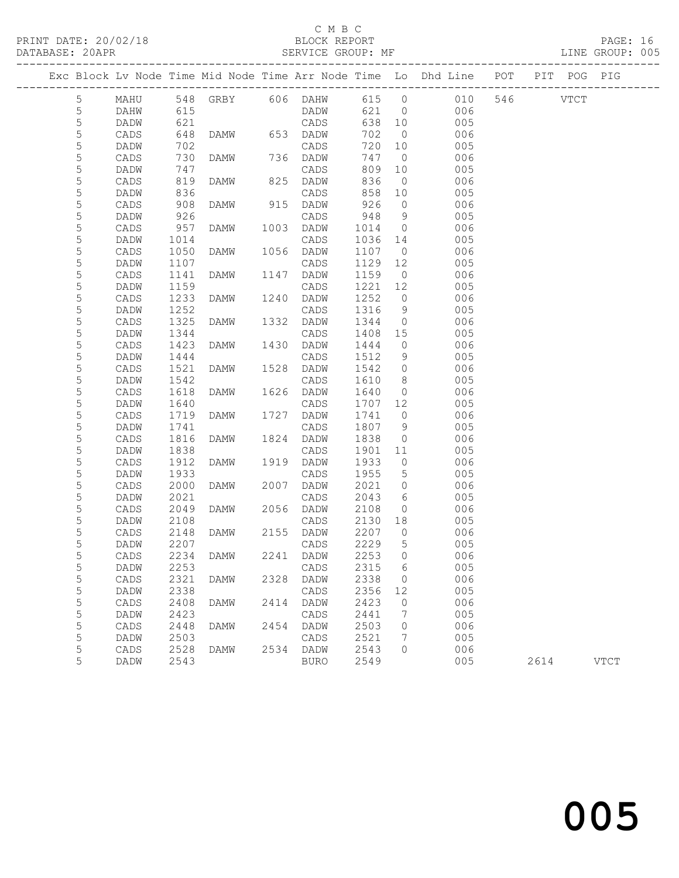## C M B C N B C N B C N B C N B C N B C N B C C M B C C M B C C M B C C M B C C M B C C M B C C M C C M C C M C C C M C C M C C M C C M C C M C C M C C M C C M C C M C C M C C M C C M C C M C C M C C M C C M C C M C C M C C

#### DATABASE: 20APR SERVICE GROUP: MF LINE GROUP: 005

|             |      |      |                         |      |             |        |                 | Exc Block Lv Node Time Mid Node Time Arr Node Time Lo Dhd Line POT |          | PIT POG PIG |             |
|-------------|------|------|-------------------------|------|-------------|--------|-----------------|--------------------------------------------------------------------|----------|-------------|-------------|
| 5           | MAHU |      | 548 GRBY 606 DAHW 615 0 |      |             |        |                 | 010                                                                | 546 VTCT |             |             |
| 5           | DAHW | 615  |                         |      | DADW        |        | 621 0           | 006                                                                |          |             |             |
| $\mathsf S$ | DADW | 621  |                         |      | CADS        | 638 10 |                 | 005                                                                |          |             |             |
| 5           | CADS | 648  | DAMW 653 DADW           |      |             | 702    | $\overline{0}$  | 006                                                                |          |             |             |
| 5           | DADW | 702  |                         |      | CADS        | 720 10 |                 | 005                                                                |          |             |             |
| 5           | CADS | 730  | DAMW                    |      | 736 DADW    | 747    | $\overline{0}$  | 006                                                                |          |             |             |
| 5           | DADW | 747  |                         |      | CADS        | 809    | 10              | 005                                                                |          |             |             |
| 5           | CADS | 819  | DAMW                    |      | 825 DADW    | 836    | $\overline{0}$  | 006                                                                |          |             |             |
| 5           | DADW | 836  |                         |      | CADS        | 858    | 10              | 005                                                                |          |             |             |
| 5           | CADS | 908  | DAMW                    |      | 915 DADW    | 926    | $\overline{0}$  | 006                                                                |          |             |             |
| 5           | DADW | 926  |                         |      | CADS        | 948    | $\overline{9}$  | 005                                                                |          |             |             |
| 5           | CADS | 957  | DAMW                    | 1003 | DADW        | 1014   | $\overline{0}$  | 006                                                                |          |             |             |
| 5           | DADW | 1014 |                         |      | CADS        | 1036   | 14              | 005                                                                |          |             |             |
| 5           | CADS | 1050 | DAMW                    |      | 1056 DADW   | 1107   | $\overline{0}$  | 006                                                                |          |             |             |
| 5           | DADW | 1107 |                         |      | CADS        | 1129   | 12              | 005                                                                |          |             |             |
| 5           | CADS | 1141 | DAMW                    | 1147 | DADW        | 1159   | $\overline{0}$  | 006                                                                |          |             |             |
| 5           | DADW | 1159 |                         |      | CADS        | 1221   | 12              | 005                                                                |          |             |             |
| $\mathsf S$ | CADS | 1233 | DAMW                    | 1240 | DADW        | 1252   | $\overline{0}$  | 006                                                                |          |             |             |
| 5           | DADW | 1252 |                         |      | CADS        | 1316   | 9               | 005                                                                |          |             |             |
| 5           | CADS | 1325 | DAMW                    | 1332 | DADW        | 1344   | $\overline{0}$  | 006                                                                |          |             |             |
| 5           | DADW | 1344 |                         |      | CADS        | 1408   | 15              | 005                                                                |          |             |             |
| 5           | CADS | 1423 | DAMW                    | 1430 | DADW        | 1444   | $\overline{0}$  | 006                                                                |          |             |             |
| 5           | DADW | 1444 |                         |      | CADS        | 1512   | 9               | 005                                                                |          |             |             |
| 5           | CADS | 1521 | DAMW                    | 1528 | DADW        | 1542   | $\overline{0}$  | 006                                                                |          |             |             |
| 5           | DADW | 1542 |                         |      | CADS        | 1610   | 8 <sup>8</sup>  | 005                                                                |          |             |             |
| $\mathsf S$ | CADS | 1618 | DAMW                    |      | 1626 DADW   | 1640   | $\overline{0}$  | 006                                                                |          |             |             |
| 5           | DADW | 1640 |                         |      | CADS        | 1707   | 12              | 005                                                                |          |             |             |
| 5           | CADS | 1719 | DAMW                    | 1727 | DADW        | 1741   | $\overline{0}$  | 006                                                                |          |             |             |
| 5           | DADW | 1741 |                         |      | CADS        | 1807   | 9               | 005                                                                |          |             |             |
| 5           | CADS | 1816 | DAMW                    | 1824 | DADW        | 1838   | $\overline{0}$  | 006                                                                |          |             |             |
| 5           | DADW | 1838 |                         |      | CADS        | 1901   | 11              | 005                                                                |          |             |             |
| 5           | CADS | 1912 | DAMW                    | 1919 | DADW        | 1933   | $\overline{0}$  | 006                                                                |          |             |             |
| 5           | DADW | 1933 |                         |      | CADS        | 1955   | $5\overline{)}$ | 005                                                                |          |             |             |
| 5           | CADS | 2000 | DAMW                    | 2007 | DADW        | 2021   | $\overline{0}$  | 006                                                                |          |             |             |
| 5           | DADW | 2021 |                         |      | CADS        | 2043   | 6               | 005                                                                |          |             |             |
| 5           | CADS | 2049 | DAMW                    |      | 2056 DADW   | 2108   | $\overline{0}$  | 006                                                                |          |             |             |
| 5           | DADW | 2108 |                         |      | CADS        | 2130   | 18              | 005                                                                |          |             |             |
| 5           | CADS | 2148 | DAMW                    |      | 2155 DADW   | 2207   | $\overline{0}$  | 006                                                                |          |             |             |
| 5           | DADW | 2207 |                         |      | CADS        | 2229   | 5               | 005                                                                |          |             |             |
| 5           | CADS |      | 2234 DAMW               |      | 2241 DADW   | 2253 0 |                 | 006                                                                |          |             |             |
| 5           | DADW | 2253 |                         |      | CADS        | 2315   | - 6             | 005                                                                |          |             |             |
| 5           | CADS | 2321 | DAMW                    | 2328 | DADW        | 2338   | $\circ$         | 006                                                                |          |             |             |
| 5           | DADW | 2338 |                         |      | CADS        | 2356   | 12              | 005                                                                |          |             |             |
| 5           | CADS | 2408 | DAMW                    | 2414 | DADW        | 2423   | 0               | 006                                                                |          |             |             |
| 5           | DADW | 2423 |                         |      | CADS        | 2441   | 7               | 005                                                                |          |             |             |
| 5           | CADS | 2448 | DAMW                    | 2454 | DADW        | 2503   | 0               | 006                                                                |          |             |             |
| 5           | DADW | 2503 |                         |      | CADS        | 2521   | 7               | 005                                                                |          |             |             |
| 5           | CADS | 2528 | DAMW                    |      | 2534 DADW   | 2543   | $\circ$         | 006                                                                |          |             |             |
| 5           | DADW | 2543 |                         |      | <b>BURO</b> | 2549   |                 | 005                                                                | 2614     |             | <b>VTCT</b> |
|             |      |      |                         |      |             |        |                 |                                                                    |          |             |             |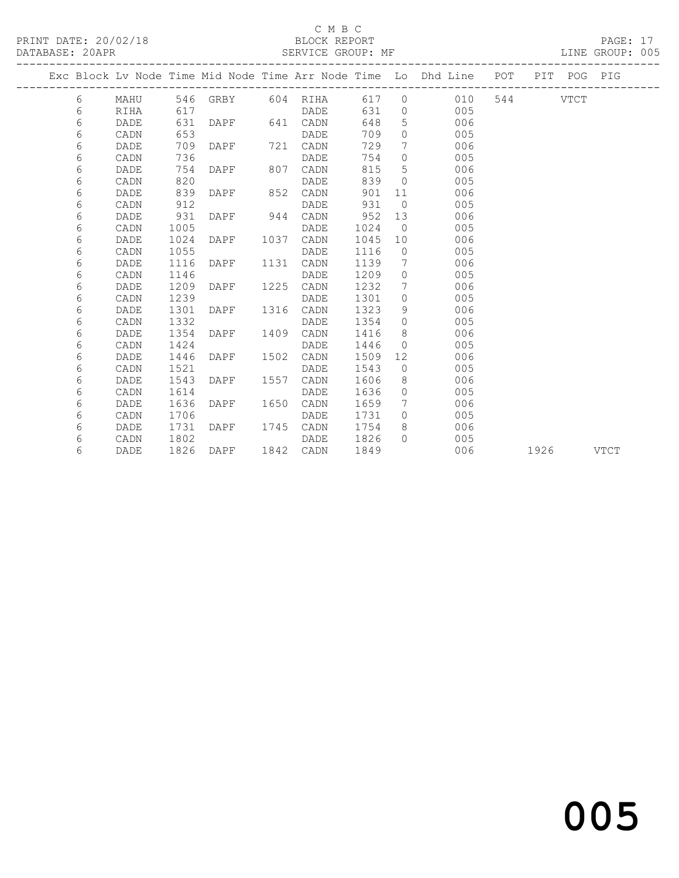## C M B C<br>BLOCK REPORT

PAGE: 17<br>LINE GROUP: 005

|  |   |      |      |                   |      |          |      |                   | Exc Block Lv Node Time Mid Node Time Arr Node Time Lo Dhd Line POT |     |      | PIT POG PIG |             |
|--|---|------|------|-------------------|------|----------|------|-------------------|--------------------------------------------------------------------|-----|------|-------------|-------------|
|  | 6 | MAHU |      | 546 GRBY 604 RIHA |      |          | 617  | $\Omega$          | 010                                                                | 544 |      | <b>VTCT</b> |             |
|  | 6 | RIHA | 617  |                   |      | DADE     | 631  | $\overline{0}$    | 005                                                                |     |      |             |             |
|  | 6 | DADE | 631  | DAPF              |      | 641 CADN | 648  | 5                 | 006                                                                |     |      |             |             |
|  | 6 | CADN | 653  |                   |      | DADE     | 709  | $\circ$           | 005                                                                |     |      |             |             |
|  | 6 | DADE | 709  | DAPF              | 721  | CADN     | 729  | 7                 | 006                                                                |     |      |             |             |
|  | 6 | CADN | 736  |                   |      | DADE     | 754  | $\Omega$          | 005                                                                |     |      |             |             |
|  | 6 | DADE | 754  | DAPF              | 807  | CADN     | 815  | 5                 | 006                                                                |     |      |             |             |
|  | 6 | CADN | 820  |                   |      | DADE     | 839  | $\Omega$          | 005                                                                |     |      |             |             |
|  | 6 | DADE | 839  | DAPF              | 852  | CADN     | 901  | 11                | 006                                                                |     |      |             |             |
|  | 6 | CADN | 912  |                   |      | DADE     | 931  | $\overline{0}$    | 005                                                                |     |      |             |             |
|  | 6 | DADE | 931  | DAPF              | 944  | CADN     | 952  | 13                | 006                                                                |     |      |             |             |
|  | 6 | CADN | 1005 |                   |      | DADE     | 1024 | $\bigcirc$        | 005                                                                |     |      |             |             |
|  | 6 | DADE | 1024 | DAPF              | 1037 | CADN     | 1045 | 10                | 006                                                                |     |      |             |             |
|  | 6 | CADN | 1055 |                   |      | DADE     | 1116 | $\overline{0}$    | 005                                                                |     |      |             |             |
|  | 6 | DADE | 1116 | DAPF              | 1131 | CADN     | 1139 | 7                 | 006                                                                |     |      |             |             |
|  | 6 | CADN | 1146 |                   |      | DADE     | 1209 | $\overline{0}$    | 005                                                                |     |      |             |             |
|  | 6 | DADE | 1209 | DAPF              | 1225 | CADN     | 1232 | 7                 | 006                                                                |     |      |             |             |
|  | 6 | CADN | 1239 |                   |      | DADE     | 1301 | $\Omega$          | 005                                                                |     |      |             |             |
|  | 6 | DADE | 1301 | DAPF              | 1316 | CADN     | 1323 | 9                 | 006                                                                |     |      |             |             |
|  | 6 | CADN | 1332 |                   |      | DADE     | 1354 | $\Omega$          | 005                                                                |     |      |             |             |
|  | 6 | DADE | 1354 | DAPF              | 1409 | CADN     | 1416 | 8                 | 006                                                                |     |      |             |             |
|  | 6 | CADN | 1424 |                   |      | DADE     | 1446 | $\overline{0}$    | 005                                                                |     |      |             |             |
|  | 6 | DADE | 1446 | DAPF              | 1502 | CADN     | 1509 | $12 \overline{ }$ | 006                                                                |     |      |             |             |
|  | 6 | CADN | 1521 |                   |      | DADE     | 1543 | $\Omega$          | 005                                                                |     |      |             |             |
|  | 6 | DADE | 1543 | DAPF              | 1557 | CADN     | 1606 | 8                 | 006                                                                |     |      |             |             |
|  | 6 | CADN | 1614 |                   |      | DADE     | 1636 | $\circ$           | 005                                                                |     |      |             |             |
|  | 6 | DADE | 1636 | DAPF              | 1650 | CADN     | 1659 | 7                 | 006                                                                |     |      |             |             |
|  | 6 | CADN | 1706 |                   |      | DADE     | 1731 | $\circ$           | 005                                                                |     |      |             |             |
|  | 6 | DADE | 1731 | DAPF              | 1745 | CADN     | 1754 | 8                 | 006                                                                |     |      |             |             |
|  | 6 | CADN | 1802 |                   |      | DADE     | 1826 | $\Omega$          | 005                                                                |     |      |             |             |
|  | 6 | DADE | 1826 | DAPF              | 1842 | CADN     | 1849 |                   | 006                                                                |     | 1926 |             | <b>VTCT</b> |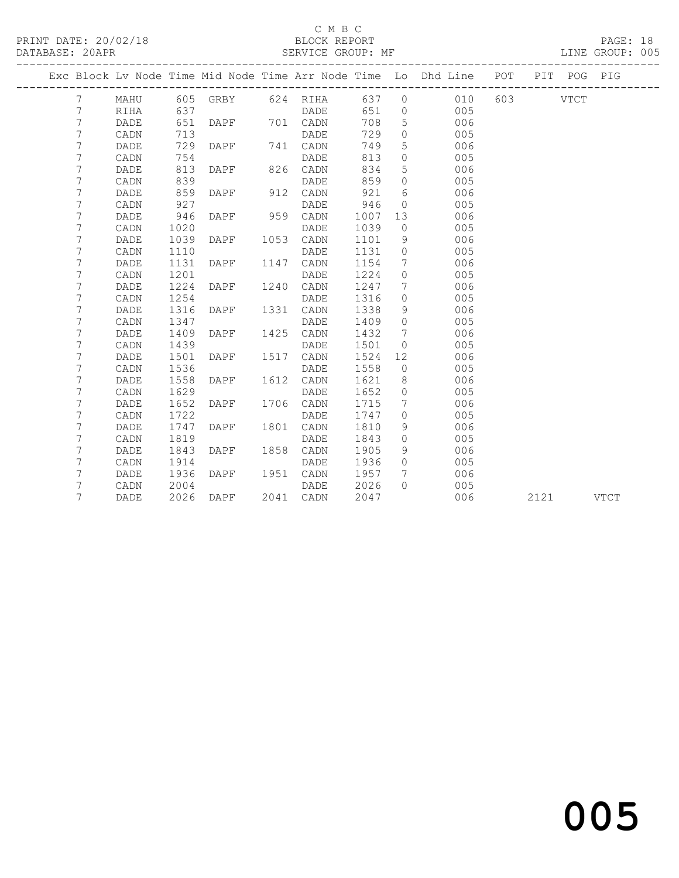## C M B C<br>BLOCK REPORT

PAGE: 18<br>LINE GROUP: 005

|  |                 |      |      |             |      |                   |      |                 | Exc Block Lv Node Time Mid Node Time Arr Node Time Lo Dhd Line POT |          |      | PIT POG | PIG  |
|--|-----------------|------|------|-------------|------|-------------------|------|-----------------|--------------------------------------------------------------------|----------|------|---------|------|
|  | $7\phantom{.0}$ | MAHU |      |             |      | 605 GRBY 624 RIHA |      |                 | 637 0 010                                                          | 603 VTCT |      |         |      |
|  | 7               | RIHA | 637  |             |      | DADE              | 651  | $\overline{0}$  | 005                                                                |          |      |         |      |
|  | 7               | DADE | 651  | <b>DAPF</b> |      | 701 CADN          | 708  | $5\overline{)}$ | 006                                                                |          |      |         |      |
|  | 7               | CADN | 713  |             |      | DADE              | 729  | $\circ$         | 005                                                                |          |      |         |      |
|  | 7               | DADE | 729  | <b>DAPF</b> |      | 741 CADN          | 749  | 5               | 006                                                                |          |      |         |      |
|  | 7               | CADN | 754  |             |      | DADE              | 813  | $\circ$         | 005                                                                |          |      |         |      |
|  | 7               | DADE | 813  | DAPF        |      | 826 CADN          | 834  | 5               | 006                                                                |          |      |         |      |
|  | 7               | CADN | 839  |             |      | DADE              | 859  | $\Omega$        | 005                                                                |          |      |         |      |
|  | 7               | DADE | 859  | DAPF        | 912  | CADN              | 921  | 6               | 006                                                                |          |      |         |      |
|  | 7               | CADN | 927  |             |      | DADE              | 946  | $\circ$         | 005                                                                |          |      |         |      |
|  | 7               | DADE | 946  | DAPF        |      | 959 CADN          | 1007 | 13              | 006                                                                |          |      |         |      |
|  | 7               | CADN | 1020 |             |      | DADE              | 1039 | $\overline{0}$  | 005                                                                |          |      |         |      |
|  | 7               | DADE | 1039 | DAPF        |      | 1053 CADN         | 1101 | 9               | 006                                                                |          |      |         |      |
|  | 7               | CADN | 1110 |             |      | DADE              | 1131 | $\circ$         | 005                                                                |          |      |         |      |
|  | 7               | DADE | 1131 | DAPF        | 1147 | CADN              | 1154 | 7               | 006                                                                |          |      |         |      |
|  | 7               | CADN | 1201 |             |      | DADE              | 1224 | $\circ$         | 005                                                                |          |      |         |      |
|  | 7               | DADE | 1224 | DAPF        | 1240 | CADN              | 1247 | $7\phantom{.0}$ | 006                                                                |          |      |         |      |
|  | 7               | CADN | 1254 |             |      | DADE              | 1316 | $\circ$         | 005                                                                |          |      |         |      |
|  | 7               | DADE | 1316 | DAPF        | 1331 | CADN              | 1338 | 9               | 006                                                                |          |      |         |      |
|  | 7               | CADN | 1347 |             |      | DADE              | 1409 | $\overline{0}$  | 005                                                                |          |      |         |      |
|  | 7               | DADE | 1409 | DAPF        | 1425 | CADN              | 1432 | 7               | 006                                                                |          |      |         |      |
|  | 7               | CADN | 1439 |             |      | DADE              | 1501 | $\bigcirc$      | 005                                                                |          |      |         |      |
|  | 7               | DADE | 1501 | DAPF        | 1517 | CADN              | 1524 | 12              | 006                                                                |          |      |         |      |
|  | 7               | CADN | 1536 |             |      | DADE              | 1558 | $\overline{0}$  | 005                                                                |          |      |         |      |
|  | 7               | DADE | 1558 | DAPF        | 1612 | CADN              | 1621 | 8               | 006                                                                |          |      |         |      |
|  | 7               | CADN | 1629 |             |      | DADE              | 1652 | $\overline{0}$  | 005                                                                |          |      |         |      |
|  | 7               | DADE | 1652 | DAPF        | 1706 | CADN              | 1715 | 7               | 006                                                                |          |      |         |      |
|  | 7               | CADN | 1722 |             |      | DADE              | 1747 | $\Omega$        | 005                                                                |          |      |         |      |
|  | 7               | DADE | 1747 | DAPF        | 1801 | CADN              | 1810 | 9               | 006                                                                |          |      |         |      |
|  | 7               | CADN | 1819 |             |      | DADE              | 1843 | $\Omega$        | 005                                                                |          |      |         |      |
|  | 7               | DADE | 1843 | DAPF        | 1858 | CADN              | 1905 | 9               | 006                                                                |          |      |         |      |
|  | 7               | CADN | 1914 |             |      | DADE              | 1936 | $\Omega$        | 005                                                                |          |      |         |      |
|  | 7               | DADE | 1936 | DAPF        | 1951 | CADN              | 1957 | 7               | 006                                                                |          |      |         |      |
|  | 7               | CADN | 2004 |             |      | DADE              | 2026 | $\Omega$        | 005                                                                |          |      |         |      |
|  | 7               | DADE | 2026 | DAPF        |      | 2041 CADN         | 2047 |                 | 006                                                                |          | 2121 |         | VTCT |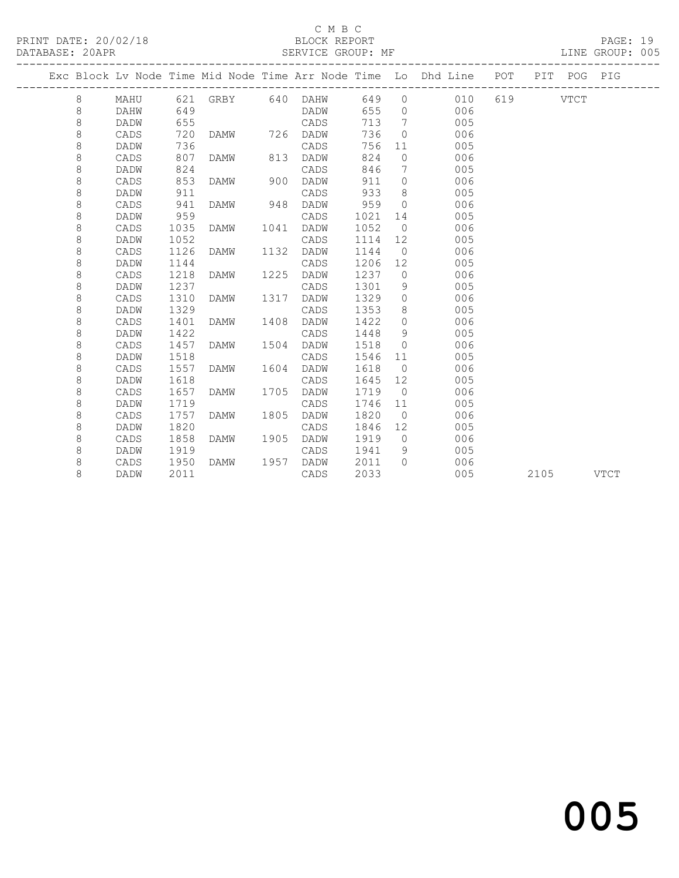### C M B C<br>BLOCK REPORT

PAGE: 19<br>LINE GROUP: 005

|  |         |             |      |                   |      |      |      |                | Exc Block Lv Node Time Mid Node Time Arr Node Time Lo Dhd Line POT |          |      | PIT POG | PIG         |
|--|---------|-------------|------|-------------------|------|------|------|----------------|--------------------------------------------------------------------|----------|------|---------|-------------|
|  | 8       | MAHU        |      | 621 GRBY 640 DAHW |      |      | 649  | $\circ$        | 010                                                                | 619 VTCT |      |         |             |
|  | 8       | DAHW        | 649  |                   |      | DADW | 655  | $\Omega$       | 006                                                                |          |      |         |             |
|  | $\,8\,$ | DADW        | 655  |                   |      | CADS | 713  | 7              | 005                                                                |          |      |         |             |
|  | $\,8\,$ | CADS        | 720  | DAMW              | 726  | DADW | 736  | $\Omega$       | 006                                                                |          |      |         |             |
|  | 8       | DADW        | 736  |                   |      | CADS | 756  | 11             | 005                                                                |          |      |         |             |
|  | 8       | CADS        | 807  | <b>DAMW</b>       | 813  | DADW | 824  | $\Omega$       | 006                                                                |          |      |         |             |
|  | 8       | DADW        | 824  |                   |      | CADS | 846  | 7              | 005                                                                |          |      |         |             |
|  | 8       | CADS        | 853  | <b>DAMW</b>       | 900  | DADW | 911  | $\circ$        | 006                                                                |          |      |         |             |
|  | 8       | DADW        | 911  |                   |      | CADS | 933  | 8              | 005                                                                |          |      |         |             |
|  | 8       | CADS        | 941  | <b>DAMW</b>       | 948  | DADW | 959  | $\bigcirc$     | 006                                                                |          |      |         |             |
|  | 8       | DADW        | 959  |                   |      | CADS | 1021 | 14             | 005                                                                |          |      |         |             |
|  | 8       | CADS        | 1035 | DAMW              | 1041 | DADW | 1052 | $\overline{0}$ | 006                                                                |          |      |         |             |
|  | $\,8\,$ | DADW        | 1052 |                   |      | CADS | 1114 | 12             | 005                                                                |          |      |         |             |
|  | $\,8\,$ | CADS        | 1126 | DAMW              | 1132 | DADW | 1144 | $\overline{0}$ | 006                                                                |          |      |         |             |
|  | 8       | <b>DADW</b> | 1144 |                   |      | CADS | 1206 | 12             | 005                                                                |          |      |         |             |
|  | 8       | CADS        | 1218 | <b>DAMW</b>       | 1225 | DADW | 1237 | $\circ$        | 006                                                                |          |      |         |             |
|  | 8       | DADW        | 1237 |                   |      | CADS | 1301 | 9              | 005                                                                |          |      |         |             |
|  | 8       | CADS        | 1310 | <b>DAMW</b>       | 1317 | DADW | 1329 | $\circ$        | 006                                                                |          |      |         |             |
|  | 8       | DADW        | 1329 |                   |      | CADS | 1353 | 8              | 005                                                                |          |      |         |             |
|  | 8       | CADS        | 1401 | <b>DAMW</b>       | 1408 | DADW | 1422 | $\circ$        | 006                                                                |          |      |         |             |
|  | 8       | DADW        | 1422 |                   |      | CADS | 1448 | 9              | 005                                                                |          |      |         |             |
|  | 8       | CADS        | 1457 | DAMW              | 1504 | DADW | 1518 | $\circ$        | 006                                                                |          |      |         |             |
|  | 8       | DADW        | 1518 |                   |      | CADS | 1546 | 11             | 005                                                                |          |      |         |             |
|  | 8       | CADS        | 1557 | DAMW              | 1604 | DADW | 1618 | $\overline{0}$ | 006                                                                |          |      |         |             |
|  | 8       | DADW        | 1618 |                   |      | CADS | 1645 | 12             | 005                                                                |          |      |         |             |
|  | 8       | CADS        | 1657 | <b>DAMW</b>       | 1705 | DADW | 1719 | $\bigcirc$     | 006                                                                |          |      |         |             |
|  | 8       | DADW        | 1719 |                   |      | CADS | 1746 | 11             | 005                                                                |          |      |         |             |
|  | 8       | CADS        | 1757 | <b>DAMW</b>       | 1805 | DADW | 1820 | $\overline{0}$ | 006                                                                |          |      |         |             |
|  | 8       | DADW        | 1820 |                   |      | CADS | 1846 | 12             | 005                                                                |          |      |         |             |
|  | 8       | CADS        | 1858 | <b>DAMW</b>       | 1905 | DADW | 1919 | $\bigcirc$     | 006                                                                |          |      |         |             |
|  | 8       | DADW        | 1919 |                   |      | CADS | 1941 | 9              | 005                                                                |          |      |         |             |
|  | 8       | CADS        | 1950 | <b>DAMW</b>       | 1957 | DADW | 2011 | $\bigcap$      | 006                                                                |          |      |         |             |
|  | 8       | DADW        | 2011 |                   |      | CADS | 2033 |                | 005                                                                |          | 2105 |         | <b>VTCT</b> |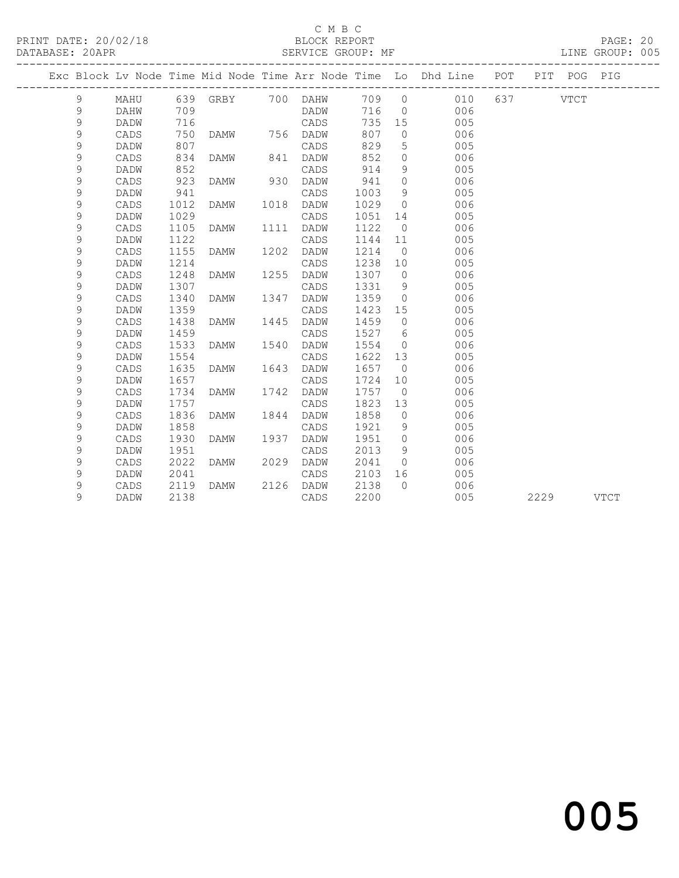### C M B C<br>BLOCK REPORT

#### SERVICE GROUP: MF

|               | Exc Block Lv Node Time Mid Node Time Arr Node Time Lo Dhd Line POT |      |                   |      |          |       |                |     |          | PIT  | POG | PIG         |
|---------------|--------------------------------------------------------------------|------|-------------------|------|----------|-------|----------------|-----|----------|------|-----|-------------|
| 9             | MAHU                                                               |      | 639 GRBY 700 DAHW |      |          | 709 0 |                | 010 | 637 VTCT |      |     |             |
| 9             | DAHW                                                               | 709  |                   |      | DADW     | 716   | $\overline{0}$ | 006 |          |      |     |             |
| 9             | DADW                                                               | 716  |                   |      | CADS     | 735   | 15             | 005 |          |      |     |             |
| 9             | CADS                                                               | 750  | DAMW              |      | 756 DADW | 807   | $\overline{0}$ | 006 |          |      |     |             |
| 9             | DADW                                                               | 807  |                   |      | CADS     | 829   | 5              | 005 |          |      |     |             |
| 9             | CADS                                                               | 834  | DAMW              | 841  | DADW     | 852   | $\circ$        | 006 |          |      |     |             |
| 9             | DADW                                                               | 852  |                   |      | CADS     | 914   | 9              | 005 |          |      |     |             |
| 9             | CADS                                                               | 923  | DAMW              | 930  | DADW     | 941   | $\circ$        | 006 |          |      |     |             |
| 9             | DADW                                                               | 941  |                   |      | CADS     | 1003  | 9              | 005 |          |      |     |             |
| 9             | CADS                                                               | 1012 | DAMW              | 1018 | DADW     | 1029  | $\circ$        | 006 |          |      |     |             |
| 9             | DADW                                                               | 1029 |                   |      | CADS     | 1051  | 14             | 005 |          |      |     |             |
| 9             | CADS                                                               | 1105 | DAMW              | 1111 | DADW     | 1122  | $\overline{0}$ | 006 |          |      |     |             |
| $\mathcal{G}$ | DADW                                                               | 1122 |                   |      | CADS     | 1144  | 11             | 005 |          |      |     |             |
| 9             | CADS                                                               | 1155 | DAMW              | 1202 | DADW     | 1214  | $\overline{0}$ | 006 |          |      |     |             |
| 9             | <b>DADW</b>                                                        | 1214 |                   |      | CADS     | 1238  | 10             | 005 |          |      |     |             |
| $\mathcal{G}$ | CADS                                                               | 1248 | DAMW              | 1255 | DADW     | 1307  | $\overline{0}$ | 006 |          |      |     |             |
| $\mathsf 9$   | DADW                                                               | 1307 |                   |      | CADS     | 1331  | 9              | 005 |          |      |     |             |
| 9             | CADS                                                               | 1340 | DAMW              | 1347 | DADW     | 1359  | $\circ$        | 006 |          |      |     |             |
| 9             | DADW                                                               | 1359 |                   |      | CADS     | 1423  | 15             | 005 |          |      |     |             |
| $\mathsf 9$   | CADS                                                               | 1438 | DAMW              | 1445 | DADW     | 1459  | $\overline{0}$ | 006 |          |      |     |             |
| $\mathsf 9$   | DADW                                                               | 1459 |                   |      | CADS     | 1527  | 6              | 005 |          |      |     |             |
| 9             | CADS                                                               | 1533 | DAMW              | 1540 | DADW     | 1554  | $\overline{0}$ | 006 |          |      |     |             |
| 9             | DADW                                                               | 1554 |                   |      | CADS     | 1622  | 13             | 005 |          |      |     |             |
| $\mathsf 9$   | CADS                                                               | 1635 | DAMW              | 1643 | DADW     | 1657  | $\overline{0}$ | 006 |          |      |     |             |
| $\mathsf 9$   | DADW                                                               | 1657 |                   |      | CADS     | 1724  | 10             | 005 |          |      |     |             |
| 9             | CADS                                                               | 1734 | DAMW              | 1742 | DADW     | 1757  | $\overline{0}$ | 006 |          |      |     |             |
| 9             | DADW                                                               | 1757 |                   |      | CADS     | 1823  | 13             | 005 |          |      |     |             |
| 9             | CADS                                                               | 1836 | DAMW              | 1844 | DADW     | 1858  | $\overline{0}$ | 006 |          |      |     |             |
| 9             | DADW                                                               | 1858 |                   |      | CADS     | 1921  | 9              | 005 |          |      |     |             |
| 9             | CADS                                                               | 1930 | <b>DAMW</b>       | 1937 | DADW     | 1951  | $\Omega$       | 006 |          |      |     |             |
| 9             | DADW                                                               | 1951 |                   |      | CADS     | 2013  | 9              | 005 |          |      |     |             |
| 9             | CADS                                                               | 2022 | DAMW              | 2029 | DADW     | 2041  | $\circ$        | 006 |          |      |     |             |
| 9             | DADW                                                               | 2041 |                   |      | CADS     | 2103  | 16             | 005 |          |      |     |             |
| 9             | CADS                                                               | 2119 | DAMW              | 2126 | DADW     | 2138  | $\bigcap$      | 006 |          |      |     |             |
| 9             | DADW                                                               | 2138 |                   |      | CADS     | 2200  |                | 005 |          | 2229 |     | <b>VTCT</b> |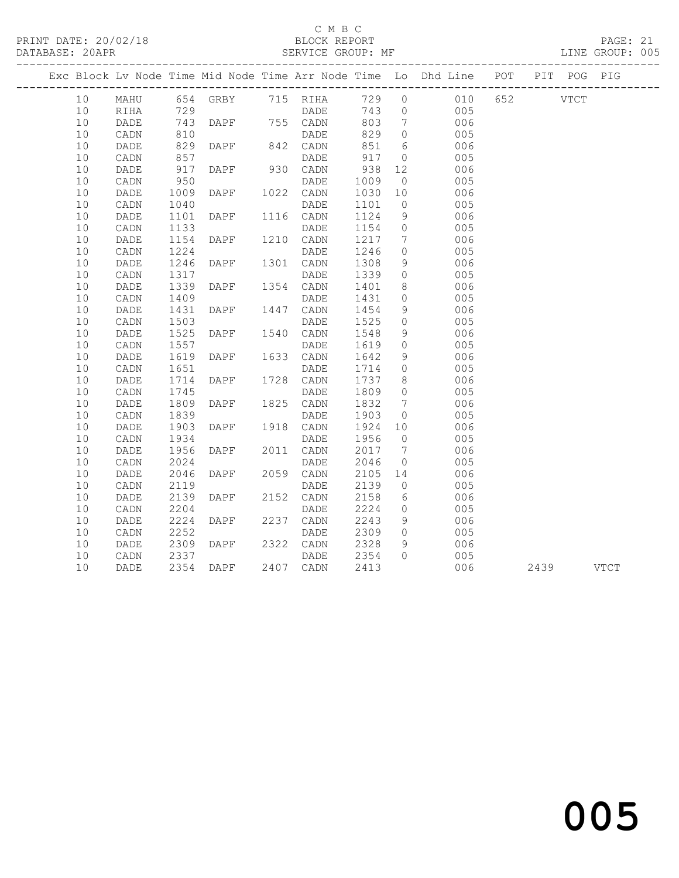# C M B C<br>BLOCK REPORT

#### SERVICE GROUP: MF

|  | 10 <sup>°</sup> |                 |              |                        |           |              |                 | MAHU 654 GRBY 715 RIHA 729 0 010 652 VTCT |           |  |
|--|-----------------|-----------------|--------------|------------------------|-----------|--------------|-----------------|-------------------------------------------|-----------|--|
|  | 10              | RIHA            |              |                        |           |              |                 | DADE 743 0 005                            |           |  |
|  | 10              | DADE            |              |                        |           |              | $7\overline{ }$ | $\begin{array}{c} 006 \\ 005 \end{array}$ |           |  |
|  | 10              | CADN            |              |                        |           |              | $\overline{0}$  |                                           |           |  |
|  | 10              | DADE            | 829          | DAPF 842 CADN          |           | 851          | $6\overline{6}$ | 006                                       |           |  |
|  | 10              | CADN            | 857<br>917   |                        | DADE      | 917          | $\overline{0}$  | 005                                       |           |  |
|  | 10              | DADE            |              | DAPF 930 CADN          |           | 938          | 12              | 006                                       |           |  |
|  | 10              | CADN            | 950          |                        | DADE      | 1009         | $\overline{0}$  | 005                                       |           |  |
|  | 10              | DADE            | 1009         | DAPF 1022 CADN         |           | 1030 10      |                 | 006                                       |           |  |
|  | 10              | $\mathtt{CADN}$ | 1040         |                        | DADE      | 1101         | $\overline{0}$  | 005                                       |           |  |
|  | 10              | DADE            | 1101         | DAPF 1116 CADN         |           | 1124         | 9               | 006                                       |           |  |
|  | 10              | CADN            | 1133         |                        |           | 1154         | $\overline{0}$  | 005                                       |           |  |
|  | 10              | DADE            |              | DADE<br>DAPF 1210 CADN |           | 1217         | $\overline{7}$  | 006                                       |           |  |
|  | 10              | CADN            | 1154<br>1224 |                        | DADE      | 1246         | $\overline{0}$  | 005                                       |           |  |
|  | 10              | DADE            | 1246         | DAPF 1301 CADN         |           | 1308         | 9               | 006                                       |           |  |
|  | 10              | CADN            | 1317         |                        | DADE      |              | $\overline{0}$  | 005                                       |           |  |
|  | 10              | DADE            | 1339         | DAPF 1354 CADN         |           | 1339<br>1401 | 8               | 006                                       |           |  |
|  | 10              | CADN            | 1409         |                        | DADE      | 1431         | $\overline{0}$  | 005                                       |           |  |
|  | 10              | DADE            | 1431         | DAPF 1447 CADN         |           | 1454         | 9               | 006                                       |           |  |
|  | 10              | CADN            | 1503         |                        | DADE      | 1525         | $\overline{0}$  | 005                                       |           |  |
|  | 10              | DADE            | 1525         | DAPF 1540 CADN         |           | 1548         | - 9             | 006                                       |           |  |
|  | 10              | CADN            | 1557         |                        | DADE      | 1619         | $\overline{0}$  | 005                                       |           |  |
|  | 10              | DADE            | 1619         | DAPF 1633 CADN         |           | 1642         | 9               | 006                                       |           |  |
|  | 10              | CADN            | 1651         |                        | DADE      | 1714         | $\overline{0}$  | 005                                       |           |  |
|  | 10              | DADE            | 1714         | DAPF 1728 CADN         |           | 1737         | 8 <sup>8</sup>  | 006                                       |           |  |
|  | 10              | CADN            | 1745         |                        |           |              | $\overline{0}$  | 005                                       |           |  |
|  | 10              | DADE            | 1809         |                        |           | 1809<br>1832 | $\overline{7}$  | 006                                       |           |  |
|  | 10              | CADN            | 1839         |                        | DADE      | 1903         | $\overline{0}$  | 005                                       |           |  |
|  | 10              | DADE            | 1903         | DAPF 1918 CADN         |           | 1924 10      |                 | 006                                       |           |  |
|  | 10              | CADN            | 1934         |                        | DADE      | 1956         | $\overline{0}$  | 005                                       |           |  |
|  | 10              | DADE            | 1956         | <b>DAPF</b>            | 2011 CADN | 2017         | $\overline{7}$  | 006                                       |           |  |
|  | 10              | CADN            | 2024         |                        | DADE      | 2046         | $\overline{0}$  | 005                                       |           |  |
|  | 10              | DADE            | 2046         | DAPF 2059              | 2059 CADN | 2105 14      |                 | 006                                       |           |  |
|  | 10              | CADN            | 2119         |                        | DADE      | 2139         | $\overline{0}$  | 005                                       |           |  |
|  | 10              | DADE            | 2139         | DAPF 2152 CADN         |           | 2158         | $6\overline{6}$ | 006                                       |           |  |
|  | 10              | CADN            | 2204         |                        | DADE      | 2224         | $\overline{0}$  | 005                                       |           |  |
|  | 10              | DADE            | 2224         | DAPF                   | 2237 CADN | 2243         | 9               | 006                                       |           |  |
|  | 10              | CADN            | 2252         |                        | DADE      | 2309         | $\overline{0}$  | 005                                       |           |  |
|  | 10              | DADE            |              | DAPF                   | 2322 CADN |              | 9               | 006                                       |           |  |
|  | 10              | CADN            | 2309<br>2337 |                        | DADE      | 2328<br>2354 | $\bigcirc$      | 005                                       |           |  |
|  | 10              | DADE            |              | 2354 DAPF 2407 CADN    |           | 2413         |                 | 006                                       | 2439 VTCT |  |
|  |                 |                 |              |                        |           |              |                 |                                           |           |  |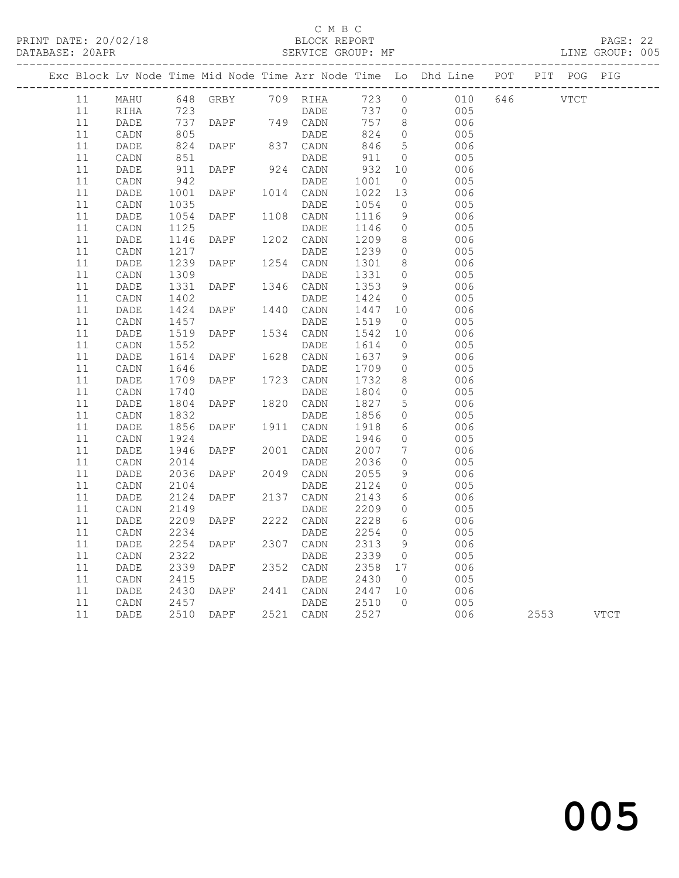## C M B C<br>BLOCK REPORT

#### SERVICE GROUP: MF

|    |          |                 |              |                 |                   |                      |                                                | Exc Block Lv Node Time Mid Node Time Arr Node Time Lo Dhd Line POT PIT POG PIG |         |             |  |
|----|----------|-----------------|--------------|-----------------|-------------------|----------------------|------------------------------------------------|--------------------------------------------------------------------------------|---------|-------------|--|
|    | 11       |                 |              |                 |                   |                      |                                                | 010 646                                                                        |         | <b>VTCT</b> |  |
|    | 11       |                 |              |                 |                   |                      |                                                | 005                                                                            |         |             |  |
|    | 11       | DADE            |              | 737 DAPF<br>805 | 749 CADN          | 757                  | 8 <sup>8</sup>                                 | 006                                                                            |         |             |  |
| 11 |          | CADN            |              | DAPF 837 CADN   | DADE              | 824                  | $\overline{0}$                                 | 005                                                                            |         |             |  |
|    | 11<br>11 | DADE            | 824<br>851   |                 |                   | 846<br>911           | $5\overline{)}$<br>$\overline{0}$              | 006<br>005                                                                     |         |             |  |
|    | 11       | CADN<br>DADE    | 911          | DAPF            | DADE<br>924 CADN  | 932 10               |                                                | 006                                                                            |         |             |  |
|    | 11       | CADN            | 942          |                 | DADE              |                      |                                                | 005                                                                            |         |             |  |
|    | 11       | DADE            | 1001         | <b>DAPF</b>     | 1014 CADN         | 1001 0<br>1022 13    |                                                | 006                                                                            |         |             |  |
|    | 11       | CADN            | 1035         |                 | DADE              | 1054                 | $\overline{0}$                                 | 005                                                                            |         |             |  |
|    | 11       | DADE            | 1054         | DAPF            | 1108 CADN         | 1116                 | 9                                              | 006                                                                            |         |             |  |
|    | 11       | CADN            | 1125         |                 | DADE              | 1146                 | $\overline{0}$                                 | 005                                                                            |         |             |  |
|    | 11       | $\mathtt{DADE}$ | 1146         | DAPF            | 1202 CADN         | 1209                 | 8 <sup>8</sup>                                 | 006                                                                            |         |             |  |
| 11 |          | CADN            | 1217         |                 | DADE              | 1239                 | $\overline{0}$                                 | 005                                                                            |         |             |  |
|    | 11       | DADE            | 1239         | DAPF            | 1254 CADN         | 1301                 | 8 <sup>8</sup>                                 | 006                                                                            |         |             |  |
|    | 11       | CADN            | 1309         |                 | DADE              | 1331                 | $\overline{0}$                                 | 005                                                                            |         |             |  |
|    | 11       | DADE            | 1331         | DAPF            | 1346 CADN         | 1353<br>1424         | 9                                              | 006                                                                            |         |             |  |
|    | 11       | CADN            | 1402         |                 | DADE              |                      | $\overline{0}$                                 | 005                                                                            |         |             |  |
|    | 11<br>11 | DADE<br>CADN    | 1424<br>1457 | DAPF            | 1440 CADN<br>DADE | 1447<br>1519         | 10<br>$\overline{0}$                           | 006<br>005                                                                     |         |             |  |
|    | 11       | DADE            | 1519         | DAPF            | 1534 CADN         | 1542                 | 10                                             | 006                                                                            |         |             |  |
|    | 11       | CADN            | 1552         |                 | DADE              | 1614                 | $\overline{0}$                                 | 005                                                                            |         |             |  |
|    | 11       | DADE            | 1614         | DAPF            | 1628 CADN         | 1637                 | 9                                              | 006                                                                            |         |             |  |
| 11 |          | CADN            | 1646         |                 | DADE              | 1709                 | $\overline{0}$                                 | 005                                                                            |         |             |  |
|    | 11       | DADE            | 1709         | DAPF            | 1723 CADN         | 1732                 | 8                                              | 006                                                                            |         |             |  |
|    | 11       | CADN            | 1740         |                 | DADE              | 1804<br>1827         | $\overline{0}$                                 | 005                                                                            |         |             |  |
| 11 |          | DADE            | 1804         | DAPF            | 1820 CADN         |                      | $5\overline{)}$                                | 006                                                                            |         |             |  |
| 11 |          | CADN            | 1832         |                 | DADE              | 1856<br>1918         | $\overline{0}$                                 | 005                                                                            |         |             |  |
|    | 11       | DADE            | 1856         | DAPF            | 1911 CADN         |                      | $6\overline{6}$                                | 006                                                                            |         |             |  |
|    | 11       | CADN            | 1924         |                 | DADE              | 1946                 | $\overline{0}$                                 | 005                                                                            |         |             |  |
| 11 | 11       | DADE<br>CADN    | 1946<br>2014 | DAPF            | 2001 CADN<br>DADE | 2007                 | $7\phantom{.0}\phantom{.0}7$<br>$\overline{0}$ | 006<br>005                                                                     |         |             |  |
|    | 11       | DADE            | 2036         | DAPF            | 2049 CADN         | 2036<br>2055         | 9                                              | 006                                                                            |         |             |  |
|    | 11       | CADN            | 2104         |                 | DADE              | 2124                 | $\overline{0}$                                 | 005                                                                            |         |             |  |
|    | 11       | DADE            | 2124         | DAPF            | 2137 CADN         |                      | 6                                              | 006                                                                            |         |             |  |
|    | 11       | CADN            | 2149         |                 | DADE              | 2143<br>2209         | $\overline{0}$                                 | 005                                                                            |         |             |  |
|    | 11       | DADE            | 2209         | DAPF            | 2222 CADN         |                      | 6                                              | 006                                                                            |         |             |  |
| 11 |          | CADN            | 2234         |                 | DADE              | 2228<br>2254         | $\overline{0}$                                 | 005                                                                            |         |             |  |
|    | 11       | DADE            | 2254         | DAPF            | 2307 CADN         | 2313<br>2339         | 9                                              | 006                                                                            |         |             |  |
| 11 |          | CADN            | 2322         |                 | DADE              |                      | $\overline{0}$                                 | 005                                                                            |         |             |  |
| 11 |          | DADE            | 2339         | DAPF            | 2352 CADN         | 2358 17              |                                                | 006                                                                            |         |             |  |
|    | 11       | CADN            | 2415         |                 | DADE              | 2430                 | $\overline{0}$                                 | 005                                                                            |         |             |  |
|    | 11       | DADE            | 2430         | DAPF            | 2441 CADN         | 2447 10              |                                                | 006                                                                            |         |             |  |
|    | 11<br>11 | CADN            | 2457         | 2510 DAPF       | DADE<br>2521 CADN | 2510<br>2527<br>2527 | $\bigcirc$                                     | 005                                                                            | 006 100 | 2553 VTCT   |  |
|    |          | DADE            |              |                 |                   |                      |                                                |                                                                                |         |             |  |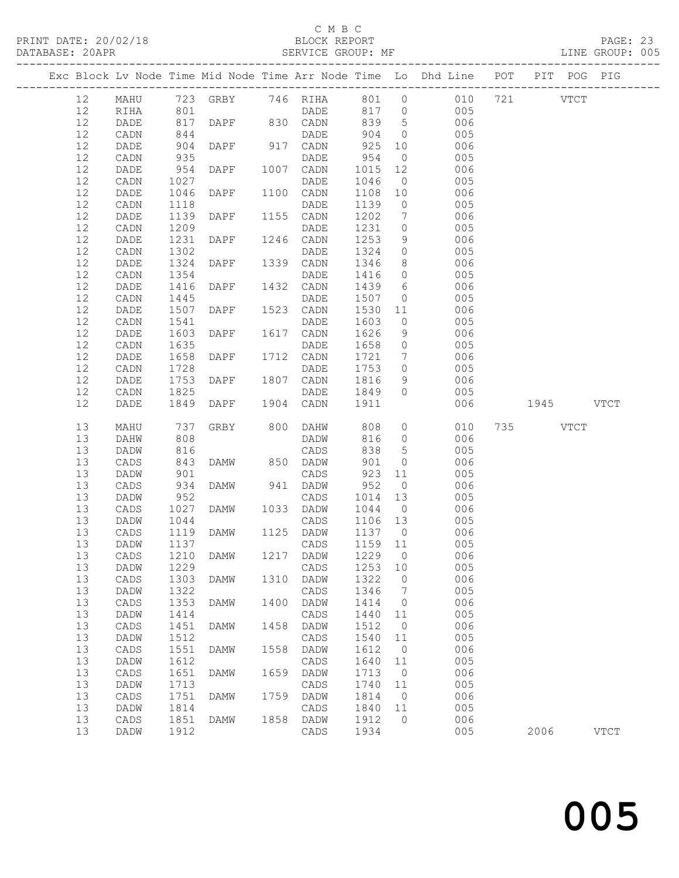## C M B C<br>BLOCK REPORT

#### SERVICE GROUP: MF

|  |          |                   |              |                |      |                     |              |                                  | Exc Block Lv Node Time Mid Node Time Arr Node Time Lo Dhd Line POT PIT POG PIG |           |             |
|--|----------|-------------------|--------------|----------------|------|---------------------|--------------|----------------------------------|--------------------------------------------------------------------------------|-----------|-------------|
|  | 12       | MAHU              |              |                |      |                     |              |                                  | 723 GRBY 746 RIHA 801 0 010                                                    | 721 VTCT  |             |
|  | 12       | RIHA              |              |                |      |                     |              |                                  |                                                                                |           |             |
|  | 12       | DADE              | $801\n\n817$ |                |      | DAPF 830 CADN 839 5 |              |                                  | $\begin{array}{c} 005 \\ 006 \end{array}$                                      |           |             |
|  | 12       | CADN              | 844          |                |      | DADE                | 904          | $\overline{0}$                   | 005                                                                            |           |             |
|  | 12       | DADE              | 904          | DAPF 917 CADN  |      |                     | 925          | 10                               | 006                                                                            |           |             |
|  | 12       | CADN              | 935          |                |      | DADE                | 954          | $\overline{0}$                   | 005                                                                            |           |             |
|  | 12       | DADE              | 954          | DAPF 1007 CADN |      |                     | 1015         | 12                               | 006                                                                            |           |             |
|  | 12       | CADN              | 1027         |                |      | DADE                | 1046         | $\overline{0}$                   | 005                                                                            |           |             |
|  | 12       | DADE              | 1046         | DAPF 1100 CADN |      |                     | 1108 10      |                                  | 006                                                                            |           |             |
|  | 12       | CADN              | 1118         | <b>DAPF</b>    |      | DADE                | 1139         | $\overline{0}$                   | 005                                                                            |           |             |
|  | 12<br>12 | DADE              | 1139         |                |      | 1155 CADN           | 1202<br>1231 | $\overline{7}$<br>$\overline{0}$ | 006                                                                            |           |             |
|  | 12       | CADN<br>DADE      | 1209<br>1231 | <b>DAPF</b>    |      | DADE<br>1246 CADN   | 1253         | 9                                | 005<br>006                                                                     |           |             |
|  | 12       | CADN              | 1302         |                |      | DADE                | 1324         | $\overline{0}$                   | 005                                                                            |           |             |
|  | 12       | DADE              | 1324         | DAPF 1339 CADN |      |                     | 1346         | 8                                | 006                                                                            |           |             |
|  | 12       | CADN              | 1354         |                |      | DADE                | 1416         | $\overline{0}$                   | 005                                                                            |           |             |
|  | 12       | DADE              | 1416         | DAPF           |      | 1432 CADN           | 1439         | 6                                | 006                                                                            |           |             |
|  | 12       | CADN              | 1445         |                |      | DADE                | 1507         | $\overline{0}$                   | 005                                                                            |           |             |
|  | 12       | DADE              | 1507         | <b>DAPF</b>    |      | 1523 CADN           | 1530 11      |                                  | 006                                                                            |           |             |
|  | 12       | CADN              | 1541         |                |      | DADE                | 1603         | $\overline{0}$                   | 005                                                                            |           |             |
|  | 12       | DADE              | 1603         | DAPF 1617 CADN |      |                     | 1626         | 9                                | 006                                                                            |           |             |
|  | 12       | CADN              | 1635         |                |      | DADE                | 1658         | $\overline{0}$                   | 005                                                                            |           |             |
|  | 12       | DADE              | 1658         | DAPF 1712 CADN |      |                     | 1721         | $\overline{7}$                   | 006                                                                            |           |             |
|  | 12       | CADN              | 1728         |                |      | DADE                | 1753         | $\overline{0}$                   | 005                                                                            |           |             |
|  | 12       | DADE              | 1753         | DAPF 1807 CADN |      |                     | 1816         | 9 <sup>°</sup>                   | 006                                                                            |           |             |
|  | $12$     | CADN              | 1825         |                |      | DADE                | 1849         | $\overline{0}$                   | 005                                                                            |           |             |
|  | 12       | DADE              | 1849         | DAPF           |      | 1904 CADN           | 1911         |                                  | 006                                                                            | 1945 VTCT |             |
|  |          |                   |              |                |      |                     |              |                                  |                                                                                |           |             |
|  | 13       | MAHU              | 737          |                |      | GRBY 800 DAHW 808   |              |                                  | $\overline{O}$<br>010                                                          | 735 VTCT  |             |
|  | 13       | DAHW              | 808          |                |      | DADW                | 816          |                                  | $0$ 006                                                                        |           |             |
|  | 13       | DADW              | 816          |                |      | CADS                | 838          | 5 <sup>5</sup>                   | 005                                                                            |           |             |
|  | 13       | CADS              | $0 + 6$      | DAMW 850 DADW  |      |                     | 901          | $\overline{0}$                   | 006                                                                            |           |             |
|  | 13       | DADW              | 901          |                |      | CADS                | 923 11       |                                  | 005                                                                            |           |             |
|  | 13       | CADS              | 934          | DAMW           |      | 941 DADW            | 952          | $\overline{0}$                   | 006                                                                            |           |             |
|  | 13       | DADW              | 952          |                |      | CADS                | 1014         | 13                               | 005                                                                            |           |             |
|  | 13       | CADS              | 1027         | DAMW 1033 DADW |      |                     | 1044         | $\overline{0}$                   | 006                                                                            |           |             |
|  | 13       | DADW              | 1044         |                |      | CADS                | 1106 13      |                                  | 005                                                                            |           |             |
|  | 13       | CADS              | 1119         | DAMW           |      | 1125 DADW           | 1137 0       |                                  | 006                                                                            |           |             |
|  | 13       | DADW              | 1137         |                |      | CADS                | 1159 11      |                                  | 005                                                                            |           |             |
|  |          | 13 CADS 1210 DAMW |              |                |      | 1217 DADW 1229 0    |              |                                  | 006                                                                            |           |             |
|  | 13       | DADW              | 1229         | <b>DAMW</b>    |      | CADS<br>DADW        | 1253         | 10<br>0                          | 005                                                                            |           |             |
|  | 13       | CADS<br>DADW      | 1303         |                | 1310 |                     | 1322         | 7                                | 006                                                                            |           |             |
|  | 13<br>13 | CADS              | 1322<br>1353 | DAMW           | 1400 | CADS<br>DADW        | 1346<br>1414 | 0                                | 005<br>006                                                                     |           |             |
|  | 13       | DADW              | 1414         |                |      | CADS                | 1440         | 11                               | 005                                                                            |           |             |
|  | 13       | CADS              | 1451         | DAMW           | 1458 | DADW                | 1512         | 0                                | 006                                                                            |           |             |
|  | 13       | DADW              | 1512         |                |      | CADS                | 1540         | 11                               | 005                                                                            |           |             |
|  | 13       | CADS              | 1551         | <b>DAMW</b>    | 1558 | DADW                | 1612         | 0                                | 006                                                                            |           |             |
|  | 13       | DADW              | 1612         |                |      | CADS                | 1640         | 11                               | 005                                                                            |           |             |
|  | 13       | CADS              | 1651         | DAMW           | 1659 | DADW                | 1713         | 0                                | 006                                                                            |           |             |
|  | 13       | DADW              | 1713         |                |      | CADS                | 1740         | 11                               | 005                                                                            |           |             |
|  | 13       | CADS              | 1751         | <b>DAMW</b>    | 1759 | DADW                | 1814         | $\circ$                          | 006                                                                            |           |             |
|  | 13       | DADW              | 1814         |                |      | CADS                | 1840         | 11                               | 005                                                                            |           |             |
|  | 13<br>13 | CADS<br>DADW      | 1851<br>1912 | <b>DAMW</b>    | 1858 | DADW<br>CADS        | 1912<br>1934 | $\mathbf{0}$                     | 006<br>005                                                                     | 2006      | <b>VTCT</b> |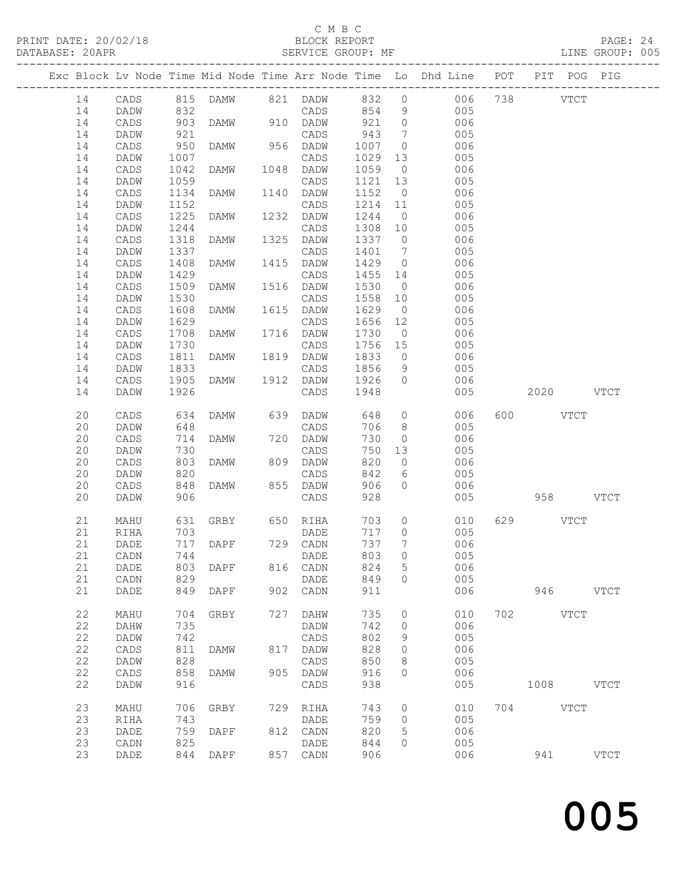## C M B C<br>BLOCK REPORT

#### SERVICE GROUP: MF

|          |              |            |                         |      |                  |            |                     | Exc Block Lv Node Time Mid Node Time Arr Node Time Lo Dhd Line POT |           | PIT POG PIG |             |
|----------|--------------|------------|-------------------------|------|------------------|------------|---------------------|--------------------------------------------------------------------|-----------|-------------|-------------|
| 14       | CADS         |            | 815 DAMW 821 DADW 832 0 |      |                  |            |                     | 006 738                                                            | VTCT      |             |             |
| 14       | DADW         | 832        |                         |      | CADS             | 854        | 9                   | 005                                                                |           |             |             |
| 14       | CADS         | 903        | DAMW 910 DADW           |      |                  | 921        | $\overline{0}$      | 006                                                                |           |             |             |
| 14       | DADW         | 921        |                         |      | CADS             | 943        | $\overline{7}$      | 005                                                                |           |             |             |
| 14       | CADS         | 950        | DAMW                    |      | 956 DADW         | 1007       | $\overline{0}$      | 006                                                                |           |             |             |
| 14       | DADW         | 1007       |                         |      | CADS             | 1029       | 13                  | 005                                                                |           |             |             |
| 14       | CADS         | 1042       | DAMW                    |      | 1048 DADW        | 1059       | $\overline{0}$      | 006                                                                |           |             |             |
| 14       | DADW         | 1059       |                         |      | CADS             | 1121       | 13                  | 005                                                                |           |             |             |
| 14       | CADS         | 1134       | DAMW                    |      | 1140 DADW        | 1152       | $\overline{0}$      | 006                                                                |           |             |             |
| 14       | DADW         | 1152       |                         |      | CADS             | 1214 11    |                     | 005                                                                |           |             |             |
| 14       | CADS         | 1225       | DAMW                    | 1232 | DADW             | 1244       | $\overline{0}$      | 006                                                                |           |             |             |
| 14       | DADW         | 1244       |                         |      | CADS             | 1308       | 10                  | 005                                                                |           |             |             |
| 14       | CADS         | 1318       | DAMW                    |      | 1325 DADW        | 1337       | $\overline{0}$      | 006                                                                |           |             |             |
| 14       | DADW         | 1337       |                         |      | CADS             | 1401       | $\overline{7}$      | 005                                                                |           |             |             |
| 14       | CADS         | 1408       | DAMW                    |      | 1415 DADW        | 1429       | $\overline{0}$      | 006                                                                |           |             |             |
| 14       | DADW         | 1429       |                         |      | CADS             | 1455       | 14                  | 005                                                                |           |             |             |
| 14       | CADS         | 1509       | DAMW                    |      | 1516 DADW        | 1530       | $\overline{0}$      | 006                                                                |           |             |             |
| 14       | DADW         | 1530       |                         |      | CADS             | 1558       | 10                  | 005                                                                |           |             |             |
|          |              | 1608       | DAMW                    |      | 1615 DADW        | 1629       | $\overline{0}$      | 006                                                                |           |             |             |
| 14       | CADS         | 1629       |                         |      |                  |            |                     | 005                                                                |           |             |             |
| 14       | DADW         |            |                         |      | CADS             | 1656       | 12                  |                                                                    |           |             |             |
| 14       | CADS         | 1708       | DAMW                    |      | 1716 DADW        | 1730       | $\overline{0}$      | 006                                                                |           |             |             |
| 14       | DADW         | 1730       |                         |      | CADS             | 1756 15    |                     | 005                                                                |           |             |             |
| 14       | CADS         | 1811       | DAMW                    |      | 1819 DADW        | 1833       | $\overline{0}$      | 006                                                                |           |             |             |
| 14       | DADW         | 1833       |                         |      | CADS             | 1856       | 9                   | 005                                                                |           |             |             |
| 14       | CADS         | 1905       | DAMW                    |      | 1912 DADW        | 1926       | $\overline{0}$      | 006                                                                |           |             |             |
| 14       | DADW         | 1926       |                         |      | CADS             | 1948       |                     | 005                                                                | 2020 VTCT |             |             |
| 20       |              |            |                         |      | 639 DADW         | 648        |                     | $\overline{0}$<br>006                                              | 600 VTCT  |             |             |
|          | CADS<br>DADW | 634<br>648 | DAMW                    |      |                  | 706        | 8                   | 005                                                                |           |             |             |
| 20<br>20 |              | 714        |                         |      | CADS<br>720 DADW | 730        | $\circ$             | 006                                                                |           |             |             |
|          | CADS         |            | DAMW                    |      |                  |            |                     |                                                                    |           |             |             |
| 20       | DADW         | 730        |                         |      | CADS             | 750<br>820 | 13                  | 005                                                                |           |             |             |
| 20<br>20 | CADS         | 803<br>820 | DAMW                    |      | 809 DADW         | 842        | $\overline{0}$<br>6 | 006<br>005                                                         |           |             |             |
|          | DADW         |            |                         |      | CADS             |            |                     |                                                                    |           |             |             |
| 20       | CADS         | 848        | DAMW                    |      | 855 DADW         | 906        | $\circ$             | 006                                                                |           |             |             |
| 20       | DADW         | 906        |                         |      | CADS             | 928        |                     | 005                                                                |           | 958 VTCT    |             |
| 21       | MAHU         | 631        | GRBY 650 RIHA           |      |                  | 703        | $\circ$             | 010                                                                | 629 VTCT  |             |             |
| 21       | RIHA         | 703        |                         |      | DADE             | 717        | $\overline{0}$      | 005                                                                |           |             |             |
| 21       | DADE         | 717        | DAPF 729 CADN           |      |                  | 737        | $7\phantom{.}$      | 006                                                                |           |             |             |
|          | 21 CADN      |            | 744 DADE                |      |                  |            | 803 0               | 005                                                                |           |             |             |
| 21       | DADE         | 803        | DAPF                    | 816  | CADN             | 824        | 5                   | 006                                                                |           |             |             |
| 21       | CADN         | 829        |                         |      | DADE             | 849        | $\Omega$            | 005                                                                |           |             |             |
| 21       | DADE         | 849        | DAPF                    |      | 902 CADN         | 911        |                     | 006                                                                | 946       |             | <b>VTCT</b> |
|          |              |            |                         |      |                  |            |                     |                                                                    |           |             |             |
| 22       | MAHU         | 704        | GRBY                    | 727  | DAHW             | 735        | 0                   | 010                                                                | 702 VTCT  |             |             |
| 22       | DAHW         | 735        |                         |      | DADW             | 742        | $\circ$             | 006                                                                |           |             |             |
| 22       | DADW         | 742        |                         |      | CADS             | 802        | 9                   | 005                                                                |           |             |             |
| 22       | CADS         | 811        | <b>DAMW</b>             |      | 817 DADW         | 828        | 0                   | 006                                                                |           |             |             |
| 22       | DADW         | 828        |                         |      | CADS             | 850        | 8                   | 005                                                                |           |             |             |
| 22       | CADS         | 858        | DAMW                    |      | 905 DADW         | 916        | $\Omega$            | 006                                                                |           |             |             |
| 22       | DADW         | 916        |                         |      | CADS             | 938        |                     | 005                                                                | 1008 VTCT |             |             |
|          |              |            |                         |      |                  |            |                     |                                                                    |           |             |             |
| 23       | MAHU         | 706        | GRBY                    | 729  | RIHA             | 743        | $\circ$             | 010                                                                | 704 VTCT  |             |             |
| 23       | RIHA         | 743        |                         |      | DADE             | 759        | $\circ$             | 005                                                                |           |             |             |
| 23       | DADE         | 759        | DAPF                    |      | 812 CADN         | 820        | 5                   | 006                                                                |           |             |             |
| 23       | CADN         | 825        |                         |      | DADE             | 844        | 0                   | 005                                                                |           |             |             |
| 23       | DADE         | 844        | DAPF                    |      | 857 CADN         | 906        |                     | 006                                                                |           | 941         | <b>VTCT</b> |
|          |              |            |                         |      |                  |            |                     |                                                                    |           |             |             |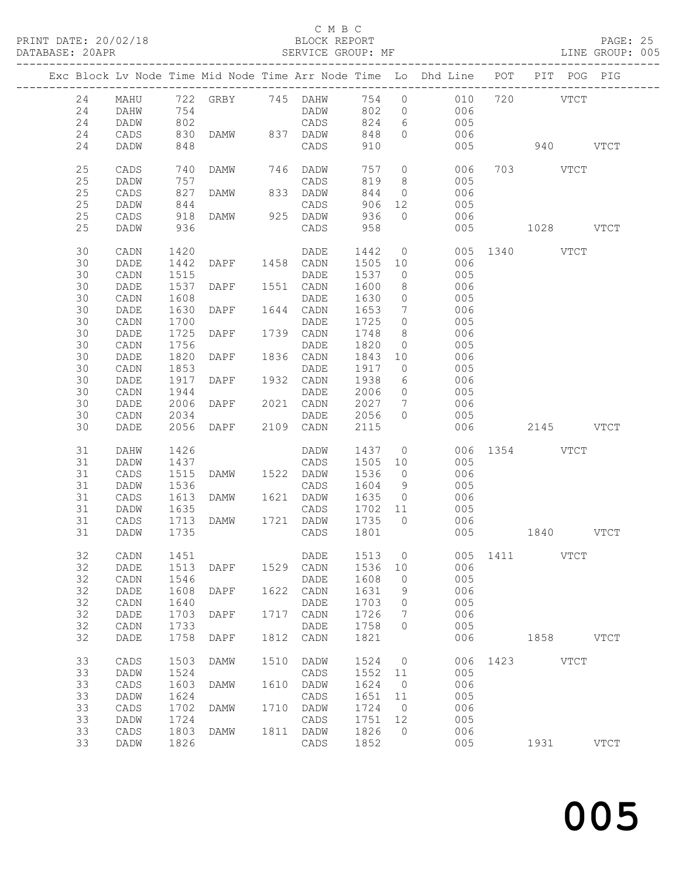# C M B C<br>BLOCK REPORT<br>SERVICE GROUP: MF

|        |                 |            |                |      | ∪ ⊔ ⊔ ∪                                                                        |         |                |                                                                                        |           |          |             |               |  |
|--------|-----------------|------------|----------------|------|--------------------------------------------------------------------------------|---------|----------------|----------------------------------------------------------------------------------------|-----------|----------|-------------|---------------|--|
|        |                 |            |                |      | Exc Block Lv Node Time Mid Node Time Arr Node Time Lo Dhd Line POT PIT POG PIG |         |                |                                                                                        |           |          |             |               |  |
| 24     | MAHU            |            |                |      | 722 GRBY 745 DAHW 754 0 010 720 VTCT                                           |         |                |                                                                                        |           |          |             |               |  |
| 24     | DAHW            |            |                |      | DADW                                                                           |         |                |                                                                                        |           |          |             |               |  |
| 24     | DADW            | 754<br>802 |                |      | CADS                                                                           |         |                |                                                                                        |           |          |             |               |  |
| 24     | CADS            | 830        |                |      | DAMW 837 DADW                                                                  |         |                | $\begin{array}{cccc} 802 & 0 & 006 \\ 824 & 6 & 005 \\ 848 & 0 & 006 \end{array}$      |           |          |             |               |  |
| 24     | DADW            | 848        |                |      | CADS                                                                           | 910     |                | 005                                                                                    | 940 VTCT  |          |             |               |  |
| 25     | CADS            | 740        | DAMW 746 DADW  |      |                                                                                |         |                | 757 0 006                                                                              |           | 703 VTCT |             |               |  |
| 25     | DADW            | 757        |                |      | CADS                                                                           | 819     |                | 8005                                                                                   |           |          |             |               |  |
| 25     | CADS            | 827        | DAMW           |      | 833 DADW                                                                       | 844     |                | $0 0 06$                                                                               |           |          |             |               |  |
| 25     | DADW            | 844        |                |      |                                                                                | 906     |                | 12 005                                                                                 |           |          |             |               |  |
| 25     | CADS            |            |                |      |                                                                                | 936     | $\overline{0}$ | 006                                                                                    |           |          |             |               |  |
| 25     | DADW            | 918<br>936 |                |      | CADS                                                                           | 958     |                | 005                                                                                    | 1028 VTCT |          |             |               |  |
| 30     | CADN            | 1420       |                |      | DADE                                                                           | 1442    |                | 0 005 1340 VTCT                                                                        |           |          |             |               |  |
| 30     | DADE            | 1442       | DAPF 1458 CADN |      |                                                                                |         |                | 1505  10  006<br>1537  0  005                                                          |           |          |             |               |  |
| 30     | CADN            | 1515       |                |      | DADE                                                                           | 1537    |                |                                                                                        |           |          |             |               |  |
| 30     | DADE            | 1537       | DAPF           |      | 1551 CADN                                                                      | 1600    |                | 8 006                                                                                  |           |          |             |               |  |
| 30     | CADN            | 1608       |                |      | DADE                                                                           | 1630    |                | $0\qquad \qquad 005$                                                                   |           |          |             |               |  |
| 30     | DADE            | 1630       | DAPF           |      | 1644 CADN                                                                      |         |                | 1653 7 006<br>1725 0 005                                                               |           |          |             |               |  |
| 30     | $\mathtt{CADN}$ | 1700       |                |      | DADE                                                                           |         |                |                                                                                        |           |          |             |               |  |
| 30     | DADE            | 1725       | DAPF           |      | 1739 CADN                                                                      | 1748    |                | 8 006                                                                                  |           |          |             |               |  |
| 30     | CADN            | 1756       |                |      | DADE                                                                           | 1820    |                | $0\qquad \qquad 005$                                                                   |           |          |             |               |  |
| 30     | DADE            | 1820       | DAPF           |      | 1836 CADN                                                                      | 1843    |                |                                                                                        |           |          |             |               |  |
| 30     | $\mathtt{CADN}$ | 1853       |                |      | DADE                                                                           | 1917    |                | $\begin{array}{ccc} 10 & \quad & 006 \\ 0 & \quad & 005 \end{array}$                   |           |          |             |               |  |
| 30     | DADE            | 1917       | DAPF           |      | 1932 CADN                                                                      | 1938    |                | $\begin{array}{ccc} 6 & 006 \end{array}$                                               |           |          |             |               |  |
| 30     | CADN            | 1944       |                |      | DADE                                                                           |         |                | 2006 0 005                                                                             |           |          |             |               |  |
| 30     | DADE            | 2006       | DAPF           |      | 2021 CADN                                                                      |         |                | 2027 7 006                                                                             |           |          |             |               |  |
| 30     | CADN            | 2034       |                |      | DADE                                                                           | 2056 0  |                | 005                                                                                    |           |          |             |               |  |
| 30     | DADE            | 2056       | DAPF           |      | 2109 CADN                                                                      | 2115    |                | 006                                                                                    | 2145 VTCT |          |             |               |  |
| 31     | DAHW            | 1426       |                |      | DADW                                                                           |         |                | 1437 0 006 1354 VTCT                                                                   |           |          |             |               |  |
| 31     | DADW            | 1437       |                |      | CADS                                                                           | 1505 10 |                | 005                                                                                    |           |          |             |               |  |
| 31     | CADS            | 1515       | DAMW 1522 DADW |      |                                                                                | 1536    |                | $0 0 06$                                                                               |           |          |             |               |  |
| 31     | DADW            | 1536       |                |      | CADS                                                                           |         |                | 1604 9 005                                                                             |           |          |             |               |  |
| 31     | CADS            | 1613       | DAMW 1621 DADW |      |                                                                                |         |                | 1635 0 006                                                                             |           |          |             |               |  |
| 31     | DADW            | 1635       |                |      | CADS                                                                           | 1702 11 |                |                                                                                        |           |          |             |               |  |
| 31     | CADS            |            | 1713 DAMW      |      | 1721 DADW                                                                      | 1735    |                | $\begin{array}{ccc} 11 & \hspace{1.5cm} & 005 \\ 0 & \hspace{1.5cm} & 006 \end{array}$ |           |          |             |               |  |
| $31\,$ | DADW            | 1735       |                |      | CADS                                                                           | 1801    |                | 005                                                                                    |           | 1840     |             | VTCT          |  |
| 32     | CADN            | 1451       |                |      | DADE                                                                           | 1513    | 0              | 005                                                                                    | 1411      |          | <b>VTCT</b> |               |  |
| 32     | DADE            | 1513       | DAPF           | 1529 | CADN                                                                           | 1536    | 10             | 006                                                                                    |           |          |             |               |  |
| 32     | CADN            | 1546       |                |      | DADE                                                                           | 1608    | 0              | 005                                                                                    |           |          |             |               |  |
| 32     | DADE            | 1608       | DAPF           | 1622 | CADN                                                                           | 1631    | 9              | 006                                                                                    |           |          |             |               |  |
| 32     | CADN            | 1640       |                |      | DADE                                                                           | 1703    | 0              | 005                                                                                    |           |          |             |               |  |
| 32     | $\mathtt{DADE}$ | 1703       | DAPF           | 1717 | CADN                                                                           | 1726    | 7              | 006                                                                                    |           |          |             |               |  |
| 32     | CADN            | 1733       |                |      | $\mathtt{DADE}$                                                                | 1758    | $\circ$        | 005                                                                                    |           |          |             |               |  |
| 32     | DADE            | 1758       | DAPF           | 1812 | CADN                                                                           | 1821    |                | 006                                                                                    |           | 1858     |             | <b>VTCT</b>   |  |
| 33     | CADS            | 1503       | DAMW           | 1510 | DADW                                                                           | 1524    | $\circ$        | 006                                                                                    | 1423      |          | <b>VTCT</b> |               |  |
| 33     | DADW            | 1524       |                |      | CADS                                                                           | 1552    | 11             | 005                                                                                    |           |          |             |               |  |
| 33     | CADS            | 1603       | DAMW           | 1610 | DADW                                                                           | 1624    | 0              | 006                                                                                    |           |          |             |               |  |
| 33     | DADW            | 1624       |                |      | CADS                                                                           | 1651    | 11             | 005                                                                                    |           |          |             |               |  |
| 33     | $\mathtt{CADS}$ | 1702       | DAMW           | 1710 | DADW                                                                           | 1724    | $\circ$        | 006                                                                                    |           |          |             |               |  |
| 33     | DADW            | 1724       |                |      | CADS                                                                           | 1751    | 12             | 005                                                                                    |           |          |             |               |  |
| 33     | CADS            | 1803       | DAMW           | 1811 | DADW                                                                           | 1826    | $\circ$        | 006                                                                                    |           |          |             |               |  |
| 33     | DADW            | 1826       |                |      | $\mathtt{CADS}$                                                                | 1852    |                | 005                                                                                    |           | 1931     |             | $_{\rm VTCT}$ |  |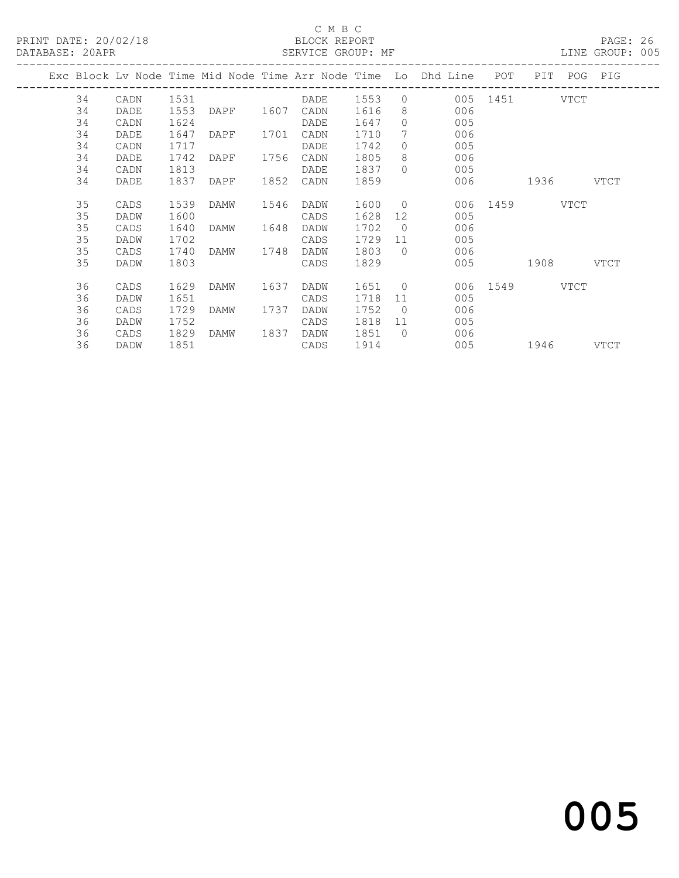#### C M B C BLOCK REPORT<br>SERVICE GROUP: MF

| PRINT DATE: 20/02/18 BLOCK REPORT<br>DATABASE: 20APR |      |      | SERVICE GROUP: MF |      |           |        |                | LINE GROUP: 005                                                                |               |           | PAGE: 26 |  |
|------------------------------------------------------|------|------|-------------------|------|-----------|--------|----------------|--------------------------------------------------------------------------------|---------------|-----------|----------|--|
|                                                      |      |      |                   |      |           |        |                | Exc Block Lv Node Time Mid Node Time Arr Node Time Lo Dhd Line POT PIT POG PIG |               |           |          |  |
| 34                                                   | CADN |      |                   |      |           |        |                |                                                                                |               |           |          |  |
| 34                                                   | DADE | 1553 | DAPF 1607 CADN    |      |           | 1616   |                | 8<br>006                                                                       |               |           |          |  |
| 34                                                   | CADN | 1624 |                   |      | DADE      | 1647   |                | $\bigcap$<br>005                                                               |               |           |          |  |
| 34                                                   | DADE | 1647 | DAPF 1701 CADN    |      |           | 1710   | $7\phantom{0}$ | 006                                                                            |               |           |          |  |
| 34                                                   | CADN | 1717 |                   |      | DADE      | 1742   |                | $\Omega$<br>005                                                                |               |           |          |  |
| 34                                                   | DADE | 1742 | DAPF 1756 CADN    |      |           | 1805   |                | 006                                                                            |               |           |          |  |
| 34                                                   | CADN | 1813 |                   |      | DADE      | 1837   | $\cap$         | 005                                                                            |               |           |          |  |
| 34                                                   | DADE | 1837 | DAPF              | 1852 | CADN      | 1859   |                |                                                                                | 006 1936 VTCT |           |          |  |
| 35                                                   | CADS | 1539 | DAMW              | 1546 | DADW      | 1600 0 |                |                                                                                | 006 1459 VTCT |           |          |  |
| 35                                                   | DADW | 1600 |                   |      | CADS      | 1628   | 12             | 005                                                                            |               |           |          |  |
| 35                                                   | CADS | 1640 | DAMW              |      | 1648 DADW | 1702   | $\overline{0}$ | 006                                                                            |               |           |          |  |
| 35                                                   | DADW | 1702 |                   |      | CADS      | 1729   |                | 11 - 1<br>005                                                                  |               |           |          |  |
| 35                                                   | CADS | 1740 | DAMW              | 1748 | DADW      | 1803   |                | 006<br>$\bigcap$                                                               |               |           |          |  |
| 35                                                   | DADW | 1803 |                   |      | CADS      | 1829   |                |                                                                                | 005           | 1908 VTCT |          |  |
| 36                                                   | CADS | 1629 | DAMW              | 1637 | DADW      | 1651 0 |                |                                                                                | 006 1549 VTCT |           |          |  |
| 36                                                   | DADW | 1651 |                   |      | CADS      | 1718   | 11             | 005                                                                            |               |           |          |  |
| 36                                                   | CADS | 1729 | DAMW              | 1737 | DADW      | 1752   | $\bigcirc$     | 006                                                                            |               |           |          |  |
| 36                                                   | DADW | 1752 |                   |      | CADS      | 1818   |                | 11<br>005                                                                      |               |           |          |  |
| 36                                                   | CADS | 1829 | DAMW 1837         |      | DADW      | 1851   |                | $\Omega$<br>006                                                                |               |           |          |  |
| 36                                                   | DADW | 1851 |                   |      | CADS      | 1914   |                |                                                                                | 005 1946 VTCT |           |          |  |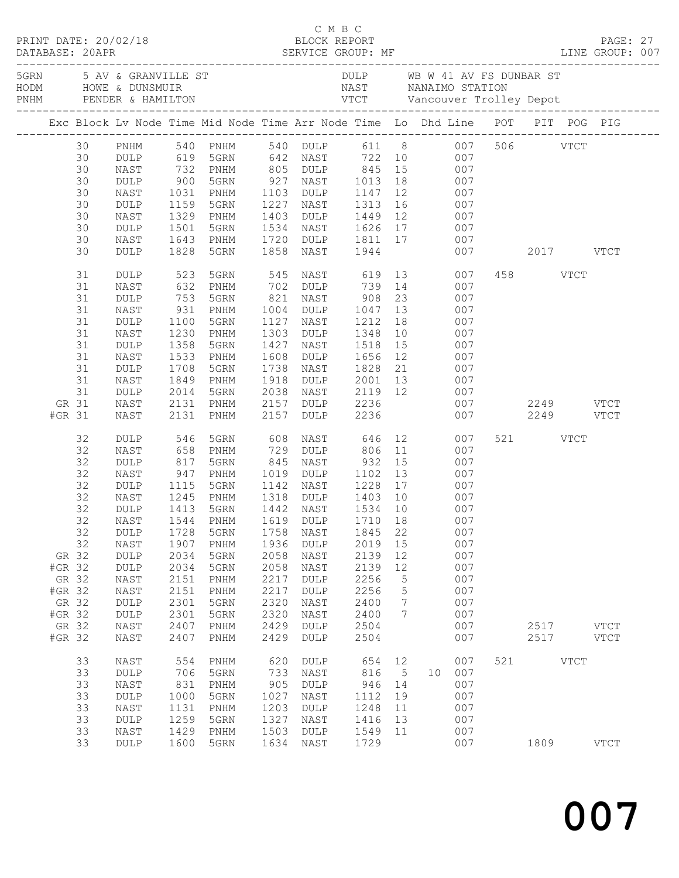|                                                                          |                                                                                                          |                                                                                                                                                                    |                                                                                                                            |                                                                                                                                                                                  |                                                                                                                   |                                                                                                                                                                                |                                                                                                                 |                                                          | Exc Block Lv Node Time Mid Node Time Arr Node Time Lo Dhd Line POT PIT POG PIG                                                                                                                           |                         |                          |             |                            |  |
|--------------------------------------------------------------------------|----------------------------------------------------------------------------------------------------------|--------------------------------------------------------------------------------------------------------------------------------------------------------------------|----------------------------------------------------------------------------------------------------------------------------|----------------------------------------------------------------------------------------------------------------------------------------------------------------------------------|-------------------------------------------------------------------------------------------------------------------|--------------------------------------------------------------------------------------------------------------------------------------------------------------------------------|-----------------------------------------------------------------------------------------------------------------|----------------------------------------------------------|----------------------------------------------------------------------------------------------------------------------------------------------------------------------------------------------------------|-------------------------|--------------------------|-------------|----------------------------|--|
|                                                                          | 30<br>30<br>30<br>30<br>30<br>30<br>30<br>30<br>30<br>30<br>31<br>31<br>31<br>31<br>31<br>31<br>31<br>31 | PNHM<br>DULP<br>NAST<br>DULP<br>NAST<br>DULP<br>NAST<br>DULP<br>NAST<br>DULP<br>DULP<br>NAST<br>$\texttt{DULP}$<br>NAST<br>$\texttt{DULP}$<br>NAST<br>DULP<br>NAST | 732<br>$900$<br>$1031$<br>1159<br>1329<br>1501<br>1643<br>1828<br>523<br>632<br>753<br>931<br>1100<br>1230<br>1358<br>1533 | 619 5GRN<br>PNHM<br>5GRN<br>PNHM<br>5GRN<br>PNHM<br>5GRN<br>PNHM<br>5GRN<br>5GRN<br>PNHM<br>5GRN<br>PNHM<br>5GRN<br>PNHM<br>5GRN<br>PNHM                                         | 1227<br>1403<br>1534<br>1720<br>1858<br>545<br>821<br>1004<br>1127<br>1303<br>1427<br>1608                        | 642 NAST 722 10<br>927 NAST 1013 18<br>1103 DULP 1147 12<br>NAST 1313<br>DULP 1449 12<br>NAST<br>NAST 619 13<br>702 DULP<br>NAST<br>DULP<br>NAST<br>DULP<br>NAST<br>DULP 1656  | 1944<br>739 14<br>908<br>1047 13<br>1212<br>1348<br>1518                                                        | 23<br>18<br>10<br>15<br>12                               | 540 PNHM 540 DULP 611 8 007 506 VTCT<br>007<br>805 DULP 845 15 007<br>007<br>007<br>16 007<br>007<br>NAST 1626 17 007<br>DULP 1811 17 007<br>007<br>007<br>007<br>007<br>007<br>007<br>007<br>007<br>007 |                         | 2017 VTCT<br>458 VTCT    |             |                            |  |
| GR 31<br>#GR 31                                                          | 31<br>31<br>31                                                                                           | DULP<br>NAST<br>DULP<br>NAST<br>NAST                                                                                                                               | 1708<br>1849<br>2014<br>2131<br>2131                                                                                       | 5GRN<br>PNHM<br>5GRN<br>PNHM<br>PNHM                                                                                                                                             | 1738<br>1918<br>2038<br>2157<br>2157                                                                              | NAST<br>DULP<br>NAST<br>DULP 2236<br>DULP                                                                                                                                      | 1828<br>2236                                                                                                    | 21                                                       | 007<br>2001 13 007<br>2119 12 007                                                                                                                                                                        | 007 2249 VTCT<br>007 00 | 2249 VTCT                |             |                            |  |
| GR 32<br>#GR 32<br>GR 32<br>#GR 32<br>GR 32<br>#GR 32<br>GR 32<br>#GR 32 | 32<br>32<br>32<br>32<br>32<br>32<br>32<br>32<br>32                                                       | DULP<br>NAST<br>DULP<br>NAST<br>DULP<br>NAST<br>DULP<br>DULP<br>NAST<br>DULP<br>DULP<br>NAST<br>NAST<br>DULP<br>$\texttt{DULP}$<br>NAST<br>NAST                    | 546<br>658<br>817<br>947<br>1115<br>1245<br>1728<br>1907<br>2034<br>2034<br>2151<br>2151<br>2301<br>2301<br>2407<br>2407   | 5GRN<br>PNHM<br>5GRN<br>PNHM<br>5GRN<br>PNHM<br>1413 5GRN<br>32 NAST 1544 PNHM 1619 DULP 1710 18<br>5GRN<br>PNHM<br>5GRN<br>5GRN<br>PNHM<br>PNHM<br>5GRN<br>5GRN<br>PNHM<br>PNHM | 608<br>729<br>845<br>1019<br>1142<br>1758<br>1936<br>2058<br>2058<br>2217<br>2217<br>2320<br>2320<br>2429<br>2429 | NAST<br>DULP<br>NAST<br>DULP<br>NAST<br>1318 DULP 1403 10<br>1442 NAST<br>NAST<br>DULP<br>NAST<br>NAST<br>DULP<br>DULP<br>NAST<br>$\ensuremath{\mathsf{NAST}}$<br>DULP<br>DULP | 646<br>806 11<br>932<br>1534 10<br>1845<br>2019<br>2139<br>2139<br>2256<br>2256<br>2400<br>2400<br>2504<br>2504 | 15<br>22<br>15<br>12<br>12<br>$\mathsf S$<br>5<br>7<br>7 | 12 0<br>007<br>007<br>007<br>007<br>007<br>007<br>007<br>007<br>007<br>007<br>007<br>007<br>007<br>007<br>007<br>007<br>007<br>007                                                                       |                         | 521 VTCT<br>2517<br>2517 |             | <b>VTCT</b><br><b>VTCT</b> |  |
|                                                                          | 33<br>33<br>33<br>33<br>33<br>33<br>33<br>33                                                             | NAST<br>DULP<br>NAST<br><b>DULP</b><br>NAST<br>DULP<br>NAST<br>DULP                                                                                                | 554<br>706<br>831<br>1000<br>1131<br>1259<br>1429<br>1600                                                                  | PNHM<br>5GRN<br>PNHM<br>5GRN<br>PNHM<br>5GRN<br>PNHM<br>5GRN                                                                                                                     | 620<br>733<br>905<br>1027<br>1203<br>1327<br>1503<br>1634                                                         | <b>DULP</b><br>NAST<br>$\texttt{DULP}$<br>NAST<br>DULP<br>NAST<br>DULP<br>NAST                                                                                                 | 654<br>816<br>946<br>1112<br>1248<br>1416<br>1549<br>1729                                                       | 12<br>5<br>14<br>19<br>11<br>13<br>11                    | 007<br>007<br>10<br>007<br>007<br>007<br>007<br>007<br>007                                                                                                                                               | 521                     | 1809                     | <b>VTCT</b> | <b>VTCT</b>                |  |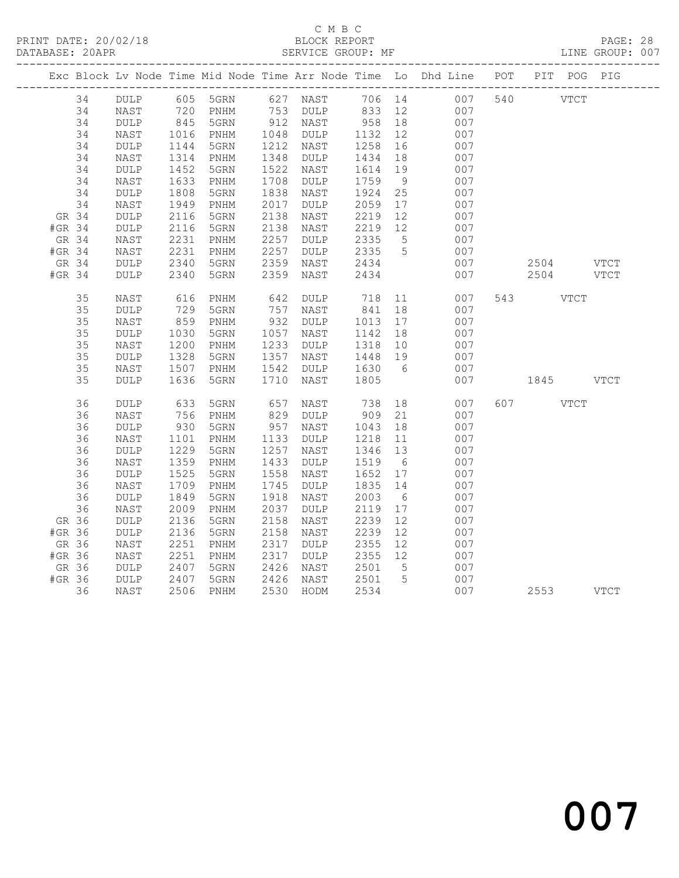### C M B C<br>
C M B C<br>
ELOCK REPORT DATABASE: 20APR SERVICE GROUP: MF LINE GROUP: 007

|        |    |                 |            |                              |            |                 |      |                 | Exc Block Lv Node Time Mid Node Time Arr Node Time Lo Dhd Line POT PIT POG PIG |             |      |
|--------|----|-----------------|------------|------------------------------|------------|-----------------|------|-----------------|--------------------------------------------------------------------------------|-------------|------|
|        | 34 | DULP            |            | 605 5GRN 627 NAST            |            |                 |      |                 | 706 14<br>007                                                                  | 540 VTCT    |      |
|        | 34 | NAST            | 720<br>845 | PNHM                         | 753<br>912 | DULP            | 833  |                 | 12<br>007                                                                      |             |      |
|        | 34 | $\texttt{DULP}$ |            | 5GRN                         |            | NAST            | 958  | 18              | 007                                                                            |             |      |
|        | 34 | NAST            | 1016       | PNHM                         | 1048       | DULP            | 1132 | 12              | 007                                                                            |             |      |
|        | 34 | <b>DULP</b>     | 1144       | 5GRN                         | 1212       | NAST            | 1258 | 16              | 007                                                                            |             |      |
|        | 34 | NAST            | 1314       | PNHM                         | 1348       | $\texttt{DULP}$ | 1434 | 18              | 007                                                                            |             |      |
|        | 34 | $\texttt{DULP}$ | 1452       | 5GRN                         | 1522       | NAST            | 1614 | 19              | 007                                                                            |             |      |
|        | 34 | NAST            | 1633       | PNHM                         | 1708       | $\texttt{DULP}$ | 1759 | 9               | 007                                                                            |             |      |
|        | 34 | $\texttt{DULP}$ | 1808       | 5GRN                         | 1838       | NAST            | 1924 | 25              | 007                                                                            |             |      |
|        | 34 | NAST            | 1949       | PNHM                         | 2017       | DULP            | 2059 | 17              | 007                                                                            |             |      |
| GR 34  |    | $\texttt{DULP}$ | 2116       | 5GRN                         | 2138       | NAST            | 2219 | 12              | 007                                                                            |             |      |
| #GR 34 |    | <b>DULP</b>     | 2116       | 5GRN                         | 2138       | NAST            | 2219 | 12              | 007                                                                            |             |      |
| GR 34  |    | $\mathtt{NAST}$ | 2231       | PNHM                         | 2257       | <b>DULP</b>     | 2335 | $5\overline{)}$ | 007                                                                            |             |      |
| #GR 34 |    | $\mathtt{NAST}$ | 2231       | $\mathop{\rm PNHM}\nolimits$ | 2257       | DULP            | 2335 | $5\overline{)}$ | 007                                                                            |             |      |
| GR 34  |    | $\texttt{DULP}$ | 2340       | 5GRN                         | 2359       | NAST            | 2434 |                 | 007                                                                            | $2504$ VTCT |      |
| #GR 34 |    | <b>DULP</b>     | 2340       | 5GRN                         | 2359       | NAST            | 2434 |                 | 007                                                                            | 2504        | VTCT |
|        | 35 | NAST            | 616<br>729 | PNHM                         | 642        | DULP            | 718  | 11              | 007                                                                            | 543 VTCT    |      |
|        | 35 | $\texttt{DULP}$ |            | 5GRN                         | 757        | NAST            | 841  | 18              | 007                                                                            |             |      |
|        | 35 | NAST            | 859        | PNHM                         | 932        | DULP            | 1013 | 17              | 007                                                                            |             |      |
|        | 35 | $\texttt{DULP}$ | 1030       | 5GRN                         | 1057       | NAST            | 1142 | 18              | 007                                                                            |             |      |
|        | 35 | NAST            | 1200       | PNHM                         | 1233       | DULP            | 1318 | 10              | 007                                                                            |             |      |
|        | 35 | $\texttt{DULP}$ | 1328       | 5GRN                         | 1357       | NAST            | 1448 | 19              | 007                                                                            |             |      |
|        | 35 | NAST            | 1507       | PNHM                         | 1542       | DULP            | 1630 | 6               | 007                                                                            |             |      |
|        | 35 | DULP            | 1636       | 5GRN                         | 1710       | NAST            | 1805 |                 | 007                                                                            | 1845 VTCT   |      |
|        | 36 | $\texttt{DULP}$ | 633        | 5GRN                         | 657        | NAST            | 738  |                 | 18<br>007                                                                      | 607 VTCT    |      |
|        | 36 | NAST            | 756        | PNHM                         | 829        | DULP            | 909  | 21              | 007                                                                            |             |      |
|        | 36 | $\texttt{DULP}$ | 930        | 5GRN                         | 957        | NAST            | 1043 | 18              | 007                                                                            |             |      |
|        | 36 | NAST            | 1101       | PNHM                         | 1133       | DULP            | 1218 | 11              | 007                                                                            |             |      |
|        | 36 | DULP            | 1229       | 5GRN                         | 1257       | NAST            | 1346 | 13              | 007                                                                            |             |      |
|        | 36 | NAST            | 1359       | PNHM                         | 1433       | $\texttt{DULP}$ | 1519 | $6\overline{6}$ | 007                                                                            |             |      |
|        | 36 | <b>DULP</b>     | 1525       | 5GRN                         | 1558       | NAST            | 1652 | 17              | 007                                                                            |             |      |
|        | 36 | NAST            | 1709       | PNHM                         | 1745       | DULP            | 1835 | 14              | 007                                                                            |             |      |
|        | 36 | $\texttt{DULP}$ | 1849       | 5GRN                         | 1918       | NAST            | 2003 | $6\overline{6}$ | 007                                                                            |             |      |
|        | 36 | NAST            | 2009       | PNHM                         | 2037       | $\texttt{DULP}$ | 2119 | 17              | 007                                                                            |             |      |
| GR 36  |    | $\texttt{DULP}$ | 2136       | 5GRN                         | 2158       | NAST            | 2239 | 12              | 007                                                                            |             |      |
| #GR 36 |    | DULP            | 2136       | 5GRN                         | 2158       | NAST            | 2239 | 12              | 007                                                                            |             |      |
| GR 36  |    | NAST            | 2251       | $\texttt{PNHM}{}$            | 2317       | DULP            | 2355 | 12              | 007                                                                            |             |      |
| #GR 36 |    | NAST            | 2251       | PNHM                         | 2317       | <b>DULP</b>     | 2355 | 12              | 007                                                                            |             |      |
| GR 36  |    | DULP            | 2407       | 5GRN                         | 2426       | NAST            | 2501 | 5               | 007                                                                            |             |      |
| #GR 36 |    | DULP            | 2407       | 5GRN                         | 2426       | NAST            | 2501 | $5\overline{)}$ | 007                                                                            |             |      |
|        | 36 | NAST            | 2506       | $\mathop{\rm PNHM}\nolimits$ | 2530       | HODM            | 2534 |                 | 007                                                                            | 2553 VTCT   |      |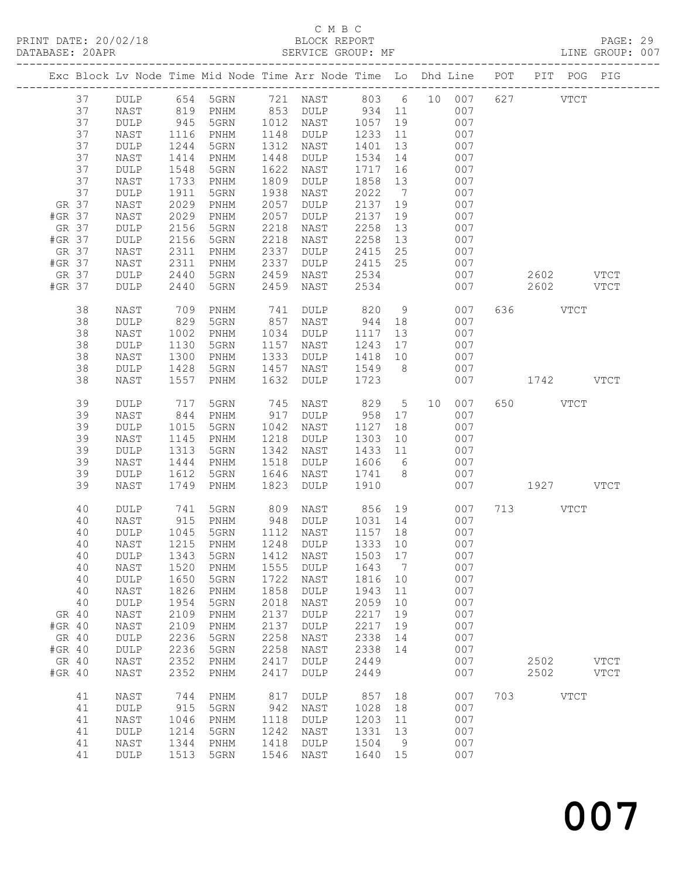### C M B C<br>BLOCK REPORT SERVICE GROUP: MF

|        |             |                              |              | Exc Block Lv Node Time Mid Node Time Arr Node Time Lo Dhd Line POT |              |                 |              |                      |    |            |     | PIT POG PIG |               |
|--------|-------------|------------------------------|--------------|--------------------------------------------------------------------|--------------|-----------------|--------------|----------------------|----|------------|-----|-------------|---------------|
|        | 37          | DULP                         |              | 654 5GRN 721 NAST 803 6 10 007                                     |              |                 |              |                      |    |            |     | 627 VTCT    |               |
|        | 37          | NAST                         | 819          | PNHM                                                               |              | 853 DULP 934 11 |              |                      |    | 007        |     |             |               |
|        | 37          | $\texttt{DULP}$              | 945          | 5GRN                                                               | 1012         | NAST            | 1057         | 19                   |    | 007        |     |             |               |
|        | 37          | NAST                         | 1116         | PNHM                                                               | 1148         | DULP            | 1233         | 11                   |    | 007        |     |             |               |
|        | 37          | DULP                         | 1244         | 5GRN                                                               | 1312         | NAST            | 1401         | 13                   |    | 007        |     |             |               |
|        | 37          | NAST                         | 1414         | PNHM                                                               | 1448         | DULP            | 1534         | 14                   |    | 007        |     |             |               |
|        | 37          | DULP                         | 1548         | 5GRN                                                               | 1622         | NAST            | 1717         | 16                   |    | 007        |     |             |               |
|        | 37          | NAST                         | 1733         | PNHM                                                               | 1809         | DULP            | 1858         | 13                   |    | 007        |     |             |               |
|        | 37<br>GR 37 | DULP                         | 1911<br>2029 | 5GRN                                                               | 1938<br>2057 | NAST            | 2022<br>2137 | $\overline{7}$<br>19 |    | 007<br>007 |     |             |               |
| #GR 37 |             | NAST<br>NAST                 | 2029         | PNHM<br>PNHM                                                       | 2057         | DULP<br>DULP    | 2137         | 19                   |    | 007        |     |             |               |
|        | GR 37       | DULP                         | 2156         | 5GRN                                                               | 2218         | NAST            | 2258         | 13                   |    | 007        |     |             |               |
| #GR 37 |             | DULP                         | 2156         | 5GRN                                                               | 2218         | NAST            | 2258         | 13                   |    | 007        |     |             |               |
|        | GR 37       | NAST                         | 2311         | PNHM                                                               | 2337         | DULP            | 2415         | 25                   |    | 007        |     |             |               |
| #GR 37 |             | NAST                         | 2311         | PNHM                                                               | 2337         | DULP            | 2415         | 25                   |    | 007        |     |             |               |
|        | GR 37       | DULP                         | 2440         | 5GRN                                                               | 2459         | NAST            | 2534         |                      |    | 007        |     | 2602 VTCT   |               |
| #GR 37 |             | DULP                         | 2440         | 5GRN                                                               | 2459         | NAST            | 2534         |                      |    | 007        |     | 2602 VTCT   |               |
|        | 38          | NAST                         | 709          | PNHM                                                               | 741          | DULP            | 820          | 9                    |    | 007        |     | 636 VTCT    |               |
|        | 38          | DULP                         | 829          | 5GRN                                                               | 857          | NAST            | 944          | 18                   |    | 007        |     |             |               |
|        | 38          | NAST                         | 1002         | PNHM                                                               | 1034         | DULP            | 1117         | 13                   |    | 007        |     |             |               |
|        | 38          | $\texttt{DULP}$              | 1130         | 5GRN                                                               | 1157         | NAST            | 1243         | 17                   |    | 007        |     |             |               |
|        | 38          | NAST                         | 1300         | PNHM                                                               | 1333         | DULP            | 1418         | 10                   |    | 007        |     |             |               |
|        | 38          | $\texttt{DULP}$              | 1428         | 5GRN                                                               | 1457         | NAST            | 1549         | 8 <sup>8</sup>       |    | 007        |     |             |               |
|        | 38          | NAST                         | 1557         | PNHM                                                               | 1632         | DULP            | 1723         |                      |    | 007        |     | 1742 VTCT   |               |
|        | 39          | DULP                         | 717          | 5GRN                                                               | 745<br>917   | NAST            | 829<br>958   | $5\overline{)}$      | 10 | 007        |     | 650 VTCT    |               |
|        | 39<br>39    | NAST<br><b>DULP</b>          | 844<br>1015  | PNHM<br>5GRN                                                       | 1042         | DULP<br>NAST    | 1127         | 17                   |    | 007<br>007 |     |             |               |
|        | 39          | NAST                         | 1145         | PNHM                                                               | 1218         | DULP            | 1303         | 18<br>10             |    | 007        |     |             |               |
|        | 39          | DULP                         | 1313         | 5GRN                                                               | 1342         | NAST            | 1433         | 11                   |    | 007        |     |             |               |
|        | 39          | NAST                         | 1444         | PNHM                                                               | 1518         | DULP            | 1606         | 6                    |    | 007        |     |             |               |
|        | 39          | DULP                         | 1612         | 5GRN                                                               | 1646         | NAST            | 1741         | 8 <sup>8</sup>       |    | 007        |     |             |               |
|        | 39          | NAST                         | 1749         | PNHM                                                               | 1823         | DULP            | 1910         |                      |    | 007        |     | 1927 VTCT   |               |
|        | 40          | DULP                         | 741          | 5GRN                                                               | 809          | NAST            | 856          | 19                   |    | 007        |     | 713 VTCT    |               |
|        | 40          | NAST                         | 915          | PNHM                                                               | 948          | DULP            | 1031         | 14                   |    | 007        |     |             |               |
|        | 40          | <b>DULP</b>                  | 1045         | 5GRN                                                               | 1112         | NAST            | 1157         | 18                   |    | 007        |     |             |               |
|        | 40          | NAST                         | 1215         | PNHM                                                               | 1248         | DULP            | 1333 10      |                      |    | 007        |     |             |               |
|        |             |                              |              | 40 DULP 1343 5GRN 1412 NAST 1503 17                                |              |                 |              |                      |    | 007        |     |             |               |
|        | 40          | NAST                         | 1520         | PNHM                                                               | 1555         | DULP            | 1643         | $\overline{7}$       |    | 007        |     |             |               |
|        | 40          | DULP                         | 1650         | 5GRN                                                               | 1722<br>1858 | NAST            | 1816         | 10<br>11             |    | 007<br>007 |     |             |               |
|        | 40<br>40    | NAST<br>DULP                 | 1826<br>1954 | PNHM<br>5GRN                                                       | 2018         | DULP<br>NAST    | 1943<br>2059 | 10                   |    | 007        |     |             |               |
|        | GR 40       | $\ensuremath{\mathsf{NAST}}$ | 2109         | PNHM                                                               | 2137         | DULP            | 2217         | 19                   |    | 007        |     |             |               |
| #GR 40 |             | NAST                         | 2109         | PNHM                                                               | 2137         | DULP            | 2217         | 19                   |    | 007        |     |             |               |
|        | GR 40       | DULP                         | 2236         | 5GRN                                                               | 2258         | NAST            | 2338         | 14                   |    | 007        |     |             |               |
| #GR 40 |             | DULP                         | 2236         | 5GRN                                                               | 2258         | NAST            | 2338         | 14                   |    | 007        |     |             |               |
|        | GR 40       | NAST                         | 2352         | PNHM                                                               | 2417         | DULP            | 2449         |                      |    | 007        |     | 2502        | <b>VTCT</b>   |
| #GR 40 |             | NAST                         | 2352         | PNHM                                                               | 2417         | DULP            | 2449         |                      |    | 007        |     | 2502        | $_{\rm VTCT}$ |
|        | 41          | NAST                         | 744          | PNHM                                                               | 817          | DULP            | 857          | 18                   |    | 007        | 703 | <b>VTCT</b> |               |
|        | 41          | $\texttt{DULP}$              | 915          | 5GRN                                                               | 942          | NAST            | 1028         | 18                   |    | 007        |     |             |               |
|        | 41          | NAST                         | 1046         | PNHM                                                               | 1118         | DULP            | 1203         | 11                   |    | 007        |     |             |               |
|        | 41          | DULP                         | 1214         | 5GRN                                                               | 1242         | NAST            | 1331         | 13                   |    | 007        |     |             |               |
|        | 41<br>41    | NAST<br>DULP                 | 1344<br>1513 | PNHM<br>5GRN                                                       | 1418<br>1546 | DULP<br>NAST    | 1504<br>1640 | $\overline{9}$<br>15 |    | 007<br>007 |     |             |               |
|        |             |                              |              |                                                                    |              |                 |              |                      |    |            |     |             |               |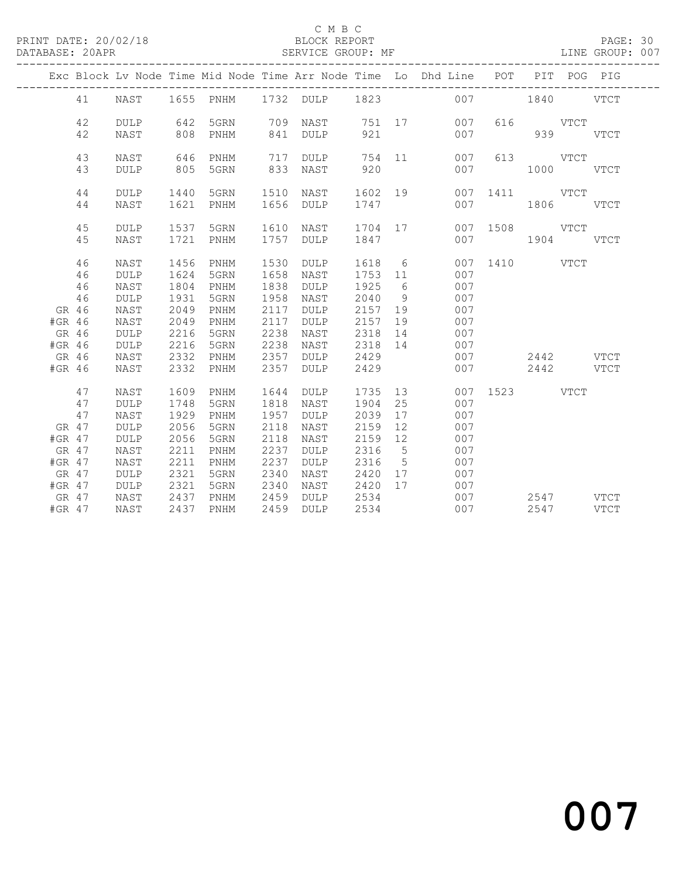### C M B C<br>
C M B C<br>
ELOCK REPORT

### DATABASE: 20APR SERVICE GROUP: MF LINE GROUP: 007

|          | 41<br>42<br>42 | NAST<br><b>DULP</b> |      |           |      |           |         |             | Exc Block Lv Node Time Mid Node Time Arr Node Time Lo Dhd Line POT PIT POG PIG |               |               |             |  |
|----------|----------------|---------------------|------|-----------|------|-----------|---------|-------------|--------------------------------------------------------------------------------|---------------|---------------|-------------|--|
|          |                |                     |      |           |      |           |         |             |                                                                                |               |               |             |  |
|          |                |                     |      |           |      |           |         |             | 1655 PNHM 1732 DULP 1823 007 1840 VTCT                                         |               |               |             |  |
|          |                |                     | 642  | 5GRN      | 709  | NAST      |         |             | 751 17 007                                                                     |               | 616 VTCT      |             |  |
|          |                | NAST                | 808  | PNHM      | 841  | DULP      | 921     |             | 007                                                                            |               | 939           | <b>VTCT</b> |  |
|          | 43             | NAST                | 646  | PNHM      | 717  | DULP      |         |             | 754 11<br>007                                                                  |               | 613 VTCT      |             |  |
|          | 43             | DULP                | 805  | 5GRN      | 833  | NAST      | 920     |             | 007                                                                            |               | $1000$ $VTCT$ |             |  |
|          | 44             | DULP                | 1440 | 5GRN      |      | 1510 NAST | 1602 19 |             |                                                                                | 007 1411 VTCT |               |             |  |
|          | 44             | NAST                | 1621 | PNHM      |      | 1656 DULP | 1747    |             | 007                                                                            |               | 1806 VTCT     |             |  |
|          | 45             | <b>DULP</b>         | 1537 | 5GRN      | 1610 | NAST      | 1704 17 |             |                                                                                | 007 1508 VTCT |               |             |  |
|          | 45             | NAST                | 1721 | PNHM      | 1757 | DULP      | 1847    |             | 007                                                                            |               | 1904 VTCT     |             |  |
|          | 46             | NAST                | 1456 | PNHM      | 1530 | DULP      | 1618 6  |             |                                                                                | 007 1410 VTCT |               |             |  |
|          | 46             | <b>DULP</b>         | 1624 | 5GRN      | 1658 | NAST      | 1753 11 |             | 007                                                                            |               |               |             |  |
|          | 46             | NAST                | 1804 | PNHM      | 1838 | DULP      | 1925    | 6           | 007                                                                            |               |               |             |  |
|          | 46             | <b>DULP</b>         | 1931 | 5GRN      | 1958 | NAST      | 2040    | 9           | 007                                                                            |               |               |             |  |
| GR 46    |                | NAST                | 2049 | PNHM      | 2117 | DULP      | 2157    | 19          | 007                                                                            |               |               |             |  |
| #GR 46   |                | NAST                | 2049 | PNHM      | 2117 | DULP      | 2157    | 19          | 007                                                                            |               |               |             |  |
| GR 46    |                | <b>DULP</b>         | 2216 | 5GRN      | 2238 | NAST      | 2318    | 14          | 007                                                                            |               |               |             |  |
| #GR 46   |                | $\texttt{DULP}$     | 2216 | 5GRN      | 2238 | NAST      | 2318 14 |             | 007                                                                            |               |               |             |  |
| GR 46    |                | NAST                | 2332 | PNHM      | 2357 | DULP      | 2429    |             | 007                                                                            |               | 2442 VTCT     |             |  |
| #GR 46   |                | NAST                | 2332 | PNHM      | 2357 | DULP      | 2429    |             | 007                                                                            |               | 2442 VTCT     |             |  |
|          | 47             | NAST                | 1609 | PNHM      | 1644 | DULP      | 1735    |             | 13                                                                             | 007 1523 VTCT |               |             |  |
|          | 47             | <b>DULP</b>         | 1748 | 5GRN      | 1818 | NAST      | 1904    | 25          | 007                                                                            |               |               |             |  |
|          | 47             | NAST                | 1929 | PNHM      | 1957 | DULP      | 2039    | 17          | 007                                                                            |               |               |             |  |
| GR 47    |                | <b>DULP</b>         | 2056 | 5GRN      | 2118 | NAST      | 2159    | 12          | 007                                                                            |               |               |             |  |
| #GR 47   |                | DULP                | 2056 | 5GRN      | 2118 | NAST      | 2159    | 12          | 007                                                                            |               |               |             |  |
| GR 47    |                | NAST                | 2211 | PNHM      | 2237 | DULP      | 2316    | $5^{\circ}$ | 007                                                                            |               |               |             |  |
| #GR 47   |                | NAST                | 2211 | PNHM      | 2237 | DULP      | 2316    | $5^{\circ}$ | 007                                                                            |               |               |             |  |
| GR 47    |                | DULP                | 2321 | 5GRN      | 2340 | NAST      | 2420    | 17          | 007                                                                            |               |               |             |  |
| $#GR$ 47 |                | <b>DULP</b>         | 2321 | 5GRN      | 2340 | NAST      | 2420 17 |             | 007                                                                            |               |               |             |  |
| GR 47    |                | NAST                | 2437 | PNHM      | 2459 | DULP      | 2534    |             | 007                                                                            |               | 2547 VTCT     |             |  |
| $#GR$ 47 |                | NAST                |      | 2437 PNHM | 2459 | DULP      | 2534    |             | 007                                                                            |               | 2547          | VTCT        |  |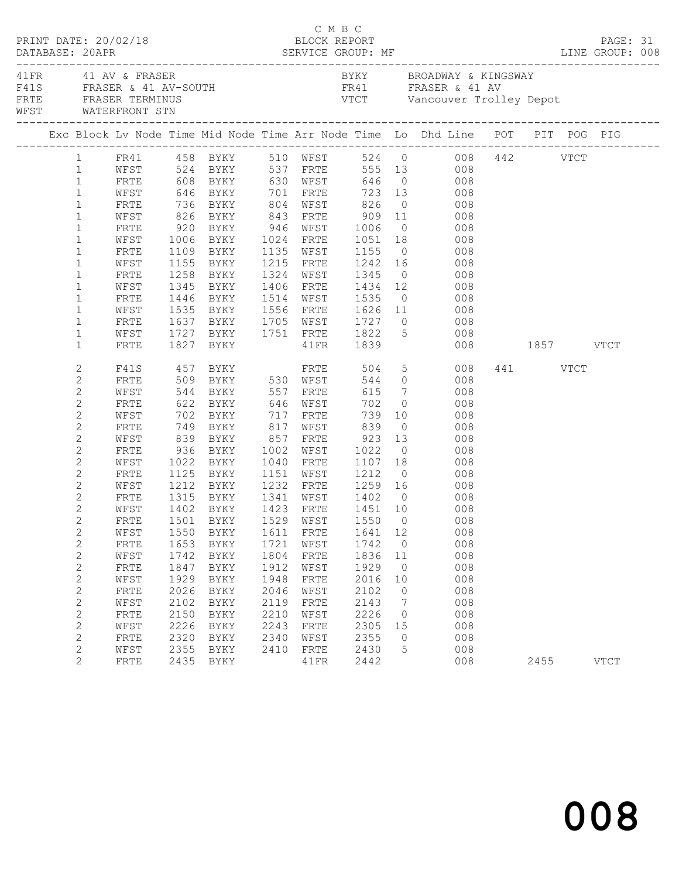| PRINT DATE: 20/02/18 |                                  |                                                                     |              |                                |              |              | C M B C<br>BLOCK REPORT               |                      |                                                                                                                                                                                                    |          | PAGE: 31    |  |
|----------------------|----------------------------------|---------------------------------------------------------------------|--------------|--------------------------------|--------------|--------------|---------------------------------------|----------------------|----------------------------------------------------------------------------------------------------------------------------------------------------------------------------------------------------|----------|-------------|--|
|                      |                                  | 41 FR 41 AV & FRASER<br>FRTE FRASER TERMINUS<br>WEST WATERFRONT STN |              | F41S FRASER & 41 AV-SOUTH      |              |              |                                       |                      | BYKY BROADWAY & KINGSWAY<br>FR41 FRASER & 41 AV<br>VTCT Vancouver Trolley Depot                                                                                                                    |          |             |  |
|                      |                                  |                                                                     |              |                                |              |              |                                       |                      | Exc Block Lv Node Time Mid Node Time Arr Node Time Lo Dhd Line POT PIT POG PIG                                                                                                                     |          |             |  |
|                      |                                  |                                                                     |              |                                |              |              |                                       |                      | 1 FR41 458 BYKY 510 WFST 524 0 008 442 VTCT<br>1 WFST 524 BYKY 537 FRTE 555 13 008                                                                                                                 |          |             |  |
|                      |                                  |                                                                     |              |                                |              |              |                                       |                      |                                                                                                                                                                                                    |          |             |  |
|                      | $\mathbf{1}$                     |                                                                     |              |                                |              |              |                                       |                      | FRTE 608 BYKY 630 WFST 646 0 008                                                                                                                                                                   |          |             |  |
|                      | $\mathbf{1}$                     | WFST                                                                |              |                                |              |              |                                       |                      |                                                                                                                                                                                                    |          |             |  |
|                      | $\mathbf{1}$                     | FRTE                                                                |              |                                |              |              |                                       |                      | 646 BYKY       701   FRTE       723   13             008<br>736   BYKY        804   WFST        826     0               008<br>826   BYKY         843   FRTE          909    11                008 |          |             |  |
|                      | $\mathbf{1}$                     | WFST                                                                |              |                                |              |              |                                       |                      |                                                                                                                                                                                                    |          |             |  |
|                      | $\mathbf{1}$                     | FRTE                                                                |              | 920 BYKY 946 WFST 1006         |              |              |                                       |                      | $0$ 008                                                                                                                                                                                            |          |             |  |
|                      | $\mathbf{1}$                     | WFST                                                                | 1006         | BYKY 1024 FRTE 1051 18         |              |              |                                       |                      | 008                                                                                                                                                                                                |          |             |  |
|                      | $\mathbf{1}$                     | FRTE                                                                |              |                                |              |              |                                       |                      |                                                                                                                                                                                                    |          |             |  |
|                      | $\mathbf{1}$                     | WFST                                                                |              |                                |              |              |                                       |                      | 1109 BYKY 1135 WFST 1155 0 008<br>1155 BYKY 1215 FRTE 1242 16 008                                                                                                                                  |          |             |  |
|                      | $\mathbf{1}$                     | FRTE                                                                |              | 1258 BYKY                      |              |              | 1324 WFST 1345                        |                      | $0 \qquad \qquad 008$                                                                                                                                                                              |          |             |  |
|                      | $\mathbf{1}$                     | WFST                                                                | 1345         |                                |              |              | BYKY 1406 FRTE 1434 12                |                      | 008                                                                                                                                                                                                |          |             |  |
|                      | $\mathbf{1}$                     | FRTE                                                                |              |                                |              |              |                                       |                      |                                                                                                                                                                                                    |          |             |  |
|                      | $\mathbf{1}$                     | WFST                                                                |              |                                |              |              |                                       |                      |                                                                                                                                                                                                    |          |             |  |
|                      | $\mathbf{1}$                     | FRTE                                                                |              |                                |              |              |                                       |                      | 1637 BYKY 1705 WFST 1727 0 008                                                                                                                                                                     |          |             |  |
|                      | $\mathbf{1}$                     | WFST                                                                |              |                                |              |              |                                       |                      | 1727 BYKY 1751 FRTE 1822 5 008                                                                                                                                                                     |          |             |  |
|                      | $\mathbf{1}$                     | FRTE                                                                |              | 1827 BYKY                      |              | 41FR         | 1839                                  |                      | 008 1857 VTCT                                                                                                                                                                                      |          |             |  |
|                      | 2                                |                                                                     |              |                                |              |              |                                       |                      | F41S 457 BYKY FRTE 504 5 008                                                                                                                                                                       | 441 VTCT |             |  |
|                      | $\overline{c}$                   | FRTE                                                                |              | 509 BYKY 530 WFST              |              |              |                                       |                      | 544 0 008                                                                                                                                                                                          |          |             |  |
|                      | 2                                | WFST                                                                |              |                                |              |              | 615                                   |                      | $\begin{array}{ccc}\n7 & 008 \\ \end{array}$                                                                                                                                                       |          |             |  |
|                      | $\mathbf{2}$                     | FRTE                                                                |              |                                |              |              | 702                                   | $\overline{0}$       | 008                                                                                                                                                                                                |          |             |  |
|                      | 2                                | WFST                                                                |              |                                |              |              |                                       |                      | $739$ 10 008                                                                                                                                                                                       |          |             |  |
|                      | $\mathbf{2}$                     | FRTE                                                                |              | 749 BYKY                       |              |              | 817 WFST 839                          |                      | $0$ 008                                                                                                                                                                                            |          |             |  |
|                      | 2                                | WFST                                                                |              | 839 BYKY                       |              | 857 FRTE     | 923                                   | 13                   | 008                                                                                                                                                                                                |          |             |  |
|                      | $\mathbf{2}$                     | FRTE                                                                |              | 936 BYKY<br>1022 BYKY          |              | 1002 WFST    | 1022 0<br>1107 18                     |                      | 008                                                                                                                                                                                                |          |             |  |
|                      | 2                                | WFST                                                                |              | 1022 BYKY                      | 1040         | FRTE         |                                       |                      | 008                                                                                                                                                                                                |          |             |  |
|                      | 2                                | FRTE                                                                |              | 1125 BYKY                      |              |              | 1151 WFST 1212                        |                      | $0$ 008                                                                                                                                                                                            |          |             |  |
|                      | 2                                | WFST                                                                | 1212         |                                |              |              |                                       |                      | BYKY 1232 FRTE 1259 16 008                                                                                                                                                                         |          |             |  |
|                      | $\mathbf{2}$                     | FRTE                                                                |              | 1315 BYKY<br>1402 BYKY<br>BYKY |              |              | 1341 WFST 1402 0<br>1423 FRTE 1451 10 |                      | $\begin{array}{c} 008 \\ 008 \end{array}$                                                                                                                                                          |          |             |  |
|                      | $\overline{c}$                   | WFST                                                                |              |                                |              |              |                                       |                      |                                                                                                                                                                                                    |          |             |  |
|                      | $\mathbf{2}$                     |                                                                     |              |                                |              |              |                                       |                      | FRTE 1501 BYKY 1529 WFST 1550 0 008                                                                                                                                                                |          |             |  |
|                      | $\mathbf{2}$                     | WFST                                                                | 1550         | BYKY                           | 1611         | FRTE         | 1641                                  | 12                   | 008                                                                                                                                                                                                |          |             |  |
|                      | $\overline{c}$                   | FRTE                                                                | 1653         | BYKY                           | 1721         | WFST         | 1742                                  | $\overline{0}$       | 008                                                                                                                                                                                                |          |             |  |
|                      | $\mathbf{2}$                     | WFST                                                                | 1742         | BYKY                           | 1804         | FRTE         | 1836                                  | 11                   | 008                                                                                                                                                                                                |          |             |  |
|                      | $\overline{c}$                   | FRTE                                                                | 1847         | BYKY                           | 1912<br>1948 | WFST         | 1929                                  | $\overline{0}$<br>10 | 008<br>008                                                                                                                                                                                         |          |             |  |
|                      | $\overline{c}$<br>$\overline{c}$ | WFST<br>FRTE                                                        | 1929<br>2026 | BYKY                           | 2046         | FRTE<br>WFST | 2016<br>2102                          | 0                    | 008                                                                                                                                                                                                |          |             |  |
|                      | $\mathbf{2}$                     | WFST                                                                | 2102         | BYKY<br>BYKY                   | 2119         | FRTE         | 2143                                  | $7\phantom{.0}$      | 008                                                                                                                                                                                                |          |             |  |
|                      | $\overline{c}$                   | FRTE                                                                | 2150         | BYKY                           | 2210         | WFST         | 2226                                  | $\circ$              | 008                                                                                                                                                                                                |          |             |  |
|                      | $\overline{c}$                   | WFST                                                                | 2226         | BYKY                           | 2243         | FRTE         | 2305                                  | 15                   | 008                                                                                                                                                                                                |          |             |  |
|                      | $\mathbf{2}$                     | FRTE                                                                | 2320         | BYKY                           | 2340         | WFST         | 2355                                  | $\circ$              | 008                                                                                                                                                                                                |          |             |  |
|                      | $\overline{c}$                   | WFST                                                                | 2355         | BYKY                           | 2410         | FRTE         | 2430                                  | 5                    | 008                                                                                                                                                                                                |          |             |  |
|                      | $\overline{2}$                   | FRTE                                                                |              | 2435 BYKY                      |              | 41FR         | 2442                                  |                      | 008                                                                                                                                                                                                | 2455     | <b>VTCT</b> |  |
|                      |                                  |                                                                     |              |                                |              |              |                                       |                      |                                                                                                                                                                                                    |          |             |  |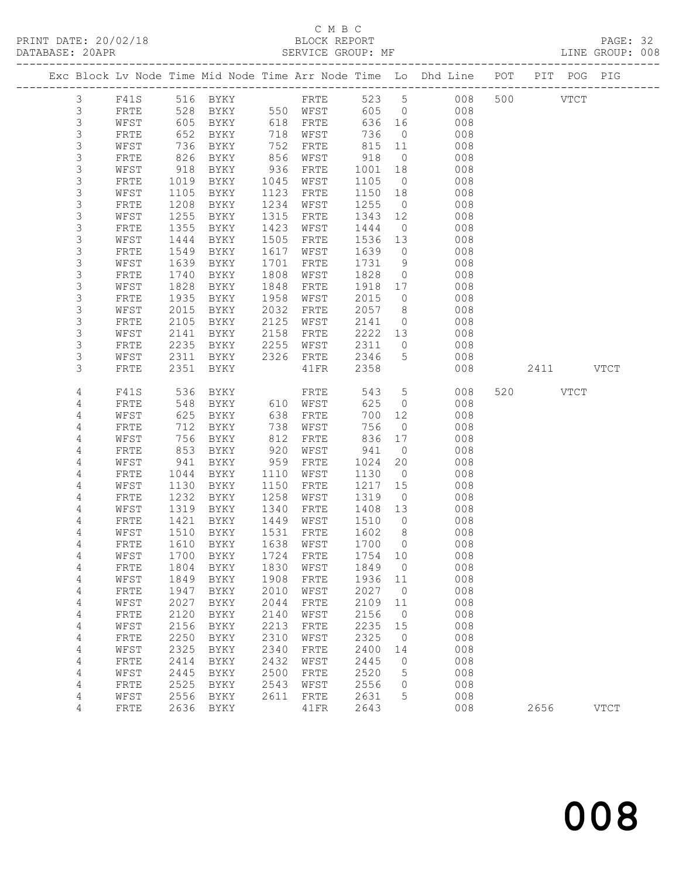# C M B C<br>BLOCK REPORT

PAGE: 32<br>LINE GROUP: 008

|                |              |      |                     |      |              |         |                | Exc Block Lv Node Time Mid Node Time Arr Node Time Lo Dhd Line POT PIT POG PIG |     |         |             |             |
|----------------|--------------|------|---------------------|------|--------------|---------|----------------|--------------------------------------------------------------------------------|-----|---------|-------------|-------------|
| $\mathfrak{Z}$ | F41S         |      | 516 BYKY            |      | FRTE         | 523 5   |                | 008                                                                            |     | 500 000 | <b>VTCT</b> |             |
| 3              | FRTE         | 528  | BYKY                |      | 550 WFST     | 605     | $\overline{0}$ | 008                                                                            |     |         |             |             |
| $\mathsf S$    | WFST         | 605  | BYKY                | 618  | FRTE         | 636     | 16             | 008                                                                            |     |         |             |             |
| 3              | FRTE         | 652  | BYKY                | 718  | WFST         | 736     | $\overline{0}$ | 008                                                                            |     |         |             |             |
| 3              | WFST         | 736  | BYKY                | 752  | FRTE         | 815     | 11             | 008                                                                            |     |         |             |             |
| 3              | FRTE         | 826  | BYKY                | 856  | WFST         | 918     | $\overline{0}$ | 008                                                                            |     |         |             |             |
| $\mathsf S$    | WFST         | 918  | BYKY                | 936  | FRTE         | 1001    | 18             | 008                                                                            |     |         |             |             |
| $\mathsf S$    | FRTE         | 1019 | BYKY                | 1045 | WFST         | 1105    | $\overline{0}$ | 008                                                                            |     |         |             |             |
| $\mathsf 3$    | WFST         | 1105 | BYKY                | 1123 | FRTE         | 1150    | 18             | 008                                                                            |     |         |             |             |
| $\mathsf S$    | FRTE         | 1208 | BYKY                | 1234 | WFST         | 1255    | $\overline{0}$ | 008                                                                            |     |         |             |             |
| $\mathsf S$    | WFST         | 1255 | BYKY                | 1315 | FRTE         | 1343    | 12             | 008                                                                            |     |         |             |             |
| $\mathsf 3$    | FRTE         | 1355 | BYKY                | 1423 | WFST         | 1444    | $\overline{0}$ | 008                                                                            |     |         |             |             |
| $\mathsf 3$    | WFST         | 1444 | BYKY                | 1505 | FRTE         | 1536    | 13             | 008                                                                            |     |         |             |             |
| $\mathsf S$    | FRTE         | 1549 | BYKY                | 1617 | WFST         | 1639    | $\circ$        | 008                                                                            |     |         |             |             |
| $\mathsf S$    | WFST         | 1639 | BYKY                | 1701 | FRTE         | 1731    | 9              | 008                                                                            |     |         |             |             |
| $\mathsf S$    | FRTE         | 1740 | BYKY                | 1808 | WFST         | 1828    | $\circ$        | 008                                                                            |     |         |             |             |
| $\mathsf 3$    | WFST         | 1828 | BYKY                | 1848 | FRTE         | 1918    | 17             | 008                                                                            |     |         |             |             |
| 3              | FRTE         | 1935 | BYKY                | 1958 | WFST         | 2015    | $\circ$        | 008                                                                            |     |         |             |             |
| 3              | WFST         | 2015 | BYKY                | 2032 | FRTE         | 2057    | 8              | 008                                                                            |     |         |             |             |
| $\mathsf S$    | FRTE         | 2105 | BYKY                | 2125 | WFST         | 2141    | $\circ$        | 008                                                                            |     |         |             |             |
| $\mathsf 3$    | WFST         | 2141 | BYKY                | 2158 | FRTE         | 2222    | 13             | 008                                                                            |     |         |             |             |
| 3              | FRTE         | 2235 | BYKY                | 2255 | WFST         | 2311    | $\circ$        | 008                                                                            |     |         |             |             |
| 3              | WFST         | 2311 | BYKY                | 2326 | ${\tt FRTE}$ | 2346    | 5              | 008                                                                            |     |         |             |             |
| 3              | FRTE         | 2351 | BYKY                |      | 41FR         | 2358    |                | 008                                                                            |     | 2411    |             | <b>VTCT</b> |
|                |              |      |                     |      |              |         |                |                                                                                |     |         |             |             |
| 4              | F41S         | 536  | BYKY                |      | FRTE         | 543     | 5              | 008                                                                            | 520 |         | <b>VTCT</b> |             |
| 4              | FRTE         | 548  | BYKY                | 610  | WFST         | 625     | $\circ$        | 008                                                                            |     |         |             |             |
| 4              | WFST         | 625  | BYKY                | 638  | FRTE         | 700     | 12             | 008                                                                            |     |         |             |             |
| 4              | FRTE         | 712  | BYKY                | 738  | WFST         | 756     | $\circ$        | 008                                                                            |     |         |             |             |
| 4              | WFST         | 756  | BYKY                | 812  | FRTE         | 836     | 17             | 008                                                                            |     |         |             |             |
| 4              | FRTE         | 853  | BYKY                | 920  | WFST         | 941     | $\circ$        | 008                                                                            |     |         |             |             |
| 4              | WFST         | 941  | BYKY                | 959  | FRTE         | 1024    | 20             | 008                                                                            |     |         |             |             |
| 4              | FRTE         | 1044 | BYKY                | 1110 | WFST         | 1130    | $\overline{0}$ | 008                                                                            |     |         |             |             |
| 4              | WFST         | 1130 | BYKY                | 1150 | FRTE         | 1217    | 15             | 008                                                                            |     |         |             |             |
| 4              | FRTE         | 1232 | BYKY                | 1258 | WFST         | 1319    | $\circ$        | 008                                                                            |     |         |             |             |
| 4              | WFST         | 1319 | BYKY                | 1340 | FRTE         | 1408    | 13             | 008                                                                            |     |         |             |             |
| 4              | FRTE         | 1421 | BYKY                | 1449 | WFST         | 1510    | $\overline{0}$ | 008                                                                            |     |         |             |             |
| 4              | WFST         | 1510 | BYKY                | 1531 | FRTE         | 1602    | 8 <sup>8</sup> | 008                                                                            |     |         |             |             |
| 4              | FRTE         | 1610 | BYKY                | 1638 | WFST         | 1700    | $\Omega$       | 008                                                                            |     |         |             |             |
| $\sqrt{4}$     | WFST         |      | 1700 BYKY 1724 FRTE |      |              | 1754 10 |                | 008                                                                            |     |         |             |             |
| 4              | FRTE         | 1804 | <b>BYKY</b>         | 1830 | WFST         | 1849    | $\circ$        | 008                                                                            |     |         |             |             |
| $\sqrt{4}$     | WFST         | 1849 | BYKY                | 1908 | FRTE         | 1936    | 11             | 008                                                                            |     |         |             |             |
| 4              | FRTE         | 1947 | <b>BYKY</b>         | 2010 | WFST         | 2027    | $\circ$        | 008                                                                            |     |         |             |             |
| 4              | WFST         | 2027 | <b>BYKY</b>         | 2044 | FRTE         | 2109    | 11             | 008                                                                            |     |         |             |             |
| 4              | ${\tt FRTE}$ | 2120 | <b>BYKY</b>         | 2140 | WFST         | 2156    | $\circ$        | 008                                                                            |     |         |             |             |
| 4              | WFST         | 2156 | $\rm BYKY$          | 2213 | FRTE         | 2235    | 15             | 008                                                                            |     |         |             |             |
| 4              | FRTE         | 2250 | BYKY                | 2310 | WFST         | 2325    | 0              | 008                                                                            |     |         |             |             |
| 4              | WFST         | 2325 | <b>BYKY</b>         | 2340 | FRTE         | 2400    | 14             | 008                                                                            |     |         |             |             |
| 4              | FRTE         | 2414 | BYKY                | 2432 | WFST         | 2445    | 0              | 008                                                                            |     |         |             |             |
| 4              | WFST         | 2445 | BYKY                | 2500 | FRTE         | 2520    | 5              | 008                                                                            |     |         |             |             |
|                | FRTE         | 2525 | BYKY                | 2543 | WFST         | 2556    | 0              | 008                                                                            |     |         |             |             |
|                |              |      |                     |      |              |         |                |                                                                                |     |         |             |             |
| 4<br>4         | WFST         | 2556 | <b>BYKY</b>         | 2611 | FRTE         | 2631    | 5              | 008                                                                            |     |         |             |             |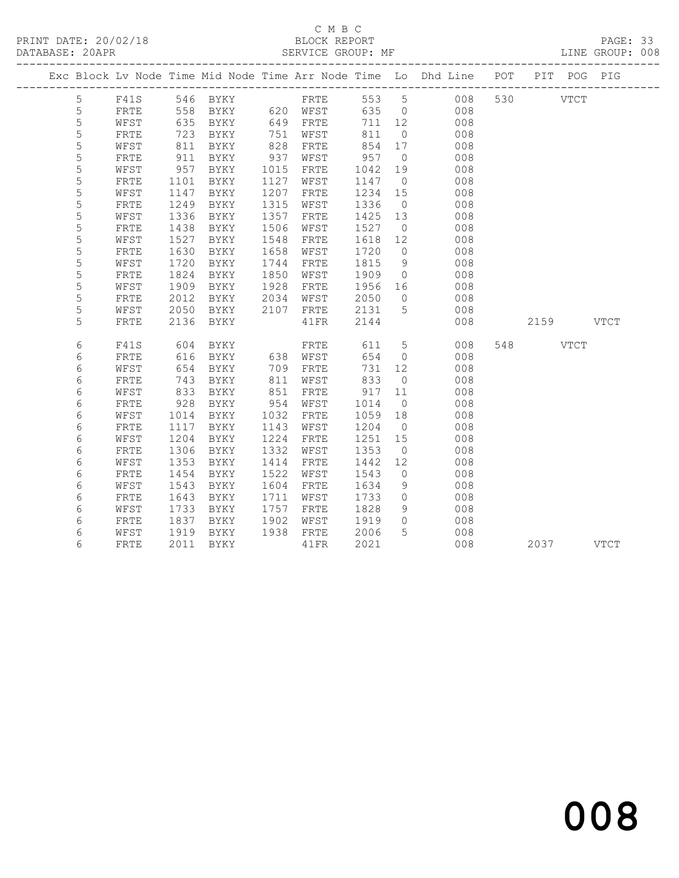### C M B C N B C N B C N B C N B C N B C N B C C M B C C M B C C M B C C M B C C M B C C M B C C M C C M C C M C C C M C C M C C M C C M C C M C C M C C M C C M C C M C C M C C M C C M C C M C C M C C M C C M C C M C C M C C DATABASE: 20APR SERVICE GROUP: MF LINE GROUP: 008

|             |              |      |                |      |               |         |                | Exc Block Lv Node Time Mid Node Time Arr Node Time Lo Dhd Line POT PIT POG PIG |          |           |  |
|-------------|--------------|------|----------------|------|---------------|---------|----------------|--------------------------------------------------------------------------------|----------|-----------|--|
| 5           |              |      |                |      |               |         |                |                                                                                |          |           |  |
| 5           |              |      |                |      |               |         |                |                                                                                |          |           |  |
| 5           | WFST         | 635  | <b>BYKY</b>    |      | 649 FRTE      | 711 12  |                | $008$                                                                          |          |           |  |
| 5           | FRTE         | 723  | BYKY           |      | 751 WFST      | 811     | $\overline{0}$ | 008                                                                            |          |           |  |
| 5           | WFST         | 811  | BYKY           | 828  | FRTE          | 854 17  |                | 008                                                                            |          |           |  |
| 5           | ${\tt FRTE}$ | 911  | BYKY           | 937  | WFST          | 957     | $\overline{0}$ | 008                                                                            |          |           |  |
| $\mathsf S$ | WFST         | 957  | BYKY           | 1015 | FRTE          | 1042    | 19             | 008                                                                            |          |           |  |
| 5           | FRTE         | 1101 | BYKY           | 1127 | WFST          | 1147    | $\overline{0}$ | 008                                                                            |          |           |  |
| 5           | WFST         | 1147 | BYKY           | 1207 | FRTE          | 1234    | 15             | 008                                                                            |          |           |  |
| 5           | ${\tt FRTE}$ | 1249 | BYKY           | 1315 | WFST          | 1336    | $\overline{0}$ | 008                                                                            |          |           |  |
| $\mathsf S$ | WFST         | 1336 | BYKY           | 1357 | FRTE          | 1425 13 |                | 008                                                                            |          |           |  |
| 5           | FRTE         | 1438 | BYKY           | 1506 | WFST          | 1527    | $\overline{0}$ | 008                                                                            |          |           |  |
| 5           | WFST         | 1527 | BYKY           | 1548 | FRTE          | 1618 12 |                | 008                                                                            |          |           |  |
| 5           | FRTE         | 1630 | BYKY           | 1658 | WFST          | 1720    | $\overline{0}$ | 008                                                                            |          |           |  |
| 5           | WFST         | 1720 | BYKY           | 1744 | FRTE          | 1815    | 9              | 008                                                                            |          |           |  |
| 5           | ${\tt FRTE}$ | 1824 | BYKY           | 1850 | WFST          | 1909    | $\overline{0}$ | 008                                                                            |          |           |  |
| 5           | WFST         | 1909 | BYKY           | 1928 | FRTE          | 1956 16 |                | 008                                                                            |          |           |  |
| 5           | FRTE         | 2012 | BYKY 2034      |      | WFST          | 2050    | $\overline{0}$ | 008                                                                            |          |           |  |
| 5           | WFST         | 2050 | BYKY 2107 FRTE |      |               | 2131 5  |                | 008                                                                            |          |           |  |
| 5           | FRTE         | 2136 | BYKY           |      | 41FR          | 2144    |                | 008                                                                            |          | 2159 VTCT |  |
| 6           | F41S         | 604  | BYKY           |      | FRTE          | 611 5   |                | 008                                                                            | 548 VTCT |           |  |
| 6           | FRTE         | 616  |                |      | BYKY 638 WFST | 654     | $\overline{0}$ | 008                                                                            |          |           |  |
| 6           | WFST         | 654  | BYKY           | 709  | FRTE          | 731     | 12             | 008                                                                            |          |           |  |
| 6           | FRTE         | 743  | BYKY           | 811  | WFST          | 833     | $\overline{0}$ | 008                                                                            |          |           |  |
| 6           | WFST         | 833  | BYKY           | 851  | FRTE          | 917     | 11             | 008                                                                            |          |           |  |
| 6           | FRTE         | 928  | BYKY           | 954  | WFST          | 1014    | $\overline{0}$ | 008                                                                            |          |           |  |
| 6           | WFST         | 1014 | BYKY           | 1032 | FRTE          | 1059    | 18             | 008                                                                            |          |           |  |
| 6           | FRTE         | 1117 | BYKY           | 1143 | WFST          | 1204    | $\overline{0}$ | 008                                                                            |          |           |  |
| 6           | WFST         | 1204 | BYKY           | 1224 | FRTE          | 1251    | 15             | 008                                                                            |          |           |  |
| 6           | FRTE         | 1306 | BYKY           | 1332 | WFST          | 1353    | $\overline{0}$ | 008                                                                            |          |           |  |
| 6           | WFST         | 1353 | BYKY           | 1414 | FRTE          | 1442    | 12             | 008                                                                            |          |           |  |
| 6           | FRTE         | 1454 | BYKY           | 1522 | WFST          | 1543    | $\overline{0}$ | 008                                                                            |          |           |  |
| $\epsilon$  | WFST         | 1543 | BYKY           | 1604 | FRTE          | 1634    | 9              | 008                                                                            |          |           |  |
| 6           | FRTE         | 1643 | BYKY           | 1711 | WFST          | 1733    | $\overline{0}$ | 008                                                                            |          |           |  |
| 6           | WFST         | 1733 | BYKY           | 1757 | FRTE          | 1828    | 9              | 008                                                                            |          |           |  |
| 6           | FRTE         | 1837 | BYKY           | 1902 | WFST          | 1919    | $\overline{0}$ | 008                                                                            |          |           |  |
| 6           | WFST         | 1919 | BYKY           |      | 1938 FRTE     | 2006    | 5 <sup>5</sup> | 008                                                                            |          |           |  |
| 6           | FRTE         |      | 2011 BYKY      |      | 41FR          | 2021    |                | 008                                                                            |          | 2037 VTCT |  |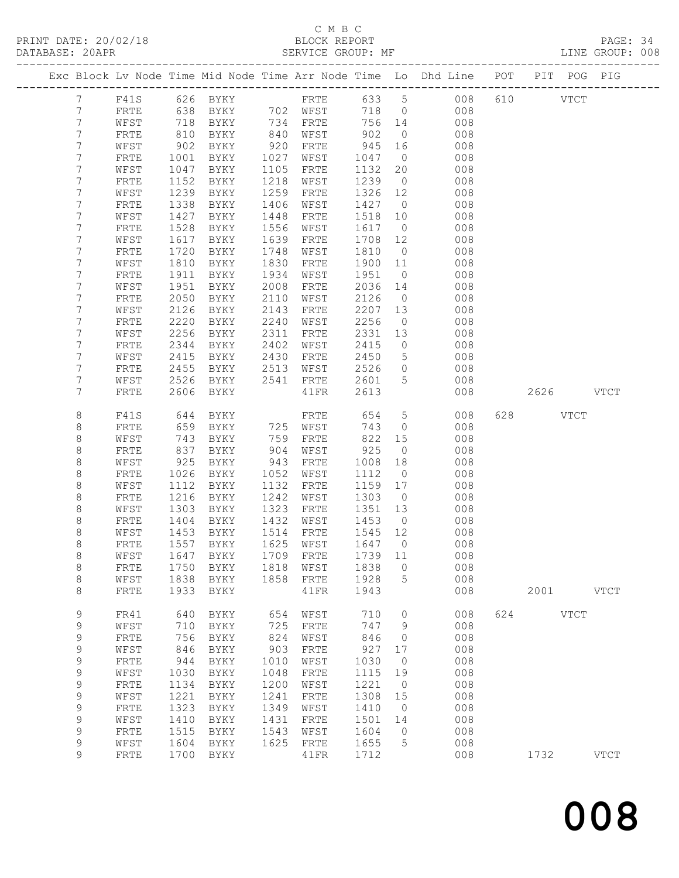# C M B C<br>BLOCK REPORT<br>SERVICE GROUP: MF

| DATABASE: 20APR |             |                       |                                           | SERVICE GROUP: MF              |      |                         |          |                 |                                                                                |           | LINE GROUP: 008 |
|-----------------|-------------|-----------------------|-------------------------------------------|--------------------------------|------|-------------------------|----------|-----------------|--------------------------------------------------------------------------------|-----------|-----------------|
|                 |             | --------------------- |                                           |                                |      |                         |          |                 | Exc Block Lv Node Time Mid Node Time Arr Node Time Lo Dhd Line POT PIT POG PIG |           |                 |
|                 | $7^{\circ}$ |                       |                                           |                                |      |                         |          |                 | F41S 626 BYKY  FRTE 633 5 008 610  VTCT                                        |           |                 |
|                 | 7           | FRTE                  | 638                                       |                                |      | BYKY 702 WFST           |          |                 | 718 0<br>008                                                                   |           |                 |
|                 | 7           | WFST                  | $\begin{array}{c} 718 \\ 810 \end{array}$ | BYKY 734 FRTE                  |      |                         | 756 14   |                 | 008                                                                            |           |                 |
|                 | 7           | FRTE                  |                                           | BYKY                           |      | 840 WFST                | 902      | $\overline{0}$  | 008                                                                            |           |                 |
|                 | 7           | WFST                  | 902                                       | BYKY                           |      | 920 FRTE                | -<br>945 | 16              | 008                                                                            |           |                 |
|                 | 7           | FRTE                  | 1001                                      | BYKY                           | 1027 | WFST                    | 1047     | $\overline{0}$  | 008                                                                            |           |                 |
|                 | 7           | WFST                  | 1047                                      | BYKY                           | 1105 | FRTE                    | 1132     | 20              | 008                                                                            |           |                 |
|                 | 7           | FRTE                  | 1152                                      | BYKY                           | 1218 | WFST                    | 1239     | $\overline{0}$  | 008                                                                            |           |                 |
|                 | 7           | WFST                  | 1239                                      | BYKY                           | 1259 | FRTE                    | 1326 12  |                 | 008                                                                            |           |                 |
|                 | 7           | FRTE                  | 1338                                      | BYKY                           | 1406 | WFST                    | 1427     | $\overline{0}$  | 008                                                                            |           |                 |
|                 | 7           | WFST                  | 1427                                      | BYKY                           | 1448 | FRTE                    | 1518     | 10              | 008                                                                            |           |                 |
|                 | 7           | FRTE                  | 1528                                      | BYKY                           | 1556 | WFST                    | 1617 0   |                 | 008                                                                            |           |                 |
|                 | 7           | WFST                  | 1617                                      | BYKY                           | 1639 | FRTE                    | 1708     | 12              | 008                                                                            |           |                 |
|                 | 7           | FRTE                  | 1720                                      | BYKY                           | 1748 | WFST                    | 1810     | $\overline{0}$  | 008                                                                            |           |                 |
|                 | 7           | WFST                  | 1810                                      | BYKY                           | 1830 | FRTE                    | 1900     | 11              | 008                                                                            |           |                 |
|                 | 7           | FRTE                  | 1911                                      | BYKY                           | 1934 | WFST                    | 1951     | $\overline{0}$  | 008                                                                            |           |                 |
|                 | 7           | WFST                  | 1951                                      | BYKY                           | 2008 | FRTE                    | 2036     | 14              | 008                                                                            |           |                 |
|                 | 7           | FRTE                  | 2050                                      | BYKY                           | 2110 | WFST                    | 2126     | $\overline{0}$  | 008                                                                            |           |                 |
|                 | 7           | WFST                  | 2126                                      | BYKY                           | 2143 | FRTE                    | 2207     | 13              | 008                                                                            |           |                 |
|                 | 7           | FRTE                  | 2220                                      | BYKY                           | 2240 | WFST                    | 2256     | $\overline{0}$  | 008                                                                            |           |                 |
|                 | 7           | WFST                  | 2256                                      | BYKY                           | 2311 | FRTE                    | 2331     | 13              | 008                                                                            |           |                 |
|                 | 7           | FRTE                  | 2344                                      | BYKY                           | 2402 | WFST                    | 2415     | $\overline{0}$  | 008                                                                            |           |                 |
|                 | 7           | WFST                  | 2415                                      | BYKY                           |      | 2430 FRTE               | 2450     | 5 <sup>5</sup>  | 008                                                                            |           |                 |
|                 | 7           | FRTE                  | 2455                                      | BYKY                           | 2513 | WFST                    | 2526     | $\overline{0}$  | 008                                                                            |           |                 |
|                 | 7           | WFST                  | 2526                                      | BYKY 2541 FRTE                 |      |                         | 2601 5   |                 | 008                                                                            |           |                 |
|                 | 7           | FRTE                  |                                           | 2606 BYKY                      |      | 41 FR                   | 2613     |                 | 008                                                                            | 2626 VTCT |                 |
|                 | 8           | F41S                  | 644                                       | BYKY                           |      | FRTE                    | 654      | $5\overline{)}$ | 008                                                                            | 628 VTCT  |                 |
|                 | 8           | FRTE                  | 659                                       | BYKY                           |      | rkTE<br>725 WFST<br>750 | 743      | $\overline{0}$  | 008                                                                            |           |                 |
|                 | 8           | WFST                  | 743                                       | BYKY                           |      | 759 FRTE                | 822      | 15              | 008                                                                            |           |                 |
|                 | 8           | FRTE                  | 837                                       | BYKY                           | 904  | WFST                    | 925      | $\overline{0}$  | 008                                                                            |           |                 |
|                 | 8           | WFST                  | 925                                       | BYKY                           | 943  | FRTE                    | 1008     | 18              | 008                                                                            |           |                 |
|                 | 8           | FRTE                  | 1026                                      | BYKY                           | 1052 | WFST                    | 1112     | $\overline{0}$  | 008                                                                            |           |                 |
|                 | 8           | WFST                  | 1112                                      | BYKY                           | 1132 | FRTE                    | 1159 17  |                 | 008                                                                            |           |                 |
|                 | 8           | FRTE                  | 1216                                      | BYKY                           | 1242 | WFST                    | 1303     | $\overline{0}$  | 008                                                                            |           |                 |
|                 | 8           | WFST                  | 1303                                      | BYKY                           | 1323 | FRTE                    | 1351     | 13              | 008                                                                            |           |                 |
|                 | 8           | FRTE                  |                                           | 1404 BYKY<br>1453 BYKY<br>BYKY |      | 1432 WFST               | 1453     | $\overline{0}$  | 008                                                                            |           |                 |
|                 | 8           | WFST                  |                                           |                                |      | 1514 FRTE               | 1545 12  |                 | 008                                                                            |           |                 |
|                 | 8           |                       |                                           |                                |      |                         |          |                 | FRTE 1557 BYKY 1625 WFST 1647 0 008                                            |           |                 |
|                 | 8           | WFST                  | 1647                                      | BYKY                           | 1709 | FRTE                    | 1739     | 11              | 008                                                                            |           |                 |
|                 | 8           | FRTE                  | 1750                                      | BYKY                           | 1818 | WFST                    | 1838     | $\overline{0}$  | 008                                                                            |           |                 |
|                 | $\,8\,$     | WFST                  | 1838                                      | BYKY                           | 1858 | FRTE                    | 1928     | $\overline{5}$  | 008                                                                            |           |                 |
|                 | 8           | FRTE                  | 1933                                      | BYKY                           |      | 41FR                    | 1943     |                 | 008                                                                            | 2001 VTCT |                 |
|                 | 9           | FR41                  | 640                                       | BYKY                           | 654  | WFST                    | 710      | $\overline{0}$  | 008                                                                            | 624 VTCT  |                 |
|                 | 9           | WFST                  | 710                                       | BYKY                           | 725  | FRTE                    | 747      | 9               | 008                                                                            |           |                 |
|                 | 9           | FRTE                  | 756                                       | BYKY                           | 824  | WFST                    | 846      | $\overline{0}$  | 008                                                                            |           |                 |
|                 | 9           | WFST                  | 846                                       | BYKY                           | 903  | FRTE                    | 927      | 17              | 008                                                                            |           |                 |
|                 | 9           | FRTE                  | 944                                       | BYKY                           | 1010 | WFST                    | 1030     | $\overline{0}$  | 008                                                                            |           |                 |
|                 | $\mathsf 9$ | WFST                  | 1030                                      | BYKY                           | 1048 | FRTE                    | 1115     | 19              | 008                                                                            |           |                 |
|                 | 9           | ${\tt FRTE}$          | 1134                                      | BYKY                           | 1200 | WFST                    | 1221     | $\overline{0}$  | 008                                                                            |           |                 |
|                 | 9           | WFST                  | 1221                                      | BYKY                           | 1241 | FRTE                    | 1308     | 15              | 008                                                                            |           |                 |
|                 | 9           | FRTE                  | 1323                                      | BYKY                           | 1349 | WFST                    | 1410     | $\overline{0}$  | 008                                                                            |           |                 |
|                 | $\mathsf 9$ | WFST                  | 1410                                      | BYKY                           | 1431 | ${\tt FRTE}$            | 1501     | 14              | 008                                                                            |           |                 |
|                 | $\mathsf 9$ | FRTE                  | 1515                                      | BYKY                           | 1543 | WFST                    | 1604     | $\overline{0}$  | 008                                                                            |           |                 |
|                 | 9           | WFST                  | 1604                                      | BYKY                           | 1625 | FRTE                    | 1655     | 5               | 008                                                                            |           |                 |
|                 | 9           | FRTE                  | 1700                                      | BYKY                           |      | 41FR                    | 1712     |                 | 008                                                                            | 1732      | <b>VTCT</b>     |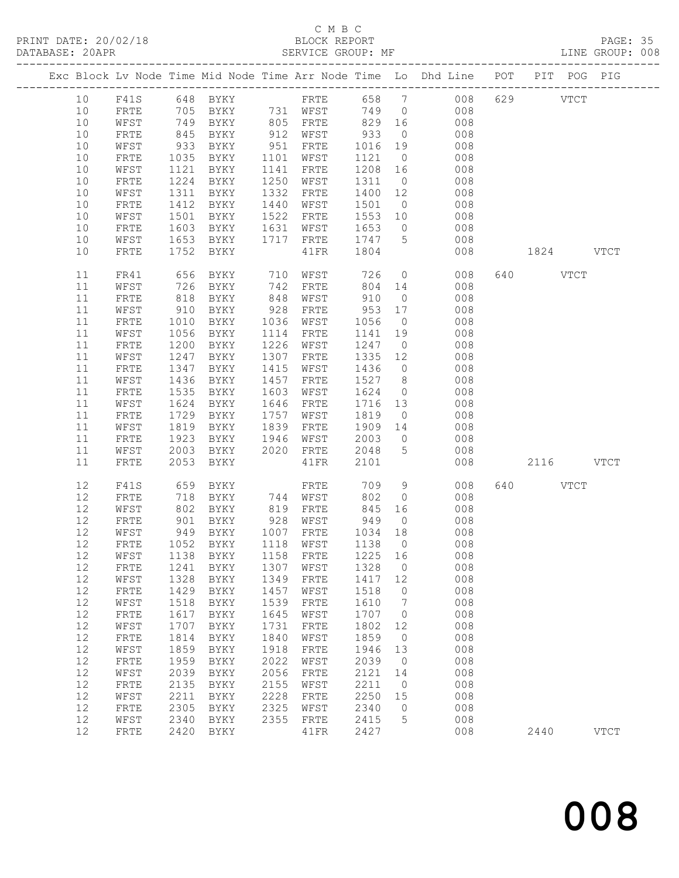# C M B C<br>BLOCK REPORT

PAGE: 35<br>LINE GROUP: 008

|  |          |              |              |                      |              |                                     |              |                  | Exc Block Lv Node Time Mid Node Time Arr Node Time Lo Dhd Line POT | PIT POG PIG |             |             |
|--|----------|--------------|--------------|----------------------|--------------|-------------------------------------|--------------|------------------|--------------------------------------------------------------------|-------------|-------------|-------------|
|  | 10       | F41S         |              |                      |              |                                     |              |                  |                                                                    | 629         | <b>VTCT</b> |             |
|  | 10       | FRTE         |              |                      |              |                                     |              | $\overline{0}$   | 008                                                                |             |             |             |
|  | 10       | WFST         |              |                      |              |                                     |              |                  | 008                                                                |             |             |             |
|  | 10       | FRTE         | 845          | BYKY                 |              | 912 WFST                            | 933          | $\overline{0}$   | 008                                                                |             |             |             |
|  | 10       | WFST         | 933          | BYKY                 | 951          | FRTE                                | 1016         | 19               | 008                                                                |             |             |             |
|  | 10       | FRTE         | 1035         | BYKY                 | 1101         | WFST                                | 1121         | $\overline{0}$   | 008                                                                |             |             |             |
|  | 10       | WFST         | 1121         | BYKY                 | 1141         | FRTE                                | 1208         | 16               | 008                                                                |             |             |             |
|  | 10       | FRTE         | 1224         | BYKY                 | 1250         | WFST                                | 1311         | $\overline{0}$   | 008                                                                |             |             |             |
|  | 10       | WFST         | 1311         | BYKY                 | 1332         | FRTE                                | 1400         | 12               | 008                                                                |             |             |             |
|  | 10       | FRTE         | 1412         | BYKY                 | 1440         | WFST                                | 1501         | $\overline{0}$   | 008                                                                |             |             |             |
|  | 10       | WFST         | 1501         | BYKY                 | 1522         | FRTE                                | 1553         | 10               | 008                                                                |             |             |             |
|  | 10       | FRTE         | 1603         | BYKY                 | 1631         | WFST                                | 1653         | $\overline{0}$   | 008                                                                |             |             |             |
|  | 10       | WFST         | 1653         | BYKY                 | 1717         | FRTE                                | 1747         | $5^{\circ}$      | 008                                                                |             |             |             |
|  | 10       | FRTE         | 1752         | BYKY                 |              | 41FR                                | 1804         |                  | 008                                                                | 1824 VTCT   |             |             |
|  | 11       | FR41         | 656          | BYKY                 | 710          | WFST                                | 726          | $\overline{0}$   | 008                                                                | 640 VTCT    |             |             |
|  | $11$     | WFST         | 726          | BYKY                 | 742          | FRTE                                | 804          | 14               | 008                                                                |             |             |             |
|  | $11$     | FRTE         | 818          | BYKY                 | 848          | WFST                                | 910          | $\overline{0}$   | 008                                                                |             |             |             |
|  | 11       | WFST         | 910          | BYKY                 | 928          | FRTE                                | 953          | 17               | 008                                                                |             |             |             |
|  | $11$     | ${\tt FRTE}$ | 1010         | BYKY                 | 1036         | WFST                                | 1056         | $\overline{0}$   | 008                                                                |             |             |             |
|  | 11       | WFST         | 1056         | BYKY                 | 1114         | FRTE                                | 1141 19      |                  | 008                                                                |             |             |             |
|  | $11$     | FRTE         | 1200         | BYKY                 | 1226         | WFST                                | 1247         | $\overline{0}$   | 008                                                                |             |             |             |
|  | 11       | WFST         | 1247         | BYKY                 | 1307         | FRTE                                | 1335         | 12               | 008                                                                |             |             |             |
|  | 11       | FRTE         | 1347         | BYKY                 | 1415         | WFST                                | 1436         | $\overline{0}$   | 008                                                                |             |             |             |
|  | 11       | WFST         | 1436         | BYKY                 | 1457         | FRTE                                | 1527         | 8 <sup>8</sup>   | 008                                                                |             |             |             |
|  | 11       | FRTE         | 1535         | BYKY                 | 1603         | WFST                                | 1624         | $\overline{0}$   | 008                                                                |             |             |             |
|  | 11       | WFST         | 1624         | BYKY                 | 1646         | FRTE                                | 1716         | 13               | 008                                                                |             |             |             |
|  | 11       | FRTE         |              | 1729 BYKY            | 1757         | WFST                                | 1819         | $\overline{0}$   | 008                                                                |             |             |             |
|  | 11       | WFST         | 1819         | BYKY                 | 1839         | FRTE                                | 1909         | 14               | 008                                                                |             |             |             |
|  | 11       | FRTE         | 1923         | BYKY                 | 1946         | WFST                                | 2003         | $\overline{0}$   | 008                                                                |             |             |             |
|  | 11       | WFST         | 2003         | BYKY                 | 2020         | FRTE                                | 2048         | 5                | 008                                                                |             |             |             |
|  | 11       | FRTE         | 2053         | BYKY                 |              | 41FR                                | 2101         |                  | 008                                                                | 2116 VTCT   |             |             |
|  | 12       | F41S         | 659          | BYKY                 |              | FRTE                                | 709          | 9                | 008                                                                | 640 VTCT    |             |             |
|  | 12       | FRTE         |              | 718 BYKY<br>802 BYKY |              | 744 WFST                            | 802          | $\overline{0}$   | 008                                                                |             |             |             |
|  | 12       | WFST         |              |                      |              | 819 FRTE                            | 845          | 16               | 008                                                                |             |             |             |
|  | 12       | FRTE         | 901          | BYKY                 |              | 928 WFST                            | 949          | $\overline{0}$   | 008                                                                |             |             |             |
|  | 12       | WFST         | 949          | BYKY                 |              | 1007 FRTE                           | 1034 18      |                  | 008                                                                |             |             |             |
|  | 12       | FRTE         |              | 1052 BYKY            |              | 1118 WFST                           | 1138         | $\overline{0}$   | 008                                                                |             |             |             |
|  |          |              |              |                      |              | 12 WFST 1138 BYKY 1158 FRTE 1225 16 |              |                  | 008                                                                |             |             |             |
|  | 12       | FRTE         | 1241         | BYKY                 | 1307         | WFST                                | 1328         | 0                | 008                                                                |             |             |             |
|  | 12       | WFST         | 1328         | <b>BYKY</b>          | 1349         | FRTE                                | 1417         | 12               | 008                                                                |             |             |             |
|  | $12\,$   | FRTE         | 1429         | BYKY                 | 1457         | WFST                                | 1518         | 0                | 008                                                                |             |             |             |
|  | 12       | WFST         | 1518         | BYKY                 | 1539         | FRTE                                | 1610         | 7                | 008                                                                |             |             |             |
|  | 12       | FRTE         | 1617         | <b>BYKY</b>          | 1645         | WFST                                | 1707         | 0                | 008                                                                |             |             |             |
|  | 12       | WFST         | 1707         | BYKY                 | 1731         | FRTE                                | 1802         | 12               | 008                                                                |             |             |             |
|  | 12       | FRTE         | 1814         | BYKY                 | 1840         | WFST                                | 1859         | 0                | 008                                                                |             |             |             |
|  | 12       | WFST         | 1859         | BYKY                 | 1918         | FRTE                                | 1946         | 13               | 008                                                                |             |             |             |
|  | 12       | FRTE         | 1959         | BYKY                 | 2022         | WFST                                | 2039         | $\circ$          | 008                                                                |             |             |             |
|  | 12       | WFST         | 2039<br>2135 | BYKY                 | 2056         | FRTE                                | 2121<br>2211 | 14               | 008<br>008                                                         |             |             |             |
|  | 12       | FRTE         |              | BYKY                 | 2155         | WFST                                |              | 0                |                                                                    |             |             |             |
|  | 12<br>12 | WFST         | 2211         | BYKY                 | 2228         | FRTE                                | 2250         | 15               | 008<br>008                                                         |             |             |             |
|  | 12       | FRTE<br>WFST | 2305<br>2340 | BYKY                 | 2325<br>2355 | WFST                                | 2340<br>2415 | $\mathbf 0$<br>5 | 008                                                                |             |             |             |
|  | 12       | FRTE         | 2420         | BYKY<br>BYKY         |              | FRTE<br>41FR                        | 2427         |                  | 008                                                                | 2440        |             | <b>VTCT</b> |
|  |          |              |              |                      |              |                                     |              |                  |                                                                    |             |             |             |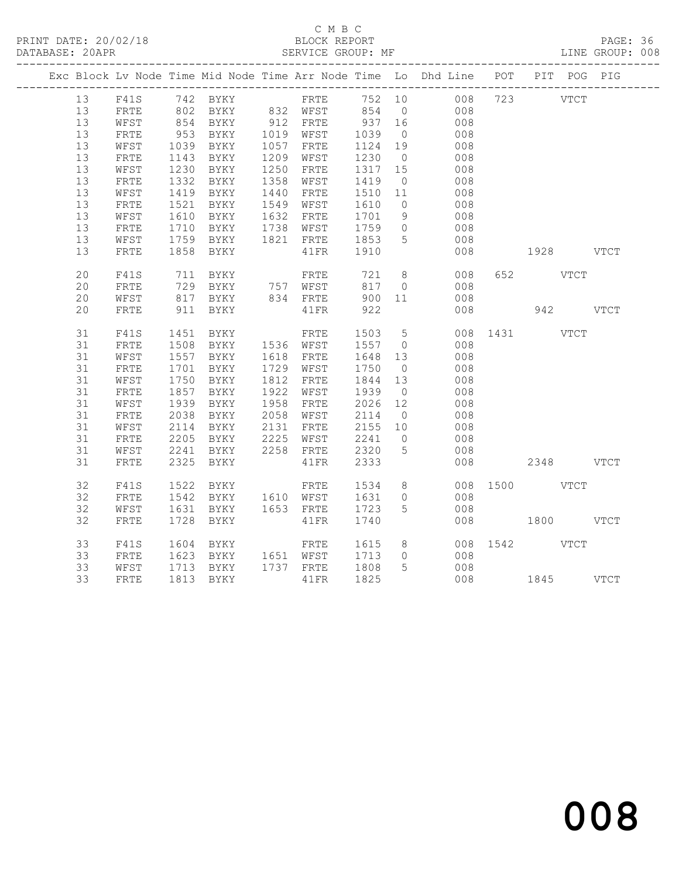# C M B C<br>BLOCK REPORT

PAGE: 36<br>LINE GROUP: 008

|          |              |              |                                                                                                                                                                           |      |                          |                         |                | Exc Block Lv Node Time Mid Node Time Arr Node Time Lo Dhd Line POT PIT POG PIG |               |  |
|----------|--------------|--------------|---------------------------------------------------------------------------------------------------------------------------------------------------------------------------|------|--------------------------|-------------------------|----------------|--------------------------------------------------------------------------------|---------------|--|
|          |              |              |                                                                                                                                                                           |      |                          |                         |                | F41S 742 BYKY FRTE 752 10 008 723 VTCT                                         |               |  |
| 13<br>13 |              |              |                                                                                                                                                                           |      |                          |                         |                |                                                                                |               |  |
| 13       | FRTE<br>WFST |              |                                                                                                                                                                           |      |                          |                         |                | 802 BYKY 832 WFST 854 0 008                                                    |               |  |
| 13       | FRTE         |              |                                                                                                                                                                           |      |                          |                         |                | $\begin{array}{c} 008 \\ 008 \end{array}$                                      |               |  |
| 13       | WFST         |              | BYKY                                                                                                                                                                      |      | 1057 FRTE                |                         |                | 008                                                                            |               |  |
| 13       | ${\tt FRTE}$ | 1039<br>1143 | 1143 BYKY                                                                                                                                                                 |      | 1209 WFST                | $1124$ $19$<br>$1230$ 0 |                | 008                                                                            |               |  |
| 13       | WFST         |              | 1230 BYKY                                                                                                                                                                 |      | 1250 FRTE                | 1317 15                 |                | 008                                                                            |               |  |
| 13       | FRTE         | 1332         | BYKY                                                                                                                                                                      | 1358 | WFST                     |                         |                |                                                                                |               |  |
| 13       | WFST         | 1419         | <b>BYKY</b>                                                                                                                                                               |      | 1440 FRTE                | $1419$ 0<br>1510 11     |                | $\begin{array}{c} 008 \\ 008 \end{array}$                                      |               |  |
| 13       | FRTE         | 1521         | BYKY                                                                                                                                                                      |      | 1549 WFST                | 1610                    | $\overline{0}$ | 008                                                                            |               |  |
| 13       | WFST         | 1610         |                                                                                                                                                                           |      |                          |                         |                |                                                                                |               |  |
| 13       | ${\tt FRTE}$ | 1710         | BYKY 1632 FRTE 1701 9<br>BYKY 1738 WFST 1759 0                                                                                                                            |      |                          |                         |                | $\begin{array}{c} 008 \\ 008 \end{array}$                                      |               |  |
| 13       | WFST         |              | 1759 BYKY                                                                                                                                                                 |      | 1821 FRTE 1853 5         |                         |                | 008                                                                            |               |  |
| 13       | FRTE         | 1858         | BYKY                                                                                                                                                                      |      | 41FR 1910                |                         |                | 008                                                                            | 1928 VTCT     |  |
| 20       | F41S         |              | 711 BYKY                                                                                                                                                                  |      | <b>FRTE</b> 721          |                         | 8 <sup>8</sup> | 008                                                                            | 652 VTCT      |  |
| 20       | FRTE         |              |                                                                                                                                                                           |      |                          |                         | $\overline{0}$ | 008                                                                            |               |  |
| 20       | WFST         |              | 729 BYKY      757   WFST        817     0<br>817   BYKY        834   FRTE        900   11<br>$\begin{array}{cc}\n 729 & -1 \\  817 & BYKY \\  -2000 & -1100\n\end{array}$ |      |                          |                         |                | 008                                                                            |               |  |
| 20       | ${\tt FRTE}$ | 911          | BYKY                                                                                                                                                                      |      | 41FR                     | 922                     |                | 008                                                                            | 942 VTCT      |  |
| 31       | F41S         | 1451         | BYKY                                                                                                                                                                      |      | FRTE                     | 1503 5                  |                | 008 1431 VTCT                                                                  |               |  |
| 31       | FRTE         |              | 1508 BYKY 1536 WFST                                                                                                                                                       |      |                          | 1557 0                  |                | 008                                                                            |               |  |
| 31       | WFST         |              | 1557 BYKY 1618 FRTE<br>1701 BYKY 1729 WFST                                                                                                                                |      |                          | 1648 13<br>1750 0       |                | 008                                                                            |               |  |
| 31       | FRTE         |              |                                                                                                                                                                           |      |                          |                         |                | 008                                                                            |               |  |
| 31       | WFST         | 1750         | BYKY                                                                                                                                                                      |      | 1812 FRTE                | 1844 13                 |                | 008                                                                            |               |  |
| 31       | FRTE         | 1857         | BYKY                                                                                                                                                                      |      | 1922 WFST                | 1939                    | $\overline{0}$ | 008                                                                            |               |  |
| 31       | WFST         | 1939         | BYKY                                                                                                                                                                      |      | 1958 FRTE                | 2026 12                 |                | 008                                                                            |               |  |
| 31       | FRTE         | 2038         | BYKY                                                                                                                                                                      |      | 2058 WFST                | 2114                    | $\overline{0}$ | 008                                                                            |               |  |
| 31       | WFST         | 2114         | BYKY                                                                                                                                                                      |      | 2131 FRTE                | 2155 10                 |                | 008                                                                            |               |  |
| 31       | FRTE         | 2205         | BYKY                                                                                                                                                                      |      | ----<br>2225 WFST 2241 0 |                         |                | 008                                                                            |               |  |
| 31       | WFST         | 2241         | BYKY                                                                                                                                                                      |      | 2258 FRTE 2320           |                         | $5^{\circ}$    | 008                                                                            |               |  |
| 31       | ${\tt FRTE}$ |              | 2325 BYKY                                                                                                                                                                 |      | 41FR                     | 2333                    |                | 008                                                                            | 2348 VTCT     |  |
| 32       | F41S         | 1522         | BYKY                                                                                                                                                                      |      | <b>FRTE</b> 1534         |                         | 8 <sup>8</sup> | 008 1500 VTCT                                                                  |               |  |
| 32       | FRTE         |              | 1542 BYKY 1610 WFST 1631 0                                                                                                                                                |      |                          |                         |                | 008                                                                            |               |  |
| 32       | WFST         |              | 1631 BYKY                                                                                                                                                                 |      | 1653 FRTE 1723           |                         | $5^{\circ}$    | 008                                                                            |               |  |
| 32       | FRTE         | 1728         | BYKY                                                                                                                                                                      |      | 41FR                     | 1740                    |                |                                                                                | 008 1800 VTCT |  |
| 33       | F41S         | 1604         | BYKY                                                                                                                                                                      |      | FRTE 1615                |                         |                | 8 008 1542 VTCT                                                                |               |  |
| 33       | FRTE         |              |                                                                                                                                                                           |      |                          |                         |                | 008                                                                            |               |  |
| 33       | WFST         |              | 1623 BYKY 1651 WFST 1713 0<br>1713 BYKY 1737 FRTE 1808 5                                                                                                                  |      |                          |                         |                | 008                                                                            |               |  |
| 33       | FRTE         |              | 1813 BYKY                                                                                                                                                                 |      | 41FR 1825                |                         |                | 008 1845 VTCT                                                                  |               |  |
|          |              |              |                                                                                                                                                                           |      |                          |                         |                |                                                                                |               |  |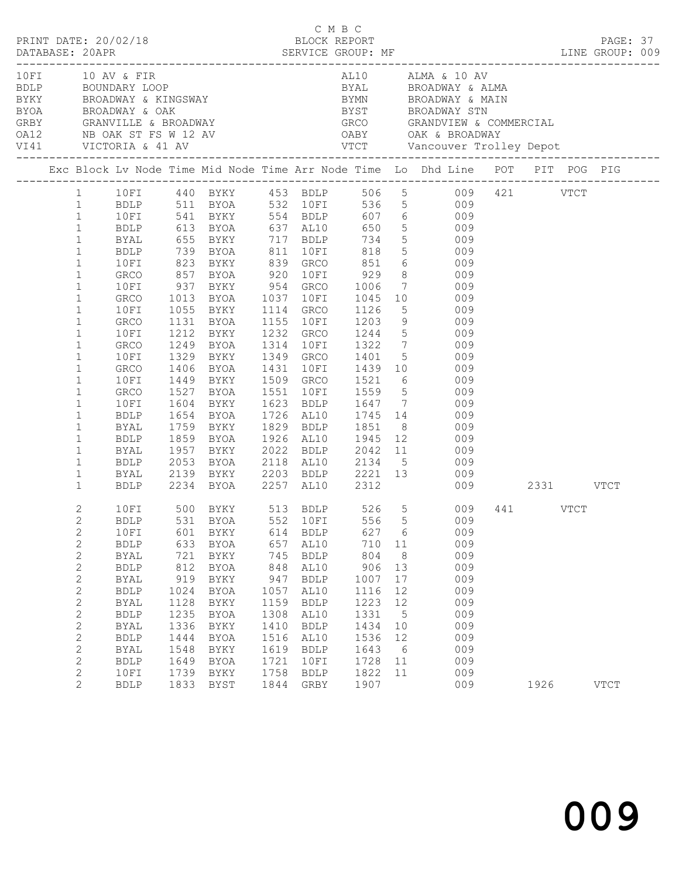| PRINT DATE: 20/02/18 |                                                                                                                                                                                                                                                                                                       |                                                                                                                                                                                           |                                                                                                 |                                                                                                                           |                                                                                                 | C M B C<br>BLOCK REPORT                                                                                                                               |                                                                                                  |                                                                        | DATABASE: 20APR SERVICE GROUP: MF LINE GROUP: 009                                                                                                                                                                                                                                                                                                                                                                                                                                                                                                                                                                        |      | PAGE: 37<br>LINE GROUP: 009 |  |
|----------------------|-------------------------------------------------------------------------------------------------------------------------------------------------------------------------------------------------------------------------------------------------------------------------------------------------------|-------------------------------------------------------------------------------------------------------------------------------------------------------------------------------------------|-------------------------------------------------------------------------------------------------|---------------------------------------------------------------------------------------------------------------------------|-------------------------------------------------------------------------------------------------|-------------------------------------------------------------------------------------------------------------------------------------------------------|--------------------------------------------------------------------------------------------------|------------------------------------------------------------------------|--------------------------------------------------------------------------------------------------------------------------------------------------------------------------------------------------------------------------------------------------------------------------------------------------------------------------------------------------------------------------------------------------------------------------------------------------------------------------------------------------------------------------------------------------------------------------------------------------------------------------|------|-----------------------------|--|
|                      |                                                                                                                                                                                                                                                                                                       |                                                                                                                                                                                           |                                                                                                 | BYOA BROADWAY & OAK<br>GRBY GRANVILLE & BROADWAY<br>OA12 NB OAK ST FS W 12 AV<br>VI41 VICTORIA & 41 AV                    |                                                                                                 |                                                                                                                                                       |                                                                                                  |                                                                        | BYST BROADWAY STN<br>GREY GRANVILLE & BROADWAY GRCO GRANDVIEW & COMMERCIAL<br>OA12 MB OAK ST FS W 12 AV OABY OAR & BROADWAY<br>VI41 VICTORIA & 41 AV VTCT Vancouver Trolley Depot                                                                                                                                                                                                                                                                                                                                                                                                                                        |      |                             |  |
|                      |                                                                                                                                                                                                                                                                                                       |                                                                                                                                                                                           |                                                                                                 |                                                                                                                           |                                                                                                 |                                                                                                                                                       |                                                                                                  |                                                                        | Exc Block Lv Node Time Mid Node Time Arr Node Time Lo Dhd Line POT PIT POG PIG                                                                                                                                                                                                                                                                                                                                                                                                                                                                                                                                           |      |                             |  |
|                      | $\mathbf{1}$<br>$\mathbf{1}$<br>$\mathbf{1}$<br>$\mathbf{1}$<br>$\mathbf{1}$<br>$\mathbf{1}$<br>$\mathbf{1}$<br>$\mathbf{1}$<br>$\mathbf{1}$<br>$\mathbf{1}$<br>$\mathbf{1}$<br>$1\,$<br>$\mathbf{1}$<br>$\mathbf{1}$<br>$\mathbf{1}$<br>$\mathbf{1}$<br>$\mathbf{1}$<br>$\mathbf{1}$<br>$\mathbf{1}$ | 1 10FI<br><b>BDLP</b><br><b>BYAL</b><br>10FI<br>GRCO<br>10FI<br>10FI<br>GRCO<br>10FI<br>10FI<br>GRCO<br>10FI<br>GRCO<br>10FI<br>BDLP<br>BYAL<br>BDLP                                      | 1604                                                                                            | BDLP 739 BYOA 811 10FI                                                                                                    |                                                                                                 |                                                                                                                                                       |                                                                                                  |                                                                        | 1 10FI 440 BYKY 453 BDLP 506 5 009 421 VTCT<br>1 BDLP 511 BYOA 532 10FI 536 5 009<br>541 BYKY 554 BDLP 607 6 009<br>613 BYOA 637 AL10 650 5 009<br>655 BYKY 717 BDLP 734 5 009<br>818 5 009<br>823 BYKY 839 GRCO 851 6 009<br>GRCO 1013 BYOA 1037 10FI 1045 10 009<br>1055 BYKY 1114 GRCO 1126 5 009<br>1131 BYOA 1155 10FI 1203 9 009<br>1212 BYKY 1232 GRCO 1244 5 009<br>GRCO 1249 BYOA 1314 10FI 1322 7 009<br>1329 BYKY 1349 GRCO 1401 5 009<br>1527 BYOA 1551 10FI 1559 5 009<br>BYKY 1623 BDLP 1647 7 009<br>1654 BYOA 1726 AL10 1745 14 009<br>1759 BYKY 1829 BDLP 1851 8 009<br>1859 BYOA 1926 AL10 1945 12 009 |      |                             |  |
|                      | $\mathbf{1}$<br>$\mathbf{1}$                                                                                                                                                                                                                                                                          | BYAL                                                                                                                                                                                      |                                                                                                 |                                                                                                                           |                                                                                                 |                                                                                                                                                       |                                                                                                  |                                                                        | 1957 BYKY 2022 BDLP 2042 11 009                                                                                                                                                                                                                                                                                                                                                                                                                                                                                                                                                                                          |      |                             |  |
|                      | $\mathbf{1}$<br>$\mathbf{1}$                                                                                                                                                                                                                                                                          |                                                                                                                                                                                           |                                                                                                 |                                                                                                                           |                                                                                                 |                                                                                                                                                       |                                                                                                  |                                                                        | BDLP 2053 BYOA 2118 AL10 2134 5 009<br>BYAL 2139 BYKY 2203 BDLP 2221 13 009<br>BDLP 2234 BYOA 2257 AL10 2312 009<br>009                                                                                                                                                                                                                                                                                                                                                                                                                                                                                                  |      |                             |  |
|                      | $\mathbf{2}$<br>$\mathbf{2}$<br>$\mathbf{2}$<br>$\mathbf{2}$<br>$\mathbf{2}$<br>$\mathbf{2}$<br>$\mathbf{2}$<br>$\mathbf{2}$<br>$\mathbf{2}$<br>$\mathbf{2}$<br>$\mathbf{2}$<br>$\overline{c}$<br>$\mathbf{2}$<br>$\mathbf{2}$                                                                        | 10FI<br>10FI<br><b>BDLP</b><br><b>BYAL</b><br><b>BDLP</b><br><b>BYAL</b><br><b>BDLP</b><br><b>BYAL</b><br><b>BDLP</b><br><b>BYAL</b><br><b>BDLP</b><br><b>BYAL</b><br><b>BDLP</b><br>10FI | 601<br>633<br>721<br>812<br>919<br>1024<br>1128<br>1235<br>1336<br>1444<br>1548<br>1649<br>1739 | BYKY<br>BYOA<br>BYKY<br>BYOA<br>BYKY<br>BYOA<br>BYKY<br><b>BYOA</b><br>BYKY<br><b>BYOA</b><br>BYKY<br><b>BYOA</b><br>BYKY | 614<br>657<br>745<br>848<br>947<br>1057<br>1159<br>1308<br>1410<br>1516<br>1619<br>1721<br>1758 | <b>BDLP</b><br>AL10<br><b>BDLP</b><br>AL10<br><b>BDLP</b><br>AL10<br><b>BDLP</b><br>AL10<br><b>BDLP</b><br>AL10<br><b>BDLP</b><br>10FI<br><b>BDLP</b> | 627<br>710<br>804<br>906<br>1007<br>1116<br>1223<br>1331<br>1434<br>1536<br>1643<br>1728<br>1822 | 6<br>11<br>8<br>13<br>17<br>12<br>12<br>5<br>10<br>12<br>6<br>11<br>11 | 500 BYKY 513 BDLP 526 5 009 441 VTCT<br>2 BDLP 531 BYOA 552 10FI 556 5 009<br>009<br>009<br>009<br>009<br>009<br>009<br>009<br>009<br>009<br>009<br>009<br>009<br>009                                                                                                                                                                                                                                                                                                                                                                                                                                                    |      |                             |  |
|                      | $\overline{2}$                                                                                                                                                                                                                                                                                        | <b>BDLP</b>                                                                                                                                                                               | 1833                                                                                            | BYST                                                                                                                      | 1844                                                                                            | GRBY                                                                                                                                                  | 1907                                                                                             |                                                                        | 009                                                                                                                                                                                                                                                                                                                                                                                                                                                                                                                                                                                                                      | 1926 | <b>VTCT</b>                 |  |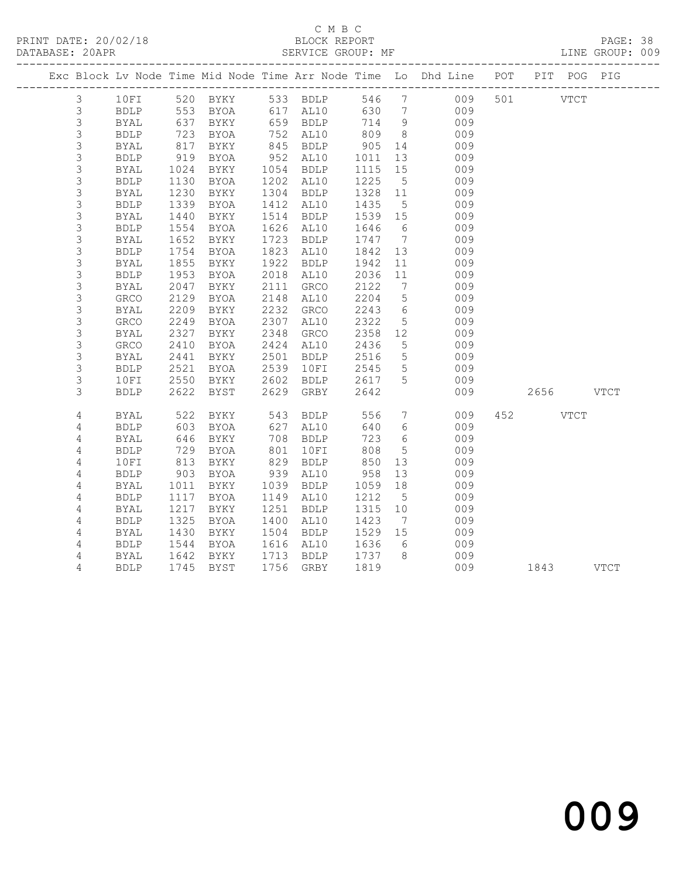PRINT DATE: 20/02/18 BLOCK REPORT BATABASE: 20APR BEST SERVICE GROUP: MF

# C M B C<br>BLOCK REPORT

PAGE: 38<br>LINE GROUP: 009

|                |             |                 |                                |      |                      |                       |                 | Exc Block Lv Node Time Mid Node Time Arr Node Time Lo Dhd Line POT PIT POG PIG |           |  |
|----------------|-------------|-----------------|--------------------------------|------|----------------------|-----------------------|-----------------|--------------------------------------------------------------------------------|-----------|--|
| $\mathcal{S}$  |             |                 |                                |      |                      |                       |                 | 10FI 520 BYKY 533 BDLP 546 7 009 501 VTCT                                      |           |  |
| 3              | <b>BDLP</b> |                 |                                |      |                      |                       |                 | 553 BYOA 617 AL10 630 7 009                                                    |           |  |
| $\mathfrak{Z}$ | BYAL        | 637<br>723      | BYKY                           |      | 659 BDLP<br>752 AL10 | $714$ 9<br>809 8      |                 | 009                                                                            |           |  |
| $\mathsf 3$    | <b>BDLP</b> |                 | BYOA                           |      |                      |                       |                 | 009                                                                            |           |  |
| $\mathsf 3$    | BYAL        | 817             | BYKY                           |      | 845 BDLP             | 905 14                |                 | 009                                                                            |           |  |
| $\mathfrak{S}$ | BDLP        | 919             | BYOA                           |      | 952 AL10             | 1011                  | 13              | 009                                                                            |           |  |
| $\mathsf S$    | BYAL        | 1024            | BYKY                           |      | 1054 BDLP            | 1115 15               |                 | 009                                                                            |           |  |
| 3              | BDLP        | 1130            | BYOA                           |      | 1202 AL10            | 1225                  | $5\overline{)}$ | 009                                                                            |           |  |
| $\mathsf S$    | BYAL        | 1230            | BYKY                           |      | 1304 BDLP            | 1328 11               |                 | $009$                                                                          |           |  |
| 3              | <b>BDLP</b> | $132$<br>$1440$ | BYOA                           |      | 1412 AL10            | 1435                  | 5 <sup>5</sup>  | 009                                                                            |           |  |
| $\mathsf S$    | BYAL        |                 | BYKY                           |      | 1514 BDLP            | 1539 15               |                 | 009                                                                            |           |  |
| $\mathsf 3$    | <b>BDLP</b> | 1554            | BYOA                           |      | 1626 AL10            | 1646                  | $6\overline{6}$ | 009                                                                            |           |  |
| 3              | BYAL        | 1652            | BYKY                           |      | 1723 BDLP            | 1747 7                |                 | 009                                                                            |           |  |
| $\mathsf S$    | <b>BDLP</b> | 1754            | BYOA                           |      | 1823 AL10            | 1842 13               |                 | 009                                                                            |           |  |
| 3              | BYAL        | 1855            | BYKY                           |      | 1922 BDLP            | 1942                  | 11              | 009                                                                            |           |  |
| 3              | <b>BDLP</b> | 1953            | BYOA                           |      | 2018 AL10            | 2036                  | 11              | 009                                                                            |           |  |
| $\mathsf S$    | BYAL        | 2047            | BYKY                           |      | 2111 GRCO            | 2122                  | $7\overline{ }$ | 009                                                                            |           |  |
| 3              | GRCO        | 2129            | BYOA                           |      | 2148 AL10            | 2204                  | 5 <sup>5</sup>  | 009                                                                            |           |  |
| $\mathsf S$    | BYAL        | 2209            | BYKY                           |      | 2232 GRCO            | 2243                  | $6\overline{6}$ | 009                                                                            |           |  |
| $\mathsf 3$    | GRCO        | 2249            | BYOA                           |      | 2307 AL10            | 2322                  | 5 <sup>5</sup>  | 009                                                                            |           |  |
| $\mathsf S$    | BYAL        | 2327            | BYKY                           |      | 2348 GRCO            | 2358 12               |                 | 009                                                                            |           |  |
| $\mathsf S$    | GRCO        | 2410            | BYOA                           |      | 2424 AL10            | 2436                  | $5\overline{)}$ | 009                                                                            |           |  |
| $\mathsf S$    | BYAL        | 2441            | BYKY                           | 2501 | BDLP                 | 2516<br>2545          | 5 <sup>5</sup>  | 009                                                                            |           |  |
| $\mathsf S$    | <b>BDLP</b> | 2521            | BYOA                           | 2539 | 10FI                 |                       | 5 <sup>5</sup>  | 009                                                                            |           |  |
| 3              | 10FI        | 2550            |                                |      | BYKY 2602 BDLP 2617  |                       | $5^{\circ}$     | 009                                                                            |           |  |
| 3              | <b>BDLP</b> | 2622            | BYST                           |      | 2629 GRBY            | 2642                  |                 | 009                                                                            | 2656 VTCT |  |
| 4              | BYAL        | 522             |                                |      | BYKY 543 BDLP        | 556                   |                 | $7\overline{ }$<br>009                                                         | 452 VTCT  |  |
| 4              | <b>BDLP</b> | 603             | BYOA                           |      | 627 AL10             | 640                   | $6\overline{6}$ | 009                                                                            |           |  |
| 4              | BYAL        | 646             | BYKY                           |      | 708 BDLP<br>801 10FI | 723                   | $6\overline{6}$ | 009                                                                            |           |  |
| $\sqrt{4}$     | <b>BDLP</b> | 729             | BYOA                           |      |                      | 808                   | $5^{\circ}$     | 009                                                                            |           |  |
| 4              | 10FI        | 813             | BYKY                           |      | 829 BDLP             | 850                   | 13              | 009                                                                            |           |  |
| 4              | <b>BDLP</b> | 903             | BYOA                           |      | 939 AL10             | 958                   | 13              | 009                                                                            |           |  |
| $\overline{4}$ | BYAL        | 1011            | BYKY                           |      | 1039 BDLP            | 1059 18               |                 | 009                                                                            |           |  |
| 4              | <b>BDLP</b> | 1117            | BYOA                           |      | 1149 AL10            | 1212                  | $5\overline{)}$ | 009                                                                            |           |  |
| 4              | BYAL        | 1217            | BYKY                           | 1251 | BDLP                 | 1315                  | 10              | 009                                                                            |           |  |
| $\overline{4}$ | <b>BDLP</b> | 1325            | BYOA                           |      | 1400 AL10            | 1423                  | $7\overline{ }$ | 009                                                                            |           |  |
| 4              | BYAL        | 1430            | BYKY                           |      | 1504 BDLP            | 1529 15               |                 | 009                                                                            |           |  |
| 4              | <b>BDLP</b> | 1544            | BYOA                           |      | 1616 AL10            | 1636                  | 6               | 009                                                                            |           |  |
| 4              | BYAL        |                 | 1642 BYKY<br>1745 BYST<br>BYKY |      | 1713 BDLP            | $\frac{1737}{1810}$ 8 |                 | 009                                                                            |           |  |
| 4              | <b>BDLP</b> |                 |                                |      | 1756 GRBY            | 1819                  |                 | 009                                                                            | 1843 VTCT |  |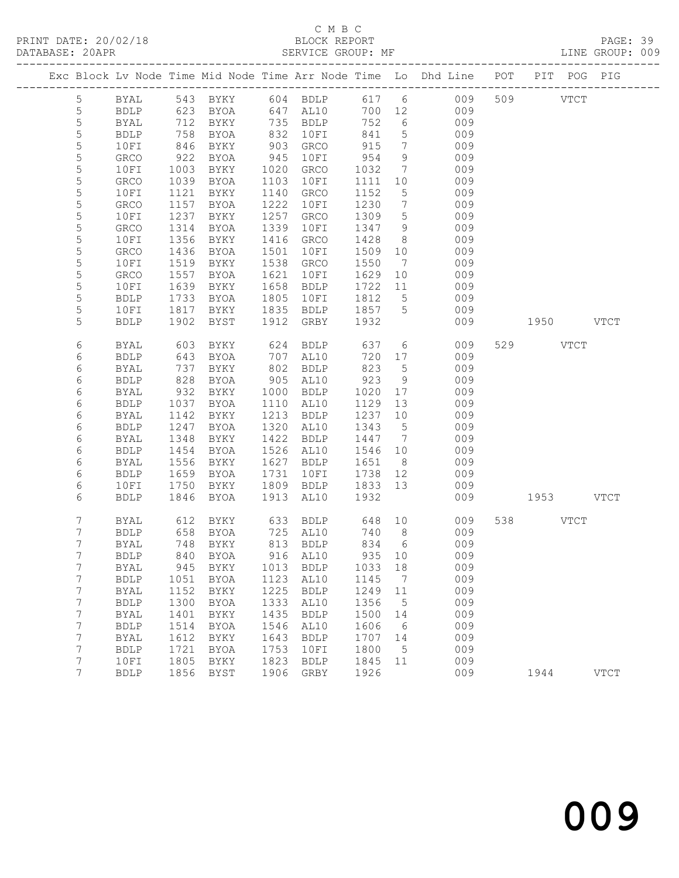# C M B C N B C N B C N B C N B C N B C N B C C M B C C M B C C M B C C M B C C M B C C M B C C M C C M C C M C C C M C C M C C M C C M C C M C C M C C M C C M C C M C C M C C M C C M C C M C C M C C M C C M C C M C C M C C

| DATABASE: 20APR |                  |                     |                                                                                                      | SERVICE GROUP: MF            |              |                        |              |                              |                                                                                |           |           | LINE GROUP: 009 |  |
|-----------------|------------------|---------------------|------------------------------------------------------------------------------------------------------|------------------------------|--------------|------------------------|--------------|------------------------------|--------------------------------------------------------------------------------|-----------|-----------|-----------------|--|
|                 |                  |                     |                                                                                                      |                              |              |                        |              |                              | Exc Block Lv Node Time Mid Node Time Arr Node Time Lo Dhd Line POT PIT POG PIG |           |           |                 |  |
|                 | 5                |                     |                                                                                                      |                              |              |                        |              |                              | BYAL 543 BYKY 604 BDLP 617 6 009 509 VTCT                                      |           |           |                 |  |
|                 | 5                | BDLP                |                                                                                                      | 623 BYOA 647 AL10            |              |                        |              |                              | 700 12 009                                                                     |           |           |                 |  |
|                 | 5                | <b>BYAL</b>         | 712                                                                                                  | BYKY 735 BDLP                |              |                        | 752          | 6                            | 009                                                                            |           |           |                 |  |
|                 | $\mathsf S$      | <b>BDLP</b>         | $\begin{array}{c} \n \sqrt{2} \\  846 \\  \hline\n 22\n \end{array}$                                 | BYOA                         |              | 832 10FI               | 841          | 5 <sup>5</sup>               | 009                                                                            |           |           |                 |  |
|                 | 5                | 10FI                |                                                                                                      | BYKY                         |              | $903$ GRCO             | 915          | $7\phantom{.0}\phantom{.0}7$ | 009                                                                            |           |           |                 |  |
|                 | 5                | GRCO                | 922                                                                                                  | BYOA                         | 945          | 10FI                   | 954          | 9                            | 009                                                                            |           |           |                 |  |
|                 | 5                | 10FI                | 1003                                                                                                 | BYKY                         |              | 1020 GRCO              | 1032         | $7\overline{ }$              | 009                                                                            |           |           |                 |  |
|                 | $\mathsf S$      | ${\tt GRCO}$        | 1039                                                                                                 | BYOA                         |              | 1103 10FI              | 1111         | 10                           | 009                                                                            |           |           |                 |  |
|                 | 5                | 10FI                | 1121                                                                                                 | BYKY                         |              | 1140 GRCO              | 1152         | 5 <sup>5</sup>               | 009                                                                            |           |           |                 |  |
|                 | 5                | <b>GRCO</b>         | 1157                                                                                                 | BYOA                         | 1222         | 10FI                   | 1230         | $7\overline{ }$              | 009                                                                            |           |           |                 |  |
|                 | 5                | 10FI                | 1237                                                                                                 | BYKY                         | 1257         | GRCO                   | 1309         | $5\overline{)}$              | 009                                                                            |           |           |                 |  |
|                 | 5                | GRCO                | 1314                                                                                                 | BYOA                         | 1339         | 10FI                   | 1347         | 9                            | 009                                                                            |           |           |                 |  |
|                 | 5<br>5           | 10FI                | 1356<br>1436                                                                                         | BYKY                         | 1501         | 1416 GRCO              | 1428<br>1509 | 8 <sup>8</sup><br>10         | 009<br>009                                                                     |           |           |                 |  |
|                 | 5                | GRCO                | 1519                                                                                                 | BYOA                         |              | 10FI<br>1538 GRCO      | 1550         | $\overline{7}$               | 009                                                                            |           |           |                 |  |
|                 | 5                | 10FI<br>GRCO        | 1557                                                                                                 | BYKY<br>BYOA                 | 1621         | 10FI                   | 1629         | 10                           | 009                                                                            |           |           |                 |  |
|                 | 5                | 10FI                | 1639                                                                                                 | BYKY                         |              | 1658 BDLP              | 1722 11      |                              | 009                                                                            |           |           |                 |  |
|                 | 5                | BDLP                | 1733                                                                                                 | BYOA                         | 1805         | 10FI                   | 1812         | $5\overline{)}$              | 009                                                                            |           |           |                 |  |
|                 | 5                | 10FI                | 1817                                                                                                 | BYKY                         |              | 1835 BDLP              | 1857 5       |                              | 009                                                                            |           |           |                 |  |
|                 | 5                | <b>BDLP</b>         | 1902                                                                                                 | BYST                         |              | 1912 GRBY              | 1932         |                              | 009                                                                            |           | 1950 VTCT |                 |  |
|                 |                  |                     |                                                                                                      |                              |              |                        |              |                              |                                                                                |           |           |                 |  |
|                 | 6                | BYAL                | 603                                                                                                  | BYKY                         |              | 624 BDLP               | 637          |                              | $6\overline{6}$<br>009                                                         |           | 529 VTCT  |                 |  |
|                 | 6                | <b>BDLP</b>         | 643                                                                                                  | BYOA                         |              | 707 AL10               | 720          | 17                           | 009                                                                            |           |           |                 |  |
|                 | 6                | BYAL                | $\begin{array}{c} \n \overline{\phantom{0}} \\  828 \\  \overline{\phantom{0}} \\  22\n \end{array}$ | BYKY                         |              | 802 BDLP               | 823          | $5\overline{)}$              | 009                                                                            |           |           |                 |  |
|                 | 6                | <b>BDLP</b>         |                                                                                                      | BYOA                         |              | 905 AL10               | 923          | 9                            | 009                                                                            |           |           |                 |  |
|                 | 6                | BYAL                | 932                                                                                                  | BYKY                         |              | 1000 BDLP              | 1020         | 17                           | 009                                                                            |           |           |                 |  |
|                 | 6                | <b>BDLP</b>         | 1037                                                                                                 | BYOA                         |              | 1110 AL10              | 1129         | 13                           | 009                                                                            |           |           |                 |  |
|                 | 6                | <b>BYAL</b>         | 1142                                                                                                 | BYKY                         |              | 1213 BDLP              | 1237         | 10                           | 009                                                                            |           |           |                 |  |
|                 | 6                | <b>BDLP</b>         | 1247                                                                                                 | BYOA                         |              | 1320 AL10              | 1343         | $5\overline{)}$              | 009                                                                            |           |           |                 |  |
|                 | 6                | BYAL                | 1348                                                                                                 | BYKY                         |              | 1422 BDLP<br>1526 AL10 | 1447 7       |                              | 009                                                                            |           |           |                 |  |
|                 | 6<br>6           | <b>BDLP</b>         | 1454<br>1556                                                                                         | BYOA                         |              | 1627 BDLP              | 1546 10      | 8 <sup>8</sup>               | 009<br>009                                                                     |           |           |                 |  |
|                 | 6                | BYAL<br><b>BDLP</b> | 1659                                                                                                 | BYKY<br>BYOA                 | 1731         | 10FI                   | 1651<br>1738 | 12                           | 009                                                                            |           |           |                 |  |
|                 | 6                | 10FI                | 1750                                                                                                 | BYKY                         |              | 1809 BDLP              | 1833 13      |                              | 009                                                                            |           |           |                 |  |
|                 | 6                | <b>BDLP</b>         | 1846                                                                                                 | BYOA                         |              | 1913 AL10              | 1932         |                              | 009                                                                            | 1953 VTCT |           |                 |  |
|                 |                  |                     |                                                                                                      |                              |              |                        |              |                              |                                                                                |           |           |                 |  |
|                 | 7                | BYAL                |                                                                                                      | 612 BYKY<br>658 BYOA<br>BYKY |              |                        |              |                              |                                                                                |           | 538 VTCT  |                 |  |
|                 | 7                | <b>BDLP</b>         |                                                                                                      |                              |              |                        |              |                              |                                                                                |           |           |                 |  |
|                 | $7^{\circ}$      |                     |                                                                                                      |                              |              |                        |              |                              | BYAL 748 BYKY 813 BDLP 834 6 009                                               |           |           |                 |  |
|                 | 7                | <b>BDLP</b>         | 840                                                                                                  | BYOA                         | 916          | AL10                   | 935          | 10                           | 009                                                                            |           |           |                 |  |
|                 | 7                | BYAL                | 945                                                                                                  | BYKY                         | 1013         | <b>BDLP</b>            | 1033         | 18                           | 009                                                                            |           |           |                 |  |
|                 | 7                | <b>BDLP</b>         | 1051                                                                                                 | BYOA                         | 1123         | AL10                   | 1145         | $\overline{7}$               | 009                                                                            |           |           |                 |  |
|                 | 7                | BYAL                | 1152                                                                                                 | BYKY                         | 1225         | <b>BDLP</b>            | 1249         | 11                           | 009                                                                            |           |           |                 |  |
|                 | 7                | <b>BDLP</b>         | 1300                                                                                                 | BYOA                         | 1333         | AL10                   | 1356         | $5^{\circ}$                  | 009                                                                            |           |           |                 |  |
|                 | 7                | <b>BYAL</b>         | 1401                                                                                                 | BYKY                         | 1435         | <b>BDLP</b>            | 1500         | 14                           | 009                                                                            |           |           |                 |  |
|                 | $\boldsymbol{7}$ | <b>BDLP</b>         | 1514                                                                                                 | BYOA                         | 1546         | AL10                   | 1606         | 6                            | 009                                                                            |           |           |                 |  |
|                 | 7                | BYAL                | 1612                                                                                                 | BYKY                         | 1643         | <b>BDLP</b>            | 1707         | 14                           | 009                                                                            |           |           |                 |  |
|                 | 7<br>7           | <b>BDLP</b>         | 1721<br>1805                                                                                         | BYOA                         | 1753<br>1823 | 10FI                   | 1800         | $5\phantom{0}$<br>11         | 009<br>009                                                                     |           |           |                 |  |
|                 | 7                | 10FI<br><b>BDLP</b> |                                                                                                      | BYKY<br>1856 BYST            | 1906         | <b>BDLP</b><br>GRBY    | 1845<br>1926 |                              | 009                                                                            |           | 1944      | <b>VTCT</b>     |  |
|                 |                  |                     |                                                                                                      |                              |              |                        |              |                              |                                                                                |           |           |                 |  |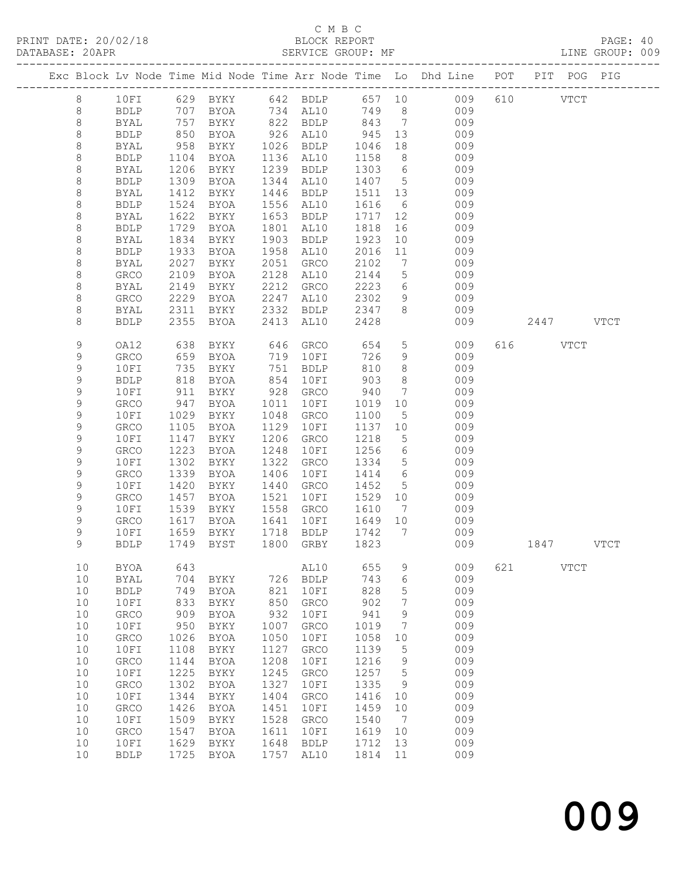# C M B C

| DATABASE: 20APR |                   |              |                   |             |      | SERVICE GROUP: MF              |                     |                 |                                                                                |     |           | LINE GROUP: 009 |
|-----------------|-------------------|--------------|-------------------|-------------|------|--------------------------------|---------------------|-----------------|--------------------------------------------------------------------------------|-----|-----------|-----------------|
|                 |                   |              |                   |             |      |                                |                     |                 | Exc Block Lv Node Time Mid Node Time Arr Node Time Lo Dhd Line POT PIT POG PIG |     |           |                 |
|                 | 8                 |              |                   |             |      |                                |                     |                 | 10FI 629 BYKY 642 BDLP 657 10 009                                              |     | 610 VTCT  |                 |
|                 | 8                 | BDLP         |                   |             |      |                                |                     |                 | 707 BYOA 734 AL10 749 8 009                                                    |     |           |                 |
|                 | 8                 | BYAL         |                   | BYKY        |      | 822 BDLP 843 7                 |                     |                 | 009                                                                            |     |           |                 |
|                 | $\,8\,$           | BDLP         | 757<br>850<br>958 | BYOA        |      |                                |                     | 13              | 009                                                                            |     |           |                 |
|                 | 8                 | BYAL         |                   | BYKY        |      | 926 AL10 945<br>1026 BDLP 1046 |                     | 18              | 009                                                                            |     |           |                 |
|                 | 8                 | BDLP         | 1104              | BYOA        |      | 1136 AL10                      | 1158                | 8 <sup>8</sup>  | $009$                                                                          |     |           |                 |
|                 | 8                 | BYAL         | 1206              | BYKY        |      | 1239 BDLP                      | 1303 6              |                 | 009                                                                            |     |           |                 |
|                 | 8                 | BDLP         | 1309              | BYOA        |      | 1344 AL10                      | 1407 5              |                 | 009                                                                            |     |           |                 |
|                 | 8                 | BYAL         | 1412              | BYKY        |      | 1446 BDLP                      | 1511 13             |                 | 009                                                                            |     |           |                 |
|                 | 8                 | BDLP         | 1524              | BYOA        |      | 1556 AL10                      | 1616                | 6               | 009                                                                            |     |           |                 |
|                 | 8                 | <b>BYAL</b>  | 1622              | BYKY        |      | 1653 BDLP                      | 1717                | 12              | 009                                                                            |     |           |                 |
|                 |                   |              | 1729              |             |      | 1801 AL10                      | 1818                | 16              | 009                                                                            |     |           |                 |
|                 | 8                 | BDLP         |                   | BYOA        |      |                                |                     |                 |                                                                                |     |           |                 |
|                 | 8                 | BYAL         | 1834              | BYKY        |      | 1903 BDLP                      | 1923                | 10              | 009                                                                            |     |           |                 |
|                 | 8                 | BDLP         | 1933              | BYOA        |      | 1958 AL10                      | 2016                | 11              | 009                                                                            |     |           |                 |
|                 | 8                 | BYAL         | 2027              | BYKY        |      | 2051 GRCO                      | 2102                | $\overline{7}$  | 009                                                                            |     |           |                 |
|                 | 8                 | GRCO         | 2109              | BYOA        |      | 2128 AL10                      | 2144                | $5\overline{)}$ | 009                                                                            |     |           |                 |
|                 | 8                 | BYAL         | 2149              | BYKY        |      | 2212 GRCO                      | 2223                | $6\overline{6}$ | 009                                                                            |     |           |                 |
|                 | 8                 | GRCO         | 2229              | BYOA        | 2247 | AL10                           | 2302                | 9               | 009                                                                            |     |           |                 |
|                 | 8                 | BYAL         | 2311              | BYKY        |      | 2332 BDLP                      | 2347                | 8 <sup>8</sup>  | 009                                                                            |     |           |                 |
|                 | 8                 | <b>BDLP</b>  | 2355              | BYOA        |      | 2413 AL10                      | 2428                |                 | 009                                                                            |     | 2447 VTCT |                 |
|                 | 9                 | OA12         | 638               | BYKY        |      | 646 GRCO                       | 654                 | $5\overline{)}$ | 009                                                                            |     | 616 VTCT  |                 |
|                 | 9                 | GRCO         | 659               | BYOA        |      | 719 10FI                       | 726                 | 9               | 009                                                                            |     |           |                 |
|                 | 9                 | 10FI         | 735               | BYKY        |      | 751 BDLP                       | 810                 | 8 <sup>8</sup>  | 009                                                                            |     |           |                 |
|                 | 9                 | <b>BDLP</b>  | 818               | BYOA        | 854  | 10FI                           | 903                 | 8 <sup>8</sup>  | 009                                                                            |     |           |                 |
|                 | 9                 | 10FI         | 911               | BYKY        |      | 928 GRCO                       | 940                 | $\overline{7}$  | 009                                                                            |     |           |                 |
|                 | 9                 | GRCO         | 947               | BYOA        | 1011 | 10FI                           | 1019                | 10              | 009                                                                            |     |           |                 |
|                 | 9                 | 10FI         | 1029              | BYKY        | 1048 | GRCO                           | 1100                | 5               | 009                                                                            |     |           |                 |
|                 | 9                 | GRCO         | 1105              | BYOA        | 1129 | 10FI                           | 1137 10             |                 | 009                                                                            |     |           |                 |
|                 | $\mathsf 9$       | 10FI         | 1147              | BYKY        | 1206 | GRCO                           | 1218                | $5\overline{)}$ | 009                                                                            |     |           |                 |
|                 | 9                 | GRCO         | 1223              | BYOA        | 1248 | 10FI                           | 1256                | $6\overline{6}$ | 009                                                                            |     |           |                 |
|                 | 9                 | 10FI         | 1302              | BYKY        | 1322 | GRCO                           | 1334                | $5\overline{)}$ | 009                                                                            |     |           |                 |
|                 | 9                 | GRCO         | 1339              | BYOA        | 1406 | 10FI                           | 1414                | 6               | 009                                                                            |     |           |                 |
|                 | 9                 | 10FI         | 1420              | BYKY        | 1440 | GRCO                           | 1452                | $5\overline{)}$ | 009                                                                            |     |           |                 |
|                 | 9                 | <b>GRCO</b>  | 1457              | BYOA        | 1521 | 10FI                           | 1529 10             |                 | 009                                                                            |     |           |                 |
|                 | 9                 | 10FI         | 1539              | BYKY        |      | 1558 GRCO                      | 1610                | $\overline{7}$  | 009                                                                            |     |           |                 |
|                 |                   |              | 1617              |             |      | 1641 10FI                      | 1649 10             |                 | 009                                                                            |     |           |                 |
|                 | 9                 | GRCO         |                   | BYOA        |      |                                | $\overline{1742}$ 7 |                 |                                                                                |     |           |                 |
|                 | 9<br>$\mathsf{Q}$ | 10FI         |                   | 1659 BYKY   |      | 1718 BDLP                      |                     |                 | 009                                                                            |     |           |                 |
|                 |                   |              |                   |             |      |                                |                     |                 | BDLP 1749 BYST 1800 GRBY 1823 009 1847 VTCT                                    |     |           |                 |
|                 | 10                | BYOA         | 643               |             |      | AL10                           | 655                 | 9               | 009                                                                            | 621 | VTCT      |                 |
|                 | 10                | BYAL         | 704               | BYKY        | 726  | <b>BDLP</b>                    | 743                 | 6               | 009                                                                            |     |           |                 |
|                 | 10                | <b>BDLP</b>  | 749               | BYOA        | 821  | 10FI                           | 828                 | 5               | 009                                                                            |     |           |                 |
|                 | 10                | 10FI         | 833               | BYKY        | 850  | ${\tt GRCO}$                   | 902                 | 7               | 009                                                                            |     |           |                 |
|                 | 10                | GRCO         | 909               | <b>BYOA</b> | 932  | 10FI                           | 941                 | 9               | 009                                                                            |     |           |                 |
|                 | 10                | 10FI         | 950               | BYKY        | 1007 | GRCO                           | 1019                | 7               | 009                                                                            |     |           |                 |
|                 | 10                | ${\tt GRCO}$ | 1026              | <b>BYOA</b> | 1050 | 10FI                           | 1058                | 10              | 009                                                                            |     |           |                 |
|                 | 10                | 10FI         | 1108              | BYKY        | 1127 | GRCO                           | 1139                | 5               | 009                                                                            |     |           |                 |
|                 | 10                | GRCO         | 1144              | <b>BYOA</b> | 1208 | 10FI                           | 1216                | 9               | 009                                                                            |     |           |                 |
|                 | 10                | 10FI         | 1225              | BYKY        | 1245 | GRCO                           | 1257                | 5               | 009                                                                            |     |           |                 |
|                 | 10                | ${\tt GRCO}$ | 1302              | <b>BYOA</b> | 1327 | 10FI                           | 1335                | 9               | 009                                                                            |     |           |                 |
|                 | $10$              | 10FI         | 1344              | BYKY        | 1404 | GRCO                           | 1416                | 10              | 009                                                                            |     |           |                 |
|                 | 10                | GRCO         | 1426              | <b>BYOA</b> | 1451 | 10FI                           | 1459                | 10              | 009                                                                            |     |           |                 |
|                 | 10                | 10FI         | 1509              | BYKY        | 1528 | GRCO                           | 1540                | $\overline{7}$  | 009                                                                            |     |           |                 |
|                 | $10$              | GRCO         | 1547              | BYOA        | 1611 | 10FI                           | 1619                | 10              | 009                                                                            |     |           |                 |
|                 | 10                | 10FI         | 1629              | BYKY        | 1648 | BDLP                           | 1712                | 13              | 009                                                                            |     |           |                 |
|                 | 10                | <b>BDLP</b>  | 1725              | BYOA        | 1757 | AL10                           | 1814                | 11              | 009                                                                            |     |           |                 |
|                 |                   |              |                   |             |      |                                |                     |                 |                                                                                |     |           |                 |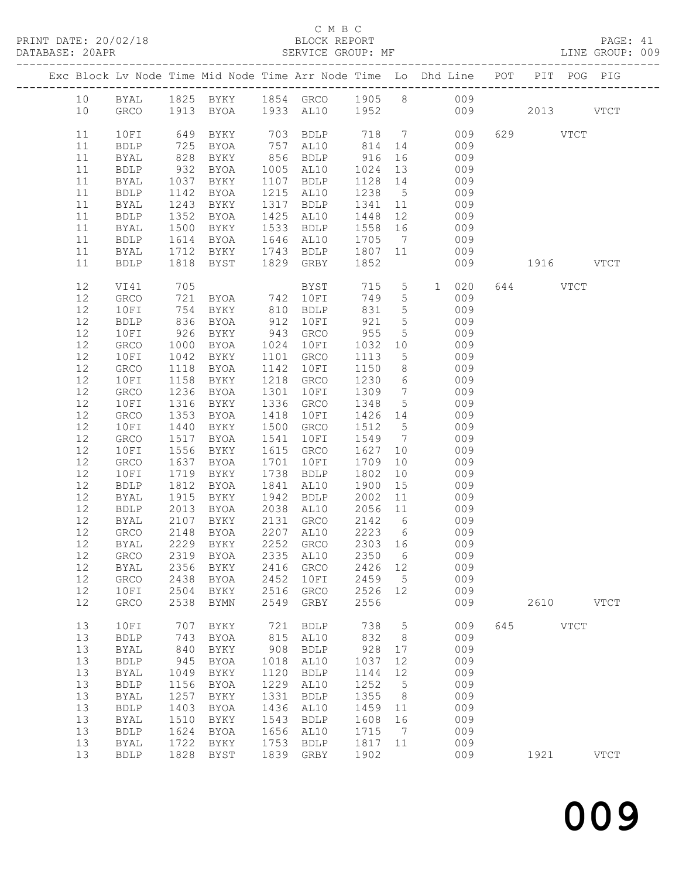#### C M B C

| DATABASE: 20APR |      |              |                             |                        |      |                      |                  |                              | SERVICE GROUP: MF AND THE GROUP: 009                                           |           |           |             |
|-----------------|------|--------------|-----------------------------|------------------------|------|----------------------|------------------|------------------------------|--------------------------------------------------------------------------------|-----------|-----------|-------------|
|                 |      |              |                             |                        |      |                      |                  |                              | Exc Block Lv Node Time Mid Node Time Arr Node Time Lo Dhd Line POT PIT POG PIG |           |           |             |
|                 |      |              |                             |                        |      |                      |                  |                              | 10 BYAL 1825 BYKY 1854 GRCO 1905 8 009                                         |           |           |             |
|                 | 10   |              |                             |                        |      |                      |                  |                              | GRCO 1913 BYOA 1933 AL10 1952 009 2013 VTCT                                    |           |           |             |
|                 | 11   | 10FI         | 649                         |                        |      |                      |                  |                              | BYKY 703 BDLP 718 7 009                                                        | 629 VTCT  |           |             |
|                 | 11   | BDLP         | 725                         | BYOA                   |      | $757$ AL10 814 14    |                  |                              | 009                                                                            |           |           |             |
|                 | 11   | BYAL         | 828                         | BYKY                   |      | 856 BDLP 916         |                  |                              | 009                                                                            |           |           |             |
|                 | 11   | BDLP         |                             | BYOA                   |      | 1005 AL10            | 1024 13          |                              | 009                                                                            |           |           |             |
|                 | 11   | BYAL         |                             | BYKY                   |      | 1107 BDLP            | 1128 14          |                              | 009                                                                            |           |           |             |
|                 | 11   | <b>BDLP</b>  | 932<br>1037<br>1142<br>1142 | BYOA                   |      | 1215 AL10            | 1238 5           |                              | 009                                                                            |           |           |             |
|                 | 11   | BYAL         | 1243                        | BYKY                   |      | 1317 BDLP 1341 11    |                  |                              | 009                                                                            |           |           |             |
|                 | 11   | BDLP         | 1352                        | BYOA                   |      | 1425 AL10            | 1448             | 12                           | 009                                                                            |           |           |             |
|                 | 11   | BYAL         | 1500                        | BYKY                   |      | 1533 BDLP            | 1558 16          |                              | 009                                                                            |           |           |             |
|                 | 11   | <b>BDLP</b>  | 1614                        | BYOA                   |      | 1646 AL10            | 1705 7           |                              | 009                                                                            |           |           |             |
|                 | 11   | BYAL         | 1712                        | BYKY                   |      | 1743 BDLP 1807 11    |                  |                              | 009                                                                            |           |           |             |
|                 | 11   | BDLP         | 1818                        | BYST                   |      | 1829 GRBY            | 1852             |                              | 009 — 100                                                                      | 1916 VTCT |           |             |
|                 |      |              |                             |                        |      |                      |                  |                              |                                                                                |           |           |             |
|                 | 12   | VI41         | 705                         |                        |      | <b>BYST</b>          | 715              | $5\overline{)}$              | 1 020                                                                          | 644 VTCT  |           |             |
|                 | 12   | GRCO         | 721                         |                        |      | BYOA 742 10FI        | 749              | $5\overline{)}$              | 009                                                                            |           |           |             |
|                 | 12   | 10FI         | 754                         |                        |      | BYKY 810 BDLP        | 831              | $5\overline{)}$              | 009                                                                            |           |           |             |
|                 | 12   | BDLP         | 836<br>926                  | BYOA                   |      | 912 10FI<br>943 GRCO | 921              | $5\overline{)}$              | 009                                                                            |           |           |             |
|                 | 12   | 10FI         |                             | <b>BYKY</b>            |      |                      | 955              | $5\overline{)}$              | 009                                                                            |           |           |             |
|                 | 12   | GRCO         | 1000                        | BYOA                   |      | 1024 10FI            | 1032 10          |                              | 009                                                                            |           |           |             |
|                 | $12$ | 10FI         | 1042                        | BYKY                   |      | 1101 GRCO            | 1113             | 5 <sup>5</sup>               | 009                                                                            |           |           |             |
|                 | 12   | GRCO         | 1118                        | BYOA                   | 1142 | 10FI                 | 1150             | 8 <sup>8</sup>               | 009                                                                            |           |           |             |
|                 | 12   | 10FI         | 1158                        | BYKY                   |      | 1218 GRCO            | 1230             | $6\overline{6}$              | 009                                                                            |           |           |             |
|                 | 12   | GRCO         | 1236                        | BYOA                   | 1301 | 10FI                 | 1309             |                              | $7\overline{ }$<br>009                                                         |           |           |             |
|                 | 12   | 10FI         | 1316                        | BYKY                   |      | 1336 GRCO            | 1348             | 5 <sup>5</sup>               | 009                                                                            |           |           |             |
|                 | 12   | GRCO         | 1353                        | BYOA                   | 1418 | 10FI                 | 1426 14          |                              | 009                                                                            |           |           |             |
|                 | 12   | 10FI         | 1440                        | BYKY                   |      | 1500 GRCO            | 1512 5           |                              | 009                                                                            |           |           |             |
|                 | 12   | GRCO         | 1517                        | BYOA                   | 1541 | 10FI                 | 1549             | $\overline{7}$               | 009                                                                            |           |           |             |
|                 | 12   | 10FI         | 1556                        | BYKY                   |      | 1615 GRCO            | 1627             | 10                           | 009                                                                            |           |           |             |
|                 | 12   | GRCO         | 1637                        | BYOA                   | 1701 | 10FI                 | 1709             | 10                           | 009                                                                            |           |           |             |
|                 | 12   | 10FI         | 1719                        | BYKY                   |      | 1738 BDLP            | 1802             | 10                           | 009                                                                            |           |           |             |
|                 | 12   | BDLP         | 1812                        | BYOA                   |      | 1841 AL10            | 1900             | 15                           | 009                                                                            |           |           |             |
|                 | 12   | BYAL         | 1915                        | BYKY                   |      | 1942 BDLP            | 2002             | 11                           | 009                                                                            |           |           |             |
|                 | 12   | BDLP         | 2013                        | BYOA                   |      | 2038 AL10            | 2056 11          |                              | 009                                                                            |           |           |             |
|                 | 12   | BYAL         |                             |                        |      | 2131 GRCO            |                  |                              | 009                                                                            |           |           |             |
|                 | 12   | GRCO         |                             | 2107 BYA1<br>2148 BYOA |      | 2207 AL10            | 2142 6<br>2223 6 |                              | 009                                                                            |           |           |             |
|                 | 12   |              |                             |                        |      |                      |                  |                              | BYAL 2229 BYKY 2252 GRCO 2303 16 009                                           |           |           |             |
|                 | 12   | GRCO         | 2319                        | BYOA                   | 2335 | AL10                 | 2350             | 6                            | 009                                                                            |           |           |             |
|                 | 12   | BYAL         | 2356                        | BYKY                   | 2416 | GRCO                 | 2426 12          |                              | 009                                                                            |           |           |             |
|                 | 12   | GRCO         | 2438                        | BYOA                   | 2452 | 10FI                 | 2459             | $5\phantom{0}$               | 009                                                                            |           |           |             |
|                 | 12   | 10FI         | 2504                        | BYKY                   | 2516 | GRCO                 | 2526             | 12                           | 009                                                                            |           |           |             |
|                 | 12   | GRCO         | 2538                        | BYMN                   | 2549 | GRBY                 | 2556             |                              | 009                                                                            |           | 2610 VTCT |             |
|                 | 13   | 10FI         | 707                         | BYKY                   | 721  | BDLP                 | 738              | $5\overline{)}$              | 009                                                                            | 645 VTCT  |           |             |
|                 | 13   | ${\tt BDLP}$ | 743                         | BYOA                   | 815  | AL10                 | 832              | 8 <sup>8</sup>               | 009                                                                            |           |           |             |
|                 | 13   | <b>BYAL</b>  | 840                         | BYKY                   | 908  | <b>BDLP</b>          | 928              | 17                           | 009                                                                            |           |           |             |
|                 | 13   |              | 945                         |                        | 1018 |                      | 1037             | 12                           | 009                                                                            |           |           |             |
|                 | 13   | <b>BDLP</b>  |                             | BYOA                   | 1120 | AL10<br><b>BDLP</b>  |                  | 12                           | 009                                                                            |           |           |             |
|                 |      | <b>BYAL</b>  | 1049                        | BYKY                   |      | AL10                 | 1144             |                              |                                                                                |           |           |             |
|                 | 13   | <b>BDLP</b>  | 1156                        | BYOA                   | 1229 |                      | 1252             | $5\phantom{0}$               | 009                                                                            |           |           |             |
|                 | 13   | <b>BYAL</b>  | 1257                        | BYKY                   | 1331 | BDLP                 | 1355             | 8 <sup>8</sup>               | 009                                                                            |           |           |             |
|                 | 13   | <b>BDLP</b>  | 1403                        | BYOA                   | 1436 | AL10                 | 1459             | 11                           | 009                                                                            |           |           |             |
|                 | 13   | <b>BYAL</b>  | 1510                        | BYKY                   | 1543 | BDLP                 | 1608             | 16                           | 009                                                                            |           |           |             |
|                 | 13   | ${\tt BDLP}$ | 1624                        | BYOA                   | 1656 | AL10                 | 1715             | $7\phantom{.0}\phantom{.0}7$ | 009                                                                            |           |           |             |
|                 | 13   | BYAL         | 1722                        | BYKY                   | 1753 | BDLP                 | 1817 11          |                              | 009                                                                            |           |           |             |
|                 | 13   | <b>BDLP</b>  | 1828                        | BYST                   | 1839 | GRBY                 | 1902             |                              | 009                                                                            | 1921      |           | <b>VTCT</b> |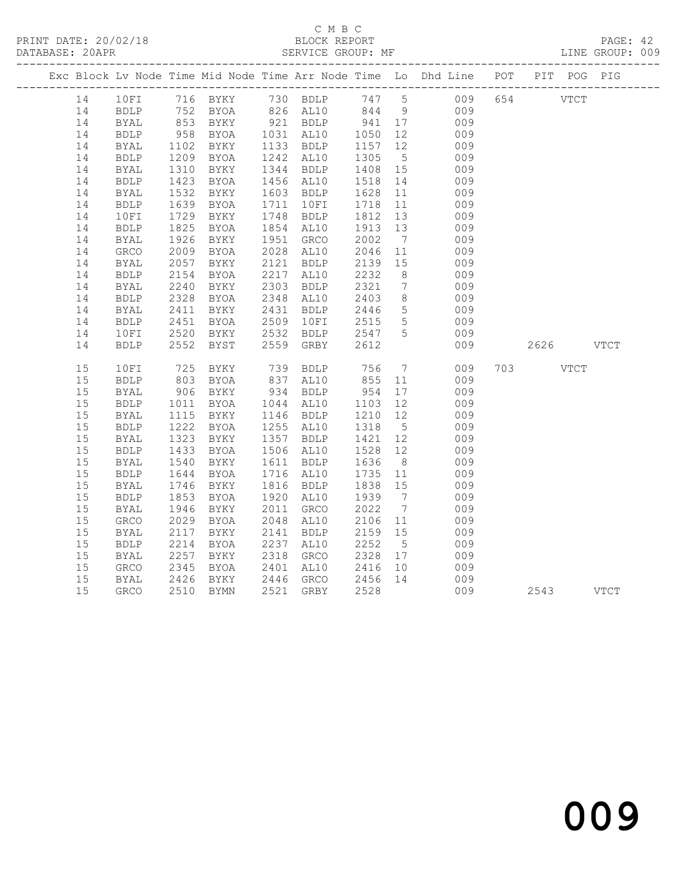#### C M B C<br>
C M B C<br>
ELOCK REPORT DATABASE: 20APR SERVICE GROUP: MF LINE GROUP: 009

|  |    |             |                      |                                                                                          |                        |                    |                 | Exc Block Lv Node Time Mid Node Time Arr Node Time Lo Dhd Line POT PIT POG PIG |           |      |  |
|--|----|-------------|----------------------|------------------------------------------------------------------------------------------|------------------------|--------------------|-----------------|--------------------------------------------------------------------------------|-----------|------|--|
|  | 14 |             |                      |                                                                                          |                        |                    |                 | 10FI 716 BYKY 730 BDLP 747 5 009 654 VTCT                                      |           |      |  |
|  | 14 | <b>BDLP</b> |                      | 752 BYOA       826  AL10       844     9<br>853   BYKY        921   BDLP        941   17 |                        |                    |                 | 009<br>009                                                                     |           |      |  |
|  | 14 | BYAL        |                      |                                                                                          |                        |                    |                 |                                                                                |           |      |  |
|  | 14 | <b>BDLP</b> | 958<br>1102          | BYOA                                                                                     | 1031 AL10              | 1050 12<br>1157 12 |                 | 009                                                                            |           |      |  |
|  | 14 | BYAL        |                      | BYKY                                                                                     | 1133 BDLP              |                    |                 | 009                                                                            |           |      |  |
|  | 14 | BDLP        | 1209                 | BYOA                                                                                     | 1242 AL10              | 1305               | 5 <sup>5</sup>  | 009                                                                            |           |      |  |
|  | 14 | BYAL        | 1310<br>1423         | BYKY                                                                                     | 1344 BDLP              | 1408 15<br>1518 14 |                 | 009                                                                            |           |      |  |
|  | 14 | <b>BDLP</b> |                      | BYOA                                                                                     | 1456 AL10              | 1518               | 14              | 009                                                                            |           |      |  |
|  | 14 | BYAL        | 1532                 | BYKY                                                                                     | 1603 BDLP              | 1628               | 11              | 009                                                                            |           |      |  |
|  | 14 | <b>BDLP</b> | 1639<br>1639<br>1729 | BYOA                                                                                     | 1711 10FI              | 1718               | 11              | 009                                                                            |           |      |  |
|  | 14 | 10FI        |                      | BYKY                                                                                     | 1748 BDLP              | 1812 13            |                 | 009                                                                            |           |      |  |
|  | 14 | <b>BDLP</b> | 1825<br>1926         | BYOA                                                                                     | 1854 AL10              | 1913               | 13              | 009                                                                            |           |      |  |
|  | 14 | <b>BYAL</b> |                      | BYKY                                                                                     | 1951 GRCO              | 2002               | $\overline{7}$  | 009                                                                            |           |      |  |
|  | 14 | GRCO        | 2009                 | <b>BYOA</b>                                                                              | 2028 AL10              | 2046               | 11              | 009                                                                            |           |      |  |
|  | 14 | BYAL        | 2057                 | BYKY                                                                                     | 2121 BDLP<br>2217 AL10 | 2139<br>2232       | 15              | 009                                                                            |           |      |  |
|  | 14 | <b>BDLP</b> | 2154                 | BYOA                                                                                     |                        |                    | 8 <sup>8</sup>  | 009                                                                            |           |      |  |
|  | 14 | BYAL        | 2240                 | BYKY                                                                                     | 2303 BDLP              | 2321               | $7\overline{ }$ | 009                                                                            |           |      |  |
|  | 14 | <b>BDLP</b> | 2328<br>2411         | BYOA                                                                                     | 2348 AL10              | 2403<br>2446       | 8 <sup>8</sup>  | 009                                                                            |           |      |  |
|  | 14 | <b>BYAL</b> |                      | BYKY                                                                                     | 2431 BDLP              |                    | $5\overline{)}$ | 009                                                                            |           |      |  |
|  | 14 | BDLP        | 2451<br>2520         | BYOA                                                                                     | 2509 10FI              | 2515               | $5\overline{)}$ | 009                                                                            |           |      |  |
|  | 14 | 10FI        | 2520                 | BYKY                                                                                     | 2532 BDLP              | 2547 5             |                 | 009                                                                            |           |      |  |
|  | 14 | <b>BDLP</b> | 2552                 | BYST                                                                                     | 2559 GRBY              | 2612               |                 | 009                                                                            | 2626 VTCT |      |  |
|  | 15 | 10FI        | 725                  | BYKY                                                                                     | 739 BDLP               | 756                | $7\overline{ }$ | 009                                                                            | 703 — 103 | VTCT |  |
|  | 15 | <b>BDLP</b> | 803                  | BYOA                                                                                     | 837 AL10               | 855                | 11              | 009                                                                            |           |      |  |
|  | 15 | BYAL        | 906                  | BYKY                                                                                     | 934 BDLP<br>1044 AL10  | 954 17<br>1103 12  |                 | 009                                                                            |           |      |  |
|  | 15 | <b>BDLP</b> | 1011                 | BYOA                                                                                     |                        |                    |                 | 009                                                                            |           |      |  |
|  | 15 | <b>BYAL</b> | 1115<br>1222         | BYKY                                                                                     | 1146 BDLP              | 1210<br>1318       | 12              | 009                                                                            |           |      |  |
|  | 15 | <b>BDLP</b> |                      | BYOA                                                                                     | 1255 AL10              |                    | $5^{\circ}$     | 009                                                                            |           |      |  |
|  | 15 | BYAL        | 1323                 | BYKY                                                                                     | 1357 BDLP              | 1421 12            |                 | 009                                                                            |           |      |  |
|  | 15 | <b>BDLP</b> | 1433<br>1540         | BYOA                                                                                     | 1506 AL10              | 1528<br>1636       | 12              | 009                                                                            |           |      |  |
|  | 15 | BYAL        |                      | BYKY                                                                                     | 1611 BDLP              |                    | 8 <sup>8</sup>  | 009                                                                            |           |      |  |
|  | 15 | <b>BDLP</b> | 1644<br>1746         | BYOA                                                                                     | 1716 AL10              | 1735               | 11              | 009                                                                            |           |      |  |
|  | 15 | BYAL        | 1746                 | BYKY                                                                                     | 1816 BDLP              | 1838 15            |                 | 009                                                                            |           |      |  |
|  | 15 | <b>BDLP</b> | 1853                 | BYOA                                                                                     | 1920 AL10              | 1939               | $\overline{7}$  | 009                                                                            |           |      |  |
|  | 15 | BYAL        | 1946                 | BYKY                                                                                     | 2011 GRCO              | 2022               | $7\overline{)}$ | 009                                                                            |           |      |  |
|  | 15 | GRCO        | 2029                 | BYOA                                                                                     | 2048 AL10              | 2106 11            |                 | 009                                                                            |           |      |  |
|  | 15 | BYAL        | 2117                 | BYKY                                                                                     | 2141 BDLP              | 2159 15            |                 | 009                                                                            |           |      |  |
|  | 15 | <b>BDLP</b> | 2214                 | BYOA                                                                                     | 2237 AL10              | 2252               | 5 <sup>5</sup>  | 009                                                                            |           |      |  |
|  | 15 | BYAL        | 2257                 | BYKY                                                                                     | 2318 GRCO              | 2328 17            |                 | 009                                                                            |           |      |  |
|  | 15 | GRCO        | 2345                 | BYOA                                                                                     | 2401 AL10              | 2416               | 10              | 009                                                                            |           |      |  |
|  | 15 | BYAL        | 2426                 | BYKY                                                                                     | 2446 GRCO 2456 14      |                    |                 | 009                                                                            |           |      |  |
|  | 15 | GRCO        |                      | 2510 BYMN                                                                                | 2521 GRBY              | 2528               |                 | 009                                                                            | 2543 VTCT |      |  |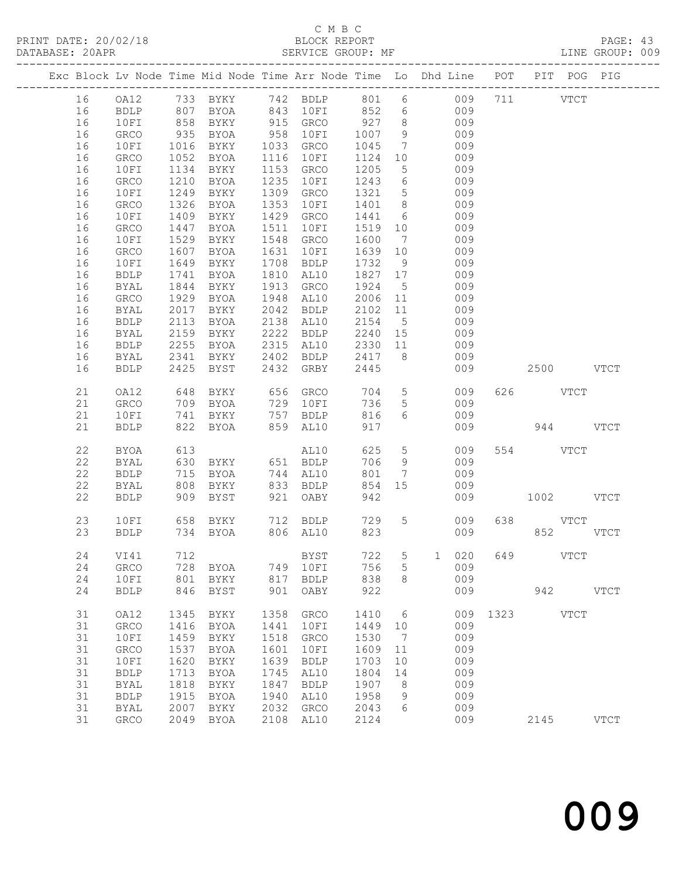PRINT DATE: 20/02/18 BLOCK REPORT BATABASE: 20APR BEST BERVICE GROUP: MF

# C M B C<br>BLOCK REPORT

PAGE: 43<br>LINE GROUP: 009

|  |          |              |              | Exc Block Lv Node Time Mid Node Time Arr Node Time Lo Dhd Line POT PIT POG PIG |              |              |              |                              |            |                      |          |               |             |
|--|----------|--------------|--------------|--------------------------------------------------------------------------------|--------------|--------------|--------------|------------------------------|------------|----------------------|----------|---------------|-------------|
|  | 16       | OA12         |              | 733 BYKY 742 BDLP 801 6 009                                                    |              |              |              |                              |            |                      | 711      | $_{\rm VTCT}$ |             |
|  | 16       | <b>BDLP</b>  |              | BYOA                                                                           |              | 843 10FI     | 852 6        |                              | 009        |                      |          |               |             |
|  | 16       | 10FI         | 807<br>858   | BYKY                                                                           |              | 915 GRCO     | 927          | 8 <sup>8</sup>               | 009        |                      |          |               |             |
|  | 16       | GRCO         | 935          | BYOA                                                                           | 958          | 10FI         | 1007         | 9                            | 009        |                      |          |               |             |
|  | 16       | 10FI         | 1016         | BYKY                                                                           |              | 1033 GRCO    | 1045         | $\overline{7}$               | 009        |                      |          |               |             |
|  | 16       | GRCO         | 1052         | BYOA                                                                           | 1116         | 10FI         | 1124         | 10                           | 009        |                      |          |               |             |
|  | 16       | 10FI         | 1134         | BYKY                                                                           | 1153         | GRCO         | 1205         | $5\overline{)}$              | 009        |                      |          |               |             |
|  | 16       | GRCO         | 1210         | BYOA                                                                           | 1235         | 10FI         | 1243         | $6\overline{6}$              | 009        |                      |          |               |             |
|  | 16       | 10FI         | 1249         | BYKY                                                                           | 1309         | GRCO         | 1321         | $5\overline{)}$              | 009        |                      |          |               |             |
|  | 16       | GRCO         | 1326         | BYOA                                                                           | 1353         | 10FI         | 1401         | 8 <sup>8</sup>               | 009        |                      |          |               |             |
|  | 16       | 10FI         | 1409         | BYKY                                                                           | 1429         | GRCO         | 1441         | 6                            | 009        |                      |          |               |             |
|  | 16       | GRCO         | 1447         | BYOA                                                                           | 1511         | 10FI         | 1519         | 10                           | 009        |                      |          |               |             |
|  | 16       | 10FI         | 1529         | BYKY                                                                           | 1548         | GRCO         | 1600         | $\overline{7}$               | 009        |                      |          |               |             |
|  | 16       | GRCO         | 1607         | BYOA                                                                           | 1631         | 10FI         | 1639         | 10                           | 009        |                      |          |               |             |
|  | 16       | 10FI         | 1649         | BYKY                                                                           | 1708         | BDLP         | 1732         | 9                            | 009        |                      |          |               |             |
|  | 16<br>16 | <b>BDLP</b>  | 1741<br>1844 | BYOA                                                                           | 1810<br>1913 | AL10         | 1827<br>1924 | 17                           | 009<br>009 |                      |          |               |             |
|  | 16       | BYAL<br>GRCO | 1929         | BYKY<br>BYOA                                                                   | 1948         | GRCO<br>AL10 | 2006         | $5\overline{)}$<br>11        | 009        |                      |          |               |             |
|  | 16       | BYAL         | 2017         | BYKY                                                                           | 2042         | <b>BDLP</b>  | 2102         | 11                           | 009        |                      |          |               |             |
|  | 16       | BDLP         | 2113         | BYOA                                                                           | 2138         | AL10         | 2154         | $5\overline{)}$              | 009        |                      |          |               |             |
|  | 16       | BYAL         | 2159         | BYKY                                                                           | 2222         | BDLP         | 2240 15      |                              | 009        |                      |          |               |             |
|  | 16       | <b>BDLP</b>  | 2255         | BYOA                                                                           | 2315         | AL10         | 2330         | 11                           | 009        |                      |          |               |             |
|  | 16       | BYAL         | 2341         | BYKY                                                                           |              | 2402 BDLP    | 2417         | 8 <sup>8</sup>               | 009        |                      |          |               |             |
|  | 16       | <b>BDLP</b>  | 2425         | BYST                                                                           |              | 2432 GRBY    | 2445         |                              | 009        |                      |          | 2500 VTCT     |             |
|  |          |              |              |                                                                                |              |              |              |                              |            |                      |          |               |             |
|  | 21       | OA12         | 648          | BYKY                                                                           |              | 656 GRCO     | 704          | 5 <sup>5</sup>               | 009        |                      | 626 VTCT |               |             |
|  | 21       | GRCO         | 709          | BYOA                                                                           |              | 729 10FI     | 736          | 5 <sup>5</sup>               | 009        |                      |          |               |             |
|  | 21       | 10FI         | 741          | BYKY                                                                           |              | 757 BDLP     | 816          | 6                            | 009        |                      |          |               |             |
|  | 21       | <b>BDLP</b>  | 822          | BYOA                                                                           | 859          | AL10         | 917          |                              | 009        |                      |          | 944 VTCT      |             |
|  | 22       | BYOA         | 613          |                                                                                |              | AL10         | 625          | $5\overline{)}$              | 009        |                      | 554 VTCT |               |             |
|  | 22       | BYAL         | 630          | BYKY                                                                           |              | 651 BDLP     | 706          | 9                            | 009        |                      |          |               |             |
|  | 22       | ${\tt BDLP}$ | 715          | BYOA                                                                           |              | 744 AL10     | 801          | $7\phantom{.0}\phantom{.0}7$ | 009        |                      |          |               |             |
|  | 22       | <b>BYAL</b>  | 808          | BYKY                                                                           |              | 833 BDLP     | 854          | 15                           | 009        |                      |          |               |             |
|  | 22       | <b>BDLP</b>  | 909          | BYST                                                                           | 921          | OABY         | 942          |                              | 009        |                      |          | 1002 VTCT     |             |
|  |          |              |              |                                                                                |              |              |              |                              |            |                      |          |               |             |
|  | 23       | 10FI         |              | 658 BYKY                                                                       |              | 712 BDLP     | 729          |                              | 5 009      |                      | 638 VTCT |               |             |
|  | 23       | <b>BDLP</b>  |              | 734 BYOA                                                                       |              | 806 AL10     | 823          |                              | 009        |                      |          | 852           | <b>VTCT</b> |
|  | 24       | VI41         | 712          |                                                                                |              | <b>BYST</b>  |              |                              |            | 722 5 1 020 649 VTCT |          |               |             |
|  | 24       | GRCO         | 728          | BYOA                                                                           | 749          | 10FI         | 756          | 5                            | 009        |                      |          |               |             |
|  | 24       | 10FI         | 801          | BYKY                                                                           | 817          | <b>BDLP</b>  | 838          | 8                            | 009        |                      |          |               |             |
|  | 24       | <b>BDLP</b>  | 846          | BYST                                                                           | 901          | OABY         | 922          |                              | 009        |                      | 942      |               | <b>VTCT</b> |
|  |          |              |              |                                                                                |              |              |              |                              |            |                      |          |               |             |
|  | 31       | OA12         | 1345         | BYKY                                                                           | 1358         | GRCO         | 1410         | 6                            | 009        | 1323                 |          | <b>VTCT</b>   |             |
|  | 31       | GRCO         | 1416         | BYOA                                                                           | 1441         | 10FI         | 1449         | 10                           | 009        |                      |          |               |             |
|  | 31       | 10FI         | 1459         | BYKY                                                                           | 1518         | GRCO         | 1530         | 7                            | 009        |                      |          |               |             |
|  | 31       | GRCO         | 1537         | <b>BYOA</b>                                                                    | 1601         | 10FI         | 1609         | 11                           | 009        |                      |          |               |             |
|  | 31       | 10FI         | 1620         | BYKY                                                                           | 1639         | <b>BDLP</b>  | 1703         | 10                           | 009        |                      |          |               |             |
|  | 31       | <b>BDLP</b>  | 1713         | <b>BYOA</b>                                                                    | 1745         | AL10         | 1804         | 14                           | 009        |                      |          |               |             |
|  | 31       | <b>BYAL</b>  | 1818         | BYKY                                                                           | 1847         | <b>BDLP</b>  | 1907         | 8                            | 009        |                      |          |               |             |
|  | 31       | <b>BDLP</b>  | 1915         | <b>BYOA</b>                                                                    | 1940         | AL10         | 1958         | 9                            | 009        |                      |          |               |             |
|  | 31       | <b>BYAL</b>  | 2007         | BYKY                                                                           | 2032         | GRCO         | 2043         | 6                            | 009        |                      |          |               |             |
|  | 31       | GRCO         | 2049         | <b>BYOA</b>                                                                    | 2108         | AL10         | 2124         |                              | 009        |                      | 2145     |               | <b>VTCT</b> |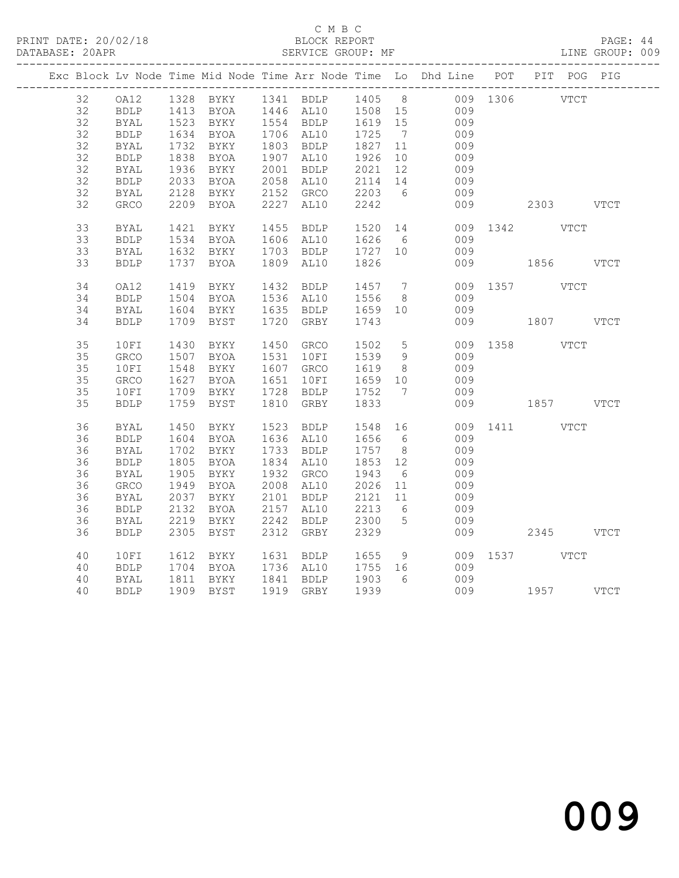PRINT DATE: 20/02/18 BLOCK REPORT BATABASE: 20APR BEST BERVICE GROUP: MF

#### C M B C<br>BLOCK REPORT

PAGE: 44<br>LINE GROUP: 009

|  |    |              |              |                                           |                                                                                         |                            |                | Exc Block Lv Node Time Mid Node Time Arr Node Time Lo Dhd Line POT PIT POG PIG |               |      |
|--|----|--------------|--------------|-------------------------------------------|-----------------------------------------------------------------------------------------|----------------------------|----------------|--------------------------------------------------------------------------------|---------------|------|
|  | 32 |              |              |                                           |                                                                                         |                            |                | OA12 1328 BYKY 1341 BDLP 1405 8 009 1306 VTCT                                  |               |      |
|  | 32 | <b>BDLP</b>  |              |                                           | 1413 BYOA     1446   AL10      1508   15<br>1523   BYKY      1554   BDLP      1619   15 |                            |                | 009                                                                            |               |      |
|  | 32 | <b>BYAL</b>  |              |                                           |                                                                                         |                            |                | 009                                                                            |               |      |
|  | 32 | <b>BDLP</b>  |              | 1634 BYOA<br>1732 BYKY                    | 1706 AL10                                                                               | 1725 7<br>1827 11          |                | 009                                                                            |               |      |
|  | 32 | BYAL         |              |                                           | 1803 BDLP                                                                               |                            |                | 009                                                                            |               |      |
|  | 32 | BDLP         |              | 1838 BYOA                                 | 1907 AL10                                                                               | 1926 10                    |                | 009                                                                            |               |      |
|  | 32 | <b>BYAL</b>  | 1936<br>2033 | BYKY                                      | 2001 BDLP<br>2058 AL10                                                                  | $2021$ $12$<br>$2114$ $14$ |                | 009                                                                            |               |      |
|  | 32 | <b>BDLP</b>  |              | BYOA                                      |                                                                                         |                            |                | 009                                                                            |               |      |
|  | 32 | <b>BYAL</b>  | 2128         | BYKY 2152 GRCO                            |                                                                                         | 2203 6                     |                | 009                                                                            |               |      |
|  | 32 | GRCO         |              | 2209 BYOA                                 | 2227 AL10                                                                               | 2242                       |                | 009                                                                            | 2303 VTCT     |      |
|  | 33 | BYAL         | 1421         | BYKY                                      | 1455 BDLP                                                                               | 1520 14<br>1626 6          |                |                                                                                | 009 1342 VTCT |      |
|  | 33 | ${\tt BDLP}$ | 1534         | <b>BYOA</b>                               | 1606 AL10                                                                               |                            |                | 009                                                                            |               |      |
|  | 33 | BYAL         |              |                                           | 1632 BYKY 1703 BDLP 1727 10                                                             |                            |                | 009                                                                            |               |      |
|  | 33 | <b>BDLP</b>  | 1737         | BYOA                                      | 1809 AL10                                                                               | 1826                       |                |                                                                                | 009 1856      | VTCT |
|  | 34 | OA12         |              | 1419 BYKY                                 | 1432 BDLP                                                                               | 1457 7<br>1556 8           |                |                                                                                | 009 1357 VTCT |      |
|  | 34 | <b>BDLP</b>  |              | 1504 BYOA                                 | 1536 AL10                                                                               |                            |                | 009                                                                            |               |      |
|  | 34 | BYAL         |              | 1604 BYKY 1635 BDLP                       |                                                                                         | 1659 10                    |                | 009                                                                            |               |      |
|  | 34 | <b>BDLP</b>  |              | 1709 BYST                                 | 1720 GRBY                                                                               | 1743                       |                |                                                                                | 009 1807 VTCT |      |
|  | 35 | 10FI         |              | 1430 BYKY                                 | 1450 GRCO                                                                               | 1502                       | 5 <sup>5</sup> |                                                                                | 009 1358 VTCT |      |
|  | 35 | GRCO         |              | 1507 BYOA                                 | 1531 10FI                                                                               | 1539 9                     |                | 009                                                                            |               |      |
|  | 35 | 10FI         |              | 1548 BYKY                                 | 1607 GRCO                                                                               | $\overline{1619}$ 8        |                | 009                                                                            |               |      |
|  | 35 | GRCO         | 1627         |                                           | 1651 10FI                                                                               | 1659 10                    |                | 009                                                                            |               |      |
|  | 35 | 10FI         |              | 1627 L-<br>1709 BYKY<br>2 PYST            | 1728 BDLP                                                                               | 1752 7                     |                | 009                                                                            |               |      |
|  | 35 | <b>BDLP</b>  |              | 1759 BYST                                 | 1810 GRBY                                                                               | 1833                       |                |                                                                                | 009 1857 VTCT |      |
|  | 36 | BYAL         | 1450         | BYKY                                      | 1523 BDLP                                                                               | 1548 16                    |                |                                                                                | 009 1411 VTCT |      |
|  | 36 | <b>BDLP</b>  | 1604         | <b>BYOA</b>                               | 1636 AL10                                                                               | 1656 6                     |                | 009                                                                            |               |      |
|  | 36 | BYAL         | 1702         | BYKY                                      | 1733 BDLP                                                                               | 1757 8                     |                | 009                                                                            |               |      |
|  | 36 | <b>BDLP</b>  | 1805         | BYOA                                      | 1834 AL10                                                                               | 1853 12                    |                | 009                                                                            |               |      |
|  | 36 | BYAL         | 1905         | BYKY                                      | 1932 GRCO                                                                               |                            |                | 009                                                                            |               |      |
|  | 36 | GRCO         | 1949         | BYOA                                      | 2008 AL10                                                                               | 1943 6<br>2026 11          |                | 009                                                                            |               |      |
|  | 36 | BYAL         | 2037         | <b>BYKY</b>                               | 2101 BDLP                                                                               | 2121 11                    |                | 009                                                                            |               |      |
|  | 36 | BDLP         | 2132         |                                           |                                                                                         |                            | 6              | 009                                                                            |               |      |
|  | 36 | BYAL         |              |                                           | 2157 AL10<br>2242 BDLP                                                                  | 2213<br>2300               | $5^{\circ}$    | 009                                                                            |               |      |
|  | 36 | <b>BDLP</b>  | 2305         | 2134 --<br>2219 BYKY<br>2219 BYKY<br>BYST | 2312 GRBY                                                                               | 2329                       |                | 009                                                                            | 2345 VTCT     |      |
|  | 40 | 10FI         | 1612         | BYKY                                      | 1631 BDLP 1655                                                                          |                            | 9              |                                                                                | 009 1537 VTCT |      |
|  | 40 | <b>BDLP</b>  |              |                                           |                                                                                         |                            |                | 009                                                                            |               |      |
|  | 40 | BYAL         |              | 1704 BYOA<br>1811 BYKY                    | 1736 AL10 1755 16<br>1841 BDLP 1903 6                                                   |                            |                | 009                                                                            |               |      |
|  | 40 | <b>BDLP</b>  |              | 1909 BYST                                 | 1919 GRBY 1939                                                                          |                            |                |                                                                                | 009 1957 VTCT |      |
|  |    |              |              |                                           |                                                                                         |                            |                |                                                                                |               |      |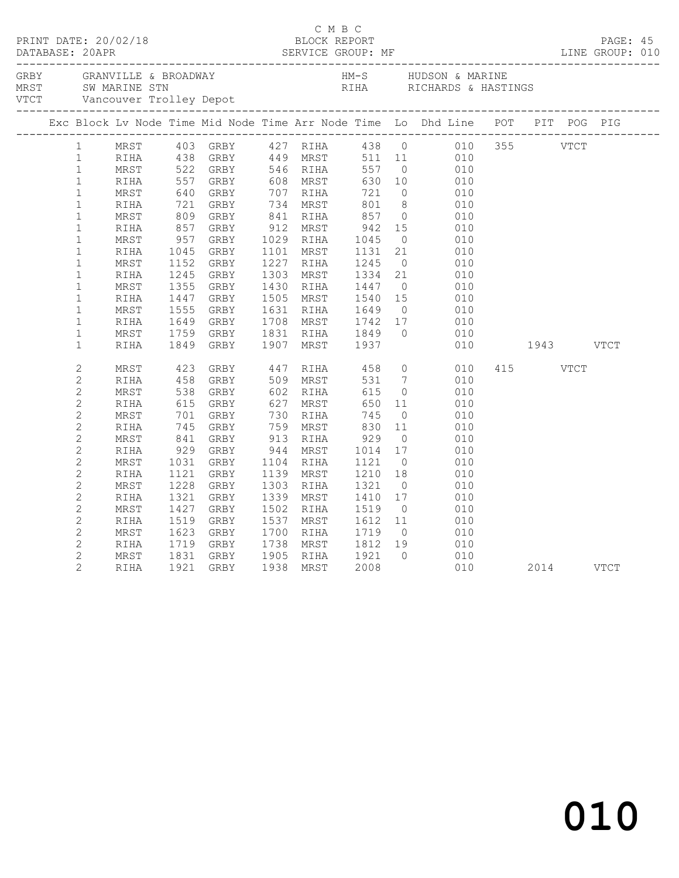|  |                |            |                |                                  |           |           |                                  |                | Exc Block Lv Node Time Mid Node Time Arr Node Time Lo Dhd Line POT PIT POG PIG                                     |           |          |           |  |
|--|----------------|------------|----------------|----------------------------------|-----------|-----------|----------------------------------|----------------|--------------------------------------------------------------------------------------------------------------------|-----------|----------|-----------|--|
|  | $\mathbf{1}$   |            |                |                                  |           |           |                                  |                | MRST 403 GRBY 427 RIHA 438 0 010 355 VTCT<br>RIHA 438 GRBY 449 MRST 511 11 010<br>MRST 522 GRBY 546 RIHA 557 0 010 |           |          |           |  |
|  | $\mathbf{1}$   |            |                |                                  |           |           |                                  |                |                                                                                                                    |           |          |           |  |
|  | $\mathbf{1}$   |            |                |                                  |           |           |                                  |                |                                                                                                                    |           |          |           |  |
|  | $\mathbf{1}$   | RIHA       | 557<br>640     |                                  |           |           |                                  |                | $\begin{array}{ccc} 10 & \hspace{1.5cm} & 010 \\ \hspace{1.5cm} 0 & \hspace{1.5cm} & 010 \end{array}$              |           |          |           |  |
|  | $\mathbf{1}$   | MRST       |                |                                  |           |           |                                  |                |                                                                                                                    |           |          |           |  |
|  | $\mathbf 1$    | RIHA       |                | 721 GRBY<br>809 GRBY<br>857 GRBY | 734 MRST  |           | 801                              | 8 <sup>8</sup> | 010                                                                                                                |           |          |           |  |
|  | $\mathbf 1$    | MRST       |                |                                  |           |           | 841 RIHA 857<br>912 MRST 942     |                | $\overline{O}$<br>010                                                                                              |           |          |           |  |
|  | $\mathbf{1}$   | RIHA       |                |                                  | 912 MRST  |           |                                  | 15             | $\begin{array}{c} 0 & 1 \\ 0 & 1 \end{array}$                                                                      |           |          |           |  |
|  | $\mathbf{1}$   | MRST       | 957<br>1045    | GRBY                             |           | 1029 RIHA | 1045<br>1131                     | $\overline{0}$ | $010$<br>$010$                                                                                                     |           |          |           |  |
|  | $\mathbf 1$    | RIHA       | 1045           | GRBY                             |           | 1101 MRST |                                  | 21             |                                                                                                                    |           |          |           |  |
|  | $\mathbf{1}$   | MRST       | 1152           | GRBY                             |           | 1227 RIHA | 1245                             | $\bigcirc$     | 010                                                                                                                |           |          |           |  |
|  | $\mathbf{1}$   | RIHA       | 1245           | GRBY                             |           | 1303 MRST | 1334                             |                | 21<br>010                                                                                                          |           |          |           |  |
|  | $\mathbf 1$    | MRST       | 1355           | GRBY                             | 1430 RIHA |           | 1447                             |                | $\overline{0}$<br>010                                                                                              |           |          |           |  |
|  | $\mathbf{1}$   | RIHA       | 1447           | GRBY                             |           | 1505 MRST | 1540<br>1649                     | 15             |                                                                                                                    |           |          |           |  |
|  | $\mathbf{1}$   | MRST       | 1555           | GRBY                             | 1631 RIHA |           |                                  | $\bigcirc$     | 010<br>010                                                                                                         |           |          |           |  |
|  | $\mathbf{1}$   | RIHA       | 1649           | GRBY                             |           |           | 1708 MRST 1742<br>1831 RIHA 1849 | 17             | 010                                                                                                                |           |          |           |  |
|  | $\mathbf{1}$   | MRST       | 1759           | GRBY                             |           |           |                                  | $\bigcirc$     | 010                                                                                                                |           |          |           |  |
|  | $\mathbf{1}$   | RIHA       | 1849           | GRBY                             |           |           | 1907 MRST 1937                   |                | 010                                                                                                                | 1943 VTCT |          |           |  |
|  | $\overline{c}$ | MRST       | 423            | GRBY                             |           |           | 447 RIHA 458                     |                | $\overline{0}$<br>010                                                                                              |           | 415 VTCT |           |  |
|  | $\mathbf{2}$   | RIHA       | $458$<br>$538$ | GRBY                             |           | 509 MRST  | 531                              |                | $\begin{array}{c} 7 \\ 0 \end{array}$<br>010                                                                       |           |          |           |  |
|  | $\overline{c}$ | MRST       |                | GRBY                             |           | 602 RIHA  | 615                              |                | 010                                                                                                                |           |          |           |  |
|  | $\mathbf{2}$   | RIHA       | 615            | GRBY                             | 627       | MRST      | 650                              | 11             | 010                                                                                                                |           |          |           |  |
|  | $\overline{c}$ | MRST       | 701            | GRBY                             |           | 730 RIHA  | 745                              | $\overline{0}$ | 010                                                                                                                |           |          |           |  |
|  | $\overline{c}$ | RIHA       | 745            | GRBY                             |           | 759 MRST  | 830                              | 11             | 010                                                                                                                |           |          |           |  |
|  | $\mathbf 2$    | MRST       | 841<br>929     | GRBY                             |           | 913 RIHA  | $929$<br>$1014$                  | $\overline{0}$ | 010                                                                                                                |           |          |           |  |
|  | $\mathbf{2}$   | RIHA       |                | GRBY                             | 944 MRST  |           |                                  | 17             | 010                                                                                                                |           |          |           |  |
|  | $\overline{c}$ | MRST       | 1031           | GRBY                             | 1104 RIHA |           | 1121                             | $\overline{0}$ | 010                                                                                                                |           |          |           |  |
|  | $\overline{c}$ | RIHA       | 1121           | GRBY                             |           | 1139 MRST | 1210                             | 18             | 010                                                                                                                |           |          |           |  |
|  | $\overline{c}$ | MRST       | 1228           | GRBY                             |           | 1303 RIHA | 1321                             | $\overline{0}$ | 010                                                                                                                |           |          |           |  |
|  | $\mathbf{2}$   | RIHA       | 1321           | GRBY                             |           | 1339 MRST | 1410                             | 17             | 010                                                                                                                |           |          |           |  |
|  | $\overline{c}$ | $\tt MRST$ | 1427           | GRBY                             |           | 1502 RIHA | 1519                             | $\overline{0}$ | 010                                                                                                                |           |          |           |  |
|  | $\mathbf{2}$   | RIHA       | 1519           | GRBY                             |           | 1537 MRST | 1612                             | 11             | 010                                                                                                                |           |          |           |  |
|  | $\overline{c}$ | MRST       | 1623           | GRBY                             |           | 1700 RIHA | 1719                             | $\overline{0}$ | 010                                                                                                                |           |          |           |  |
|  | $\mathbf{2}$   | RIHA       | 1719           | GRBY                             |           |           | 1738 MRST 1812                   | 19             | 010                                                                                                                |           |          |           |  |
|  | $\overline{c}$ | MRST       | 1831           | GRBY                             | 1905 RIHA |           | 1921                             | $\bigcap$      | 010                                                                                                                |           |          |           |  |
|  | $\overline{2}$ | RIHA       |                | 1921 GRBY                        | 1938 MRST |           | 2008                             |                | 010                                                                                                                |           |          | 2014 VTCT |  |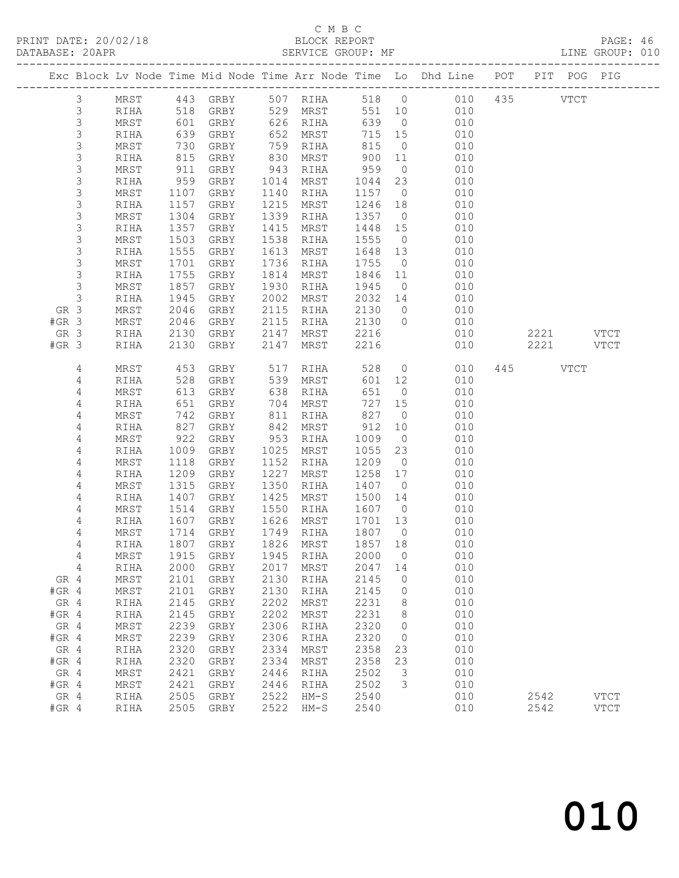PRINT DATE: 20/02/18 BLOCK REPORT<br>DATABASE: 20APR PAGE: 20APR

### C M B C<br>BLOCK REPORT

PAGE: 46<br>LINE GROUP: 010

| Exc Block Lv Node Time Mid Node Time Arr Node Time Lo Dhd Line POT PIT POG PIG<br>443 GRBY<br>507 RIHA<br>518 0 010 435<br><b>VTCT</b><br>3<br>MRST<br>3<br>529 MRST<br>551<br>RIHA<br>518<br>GRBY<br>10<br>010<br>$\mathsf 3$<br>626 RIHA<br>639<br>MRST<br>GRBY<br>$\overline{0}$<br>010<br>UL<br>639<br>100<br>$\mathsf S$<br>GRBY<br>652<br>MRST<br>715<br>15<br>010<br>RIHA<br>3<br>MRST<br>730<br>GRBY<br>759<br>815<br>$\overline{0}$<br>010<br>RIHA<br>$\mathsf S$<br>815<br>GRBY<br>830<br>MRST<br>900<br>11<br>010<br>RIHA<br>3<br>959<br>MRST<br>911<br>GRBY<br>943<br>RIHA<br>$\overline{0}$<br>010<br>$\mathsf S$<br>RIHA<br>959<br>GRBY<br>1014<br>MRST<br>1044<br>23<br>010<br>3<br>010<br>MRST<br>1107<br>GRBY<br>1140<br>RIHA<br>1157<br>$\overline{0}$<br>3<br>1157<br>1215<br>RIHA<br>GRBY<br>MRST<br>1246<br>18<br>010<br>3<br>1339<br>MRST<br>1304<br>GRBY<br>RIHA<br>1357<br>010<br>$\overline{0}$<br>$\mathsf S$<br>1357<br>RIHA<br>GRBY<br>1415<br>MRST<br>1448<br>15<br>010<br>3<br>1538<br>MRST<br>1503<br>GRBY<br>1555<br>$\overline{0}$<br>010<br>RIHA<br>3<br>1555<br>GRBY<br>1613<br>MRST<br>1648<br>13<br>010<br>RIHA<br>3<br>1701<br>MRST<br>GRBY<br>1736<br>1755<br>010<br>RIHA<br>$\overline{0}$<br>$\mathsf S$<br>1755<br>1814<br>1846<br>010<br>GRBY<br>MRST<br>11<br>RIHA<br>$\mathsf S$<br>1857<br>1930<br>1945<br>010<br>MRST<br>GRBY<br>RIHA<br>$\overline{0}$<br>$\mathsf 3$<br>1945<br>2002<br>2032<br>010<br>GRBY<br>MRST<br>RIHA<br>14<br>GR 3<br>2115<br>MRST<br>2046<br>GRBY<br>2130<br>010<br>RIHA<br>$\overline{0}$<br>2130<br>$#GR$ 3<br>MRST<br>2046<br>GRBY<br>2115<br>$\overline{0}$<br>010<br>RIHA<br>2130<br>2147<br>2216<br>2221 VTCT<br>GR 3<br>GRBY<br>MRST<br>010<br>RIHA<br>$#GR$ 3<br>2130<br>GRBY<br>2147<br>2216<br>010<br>2221<br><b>VTCT</b><br>RIHA<br>MRST<br>4<br>453<br>GRBY<br>528<br>$\overline{0}$<br>010<br>445 VTCT<br>MRST<br>517<br>RIHA<br>$\overline{4}$<br>528<br>539<br>GRBY<br>MRST<br>601<br>12<br>010<br>RIHA<br>$\overline{4}$<br>651<br>MRST<br>613<br>GRBY<br>638<br>$\overline{0}$<br>010<br>RIHA<br>4<br>651<br>727<br>GRBY<br>704<br>MRST<br>15<br>010<br>RIHA<br>742<br>827<br>4<br>MRST<br>GRBY<br>811<br>RIHA<br>$\overline{0}$<br>010<br>4<br>912<br>827<br>GRBY<br>842<br>MRST<br>10<br>010<br>RIHA<br>922<br>4<br>GRBY<br>953<br>1009<br>$\overline{0}$<br>010<br>MRST<br>RIHA<br>4<br>1009<br>GRBY<br>1025<br>MRST<br>1055<br>23<br>010<br>RIHA<br>1152<br>4<br>MRST<br>1118<br>GRBY<br>1209<br>$\overline{0}$<br>010<br>RIHA<br>1209<br>1227<br>1258<br>4<br>GRBY<br>MRST<br>17<br>010<br>RIHA<br>4<br>1315<br>1350<br>010<br>MRST<br>GRBY<br>RIHA<br>1407<br>$\overline{0}$<br>1425<br>4<br>RIHA<br>1407<br>GRBY<br>MRST<br>1500<br>14<br>010<br>1550<br>4<br>MRST<br>1514<br>GRBY<br>RIHA<br>1607<br>010<br>$\overline{0}$<br>4<br>1626<br>1607<br>GRBY<br>MRST<br>1701<br>13<br>010<br>RIHA<br>1714<br>1807<br>4<br>MRST<br>GRBY<br>1749<br>$\overline{0}$<br>010<br>RIHA<br>1807 GRBY<br>1826<br>1857 18<br>4<br>RIHA<br>MRST<br>010<br>2000<br>1915<br>1945<br>$\overline{0}$<br>010<br>4<br>MRST<br>GRBY<br>RIHA<br>4<br>2047<br>2000<br>2017<br>010<br><b>RIHA</b><br>GRBY<br>MRST<br>14<br>2130<br>2145<br>010<br>GR 4<br>MRST<br>2101<br>GRBY<br>RIHA<br>0<br>2130<br>010<br>$#GR$ 4<br>MRST<br>2101<br>GRBY<br>2145<br>RIHA<br>0<br>2202<br>2231<br>010<br>GR 4<br>2145<br>${\tt GRBY}$<br>MRST<br>8<br>RIHA<br>2145<br>2202<br>2231<br>8<br>010<br>$#GR$ 4<br>RIHA<br>GRBY<br>MRST<br>2239<br>2306<br>2320<br>GR 4<br>010<br>MRST<br>GRBY<br>RIHA<br>0<br>$#GR$ 4<br>2239<br>2306<br>2320<br>010<br>MRST<br>GRBY<br>RIHA<br>0<br>2320<br>2334<br>2358<br>GR 4<br>GRBY<br>MRST<br>23<br>010<br>RIHA<br>$#GR$ 4<br>2320<br>2334<br>2358<br>23<br>010<br>GRBY<br>MRST<br>RIHA<br>2421<br>2502<br>3<br>GR 4<br>$\tt MRST$<br>${\tt GRBY}$<br>2446<br>010<br>RIHA<br>3<br>010<br>$#GR$ 4<br>2421<br>${\tt GRBY}$<br>2446<br>2502<br>MRST<br>RIHA<br>GR 4<br>2522<br>RIHA<br>2505<br>GRBY<br>$HM-S$<br>2540<br>010<br>2542<br><b>VTCT</b><br>$#GR$ 4<br>2522<br>2540<br>2505<br>GRBY<br>$HM-S$<br>010<br>2542<br><b>VTCT</b><br>RIHA |  |  |  |  |  |  |  |
|-------------------------------------------------------------------------------------------------------------------------------------------------------------------------------------------------------------------------------------------------------------------------------------------------------------------------------------------------------------------------------------------------------------------------------------------------------------------------------------------------------------------------------------------------------------------------------------------------------------------------------------------------------------------------------------------------------------------------------------------------------------------------------------------------------------------------------------------------------------------------------------------------------------------------------------------------------------------------------------------------------------------------------------------------------------------------------------------------------------------------------------------------------------------------------------------------------------------------------------------------------------------------------------------------------------------------------------------------------------------------------------------------------------------------------------------------------------------------------------------------------------------------------------------------------------------------------------------------------------------------------------------------------------------------------------------------------------------------------------------------------------------------------------------------------------------------------------------------------------------------------------------------------------------------------------------------------------------------------------------------------------------------------------------------------------------------------------------------------------------------------------------------------------------------------------------------------------------------------------------------------------------------------------------------------------------------------------------------------------------------------------------------------------------------------------------------------------------------------------------------------------------------------------------------------------------------------------------------------------------------------------------------------------------------------------------------------------------------------------------------------------------------------------------------------------------------------------------------------------------------------------------------------------------------------------------------------------------------------------------------------------------------------------------------------------------------------------------------------------------------------------------------------------------------------------------------------------------------------------------------------------------------------------------------------------------------------------------------------------------------------------------------------------------------------------------------------------------------------------------------------------------------------------------------------------------------------------------------------------------------------------------------------------------------------------------------------------------------------------------------------------------------------------------------------------------------------------------------------------------------------------------------------------------------------------------------------------------------------------------------------------------------------------------------------------------------------------------------------------------------------------------|--|--|--|--|--|--|--|
|                                                                                                                                                                                                                                                                                                                                                                                                                                                                                                                                                                                                                                                                                                                                                                                                                                                                                                                                                                                                                                                                                                                                                                                                                                                                                                                                                                                                                                                                                                                                                                                                                                                                                                                                                                                                                                                                                                                                                                                                                                                                                                                                                                                                                                                                                                                                                                                                                                                                                                                                                                                                                                                                                                                                                                                                                                                                                                                                                                                                                                                                                                                                                                                                                                                                                                                                                                                                                                                                                                                                                                                                                                                                                                                                                                                                                                                                                                                                                                                                                                                                                                                                           |  |  |  |  |  |  |  |
|                                                                                                                                                                                                                                                                                                                                                                                                                                                                                                                                                                                                                                                                                                                                                                                                                                                                                                                                                                                                                                                                                                                                                                                                                                                                                                                                                                                                                                                                                                                                                                                                                                                                                                                                                                                                                                                                                                                                                                                                                                                                                                                                                                                                                                                                                                                                                                                                                                                                                                                                                                                                                                                                                                                                                                                                                                                                                                                                                                                                                                                                                                                                                                                                                                                                                                                                                                                                                                                                                                                                                                                                                                                                                                                                                                                                                                                                                                                                                                                                                                                                                                                                           |  |  |  |  |  |  |  |
|                                                                                                                                                                                                                                                                                                                                                                                                                                                                                                                                                                                                                                                                                                                                                                                                                                                                                                                                                                                                                                                                                                                                                                                                                                                                                                                                                                                                                                                                                                                                                                                                                                                                                                                                                                                                                                                                                                                                                                                                                                                                                                                                                                                                                                                                                                                                                                                                                                                                                                                                                                                                                                                                                                                                                                                                                                                                                                                                                                                                                                                                                                                                                                                                                                                                                                                                                                                                                                                                                                                                                                                                                                                                                                                                                                                                                                                                                                                                                                                                                                                                                                                                           |  |  |  |  |  |  |  |
|                                                                                                                                                                                                                                                                                                                                                                                                                                                                                                                                                                                                                                                                                                                                                                                                                                                                                                                                                                                                                                                                                                                                                                                                                                                                                                                                                                                                                                                                                                                                                                                                                                                                                                                                                                                                                                                                                                                                                                                                                                                                                                                                                                                                                                                                                                                                                                                                                                                                                                                                                                                                                                                                                                                                                                                                                                                                                                                                                                                                                                                                                                                                                                                                                                                                                                                                                                                                                                                                                                                                                                                                                                                                                                                                                                                                                                                                                                                                                                                                                                                                                                                                           |  |  |  |  |  |  |  |
|                                                                                                                                                                                                                                                                                                                                                                                                                                                                                                                                                                                                                                                                                                                                                                                                                                                                                                                                                                                                                                                                                                                                                                                                                                                                                                                                                                                                                                                                                                                                                                                                                                                                                                                                                                                                                                                                                                                                                                                                                                                                                                                                                                                                                                                                                                                                                                                                                                                                                                                                                                                                                                                                                                                                                                                                                                                                                                                                                                                                                                                                                                                                                                                                                                                                                                                                                                                                                                                                                                                                                                                                                                                                                                                                                                                                                                                                                                                                                                                                                                                                                                                                           |  |  |  |  |  |  |  |
|                                                                                                                                                                                                                                                                                                                                                                                                                                                                                                                                                                                                                                                                                                                                                                                                                                                                                                                                                                                                                                                                                                                                                                                                                                                                                                                                                                                                                                                                                                                                                                                                                                                                                                                                                                                                                                                                                                                                                                                                                                                                                                                                                                                                                                                                                                                                                                                                                                                                                                                                                                                                                                                                                                                                                                                                                                                                                                                                                                                                                                                                                                                                                                                                                                                                                                                                                                                                                                                                                                                                                                                                                                                                                                                                                                                                                                                                                                                                                                                                                                                                                                                                           |  |  |  |  |  |  |  |
|                                                                                                                                                                                                                                                                                                                                                                                                                                                                                                                                                                                                                                                                                                                                                                                                                                                                                                                                                                                                                                                                                                                                                                                                                                                                                                                                                                                                                                                                                                                                                                                                                                                                                                                                                                                                                                                                                                                                                                                                                                                                                                                                                                                                                                                                                                                                                                                                                                                                                                                                                                                                                                                                                                                                                                                                                                                                                                                                                                                                                                                                                                                                                                                                                                                                                                                                                                                                                                                                                                                                                                                                                                                                                                                                                                                                                                                                                                                                                                                                                                                                                                                                           |  |  |  |  |  |  |  |
|                                                                                                                                                                                                                                                                                                                                                                                                                                                                                                                                                                                                                                                                                                                                                                                                                                                                                                                                                                                                                                                                                                                                                                                                                                                                                                                                                                                                                                                                                                                                                                                                                                                                                                                                                                                                                                                                                                                                                                                                                                                                                                                                                                                                                                                                                                                                                                                                                                                                                                                                                                                                                                                                                                                                                                                                                                                                                                                                                                                                                                                                                                                                                                                                                                                                                                                                                                                                                                                                                                                                                                                                                                                                                                                                                                                                                                                                                                                                                                                                                                                                                                                                           |  |  |  |  |  |  |  |
|                                                                                                                                                                                                                                                                                                                                                                                                                                                                                                                                                                                                                                                                                                                                                                                                                                                                                                                                                                                                                                                                                                                                                                                                                                                                                                                                                                                                                                                                                                                                                                                                                                                                                                                                                                                                                                                                                                                                                                                                                                                                                                                                                                                                                                                                                                                                                                                                                                                                                                                                                                                                                                                                                                                                                                                                                                                                                                                                                                                                                                                                                                                                                                                                                                                                                                                                                                                                                                                                                                                                                                                                                                                                                                                                                                                                                                                                                                                                                                                                                                                                                                                                           |  |  |  |  |  |  |  |
|                                                                                                                                                                                                                                                                                                                                                                                                                                                                                                                                                                                                                                                                                                                                                                                                                                                                                                                                                                                                                                                                                                                                                                                                                                                                                                                                                                                                                                                                                                                                                                                                                                                                                                                                                                                                                                                                                                                                                                                                                                                                                                                                                                                                                                                                                                                                                                                                                                                                                                                                                                                                                                                                                                                                                                                                                                                                                                                                                                                                                                                                                                                                                                                                                                                                                                                                                                                                                                                                                                                                                                                                                                                                                                                                                                                                                                                                                                                                                                                                                                                                                                                                           |  |  |  |  |  |  |  |
|                                                                                                                                                                                                                                                                                                                                                                                                                                                                                                                                                                                                                                                                                                                                                                                                                                                                                                                                                                                                                                                                                                                                                                                                                                                                                                                                                                                                                                                                                                                                                                                                                                                                                                                                                                                                                                                                                                                                                                                                                                                                                                                                                                                                                                                                                                                                                                                                                                                                                                                                                                                                                                                                                                                                                                                                                                                                                                                                                                                                                                                                                                                                                                                                                                                                                                                                                                                                                                                                                                                                                                                                                                                                                                                                                                                                                                                                                                                                                                                                                                                                                                                                           |  |  |  |  |  |  |  |
|                                                                                                                                                                                                                                                                                                                                                                                                                                                                                                                                                                                                                                                                                                                                                                                                                                                                                                                                                                                                                                                                                                                                                                                                                                                                                                                                                                                                                                                                                                                                                                                                                                                                                                                                                                                                                                                                                                                                                                                                                                                                                                                                                                                                                                                                                                                                                                                                                                                                                                                                                                                                                                                                                                                                                                                                                                                                                                                                                                                                                                                                                                                                                                                                                                                                                                                                                                                                                                                                                                                                                                                                                                                                                                                                                                                                                                                                                                                                                                                                                                                                                                                                           |  |  |  |  |  |  |  |
|                                                                                                                                                                                                                                                                                                                                                                                                                                                                                                                                                                                                                                                                                                                                                                                                                                                                                                                                                                                                                                                                                                                                                                                                                                                                                                                                                                                                                                                                                                                                                                                                                                                                                                                                                                                                                                                                                                                                                                                                                                                                                                                                                                                                                                                                                                                                                                                                                                                                                                                                                                                                                                                                                                                                                                                                                                                                                                                                                                                                                                                                                                                                                                                                                                                                                                                                                                                                                                                                                                                                                                                                                                                                                                                                                                                                                                                                                                                                                                                                                                                                                                                                           |  |  |  |  |  |  |  |
|                                                                                                                                                                                                                                                                                                                                                                                                                                                                                                                                                                                                                                                                                                                                                                                                                                                                                                                                                                                                                                                                                                                                                                                                                                                                                                                                                                                                                                                                                                                                                                                                                                                                                                                                                                                                                                                                                                                                                                                                                                                                                                                                                                                                                                                                                                                                                                                                                                                                                                                                                                                                                                                                                                                                                                                                                                                                                                                                                                                                                                                                                                                                                                                                                                                                                                                                                                                                                                                                                                                                                                                                                                                                                                                                                                                                                                                                                                                                                                                                                                                                                                                                           |  |  |  |  |  |  |  |
|                                                                                                                                                                                                                                                                                                                                                                                                                                                                                                                                                                                                                                                                                                                                                                                                                                                                                                                                                                                                                                                                                                                                                                                                                                                                                                                                                                                                                                                                                                                                                                                                                                                                                                                                                                                                                                                                                                                                                                                                                                                                                                                                                                                                                                                                                                                                                                                                                                                                                                                                                                                                                                                                                                                                                                                                                                                                                                                                                                                                                                                                                                                                                                                                                                                                                                                                                                                                                                                                                                                                                                                                                                                                                                                                                                                                                                                                                                                                                                                                                                                                                                                                           |  |  |  |  |  |  |  |
|                                                                                                                                                                                                                                                                                                                                                                                                                                                                                                                                                                                                                                                                                                                                                                                                                                                                                                                                                                                                                                                                                                                                                                                                                                                                                                                                                                                                                                                                                                                                                                                                                                                                                                                                                                                                                                                                                                                                                                                                                                                                                                                                                                                                                                                                                                                                                                                                                                                                                                                                                                                                                                                                                                                                                                                                                                                                                                                                                                                                                                                                                                                                                                                                                                                                                                                                                                                                                                                                                                                                                                                                                                                                                                                                                                                                                                                                                                                                                                                                                                                                                                                                           |  |  |  |  |  |  |  |
|                                                                                                                                                                                                                                                                                                                                                                                                                                                                                                                                                                                                                                                                                                                                                                                                                                                                                                                                                                                                                                                                                                                                                                                                                                                                                                                                                                                                                                                                                                                                                                                                                                                                                                                                                                                                                                                                                                                                                                                                                                                                                                                                                                                                                                                                                                                                                                                                                                                                                                                                                                                                                                                                                                                                                                                                                                                                                                                                                                                                                                                                                                                                                                                                                                                                                                                                                                                                                                                                                                                                                                                                                                                                                                                                                                                                                                                                                                                                                                                                                                                                                                                                           |  |  |  |  |  |  |  |
|                                                                                                                                                                                                                                                                                                                                                                                                                                                                                                                                                                                                                                                                                                                                                                                                                                                                                                                                                                                                                                                                                                                                                                                                                                                                                                                                                                                                                                                                                                                                                                                                                                                                                                                                                                                                                                                                                                                                                                                                                                                                                                                                                                                                                                                                                                                                                                                                                                                                                                                                                                                                                                                                                                                                                                                                                                                                                                                                                                                                                                                                                                                                                                                                                                                                                                                                                                                                                                                                                                                                                                                                                                                                                                                                                                                                                                                                                                                                                                                                                                                                                                                                           |  |  |  |  |  |  |  |
|                                                                                                                                                                                                                                                                                                                                                                                                                                                                                                                                                                                                                                                                                                                                                                                                                                                                                                                                                                                                                                                                                                                                                                                                                                                                                                                                                                                                                                                                                                                                                                                                                                                                                                                                                                                                                                                                                                                                                                                                                                                                                                                                                                                                                                                                                                                                                                                                                                                                                                                                                                                                                                                                                                                                                                                                                                                                                                                                                                                                                                                                                                                                                                                                                                                                                                                                                                                                                                                                                                                                                                                                                                                                                                                                                                                                                                                                                                                                                                                                                                                                                                                                           |  |  |  |  |  |  |  |
|                                                                                                                                                                                                                                                                                                                                                                                                                                                                                                                                                                                                                                                                                                                                                                                                                                                                                                                                                                                                                                                                                                                                                                                                                                                                                                                                                                                                                                                                                                                                                                                                                                                                                                                                                                                                                                                                                                                                                                                                                                                                                                                                                                                                                                                                                                                                                                                                                                                                                                                                                                                                                                                                                                                                                                                                                                                                                                                                                                                                                                                                                                                                                                                                                                                                                                                                                                                                                                                                                                                                                                                                                                                                                                                                                                                                                                                                                                                                                                                                                                                                                                                                           |  |  |  |  |  |  |  |
|                                                                                                                                                                                                                                                                                                                                                                                                                                                                                                                                                                                                                                                                                                                                                                                                                                                                                                                                                                                                                                                                                                                                                                                                                                                                                                                                                                                                                                                                                                                                                                                                                                                                                                                                                                                                                                                                                                                                                                                                                                                                                                                                                                                                                                                                                                                                                                                                                                                                                                                                                                                                                                                                                                                                                                                                                                                                                                                                                                                                                                                                                                                                                                                                                                                                                                                                                                                                                                                                                                                                                                                                                                                                                                                                                                                                                                                                                                                                                                                                                                                                                                                                           |  |  |  |  |  |  |  |
|                                                                                                                                                                                                                                                                                                                                                                                                                                                                                                                                                                                                                                                                                                                                                                                                                                                                                                                                                                                                                                                                                                                                                                                                                                                                                                                                                                                                                                                                                                                                                                                                                                                                                                                                                                                                                                                                                                                                                                                                                                                                                                                                                                                                                                                                                                                                                                                                                                                                                                                                                                                                                                                                                                                                                                                                                                                                                                                                                                                                                                                                                                                                                                                                                                                                                                                                                                                                                                                                                                                                                                                                                                                                                                                                                                                                                                                                                                                                                                                                                                                                                                                                           |  |  |  |  |  |  |  |
|                                                                                                                                                                                                                                                                                                                                                                                                                                                                                                                                                                                                                                                                                                                                                                                                                                                                                                                                                                                                                                                                                                                                                                                                                                                                                                                                                                                                                                                                                                                                                                                                                                                                                                                                                                                                                                                                                                                                                                                                                                                                                                                                                                                                                                                                                                                                                                                                                                                                                                                                                                                                                                                                                                                                                                                                                                                                                                                                                                                                                                                                                                                                                                                                                                                                                                                                                                                                                                                                                                                                                                                                                                                                                                                                                                                                                                                                                                                                                                                                                                                                                                                                           |  |  |  |  |  |  |  |
|                                                                                                                                                                                                                                                                                                                                                                                                                                                                                                                                                                                                                                                                                                                                                                                                                                                                                                                                                                                                                                                                                                                                                                                                                                                                                                                                                                                                                                                                                                                                                                                                                                                                                                                                                                                                                                                                                                                                                                                                                                                                                                                                                                                                                                                                                                                                                                                                                                                                                                                                                                                                                                                                                                                                                                                                                                                                                                                                                                                                                                                                                                                                                                                                                                                                                                                                                                                                                                                                                                                                                                                                                                                                                                                                                                                                                                                                                                                                                                                                                                                                                                                                           |  |  |  |  |  |  |  |
|                                                                                                                                                                                                                                                                                                                                                                                                                                                                                                                                                                                                                                                                                                                                                                                                                                                                                                                                                                                                                                                                                                                                                                                                                                                                                                                                                                                                                                                                                                                                                                                                                                                                                                                                                                                                                                                                                                                                                                                                                                                                                                                                                                                                                                                                                                                                                                                                                                                                                                                                                                                                                                                                                                                                                                                                                                                                                                                                                                                                                                                                                                                                                                                                                                                                                                                                                                                                                                                                                                                                                                                                                                                                                                                                                                                                                                                                                                                                                                                                                                                                                                                                           |  |  |  |  |  |  |  |
|                                                                                                                                                                                                                                                                                                                                                                                                                                                                                                                                                                                                                                                                                                                                                                                                                                                                                                                                                                                                                                                                                                                                                                                                                                                                                                                                                                                                                                                                                                                                                                                                                                                                                                                                                                                                                                                                                                                                                                                                                                                                                                                                                                                                                                                                                                                                                                                                                                                                                                                                                                                                                                                                                                                                                                                                                                                                                                                                                                                                                                                                                                                                                                                                                                                                                                                                                                                                                                                                                                                                                                                                                                                                                                                                                                                                                                                                                                                                                                                                                                                                                                                                           |  |  |  |  |  |  |  |
|                                                                                                                                                                                                                                                                                                                                                                                                                                                                                                                                                                                                                                                                                                                                                                                                                                                                                                                                                                                                                                                                                                                                                                                                                                                                                                                                                                                                                                                                                                                                                                                                                                                                                                                                                                                                                                                                                                                                                                                                                                                                                                                                                                                                                                                                                                                                                                                                                                                                                                                                                                                                                                                                                                                                                                                                                                                                                                                                                                                                                                                                                                                                                                                                                                                                                                                                                                                                                                                                                                                                                                                                                                                                                                                                                                                                                                                                                                                                                                                                                                                                                                                                           |  |  |  |  |  |  |  |
|                                                                                                                                                                                                                                                                                                                                                                                                                                                                                                                                                                                                                                                                                                                                                                                                                                                                                                                                                                                                                                                                                                                                                                                                                                                                                                                                                                                                                                                                                                                                                                                                                                                                                                                                                                                                                                                                                                                                                                                                                                                                                                                                                                                                                                                                                                                                                                                                                                                                                                                                                                                                                                                                                                                                                                                                                                                                                                                                                                                                                                                                                                                                                                                                                                                                                                                                                                                                                                                                                                                                                                                                                                                                                                                                                                                                                                                                                                                                                                                                                                                                                                                                           |  |  |  |  |  |  |  |
|                                                                                                                                                                                                                                                                                                                                                                                                                                                                                                                                                                                                                                                                                                                                                                                                                                                                                                                                                                                                                                                                                                                                                                                                                                                                                                                                                                                                                                                                                                                                                                                                                                                                                                                                                                                                                                                                                                                                                                                                                                                                                                                                                                                                                                                                                                                                                                                                                                                                                                                                                                                                                                                                                                                                                                                                                                                                                                                                                                                                                                                                                                                                                                                                                                                                                                                                                                                                                                                                                                                                                                                                                                                                                                                                                                                                                                                                                                                                                                                                                                                                                                                                           |  |  |  |  |  |  |  |
|                                                                                                                                                                                                                                                                                                                                                                                                                                                                                                                                                                                                                                                                                                                                                                                                                                                                                                                                                                                                                                                                                                                                                                                                                                                                                                                                                                                                                                                                                                                                                                                                                                                                                                                                                                                                                                                                                                                                                                                                                                                                                                                                                                                                                                                                                                                                                                                                                                                                                                                                                                                                                                                                                                                                                                                                                                                                                                                                                                                                                                                                                                                                                                                                                                                                                                                                                                                                                                                                                                                                                                                                                                                                                                                                                                                                                                                                                                                                                                                                                                                                                                                                           |  |  |  |  |  |  |  |
|                                                                                                                                                                                                                                                                                                                                                                                                                                                                                                                                                                                                                                                                                                                                                                                                                                                                                                                                                                                                                                                                                                                                                                                                                                                                                                                                                                                                                                                                                                                                                                                                                                                                                                                                                                                                                                                                                                                                                                                                                                                                                                                                                                                                                                                                                                                                                                                                                                                                                                                                                                                                                                                                                                                                                                                                                                                                                                                                                                                                                                                                                                                                                                                                                                                                                                                                                                                                                                                                                                                                                                                                                                                                                                                                                                                                                                                                                                                                                                                                                                                                                                                                           |  |  |  |  |  |  |  |
|                                                                                                                                                                                                                                                                                                                                                                                                                                                                                                                                                                                                                                                                                                                                                                                                                                                                                                                                                                                                                                                                                                                                                                                                                                                                                                                                                                                                                                                                                                                                                                                                                                                                                                                                                                                                                                                                                                                                                                                                                                                                                                                                                                                                                                                                                                                                                                                                                                                                                                                                                                                                                                                                                                                                                                                                                                                                                                                                                                                                                                                                                                                                                                                                                                                                                                                                                                                                                                                                                                                                                                                                                                                                                                                                                                                                                                                                                                                                                                                                                                                                                                                                           |  |  |  |  |  |  |  |
|                                                                                                                                                                                                                                                                                                                                                                                                                                                                                                                                                                                                                                                                                                                                                                                                                                                                                                                                                                                                                                                                                                                                                                                                                                                                                                                                                                                                                                                                                                                                                                                                                                                                                                                                                                                                                                                                                                                                                                                                                                                                                                                                                                                                                                                                                                                                                                                                                                                                                                                                                                                                                                                                                                                                                                                                                                                                                                                                                                                                                                                                                                                                                                                                                                                                                                                                                                                                                                                                                                                                                                                                                                                                                                                                                                                                                                                                                                                                                                                                                                                                                                                                           |  |  |  |  |  |  |  |
|                                                                                                                                                                                                                                                                                                                                                                                                                                                                                                                                                                                                                                                                                                                                                                                                                                                                                                                                                                                                                                                                                                                                                                                                                                                                                                                                                                                                                                                                                                                                                                                                                                                                                                                                                                                                                                                                                                                                                                                                                                                                                                                                                                                                                                                                                                                                                                                                                                                                                                                                                                                                                                                                                                                                                                                                                                                                                                                                                                                                                                                                                                                                                                                                                                                                                                                                                                                                                                                                                                                                                                                                                                                                                                                                                                                                                                                                                                                                                                                                                                                                                                                                           |  |  |  |  |  |  |  |
|                                                                                                                                                                                                                                                                                                                                                                                                                                                                                                                                                                                                                                                                                                                                                                                                                                                                                                                                                                                                                                                                                                                                                                                                                                                                                                                                                                                                                                                                                                                                                                                                                                                                                                                                                                                                                                                                                                                                                                                                                                                                                                                                                                                                                                                                                                                                                                                                                                                                                                                                                                                                                                                                                                                                                                                                                                                                                                                                                                                                                                                                                                                                                                                                                                                                                                                                                                                                                                                                                                                                                                                                                                                                                                                                                                                                                                                                                                                                                                                                                                                                                                                                           |  |  |  |  |  |  |  |
|                                                                                                                                                                                                                                                                                                                                                                                                                                                                                                                                                                                                                                                                                                                                                                                                                                                                                                                                                                                                                                                                                                                                                                                                                                                                                                                                                                                                                                                                                                                                                                                                                                                                                                                                                                                                                                                                                                                                                                                                                                                                                                                                                                                                                                                                                                                                                                                                                                                                                                                                                                                                                                                                                                                                                                                                                                                                                                                                                                                                                                                                                                                                                                                                                                                                                                                                                                                                                                                                                                                                                                                                                                                                                                                                                                                                                                                                                                                                                                                                                                                                                                                                           |  |  |  |  |  |  |  |
|                                                                                                                                                                                                                                                                                                                                                                                                                                                                                                                                                                                                                                                                                                                                                                                                                                                                                                                                                                                                                                                                                                                                                                                                                                                                                                                                                                                                                                                                                                                                                                                                                                                                                                                                                                                                                                                                                                                                                                                                                                                                                                                                                                                                                                                                                                                                                                                                                                                                                                                                                                                                                                                                                                                                                                                                                                                                                                                                                                                                                                                                                                                                                                                                                                                                                                                                                                                                                                                                                                                                                                                                                                                                                                                                                                                                                                                                                                                                                                                                                                                                                                                                           |  |  |  |  |  |  |  |
|                                                                                                                                                                                                                                                                                                                                                                                                                                                                                                                                                                                                                                                                                                                                                                                                                                                                                                                                                                                                                                                                                                                                                                                                                                                                                                                                                                                                                                                                                                                                                                                                                                                                                                                                                                                                                                                                                                                                                                                                                                                                                                                                                                                                                                                                                                                                                                                                                                                                                                                                                                                                                                                                                                                                                                                                                                                                                                                                                                                                                                                                                                                                                                                                                                                                                                                                                                                                                                                                                                                                                                                                                                                                                                                                                                                                                                                                                                                                                                                                                                                                                                                                           |  |  |  |  |  |  |  |
|                                                                                                                                                                                                                                                                                                                                                                                                                                                                                                                                                                                                                                                                                                                                                                                                                                                                                                                                                                                                                                                                                                                                                                                                                                                                                                                                                                                                                                                                                                                                                                                                                                                                                                                                                                                                                                                                                                                                                                                                                                                                                                                                                                                                                                                                                                                                                                                                                                                                                                                                                                                                                                                                                                                                                                                                                                                                                                                                                                                                                                                                                                                                                                                                                                                                                                                                                                                                                                                                                                                                                                                                                                                                                                                                                                                                                                                                                                                                                                                                                                                                                                                                           |  |  |  |  |  |  |  |
|                                                                                                                                                                                                                                                                                                                                                                                                                                                                                                                                                                                                                                                                                                                                                                                                                                                                                                                                                                                                                                                                                                                                                                                                                                                                                                                                                                                                                                                                                                                                                                                                                                                                                                                                                                                                                                                                                                                                                                                                                                                                                                                                                                                                                                                                                                                                                                                                                                                                                                                                                                                                                                                                                                                                                                                                                                                                                                                                                                                                                                                                                                                                                                                                                                                                                                                                                                                                                                                                                                                                                                                                                                                                                                                                                                                                                                                                                                                                                                                                                                                                                                                                           |  |  |  |  |  |  |  |
|                                                                                                                                                                                                                                                                                                                                                                                                                                                                                                                                                                                                                                                                                                                                                                                                                                                                                                                                                                                                                                                                                                                                                                                                                                                                                                                                                                                                                                                                                                                                                                                                                                                                                                                                                                                                                                                                                                                                                                                                                                                                                                                                                                                                                                                                                                                                                                                                                                                                                                                                                                                                                                                                                                                                                                                                                                                                                                                                                                                                                                                                                                                                                                                                                                                                                                                                                                                                                                                                                                                                                                                                                                                                                                                                                                                                                                                                                                                                                                                                                                                                                                                                           |  |  |  |  |  |  |  |
|                                                                                                                                                                                                                                                                                                                                                                                                                                                                                                                                                                                                                                                                                                                                                                                                                                                                                                                                                                                                                                                                                                                                                                                                                                                                                                                                                                                                                                                                                                                                                                                                                                                                                                                                                                                                                                                                                                                                                                                                                                                                                                                                                                                                                                                                                                                                                                                                                                                                                                                                                                                                                                                                                                                                                                                                                                                                                                                                                                                                                                                                                                                                                                                                                                                                                                                                                                                                                                                                                                                                                                                                                                                                                                                                                                                                                                                                                                                                                                                                                                                                                                                                           |  |  |  |  |  |  |  |
|                                                                                                                                                                                                                                                                                                                                                                                                                                                                                                                                                                                                                                                                                                                                                                                                                                                                                                                                                                                                                                                                                                                                                                                                                                                                                                                                                                                                                                                                                                                                                                                                                                                                                                                                                                                                                                                                                                                                                                                                                                                                                                                                                                                                                                                                                                                                                                                                                                                                                                                                                                                                                                                                                                                                                                                                                                                                                                                                                                                                                                                                                                                                                                                                                                                                                                                                                                                                                                                                                                                                                                                                                                                                                                                                                                                                                                                                                                                                                                                                                                                                                                                                           |  |  |  |  |  |  |  |
|                                                                                                                                                                                                                                                                                                                                                                                                                                                                                                                                                                                                                                                                                                                                                                                                                                                                                                                                                                                                                                                                                                                                                                                                                                                                                                                                                                                                                                                                                                                                                                                                                                                                                                                                                                                                                                                                                                                                                                                                                                                                                                                                                                                                                                                                                                                                                                                                                                                                                                                                                                                                                                                                                                                                                                                                                                                                                                                                                                                                                                                                                                                                                                                                                                                                                                                                                                                                                                                                                                                                                                                                                                                                                                                                                                                                                                                                                                                                                                                                                                                                                                                                           |  |  |  |  |  |  |  |
|                                                                                                                                                                                                                                                                                                                                                                                                                                                                                                                                                                                                                                                                                                                                                                                                                                                                                                                                                                                                                                                                                                                                                                                                                                                                                                                                                                                                                                                                                                                                                                                                                                                                                                                                                                                                                                                                                                                                                                                                                                                                                                                                                                                                                                                                                                                                                                                                                                                                                                                                                                                                                                                                                                                                                                                                                                                                                                                                                                                                                                                                                                                                                                                                                                                                                                                                                                                                                                                                                                                                                                                                                                                                                                                                                                                                                                                                                                                                                                                                                                                                                                                                           |  |  |  |  |  |  |  |
|                                                                                                                                                                                                                                                                                                                                                                                                                                                                                                                                                                                                                                                                                                                                                                                                                                                                                                                                                                                                                                                                                                                                                                                                                                                                                                                                                                                                                                                                                                                                                                                                                                                                                                                                                                                                                                                                                                                                                                                                                                                                                                                                                                                                                                                                                                                                                                                                                                                                                                                                                                                                                                                                                                                                                                                                                                                                                                                                                                                                                                                                                                                                                                                                                                                                                                                                                                                                                                                                                                                                                                                                                                                                                                                                                                                                                                                                                                                                                                                                                                                                                                                                           |  |  |  |  |  |  |  |
|                                                                                                                                                                                                                                                                                                                                                                                                                                                                                                                                                                                                                                                                                                                                                                                                                                                                                                                                                                                                                                                                                                                                                                                                                                                                                                                                                                                                                                                                                                                                                                                                                                                                                                                                                                                                                                                                                                                                                                                                                                                                                                                                                                                                                                                                                                                                                                                                                                                                                                                                                                                                                                                                                                                                                                                                                                                                                                                                                                                                                                                                                                                                                                                                                                                                                                                                                                                                                                                                                                                                                                                                                                                                                                                                                                                                                                                                                                                                                                                                                                                                                                                                           |  |  |  |  |  |  |  |
|                                                                                                                                                                                                                                                                                                                                                                                                                                                                                                                                                                                                                                                                                                                                                                                                                                                                                                                                                                                                                                                                                                                                                                                                                                                                                                                                                                                                                                                                                                                                                                                                                                                                                                                                                                                                                                                                                                                                                                                                                                                                                                                                                                                                                                                                                                                                                                                                                                                                                                                                                                                                                                                                                                                                                                                                                                                                                                                                                                                                                                                                                                                                                                                                                                                                                                                                                                                                                                                                                                                                                                                                                                                                                                                                                                                                                                                                                                                                                                                                                                                                                                                                           |  |  |  |  |  |  |  |
|                                                                                                                                                                                                                                                                                                                                                                                                                                                                                                                                                                                                                                                                                                                                                                                                                                                                                                                                                                                                                                                                                                                                                                                                                                                                                                                                                                                                                                                                                                                                                                                                                                                                                                                                                                                                                                                                                                                                                                                                                                                                                                                                                                                                                                                                                                                                                                                                                                                                                                                                                                                                                                                                                                                                                                                                                                                                                                                                                                                                                                                                                                                                                                                                                                                                                                                                                                                                                                                                                                                                                                                                                                                                                                                                                                                                                                                                                                                                                                                                                                                                                                                                           |  |  |  |  |  |  |  |
|                                                                                                                                                                                                                                                                                                                                                                                                                                                                                                                                                                                                                                                                                                                                                                                                                                                                                                                                                                                                                                                                                                                                                                                                                                                                                                                                                                                                                                                                                                                                                                                                                                                                                                                                                                                                                                                                                                                                                                                                                                                                                                                                                                                                                                                                                                                                                                                                                                                                                                                                                                                                                                                                                                                                                                                                                                                                                                                                                                                                                                                                                                                                                                                                                                                                                                                                                                                                                                                                                                                                                                                                                                                                                                                                                                                                                                                                                                                                                                                                                                                                                                                                           |  |  |  |  |  |  |  |
|                                                                                                                                                                                                                                                                                                                                                                                                                                                                                                                                                                                                                                                                                                                                                                                                                                                                                                                                                                                                                                                                                                                                                                                                                                                                                                                                                                                                                                                                                                                                                                                                                                                                                                                                                                                                                                                                                                                                                                                                                                                                                                                                                                                                                                                                                                                                                                                                                                                                                                                                                                                                                                                                                                                                                                                                                                                                                                                                                                                                                                                                                                                                                                                                                                                                                                                                                                                                                                                                                                                                                                                                                                                                                                                                                                                                                                                                                                                                                                                                                                                                                                                                           |  |  |  |  |  |  |  |
|                                                                                                                                                                                                                                                                                                                                                                                                                                                                                                                                                                                                                                                                                                                                                                                                                                                                                                                                                                                                                                                                                                                                                                                                                                                                                                                                                                                                                                                                                                                                                                                                                                                                                                                                                                                                                                                                                                                                                                                                                                                                                                                                                                                                                                                                                                                                                                                                                                                                                                                                                                                                                                                                                                                                                                                                                                                                                                                                                                                                                                                                                                                                                                                                                                                                                                                                                                                                                                                                                                                                                                                                                                                                                                                                                                                                                                                                                                                                                                                                                                                                                                                                           |  |  |  |  |  |  |  |
|                                                                                                                                                                                                                                                                                                                                                                                                                                                                                                                                                                                                                                                                                                                                                                                                                                                                                                                                                                                                                                                                                                                                                                                                                                                                                                                                                                                                                                                                                                                                                                                                                                                                                                                                                                                                                                                                                                                                                                                                                                                                                                                                                                                                                                                                                                                                                                                                                                                                                                                                                                                                                                                                                                                                                                                                                                                                                                                                                                                                                                                                                                                                                                                                                                                                                                                                                                                                                                                                                                                                                                                                                                                                                                                                                                                                                                                                                                                                                                                                                                                                                                                                           |  |  |  |  |  |  |  |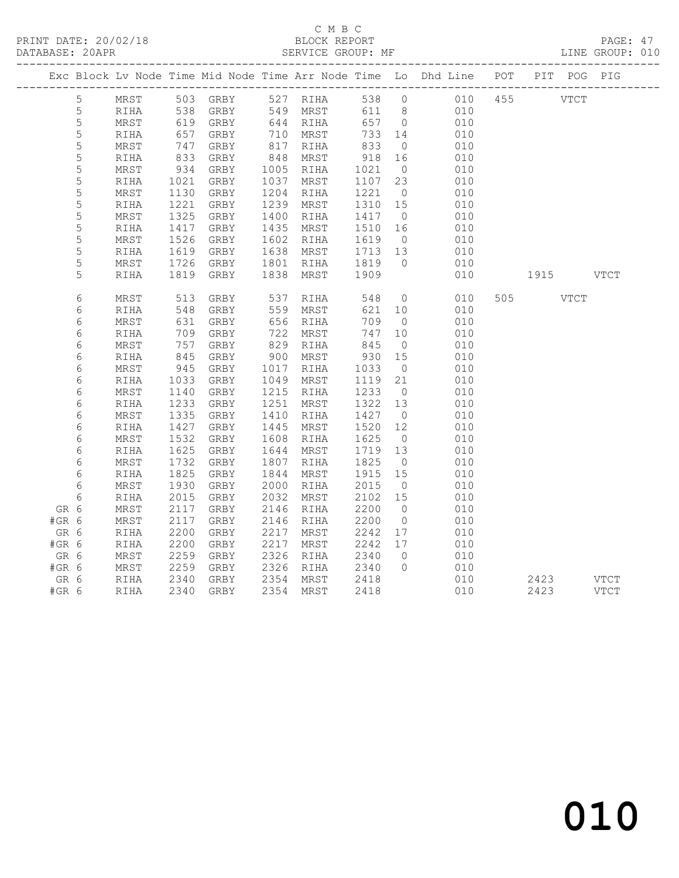PRINT DATE: 20/02/18 BLOCK REPORT BATABASE: 20APR

# C M B C<br>BLOCK REPORT

PAGE: 47<br>LINE GROUP: 010

|         |             |            |                      |                   |            |                                                                               |                                                                                      |                | Exc Block Lv Node Time Mid Node Time Arr Node Time Lo Dhd Line POT PIT POG PIG |           |             |
|---------|-------------|------------|----------------------|-------------------|------------|-------------------------------------------------------------------------------|--------------------------------------------------------------------------------------|----------------|--------------------------------------------------------------------------------|-----------|-------------|
|         | 5           | MRST       |                      | 503 GRBY 527 RIHA |            |                                                                               |                                                                                      |                | 538 0 010                                                                      | 455 VTCT  |             |
|         | 5           | RIHA       | 538                  | GRBY 549 MRST     |            |                                                                               |                                                                                      |                | 611 8 010                                                                      |           |             |
|         | $\mathsf S$ | MRST       | 619                  | GRBY              |            | 644 RIHA                                                                      | 657 0                                                                                |                | 010                                                                            |           |             |
|         | 5           | RIHA       | 657                  | GRBY              |            | 710 MRST                                                                      | 733                                                                                  | 14             | 010                                                                            |           |             |
|         | 5           | MRST       | $\frac{1}{833}$      | GRBY              | 817        | RIHA                                                                          | 833                                                                                  | $\overline{0}$ | 010                                                                            |           |             |
|         | $\mathsf S$ | RIHA       |                      | GRBY              | 848        | MRST                                                                          | 918                                                                                  | 16             | 010                                                                            |           |             |
|         | $\mathsf S$ | MRST       | 934                  | GRBY              |            | 1005 RIHA                                                                     | 1021                                                                                 | $\overline{0}$ | 010                                                                            |           |             |
|         | 5           | RIHA       |                      | GRBY              | 1037       | MRST                                                                          | 1107 23                                                                              |                | 010                                                                            |           |             |
|         | 5           | MRST       | $102$<br>1130<br>221 | GRBY              | 1204       | RIHA                                                                          | 1221                                                                                 | $\overline{0}$ | 010                                                                            |           |             |
|         | 5           | RIHA       | 1221                 | GRBY              | 1239       | MRST                                                                          | 1310                                                                                 | 15             | 010                                                                            |           |             |
|         | 5           | MRST       | 1325                 | GRBY              | 1400       | RIHA                                                                          | 1417 0                                                                               |                | 010                                                                            |           |             |
|         | $\mathsf S$ | RIHA       | 1417                 | GRBY              | 1435       | MRST                                                                          | 1510 16                                                                              |                | 010                                                                            |           |             |
|         | 5           | MRST       |                      | GRBY              | 1602       | RIHA                                                                          | 1619                                                                                 | $\overline{0}$ | 010                                                                            |           |             |
|         | 5           | RIHA       | $152$<br>1619        | GRBY              | 1638       | MRST                                                                          | 1713 13                                                                              |                | 010                                                                            |           |             |
|         | 5           | MRST       | 1726                 | GRBY              |            | 1801 RIHA                                                                     | 1819                                                                                 | $\overline{0}$ | 010                                                                            |           |             |
|         | 5           | RIHA       | 1819                 | GRBY              | 1838       | MRST                                                                          | 1909                                                                                 |                | 010                                                                            | 1915 VTCT |             |
|         |             |            |                      |                   |            |                                                                               |                                                                                      |                |                                                                                |           |             |
|         | 6           | MRST       | 513                  | GRBY              | 537<br>559 | RIHA                                                                          | 548                                                                                  | $\overline{0}$ | 010                                                                            | 505 VTCT  |             |
|         | 6           | RIHA       | 548                  | GRBY              |            | MRST                                                                          | 621                                                                                  | 10             | 010                                                                            |           |             |
|         | 6           | MRST       | 631                  | GRBY              |            | 656 RIHA                                                                      | 709                                                                                  | $\overline{0}$ | 010                                                                            |           |             |
|         | 6           | RIHA       | 709                  | GRBY              | 722        | MRST                                                                          | $\begin{array}{c} \n \stackrel{1}{\cancel{5}} \\  845 \\  \hline\n 30\n \end{array}$ | 10             | 010                                                                            |           |             |
|         | 6           | MRST       | 757                  | GRBY              |            | $\begin{array}{cc}\n 722 & \text{min.} \\  829 & \text{RIHA} \\  \end{array}$ |                                                                                      | $\overline{0}$ | 010                                                                            |           |             |
|         | 6           | RIHA       | 845                  | GRBY              | 900        | MRST                                                                          | 930                                                                                  | 15             | 010                                                                            |           |             |
|         | $\epsilon$  | MRST       | 945                  | GRBY              | 1017       | RIHA                                                                          | 1033                                                                                 | $\overline{0}$ | 010                                                                            |           |             |
|         | 6           | RIHA       | 1033                 | GRBY              | 1049       | MRST                                                                          | 1119                                                                                 | 21             | 010                                                                            |           |             |
|         | 6           | MRST       | 1140                 | GRBY              | 1215       | RIHA                                                                          | 1233                                                                                 | $\overline{0}$ | 010                                                                            |           |             |
|         | $\epsilon$  | RIHA       | 1233                 | GRBY              | 1251       | MRST                                                                          | 1322 13                                                                              |                | 010                                                                            |           |             |
|         | 6           | MRST       | 1335                 | GRBY              | 1410       | RIHA                                                                          | 1427                                                                                 | $\overline{0}$ | 010                                                                            |           |             |
|         | 6           | RIHA       | 1427                 | GRBY              | 1445       | MRST                                                                          | 1520                                                                                 | 12             | 010                                                                            |           |             |
|         | 6           | $\tt MRST$ | 1532                 | GRBY              | 1608       | RIHA                                                                          | 1625                                                                                 | $\overline{0}$ | 010                                                                            |           |             |
|         | 6           | RIHA       | 1625                 | GRBY              | 1644       | MRST                                                                          | 1719                                                                                 | 13             | 010                                                                            |           |             |
|         | $\epsilon$  | MRST       | 1732                 | GRBY              | 1807       | RIHA                                                                          | 1825                                                                                 | $\overline{0}$ | 010                                                                            |           |             |
|         | 6           | RIHA       | 1825                 | GRBY              | 1844       | MRST                                                                          | 1915 15                                                                              |                | 010                                                                            |           |             |
|         | 6           | MRST       | 1930                 | GRBY              | 2000       | RIHA                                                                          | 2015                                                                                 | $\overline{0}$ | 010                                                                            |           |             |
|         | 6           | RIHA       | 2015                 | GRBY              | 2032       | MRST                                                                          | 2102 15                                                                              |                | 010                                                                            |           |             |
| GR 6    |             | MRST       | 2117                 | GRBY              | 2146       | RIHA                                                                          | 2200                                                                                 | $\overline{0}$ | 010                                                                            |           |             |
| #GR 6   |             | MRST       | 2117                 | GRBY              | 2146       | RIHA                                                                          | 2200                                                                                 | $\overline{0}$ | 010                                                                            |           |             |
| GR 6    |             | RIHA       | 2200                 | GRBY              | 2217       | MRST                                                                          | 2242                                                                                 | 17             | 010                                                                            |           |             |
| #GR 6   |             | RIHA       | 2200                 | GRBY              | 2217       | MRST                                                                          | 2242                                                                                 | 17             | 010                                                                            |           |             |
| GR 6    |             | MRST       | 2259                 | GRBY              | 2326       | RIHA                                                                          | 2340                                                                                 | $\overline{0}$ | 010                                                                            |           |             |
| $#GR$ 6 |             | MRST       | 2259                 | GRBY              |            | 2326 RIHA                                                                     | 2340                                                                                 | $\overline{0}$ | 010                                                                            |           |             |
| GR 6    |             | RIHA       | 2340<br>2340         | GRBY              |            | 2354 MRST                                                                     | 2418                                                                                 |                | $\begin{matrix}\n010 \\ \end{matrix}$                                          | 2423      | <b>VTCT</b> |
| #GR 6   |             | RIHA       |                      | 2340 GRBY         |            | 2354 MRST                                                                     | 2418                                                                                 |                | 010                                                                            | 2423      | VTCT        |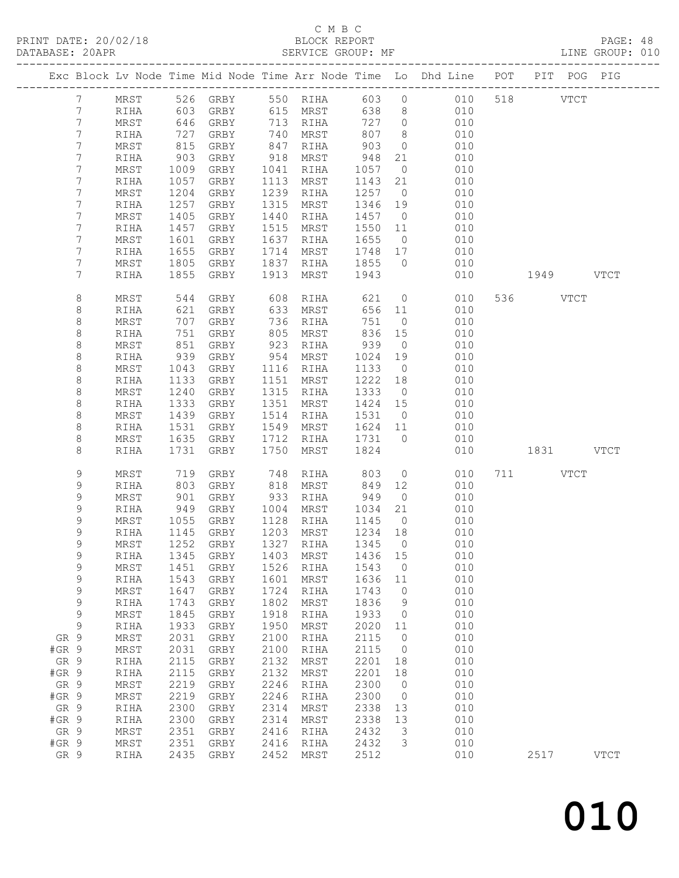## C M B C

| DATABASE: 20APR |                             |               |            |                                |      | SERVICE GROUP: MF                               |           |                      |                                                                                |           | LINE GROUP: 010 |
|-----------------|-----------------------------|---------------|------------|--------------------------------|------|-------------------------------------------------|-----------|----------------------|--------------------------------------------------------------------------------|-----------|-----------------|
|                 |                             |               |            |                                |      |                                                 |           |                      | Exc Block Lv Node Time Mid Node Time Arr Node Time Lo Dhd Line POT PIT POG PIG |           |                 |
|                 | $7\phantom{0}$              |               |            |                                |      |                                                 |           |                      | MRST 526 GRBY 550 RIHA 603 0 010 518 VTCT                                      |           |                 |
|                 | $7\phantom{.}$              | RIHA          | 603        |                                |      | GRBY 615 MRST                                   | 638       |                      | 8 <sup>8</sup><br>010                                                          |           |                 |
|                 | 7                           | MRST          | 646        |                                |      | GRBY 713 RIHA<br>GRBY 740 MRST<br>GRBY 847 RIHA | 727 0     |                      | 010                                                                            |           |                 |
|                 | $\overline{7}$              | RIHA          |            |                                |      |                                                 | 807       | 8 <sup>8</sup>       | 010                                                                            |           |                 |
|                 | 7                           | MRST          | 727<br>815 |                                |      |                                                 | 903       | $\overline{0}$       | 010                                                                            |           |                 |
|                 | 7                           | RIHA          | 903        | GRBY                           |      | 918 MRST                                        | 948       | 21                   | 010                                                                            |           |                 |
|                 | 7                           | MRST          | 1009       | GRBY                           |      | 1041 RIHA                                       | 1057      | $\overline{0}$       | 010                                                                            |           |                 |
|                 | $\overline{7}$              | RIHA          | 1057       | GRBY                           |      | 1113 MRST                                       | 1143 21   |                      | 010                                                                            |           |                 |
|                 | $\overline{7}$              | MRST          | 1204       | GRBY                           |      | 1239 RIHA                                       | 1257 0    |                      | 010                                                                            |           |                 |
|                 | 7                           | RIHA          | 1257       | GRBY                           | 1315 | MRST                                            | 1346 19   |                      | 010                                                                            |           |                 |
|                 | 7                           | MRST          | 1405       | GRBY                           | 1440 | RIHA                                            | 1457      | $\overline{0}$       | 010                                                                            |           |                 |
|                 | 7                           | RIHA          | 1457       | GRBY                           |      | 1515 MRST                                       | 1550 11   |                      | 010                                                                            |           |                 |
|                 | 7                           |               |            |                                |      | 1637 RIHA                                       | 1655      | $\overline{0}$       |                                                                                |           |                 |
|                 |                             | MRST          | 1601       | GRBY                           |      |                                                 |           |                      | 010                                                                            |           |                 |
|                 | 7                           | RIHA          | 1655       | GRBY                           |      | 1714 MRST                                       | 1748 17   |                      | 010                                                                            |           |                 |
|                 | 7                           | MRST          | 1805       | GRBY                           |      | 1837 RIHA 1855 0                                |           |                      | 010                                                                            |           |                 |
|                 | 7                           | RIHA          | 1855       | GRBY                           | 1913 | MRST                                            | 1943      |                      | 010                                                                            | 1949 VTCT |                 |
|                 | 8                           | MRST          | 544        | GRBY                           |      | 608 RIHA                                        | 621       |                      | $\overline{0}$<br>010                                                          | 536 VTCT  |                 |
|                 | 8                           | RIHA          | 621        | GRBY                           | 633  | MRST                                            |           | 656 11               | 010                                                                            |           |                 |
|                 | 8                           | MRST          | 707        | GRBY                           |      | 736 RIHA<br>805 MRST                            | 751       | $\overline{0}$       | 010                                                                            |           |                 |
|                 | $\,8\,$                     | RIHA          | 751        | GRBY                           |      | 805 MRST                                        | 836       | 15                   | 010                                                                            |           |                 |
|                 | 8                           | MRST          | 851        | GRBY                           |      | 923 RIHA                                        | 939       | $\overline{0}$       | 010                                                                            |           |                 |
|                 | $\,8\,$                     | RIHA          | 939        | GRBY                           |      | 954 MRST                                        | 1024      | 19                   | 010                                                                            |           |                 |
|                 | 8                           | MRST          | 1043       | GRBY                           |      | 1116 RIHA                                       | 1133      | $\overline{0}$       | 010                                                                            |           |                 |
|                 | $\,8\,$                     | RIHA          | 1133       | GRBY                           |      | 1151 MRST                                       | 1222 18   |                      | 010                                                                            |           |                 |
|                 | 8                           | MRST          | 1240       | GRBY                           |      | 1315 RIHA                                       | 1333 0    |                      | 010                                                                            |           |                 |
|                 | $\,8\,$                     | RIHA          | 1333       | GRBY                           |      | 1351 MRST                                       | 1424 15   |                      | 010                                                                            |           |                 |
|                 | 8                           | MRST          | 1439       | GRBY                           |      | 1514 RIHA                                       | 1531      | $\overline{0}$       | 010                                                                            |           |                 |
|                 | 8                           | RIHA          | 1531       | GRBY                           |      | 1549 MRST                                       | 1624 11   |                      | 010                                                                            |           |                 |
|                 | 8                           | MRST          | 1635       | GRBY                           |      | 1712 RIHA                                       | 1731 0    |                      | 010                                                                            |           |                 |
|                 | 8                           | RIHA          | 1731       | GRBY                           | 1750 | MRST                                            | 1824      |                      | 010                                                                            | 1831 VTCT |                 |
|                 | 9                           | MRST          |            | GRBY                           |      |                                                 |           | $\overline{0}$       | 010                                                                            | 711 VTCT  |                 |
|                 | $\mathsf 9$                 |               | 719<br>803 |                                |      | 748 RIHA 803<br>818 MRST 849                    |           |                      | 010                                                                            |           |                 |
|                 | 9                           | RIHA<br>MRST  | 901        | GRBY<br>GRBY                   |      | 933 RIHA                                        | 949       | 12<br>$\overline{0}$ | 010                                                                            |           |                 |
|                 |                             |               |            |                                |      |                                                 |           |                      |                                                                                |           |                 |
|                 | 9                           | RIHA          | 949        | GRBY                           | 1004 | MRST                                            | 1034      | 21                   | 010                                                                            |           |                 |
|                 | 9                           | MRST          |            | 1055 GRBY<br>1145 GRBY<br>GRBY |      | 1128 RIHA                                       | 1145      | $\overline{0}$       | 010                                                                            |           |                 |
|                 | $\mathsf 9$<br>$\mathsf{Q}$ | RIHA          |            |                                |      | 1203 MRST                                       | $1234$ 18 |                      | 010                                                                            |           |                 |
|                 |                             |               |            |                                |      |                                                 |           |                      | MRST 1252 GRBY 1327 RIHA 1345 0 010                                            |           |                 |
|                 | 9                           | RIHA          | 1345       | GRBY                           | 1403 | MRST                                            | 1436      | 15                   | 010                                                                            |           |                 |
|                 | 9                           | $\tt MRST$    | 1451       | GRBY                           | 1526 | RIHA                                            | 1543      | $\overline{0}$       | 010                                                                            |           |                 |
|                 | 9                           | RIHA          | 1543       | GRBY                           | 1601 | MRST                                            | 1636      | 11                   | 010                                                                            |           |                 |
|                 | 9                           | MRST          | 1647       | GRBY                           | 1724 | RIHA                                            | 1743      | $\overline{0}$       | 010                                                                            |           |                 |
|                 | 9                           | RIHA          | 1743       | GRBY                           | 1802 | MRST                                            | 1836      | $\overline{9}$       | 010                                                                            |           |                 |
|                 | 9                           | MRST          | 1845       | GRBY                           | 1918 | RIHA                                            | 1933      | $\overline{0}$       | 010                                                                            |           |                 |
|                 | $\mathsf 9$                 | RIHA          | 1933       | GRBY                           | 1950 | MRST                                            | 2020      | 11                   | 010                                                                            |           |                 |
| GR 9            |                             | MRST          | 2031       | GRBY                           | 2100 | RIHA                                            | 2115      | $\overline{0}$       | 010                                                                            |           |                 |
| #GR 9           |                             | MRST          | 2031       | GRBY                           | 2100 | RIHA                                            | 2115      | $\overline{0}$       | 010                                                                            |           |                 |
| GR 9            |                             | $\verb RIHA $ | 2115       | GRBY                           | 2132 | MRST                                            | 2201      | 18                   | 010                                                                            |           |                 |
| $#GR$ 9         |                             | RIHA          | 2115       | GRBY                           | 2132 | MRST                                            | 2201      | 18                   | 010                                                                            |           |                 |
| GR 9            |                             | MRST          | 2219       | GRBY                           | 2246 | RIHA                                            | 2300      | $\overline{0}$       | 010                                                                            |           |                 |
| #GR 9           |                             | MRST          | 2219       | GRBY                           | 2246 | RIHA                                            | 2300      | $\overline{0}$       | 010                                                                            |           |                 |
| GR 9            |                             | RIHA          | 2300       | GRBY                           | 2314 | MRST                                            | 2338      | 13                   | 010                                                                            |           |                 |
| #GR 9           |                             | RIHA          | 2300       | GRBY                           | 2314 | MRST                                            | 2338      | 13                   | 010                                                                            |           |                 |
| GR 9            |                             | MRST          | 2351       | ${\tt GRBY}$                   | 2416 | RIHA                                            | 2432      | $\overline{3}$       | 010                                                                            |           |                 |
| $#GR$ 9         |                             | MRST          | 2351       | GRBY                           | 2416 | RIHA                                            | 2432      | 3                    | 010                                                                            |           |                 |
| GR 9            |                             | RIHA          | 2435       | GRBY                           | 2452 | MRST                                            | 2512      |                      | 010                                                                            | 2517      | <b>VTCT</b>     |
|                 |                             |               |            |                                |      |                                                 |           |                      |                                                                                |           |                 |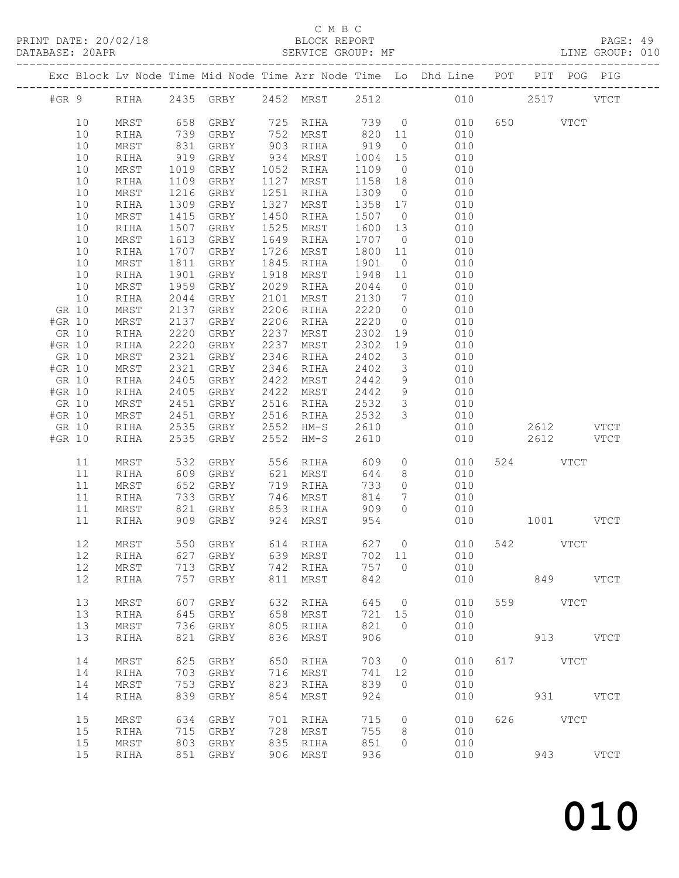#### C M B C<br>BLOCK REPORT

SERVICE GROUP: MF LINE GROUP: 010

------------------------------------------------------------------------------------------------- Exc Block Lv Node Time Mid Node Time Arr Node Time Lo Dhd Line POT PIT POG PIG -------------------------------------------------------------------------------------------------

| #GR 9                                                                                                                                                                                                                              | RIHA                                                                                                                                                                                                                                                                                                                                                                                  | 2435                                                                                                                                                                                                                     | ${\tt GRBY}$                                                                                                                                                                                                                                                                                         | 2452                                                                                                                                                                                                                     | MRST                                                                                                                                                                                                                                                      | 2512                                                                                                                                                                                                                      |                                                                                                                                                                                                                                           | 010                                                                                                                                                                                              |     | 2517         | <b>VTCT</b>                                 |
|------------------------------------------------------------------------------------------------------------------------------------------------------------------------------------------------------------------------------------|---------------------------------------------------------------------------------------------------------------------------------------------------------------------------------------------------------------------------------------------------------------------------------------------------------------------------------------------------------------------------------------|--------------------------------------------------------------------------------------------------------------------------------------------------------------------------------------------------------------------------|------------------------------------------------------------------------------------------------------------------------------------------------------------------------------------------------------------------------------------------------------------------------------------------------------|--------------------------------------------------------------------------------------------------------------------------------------------------------------------------------------------------------------------------|-----------------------------------------------------------------------------------------------------------------------------------------------------------------------------------------------------------------------------------------------------------|---------------------------------------------------------------------------------------------------------------------------------------------------------------------------------------------------------------------------|-------------------------------------------------------------------------------------------------------------------------------------------------------------------------------------------------------------------------------------------|--------------------------------------------------------------------------------------------------------------------------------------------------------------------------------------------------|-----|--------------|---------------------------------------------|
| 10<br>$10$<br>$10$<br>10<br>$10$<br>$10$<br>$10$<br>$10$<br>10<br>$10$<br>10<br>$10$<br>10<br>$10$<br>10<br>$10$<br>GR 10<br>#GR 10<br>GR 10<br>#GR 10<br>GR 10<br>#GR 10<br>GR 10<br>#GR 10<br>GR 10<br>#GR 10<br>GR 10<br>#GR 10 | $\tt MRST$<br>RIHA<br>$\tt MRST$<br>RIHA<br>$\tt MRST$<br>RIHA<br>$\tt MRST$<br>$\verb RIHA $<br>$\tt MRST$<br>$\verb RIHA $<br>$\tt MRST$<br>RIHA<br>$\tt MRST$<br>$\verb RIHA $<br>MRST<br>$\verb RIHA $<br>MRST<br>$\tt MRST$<br>$\verb RIHA $<br>$\verb RIHA $<br>$\tt MRST$<br>$\tt MRST$<br>$\verb RIHA $<br>$\verb RIHA $<br>$\tt MRST$<br>$\tt MRST$<br>$\verb RIHA $<br>RIHA | 658<br>739<br>831<br>919<br>1019<br>1109<br>1216<br>1309<br>1415<br>1507<br>1613<br>1707<br>1811<br>1901<br>1959<br>2044<br>2137<br>2137<br>2220<br>2220<br>2321<br>2321<br>2405<br>2405<br>2451<br>2451<br>2535<br>2535 | GRBY<br>GRBY<br>GRBY<br>GRBY<br>${\tt GRBY}$<br>GRBY<br>${\tt GRBY}$<br>${\tt GRBY}$<br>GRBY<br>${\tt GRBY}$<br>GRBY<br>${\tt GRBY}$<br>GRBY<br>GRBY<br>GRBY<br>${\tt GRBY}$<br>${\tt GRBY}$<br>${\tt GRBY}$<br>GRBY<br>GRBY<br>GRBY<br>${\tt GRBY}$<br>GRBY<br>GRBY<br>GRBY<br>GRBY<br>GRBY<br>GRBY | 725<br>752<br>903<br>934<br>1052<br>1127<br>1251<br>1327<br>1450<br>1525<br>1649<br>1726<br>1845<br>1918<br>2029<br>2101<br>2206<br>2206<br>2237<br>2237<br>2346<br>2346<br>2422<br>2422<br>2516<br>2516<br>2552<br>2552 | RIHA<br>MRST<br>RIHA<br>MRST<br>RIHA<br>MRST<br>RIHA<br>MRST<br>RIHA<br>MRST<br><b>RIHA</b><br>MRST<br>RIHA<br>MRST<br>RIHA<br>MRST<br>RIHA<br>RIHA<br>MRST<br>MRST<br>RIHA<br>$\verb RIHA $<br>MRST<br>MRST<br>$\verb RIHA $<br>RIHA<br>$HM-S$<br>$HM-S$ | 739<br>820<br>919<br>1004<br>1109<br>1158<br>1309<br>1358<br>1507<br>1600<br>1707<br>1800<br>1901<br>1948<br>2044<br>2130<br>2220<br>2220<br>2302<br>2302<br>2402<br>2402<br>2442<br>2442<br>2532<br>2532<br>2610<br>2610 | $\mathbb O$<br>11<br>0<br>$15\,$<br>$\circledcirc$<br>18<br>$\circ$<br>$17$<br>$\circledcirc$<br>13<br>$\mathbb O$<br>$11$<br>$\mathbb O$<br>$11$<br>$\mathbb O$<br>7<br>$\mathsf O$<br>$\circ$<br>19<br>19<br>3<br>3<br>9<br>9<br>3<br>3 | 010<br>010<br>010<br>010<br>010<br>010<br>010<br>010<br>010<br>010<br>010<br>010<br>010<br>010<br>010<br>010<br>010<br>010<br>010<br>010<br>010<br>010<br>010<br>010<br>010<br>010<br>010<br>010 | 650 | 2612<br>2612 | <b>VTCT</b><br>$_{\rm VTCT}$<br><b>VTCT</b> |
| 11<br>11<br>11<br>$11$<br>11<br>$11$                                                                                                                                                                                               | $\tt MRST$<br>RIHA<br>$\tt MRST$<br>RIHA<br>$\tt MRST$<br>RIHA                                                                                                                                                                                                                                                                                                                        | 532<br>609<br>652<br>733<br>821<br>909                                                                                                                                                                                   | GRBY<br>GRBY<br>GRBY<br>GRBY<br>GRBY<br>GRBY                                                                                                                                                                                                                                                         | 556<br>621<br>719<br>746<br>853<br>924                                                                                                                                                                                   | RIHA<br>MRST<br>RIHA<br>MRST<br>$\verb RIHA $<br>MRST                                                                                                                                                                                                     | 609<br>644<br>733<br>814<br>909<br>954                                                                                                                                                                                    | $\mathsf{O}$<br>8<br>0<br>7<br>0                                                                                                                                                                                                          | 010<br>010<br>010<br>010<br>010<br>010                                                                                                                                                           | 524 | 1001         | $_{\rm VTCT}$<br><b>VTCT</b>                |
| $12$<br>$12\,$<br>$12$<br>12                                                                                                                                                                                                       | $\tt MRST$<br>RIHA<br>$\tt MRST$<br>$\verb RIHA $                                                                                                                                                                                                                                                                                                                                     | 550<br>627<br>713<br>757                                                                                                                                                                                                 | GRBY<br>GRBY<br>GRBY<br>GRBY                                                                                                                                                                                                                                                                         | 614<br>639<br>742<br>811                                                                                                                                                                                                 | RIHA<br>MRST<br>RIHA<br>MRST                                                                                                                                                                                                                              | 627<br>702<br>757<br>842                                                                                                                                                                                                  | $\circ$<br>11<br>$\mathbb O$                                                                                                                                                                                                              | 010<br>010<br>010<br>010                                                                                                                                                                         | 542 | 849          | <b>VTCT</b><br>$_{\rm VTCT}$                |
| 13<br>13<br>13<br>13                                                                                                                                                                                                               | MRST<br>RIHA<br>MRST<br>RIHA                                                                                                                                                                                                                                                                                                                                                          | 607<br>645<br>736<br>821                                                                                                                                                                                                 | GRBY<br>GRBY<br>GRBY<br>GRBY                                                                                                                                                                                                                                                                         | 632<br>658<br>805<br>836                                                                                                                                                                                                 | RIHA<br>MRST<br>RIHA<br>MRST                                                                                                                                                                                                                              | 645<br>721<br>821<br>906                                                                                                                                                                                                  | $\circ$<br>15<br>$\circ$                                                                                                                                                                                                                  | 010<br>010<br>010<br>010                                                                                                                                                                         | 559 |              | <b>VTCT</b><br>913 VTCT                     |
| 14<br>14<br>14<br>14                                                                                                                                                                                                               | MRST<br>RIHA<br>MRST<br>RIHA                                                                                                                                                                                                                                                                                                                                                          | 625<br>703<br>753<br>839                                                                                                                                                                                                 | GRBY<br>GRBY<br>${\tt GRBY}$<br>${\tt GRBY}$                                                                                                                                                                                                                                                         | 650<br>716<br>823<br>854                                                                                                                                                                                                 | RIHA<br>MRST<br>RIHA<br><b>MRST</b>                                                                                                                                                                                                                       | 703<br>741<br>839<br>924                                                                                                                                                                                                  | $\circ$<br>12<br>0                                                                                                                                                                                                                        | 010<br>010<br>010<br>010                                                                                                                                                                         | 617 | 931 — 100    | VTCT<br><b>VTCT</b>                         |
| 15<br>15<br>15<br>15                                                                                                                                                                                                               | MRST<br>RIHA<br>MRST<br>RIHA                                                                                                                                                                                                                                                                                                                                                          | 634<br>715<br>803<br>851                                                                                                                                                                                                 | GRBY<br>GRBY<br>GRBY<br>GRBY                                                                                                                                                                                                                                                                         | 701<br>728<br>835<br>906                                                                                                                                                                                                 | RIHA<br>MRST<br>RIHA<br>MRST                                                                                                                                                                                                                              | 715<br>755<br>851<br>936                                                                                                                                                                                                  | $\circ$<br>8<br>0                                                                                                                                                                                                                         | 010<br>010<br>010<br>010                                                                                                                                                                         | 626 | 943          | <b>VTCT</b><br>VTCT                         |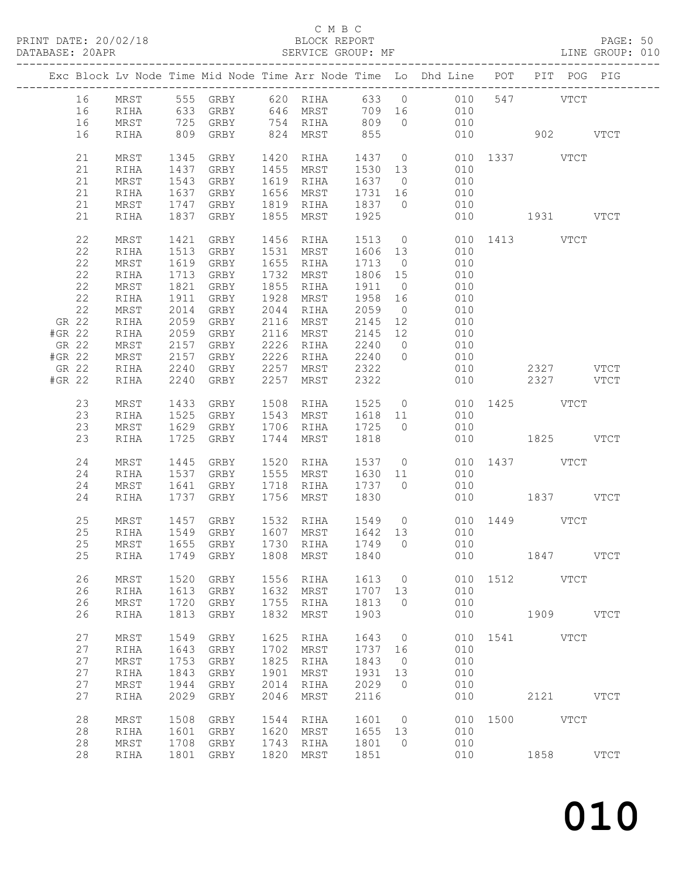PRINT DATE: 20/02/18 BLOCK REPORT BATABASE: 20APR BEST SERVICE GROUP: MF

#### C M B C<br>BLOCK REPORT

PAGE: 50<br>LINE GROUP: 010

|                |              |              |                                          |              |                               |                   |                      | Exc Block Lv Node Time Mid Node Time Arr Node Time Lo Dhd Line POT PIT POG PIG                                     |               |           |           |             |
|----------------|--------------|--------------|------------------------------------------|--------------|-------------------------------|-------------------|----------------------|--------------------------------------------------------------------------------------------------------------------|---------------|-----------|-----------|-------------|
| 16<br>16<br>16 |              |              |                                          |              |                               |                   |                      | MRST 555 GRBY 620 RIHA 633 0 010 547 VTCT<br>RIHA 633 GRBY 646 MRST 709 16 010<br>MRST 725 GRBY 754 RIHA 809 0 010 |               |           |           |             |
| 16             | RIHA         |              | 809 GRBY 824 MRST 855                    |              |                               |                   |                      | 010                                                                                                                | 902 VTCT      |           |           |             |
| 21<br>21       | MRST<br>RIHA | 1437         | 1345 GRBY<br>GRBY                        |              | 1420 RIHA<br>1455 MRST        | 1530 13           |                      | 1437 0 010 1337 VTCT<br>010                                                                                        |               |           |           |             |
| 21             | MRST         | 1543         | GRBY                                     |              |                               |                   |                      | 1619 RIHA 1637 0 010                                                                                               |               |           |           |             |
| 21<br>21       | RIHA<br>MRST | 1637         | GRBY<br>1747 GRBY 1819 RIHA 1837 0       |              | 1656 MRST                     | 1731 16           |                      | 010<br>010                                                                                                         |               |           |           |             |
| 21             | RIHA         |              | 1747 GRBI<br>1837 GRBY                   | 1855         | MRST                          | 1925              |                      |                                                                                                                    | 010 1931 VTCT |           |           |             |
| $2\sqrt{2}$    | MRST         | 1421         | GRBY                                     |              | 1456 RIHA                     |                   |                      | 1513 0 010 1413 VTCT                                                                                               |               |           |           |             |
| 22<br>22       | RIHA<br>MRST | 1513         | GRBY<br>1619 GRBY                        |              | 1531 MRST<br>1655 RIHA        | 1606 13<br>1713 0 |                      | 010<br>010                                                                                                         |               |           |           |             |
| 22             | RIHA         | 1713         | GRBY                                     |              | 1732 MRST                     | 1806 15           |                      | 010                                                                                                                |               |           |           |             |
| 22             | MRST         | 1821         | GRBY                                     |              | 1855 RIHA                     | 1911 0            |                      | 010                                                                                                                |               |           |           |             |
| 22             | RIHA         | 1911         | GRBY                                     |              | 1928 MRST                     | 1958 16           |                      | 010                                                                                                                |               |           |           |             |
| 22<br>GR 22    | MRST         | 2014<br>2059 | GRBY<br>GRBY                             |              | 2044 RIHA<br>2116 MRST        | 2059<br>2145 12   | $\overline{0}$       | 010<br>010                                                                                                         |               |           |           |             |
| #GR 22         | RIHA<br>RIHA | 2059         | GRBY                                     |              | 2116 MRST                     | 2145 12           |                      | 010                                                                                                                |               |           |           |             |
| GR 22          | MRST         | 2157         | GRBY                                     |              | 2226 RIHA                     | 2240              | $\overline{0}$       |                                                                                                                    |               |           |           |             |
| #GR 22         | MRST         | 2157         | GRBY                                     |              | 2226 RIHA                     | 2240              | $\overline{0}$       | $\begin{array}{c} 010 \\ 010 \end{array}$                                                                          |               |           |           |             |
| GR 22          | RIHA         | 2240         | GRBY                                     | 2257         | MRST 2322                     |                   |                      | 010                                                                                                                |               | 2327 VTCT |           |             |
| #GR 22         | RIHA         | 2240         | GRBY                                     | 2257         | MRST                          | 2322              |                      |                                                                                                                    | 010 00        | 2327 VTCT |           |             |
| 23             | MRST         |              | 1433 GRBY                                |              |                               |                   |                      | 1508 RIHA 1525 0 010 1425 VTCT<br>010                                                                              |               |           |           |             |
| 23<br>23       | RIHA<br>MRST |              | 1525 GRBY<br>1629 GRBY 1706 RIHA 1725 0  |              | 1543 MRST 1618 11             |                   |                      | 010                                                                                                                |               |           |           |             |
| 23             | RIHA         |              | 1725 GRBY                                | 1744         | MRST                          | 1818              |                      |                                                                                                                    | 010 1825 VTCT |           |           |             |
| 24             | MRST         | 1445         | GRBY                                     |              | 1520 RIHA                     |                   |                      | 1537 0                                                                                                             | 010 1437 VTCT |           |           |             |
| 24<br>24       | RIHA<br>MRST | 1641         | 1537 GRBY<br>GRBY                        |              | 1555 MRST<br>1718 RIHA 1737 0 | 1630 11           |                      | 010<br>010                                                                                                         |               |           |           |             |
| 24             | RIHA         | 1737         | GRBY                                     |              | 1756 MRST                     | 1830              |                      |                                                                                                                    | 010 1837 VTCT |           |           |             |
| 25             | MRST         | 1457         |                                          |              |                               |                   |                      | GRBY 1532 RIHA 1549 0 010 1449 VTCT                                                                                |               |           |           |             |
| 25<br>25       | RIHA<br>MRST |              | 1549 GRBY 1607 MRST 1642 13<br>1655 GRBY |              | 1730 RIHA                     | 1749 0            |                      | 010<br>010                                                                                                         |               |           |           |             |
|                |              |              |                                          |              |                               |                   |                      | 25 RIHA 1749 GRBY 1808 MRST 1840 010 1847                                                                          |               |           |           | <b>VTCT</b> |
| 26             | MRST         | 1520         | GRBY                                     | 1556         | RIHA                          | 1613              | $\circ$              | 010                                                                                                                | 1512 VTCT     |           |           |             |
| 26             | RIHA         | 1613         | GRBY                                     | 1632         | MRST                          | 1707              | 13                   | 010                                                                                                                |               |           |           |             |
| 26<br>26       | MRST<br>RIHA | 1720<br>1813 | GRBY<br>GRBY                             | 1755<br>1832 | RIHA<br>MRST                  | 1813<br>1903      | $\circ$              | 010<br>010                                                                                                         |               | 1909 VTCT |           |             |
| 27             | MRST         | 1549         | GRBY                                     | 1625         | RIHA                          | 1643              | $\overline{0}$       |                                                                                                                    | 010 1541 VTCT |           |           |             |
| 27             | RIHA         | 1643         | GRBY                                     | 1702         | MRST                          | 1737              | 16                   | 010                                                                                                                |               |           |           |             |
| 27             | MRST         | 1753         | GRBY                                     | 1825         | RIHA                          | 1843<br>1931      | $\overline{0}$       | 010                                                                                                                |               |           |           |             |
| 27<br>27       | RIHA<br>MRST | 1843<br>1944 | GRBY<br>GRBY                             | 1901<br>2014 | MRST<br>RIHA                  | 2029              | 13<br>$\overline{0}$ | 010<br>010                                                                                                         |               |           |           |             |
| 27             | RIHA         | 2029         | GRBY                                     | 2046         | MRST                          | 2116              |                      | 010                                                                                                                |               |           | 2121 VTCT |             |
| 28             | MRST         | 1508         | GRBY                                     | 1544         | RIHA                          | 1601              | $\overline{0}$       |                                                                                                                    | 010 1500 VTCT |           |           |             |
| 28             | RIHA         | 1601         | GRBY                                     | 1620         | MRST                          | 1655              | 13                   | 010                                                                                                                |               |           |           |             |
| 28             | MRST         | 1708         | GRBY                                     | 1743         | RIHA                          | 1801              | $\overline{0}$       | 010                                                                                                                |               |           |           |             |
| 28             | RIHA         |              | 1801 GRBY                                | 1820         | MRST                          | 1851              |                      | 010                                                                                                                |               | 1858 VTCT |           |             |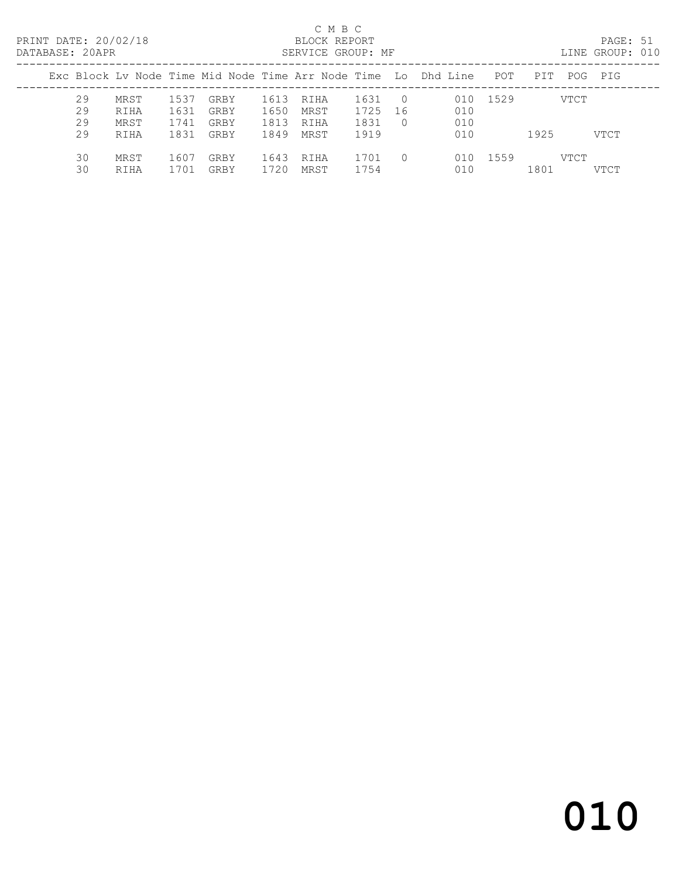#### $\begin{tabular}{lllll} \multicolumn{2}{c}{\multicolumn{2}{c}{\textbf{C} M B C}}\\ \multicolumn{2}{c}{\multicolumn{2}{c}{\textbf{P R INT} DATE: }}&20/02/18\\ \multicolumn{2}{c}{\multicolumn{2}{c}{\textbf{C} M B C}}\\ \multicolumn{2}{c}{\multicolumn{2}{c}{\textbf{P R INT} DATE: }}&20/02/18\\ \multicolumn{2}{c}{\multicolumn{2}{c}{\textbf{D} M T C}}\\ \multicolumn{2}{c}{\multicolumn{2}{c}{\textbf{D} M T C}}\\ \multicolumn{2}{c}{\$

| DATABASE: 20APR |                                                                |                      |                      |                      | SERVICE GROUP: MF    |                      |                          |             |          |      |      | LINE GROUP: 010 |  |
|-----------------|----------------------------------------------------------------|----------------------|----------------------|----------------------|----------------------|----------------------|--------------------------|-------------|----------|------|------|-----------------|--|
|                 | Exc Block Lv Node Time Mid Node Time Arr Node Time Lo Dhd Line |                      |                      |                      |                      |                      |                          |             | POT      | PIT  |      | POG PIG         |  |
| 29<br>29<br>29  | MRST<br>RIHA<br>MRST                                           | 1537<br>1631<br>1741 | GRBY<br>GRBY<br>GRBY | 1613<br>1650<br>1813 | RIHA<br>MRST<br>RIHA | 1631<br>1725<br>1831 | $\bigcirc$<br>-16<br>- 0 | 010<br>010  | 010 1529 |      | VTCT |                 |  |
| 29              | RIHA                                                           | 1831                 | GRBY                 | 1849                 | MRST                 | 1919                 |                          | 010         |          | 1925 |      | VTCT            |  |
| 30<br>30        | MRST<br>RIHA                                                   | 1607<br>1701         | GRBY<br>GRBY         | 1643<br>1720         | RIHA<br>MRST         | 1701<br>1754         | $\bigcap$                | 01 O<br>010 | 1559     | 1801 | VTCT | <b>VTCT</b>     |  |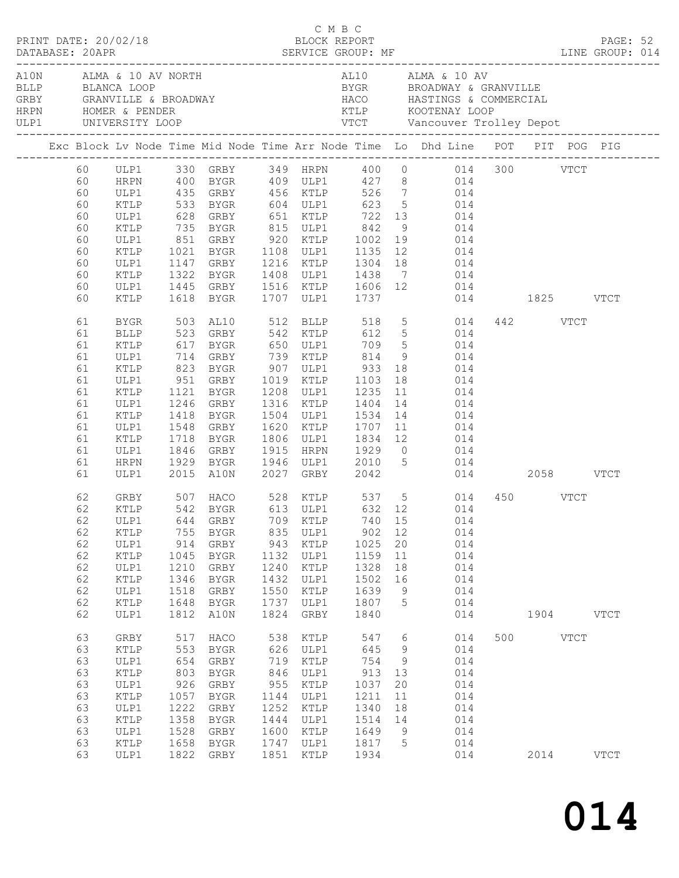| PRINT DATE: 20/02/18                                                                                                                   |                                                                                                                                                                                     |                                                                                         |                                                                                                                                                                                                                                                            |                                                                                         | C M B C                                                                                      | BLOCK REPORT                                                                             |                                                               |                                                                                                                                                                                                                                                                                                                                                                                                                                                                                                                                                                                                                   |                  |           | PAGE: 52    |  |
|----------------------------------------------------------------------------------------------------------------------------------------|-------------------------------------------------------------------------------------------------------------------------------------------------------------------------------------|-----------------------------------------------------------------------------------------|------------------------------------------------------------------------------------------------------------------------------------------------------------------------------------------------------------------------------------------------------------|-----------------------------------------------------------------------------------------|----------------------------------------------------------------------------------------------|------------------------------------------------------------------------------------------|---------------------------------------------------------------|-------------------------------------------------------------------------------------------------------------------------------------------------------------------------------------------------------------------------------------------------------------------------------------------------------------------------------------------------------------------------------------------------------------------------------------------------------------------------------------------------------------------------------------------------------------------------------------------------------------------|------------------|-----------|-------------|--|
| BLLP BLANCA LOOP                                                                                                                       | A10N ALMA & 10 AV NORTH                                                                                                                                                             |                                                                                         |                                                                                                                                                                                                                                                            |                                                                                         |                                                                                              |                                                                                          |                                                               | AL10 ALMA & 10 AV<br>BYGR BROADWAY & GRANVILLE                                                                                                                                                                                                                                                                                                                                                                                                                                                                                                                                                                    |                  |           |             |  |
|                                                                                                                                        |                                                                                                                                                                                     |                                                                                         |                                                                                                                                                                                                                                                            |                                                                                         |                                                                                              |                                                                                          |                                                               | Exc Block Lv Node Time Mid Node Time Arr Node Time Lo Dhd Line POT PIT POG PIG                                                                                                                                                                                                                                                                                                                                                                                                                                                                                                                                    |                  |           |             |  |
| 60<br>60<br>60<br>60<br>60<br>60<br>60<br>60<br>60<br>60<br>60<br>61<br>61<br>61<br>61<br>61<br>61<br>61<br>61<br>61<br>61<br>61<br>61 | ULP1<br>KTLP<br>ULP1<br>KTLP<br>ULP1<br>KTLP<br>ULP1<br>KTLP<br>ULP1<br>KTLP<br>BYGR<br><b>BLLP</b><br>KTLP<br>ULP1<br>KTLP<br>ULP1<br>KTLP<br>ULP1<br>KTLP<br>ULP1<br>KTLP<br>ULP1 | 1718                                                                                    | 735 BYGR 815 ULP1 842<br>1322 BYGR<br>1618 BYGR<br>503 AL10 512 BLLP<br>523 GRBY 542 KTLP<br>951 GRBY 1019 KTLP 1103<br>1121 BYGR 1208 ULP1 1235 11<br>1246 GRBY 1316 KTLP 1404 14<br>1418 BYGR 1504 ULP1 1534 14<br>1548 GRBY<br><b>BYGR</b><br>1846 GRBY |                                                                                         |                                                                                              | 1707 ULP1 1737<br>518                                                                    |                                                               | 60 ULP1 330 GRBY 349 HRPN 400 0 014 300 VTCT<br>HRPN 400 BYGR 409 ULP1 427 8 014<br>435 GRBY 456 KTLP 526 7 014<br>533 BYGR 604 ULP1 623 5 014<br>628 GRBY 651 KTLP 722 13 014<br>9 014<br>851 GRBY 920 KTLP 1002 19 014<br>1021 BYGR 1108 ULP1 1135 12 014<br>1147 GRBY 1216 KTLP 1304 18 014<br>1408 ULP1 1438 7 014<br>1445 GRBY 1516 KTLP 1606 12 014<br>014 1825 VTCT<br>5 014<br>612 5 014<br>18 014<br>11 014<br>$\begin{array}{ccc} 14 & \hspace{1.5cm} & 014 \\ 14 & \hspace{1.5cm} & 014 \end{array}$<br>1620 KTLP 1707 11 014<br>1806 ULP1 1834 12 014<br>1915 HRPN 1929 0 014<br>1946 ULP1 2010 5 014 | 442 VTCT         |           |             |  |
| 61<br>61<br>62<br>62<br>62<br>62<br>62<br>62<br>62<br>62<br>62                                                                         | HRPN<br>ULP1<br>KTLP<br>ULP1<br>$\texttt{KTLP}$<br>ULP1<br>KTLP<br>ULP1<br>KTLP                                                                                                     | 755<br>914<br>1045<br>1210<br>1346<br>1518<br>1648                                      | 1846 GRBY<br>1929 BYGR<br>2015 A10N 2027 GRBY 2042<br>BYGR<br>GRBY<br>BYGR<br>GRBY<br>BYGR<br>GRBY<br>BYGR                                                                                                                                                 | 835<br>943<br>1132<br>1240<br>1432<br>1550<br>1737                                      | ULP1<br>KTLP<br>ULP1<br>KTLP<br>ULP1<br>KTLP<br>ULP1                                         | 902 12<br>1025<br>1159<br>1328<br>1502<br>1639<br>1807                                   | 20<br>11<br>18<br>16<br>9<br>5                                | 014 2058 VTCT<br>GRBY 507 HACO 528 KTLP 537 5 014 450 VTCT<br>KTLP 542 BYGR 613 ULP1 632 12 014<br>62 ULP1 644 GRBY 709 KTLP 740 15 014<br>014<br>014<br>014<br>014<br>014<br>014<br>014                                                                                                                                                                                                                                                                                                                                                                                                                          |                  |           |             |  |
| 62<br>63<br>63<br>63<br>63<br>63<br>63<br>63<br>63<br>63<br>63<br>63                                                                   | ULP1<br>GRBY<br>$\texttt{KTLP}$<br>ULP1<br>KTLP<br>ULP1<br>KTLP<br>ULP1<br>KTLP<br>ULP1<br>KTLP<br>ULP1                                                                             | 1812<br>517<br>553<br>654<br>803<br>926<br>1057<br>1222<br>1358<br>1528<br>1658<br>1822 | A10N<br>HACO<br>BYGR<br>GRBY<br>BYGR<br>GRBY<br>BYGR<br>GRBY<br>BYGR<br>GRBY<br>BYGR<br>GRBY                                                                                                                                                               | 1824<br>538<br>626<br>719<br>846<br>955<br>1144<br>1252<br>1444<br>1600<br>1747<br>1851 | GRBY<br>KTLP<br>ULP1<br>KTLP<br>ULP1<br>KTLP<br>ULP1<br>KTLP<br>ULP1<br>KTLP<br>ULP1<br>KTLP | 1840<br>547<br>645<br>754<br>913<br>1037<br>1211<br>1340<br>1514<br>1649<br>1817<br>1934 | 6<br>9<br>9<br>13<br>20<br>11<br>18<br>14<br>9<br>$5^{\circ}$ | 014<br>014<br>014<br>014<br>014<br>014<br>014<br>014<br>014<br>014<br>014<br>014                                                                                                                                                                                                                                                                                                                                                                                                                                                                                                                                  | 500 VTCT<br>2014 | 1904 VTCT | <b>VTCT</b> |  |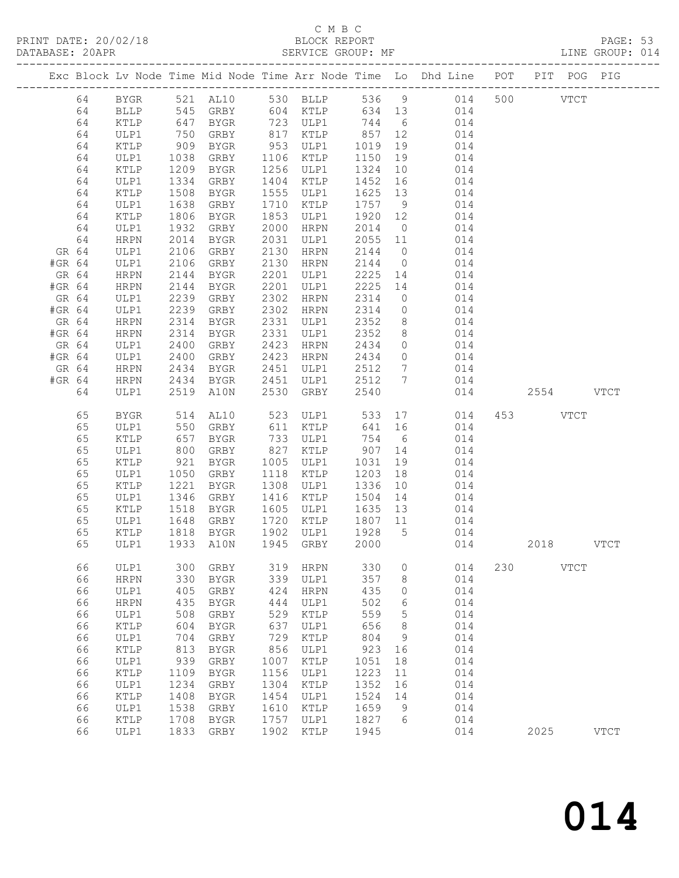# C M B C

|        | DATABASE: 20APR |              |                      |                        |            | SERVICE GROUP: MF                                    |                               |                | LINE GROUP: 014                                                                |     |           |               |  |
|--------|-----------------|--------------|----------------------|------------------------|------------|------------------------------------------------------|-------------------------------|----------------|--------------------------------------------------------------------------------|-----|-----------|---------------|--|
|        |                 |              |                      |                        |            |                                                      |                               |                | Exc Block Lv Node Time Mid Node Time Arr Node Time Lo Dhd Line POT PIT POG PIG |     |           |               |  |
|        | 64              |              |                      |                        |            |                                                      |                               |                | BYGR 521 AL10 530 BLLP 536 9 014 500 VTCT                                      |     |           |               |  |
|        | 64              | BLLP         |                      |                        |            |                                                      |                               |                | 545 GRBY 604 KTLP 634 13 014                                                   |     |           |               |  |
|        | 64              | KTLP         | 647                  | BYGR                   |            | 723 ULP1 744 6                                       |                               |                | 014                                                                            |     |           |               |  |
|        | 64              | ULP1         | 750<br>909           | GRBY                   |            | 817 KTLP       857   12<br>953   ULP1      1019   19 |                               |                | 014                                                                            |     |           |               |  |
|        | 64              | KTLP         |                      | BYGR                   |            |                                                      |                               |                | 014                                                                            |     |           |               |  |
|        | 64              | ULP1         | 1038                 | GRBY                   |            | 1106 KTLP                                            | 1150                          | 19             | 014                                                                            |     |           |               |  |
|        | 64              | KTLP         | 1209                 | BYGR                   |            | 1256 ULP1                                            | 1324                          | 10             | 014                                                                            |     |           |               |  |
|        | 64              | ULP1         | 1334                 | GRBY                   |            | 1404 KTLP                                            | 1452 16                       |                | 014                                                                            |     |           |               |  |
|        | 64              | KTLP         | 1508<br>1638         | BYGR                   |            | 1555 ULP1                                            | 1625 13<br>1757 9             |                | 014<br>014                                                                     |     |           |               |  |
|        | 64<br>64        | ULP1<br>KTLP | 1806                 | GRBY<br>BYGR           | 1853       | 1710 KTLP<br>ULP1                                    | 1920 12                       |                | 014                                                                            |     |           |               |  |
|        | 64              | ULP1         | 1932                 | GRBY                   |            | 2000 HRPN                                            | 2014                          | $\overline{0}$ | 014                                                                            |     |           |               |  |
|        | 64              | HRPN         | 2014                 | BYGR                   |            | 2031 ULP1                                            | 2055 11                       |                | 014                                                                            |     |           |               |  |
| GR 64  |                 | ULP1         | 2106                 | GRBY                   |            | 2130 HRPN                                            | 2144                          |                | $0$ $014$                                                                      |     |           |               |  |
| #GR 64 |                 | ULP1         | 2106                 | GRBY                   |            | 2130 HRPN                                            | 2144                          |                | $0 \qquad 014$                                                                 |     |           |               |  |
| GR 64  |                 | HRPN         | 2144                 | BYGR                   |            | 2201 ULP1                                            | 2225 14                       |                | 014                                                                            |     |           |               |  |
| #GR 64 |                 | HRPN         | 2144                 | BYGR                   |            | 2201 ULP1                                            | 2225 14                       |                | 014                                                                            |     |           |               |  |
| GR 64  |                 | ULP1         | 2239                 | GRBY                   |            | 2302 HRPN                                            | 2314                          | $\overline{0}$ | 014                                                                            |     |           |               |  |
| #GR 64 |                 | ULP1         | 2239                 | GRBY                   |            | 2302 HRPN                                            | 2314                          |                | $0 \qquad \qquad 014$                                                          |     |           |               |  |
| GR 64  |                 | HRPN         |                      | BYGR                   |            | 2331 ULP1                                            | 2352                          | 8 <sup>8</sup> | 014                                                                            |     |           |               |  |
| #GR 64 |                 | HRPN         | 2314<br>2314<br>2314 | BYGR                   |            | 2331 ULP1                                            | 2352                          | 8 <sup>8</sup> | 014                                                                            |     |           |               |  |
| GR 64  |                 | ULP1         | 2400                 | GRBY                   |            | 2423 HRPN                                            | 2434                          |                | $0$ $014$                                                                      |     |           |               |  |
| #GR 64 |                 | ULP1         | 2400                 | GRBY 2423 HRPN         |            |                                                      | 2434                          |                | $0 \t 014$                                                                     |     |           |               |  |
| GR 64  |                 | HRPN         | 2434<br>2434         | BYGR                   |            | 2451 ULP1                                            | 2512 7                        |                | 014                                                                            |     |           |               |  |
| #GR 64 |                 | HRPN         | 2434                 | BYGR                   |            | 2451 ULP1                                            | 2512 7                        |                | 014                                                                            |     |           |               |  |
|        | 64              | ULP1         |                      | 2519 A10N              |            | 2530 GRBY                                            | 2540                          |                |                                                                                | 014 | 2554 VTCT |               |  |
|        | 65              | BYGR         | 514                  | AL10                   |            | 523 ULP1                                             | 533                           |                | 17 014                                                                         |     | 453 VTCT  |               |  |
|        | 65              | ULP1         | 550<br>657           | GRBY                   |            | 611 KTLP                                             | 641                           | 16             | 014                                                                            |     |           |               |  |
|        | 65              | KTLP         |                      | BYGR                   |            | 733 ULP1                                             |                               |                | 754 6<br>014                                                                   |     |           |               |  |
|        | 65              | ULP1         | 800                  | GRBY                   |            | 827 KTLP 907 14                                      |                               |                | 014                                                                            |     |           |               |  |
|        | 65              | KTLP         | 921<br>1050          | BYGR                   |            | 1005 ULP1                                            | 1031                          | 19             | 014                                                                            |     |           |               |  |
|        | 65              | ULP1         |                      | GRBY                   |            | 1118 KTLP                                            | 1203 18                       |                | 014                                                                            |     |           |               |  |
|        | 65              | KTLP         | $\frac{1}{1221}$     | BYGR                   |            | 1308 ULP1                                            | 1336                          | 10             | 014                                                                            |     |           |               |  |
|        | 65              | ULP1         | 1346                 | GRBY                   |            | 1416 KTLP                                            | 1504 14                       |                | 014                                                                            |     |           |               |  |
|        | 65              | KTLP         | 1518                 | BYGR                   |            | 1605 ULP1                                            | 1635 13                       |                | 014                                                                            |     |           |               |  |
|        | 65              | ULP1         |                      | 1648 GRBY<br>1818 BYGR |            | 1720 KTLP                                            | 1807 11<br>$\frac{1}{1928}$ 5 |                | $014$<br>$014$                                                                 |     |           |               |  |
|        | 65              | KTLP         |                      |                        |            | 1902 ULP1                                            |                               |                | ULP1 1933 A10N 1945 GRBY 2000 014 2018                                         |     |           |               |  |
|        | 65              |              |                      |                        |            |                                                      |                               |                |                                                                                |     |           | <b>VTCT</b>   |  |
|        | 66              | ULP1         | 300                  | GRBY                   | 319        | HRPN                                                 | 330                           | 0              | 014                                                                            | 230 | VTCT      |               |  |
|        | 66              | <b>HRPN</b>  | 330                  | BYGR                   | 339        | ULP1                                                 | 357                           | 8              | 014                                                                            |     |           |               |  |
|        | 66              | ULP1         | 405                  | GRBY                   | 424        | <b>HRPN</b>                                          | 435                           | 0              | 014                                                                            |     |           |               |  |
|        | 66<br>66        | <b>HRPN</b>  | 435                  | BYGR                   | 444        | ULP1                                                 | 502<br>559                    | 6              | 014                                                                            |     |           |               |  |
|        | 66              | ULP1         | 508<br>604           | GRBY                   | 529<br>637 | KTLP                                                 | 656                           | 5<br>8         | 014<br>014                                                                     |     |           |               |  |
|        | 66              | KTLP<br>ULP1 | 704                  | <b>BYGR</b><br>GRBY    | 729        | ULP1<br>KTLP                                         | 804                           | 9              | 014                                                                            |     |           |               |  |
|        | 66              | KTLP         | 813                  | BYGR                   | 856        | ULP1                                                 | 923                           | 16             | 014                                                                            |     |           |               |  |
|        | 66              | ULP1         | 939                  | GRBY                   | 1007       | KTLP                                                 | 1051                          | 18             | 014                                                                            |     |           |               |  |
|        | 66              | KTLP         | 1109                 | <b>BYGR</b>            | 1156       | ULP1                                                 | 1223                          | 11             | 014                                                                            |     |           |               |  |
|        | 66              | ULP1         | 1234                 | GRBY                   | 1304       | $\texttt{KTLP}$                                      | 1352                          | 16             | 014                                                                            |     |           |               |  |
|        | 66              | KTLP         | 1408                 | <b>BYGR</b>            | 1454       | ULP1                                                 | 1524                          | 14             | 014                                                                            |     |           |               |  |
|        | 66              | ULP1         | 1538                 | GRBY                   | 1610       | KTLP                                                 | 1659                          | 9              | 014                                                                            |     |           |               |  |
|        | 66              | KTLP         | 1708                 | BYGR                   | 1757       | ULP1                                                 | 1827                          | 6              | 014                                                                            |     |           |               |  |
|        | 66              | ULP1         |                      | 1833 GRBY              | 1902       | KTLP                                                 | 1945                          |                | 014                                                                            |     | 2025      | $_{\rm VTCT}$ |  |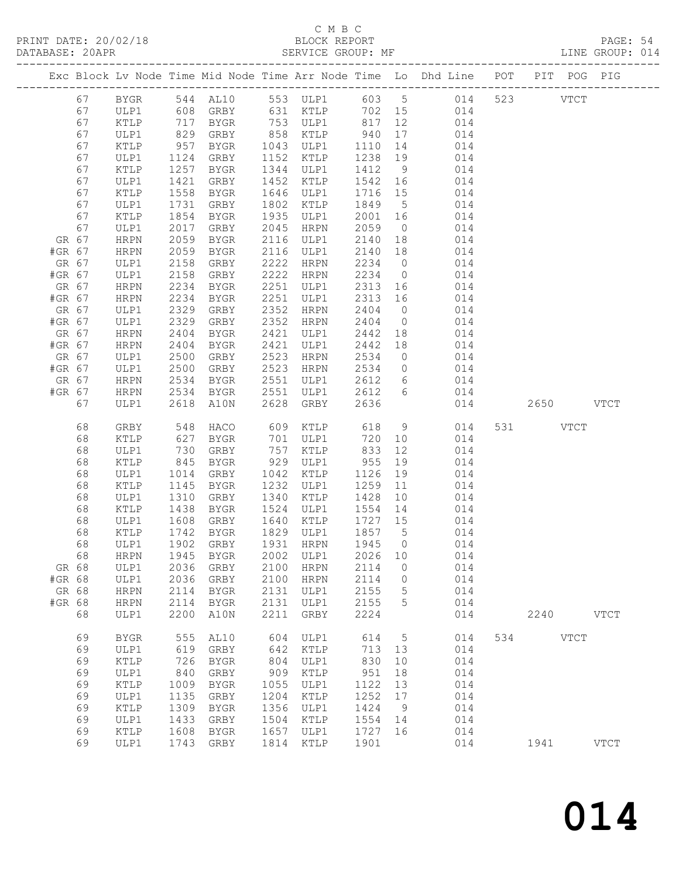#### C M B C<br>BLOCK REPORT

PRINT DATE: 20/02/18 BLOCK REPORT BATABASE: 20APR BEST SERVICE GROUP: MF

PAGE: 54<br>LINE GROUP: 014

|        |          |              |              |                   |      |                        |                    |                 | Exc Block Lv Node Time Mid Node Time Arr Node Time Lo Dhd Line POT PIT POG PIG |           |             |
|--------|----------|--------------|--------------|-------------------|------|------------------------|--------------------|-----------------|--------------------------------------------------------------------------------|-----------|-------------|
|        | 67       | <b>BYGR</b>  |              |                   |      |                        |                    |                 | 544 AL10 553 ULP1 603 5 014                                                    | 523 VTCT  |             |
|        | 67       | ULP1         |              | 608 GRBY          |      | 631 KTLP               |                    |                 | 702 15 014                                                                     |           |             |
|        | 67       | KTLP         | 717          | BYGR              |      | 753 ULP1               | 817 12             |                 | 014                                                                            |           |             |
|        | 67       | ULP1         | 829          | GRBY              |      | 858 KTLP               | 940                | 17              | 014                                                                            |           |             |
|        | 67       | KTLP         | 957          | BYGR              |      | 1043 ULP1              | 1110 14            |                 | 014                                                                            |           |             |
|        | 67       | ULP1         | 1124         | GRBY              |      | 1152 KTLP              | 1238 19            |                 | 014                                                                            |           |             |
|        | 67       | KTLP         | 1257         | BYGR              |      | 1344 ULP1              | 1412 9             |                 | 014                                                                            |           |             |
|        | 67       | ULP1         | 1421         | GRBY              |      | 1452 KTLP              | 1542 16            |                 | 014                                                                            |           |             |
|        | 67       | KTLP         | 1558         | BYGR              |      | 1646 ULP1              | 1716 15            |                 | 014                                                                            |           |             |
|        | 67       | ULP1         |              | 1731 GRBY         |      | 1802 KTLP              | 1849 5             |                 | 014                                                                            |           |             |
|        | 67       | KTLP         | 1854         | BYGR              |      | 1935 ULP1              | 2001 16            |                 | 014                                                                            |           |             |
| GR 67  | 67       | ULP1         | 2017<br>2059 | GRBY              | 2045 | HRPN<br>2116 ULP1      | 2059               | $\overline{0}$  | 014<br>014                                                                     |           |             |
| #GR 67 |          | HRPN<br>HRPN | 2059         | BYGR<br>BYGR      |      | 2116 ULP1              | 2140 18<br>2140 18 |                 | 014                                                                            |           |             |
| GR 67  |          | ULP1         | 2158         | GRBY              | 2222 | HRPN                   | 2234 0             |                 | 014                                                                            |           |             |
| #GR 67 |          | ULP1         | 2158         | GRBY              |      | 2222 HRPN              | 2234 0             |                 | 014                                                                            |           |             |
| GR 67  |          | HRPN         | 2234         | BYGR              |      | 2251 ULP1              | 2313 16            |                 | 014                                                                            |           |             |
| #GR 67 |          | HRPN         | 2234         | BYGR              |      | 2251 ULP1              | 2313 16            |                 | 014                                                                            |           |             |
| GR 67  |          | ULP1         | 2329         | GRBY              | 2352 | HRPN                   | 2404               | $\overline{0}$  | 014                                                                            |           |             |
| #GR 67 |          | ULP1         | 2329         | GRBY              | 2352 | HRPN                   | 2404               | $\overline{0}$  | 014                                                                            |           |             |
| GR 67  |          | HRPN         | 2404         | BYGR              | 2421 | ULP1                   | 2442 18            |                 | 014                                                                            |           |             |
| #GR 67 |          | HRPN         | 2404         | BYGR              |      | 2421 ULP1              | 2442 18            |                 | 014                                                                            |           |             |
| GR 67  |          | ULP1         | 2500         | GRBY              |      | 2523 HRPN              | 2534               | $\overline{0}$  | 014                                                                            |           |             |
| #GR 67 |          | ULP1         | 2500         | GRBY              |      | 2523 HRPN              | 2534               | $\overline{0}$  | 014                                                                            |           |             |
| GR 67  |          | HRPN         | 2534         | BYGR              |      | 2551 ULP1              | 2612               | 6               | 014                                                                            |           |             |
| #GR 67 |          | HRPN         |              | 2534 BYGR         |      | 2551 ULP1              | 2612 6             |                 | 014                                                                            |           |             |
|        | 67       | ULP1         |              | 2618 A10N         |      | 2628 GRBY              | 2636               |                 | 014                                                                            | 2650 VTCT |             |
|        | 68       | GRBY         | 548          | HACO              |      | 609 KTLP               | 618                | 9               | 014                                                                            | 531 VTCT  |             |
|        | 68       | KTLP         | 627          | BYGR              |      | 701 ULP1               | 720 10             |                 | 014                                                                            |           |             |
|        | 68       | ULP1         | 730          | GRBY              |      | 757 KTLP               | 833                | 12              | 014                                                                            |           |             |
|        | 68       | KTLP         | 845          | BYGR              |      | 929 ULP1               | 955                | 19              | 014                                                                            |           |             |
|        | 68       | ULP1         | 1014         | GRBY              |      | 1042 KTLP              | 1126 19            |                 | 014                                                                            |           |             |
|        | 68       | KTLP         | 1145         | BYGR              |      | 1232 ULP1              | 1259 11            |                 | 014                                                                            |           |             |
|        | 68       | ULP1         | 1310         | GRBY              |      | 1340 KTLP              | 1428 10            |                 | 014                                                                            |           |             |
|        | 68       | KTLP         | 1438         | BYGR              |      | 1524 ULP1              | 1554 14            |                 | 014                                                                            |           |             |
|        | 68       | ULP1         | 1608         | GRBY              |      | 1640 KTLP              | 1727 15            |                 | 014                                                                            |           |             |
|        | 68<br>68 | KTLP<br>ULP1 | 1742         | BYGR<br>1902 GRBY |      | 1829 ULP1<br>1931 HRPN | 1857 5<br>1945 0   |                 | 014<br>014                                                                     |           |             |
|        | 68       |              |              |                   |      |                        |                    |                 | HRPN 1945 BYGR 2002 ULP1 2026 10 014                                           |           |             |
| GR 68  |          | ULP1         |              | 2036 GRBY         | 2100 | <b>HRPN</b>            | 2114               | $\overline{0}$  | 014                                                                            |           |             |
| #GR 68 |          | ULP1         | 2036         | GRBY              | 2100 | HRPN                   | 2114               | $\overline{0}$  | 014                                                                            |           |             |
| GR 68  |          | <b>HRPN</b>  | 2114         | BYGR              | 2131 | ULP1                   | 2155               | $5\phantom{.0}$ | 014                                                                            |           |             |
| #GR 68 |          | <b>HRPN</b>  | 2114         | BYGR              | 2131 | ULP1                   | 2155               | 5               | 014                                                                            |           |             |
|        | 68       | ULP1         | 2200         | A10N              | 2211 | GRBY                   | 2224               |                 | 014                                                                            | 2240 VTCT |             |
|        | 69       | BYGR         | 555          | AL10              | 604  | ULP1                   | 614                | $5\overline{)}$ | 014                                                                            | 534 VTCT  |             |
|        | 69       | ULP1         | 619          | GRBY              | 642  | KTLP                   | 713 13             |                 | 014                                                                            |           |             |
|        | 69       | KTLP         | 726          | BYGR              | 804  | ULP1                   | 830                | 10              | 014                                                                            |           |             |
|        | 69       | ULP1         | 840          | GRBY              | 909  | KTLP                   | 951                | 18              | 014                                                                            |           |             |
|        | 69       | KTLP         | 1009         | BYGR              | 1055 | ULP1                   | 1122               | 13              | 014                                                                            |           |             |
|        | 69       | ULP1         | 1135         | GRBY              | 1204 | KTLP                   | 1252               | 17              | 014                                                                            |           |             |
|        | 69       | KTLP         | 1309         | BYGR              | 1356 | ULP1                   | 1424               | 9               | 014                                                                            |           |             |
|        | 69       | ULP1         | 1433         | GRBY              | 1504 | KTLP                   | 1554               | 14              | 014                                                                            |           |             |
|        | 69       | KTLP         | 1608         | BYGR              | 1657 | ULP1                   | 1727 16            |                 | 014                                                                            |           |             |
|        | 69       | ULP1         |              | 1743 GRBY         | 1814 | KTLP                   | 1901               |                 | 014                                                                            | 1941      | <b>VTCT</b> |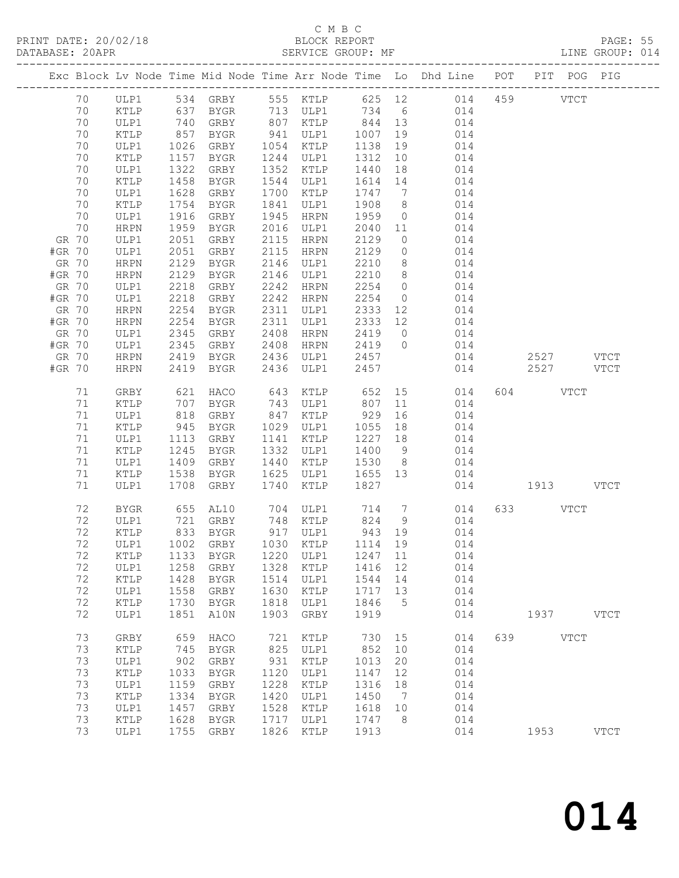### C M B C

| DATABASE: 20APR |          |              |            |                      |            | SERVICE GROUP: MF                 |             |                | LINE GROUP: 014                                                                |               |          |           |             |  |
|-----------------|----------|--------------|------------|----------------------|------------|-----------------------------------|-------------|----------------|--------------------------------------------------------------------------------|---------------|----------|-----------|-------------|--|
|                 |          |              |            |                      |            |                                   |             |                | Exc Block Lv Node Time Mid Node Time Arr Node Time Lo Dhd Line POT PIT POG PIG |               |          |           |             |  |
|                 | 70       |              |            |                      |            |                                   |             |                | ULP1 534 GRBY 555 KTLP 625 12 014 459 VTCT                                     |               |          |           |             |  |
|                 | 70       | KTLP         | 637        |                      |            |                                   |             |                | BYGR 713 ULP1 734 6 014                                                        |               |          |           |             |  |
|                 | 70       | ULP1         | 740        | GRBY                 |            |                                   |             |                | 014                                                                            |               |          |           |             |  |
|                 | 70       | KTLP         | 857        | BYGR                 |            |                                   |             |                | 014                                                                            |               |          |           |             |  |
|                 | 70       | ULP1         | 1026       | GRBY                 |            | 1054 KTLP                         | 1138        | 19             | 014                                                                            |               |          |           |             |  |
|                 | 70       | KTLP         | 1157       | BYGR                 |            | 1244 ULP1                         | 1312        | 10             | 014                                                                            |               |          |           |             |  |
|                 | 70       | ULP1         | 1322       | GRBY                 |            | 1352 KTLP                         | 1440        | 18             | 014                                                                            |               |          |           |             |  |
|                 | 70       | KTLP         | 1458       | BYGR                 |            | 1544 ULP1                         | 1614 14     |                | 014                                                                            |               |          |           |             |  |
|                 | 70       | ULP1         | 1628       | GRBY                 |            | 1700 KTLP                         | 1747 7      |                | 014                                                                            |               |          |           |             |  |
|                 | 70       | KTLP         | 1754       | BYGR                 |            | 1841 ULP1                         | 1908        | 8 <sup>8</sup> | 014                                                                            |               |          |           |             |  |
|                 | 70       | ULP1         | 1916       | GRBY                 | 1945       | HRPN                              | 1959        | $\overline{0}$ | 014                                                                            |               |          |           |             |  |
|                 | 70       | HRPN         | 1959       | BYGR                 |            | 2016 ULP1                         | 2040        | 11             | 014                                                                            |               |          |           |             |  |
| GR 70           |          | ULP1         | 2051       | GRBY                 |            | 2115 HRPN                         | 2129        | $\overline{0}$ | 014                                                                            |               |          |           |             |  |
| #GR 70          |          | ULP1         | 2051       | GRBY                 |            | 2115 HRPN                         | 2129        |                | $0$ $014$                                                                      |               |          |           |             |  |
| GR 70           |          | HRPN         | 2129       | BYGR                 |            | 2146 ULP1                         | 2210        | 8 <sup>8</sup> | 014                                                                            |               |          |           |             |  |
| #GR 70          |          | HRPN         | 2129       | BYGR                 |            | 2146 ULP1                         | 2210        | 8 <sup>8</sup> | 014                                                                            |               |          |           |             |  |
| GR 70           |          | ULP1         | 2218       | GRBY                 |            | 2242 HRPN                         | 2254        | $\overline{0}$ | 014                                                                            |               |          |           |             |  |
| #GR 70          |          | ULP1         | 2218       | GRBY                 |            | 2242 HRPN                         | 2254        | $\overline{0}$ | 014                                                                            |               |          |           |             |  |
| GR 70           |          | HRPN         | 2254       | BYGR                 |            | 2311 ULP1                         | 2333        | 12             | 014                                                                            |               |          |           |             |  |
| #GR 70          |          | HRPN         | 2254       | BYGR                 |            | 2311 ULP1                         | 2333 12     |                | 014                                                                            |               |          |           |             |  |
| GR 70           |          | ULP1         | 2345       | GRBY                 |            | 2408 HRPN                         | 2419        | $\overline{0}$ | 014                                                                            |               |          |           |             |  |
| #GR 70          |          | ULP1         | 2345       | GRBY                 |            | 2408 HRPN                         | 2419        |                | $0 \t 014$                                                                     |               |          |           |             |  |
| GR 70           |          | HRPN         | 2419       | BYGR                 |            | 2436 ULP1                         | 2457        |                | 014                                                                            |               |          | 2527 VTCT |             |  |
| #GR 70          |          | HRPN         | 2419       | BYGR                 | 2436       | ULP1                              | 2457        |                |                                                                                | 014           |          | 2527 VTCT |             |  |
|                 | 71       | GRBY         | 621        | HACO                 | 643        | KTLP 652 15                       |             |                | 014                                                                            |               | 604 VTCT |           |             |  |
|                 | 71       | KTLP         | 707        | BYGR                 |            | 743 ULP1 807                      |             |                | 11<br>014                                                                      |               |          |           |             |  |
|                 | 71       | ULP1         | 818        | GRBY                 |            | 847 KTLP                          | 929         | 16             | 014                                                                            |               |          |           |             |  |
|                 | 71       | KTLP         | 945        | BYGR                 |            | 1029 ULP1                         | 1055        | 18             | 014                                                                            |               |          |           |             |  |
|                 | 71       | ULP1         | 1113       | GRBY                 |            | 1141 KTLP                         | 1227 18     |                | 014                                                                            |               |          |           |             |  |
|                 | 71       | KTLP         | 1245       | BYGR                 |            | 1332 ULP1                         | 1400        | 9              | 014                                                                            |               |          |           |             |  |
|                 | 71       | ULP1         | 1409       | GRBY                 |            | 1440 KTLP                         | 1530        | 8 <sup>8</sup> | 014                                                                            |               |          |           |             |  |
|                 | 71       | KTLP         | 1538       | BYGR                 |            | 1625 ULP1                         | 1655 13     |                | 014                                                                            |               |          |           |             |  |
|                 | 71       | ULP1         |            | 1708 GRBY            | 1740       | KTLP                              | 1827        |                |                                                                                | 014 1913 VTCT |          |           |             |  |
|                 | 72       | BYGR         | 655        | AL10                 |            | 704 ULP1 714 7                    |             |                | 014                                                                            |               | 633 VTCT |           |             |  |
|                 | 72       | ULP1         |            |                      |            |                                   |             | 9              | 014                                                                            |               |          |           |             |  |
|                 | 72       | KTLP         |            | 721 GRBY<br>833 BYGR |            | 748 KTLP 824 9<br>917 ULP1 943 19 |             |                | 014                                                                            |               |          |           |             |  |
|                 |          |              |            |                      |            |                                   |             |                | 72 ULP1 1002 GRBY 1030 KTLP 1114 19 014                                        |               |          |           |             |  |
|                 | 72       | KTLP         |            | 1133 BYGR            | 1220       | ULP1                              | 1247        | 11             | 014                                                                            |               |          |           |             |  |
|                 | 72       | ULP1         | 1258       | GRBY                 | 1328       | KTLP                              | 1416 12     |                | 014                                                                            |               |          |           |             |  |
|                 | 72       | KTLP         | 1428       | BYGR                 | 1514       | ULP1                              | 1544        | 14             | 014                                                                            |               |          |           |             |  |
|                 | 72       | ULP1         | 1558       | GRBY                 | 1630       | KTLP                              | 1717 13     |                | 014                                                                            |               |          |           |             |  |
|                 | 72       | KTLP         | 1730       | BYGR                 | 1818       | ULP1                              | 1846        | $5^{\circ}$    | 014                                                                            |               |          |           |             |  |
|                 | 72       | ULP1         | 1851       | A10N                 | 1903       | GRBY                              | 1919        |                | 014                                                                            |               |          | 1937 VTCT |             |  |
|                 |          |              |            |                      |            |                                   |             |                |                                                                                |               |          |           |             |  |
|                 | 73       | ${\tt GRBY}$ | 659        | HACO                 | 721        | KTLP                              | 730 15      |                | 014                                                                            |               | 639 VTCT |           |             |  |
|                 | 73<br>73 | KTLP<br>ULP1 | 745<br>902 | BYGR<br>GRBY         | 825<br>931 | ULP1<br>KTLP                      | 852<br>1013 | 10<br>20       | 014<br>014                                                                     |               |          |           |             |  |
|                 | 73       | KTLP         | 1033       | BYGR                 | 1120       | ULP1                              | 1147        | 12             | 014                                                                            |               |          |           |             |  |
|                 | 73       | ULP1         | 1159       | GRBY                 | 1228       | KTLP                              | 1316        | 18             | 014                                                                            |               |          |           |             |  |
|                 | 73       | KTLP         | 1334       | BYGR                 | 1420       | ULP1                              | 1450        | $\overline{7}$ | 014                                                                            |               |          |           |             |  |
|                 | 73       | ULP1         | 1457       | GRBY                 | 1528       | KTLP                              | 1618        | 10             | 014                                                                            |               |          |           |             |  |
|                 | 73       | KTLP         | 1628       | BYGR                 | 1717       | ULP1                              | 1747 8      |                | 014                                                                            |               |          |           |             |  |
|                 | 73       | ULP1         |            | 1755 GRBY            | 1826       | KTLP                              | 1913        |                | 014                                                                            |               |          | 1953      | <b>VTCT</b> |  |
|                 |          |              |            |                      |            |                                   |             |                |                                                                                |               |          |           |             |  |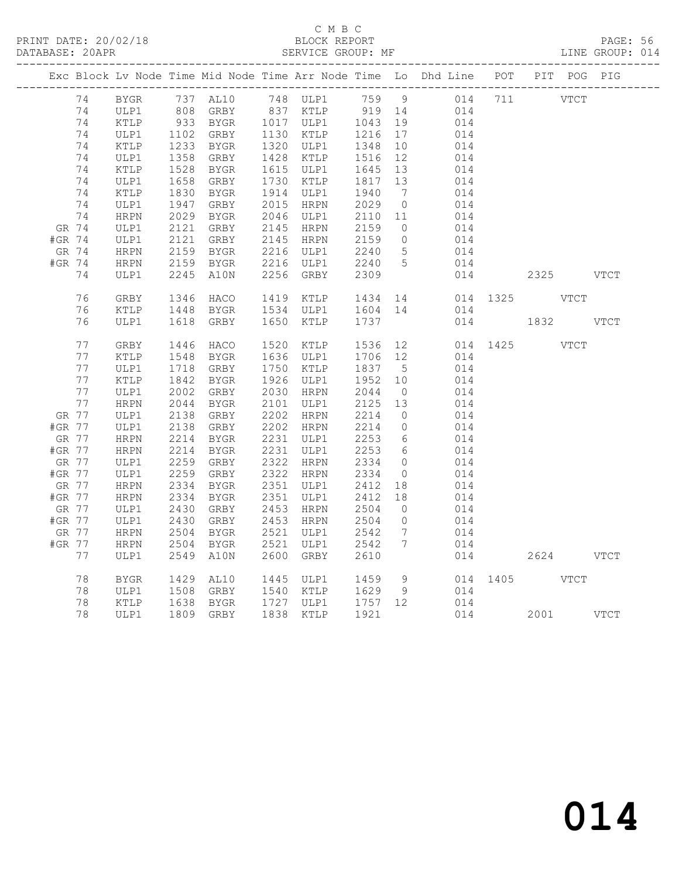PRINT DATE: 20/02/18 BLOCK REPORT BATABASE: 20APR BEST SERVICE GROUP: MF

# C M B C<br>BLOCK REPORT

PAGE: 56<br>LINE GROUP: 014

|        |       |              |      |           |      |                            |                                                               |                   | Exc Block Lv Node Time Mid Node Time Arr Node Time Lo Dhd Line POT PIT POG PIG |     |               |  |
|--------|-------|--------------|------|-----------|------|----------------------------|---------------------------------------------------------------|-------------------|--------------------------------------------------------------------------------|-----|---------------|--|
|        | 74    | BYGR         |      |           |      |                            |                                                               |                   |                                                                                |     |               |  |
|        | 74    | ULP1         |      |           |      |                            |                                                               |                   |                                                                                |     |               |  |
|        | 74    | KTLP         |      |           |      | 933 BYGR 1017 ULP1 1043 19 |                                                               |                   | 014                                                                            |     |               |  |
|        | 74    | ULP1         | 1102 | GRBY      |      | 1130 KTLP                  | 1216                                                          | 17                | 014                                                                            |     |               |  |
|        | 74    | KTLP         | 1233 | BYGR      |      | 1320 ULP1                  | 1348                                                          | 10                | 014                                                                            |     |               |  |
|        | 74    | ULP1         | 1358 | GRBY      |      | 1428 KTLP                  | 1516                                                          | 12                | 014                                                                            |     |               |  |
|        | 74    | KTLP         | 1528 | BYGR      |      | 1615 ULP1                  | 1645                                                          | 13                | 014                                                                            |     |               |  |
|        | 74    | ULP1         | 1658 | GRBY      |      | 1730 KTLP                  | 1817                                                          | 13                | 014                                                                            |     |               |  |
|        | 74    | KTLP         | 1830 | BYGR      |      | 1914 ULP1                  | $10 - 1940$                                                   | $7\overline{ }$   | 014                                                                            |     |               |  |
|        | 74    | ULP1         | 1947 | GRBY      | 2015 | HRPN                       | 2029                                                          | $\overline{0}$    | 014                                                                            |     |               |  |
|        | 74    | HRPN         | 2029 | BYGR      |      | 2046 ULP1                  | 2110 11                                                       |                   | 014                                                                            |     |               |  |
|        | GR 74 | ULP1         | 2121 | GRBY      |      | 2145 HRPN                  | 2159                                                          | $\overline{0}$    | 014                                                                            |     |               |  |
| #GR 74 |       | ULP1         | 2121 | GRBY      |      | 2145 HRPN                  | 2159                                                          | $\overline{0}$    | 014                                                                            |     |               |  |
|        | GR 74 | HRPN         | 2159 | BYGR      |      | 2216 ULP1                  | 2240                                                          | $5\overline{)}$   | 014                                                                            |     |               |  |
| #GR 74 |       | HRPN         | 2159 | BYGR      |      | 2216 ULP1                  | 2240 5                                                        |                   | 014                                                                            |     |               |  |
|        | 74    | ULP1         | 2245 | A10N      | 2256 | GRBY                       | 2309                                                          |                   | 014                                                                            |     | 2325 VTCT     |  |
|        |       |              |      |           |      |                            |                                                               |                   |                                                                                |     |               |  |
|        | 76    | ${\tt GRBY}$ | 1346 | HACO      |      | 1419 KTLP                  | 1434                                                          |                   | 14 \,                                                                          |     | 014 1325 VTCT |  |
|        | 76    | KTLP         | 1448 | BYGR      | 1534 | ULP1                       | 1604 14                                                       |                   | 014                                                                            |     |               |  |
|        | 76    | ULP1         | 1618 | GRBY      | 1650 | KTLP                       | 1737                                                          |                   |                                                                                | 014 | 1832 VTCT     |  |
|        |       |              |      |           |      |                            |                                                               |                   |                                                                                |     |               |  |
|        | 77    | GRBY         | 1446 | HACO      | 1520 | KTLP                       | 1536 12                                                       |                   |                                                                                |     | 014 1425 VTCT |  |
|        | 77    | KTLP         | 1548 | BYGR      |      | 1636 ULP1                  | 1706 12                                                       |                   | 014                                                                            |     |               |  |
|        | 77    | ULP1         | 1718 | GRBY      |      | 1750 KTLP                  | 1837                                                          | $5^{\circ}$       | 014                                                                            |     |               |  |
|        | 77    | KTLP         | 1842 | BYGR      | 1926 | ULP1                       | 1952                                                          | 10                | 014                                                                            |     |               |  |
|        | 77    | ULP1         | 2002 | GRBY      | 2030 | HRPN                       | 2044                                                          | $\overline{0}$    | 014                                                                            |     |               |  |
|        | 77    | HRPN         | 2044 | BYGR      | 2101 | ULP1                       | 2125                                                          | 13                | 014                                                                            |     |               |  |
| GR 77  |       | ULP1         | 2138 | GRBY      | 2202 | HRPN                       | 2214                                                          | $\overline{0}$    | 014                                                                            |     |               |  |
| #GR 77 |       | ULP1         | 2138 | GRBY      |      | 2202 HRPN                  | 2214                                                          | $\overline{0}$    | 014                                                                            |     |               |  |
| GR 77  |       | <b>HRPN</b>  | 2214 | BYGR      |      | 2231 ULP1                  | 2253                                                          | 6                 | 014                                                                            |     |               |  |
| #GR 77 |       | ${\tt HRPN}$ | 2214 | BYGR      |      | 2231 ULP1                  | 2253                                                          | $6\overline{6}$   | 014                                                                            |     |               |  |
| GR 77  |       | ULP1         | 2259 | GRBY      |      | 2322 HRPN                  | 2334                                                          | $\overline{0}$    | 014                                                                            |     |               |  |
| #GR 77 |       | ULP1         | 2259 | GRBY      |      | 2322 HRPN                  | 2334                                                          | $\overline{0}$    | 014                                                                            |     |               |  |
| GR 77  |       | <b>HRPN</b>  | 2334 | BYGR      |      | 2351 ULP1                  | 2412                                                          | 18                | 014                                                                            |     |               |  |
| #GR 77 |       | HRPN         | 2334 | BYGR      |      | 2351 ULP1                  | 2412                                                          | 18                | 014                                                                            |     |               |  |
| GR 77  |       | ULP1         | 2430 | GRBY      |      | 2453 HRPN                  | 2504                                                          | $\overline{0}$    | 014                                                                            |     |               |  |
| #GR 77 |       | ULP1         | 2430 | GRBY      | 2453 | HRPN                       | 2504                                                          | $\overline{0}$    | 014                                                                            |     |               |  |
| GR 77  |       | ${\tt HRPN}$ | 2504 | BYGR      |      | 2521 ULP1                  | 2542                                                          | $7\overline{ }$   | 014                                                                            |     |               |  |
| #GR 77 |       | HRPN         | 2504 | BYGR      | 2521 | ULP1                       | 2542                                                          | $7\phantom{.0}\,$ | 014                                                                            |     |               |  |
|        | 77    | ULP1         | 2549 | A10N      | 2600 | GRBY                       | 2610                                                          |                   |                                                                                | 014 | 2624 VTCT     |  |
|        |       |              |      |           |      |                            |                                                               |                   |                                                                                |     |               |  |
|        | 78    | BYGR         | 1429 | AL10      |      | 1445 ULP1                  | 1459 9                                                        |                   |                                                                                |     | 014 1405 VTCT |  |
|        | 78    | ULP1         | 1508 | GRBY      |      | 1540 KTLP                  | 1629                                                          | - 9               | 014                                                                            |     |               |  |
|        | 78    | KTLP         | 1638 | BYGR      |      | 1727 ULP1                  |                                                               |                   | 014                                                                            |     |               |  |
|        | 78    | ULP1         |      | 1809 GRBY |      | 1838 KTLP                  | $\begin{bmatrix} 1757 & 12 \\ 1921 & 1 \end{bmatrix}$<br>1921 |                   |                                                                                | 014 | 2001 VTCT     |  |
|        |       |              |      |           |      |                            |                                                               |                   |                                                                                |     |               |  |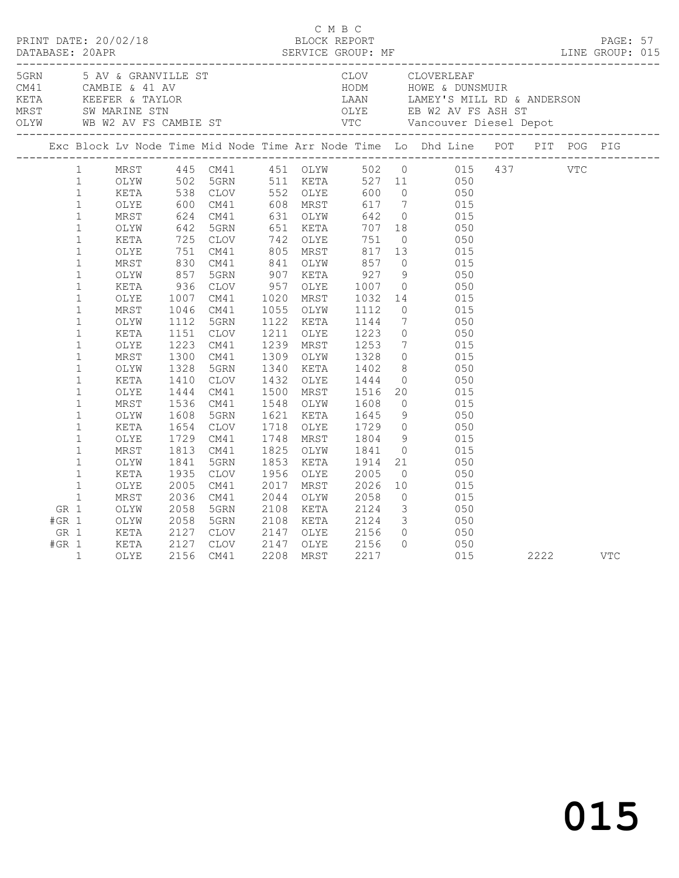|                                    |                                                                                                                                                                                                                                                                                                                                                                                                                             |                                                                                                                                                                                                              |                                                                                                                                                                                                            |                                                                                                                                                                                                              |                                              |                                                                                                                                                                                                                                                                                                          |                                                                                                                                                                    |                 | C M B C<br>PRINT DATE: 20/02/18 BLOCK REPORT<br>DATABASE: 20APR SERVICE GROUP: MF LINE GROUP: 015                                                                                                                                                                                                                                                                                                                                                                                                                                                                                                                                                   |      |            |            |  |
|------------------------------------|-----------------------------------------------------------------------------------------------------------------------------------------------------------------------------------------------------------------------------------------------------------------------------------------------------------------------------------------------------------------------------------------------------------------------------|--------------------------------------------------------------------------------------------------------------------------------------------------------------------------------------------------------------|------------------------------------------------------------------------------------------------------------------------------------------------------------------------------------------------------------|--------------------------------------------------------------------------------------------------------------------------------------------------------------------------------------------------------------|----------------------------------------------|----------------------------------------------------------------------------------------------------------------------------------------------------------------------------------------------------------------------------------------------------------------------------------------------------------|--------------------------------------------------------------------------------------------------------------------------------------------------------------------|-----------------|-----------------------------------------------------------------------------------------------------------------------------------------------------------------------------------------------------------------------------------------------------------------------------------------------------------------------------------------------------------------------------------------------------------------------------------------------------------------------------------------------------------------------------------------------------------------------------------------------------------------------------------------------------|------|------------|------------|--|
|                                    |                                                                                                                                                                                                                                                                                                                                                                                                                             |                                                                                                                                                                                                              |                                                                                                                                                                                                            |                                                                                                                                                                                                              |                                              |                                                                                                                                                                                                                                                                                                          |                                                                                                                                                                    |                 |                                                                                                                                                                                                                                                                                                                                                                                                                                                                                                                                                                                                                                                     |      |            |            |  |
|                                    |                                                                                                                                                                                                                                                                                                                                                                                                                             |                                                                                                                                                                                                              |                                                                                                                                                                                                            |                                                                                                                                                                                                              |                                              |                                                                                                                                                                                                                                                                                                          |                                                                                                                                                                    |                 | Exc Block Lv Node Time Mid Node Time Arr Node Time Lo Dhd Line POT PIT POG PIG                                                                                                                                                                                                                                                                                                                                                                                                                                                                                                                                                                      |      |            |            |  |
|                                    | $\mathbf{1}$<br>$\mathbf{1}$<br>$\mathbf{1}$<br>$\mathbf{1}$<br>$\mathbf{1}$<br>$\mathbf{1}$<br>$\mathbf{1}$<br>$\mathbf{1}$<br>$\mathbf{1}$<br>$\mathbf{1}$<br>$\mathbf{1}$<br>$\mathbf{1}$<br>$\mathbf 1$<br>$\mathbf{1}$<br>$\mathbf{1}$<br>$\mathbf{1}$<br>$\mathbf{1}$<br>$\mathbf{1}$<br>$\mathbf{1}$<br>$\mathbf{1}$<br>$\mathbf{1}$<br>$\mathbf{1}$<br>$\mathbf{1}$<br>$\mathbf{1}$<br>$\mathbf{1}$<br>$\mathbf{1}$ | OLYE<br>MRST<br>OLYW<br>KETA<br>OLYE<br>MRST<br>OLYW<br>KETA<br>OLYE<br>MRST<br>OLYW<br>KETA<br>OLYE<br>MRST<br>OLYW<br>KETA<br>OLYE<br>MRST<br>OLYW<br>KETA<br>OLYE<br>MRST<br>OLYW<br>KETA<br>OLYE<br>MRST | $600$<br>$624$<br>$642$<br>725<br>751<br>830<br>857<br>936<br>1007<br>1046<br>1112<br>1151<br>1223<br>1300<br>1328<br>1410<br>1444<br>1536<br>1608<br>1654<br>1729<br>1813<br>1841<br>1935<br>2005<br>2036 | CM41<br>CM41<br>5GRN<br>CLOV<br>CM41<br>CM41<br>5GRN<br>CLOV<br>CM41<br>CM41<br>5GRN<br>CLOV<br>CM41<br>CM41<br>5GRN<br>CLOV<br>CM41<br>CM41<br>5GRN<br>CLOV<br>CM41<br>CM41<br>5GRN<br>CLOV<br>CM41<br>CM41 | 1020<br>1211<br>1718<br>1825<br>2017<br>2044 | 608 MRST<br>631 OLYW<br>651 KETA<br>742 OLYE<br>805 MRST<br>841 OLYW<br>907 KETA<br>957 OLYE<br>MRST<br>1055 OLYW<br>1122 KETA<br>OLYE<br>1239 MRST<br>1309 OLYW<br>1340 KETA<br>1432 OLYE<br>1500 MRST<br>1548 OLYW<br>1621 KETA<br>OLYE<br>1748 MRST<br>OLYW<br>1853 KETA<br>1956 OLYE<br>MRST<br>OLYW | 751<br>857<br>$927$<br>1007<br>1032<br>1112<br>1144<br>$\frac{1223}{1252}$<br>1328<br>1402<br>1444<br>1516<br>1608<br>1645<br>1841<br>1914<br>2005<br>2026<br>2058 | 751 0<br>817 13 | 1 MRST 445 CM41 451 OLYW 502 0 015 437<br>1 OLYW 502 5GRN 511 KETA 527 11 050<br>1 KETA 538 CLOV 552 OLYE 600 0 050<br>617 7 015<br>642 0 015<br>707 18 050<br>050<br>015<br>$0\qquad \qquad 015$<br>9 050<br>0 050<br>$\begin{array}{ccc} 14 & \quad & 015 \\ 0 & \quad & 015 \end{array}$<br>7 050<br>$\begin{array}{ccc} 0 & \quad & 050 \\ 7 & \quad & 015 \end{array}$<br>$0$ 015<br>8 050<br>0 050<br>$\begin{array}{ccc} 20 & \quad & 015 \\ \quad 0 & \quad & 015 \end{array}$<br>$9$ 050<br>1729 0 050<br>1804 9 015<br>$0$ 015<br>21<br>050<br>$\overline{0}$ 050<br>$\begin{array}{ccc} 10 & \quad & 015 \\ 0 & \quad & 015 \end{array}$ |      | <b>VTC</b> |            |  |
| GR 1<br>$#GR$ 1<br>GR 1<br>$#GR$ 1 | $\mathbf{1}$                                                                                                                                                                                                                                                                                                                                                                                                                | OLYW<br>OLYW<br>KETA<br>KETA<br>OLYE                                                                                                                                                                         | 2058<br>2058<br>2127<br>2127<br>2156                                                                                                                                                                       | 5GRN<br>5GRN<br>CLOV<br>CLOV<br>CM41                                                                                                                                                                         | 2108<br>2147<br>2208                         | KETA<br>2108 KETA<br>2147 OLYE 2156<br>OLYE<br>MRST                                                                                                                                                                                                                                                      | 2124<br>2124<br>2156<br>2217                                                                                                                                       |                 | $3 \t 050$<br>$\begin{array}{ccc} 3 & \hspace{1.5mm} 050 \\ 0 & \hspace{1.5mm} 0 \end{array}$<br>$0\qquad \qquad 050$<br>015                                                                                                                                                                                                                                                                                                                                                                                                                                                                                                                        | 2222 |            | <b>VTC</b> |  |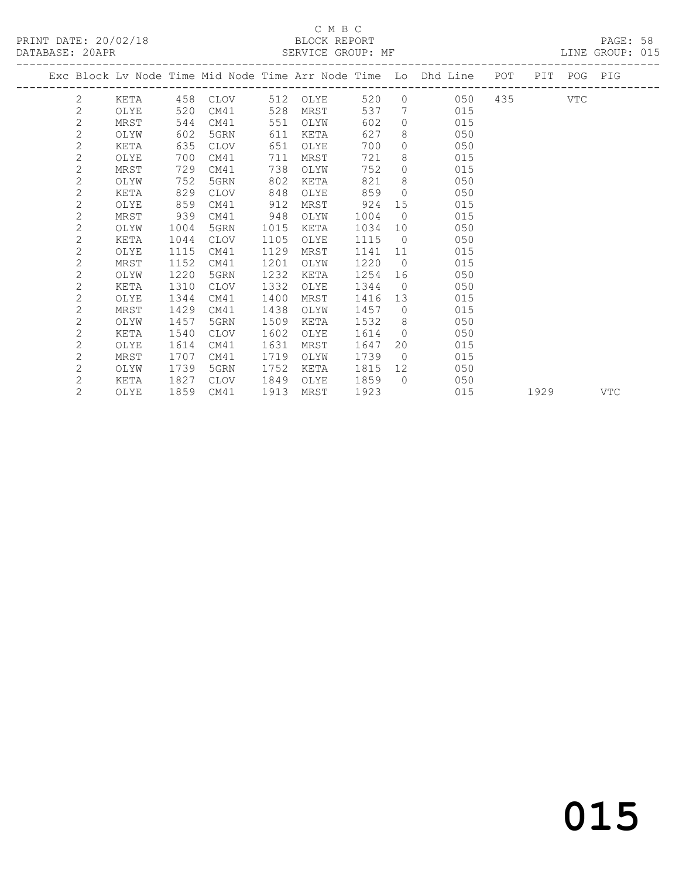## C M B C<br>BLOCK REPORT

PAGE: 58<br>LINE GROUP: 015

|                |      |      |             |      |          |      |                | Exc Block Lv Node Time Mid Node Time Arr Node Time Lo Dhd Line | POT     | PIT  | POG PIG |            |
|----------------|------|------|-------------|------|----------|------|----------------|----------------------------------------------------------------|---------|------|---------|------------|
| 2              | KETA |      | 458 CLOV    |      | 512 OLYE | 520  | $\Omega$       | 050                                                            | 435 VTC |      |         |            |
| $\mathbf{2}$   | OLYE | 520  | CM41        | 528  | MRST     | 537  | 7              | 015                                                            |         |      |         |            |
| $\mathbf{2}$   | MRST | 544  | CM41        | 551  | OLYW     | 602  | $\circ$        | 015                                                            |         |      |         |            |
| $\mathbf{2}$   | OLYW | 602  | 5GRN        | 611  | KETA     | 627  | 8              | 050                                                            |         |      |         |            |
| 2              | KETA | 635  | CLOV        | 651  | OLYE     | 700  | $\circ$        | 050                                                            |         |      |         |            |
| 2              | OLYE | 700  | CM41        | 711  | MRST     | 721  | 8              | 015                                                            |         |      |         |            |
| $\mathbf{2}$   | MRST | 729  | CM41        | 738  | OLYW     | 752  | $\circ$        | 015                                                            |         |      |         |            |
| 2              | OLYW | 752  | 5GRN        | 802  | KETA     | 821  | 8              | 050                                                            |         |      |         |            |
| 2              | KETA | 829  | CLOV        | 848  | OLYE     | 859  | $\Omega$       | 050                                                            |         |      |         |            |
| 2              | OLYE | 859  | CM41        | 912  | MRST     | 924  | 15             | 015                                                            |         |      |         |            |
| 2              | MRST | 939  | CM41        | 948  | OLYW     | 1004 | $\overline{0}$ | 015                                                            |         |      |         |            |
| 2              | OLYW | 1004 | 5GRN        | 1015 | KETA     | 1034 | 10             | 050                                                            |         |      |         |            |
| 2              | KETA | 1044 | CLOV        | 1105 | OLYE     | 1115 | $\bigcirc$     | 050                                                            |         |      |         |            |
| 2              | OLYE | 1115 | CM41        | 1129 | MRST     | 1141 | 11             | 015                                                            |         |      |         |            |
| 2              | MRST | 1152 | CM41        | 1201 | OLYW     | 1220 | $\bigcirc$     | 015                                                            |         |      |         |            |
| $\mathbf{2}$   | OLYW | 1220 | 5GRN        | 1232 | KETA     | 1254 | 16             | 050                                                            |         |      |         |            |
| 2              | KETA | 1310 | <b>CLOV</b> | 1332 | OLYE     | 1344 | $\bigcirc$     | 050                                                            |         |      |         |            |
| $\mathbf{2}$   | OLYE | 1344 | CM41        | 1400 | MRST     | 1416 | 13             | 015                                                            |         |      |         |            |
| 2              | MRST | 1429 | CM41        | 1438 | OLYW     | 1457 | $\overline{0}$ | 015                                                            |         |      |         |            |
| 2              | OLYW | 1457 | 5GRN        | 1509 | KETA     | 1532 | 8              | 050                                                            |         |      |         |            |
| 2              | KETA | 1540 | <b>CLOV</b> | 1602 | OLYE     | 1614 | $\circ$        | 050                                                            |         |      |         |            |
| 2              | OLYE | 1614 | CM41        | 1631 | MRST     | 1647 | 20             | 015                                                            |         |      |         |            |
| 2              | MRST | 1707 | CM41        | 1719 | OLYW     | 1739 | $\overline{0}$ | 015                                                            |         |      |         |            |
| $\overline{2}$ | OLYW | 1739 | 5GRN        | 1752 | KETA     | 1815 | 12             | 050                                                            |         |      |         |            |
| 2              | KETA | 1827 | CLOV        | 1849 | OLYE     | 1859 | $\bigcirc$     | 050                                                            |         |      |         |            |
| $\overline{2}$ | OLYE | 1859 | CM41        | 1913 | MRST     | 1923 |                | 015                                                            |         | 1929 |         | <b>VTC</b> |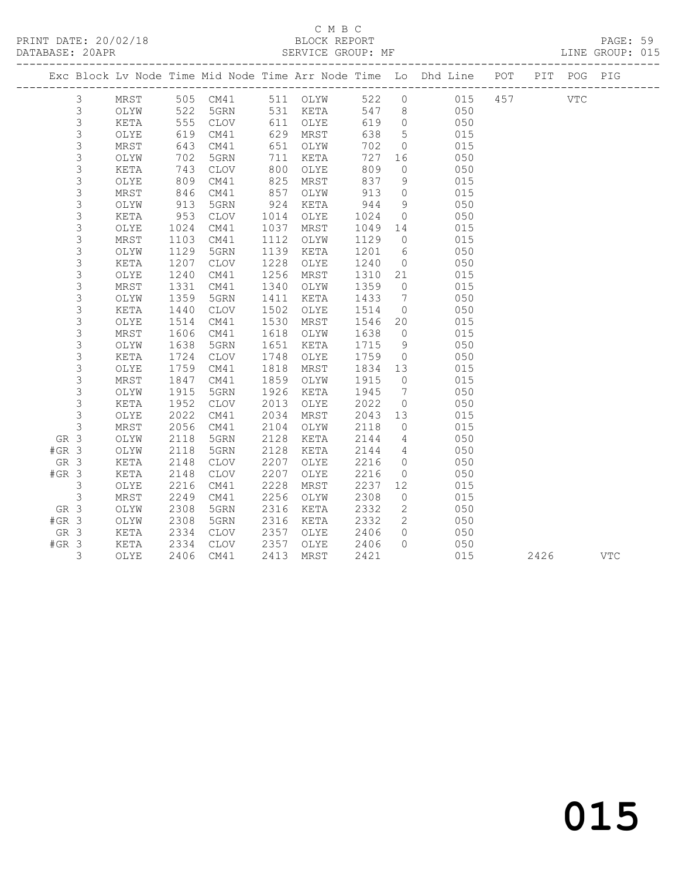PRINT DATE: 20/02/18 BLOCK REPORT PAGE: 59 DATABASE: 20APR

## C M B C<br>BLOCK REPORT

| DAIADASE, ZUAPR |             |      |      |                        |      | ODAVICE GAOUF, ME |        |                 |                                                                                |  | TIME GRAAL 'AIA |
|-----------------|-------------|------|------|------------------------|------|-------------------|--------|-----------------|--------------------------------------------------------------------------------|--|-----------------|
|                 |             |      |      |                        |      |                   |        |                 | Exc Block Lv Node Time Mid Node Time Arr Node Time Lo Dhd Line POT PIT POG PIG |  |                 |
|                 | 3           |      |      | MRST 505 CM41 511 OLYW |      |                   |        |                 | 522 0 015 457 VTC                                                              |  |                 |
|                 | 3           | OLYW | 522  | 5GRN                   |      | 531 KETA          | 547    |                 | 8 050                                                                          |  |                 |
|                 | $\mathsf 3$ | KETA | 555  | CLOV                   | 611  | OLYE              | 619    | $\overline{0}$  | 050                                                                            |  |                 |
|                 | 3           | OLYE | 619  | CM41                   | 629  | MRST              | 638    | 5 <sup>5</sup>  | 015                                                                            |  |                 |
|                 | 3           | MRST | 643  | CM41                   | 651  | OLYW              | 702    |                 | 015<br>$\overline{0}$                                                          |  |                 |
|                 | 3           | OLYW | 702  | 5GRN                   | 711  | KETA              | 727    |                 | 050                                                                            |  |                 |
|                 | 3           | KETA | 743  | CLOV                   | 800  | OLYE              | 809    |                 | $\overline{0}$<br>050                                                          |  |                 |
|                 | 3           | OLYE | 809  | CM41                   | 825  | MRST              | 837    |                 | 9<br>015                                                                       |  |                 |
|                 | $\mathsf 3$ | MRST | 846  | CM41                   | 857  | OLYW              | 913    | $\overline{0}$  | 015                                                                            |  |                 |
|                 | 3           | OLYW | 913  | 5GRN                   | 924  | KETA              | 944    | 9               | 050                                                                            |  |                 |
|                 | $\mathsf 3$ | KETA | 953  | CLOV                   | 1014 | OLYE              | 1024   |                 | $\overline{O}$<br>050                                                          |  |                 |
|                 | 3           | OLYE | 1024 | CM41                   | 1037 | MRST              | 1049   |                 | 015<br>14                                                                      |  |                 |
|                 | 3           | MRST | 1103 | CM41                   | 1112 | OLYW              | 1129   |                 | 015<br>$\overline{0}$                                                          |  |                 |
|                 | 3           | OLYW | 1129 | 5GRN                   | 1139 | KETA              | 1201   | 6               | 050                                                                            |  |                 |
|                 | 3           | KETA | 1207 | CLOV                   | 1228 | OLYE              | 1240   | $\overline{0}$  | 050                                                                            |  |                 |
|                 | 3           | OLYE | 1240 | CM41                   | 1256 | MRST              | 1310   |                 | 015<br>21                                                                      |  |                 |
|                 | 3           | MRST | 1331 | CM41                   | 1340 | OLYW              | 1359   |                 | 015<br>$\overline{0}$                                                          |  |                 |
|                 | 3           | OLYW | 1359 | 5GRN                   | 1411 | KETA              | 1433   |                 | $7\overline{ }$<br>050                                                         |  |                 |
|                 | 3           | KETA | 1440 | CLOV                   | 1502 | OLYE              | 1514   |                 | 050<br>$\overline{0}$                                                          |  |                 |
|                 | 3           | OLYE | 1514 | CM41                   | 1530 | MRST              | 1546   | 20              | 015                                                                            |  |                 |
|                 | 3           | MRST | 1606 | CM41                   | 1618 | OLYW              | 1638   | $\overline{0}$  | 015                                                                            |  |                 |
|                 | 3           | OLYW | 1638 | 5GRN                   | 1651 | KETA              | 1715   | 9               | 050                                                                            |  |                 |
|                 | 3           | KETA | 1724 | CLOV                   | 1748 | OLYE              | 1759   |                 | 050<br>$\overline{0}$                                                          |  |                 |
|                 | $\mathsf 3$ | OLYE | 1759 | CM41                   | 1818 | MRST              | 1834   |                 | 015<br>13                                                                      |  |                 |
|                 | 3           | MRST | 1847 | CM41                   | 1859 | OLYW              | 1915   | $\overline{0}$  | 015                                                                            |  |                 |
|                 | 3           | OLYW | 1915 | 5GRN                   | 1926 | KETA              | 1945   | $7\overline{ }$ | 050                                                                            |  |                 |
|                 | 3           | KETA | 1952 | CLOV                   | 2013 | OLYE              | 2022   | $\overline{0}$  | 050                                                                            |  |                 |
|                 | 3           | OLYE | 2022 | CM41                   | 2034 | MRST              | 2043   |                 | 13<br>015                                                                      |  |                 |
|                 | 3           | MRST | 2056 | CM41                   | 2104 | OLYW              | 2118   |                 | 0 015                                                                          |  |                 |
|                 | GR 3        | OLYW | 2118 | 5GRN                   | 2128 | KETA              | 2144   |                 | 4 050                                                                          |  |                 |
| $#GR$ 3         |             | OLYW | 2118 | 5GRN                   | 2128 | KETA              | 2144 4 |                 | 050                                                                            |  |                 |

3 OLYE 2406 CM41 2413 MRST 2421 015 2426 VTC

 GR 3 KETA 2148 CLOV 2207 OLYE 2216 0 050 #GR 3 KETA 2148 CLOV 2207 OLYE 2216 0 050 3 OLYE 2216 CM41 2228 MRST 2237 12 015 3 MRST 2249 CM41 2256 OLYW 2308 0 015 GR 3 OLYW 2308 5GRN 2316 KETA 2332 2 050 #GR 3 OLYW 2308 5GRN 2316 KETA 2332 2 050 GR 3 KETA 2334 CLOV 2357 OLYE 2406 0 050 #GR 3 KETA 2334 CLOV 2357 OLYE 2406 0 050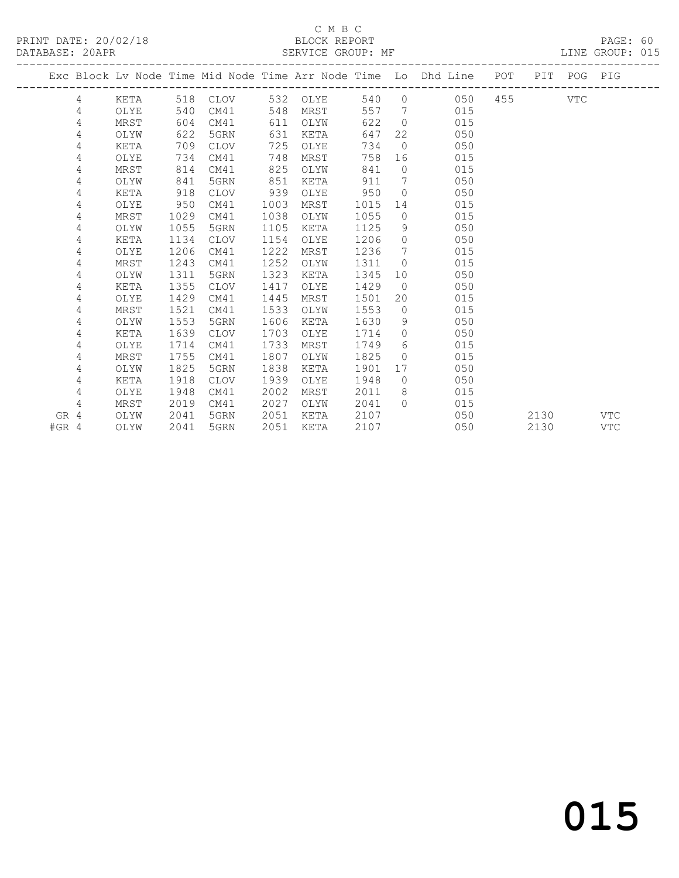### C M B C<br>BLOCK REPORT

LINE GROUP: 015

|      |   |      |      |             |      |          |      |                | Exc Block Lv Node Time Mid Node Time Arr Node Time Lo Dhd Line POT |       |      | PIT POG PIG |            |
|------|---|------|------|-------------|------|----------|------|----------------|--------------------------------------------------------------------|-------|------|-------------|------------|
|      | 4 | KETA |      | 518 CLOV    |      | 532 OLYE |      |                | 540 0<br>050                                                       | 455 7 |      | VTC         |            |
|      | 4 | OLYE | 540  | CM41        | 548  | MRST     | 557  |                | $7\overline{ }$<br>015                                             |       |      |             |            |
|      | 4 | MRST | 604  | CM41        | 611  | OLYW     | 622  | $\overline{0}$ | 015                                                                |       |      |             |            |
|      | 4 | OLYW | 622  | 5GRN        | 631  | KETA     | 647  |                | 22<br>050                                                          |       |      |             |            |
|      | 4 | KETA | 709  | CLOV        | 725  | OLYE     | 734  | $\overline{0}$ | 050                                                                |       |      |             |            |
|      | 4 | OLYE | 734  | CM41        | 748  | MRST     | 758  | 16             | 015                                                                |       |      |             |            |
|      | 4 | MRST | 814  | CM41        | 825  | OLYW     | 841  | $\overline{0}$ | 015                                                                |       |      |             |            |
|      | 4 | OLYW | 841  | 5GRN        | 851  | KETA     | 911  | $7\phantom{0}$ | 050                                                                |       |      |             |            |
|      | 4 | KETA | 918  | CLOV        | 939  | OLYE     | 950  | $\overline{0}$ | 050                                                                |       |      |             |            |
|      | 4 | OLYE | 950  | CM41        | 1003 | MRST     | 1015 | 14             | 015                                                                |       |      |             |            |
|      | 4 | MRST | 1029 | CM41        | 1038 | OLYW     | 1055 | $\circ$        | 015                                                                |       |      |             |            |
|      | 4 | OLYW | 1055 | 5GRN        | 1105 | KETA     | 1125 | 9              | 050                                                                |       |      |             |            |
|      | 4 | KETA | 1134 | CLOV        | 1154 | OLYE     | 1206 | $\overline{0}$ | 050                                                                |       |      |             |            |
|      | 4 | OLYE | 1206 | CM41        | 1222 | MRST     | 1236 | $\overline{7}$ | 015                                                                |       |      |             |            |
|      | 4 | MRST | 1243 | CM41        | 1252 | OLYW     | 1311 | $\bigcirc$     | 015                                                                |       |      |             |            |
|      | 4 | OLYW | 1311 | 5GRN        | 1323 | KETA     | 1345 | 10             | 050                                                                |       |      |             |            |
|      | 4 | KETA | 1355 | CLOV        | 1417 | OLYE     | 1429 | $\overline{0}$ | 050                                                                |       |      |             |            |
|      | 4 | OLYE | 1429 | CM41        | 1445 | MRST     | 1501 | 20             | 015                                                                |       |      |             |            |
|      | 4 | MRST | 1521 | CM41        | 1533 | OLYW     | 1553 | $\overline{0}$ | 015                                                                |       |      |             |            |
|      | 4 | OLYW | 1553 | 5GRN        | 1606 | KETA     | 1630 | 9              | 050                                                                |       |      |             |            |
|      | 4 | KETA | 1639 | CLOV        | 1703 | OLYE     | 1714 | $\overline{0}$ | 050                                                                |       |      |             |            |
|      | 4 | OLYE | 1714 | CM41        | 1733 | MRST     | 1749 | 6              | 015                                                                |       |      |             |            |
|      | 4 | MRST | 1755 | CM41        | 1807 | OLYW     | 1825 | $\circ$        | 015                                                                |       |      |             |            |
|      | 4 | OLYW | 1825 | 5GRN        | 1838 | KETA     | 1901 | 17             | 050                                                                |       |      |             |            |
|      | 4 | KETA | 1918 | <b>CLOV</b> | 1939 | OLYE     | 1948 | $\overline{0}$ | 050                                                                |       |      |             |            |
|      | 4 | OLYE | 1948 | CM41        | 2002 | MRST     | 2011 | 8              | 015                                                                |       |      |             |            |
|      | 4 | MRST | 2019 | CM41        | 2027 | OLYW     | 2041 | $\cap$         | 015                                                                |       |      |             |            |
| GR 4 |   | OLYW | 2041 | 5GRN        | 2051 | KETA     | 2107 |                | 050                                                                |       | 2130 |             | <b>VTC</b> |

#GR 4 OLYW 2041 5GRN 2051 KETA 2107 050 2130 VTC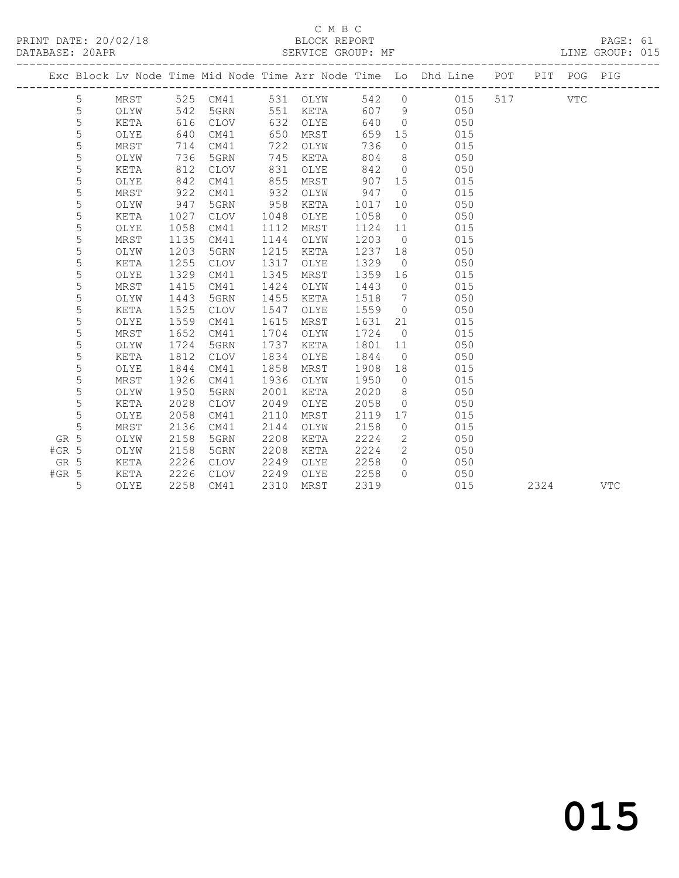# C M B C<br>BLOCK REPORT

| PRINT DATE: 20/02/18 | BLOCK REPORT      | PAGE: 61        |
|----------------------|-------------------|-----------------|
| DATABASE: 20APR      | SERVICE GROUP: MF | LINE GROUP: 015 |
|                      |                   |                 |

|         |   |      |      |             |      |          |       |                | Exc Block Lv Node Time Mid Node Time Arr Node Time Lo Dhd Line | POT | PIT  | POG PIG |            |
|---------|---|------|------|-------------|------|----------|-------|----------------|----------------------------------------------------------------|-----|------|---------|------------|
|         | 5 | MRST |      | 525 CM41    |      | 531 OLYW | 542 0 |                | 015                                                            | 517 |      | VTC     |            |
|         | 5 | OLYW | 542  | 5GRN        | 551  | KETA     | 607   | 9              | 050                                                            |     |      |         |            |
|         | 5 | KETA | 616  | <b>CLOV</b> | 632  | OLYE     | 640   | $\overline{0}$ | 050                                                            |     |      |         |            |
|         | 5 | OLYE | 640  | CM41        | 650  | MRST     | 659   | 15             | 015                                                            |     |      |         |            |
|         | 5 | MRST | 714  | CM41        | 722  | OLYW     | 736   | $\overline{0}$ | 015                                                            |     |      |         |            |
|         | 5 | OLYW | 736  | 5GRN        | 745  | KETA     | 804   | 8 <sup>8</sup> | 050                                                            |     |      |         |            |
|         | 5 | KETA | 812  | CLOV        | 831  | OLYE     | 842   | $\overline{0}$ | 050                                                            |     |      |         |            |
|         | 5 | OLYE | 842  | CM41        | 855  | MRST     | 907   | 15             | 015                                                            |     |      |         |            |
|         | 5 | MRST | 922  | CM41        | 932  | OLYW     | 947   | $\overline{0}$ | 015                                                            |     |      |         |            |
|         | 5 | OLYW | 947  | 5GRN        | 958  | KETA     | 1017  | 10             | 050                                                            |     |      |         |            |
|         | 5 | KETA | 1027 | <b>CLOV</b> | 1048 | OLYE     | 1058  | $\overline{0}$ | 050                                                            |     |      |         |            |
|         | 5 | OLYE | 1058 | CM41        | 1112 | MRST     | 1124  | 11             | 015                                                            |     |      |         |            |
|         | 5 | MRST | 1135 | CM41        | 1144 | OLYW     | 1203  | $\overline{0}$ | 015                                                            |     |      |         |            |
|         | 5 | OLYW | 1203 | 5GRN        | 1215 | KETA     | 1237  | 18             | 050                                                            |     |      |         |            |
|         | 5 | KETA | 1255 | CLOV        | 1317 | OLYE     | 1329  | $\overline{0}$ | 050                                                            |     |      |         |            |
|         | 5 | OLYE | 1329 | CM41        | 1345 | MRST     | 1359  | 16             | 015                                                            |     |      |         |            |
|         | 5 | MRST | 1415 | CM41        | 1424 | OLYW     | 1443  | $\overline{0}$ | 015                                                            |     |      |         |            |
|         | 5 | OLYW | 1443 | 5GRN        | 1455 | KETA     | 1518  | $\overline{7}$ | 050                                                            |     |      |         |            |
|         | 5 | KETA | 1525 | CLOV        | 1547 | OLYE     | 1559  | $\overline{0}$ | 050                                                            |     |      |         |            |
|         | 5 | OLYE | 1559 | CM41        | 1615 | MRST     | 1631  | 21             | 015                                                            |     |      |         |            |
|         | 5 | MRST | 1652 | CM41        | 1704 | OLYW     | 1724  | $\overline{0}$ | 015                                                            |     |      |         |            |
|         | 5 | OLYW | 1724 | 5GRN        | 1737 | KETA     | 1801  | 11             | 050                                                            |     |      |         |            |
|         | 5 | KETA | 1812 | <b>CLOV</b> | 1834 | OLYE     | 1844  | $\overline{0}$ | 050                                                            |     |      |         |            |
|         | 5 | OLYE | 1844 | CM41        | 1858 | MRST     | 1908  | 18             | 015                                                            |     |      |         |            |
|         | 5 | MRST | 1926 | CM41        | 1936 | OLYW     | 1950  | $\overline{0}$ | 015                                                            |     |      |         |            |
|         | 5 | OLYW | 1950 | 5GRN        | 2001 | KETA     | 2020  | 8              | 050                                                            |     |      |         |            |
|         | 5 | KETA | 2028 | <b>CLOV</b> | 2049 | OLYE     | 2058  | $\overline{0}$ | 050                                                            |     |      |         |            |
|         | 5 | OLYE | 2058 | CM41        | 2110 | MRST     | 2119  | 17             | 015                                                            |     |      |         |            |
|         | 5 | MRST | 2136 | CM41        | 2144 | OLYW     | 2158  | $\circ$        | 015                                                            |     |      |         |            |
| GR 5    |   | OLYW | 2158 | 5GRN        | 2208 | KETA     | 2224  | $\mathbf{2}$   | 050                                                            |     |      |         |            |
| $#GR$ 5 |   | OLYW | 2158 | 5GRN        | 2208 | KETA     | 2224  | $\overline{2}$ | 050                                                            |     |      |         |            |
| GR 5    |   | KETA | 2226 | <b>CLOV</b> | 2249 | OLYE     | 2258  | $\circ$        | 050                                                            |     |      |         |            |
| $#GR$ 5 |   | KETA | 2226 | CLOV        | 2249 | OLYE     | 2258  | $\Omega$       | 050                                                            |     |      |         |            |
|         | 5 | OLYE | 2258 | CM41        | 2310 | MRST     | 2319  |                | 015                                                            |     | 2324 |         | <b>VTC</b> |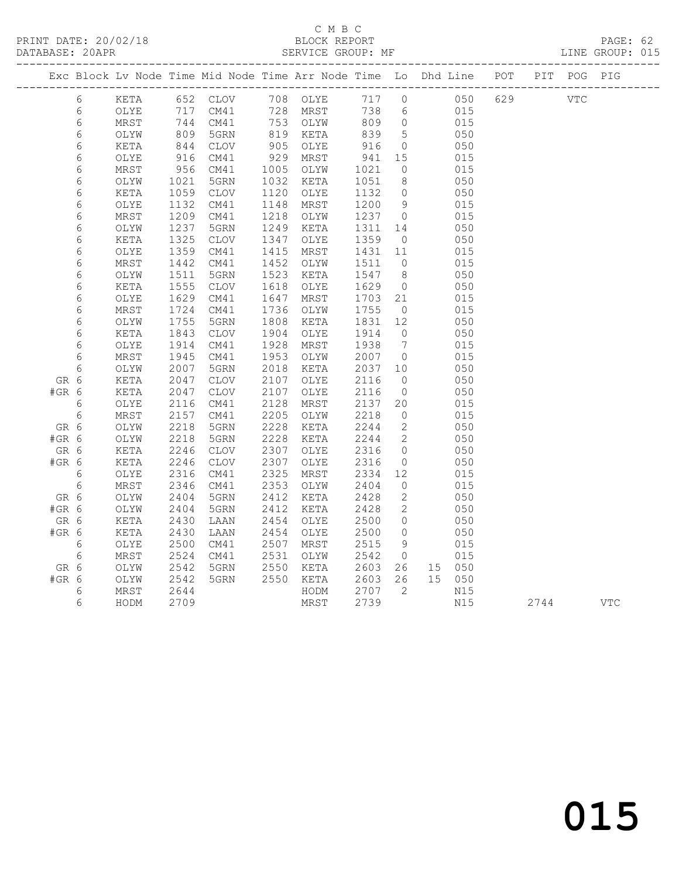PRINT DATE: 20/02/18 BLOCK REPORT BATABASE: 20APR

#### C M B C<br>BLOCK REPORT

PAGE: 62<br>LINE GROUP: 015

|         |                 |                 |              | Exc Block Lv Node Time Mid Node Time Arr Node Time Lo Dhd Line POT |              |                                           |              |                      |               |            |            | PIT POG PIG |     |
|---------|-----------------|-----------------|--------------|--------------------------------------------------------------------|--------------|-------------------------------------------|--------------|----------------------|---------------|------------|------------|-------------|-----|
|         | 6               | KETA            |              | 652 CLOV 708 OLYE                                                  |              |                                           | 717          | $\overline{0}$       |               | 050<br>629 | <b>VTC</b> |             |     |
|         | 6               | OLYE            | 717          | CM41                                                               |              | שנעט כ.<br>728 MRST<br>753 <sup>---</sup> | 738          | $6\overline{6}$      | 015           |            |            |             |     |
|         | $\epsilon$      | MRST            | 744          | CM41                                                               |              | 753 OLYW                                  | 809          | $\overline{0}$       | 015           |            |            |             |     |
|         | 6               | OLYW            | 809          | 5GRN                                                               |              | 819 KETA                                  | 839          | $5^{\circ}$          | 050           |            |            |             |     |
|         | $\epsilon$      | KETA            | 844          | CLOV                                                               | 905          | OLYE                                      | 916          | $\overline{0}$       | 050           |            |            |             |     |
|         | $\epsilon$      | OLYE            | 916          | CM41                                                               | 929          | MRST                                      | 941          | 15                   | 015           |            |            |             |     |
|         | $\epsilon$      | MRST            | 956          | CM41                                                               | 1005         | OLYW                                      | 1021         | $\circ$              | 015           |            |            |             |     |
|         | $\epsilon$      | OLYW            | 1021         | 5GRN                                                               | 1032         | KETA                                      | 1051         | 8 <sup>8</sup>       | 050           |            |            |             |     |
|         | 6               | KETA            | 1059         | $\mathtt{CLOV}$                                                    | 1120         | OLYE                                      | 1132         | $\bigcirc$           | 050           |            |            |             |     |
|         | $\epsilon$      | OLYE            | 1132         | CM41                                                               | 1148         | MRST                                      | 1200         | 9                    | 015           |            |            |             |     |
|         | 6               | MRST            | 1209         | CM41                                                               | 1218         | OLYW                                      | 1237         | $\overline{0}$       | 015           |            |            |             |     |
|         | $\epsilon$      | OLYW            | 1237         | 5GRN                                                               | 1249         | KETA                                      | 1311         | 14                   | 050           |            |            |             |     |
|         | $\epsilon$      | KETA            | 1325         | CLOV                                                               | 1347         | OLYE                                      | 1359         | $\overline{0}$       | 050           |            |            |             |     |
|         | 6               | OLYE            | 1359         | CM41                                                               | 1415         | MRST                                      | 1431         | 11<br>$\overline{0}$ | 015           |            |            |             |     |
|         | $\epsilon$      | MRST            | 1442<br>1511 | CM41<br>5GRN                                                       | 1452<br>1523 | OLYW                                      | 1511<br>1547 | 8                    | 015<br>050    |            |            |             |     |
|         | 6<br>$\epsilon$ | OLYW<br>KETA    | 1555         | CLOV                                                               | 1618         | KETA<br>OLYE                              | 1629         | $\overline{0}$       | 050           |            |            |             |     |
|         | $\epsilon$      | OLYE            | 1629         | CM41                                                               | 1647         | MRST                                      | 1703         | 21                   | 015           |            |            |             |     |
|         | $\epsilon$      | MRST            | 1724         | CM41                                                               | 1736         | OLYW                                      | 1755         | $\overline{0}$       | 015           |            |            |             |     |
|         | 6               | OLYW            | 1755         | 5GRN                                                               | 1808         | KETA                                      | 1831         | 12                   | 050           |            |            |             |     |
|         | 6               | KETA            | 1843         | CLOV                                                               | 1904         | OLYE                                      | 1914         | $\overline{0}$       | 050           |            |            |             |     |
|         | 6               | OLYE            | 1914         | CM41                                                               | 1928         | MRST                                      | 1938         | $\overline{7}$       | 015           |            |            |             |     |
|         | $\epsilon$      | MRST            | 1945         | CM41                                                               | 1953         | OLYW                                      | 2007         | $\overline{0}$       | 015           |            |            |             |     |
|         | 6               | OLYW            | 2007         | 5GRN                                                               | 2018         | KETA                                      | 2037         | 10                   | 050           |            |            |             |     |
| GR 6    |                 | KETA            | 2047         | CLOV                                                               | 2107         | OLYE                                      | 2116         | $\overline{0}$       | 050           |            |            |             |     |
| $#GR$ 6 |                 | KETA            | 2047         | $\mathtt{CLOV}$                                                    | 2107         | OLYE                                      | 2116         | $\overline{0}$       | 050           |            |            |             |     |
|         | $\sqrt{6}$      | OLYE            | 2116         | CM41                                                               | 2128         | MRST                                      | 2137         | 20                   | 015           |            |            |             |     |
|         | 6               | MRST            | 2157         | CM41                                                               | 2205         | OLYW                                      | 2218         | $\overline{0}$       | 015           |            |            |             |     |
| GR 6    |                 | OLYW            | 2218         | 5GRN                                                               | 2228         | KETA                                      | 2244         | $\overline{2}$       | 050           |            |            |             |     |
| #GR 6   |                 | OLYW            | 2218         | 5GRN                                                               | 2228         | KETA                                      | 2244         | $\overline{2}$       | 050           |            |            |             |     |
| GR 6    |                 | KETA            | 2246         | CLOV                                                               | 2307         | OLYE                                      | 2316         | $\overline{0}$       | 050           |            |            |             |     |
| $#GR$ 6 |                 | KETA            | 2246         | $\mathtt{CLOV}$                                                    | 2307         | OLYE                                      | 2316         | $\overline{0}$       | 050           |            |            |             |     |
|         | 6               | $\mathtt{OLYE}$ | 2316         | CM41                                                               | 2325         | MRST                                      | 2334         | 12                   | 015           |            |            |             |     |
|         | $6\,$           | MRST            | 2346         | CM41                                                               | 2353         | OLYW                                      | 2404         | $\circ$              | 015           |            |            |             |     |
| GR 6    |                 | OLYW            | 2404         | 5GRN                                                               | 2412         | KETA                                      | 2428         | 2                    | 050           |            |            |             |     |
| #GR 6   |                 | OLYW            | 2404         | 5GRN                                                               | 2412         | KETA                                      | 2428         | 2                    | 050           |            |            |             |     |
| GR 6    |                 | KETA            | 2430         | LAAN                                                               | 2454         | OLYE                                      | 2500         | $\overline{0}$       | 050           |            |            |             |     |
| $#GR$ 6 |                 | KETA            | 2430         | LAAN                                                               | 2454         | OLYE                                      | 2500         | $\overline{0}$       | 050           |            |            |             |     |
|         | 6               | OLYE            | 2500         | CM41                                                               | 2507         | MRST                                      | 2515         | 9                    | 015           |            |            |             |     |
| GR 6    | 6               | MRST<br>OLYW    | 2524<br>2542 | CM41<br>5GRN                                                       | 2531<br>2550 | OLYW<br>KETA                              | 2542<br>2603 | $\overline{0}$<br>26 | 015<br>15 050 |            |            |             |     |
| $#GR$ 6 |                 | OLYW            | 2542         | 5GRN                                                               | 2550         | KETA                                      | 2603         | 26                   | 15 050        |            |            |             |     |
|         | 6               | MRST            | 2644         |                                                                    |              | HODM                                      | 2707         | $\overline{2}$       | N15           |            |            |             |     |
|         | 6               | HODM            | 2709         |                                                                    |              | MRST                                      | 2739         |                      | N15           |            | 2744       |             | VTC |
|         |                 |                 |              |                                                                    |              |                                           |              |                      |               |            |            |             |     |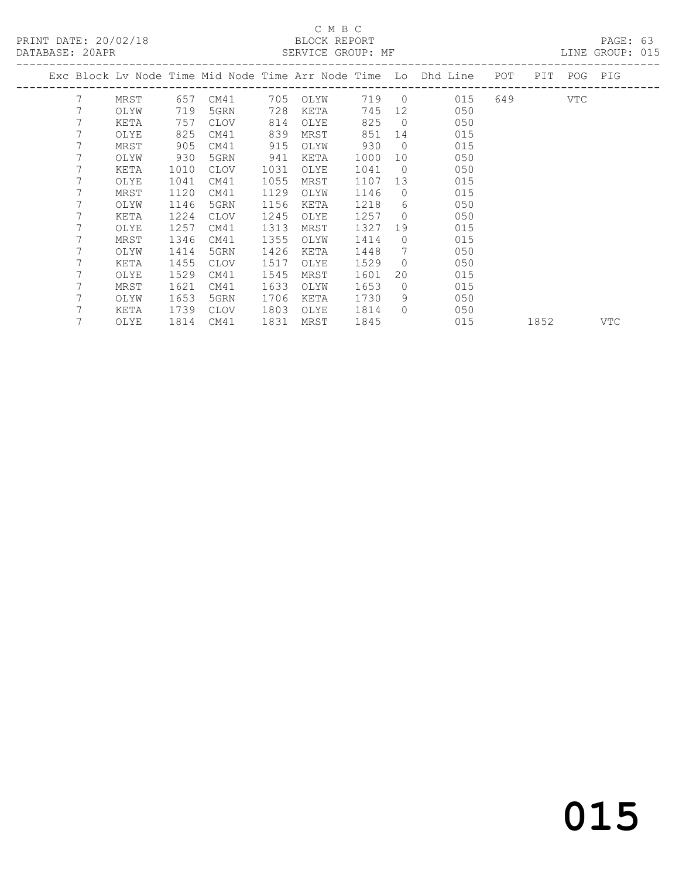#### C M B C BLOCK REPORT<br>SERVICE GROUP: MF

| PRINT DATE: 20/02/18<br>DATABASE: 20APR |      |      | SERVICE GROUP: MF      |      | BLOCK REPORT |      |                |                                                                                |      |  | PAGE: 63<br>LINE GROUP: 015 |  |
|-----------------------------------------|------|------|------------------------|------|--------------|------|----------------|--------------------------------------------------------------------------------|------|--|-----------------------------|--|
|                                         |      |      |                        |      |              |      |                | Exc Block Lv Node Time Mid Node Time Arr Node Time Lo Dhd Line POT PIT POG PIG |      |  |                             |  |
| 7                                       |      |      | MRST 657 CM41 705 OLYW |      |              |      |                | 719 0 015 649 VTC                                                              |      |  |                             |  |
| 7                                       | OLYW | 719  | 5GRN                   | 728  | KETA         |      |                | 745 12 050                                                                     |      |  |                             |  |
| 7                                       | KETA | 757  | CLOV                   | 814  | OLYE         | 825  |                | $0 \qquad 050$                                                                 |      |  |                             |  |
| 7                                       | OLYE | 825  | CM41                   | 839  | MRST         | 851  |                | 14 015                                                                         |      |  |                             |  |
| 7                                       | MRST | 905  | CM41                   | 915  | OLYW         | 930  |                | $\overline{0}$<br>015                                                          |      |  |                             |  |
| 7                                       | OLYW | 930  | 5GRN                   | 941  | KETA         | 1000 |                | 10 0<br>050                                                                    |      |  |                             |  |
| 7                                       | KETA | 1010 | CLOV                   | 1031 | OLYE         | 1041 | $\overline{0}$ | 050                                                                            |      |  |                             |  |
|                                         | OLYE | 1041 | CM41                   | 1055 | MRST         | 1107 |                | 13<br>015                                                                      |      |  |                             |  |
| 7                                       | MRST | 1120 | CM41                   | 1129 | OLYW         | 1146 |                | $\overline{0}$<br>015                                                          |      |  |                             |  |
| 7                                       | OLYW | 1146 | 5GRN                   | 1156 | KETA         | 1218 |                | $6 \qquad \qquad$<br>050                                                       |      |  |                             |  |
|                                         | KETA | 1224 | CLOV                   | 1245 | OLYE         | 1257 | $\bigcirc$     | 050                                                                            |      |  |                             |  |
|                                         | OLYE | 1257 | CM41                   | 1313 | MRST         | 1327 |                | 19<br>015                                                                      |      |  |                             |  |
|                                         | MRST | 1346 | CM41                   | 1355 | OLYW         | 1414 | $\circ$        | 015                                                                            |      |  |                             |  |
|                                         | OLYW | 1414 | 5GRN                   | 1426 | KETA         | 1448 |                | 7<br>050                                                                       |      |  |                             |  |
|                                         | KETA | 1455 | CLOV                   | 1517 | OLYE         | 1529 | $\overline{0}$ | 050                                                                            |      |  |                             |  |
|                                         | OLYE | 1529 | CM41                   | 1545 | MRST         | 1601 | 20             | 015                                                                            |      |  |                             |  |
|                                         | MRST | 1621 | CM41                   | 1633 | OLYW         | 1653 | $\Omega$       | 015                                                                            |      |  |                             |  |
|                                         | OLYW | 1653 | 5GRN                   | 1706 | KETA         | 1730 | 9              | 050                                                                            |      |  |                             |  |
|                                         | KETA | 1739 | CLOV                   | 1803 | OLYE         | 1814 | $\Omega$       | 050                                                                            |      |  |                             |  |
| 7                                       | OLYE |      | 1814 CM41              |      | 1831 MRST    | 1845 |                | 015                                                                            | 1852 |  | VTC                         |  |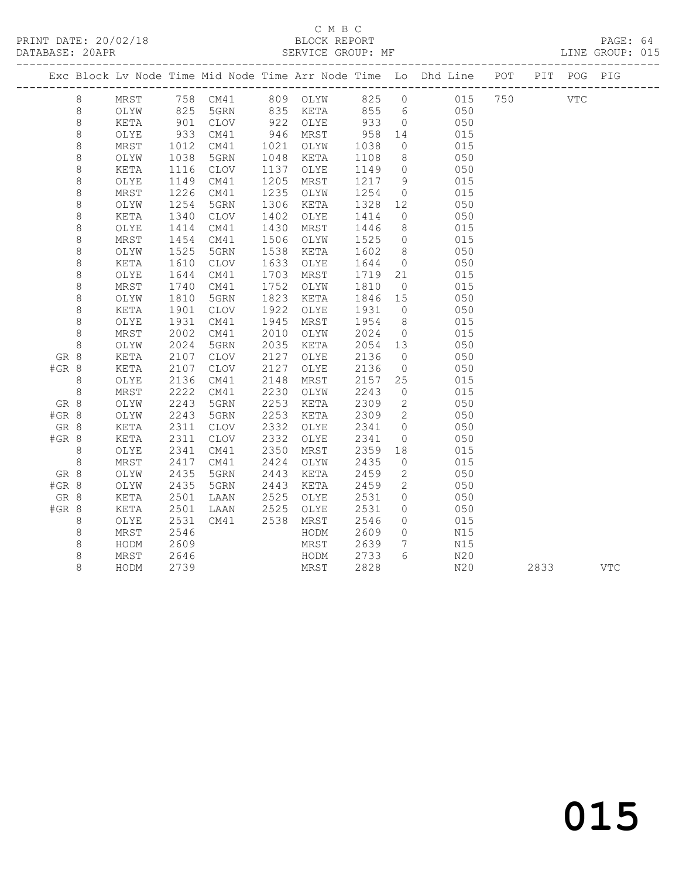#### C M B C<br>BLOCK REPORT SERVICE GROUP: MF

|         |         |      |              |             |      |          |         |                              | Exc Block Lv Node Time Mid Node Time Arr Node Time Lo Dhd Line POT |  | PIT POG PIG |  |
|---------|---------|------|--------------|-------------|------|----------|---------|------------------------------|--------------------------------------------------------------------|--|-------------|--|
|         | 8       | MRST |              |             |      |          |         |                              |                                                                    |  | VTC         |  |
|         | 8       | OLYW |              |             |      |          |         |                              |                                                                    |  |             |  |
|         | $\,8\,$ | KETA | 901          | CLOV        |      | 922 OLYE | 933     | $\overline{0}$               | 050                                                                |  |             |  |
|         | $\,8\,$ | OLYE | 933          | CM41        | 946  | MRST     | 958     | 14                           | 015                                                                |  |             |  |
|         | $\,8\,$ | MRST |              | CM41        | 1021 | OLYW     | 1038    | $\overline{0}$               | 015                                                                |  |             |  |
|         | $\,8\,$ | OLYW | 1012<br>1038 | 5GRN        | 1048 | KETA     | 1108    | 8 <sup>8</sup>               | 050                                                                |  |             |  |
|         | $\,8\,$ | KETA | 1116         | <b>CLOV</b> | 1137 | OLYE     | 1149    | $\overline{0}$               | 050                                                                |  |             |  |
|         | $\,8\,$ | OLYE | 1149         | CM41        | 1205 | MRST     | 1217    | 9                            | 015                                                                |  |             |  |
|         | $\,8\,$ | MRST | 1226         | CM41        | 1235 | OLYW     | 1254    | $\overline{0}$               | 015                                                                |  |             |  |
|         | $\,8\,$ | OLYW | 1254         | 5GRN        | 1306 | KETA     | 1328 12 |                              | 050                                                                |  |             |  |
|         | 8       | KETA | 1340         | <b>CLOV</b> | 1402 | OLYE     | 1414    | $\overline{0}$               | 050                                                                |  |             |  |
|         | $\,8\,$ | OLYE | 1414         | CM41        | 1430 | MRST     | 1446    | 8 <sup>8</sup>               | 015                                                                |  |             |  |
|         | $\,8\,$ | MRST | 1454         | CM41        | 1506 | OLYW     | 1525    | $\overline{0}$               | 015                                                                |  |             |  |
|         | 8       | OLYW | 1525         | 5GRN        | 1538 | KETA     | 1602    | 8 <sup>8</sup>               | 050                                                                |  |             |  |
|         | $\,8\,$ | KETA | 1610         | <b>CLOV</b> | 1633 | OLYE     | 1644    | $\overline{0}$               | 050                                                                |  |             |  |
|         | $\,8\,$ | OLYE | 1644         | CM41        | 1703 | MRST     | 1719    | 21                           | 015                                                                |  |             |  |
|         | $\,8\,$ | MRST | 1740         | CM41        | 1752 | OLYW     | 1810    | $\overline{0}$               | 015                                                                |  |             |  |
|         | $\,8\,$ | OLYW | 1810         | 5GRN        | 1823 | KETA     | 1846 15 |                              | 050                                                                |  |             |  |
|         | $\,8\,$ | KETA | 1901         | CLOV        | 1922 | OLYE     | 1931    | $\overline{0}$               | 050                                                                |  |             |  |
|         | 8       | OLYE | 1931         | CM41        | 1945 | MRST     | 1954    | 8 <sup>8</sup>               | 015                                                                |  |             |  |
|         | $\,8\,$ | MRST | 2002         | CM41        | 2010 | OLYW     | 2024    | $\overline{0}$               | 015                                                                |  |             |  |
|         | $\,8\,$ | OLYW | 2024         | 5GRN        | 2035 | KETA     | 2054 13 |                              | 050                                                                |  |             |  |
| GR 8    |         | KETA | 2107         | <b>CLOV</b> | 2127 | OLYE     | 2136    | $\overline{0}$               | 050                                                                |  |             |  |
| #GR 8   |         | KETA | 2107         | CLOV        | 2127 | OLYE     | 2136    | $\overline{0}$               | 050                                                                |  |             |  |
|         | 8       | OLYE | 2136         | CM41        | 2148 | MRST     | 2157    | 25                           | 015                                                                |  |             |  |
|         | 8       | MRST | 2222         | CM41        | 2230 | OLYW     | 2243    | $\overline{0}$               | 015                                                                |  |             |  |
| GR 8    |         | OLYW | 2243         | 5GRN        | 2253 | KETA     | 2309    | $\overline{2}$               | 050                                                                |  |             |  |
| #GR 8   |         | OLYW | 2243         | 5GRN        | 2253 | KETA     | 2309    | $\overline{2}$               | 050                                                                |  |             |  |
| GR 8    |         | KETA | 2311         | CLOV        | 2332 | OLYE     | 2341    | $\overline{0}$               | 050                                                                |  |             |  |
| $#GR$ 8 |         | KETA | 2311         | <b>CLOV</b> | 2332 | OLYE     | 2341    | $\circ$                      | 050                                                                |  |             |  |
|         | 8       | OLYE | 2341         | CM41        | 2350 | MRST     | 2359    | 18                           | 015                                                                |  |             |  |
|         | 8       | MRST | 2417         | CM41        | 2424 | OLYW     | 2435    | $\overline{0}$               | 015                                                                |  |             |  |
| GR 8    |         | OLYW | 2435         | 5GRN        | 2443 | KETA     | 2459    | $\overline{2}$               | 050                                                                |  |             |  |
| #GR 8   |         | OLYW | 2435         | 5GRN        | 2443 | KETA     | 2459    | $\overline{2}$               | 050                                                                |  |             |  |
| GR 8    |         | KETA | 2501         | LAAN        | 2525 | OLYE     | 2531    | $\circ$                      | 050                                                                |  |             |  |
| $#GR$ 8 |         | KETA | 2501         | LAAN        | 2525 | OLYE     | 2531    | $\circ$                      | 050                                                                |  |             |  |
|         | 8       | OLYE | 2531         | CM41        | 2538 | MRST     | 2546    | $\circ$                      | 015                                                                |  |             |  |
|         | 8       | MRST | 2546         |             |      | HODM     | 2609    | $\circ$                      | N15                                                                |  |             |  |
|         | 8       | HODM | 2609         |             |      | MRST     | 2639    | $7\phantom{.0}\phantom{.0}7$ | N15                                                                |  |             |  |
|         | 8       | MRST | 2646         |             |      | HODM     | 2733    | $6 \overline{6}$             | N20                                                                |  |             |  |

8 HODM 2739 MRST 2828 N20 2833 VTC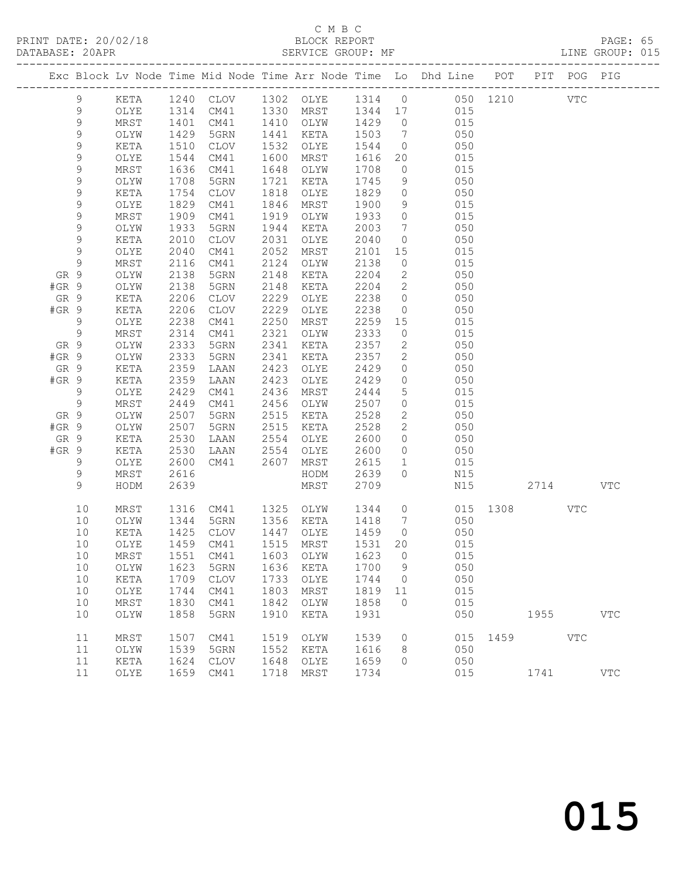#### C M B C<br>BLOCK REPORT SERVICE GROUP: MF

|                 |                |              |              |                             |              |                     |              |                                  | Exc Block Lv Node Time Mid Node Time Arr Node Time Lo Dhd Line POT |              |                                                                                                                                                                                                                                 | PIT POG PIG |            |
|-----------------|----------------|--------------|--------------|-----------------------------|--------------|---------------------|--------------|----------------------------------|--------------------------------------------------------------------|--------------|---------------------------------------------------------------------------------------------------------------------------------------------------------------------------------------------------------------------------------|-------------|------------|
|                 | 9              | KETA         |              |                             |              |                     |              |                                  | 1240 CLOV 1302 OLYE 1314 0 050 1210 VTC                            |              |                                                                                                                                                                                                                                 |             |            |
|                 | 9              | OLYE         |              | 1314 CM41 1330 MRST 1344 17 |              |                     |              |                                  | 015                                                                |              |                                                                                                                                                                                                                                 |             |            |
|                 | $\mathsf 9$    | MRST         | 1401         |                             |              | CM41 1410 OLYW 1429 |              | $\overline{0}$                   | 015                                                                |              |                                                                                                                                                                                                                                 |             |            |
|                 | $\mathsf 9$    | OLYW         | 1429         | 5GRN                        | 1441         | KETA                | 1503         | $\overline{7}$                   | 050                                                                |              |                                                                                                                                                                                                                                 |             |            |
|                 | $\mathsf 9$    | KETA         | 1510         | CLOV                        | 1532         | OLYE                | 1544         | $\overline{0}$                   | 050                                                                |              |                                                                                                                                                                                                                                 |             |            |
|                 | $\mathsf 9$    | OLYE         | 1544         | CM41                        | 1600         | MRST                | 1616         | 20                               | 015                                                                |              |                                                                                                                                                                                                                                 |             |            |
|                 | $\mathsf 9$    | MRST         | 1636         | CM41                        | 1648         | OLYW                | 1708         | $\overline{0}$                   | 015                                                                |              |                                                                                                                                                                                                                                 |             |            |
|                 | $\mathsf 9$    | OLYW         | 1708         | 5GRN                        | 1721         | KETA                | 1745         | 9                                | 050                                                                |              |                                                                                                                                                                                                                                 |             |            |
|                 | $\mathsf 9$    | KETA         | 1754         | CLOV                        | 1818         | OLYE                | 1829         | $\overline{0}$                   | 050                                                                |              |                                                                                                                                                                                                                                 |             |            |
|                 | $\mathsf 9$    | OLYE         | 1829         | CM41                        | 1846         | MRST                | 1900         | 9                                | 015                                                                |              |                                                                                                                                                                                                                                 |             |            |
|                 | 9              | MRST         | 1909         | CM41                        | 1919         | OLYW                | 1933         | $\overline{0}$                   | 015                                                                |              |                                                                                                                                                                                                                                 |             |            |
|                 | $\mathsf 9$    | OLYW         | 1933         | 5GRN                        | 1944         | KETA                | 2003         | $\overline{7}$                   | 050                                                                |              |                                                                                                                                                                                                                                 |             |            |
|                 | $\mathsf 9$    | KETA         | 2010         | CLOV                        | 2031         | OLYE                | 2040         | $\overline{0}$                   | 050                                                                |              |                                                                                                                                                                                                                                 |             |            |
|                 | $\mathsf 9$    | OLYE         | 2040         | CM41                        | 2052         | MRST                | 2101         | 15                               | 015                                                                |              |                                                                                                                                                                                                                                 |             |            |
|                 | 9              | MRST         | 2116         | CM41                        | 2124         | OLYW                | 2138         | $\overline{0}$                   | 015                                                                |              |                                                                                                                                                                                                                                 |             |            |
| GR 9            |                | OLYW         | 2138<br>2138 | 5GRN<br>5GRN                | 2148<br>2148 | KETA                | 2204<br>2204 | $\overline{2}$<br>$\overline{2}$ | 050                                                                |              |                                                                                                                                                                                                                                 |             |            |
| $#GR$ 9<br>GR 9 |                | OLYW<br>KETA | 2206         | CLOV                        | 2229         | KETA<br>OLYE        | 2238         | $\overline{0}$                   | 050<br>050                                                         |              |                                                                                                                                                                                                                                 |             |            |
| $#GR$ 9         |                | KETA         | 2206         | CLOV                        | 2229         | OLYE                | 2238         | $\overline{0}$                   | 050                                                                |              |                                                                                                                                                                                                                                 |             |            |
|                 | 9              | OLYE         | 2238         | CM41                        | 2250         | MRST                | 2259         | 15                               | 015                                                                |              |                                                                                                                                                                                                                                 |             |            |
|                 | $\overline{9}$ | MRST         | 2314         | CM41                        | 2321         | OLYW                | 2333         | $\overline{0}$                   | 015                                                                |              |                                                                                                                                                                                                                                 |             |            |
| GR 9            |                | OLYW         | 2333         | 5GRN                        | 2341         | KETA                | 2357         | $\overline{2}$                   | 050                                                                |              |                                                                                                                                                                                                                                 |             |            |
| $#GR$ 9         |                | OLYW         | 2333         | 5GRN                        | 2341         | KETA                | 2357         | 2                                | 050                                                                |              |                                                                                                                                                                                                                                 |             |            |
| GR 9            |                | KETA         | 2359         | LAAN                        | 2423         | OLYE                | 2429         | $\circ$                          | 050                                                                |              |                                                                                                                                                                                                                                 |             |            |
| #GR 9           |                | KETA         | 2359         | LAAN                        | 2423         | OLYE                | 2429         | $\overline{0}$                   | 050                                                                |              |                                                                                                                                                                                                                                 |             |            |
|                 | $\,9$          | OLYE         | 2429         | CM41                        | 2436         | MRST                | 2444         | 5 <sup>5</sup>                   | 015                                                                |              |                                                                                                                                                                                                                                 |             |            |
|                 | 9              | MRST         | 2449         | CM41                        | 2456         | OLYW                | 2507         | $\overline{0}$                   | 015                                                                |              |                                                                                                                                                                                                                                 |             |            |
| GR 9            |                | OLYW         | 2507         | 5GRN                        | 2515         | KETA                | 2528         | 2                                | 050                                                                |              |                                                                                                                                                                                                                                 |             |            |
| $#GR$ 9         |                | OLYW         | 2507         | 5GRN                        | 2515         | KETA                | 2528         | $\overline{2}$                   | 050                                                                |              |                                                                                                                                                                                                                                 |             |            |
| GR 9            |                | KETA         | 2530         | LAAN                        | 2554         | OLYE                | 2600         | $\circ$                          | 050                                                                |              |                                                                                                                                                                                                                                 |             |            |
| $#GR$ 9         |                | KETA         | 2530         | LAAN                        | 2554         | OLYE                | 2600         | $\overline{0}$                   | 050                                                                |              |                                                                                                                                                                                                                                 |             |            |
|                 | 9              | OLYE         | 2600         | CM41 2607                   |              | MRST                | 2615         | 1                                | 015                                                                |              |                                                                                                                                                                                                                                 |             |            |
|                 | 9              | MRST         | 2616         |                             |              | HODM                | 2639         | $\circ$                          | N15                                                                |              |                                                                                                                                                                                                                                 |             |            |
|                 | $\overline{9}$ | HODM         | 2639         |                             |              | MRST                | 2709         |                                  | N15                                                                |              | 2714                                                                                                                                                                                                                            |             | <b>VTC</b> |
|                 | 10             | MRST         | 1316         |                             |              | CM41 1325 OLYW 1344 |              | $\overline{0}$                   |                                                                    | 015 1308     |                                                                                                                                                                                                                                 | VTC         |            |
|                 | 10             | OLYW         | 1344         | 5GRN                        |              | 1356 KETA           | 1418         | $\overline{7}$                   | 050                                                                |              |                                                                                                                                                                                                                                 |             |            |
|                 | 10             | KETA         | 1425         | CLOV                        |              | 1447 OLYE           | 1459         | $\overline{0}$                   | 050                                                                |              |                                                                                                                                                                                                                                 |             |            |
|                 | 10             | OLYE         | 1459         | CM41                        | 1515         | MRST                | 1531         | 20                               | 015                                                                |              |                                                                                                                                                                                                                                 |             |            |
|                 | 10             | MRST         |              | 1551 CM41 1603 OLYW 1623 0  |              |                     |              |                                  | 015                                                                |              |                                                                                                                                                                                                                                 |             |            |
|                 | 10             | OLYW         | 1623         | 5GRN                        | 1636         | KETA                | 1700         | 9                                | 050                                                                |              |                                                                                                                                                                                                                                 |             |            |
|                 | 10             | KETA         | 1709         | CLOV                        | 1733         | OLYE                | 1744         | $\overline{0}$                   | 050                                                                |              |                                                                                                                                                                                                                                 |             |            |
|                 | 10             | OLYE         | 1744         | CM41                        | 1803         | MRST                | 1819         | 11                               | 015                                                                |              |                                                                                                                                                                                                                                 |             |            |
|                 | 10             | MRST         | 1830         | CM41                        | 1842         | OLYW                | 1858         | $\overline{0}$                   | 015                                                                |              |                                                                                                                                                                                                                                 |             |            |
|                 | 10             | OLYW         | 1858         | 5GRN                        | 1910         | KETA                | 1931         |                                  | 050                                                                |              | 1955 — 1955 — 1965 — 1965 — 1965 — 1965 — 1965 — 1965 — 1966 — 1970 — 1986 — 1986 — 1986 — 1986 — 1986 — 1986 — 1986 — 1986 — 1986 — 1986 — 1986 — 1986 — 1986 — 1986 — 1986 — 1986 — 1986 — 1986 — 1986 — 1986 — 1986 — 1986 — |             | <b>VTC</b> |
|                 | 11             | MRST         | 1507         | CM41                        | 1519         | OLYW                | 1539         | $\overline{0}$                   |                                                                    | 015 1459 VTC |                                                                                                                                                                                                                                 |             |            |
|                 | 11             | OLYW         | 1539         | 5GRN                        | 1552         | KETA                | 1616         | 8                                | 050                                                                |              |                                                                                                                                                                                                                                 |             |            |
|                 | 11             | KETA         | 1624         | CLOV                        | 1648         | OLYE                | 1659         | $\Omega$                         | 050                                                                |              |                                                                                                                                                                                                                                 |             |            |
|                 | 11             | OLYE         | 1659         | CM41                        | 1718         | MRST                | 1734         |                                  | 015                                                                |              | 1741                                                                                                                                                                                                                            |             | <b>VTC</b> |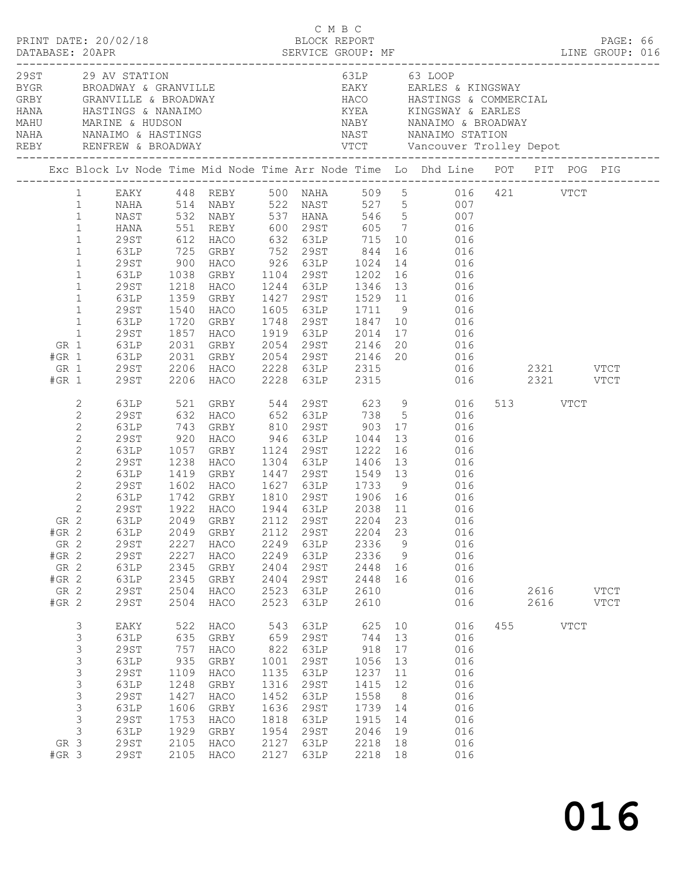|              |                                                                                                                                                                                                                                         | PRINT DATE: 20/02/18                                                                                                                |                                                                                                                                            | C M B C<br>BLOCK REPORT                                                                                                                                                                                         |                                                                                           |                                                                                              |                                                                                                                                                                                                            |                                                                      |                                                                                                                                                                                                                                                                                                     |          |                                     | PAGE: 66 |  |
|--------------|-----------------------------------------------------------------------------------------------------------------------------------------------------------------------------------------------------------------------------------------|-------------------------------------------------------------------------------------------------------------------------------------|--------------------------------------------------------------------------------------------------------------------------------------------|-----------------------------------------------------------------------------------------------------------------------------------------------------------------------------------------------------------------|-------------------------------------------------------------------------------------------|----------------------------------------------------------------------------------------------|------------------------------------------------------------------------------------------------------------------------------------------------------------------------------------------------------------|----------------------------------------------------------------------|-----------------------------------------------------------------------------------------------------------------------------------------------------------------------------------------------------------------------------------------------------------------------------------------------------|----------|-------------------------------------|----------|--|
| NAHA<br>REBY |                                                                                                                                                                                                                                         | 29ST 29 AV STATION                                                                                                                  | NANAIMO & HASTINGS                                                                                                                         |                                                                                                                                                                                                                 |                                                                                           |                                                                                              | 63LP 63 LOOP                                                                                                                                                                                               |                                                                      | GRBY GRANVILLE & BROADWAY (AND HACO HASTINGS & COMMERCIAL HANA HASTINGS & COMMERCIAL HANA HASTINGS & COMMERCIAL<br>HANA HASTINGS & NANAIMO (AND KYEA KINGSWAY & EARLES<br>MAHU MARINE & HUDSON<br>NAST NANAIMO STATION                                                                              |          |                                     |          |  |
|              |                                                                                                                                                                                                                                         |                                                                                                                                     |                                                                                                                                            |                                                                                                                                                                                                                 |                                                                                           |                                                                                              |                                                                                                                                                                                                            |                                                                      |                                                                                                                                                                                                                                                                                                     |          |                                     |          |  |
|              | $\mathbf{1}$<br>$\mathbf{1}$<br>$\mathbf{1}$<br>$\mathbf{1}$<br>$\mathbf{1}$<br>$\mathbf{1}$<br>$\mathbf{1}$<br>$\mathbf{1}$<br>$\mathbf{1}$<br>$\mathbf{1}$<br>$\mathbf{1}$<br>$\mathbf{1}$<br>$\mathbf{1}$<br>GR 1<br>$#GR$ 1<br>GR 1 | <b>HANA</b><br>29ST<br>63LP<br>29ST<br>63LP<br>29ST<br>63LP<br>29ST<br>63LP<br>29ST<br><b>63LP</b><br>63LP<br>29ST                  | 551<br>1038<br>1218<br>1359<br>1540<br>1720<br>1857                                                                                        | REBY 600 29ST<br>612 HACO<br>725 GRBY<br>900 HACO<br>HACO<br>GRBY 1104 29ST 1202 16<br>HACO<br>GRBY<br>HACO<br>GRBY<br>HACO<br>2031 GRBY 2054 29ST 2146<br>2031 GRBY 2054 29ST 2146<br>2206 HACO 2228 63LP 2315 |                                                                                           | 1919 63LP                                                                                    | 632 63LP 715<br>752    29ST           844<br>926    63LP        1024<br>1244 63LP 1346 13<br>1748 29ST 1847 10                                                                                             | 16<br>14                                                             | EAKY 448 REBY 500 NAHA 509 5 016 421 VTCT<br>NAHA 514 NABY 522 NAST 527 5 007<br>NAST 532 NABY 537 HANA 546 5 007<br>605 7 016<br>10 016<br>016<br>016<br>016<br>016<br>1529 11 016<br>016<br>016<br>2014 17 016<br>GRBY 2054 29ST 2146 20 016<br>GRBY 2054 29ST 2146 20 016<br>TIGO 2000 23TR 2015 |          |                                     |          |  |
|              | $#GR$ 1<br>2<br>$\mathbf{2}$<br>$\mathbf{2}$<br>$\mathbf{2}$<br>$\mathbf{2}$<br>$\mathbf{2}$<br>$\mathbf{2}$<br>$\mathbf{2}$<br>$\sqrt{2}$<br>$\mathbf{2}$<br>$#GR$ 2<br>GR 2<br>$#GR$ 2<br>GR 2<br>$#GR$ 2<br>GR 2<br>$#GR$ 2          | 29ST<br>63LP<br>29ST<br>63LP<br>29ST<br>63LP<br>29ST<br>63LP<br>29ST<br>63LP<br>29ST<br><b>29ST</b><br>63LP<br>63LP<br>29ST<br>29ST | 63LP 521<br>29ST 632<br>743<br>920<br>1057<br>1238<br>1419<br>1602<br>1742<br>1922<br>2049<br>2227<br>2227<br>2345<br>2345<br>2504<br>2504 | 2206 HACO 2228 63LP<br>GRBY<br>HACO<br>GRBY<br>HACO<br>GRBY<br>HACO<br>GRBY<br>HACO<br>GRBY<br>HACO<br>HACO<br>GRBY<br>GRBY<br>HACO<br>HACO                                                                     | 2112<br>2249<br>2249<br>2404<br>2404<br>2523<br>2523                                      | 1124 29ST<br>1304 63LP<br>29ST<br>63LP<br>63LP<br>29ST<br>29ST<br>63LP<br>63LP               | 2315<br>946 63LP 1044<br>1222 16<br>1406 13<br>1447 29ST 1549 13<br>1627 63LP 1733 9<br>1810  29ST  1906  16<br>1944  63LP  2038  11<br>2038 11<br>2204<br>2336<br>2336<br>2448 16<br>2448<br>2610<br>2610 | 13<br>23<br>9<br>$\overline{9}$<br>16                                | 016<br>GRBY 544 29ST 623 9 016<br>116 117 118 5 016<br>810 29ST 903 17 016<br>016<br>016<br>016<br>016<br>016<br>016<br>016<br>GR 2 63LP 2049 GRBY 2112 29ST 2204 23 016<br>016<br>016<br>016<br>016<br>016<br>016<br>016                                                                           | 513 VTCT | 2321 VTCT<br>2616 VTCT<br>2616 VTCT |          |  |
|              | 3<br>$\mathsf 3$<br>$\mathsf S$<br>$\mathsf S$<br>$\mathsf S$<br>$\mathsf S$<br>$\mathsf S$<br>$\mathsf 3$<br>$\mathsf 3$<br>$\mathcal{S}$<br>GR 3<br>$#GR$ 3                                                                           | EAKY<br>63LP<br><b>29ST</b><br>63LP<br>29ST<br>63LP<br><b>29ST</b><br>63LP<br>29ST<br>63LP<br><b>29ST</b><br><b>29ST</b>            | 522<br>635<br>757<br>935<br>1109<br>1248<br>1427<br>1606<br>1753<br>1929<br>2105<br>2105                                                   | HACO<br>GRBY<br>HACO<br>GRBY<br>HACO<br>GRBY<br>HACO<br>GRBY<br>HACO<br>GRBY<br>HACO<br>HACO                                                                                                                    | 543<br>659<br>822<br>1001<br>1135<br>1316<br>1452<br>1636<br>1818<br>1954<br>2127<br>2127 | 63LP<br>29ST<br>63LP<br>29ST<br>63LP<br>29ST<br>63LP<br>29ST<br>63LP<br>29ST<br>63LP<br>63LP | 625 10<br>744 13<br>918<br>1056<br>1237<br>1415<br>1558<br>1739<br>1915<br>2046<br>2218<br>2218                                                                                                            | 17<br>13<br>11<br>12<br>8 <sup>8</sup><br>14<br>14<br>19<br>18<br>18 | 016<br>016<br>016<br>016<br>016<br>016<br>016<br>016<br>016<br>016<br>016<br>016                                                                                                                                                                                                                    | 455 VTCT |                                     |          |  |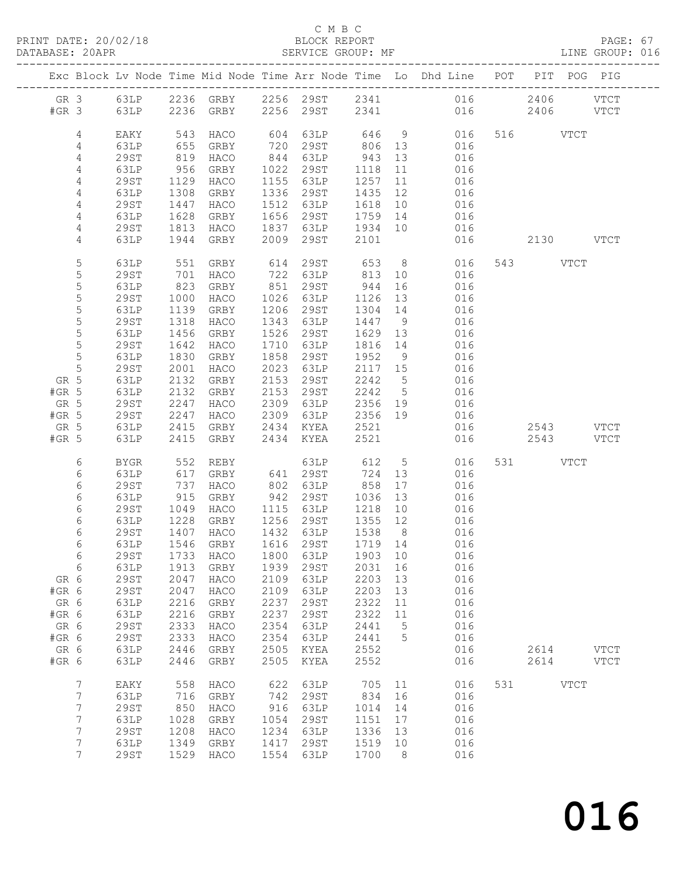PRINT DATE: 20/02/18 BLOCK REPORT BATABASE: 20APR BEST BERVICE GROUP: MF

#### C M B C<br>BLOCK REPORT

PAGE: 67<br>LINE GROUP: 016

|                  |                     |              |                                     |              |                                    |                            |                 | Exc Block Lv Node Time Mid Node Time Arr Node Time Lo Dhd Line POT PIT POG PIG |                        |  |
|------------------|---------------------|--------------|-------------------------------------|--------------|------------------------------------|----------------------------|-----------------|--------------------------------------------------------------------------------|------------------------|--|
|                  |                     |              | #GR 3 63LP 2236 GRBY 2256 29ST 2341 |              |                                    |                            |                 | GR 3 63LP 2236 GRBY 2256 29ST 2341 016 2406 VTCT<br>016                        | 2406 VTCT              |  |
|                  |                     |              |                                     |              |                                    |                            |                 |                                                                                |                        |  |
| 4                | EAKY                | 543          | HACO                                |              | 604 63LP 646 9                     |                            |                 | 016                                                                            | 516 VTCT               |  |
| 4                | 63LP                | 655          | GRBY                                |              | 720 29ST 806 13<br>844 63LP 943 13 |                            |                 | 016                                                                            |                        |  |
| 4                | 29ST                | 819          | HACO                                |              |                                    |                            |                 | 016                                                                            |                        |  |
| 4<br>4           | 63LP<br>29ST        | 956<br>1129  | GRBY<br>HACO                        |              | 1022 29ST<br>1155 63LP             | 1118<br>1257               | 11<br>11        | 016<br>016                                                                     |                        |  |
| $\overline{4}$   | 63LP                | 1308         | GRBY                                |              | 1336 29ST                          | 1435 12                    |                 | 016                                                                            |                        |  |
| 4                | 29ST                | 1447         | HACO                                |              | 1512 63LP                          | 1618 10                    |                 | 016                                                                            |                        |  |
| 4                | 63LP                | 1628         | GRBY                                |              | 1656 29ST                          | 1759 14                    |                 | 016                                                                            |                        |  |
| 4                | 29ST                | 1813         | HACO                                |              | 1837 63LP                          | 1934 10                    |                 | 016                                                                            |                        |  |
| 4                | 63LP                | 1944         | GRBY                                |              | 2009 29ST                          | 2101                       |                 | 016                                                                            | 2130 VTCT              |  |
| 5                | 63LP                | 551          | GRBY                                |              | 614 29ST 653                       |                            |                 | 8 016                                                                          | 543 VTCT               |  |
| $\mathsf S$      | 29ST                | 701          | HACO                                |              | 722 63LP 813                       |                            | 10              | 016                                                                            |                        |  |
| 5                | 63LP                | 823          | GRBY                                |              | 851 29ST<br>1026 63LP              | 944                        | 16              | 016                                                                            |                        |  |
| $\mathsf S$<br>5 | 29ST<br>63LP        | 1000<br>1139 | HACO<br>GRBY                        |              | 1206 29ST                          | 1126 13<br>1304 14         |                 | 016<br>016                                                                     |                        |  |
| 5                | 29ST                | 1318         | HACO                                | 1343         | 63LP                               | 1447 9                     |                 | 016                                                                            |                        |  |
| 5                | 63LP                | 1456         | GRBY                                | 1526         | 29ST                               | 1629 13                    |                 | 016                                                                            |                        |  |
| $\mathsf S$      | 29ST                | 1642         | HACO                                |              | 1710 63LP                          | 1816 14                    |                 | 016                                                                            |                        |  |
| $\mathsf S$      | 63LP                | 1830         | GRBY                                | 1858         | 29ST                               | 1952 9                     |                 | 016                                                                            |                        |  |
| $\mathsf S$      | 29ST                | 2001         | HACO                                |              | 2023 63LP                          | 2117 15                    |                 | 016                                                                            |                        |  |
| GR 5<br>$#GR$ 5  | 63LP<br>63LP        | 2132<br>2132 | GRBY<br>GRBY                        |              | 2153 29ST<br>2153 29ST             | 2242 5<br>2242 5           |                 | 016<br>016                                                                     |                        |  |
| GR 5             | 29ST                | 2247         | HACO                                |              | 2309 63LP                          | 2356 19                    |                 | 016                                                                            |                        |  |
| $#GR$ 5          | 29ST                | 2247         | HACO                                |              | 2309 63LP 2356 19                  |                            |                 | 016                                                                            |                        |  |
| GR 5             | 63LP                | 2415         | GRBY                                |              | 2434 KYEA                          | 2521                       |                 | 016                                                                            | 2543 VTCT              |  |
| $#GR$ 5          | 63LP                | 2415         | GRBY                                |              | 2434 KYEA                          | 2521                       |                 | 016                                                                            | 2543 VTCT              |  |
| 6                | BYGR                | 552          | REBY                                |              | 63LP 000                           |                            |                 | 612 5<br>016                                                                   | 531 VTCT               |  |
| 6                | 63LP                | 617          | GRBY                                |              | 641 29ST                           | 724                        | 13              | 016                                                                            |                        |  |
| 6<br>6           | 29ST<br>63LP        | 737<br>915   | HACO<br>GRBY                        | 802          | 63LP<br>942 29ST                   | $858$<br>$1036$<br>1036 13 | 17              | 016<br>016                                                                     |                        |  |
| 6                | 29ST                | 1049         | HACO                                |              | 1115 63LP                          | 1218 10                    |                 | 016                                                                            |                        |  |
| 6                | 63LP                | 1228         | GRBY                                |              | 1256 29ST                          | 1355 12                    |                 | 016                                                                            |                        |  |
| 6                | 29ST                | 1407         | HACO                                |              | 1432 63LP                          | 1538 8                     |                 | 016                                                                            |                        |  |
| 6                | 63LP                |              | $1546$ GRBY                         |              | 1616 29ST                          | 1719 14                    |                 | 016                                                                            |                        |  |
| 6                |                     |              |                                     |              |                                    |                            |                 | 29ST 1733 HACO 1800 63LP 1903 10 016                                           |                        |  |
| 6<br>GR 6        | 63LP<br><b>29ST</b> | 1913<br>2047 | GRBY<br>HACO                        | 1939<br>2109 | 29ST<br>63LP                       | 2031<br>2203               | 16<br>13        | 016<br>016                                                                     |                        |  |
| #GR 6            | <b>29ST</b>         | 2047         | HACO                                | 2109         | 63LP                               | 2203                       | 13              | 016                                                                            |                        |  |
| GR 6             | 63LP                | 2216         | GRBY                                | 2237         | 29ST                               | 2322                       | 11              | 016                                                                            |                        |  |
| #GR 6            | 63LP                | 2216         | GRBY                                | 2237         | 29ST                               | 2322                       | 11              | 016                                                                            |                        |  |
| GR 6             | <b>29ST</b>         | 2333         | HACO                                | 2354         | 63LP                               | 2441                       | $5\overline{)}$ | 016                                                                            |                        |  |
| #GR 6            | <b>29ST</b>         | 2333         | HACO                                | 2354         | 63LP                               | 2441 5                     |                 | 016                                                                            |                        |  |
| GR 6<br>#GR 6    | 63LP<br>63LP        | 2446<br>2446 | GRBY<br>GRBY                        | 2505<br>2505 | KYEA<br>KYEA                       | 2552<br>2552               |                 | 016<br>016                                                                     | 2614 VTCT<br>2614 VTCT |  |
|                  |                     |              |                                     |              |                                    |                            |                 |                                                                                |                        |  |
| $7\phantom{.}$   | EAKY                | 558          | HACO                                | 622          | 63LP                               | 705                        | 11              | 016                                                                            | 531 VTCT               |  |
| 7<br>7           | 63LP<br>29ST        | 716<br>850   | GRBY<br>HACO                        | 742<br>916   | 29ST<br>63LP                       | 834<br>1014                | 16<br>14        | 016<br>016                                                                     |                        |  |
| 7                | 63LP                | 1028         | GRBY                                | 1054         | 29ST                               | 1151                       | 17              | 016                                                                            |                        |  |
| 7                | <b>29ST</b>         | 1208         | HACO                                | 1234         | 63LP                               | 1336                       | 13              | 016                                                                            |                        |  |
| 7                | 63LP                | 1349         | GRBY                                | 1417         | 29ST                               | 1519 10                    |                 | 016                                                                            |                        |  |
| $7\overline{ }$  | 29ST                |              | 1529 HACO                           | 1554         | 63LP                               | 1700                       | 8 <sup>8</sup>  | 016                                                                            |                        |  |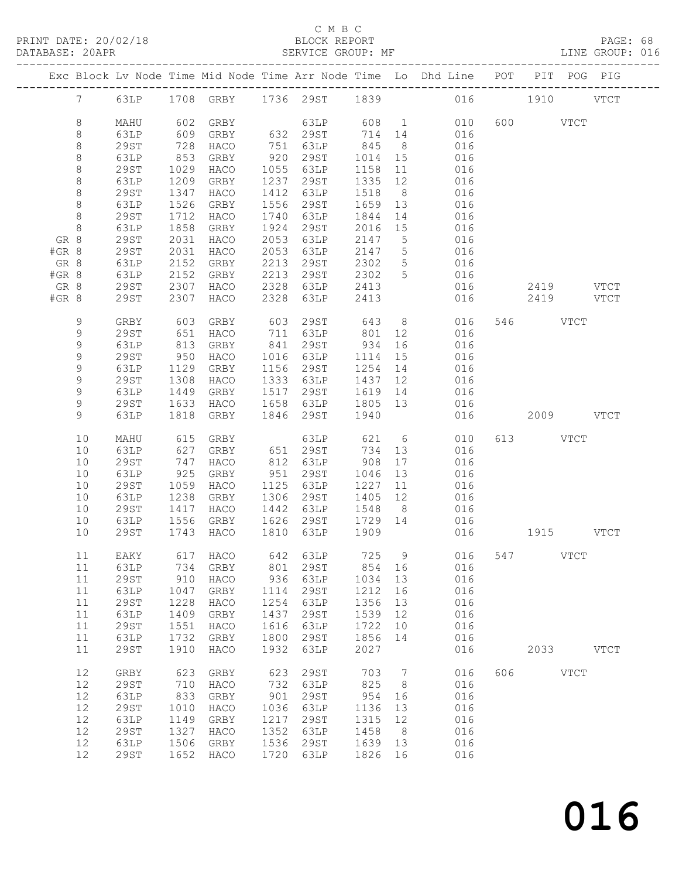PRINT DATE: 20/02/18 BLOCK REPORT BATABASE: 20APR BEST SERVICE GROUP: MF

#### C M B C<br>BLOCK REPORT

PAGE: 68<br>LINE GROUP: 016

|       |             |             |      |           |      |                   |         |                 | Exc Block Lv Node Time Mid Node Time Arr Node Time Lo Dhd Line POT PIT POG PIG |           |           |             |             |
|-------|-------------|-------------|------|-----------|------|-------------------|---------|-----------------|--------------------------------------------------------------------------------|-----------|-----------|-------------|-------------|
|       |             |             |      |           |      |                   |         |                 | 7 63LP 1708 GRBY 1736 29ST 1839 016 1910 VTCT                                  |           |           |             |             |
|       | $\,8\,$     | MAHU        |      | 602 GRBY  |      | 63LP              |         |                 | 608 1<br>010                                                                   |           | 600 VTCT  |             |             |
|       | 8           | 63LP        | 609  | GRBY      |      | 632 29ST 714 14   |         |                 | 016                                                                            |           |           |             |             |
|       | 8           | 29ST        | 728  | HACO      |      | 751 63LP          | 845     | 8 <sup>8</sup>  | 016                                                                            |           |           |             |             |
|       | $\,8\,$     | 63LP        | 853  | GRBY      |      | 920 29ST          | 1014 15 |                 | 016                                                                            |           |           |             |             |
|       | $\,8\,$     | 29ST        | 1029 | HACO      |      | 1055 63LP         | 1158    | 11              | 016                                                                            |           |           |             |             |
|       | $\,8\,$     | 63LP        | 1209 | GRBY      | 1237 | 29ST              | 1335    | 12              | 016                                                                            |           |           |             |             |
|       | $\,8\,$     | 29ST        | 1347 | HACO      | 1412 | 63LP              | 1518    | 8 <sup>8</sup>  | 016                                                                            |           |           |             |             |
|       | $\,8\,$     | 63LP        | 1526 | GRBY      | 1556 | 29ST              | 1659 13 |                 | 016                                                                            |           |           |             |             |
|       | $\,8\,$     | 29ST        | 1712 | HACO      |      | 1740 63LP         | 1844    | 14              | 016                                                                            |           |           |             |             |
|       | 8           | 63LP        | 1858 | GRBY      | 1924 | 29ST              | 2016 15 |                 | 016                                                                            |           |           |             |             |
| GR 8  |             | 29ST        | 2031 | HACO      | 2053 | 63LP              | 2147 5  |                 | 016                                                                            |           |           |             |             |
| #GR 8 |             | 29ST        | 2031 | HACO      | 2053 | 63LP              | 2147 5  |                 | 016                                                                            |           |           |             |             |
| GR 8  |             | 63LP        | 2152 | GRBY      | 2213 | 29ST              | 2302    | $5\overline{)}$ | 016                                                                            |           |           |             |             |
| #GR 8 |             | 63LP        | 2152 | GRBY      | 2213 | 29ST              | 2302    | 5 <sup>5</sup>  | 016                                                                            |           |           |             |             |
| GR 8  |             | 29ST        | 2307 | HACO      | 2328 | 63LP              | 2413    |                 | 016                                                                            |           | 2419 VTCT |             |             |
| #GR 8 |             | 29ST        | 2307 | HACO      | 2328 | 63LP              | 2413    |                 | 016                                                                            |           | 2419 VTCT |             |             |
|       | 9           | GRBY        | 603  | GRBY      | 603  | 29ST 643          |         |                 | 8 <sup>1</sup><br>016                                                          |           | 546 VTCT  |             |             |
|       | 9           | 29ST        | 651  | HACO      |      | 711 63LP 801      |         | 12              | 016                                                                            |           |           |             |             |
|       | 9           | 63LP        | 813  | GRBY      |      | 841 29ST          | 934     | 16              | 016                                                                            |           |           |             |             |
|       | $\mathsf 9$ | <b>29ST</b> | 950  | HACO      |      | 1016 63LP         | 1114    | 15              | 016                                                                            |           |           |             |             |
|       | $\mathsf 9$ | 63LP        | 1129 | GRBY      |      | 1156 29ST         | 1254    | 14              | 016                                                                            |           |           |             |             |
|       | 9           | 29ST        | 1308 | HACO      |      | 1333 63LP         | 1437    | 12              | 016                                                                            |           |           |             |             |
|       | 9           | 63LP        | 1449 | GRBY      |      | 1517 29ST         | 1619 14 |                 | 016                                                                            |           |           |             |             |
|       | 9           | 29ST        | 1633 | HACO      |      | 1658 63LP         | 1805 13 |                 | 016                                                                            |           |           |             |             |
|       | 9           | 63LP        |      | 1818 GRBY | 1846 | 29ST              | 1940    |                 | 016                                                                            |           | 2009 VTCT |             |             |
|       | 10          | MAHU        | 615  | GRBY      |      | 63LP 621          |         |                 | $6\overline{6}$<br>010                                                         |           | 613 VTCT  |             |             |
|       | 10          | 63LP        | 627  | GRBY      |      | 651 29ST          | 734 13  |                 | 016                                                                            |           |           |             |             |
|       | 10          | 29ST        | 747  | HACO      |      | 812 63LP          | 908     | 17              | 016                                                                            |           |           |             |             |
|       | 10          | 63LP        | 925  | GRBY      |      | 951 29ST          | 1046    | 13              | 016                                                                            |           |           |             |             |
|       | 10          | 29ST        | 1059 | HACO      |      | 1125 63LP         | 1227    | 11              | 016                                                                            |           |           |             |             |
|       | 10          | 63LP        | 1238 | GRBY      |      | 1306 29ST         | 1405 12 |                 | 016                                                                            |           |           |             |             |
|       | 10          | 29ST        | 1417 | HACO      |      | 1442 63LP         | 1548 8  |                 | 016                                                                            |           |           |             |             |
|       | 10          | 63LP        | 1556 | GRBY      |      | 1626 29ST 1729 14 |         |                 | 016                                                                            |           |           |             |             |
|       | 10          | 29ST        |      | 1743 HACO |      | 1810 63LP         | 1909    |                 | 016                                                                            | 1915 VTCT |           |             |             |
|       | 11          |             |      |           |      |                   |         |                 | EAKY 617 HACO 642 63LP 725 9 016 547 VTCT                                      |           |           |             |             |
|       | 11          | 63LP        | 734  | GRBY      | 801  | 29ST              | 854     | 16              | 016                                                                            |           |           |             |             |
|       | 11          | <b>29ST</b> | 910  | HACO      | 936  | 63LP              | 1034    | 13              | 016                                                                            |           |           |             |             |
|       | 11          | 63LP        | 1047 | GRBY      | 1114 | 29ST              | 1212    | 16              | 016                                                                            |           |           |             |             |
|       | 11          | <b>29ST</b> | 1228 | HACO      | 1254 | 63LP              | 1356    | 13              | 016                                                                            |           |           |             |             |
|       | 11          | 63LP        | 1409 | GRBY      | 1437 | 29ST              | 1539    | 12              | 016                                                                            |           |           |             |             |
|       | 11          | <b>29ST</b> | 1551 | HACO      | 1616 | 63LP              | 1722    | 10              | 016                                                                            |           |           |             |             |
|       | 11          | 63LP        | 1732 | GRBY      | 1800 | 29ST              | 1856    | 14              | 016                                                                            |           |           |             |             |
|       | 11          | <b>29ST</b> | 1910 | HACO      | 1932 | 63LP              | 2027    |                 | 016                                                                            |           | 2033      |             | <b>VTCT</b> |
|       | 12          | GRBY        | 623  | GRBY      | 623  | <b>29ST</b>       | 703     | $7\overline{ }$ | 016                                                                            | 606       |           | <b>VTCT</b> |             |
|       | 12          | <b>29ST</b> | 710  | HACO      | 732  | 63LP              | 825     | 8 <sup>8</sup>  | 016                                                                            |           |           |             |             |
|       | 12          | 63LP        | 833  | GRBY      | 901  | 29ST              | 954     | 16              | 016                                                                            |           |           |             |             |
|       | 12          | <b>29ST</b> | 1010 | HACO      | 1036 | 63LP              | 1136    | 13              | 016                                                                            |           |           |             |             |
|       | 12          | 63LP        | 1149 | GRBY      | 1217 | 29ST              | 1315    | 12              | 016                                                                            |           |           |             |             |
|       | 12          | <b>29ST</b> | 1327 | HACO      | 1352 | 63LP              | 1458    | 8 <sup>8</sup>  | 016                                                                            |           |           |             |             |
|       | 12          | 63LP        | 1506 | GRBY      | 1536 | 29ST              | 1639    | 13              | 016                                                                            |           |           |             |             |
|       | 12          | <b>29ST</b> | 1652 | HACO      | 1720 | 63LP              | 1826    | 16              | 016                                                                            |           |           |             |             |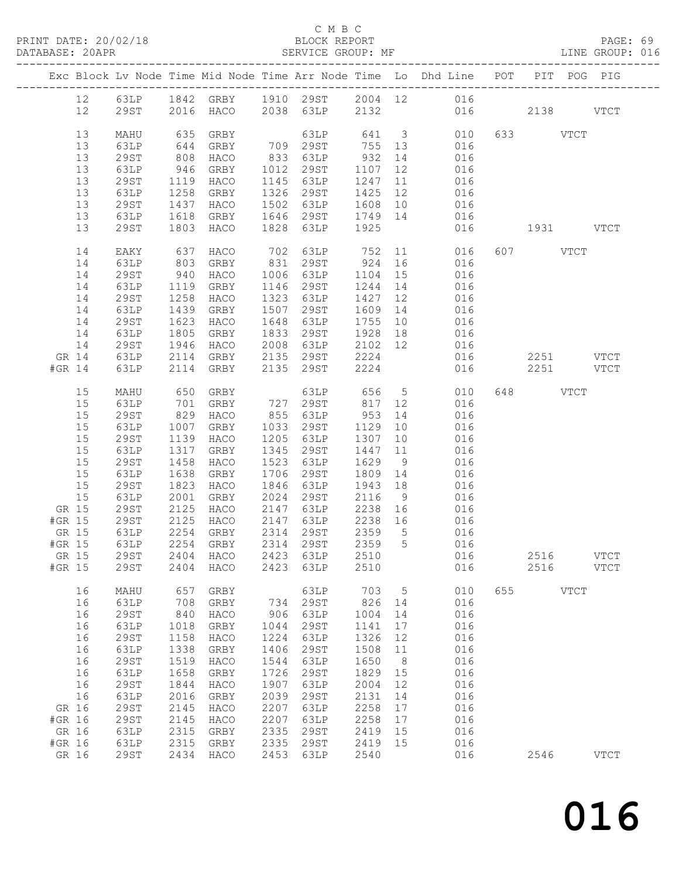# C M B C<br>BLOCK REPORT<br>SERVICE GROUP: MF

| DATABASE: 20APR |        |              |                     |                                     |      | SERVICE GROUP: MF                                  |           |                 | LINE GROUP: 016                                                                |          |           |             |  |
|-----------------|--------|--------------|---------------------|-------------------------------------|------|----------------------------------------------------|-----------|-----------------|--------------------------------------------------------------------------------|----------|-----------|-------------|--|
|                 |        |              |                     |                                     |      |                                                    |           |                 | Exc Block Lv Node Time Mid Node Time Arr Node Time Lo Dhd Line POT PIT POG PIG |          |           |             |  |
|                 |        |              |                     |                                     |      |                                                    |           |                 | 12 63LP 1842 GRBY 1910 29ST 2004 12 016                                        |          |           |             |  |
|                 | 12     |              |                     |                                     |      |                                                    |           |                 | 29ST 2016 HACO 2038 63LP 2132 016 2138 VTCT                                    |          |           |             |  |
|                 | 13     | MAHU         |                     | GRBY                                |      |                                                    |           |                 | 63LP 641 3 010                                                                 | 633 VTCT |           |             |  |
|                 |        |              | 635<br>644          |                                     |      |                                                    |           |                 | GRBY 709 29ST 755 13 016                                                       |          |           |             |  |
|                 | 13     | 63LP         |                     |                                     |      | 833 63LP 932                                       |           |                 |                                                                                |          |           |             |  |
|                 | 13     | 29ST         | 808                 | HACO                                |      |                                                    |           |                 | 14 016                                                                         |          |           |             |  |
|                 | 13     | 63LP         |                     | GRBY                                |      | 1012 29ST 1107                                     |           | 12              | 016                                                                            |          |           |             |  |
|                 | 13     | 29ST         | 946<br>1119<br>1258 | HACO                                |      | 1145 63LP                                          |           |                 | 1145 63LP 1247 11 016<br>1326 29ST 1425 12 016                                 |          |           |             |  |
|                 | 13     | 63LP         |                     | GRBY                                |      |                                                    |           |                 |                                                                                |          |           |             |  |
|                 | 13     | 29ST         | 1437                | HACO                                |      |                                                    |           |                 | 1502 63LP 1608 10 016                                                          |          |           |             |  |
|                 | 13     | 63LP         | 1618                | GRBY                                |      |                                                    |           |                 | 1646 29ST 1749 14 016                                                          |          |           |             |  |
|                 | 13     | 29ST         | 1803                | HACO                                |      | 1828 63LP 1925                                     |           |                 | 016 1931 VTCT                                                                  |          |           |             |  |
|                 | 14     | EAKY         | 637                 | HACO                                |      | 702 63LP 752                                       |           |                 | 11 016                                                                         | 607 VTCT |           |             |  |
|                 | 14     | 63LP         | 803                 | GRBY                                |      | 831 29ST 924                                       |           |                 | 16 016                                                                         |          |           |             |  |
|                 | 14     | 29ST         |                     | HACO                                |      |                                                    |           |                 |                                                                                |          |           |             |  |
|                 | 14     | 63LP         | 940<br>1119         | GRBY                                |      |                                                    |           |                 | 1006 63LP 1104 15 016<br>1146 29ST 1244 14 016                                 |          |           |             |  |
|                 | 14     | 29ST         | 1258                | HACO                                |      | 1323 63LP                                          | 1427 12   |                 | 016                                                                            |          |           |             |  |
|                 | 14     | 63LP         | 1439                | GRBY                                |      | 1507 29ST                                          | 1609      |                 | 14 016                                                                         |          |           |             |  |
|                 | 14     | 29ST         |                     | HACO                                |      |                                                    |           |                 | $1755$ 10 016                                                                  |          |           |             |  |
|                 | 14     | 63LP         | 1623<br>1805        | GRBY                                |      | 1648 63LP 1755 10<br>1833 29ST 1928 18             |           |                 |                                                                                |          |           |             |  |
|                 | 14     | 29ST         | 1946                | HACO                                |      |                                                    |           |                 |                                                                                |          |           |             |  |
|                 | GR 14  | 63LP         | 2114                |                                     |      | GRBY 2135 29ST                                     | 2224      |                 | 016                                                                            |          | 2251 VTCT |             |  |
|                 | #GR 14 | 63LP         | 2114                | GRBY                                |      | 2135 29ST                                          | 2224      |                 | 016                                                                            |          | 2251 VTCT |             |  |
|                 | 15     | MAHU         | 650                 | GRBY                                |      | 63LP 656 5                                         |           |                 | 010                                                                            | 648 VTCT |           |             |  |
|                 | 15     | 63LP         | 701                 |                                     |      |                                                    |           |                 | GRBY 727 29ST 817 12 016                                                       |          |           |             |  |
|                 | 15     | 29ST         |                     | HACO                                |      | 855 63LP 953                                       |           |                 | 14 016                                                                         |          |           |             |  |
|                 | 15     | 63LP         | 829<br>1007<br>1139 | GRBY                                |      | 1033 29ST                                          | 1129 10   |                 | 016                                                                            |          |           |             |  |
|                 | 15     | 29ST         |                     | HACO                                |      | 1205 63LP                                          | 1307      |                 | 10 016<br>10 016                                                               |          |           |             |  |
|                 | 15     | 63LP         | 1317                | GRBY                                |      | 1345 29ST                                          | 1447      |                 | 11 016                                                                         |          |           |             |  |
|                 | 15     | 29ST         | 1458                | HACO                                |      | 1523 63LP                                          | 1629 9    |                 | 016                                                                            |          |           |             |  |
|                 | 15     | 63LP         | 1638                | GRBY                                |      | 1706 29ST                                          | 1809 14   |                 | 016                                                                            |          |           |             |  |
|                 | 15     | 29ST         | 1823                | HACO                                |      | 1846 63LP                                          | $1943$ 18 |                 | 016                                                                            |          |           |             |  |
|                 | 15     | 63LP         | 2001                | GRBY                                |      | 2024 29ST                                          |           |                 | 2116 9 016                                                                     |          |           |             |  |
|                 | GR 15  | 29ST         |                     |                                     |      | HACO 2147 63LP                                     | 2238 16   |                 | 016                                                                            |          |           |             |  |
|                 | #GR 15 |              |                     |                                     |      |                                                    |           |                 |                                                                                |          |           |             |  |
|                 | GR 15  | 29ST<br>63LP |                     | 2125 HACO<br>2125 HACO<br>2254 GRBY |      | 2147 63LP 2238 16<br>2314 29ST 2359 5<br>2314 29ST |           |                 | $016$<br>$016$                                                                 |          |           |             |  |
|                 |        |              |                     |                                     |      |                                                    |           |                 | #GR 15 63LP 2254 GRBY 2314 29ST 2359 5 016                                     |          |           |             |  |
|                 | GR 15  | 29ST         | 2404                | HACO                                |      | 2423 63LP                                          | 2510      |                 | 016                                                                            | 2516     |           | <b>VTCT</b> |  |
|                 | #GR 15 | 29ST         | 2404                | HACO                                | 2423 | 63LP                                               | 2510      |                 | 016                                                                            |          | 2516 VTCT |             |  |
|                 |        |              |                     |                                     |      |                                                    |           |                 |                                                                                |          |           |             |  |
|                 | 16     | MAHU         | 657                 | GRBY                                |      | 63LP                                               | 703       | $5\overline{)}$ | 010                                                                            | 655 VTCT |           |             |  |
|                 | 16     | 63LP         | 708                 | GRBY                                | 734  | 29ST                                               | 826       | 14              | 016                                                                            |          |           |             |  |
|                 | 16     | 29ST         | 840                 | HACO                                | 906  | 63LP                                               | 1004      | 14              | 016                                                                            |          |           |             |  |
|                 | 16     | 63LP         | 1018                | GRBY                                | 1044 | 29ST                                               | 1141      | 17              | 016                                                                            |          |           |             |  |
|                 | 16     | <b>29ST</b>  | 1158                | HACO                                | 1224 | 63LP                                               | 1326      | 12              | 016                                                                            |          |           |             |  |
|                 | 16     | 63LP         | 1338                | GRBY                                | 1406 | 29ST                                               | 1508      | 11              | 016                                                                            |          |           |             |  |
|                 | 16     | <b>29ST</b>  | 1519                | HACO                                | 1544 | 63LP                                               | 1650      | 8 <sup>8</sup>  | 016                                                                            |          |           |             |  |
|                 | 16     | 63LP         | 1658                | GRBY                                | 1726 | 29ST                                               | 1829      | 15              | 016                                                                            |          |           |             |  |
|                 | 16     | <b>29ST</b>  | 1844                | HACO                                | 1907 | 63LP                                               | 2004      | 12              | 016                                                                            |          |           |             |  |
|                 | 16     | 63LP         | 2016                | GRBY                                | 2039 | 29ST                                               | 2131      | 14              | 016                                                                            |          |           |             |  |
|                 | GR 16  | <b>29ST</b>  | 2145                | HACO                                | 2207 | 63LP                                               | 2258      | 17              | 016                                                                            |          |           |             |  |
|                 | #GR 16 | <b>29ST</b>  | 2145                | HACO                                | 2207 | 63LP                                               | 2258      | 17              | 016                                                                            |          |           |             |  |
|                 | GR 16  | 63LP         | 2315                | GRBY                                | 2335 | 29ST                                               | 2419      | 15              | 016                                                                            |          |           |             |  |
|                 | #GR 16 | 63LP         | 2315                | GRBY                                | 2335 | 29ST                                               | 2419 15   |                 | 016                                                                            |          |           |             |  |
|                 | GR 16  | 29ST         | 2434                | HACO                                | 2453 | 63LP                                               | 2540      |                 | 016                                                                            | 2546     |           | <b>VTCT</b> |  |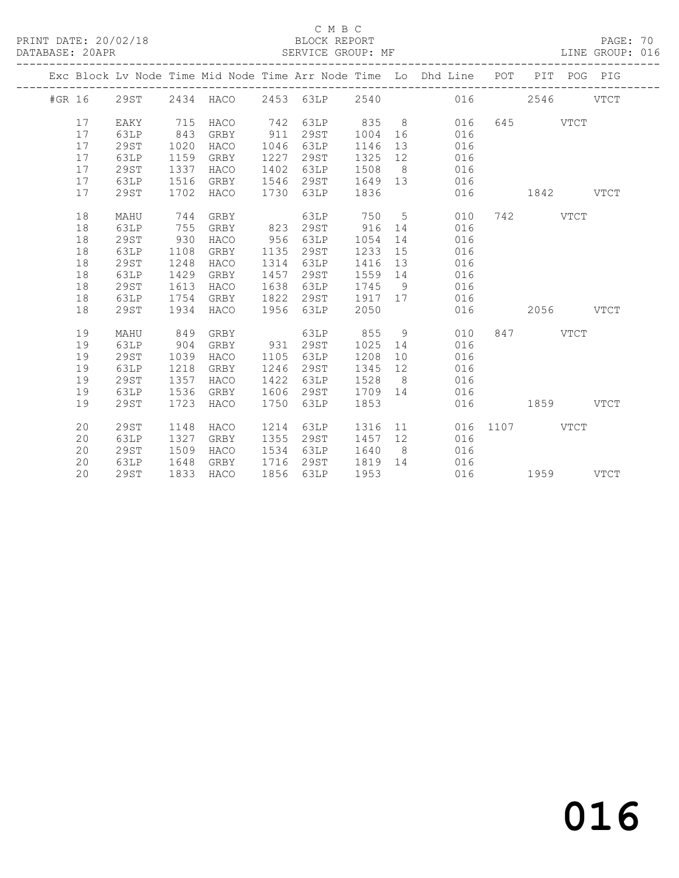PRINT DATE: 20/02/18 BLOCK REPORT BATABASE: 20APR BEST SERVICE GROUP: MF

#### C M B C<br>BLOCK REPORT

PAGE: 70<br>LINE GROUP: 016

|        |    |             |      |           |      |      |      |                 | Exc Block Lv Node Time Mid Node Time Arr Node Time Lo Dhd Line POT |      | PIT  |             | POG PIG     |
|--------|----|-------------|------|-----------|------|------|------|-----------------|--------------------------------------------------------------------|------|------|-------------|-------------|
| #GR 16 |    | 29ST        |      | 2434 HACO | 2453 | 63LP | 2540 |                 | 016                                                                |      | 2546 |             | <b>VTCT</b> |
|        | 17 | EAKY        | 715  | HACO      | 742  | 63LP | 835  | 8               | 016                                                                | 645  |      | <b>VTCT</b> |             |
|        | 17 | 63LP        | 843  | GRBY      | 911  | 29ST | 1004 | 16              | 016                                                                |      |      |             |             |
|        | 17 | 29ST        | 1020 | HACO      | 1046 | 63LP | 1146 | 13              | 016                                                                |      |      |             |             |
|        | 17 | 63LP        | 1159 | GRBY      | 1227 | 29ST | 1325 | 12              | 016                                                                |      |      |             |             |
|        | 17 | 29ST        | 1337 | HACO      | 1402 | 63LP | 1508 | 8 <sup>8</sup>  | 016                                                                |      |      |             |             |
|        | 17 | 63LP        | 1516 | GRBY      | 1546 | 29ST | 1649 | 13              | 016                                                                |      |      |             |             |
|        | 17 | 29ST        | 1702 | HACO      | 1730 | 63LP | 1836 |                 | 016                                                                |      | 1842 |             | <b>VTCT</b> |
|        | 18 | MAHU        | 744  | GRBY      |      | 63LP | 750  | $5\phantom{.0}$ | 010                                                                | 742  |      | <b>VTCT</b> |             |
|        | 18 | 63LP        | 755  | GRBY      | 823  | 29ST | 916  | 14              | 016                                                                |      |      |             |             |
|        | 18 | 29ST        | 930  | HACO      | 956  | 63LP | 1054 | 14              | 016                                                                |      |      |             |             |
|        | 18 | 63LP        | 1108 | GRBY      | 1135 | 29ST | 1233 | 15              | 016                                                                |      |      |             |             |
|        | 18 | <b>29ST</b> | 1248 | HACO      | 1314 | 63LP | 1416 | 13              | 016                                                                |      |      |             |             |
|        | 18 | 63LP        | 1429 | GRBY      | 1457 | 29ST | 1559 | 14              | 016                                                                |      |      |             |             |
|        | 18 | 29ST        | 1613 | HACO      | 1638 | 63LP | 1745 | 9               | 016                                                                |      |      |             |             |
|        | 18 | 63LP        | 1754 | GRBY      | 1822 | 29ST | 1917 | 17              | 016                                                                |      |      |             |             |
|        | 18 | 29ST        | 1934 | HACO      | 1956 | 63LP | 2050 |                 | 016                                                                |      | 2056 |             | <b>VTCT</b> |
|        | 19 | MAHU        | 849  | GRBY      |      | 63LP | 855  | 9               | 010                                                                | 847  |      | <b>VTCT</b> |             |
|        | 19 | 63LP        | 904  | GRBY      | 931  | 29ST | 1025 | 14              | 016                                                                |      |      |             |             |
|        | 19 | <b>29ST</b> | 1039 | HACO      | 1105 | 63LP | 1208 | 10              | 016                                                                |      |      |             |             |
|        | 19 | 63LP        | 1218 | GRBY      | 1246 | 29ST | 1345 | 12              | 016                                                                |      |      |             |             |
|        | 19 | <b>29ST</b> | 1357 | HACO      | 1422 | 63LP | 1528 | 8               | 016                                                                |      |      |             |             |
|        | 19 | 63LP        | 1536 | GRBY      | 1606 | 29ST | 1709 | 14              | 016                                                                |      |      |             |             |
|        | 19 | 29ST        | 1723 | HACO      | 1750 | 63LP | 1853 |                 | 016                                                                |      | 1859 |             | <b>VTCT</b> |
|        | 20 | 29ST        | 1148 | HACO      | 1214 | 63LP | 1316 | 11              | 016                                                                | 1107 |      | <b>VTCT</b> |             |
|        | 20 | 63LP        | 1327 | GRBY      | 1355 | 29ST | 1457 | 12              | 016                                                                |      |      |             |             |
|        | 20 | 29ST        | 1509 | HACO      | 1534 | 63LP | 1640 | 8 <sup>8</sup>  | 016                                                                |      |      |             |             |
|        | 20 | 63LP        | 1648 | GRBY      | 1716 | 29ST | 1819 | 14              | 016                                                                |      |      |             |             |
|        | 20 | <b>29ST</b> | 1833 | HACO      | 1856 | 63LP | 1953 |                 | 016                                                                |      | 1959 |             | <b>VTCT</b> |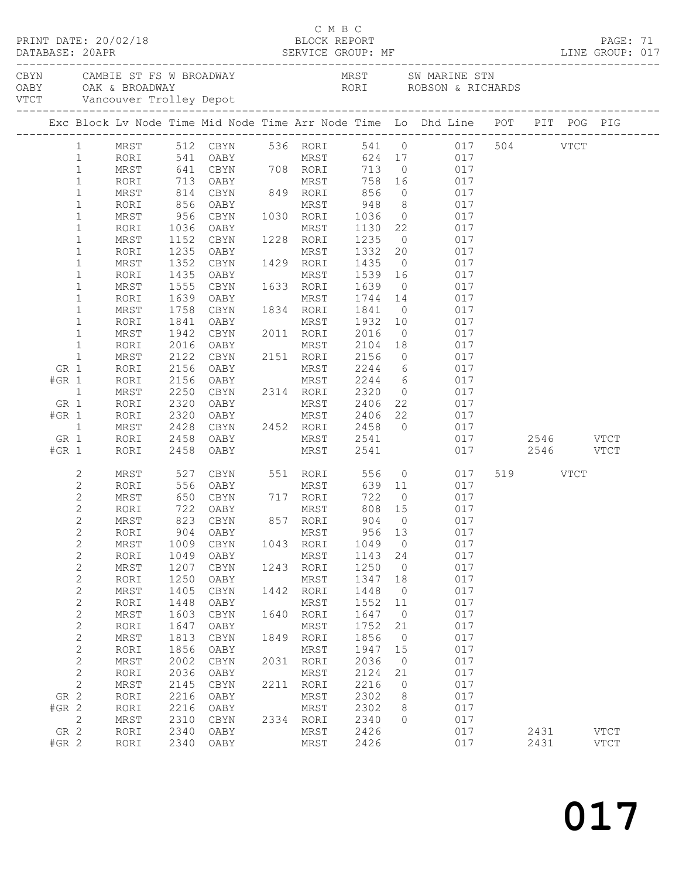|         |                               |                    |              |                                                                          |      | C M B C                                   |                |                |                                                                                |          |           |             |  |
|---------|-------------------------------|--------------------|--------------|--------------------------------------------------------------------------|------|-------------------------------------------|----------------|----------------|--------------------------------------------------------------------------------|----------|-----------|-------------|--|
|         |                               |                    |              |                                                                          |      |                                           |                |                |                                                                                |          |           |             |  |
|         |                               |                    |              |                                                                          |      |                                           |                |                | Exc Block Lv Node Time Mid Node Time Arr Node Time Lo Dhd Line POT PIT POG PIG |          |           |             |  |
|         |                               |                    |              |                                                                          |      |                                           |                |                |                                                                                |          |           |             |  |
|         | $\mathbf{1}$                  |                    |              | 541 OABY MRST                                                            |      |                                           |                |                | MRST 512 CBYN 536 RORI 541 0 017 504 VTCT<br>624 17 017                        |          |           |             |  |
|         | $\mathbf{1}$<br>$\mathbf{1}$  | RORI<br>MRST       |              |                                                                          |      |                                           |                |                | 713 0 017                                                                      |          |           |             |  |
|         | $\mathbf{1}$                  | RORI               |              |                                                                          |      |                                           | 758 16         |                | 017                                                                            |          |           |             |  |
|         | $\mathbf{1}$                  | MRST               |              | 641 CBYN 708 RORI 713<br>713 OABY MRST 758 16<br>814 CBYN 849 RORI 856 0 |      |                                           |                |                | 017                                                                            |          |           |             |  |
|         | $\mathbf 1$                   | RORI               |              | 856 OABY                                                                 |      | MRST 948 8                                |                |                | 017                                                                            |          |           |             |  |
|         | $\mathbf 1$                   | MRST               | 956          | CBYN                                                                     |      | 1030 RORI 1036 0                          |                |                | 017                                                                            |          |           |             |  |
|         | $\mathbf 1$                   | RORI               | 1036<br>1152 | OABY                                                                     |      | MRST                                      | 1130 22        |                | 017                                                                            |          |           |             |  |
|         | $\mathbf{1}$                  | MRST               |              | CBYN                                                                     |      | 1228 RORI                                 | 1235 0         |                | 017                                                                            |          |           |             |  |
|         | $\mathbf 1$                   | RORI               | 1235         | OABY                                                                     |      | MRST                                      | 1332           |                | 20 017                                                                         |          |           |             |  |
|         | $\mathbf 1$                   | MRST               | 1352         | CBYN                                                                     |      | 1429 RORI                                 |                |                | 1435 0 017                                                                     |          |           |             |  |
|         | $\mathbf 1$<br>$\mathbf{1}$   | RORI<br>MRST       | 1435<br>1555 | OABY<br>CBYN                                                             |      | MRST<br>1633 RORI                         | 1539<br>1639 0 | 16             | 017<br>017                                                                     |          |           |             |  |
|         | $\mathbf 1$                   | RORI               | 1639         | OABY                                                                     |      | MRST                                      | 1744 14        |                | 017                                                                            |          |           |             |  |
|         | $\mathbf 1$                   | MRST               | 1758         | CBYN                                                                     |      | 1834 RORI                                 | 1841           | $\overline{0}$ | 017                                                                            |          |           |             |  |
|         | $\mathbf 1$                   | RORI               | 1841         | OABY                                                                     |      | MRST                                      | 1932 10        |                | 017                                                                            |          |           |             |  |
|         | $\mathbf{1}$                  | MRST               | 1942         | CBYN                                                                     |      | 2011 RORI                                 | 2016           | $\overline{0}$ | 017                                                                            |          |           |             |  |
|         | $\mathbf{1}$                  | RORI               | 2016         | OABY                                                                     |      | MRST                                      | 2104 18        |                | 017                                                                            |          |           |             |  |
|         | $\mathbf{1}$                  | MRST               | 2122         | CBYN                                                                     |      |                                           |                |                | 2151 RORI 2156 0 017                                                           |          |           |             |  |
| GR 1    |                               | RORI               | 2156         | OABY                                                                     |      | MRST                                      |                |                | 2244 6 017                                                                     |          |           |             |  |
| $#GR$ 1 |                               | RORI               | 2156         |                                                                          |      | OABY MRST 2244 6<br>CBYN 2314 RORI 2320 0 |                |                | 017                                                                            |          |           |             |  |
| GR 1    | $\mathbf{1}$                  | MRST               | 2250<br>2320 | OABY                                                                     |      | MRST                                      |                |                | 017<br>2406 22<br>017                                                          |          |           |             |  |
| $#GR$ 1 |                               | RORI<br>RORI       | 2320         | OABY                                                                     |      | MRST                                      | 2406 22        |                | 017                                                                            |          |           |             |  |
|         | $\mathbf{1}$                  | MRST               |              |                                                                          |      |                                           | 2458 0         |                | 017                                                                            |          |           |             |  |
| GR 1    |                               | RORI               | 2428<br>2458 | OABY                                                                     |      | CBYN 2452 RORI<br>OABY MRST               | 2541           |                | 017                                                                            |          | 2546 VTCT |             |  |
| $#GR$ 1 |                               | RORI               | 2458         | OABY                                                                     |      | MRST                                      | 2541           |                | 017                                                                            |          | 2546 VTCT |             |  |
|         | 2                             | MRST               |              |                                                                          |      |                                           |                |                | 017                                                                            | 519 VTCT |           |             |  |
|         | $\mathbf{2}$                  | RORI               |              | 527 CBYN<br>556 OABY                                                     |      |                                           |                |                | 017                                                                            |          |           |             |  |
|         | $\mathbf{2}$                  | MRST               |              | 650 CBYN 717 RORI                                                        |      |                                           | 722 0          |                | 017                                                                            |          |           |             |  |
|         | $\mathbf{2}$                  | RORI               |              | 722 OABY                                                                 |      | MRST                                      | 808 15         |                | 017                                                                            |          |           |             |  |
|         | $\mathbf{2}$                  | MRST               |              | 823 CBYN                                                                 |      | 857 RORI                                  | 904 0          |                | 017                                                                            |          |           |             |  |
|         | $\mathbf 2$<br>$\overline{c}$ | RORI<br>$\tt MRST$ | 904<br>1009  | OABY<br>$\tt CBYN$                                                       | 1043 | MRST<br>RORI                              | 956<br>1049    | 13<br>$\circ$  | 017<br>017                                                                     |          |           |             |  |
|         | $\mathbf{2}$                  | RORI               | 1049         | OABY                                                                     |      | MRST                                      | 1143           | 24             | 017                                                                            |          |           |             |  |
|         | $\mathbf{2}$                  | $\tt MRST$         | 1207         | $\tt CBYN$                                                               | 1243 | RORI                                      | 1250           | $\circ$        | 017                                                                            |          |           |             |  |
|         | $\overline{c}$                | RORI               | 1250         | OABY                                                                     |      | MRST                                      | 1347           | 18             | 017                                                                            |          |           |             |  |
|         | $\sqrt{2}$                    | $\tt MRST$         | 1405         | CBYN                                                                     | 1442 | RORI                                      | 1448           | $\circ$        | 017                                                                            |          |           |             |  |
|         | $\overline{c}$                | RORI               | 1448         | OABY                                                                     |      | MRST                                      | 1552           | 11             | 017                                                                            |          |           |             |  |
|         | $\sqrt{2}$                    | $\tt MRST$         | 1603         | CBYN                                                                     | 1640 | RORI                                      | 1647           | $\circ$        | 017                                                                            |          |           |             |  |
|         | $\overline{c}$                | RORI               | 1647         | OABY                                                                     |      | MRST                                      | 1752           | 21             | 017                                                                            |          |           |             |  |
|         | $\sqrt{2}$                    | $\tt MRST$         | 1813         | $\tt CBYN$                                                               | 1849 | RORI                                      | 1856           | $\circ$        | 017                                                                            |          |           |             |  |
|         | $\sqrt{2}$                    | RORI               | 1856         | OABY                                                                     |      | MRST                                      | 1947           | 15             | 017                                                                            |          |           |             |  |
|         | $\sqrt{2}$<br>$\mathbf{2}$    | MRST<br>RORI       | 2002<br>2036 | CBYN<br>OABY                                                             | 2031 | RORI<br>MRST                              | 2036<br>2124   | $\circ$<br>21  | 017<br>017                                                                     |          |           |             |  |
|         | $\mathbf 2$                   | $\tt MRST$         | 2145         | $\tt CBYN$                                                               | 2211 | RORI                                      | 2216           | 0              | 017                                                                            |          |           |             |  |
| GR 2    |                               | RORI               | 2216         | OABY                                                                     |      | <b>MRST</b>                               | 2302           | 8              | 017                                                                            |          |           |             |  |
| #GR 2   |                               | RORI               | 2216         | OABY                                                                     |      | MRST                                      | 2302           | 8              | 017                                                                            |          |           |             |  |
|         | $\mathbf{2}$                  | $\tt MRST$         | 2310         | CBYN                                                                     | 2334 | RORI                                      | 2340           | $\circ$        | 017                                                                            |          |           |             |  |
| GR 2    |                               | RORI               | 2340         | OABY                                                                     |      | MRST                                      | 2426           |                | 017                                                                            | 2431     |           | <b>VTCT</b> |  |
| #GR 2   |                               | RORI               | 2340         | OABY                                                                     |      | MRST                                      | 2426           |                | 017                                                                            | 2431     |           | <b>VTCT</b> |  |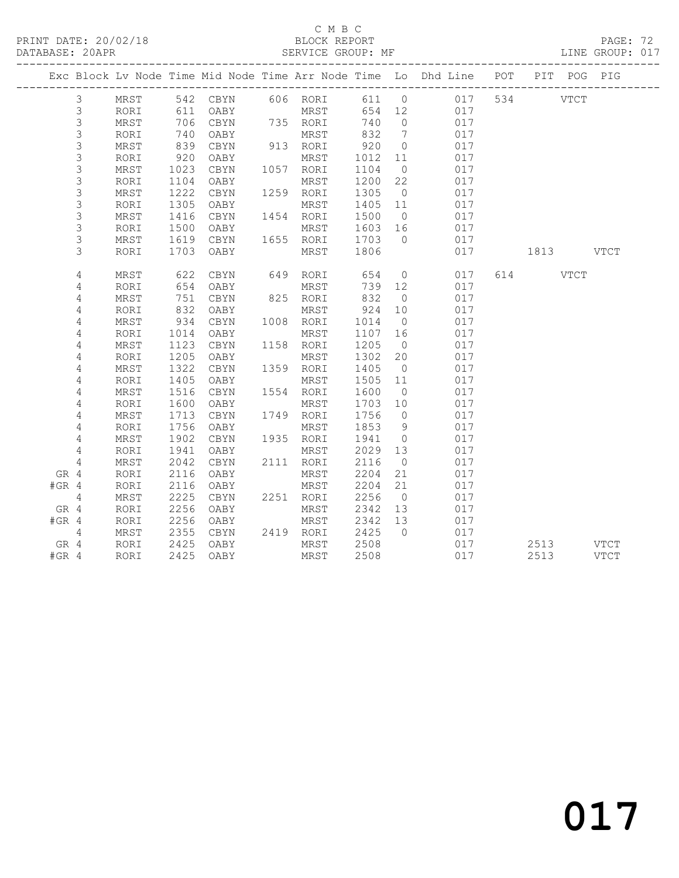#### C M B C<br>BLOCK REPORT SERVICE GROUP: MF

|         |                |      |      |            |      |           |        |                              | Exc Block Lv Node Time Mid Node Time Arr Node Time Lo Dhd Line POT |      | PIT POG PIG |             |
|---------|----------------|------|------|------------|------|-----------|--------|------------------------------|--------------------------------------------------------------------|------|-------------|-------------|
|         | 3              | MRST |      | 542 CBYN   |      | 606 RORI  | 611 0  |                              | 017                                                                | 534  | <b>VTCT</b> |             |
|         | $\mathsf 3$    | RORI | 611  | OABY       |      | MRST      | 654 12 |                              | 017                                                                |      |             |             |
|         | $\mathsf 3$    | MRST | 706  | CBYN       |      | 735 RORI  | 740    | $\overline{0}$               | 017                                                                |      |             |             |
|         | $\mathsf 3$    | RORI | 740  | OABY       |      | MRST      | 832    | $7\phantom{.0}\phantom{.0}7$ | 017                                                                |      |             |             |
|         | 3              | MRST | 839  | CBYN       |      | 913 RORI  | 920    | $\overline{0}$               | 017                                                                |      |             |             |
|         | $\mathfrak{Z}$ | RORI | 920  | OABY       |      | MRST      | 1012   | 11                           | 017                                                                |      |             |             |
|         | $\mathfrak{Z}$ | MRST | 1023 | CBYN       |      | 1057 RORI | 1104   | $\overline{0}$               | 017                                                                |      |             |             |
|         | $\mathsf 3$    | RORI | 1104 | OABY       |      | MRST      | 1200   | 22                           | 017                                                                |      |             |             |
|         | 3              | MRST | 1222 | CBYN       |      | 1259 RORI | 1305   | $\overline{0}$               | 017                                                                |      |             |             |
|         | $\mathsf 3$    | RORI | 1305 | OABY       |      | MRST      | 1405   | 11                           | 017                                                                |      |             |             |
|         | $\mathsf 3$    | MRST | 1416 | $\tt CBYN$ |      | 1454 RORI | 1500   | $\overline{0}$               | 017                                                                |      |             |             |
|         | $\mathsf S$    | RORI | 1500 | OABY       |      | MRST      | 1603   | 16                           | 017                                                                |      |             |             |
|         | 3              | MRST | 1619 | CBYN       |      | 1655 RORI | 1703   | $\bigcirc$                   | 017                                                                |      |             |             |
|         | 3              | RORI | 1703 | OABY       |      | MRST      | 1806   |                              | 017                                                                |      | 1813 VTCT   |             |
|         | 4              | MRST | 622  | CBYN       | 649  | RORI      | 654    | $\overline{0}$               | 017                                                                | 614  | <b>VTCT</b> |             |
|         | 4              | RORI | 654  | OABY       |      | MRST      | 739    | 12                           | 017                                                                |      |             |             |
|         | 4              | MRST | 751  | CBYN       |      | 825 RORI  | 832    | $\overline{0}$               | 017                                                                |      |             |             |
|         | 4              | RORI | 832  | OABY       |      | MRST      | 924    | 10                           | 017                                                                |      |             |             |
|         | 4              | MRST | 934  | CBYN       |      | 1008 RORI | 1014   | $\overline{0}$               | 017                                                                |      |             |             |
|         | $\sqrt{4}$     | RORI | 1014 | OABY       |      | MRST      | 1107   | 16                           | 017                                                                |      |             |             |
|         | 4              | MRST | 1123 | CBYN       |      | 1158 RORI | 1205   | $\overline{0}$               | 017                                                                |      |             |             |
|         | 4              | RORI | 1205 | OABY       |      | MRST      | 1302   | 20                           | 017                                                                |      |             |             |
|         | 4              | MRST | 1322 | CBYN       | 1359 | RORI      | 1405   | $\overline{0}$               | 017                                                                |      |             |             |
|         | 4              | RORI | 1405 | OABY       |      | MRST      | 1505   | 11                           | 017                                                                |      |             |             |
|         | 4              | MRST | 1516 | CBYN       |      | 1554 RORI | 1600   | $\overline{0}$               | 017                                                                |      |             |             |
|         | 4              | RORI | 1600 | OABY       |      | MRST      | 1703   | 10                           | 017                                                                |      |             |             |
|         | 4              | MRST | 1713 | CBYN       |      | 1749 RORI | 1756   | $\overline{0}$               | 017                                                                |      |             |             |
|         | 4              | RORI | 1756 | OABY       |      | MRST      | 1853   | 9                            | 017                                                                |      |             |             |
|         | 4              | MRST | 1902 | $\tt CBYN$ |      | 1935 RORI | 1941   | $\overline{0}$               | 017                                                                |      |             |             |
|         | 4              | RORI | 1941 | OABY       |      | MRST      | 2029   | 13                           | 017                                                                |      |             |             |
|         | $\overline{4}$ | MRST | 2042 | CBYN       |      | 2111 RORI | 2116   | $\overline{0}$               | 017                                                                |      |             |             |
| GR 4    |                | RORI | 2116 | OABY       |      | MRST      | 2204   | 21                           | 017                                                                |      |             |             |
| $#GR$ 4 |                | RORI | 2116 | OABY       |      | MRST      | 2204   | 21                           | 017                                                                |      |             |             |
|         | 4              | MRST | 2225 | CBYN       |      | 2251 RORI | 2256   | $\overline{0}$               | 017                                                                |      |             |             |
| GR 4    |                | RORI | 2256 | OABY       |      | MRST      | 2342   | 13                           | 017                                                                |      |             |             |
| $#GR$ 4 |                | RORI | 2256 | OABY       |      | MRST      | 2342   | 13                           | 017                                                                |      |             |             |
|         | 4              | MRST | 2355 | $\tt CBYN$ |      | 2419 RORI | 2425   | $\overline{0}$               | 017                                                                |      |             |             |
| GR 4    |                | RORI | 2425 | OABY       |      | MRST      | 2508   |                              | 017                                                                | 2513 |             | <b>VTCT</b> |
| $#GR$ 4 |                | RORI | 2425 | OABY       |      | MRST      | 2508   |                              | 017                                                                | 2513 |             | <b>VTCT</b> |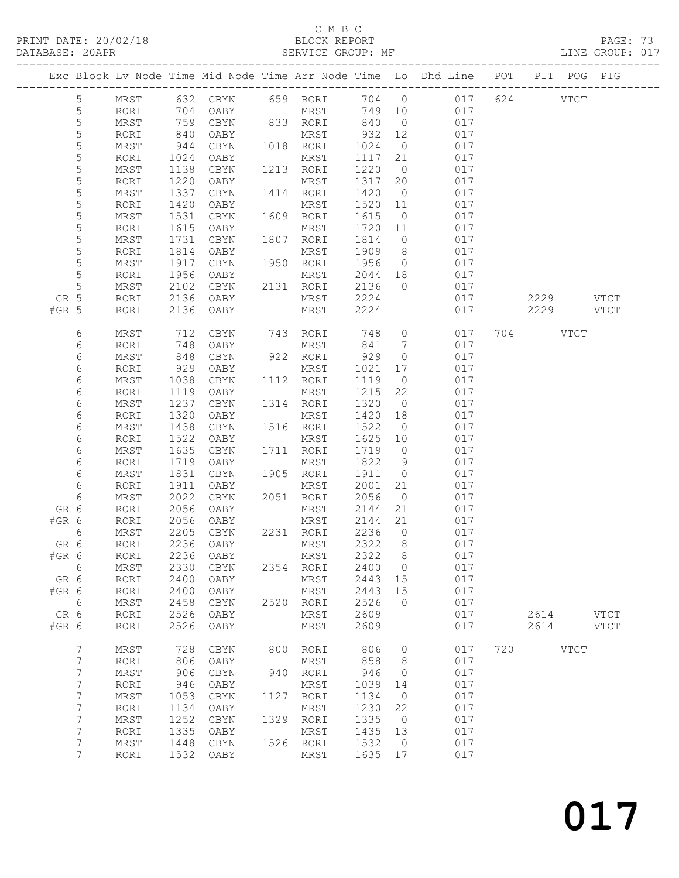### C M B C<br>BLOCK REPORT

| DATABASE: 20APR |                  |      |                   |                |      | SERVICE GROUP: MF                  |          |                |                                                                                |           | LINE GROUP: 017 |
|-----------------|------------------|------|-------------------|----------------|------|------------------------------------|----------|----------------|--------------------------------------------------------------------------------|-----------|-----------------|
|                 |                  |      |                   |                |      |                                    |          |                | Exc Block Lv Node Time Mid Node Time Arr Node Time Lo Dhd Line POT PIT POG PIG |           |                 |
|                 | 5                |      |                   |                |      | MRST 632 CBYN 659 RORI             |          |                | 704 0 017 624 VTCT                                                             |           |                 |
|                 | 5                | RORI | 704               | <b>OABY</b>    |      | MRST                               |          |                | 749 10 017                                                                     |           |                 |
|                 | 5                | MRST | 759<br>840<br>944 |                |      | CBYN 833 RORI 840                  |          | $\overline{0}$ | 017                                                                            |           |                 |
|                 | $\mathsf S$      | RORI |                   | OABY           |      | MRST                               | $932$ 12 |                | 017                                                                            |           |                 |
|                 | 5                | MRST |                   | CBYN           |      | 1018 RORI                          | 1024     | $\overline{0}$ | 017                                                                            |           |                 |
|                 | 5                | RORI | 1024              | OABY           |      | MRST                               | 1117     | 21             | 017                                                                            |           |                 |
|                 | 5                | MRST | 1138              | CBYN           |      | 1213 RORI                          | 1220     | $\overline{0}$ | 017                                                                            |           |                 |
|                 | $\mathsf S$      | RORI | 1220              | OABY           |      | MRST                               | 1317 20  |                | 017                                                                            |           |                 |
|                 | $\mathsf S$      | MRST | 1337              | CBYN           |      | 1414 RORI                          | 1420     | $\overline{0}$ | 017                                                                            |           |                 |
|                 | 5                | RORI | 1420              | OABY           |      | MRST                               | 1520 11  |                | 017                                                                            |           |                 |
|                 | 5                | MRST | 1531              | CBYN           |      | 1609 RORI                          | 1615     | $\overline{0}$ | 017                                                                            |           |                 |
|                 | 5                | RORI | 1615              | OABY           |      | MRST                               | 1720 11  |                | 017                                                                            |           |                 |
|                 | $\mathsf S$      | MRST | 1731              | CBYN           |      | 1807 RORI                          | 1814     | $\overline{0}$ | 017                                                                            |           |                 |
|                 | 5                | RORI | 1814              | OABY           |      | MRST                               | 1909     | 8 <sup>8</sup> | 017                                                                            |           |                 |
|                 | 5                | MRST | 1917              | CBYN           |      | 1950 RORI                          | 1956     | $\overline{0}$ | 017                                                                            |           |                 |
|                 | 5                | RORI | 1956              | OABY           |      | MRST                               | 2044 18  |                | 017                                                                            |           |                 |
|                 | 5                | MRST | 2102              | CBYN 2131 RORI |      |                                    | 2136     | $\overline{0}$ | 017                                                                            |           |                 |
| GR 5            |                  | RORI | 2136              | OABY           |      | MRST 2224                          |          |                | 017                                                                            | 2229 VTCT |                 |
| $#GR$ 5         |                  | RORI | 2136              | OABY           |      | MRST                               | 2224     |                | 017                                                                            | 2229 VTCT |                 |
|                 | 6                | MRST | 712               |                |      | CBYN 743 RORI 748<br>OABY MRST 841 |          | $\overline{0}$ | 017                                                                            | 704 VTCT  |                 |
|                 | 6                | RORI | 748               | OABY           |      | MRST                               | 841      | $\overline{7}$ | 017                                                                            |           |                 |
|                 | 6                | MRST | 848               | CBYN           |      | 922 RORI                           | 929      | $\overline{0}$ | 017                                                                            |           |                 |
|                 | 6                | RORI | 929               | OABY           |      | MRST                               | 1021     | 17             | 017                                                                            |           |                 |
|                 | 6                | MRST | 1038              | CBYN           |      | 1112 RORI                          | 1119     | $\overline{0}$ | 017                                                                            |           |                 |
|                 | 6                | RORI | 1119              | OABY           |      | MRST                               | 1215     | 22             | 017                                                                            |           |                 |
|                 | 6                | MRST | 1237              | CBYN           |      | 1314 RORI                          | 1320     | $\overline{0}$ | 017                                                                            |           |                 |
|                 | 6                | RORI | 1320              | OABY           |      | MRST                               | 1420     | 18             | 017                                                                            |           |                 |
|                 | 6                | MRST | 1438              | CBYN           |      | 1516 RORI                          | 1522     | $\overline{0}$ | 017                                                                            |           |                 |
|                 | 6                | RORI | 1522              | OABY           |      | MRST                               | 1625     | 10             | 017                                                                            |           |                 |
|                 | 6                | MRST | 1635              | CBYN           |      | 1711 RORI                          | 1719     | $\overline{0}$ | 017                                                                            |           |                 |
|                 | 6                | RORI | 1719              | OABY           |      | MRST                               | 1822     | $\overline{9}$ | 017                                                                            |           |                 |
|                 | 6                | MRST | 1831              | CBYN           |      | 1905 RORI                          | 1911     | $\overline{0}$ | 017                                                                            |           |                 |
|                 | 6                | RORI | 1911              | OABY           |      | MRST                               | 2001     | 21             | 017                                                                            |           |                 |
|                 | 6                | MRST | 2022              | CBYN           |      | 2051 RORI                          | 2056     | $\overline{0}$ | 017                                                                            |           |                 |
| GR 6            |                  | RORI | 2056              | OABY           |      | MRST                               | 2144     | 21             | 017                                                                            |           |                 |
| #GR 6           |                  | RORI | 2056              | OABY           |      | MRST                               | 2144 21  |                | 017                                                                            |           |                 |
|                 | 6                | MRST |                   | 2205 CBYN      |      | 2231 RORI                          | 2236     | $\overline{0}$ | 017                                                                            |           |                 |
| GR 6            |                  |      |                   |                |      | RORI 2236 OABY MRST 2322 8         |          |                | 017                                                                            |           |                 |
| $#GR$ 6         |                  | RORI |                   | 2236 OABY      |      | MRST                               | 2322     | 8 <sup>8</sup> | 017                                                                            |           |                 |
| $6\overline{6}$ |                  | MRST | 2330              | CBYN 2354 RORI |      |                                    | 2400 0   |                | 017                                                                            |           |                 |
| GR 6            |                  | RORI | 2400              | OABY           |      | MRST                               | 2443     | 15             | 017                                                                            |           |                 |
| #GR 6           |                  | RORI | 2400              | OABY           |      | MRST                               | 2443     | 15             | 017                                                                            |           |                 |
| $6\overline{6}$ |                  | MRST | 2458              | CBYN           | 2520 | RORI                               | 2526     | $\overline{0}$ | 017                                                                            |           |                 |
| GR 6            |                  | RORI | 2526              | OABY           |      | MRST                               | 2609     |                | 017                                                                            | 2614 VTCT |                 |
| #GR 6           |                  | RORI | 2526              | OABY           |      | MRST                               | 2609     |                | 017                                                                            | 2614 VTCT |                 |
|                 | 7                | MRST |                   | 728 CBYN       |      | 800 RORI                           | 806      | $\overline{0}$ | 017                                                                            | 720 VTCT  |                 |
|                 | $7\phantom{.0}$  | RORI | 806               | OABY           |      | MRST                               | 858      | 8 <sup>8</sup> | 017                                                                            |           |                 |
|                 | $\boldsymbol{7}$ | MRST | 906               | CBYN           |      | 940 RORI                           | 946      | $\overline{0}$ | 017                                                                            |           |                 |
|                 | 7                | RORI | 946               | OABY           |      | MRST                               | 1039     | 14             | 017                                                                            |           |                 |
|                 | $\boldsymbol{7}$ | MRST | 1053              | CBYN           | 1127 | RORI                               | 1134     | $\overline{0}$ | 017                                                                            |           |                 |
|                 | 7                | RORI | 1134              | OABY           |      | MRST                               | 1230     | 22             | 017                                                                            |           |                 |
|                 | $\boldsymbol{7}$ | MRST | 1252              | CBYN           |      | 1329 RORI                          | 1335     | $\overline{0}$ | 017                                                                            |           |                 |
|                 | 7                | RORI | 1335              | OABY           |      | MRST                               | 1435 13  |                | 017                                                                            |           |                 |
|                 | 7                | MRST | 1448              | CBYN           |      | 1526 RORI                          | 1532     | $\overline{0}$ | 017                                                                            |           |                 |
|                 | 7                | RORI |                   | 1532 OABY      |      | MRST                               | 1635 17  |                | 017                                                                            |           |                 |
|                 |                  |      |                   |                |      |                                    |          |                |                                                                                |           |                 |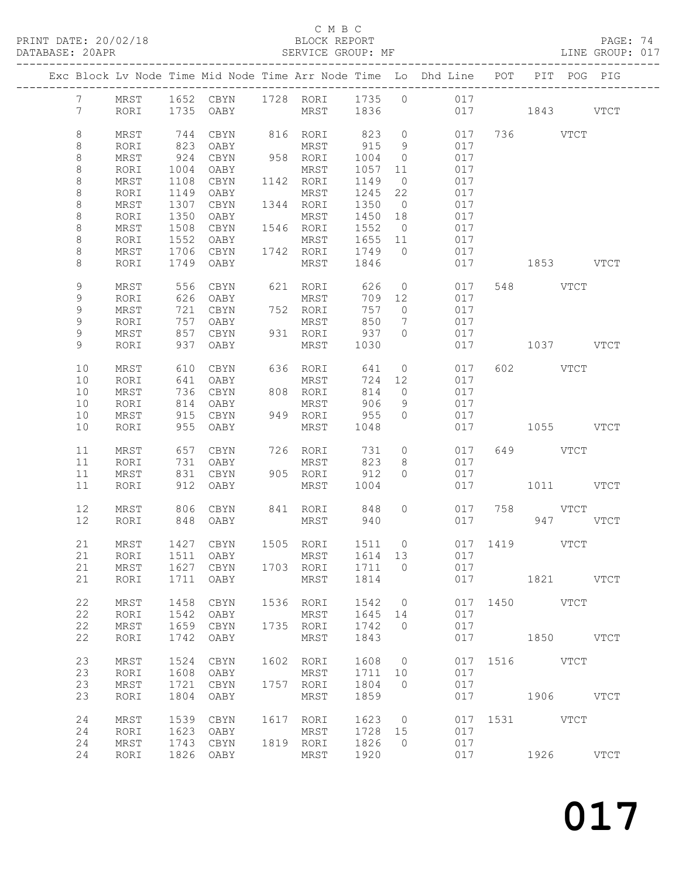PRINT DATE: 20/02/18 BLOCK REPORT BATABASE: 20APR BEST SERVICE GROUP: MF

C M B C<br>BLOCK REPORT

PAGE: 74<br>LINE GROUP: 017

|                 |      |      |                            |              |         |                | Exc Block Lv Node Time Mid Node Time Arr Node Time Lo Dhd Line POT |               |           |          | PIT POG PIG |
|-----------------|------|------|----------------------------|--------------|---------|----------------|--------------------------------------------------------------------|---------------|-----------|----------|-------------|
| $7\overline{ }$ | MRST |      | 1652 CBYN 1728 RORI 1735 0 |              |         |                | 017                                                                |               |           |          |             |
| $7\phantom{.0}$ | RORI |      | 1735 OABY                  | MRST 1836    |         |                |                                                                    | 017 1843 VTCT |           |          |             |
| 8               | MRST | 744  | CBYN                       | 816 RORI     | 823     | $\overline{0}$ | 017                                                                |               | 736 VTCT  |          |             |
| 8               | RORI | 823  | OABY                       | MRST         | 915     | 9              | 017                                                                |               |           |          |             |
| 8               | MRST | 924  | CBYN                       | 958 RORI     | 1004    | $\overline{0}$ | 017                                                                |               |           |          |             |
| $\,8\,$         | RORI | 1004 | OABY                       | MRST         | 1057    | 11             | 017                                                                |               |           |          |             |
| $\,8\,$         | MRST | 1108 | CBYN                       | 1142 RORI    | 1149    | $\overline{0}$ | 017                                                                |               |           |          |             |
| $\,8\,$         | RORI | 1149 | OABY                       | MRST         | 1245    | 22             | 017                                                                |               |           |          |             |
| $\,8\,$         | MRST | 1307 | CBYN                       | 1344 RORI    | 1350    | $\overline{0}$ | 017                                                                |               |           |          |             |
| $\,8\,$         | RORI | 1350 | OABY                       | MRST         | 1450 18 |                | 017                                                                |               |           |          |             |
| $\,8\,$         | MRST | 1508 | CBYN                       | 1546 RORI    | 1552    | $\overline{0}$ | 017                                                                |               |           |          |             |
| $\,8\,$         | RORI | 1552 | OABY                       | MRST         | 1655 11 |                | 017                                                                |               |           |          |             |
| $\,8\,$         | MRST |      | 1706 CBYN                  | 1742 RORI    | 1749    | $\overline{0}$ | 017                                                                |               |           |          |             |
| 8               | RORI |      | 1749 OABY                  | MRST         | 1846    |                | 017                                                                |               | 1853 VTCT |          |             |
| 9               | MRST | 556  | CBYN                       | 621 RORI     | 626     | $\overline{0}$ | 017                                                                |               | 548 VTCT  |          |             |
| 9               | RORI |      | 626 OABY                   | MRST         | 709 12  |                | 017                                                                |               |           |          |             |
| 9               | MRST | 721  | CBYN                       | 752 RORI     | 757     | $\overline{0}$ | 017                                                                |               |           |          |             |
| 9               | RORI | 757  | OABY                       | MRST         | 850     | $\overline{7}$ | 017                                                                |               |           |          |             |
| 9               | MRST | 857  | CBYN                       | 931 RORI     | 937     | $\Omega$       | 017                                                                |               |           |          |             |
| 9               | RORI | 937  | OABY                       | MRST         | 1030    |                | 017                                                                |               | 1037 VTCT |          |             |
|                 |      |      |                            |              |         |                |                                                                    |               |           |          |             |
| 10              | MRST | 610  | CBYN                       | 636 RORI     | 641     | $\overline{0}$ | 017                                                                |               | 602 VTCT  |          |             |
| 10              | RORI | 641  | OABY                       | MRST         | 724     | 12             | 017                                                                |               |           |          |             |
| 10              | MRST | 736  | CBYN                       | 808 RORI     | 814     | $\overline{0}$ | 017                                                                |               |           |          |             |
| 10              | RORI | 814  | OABY                       | MRST         | 906     | 9              | 017                                                                |               |           |          |             |
| 10              | MRST | 915  | CBYN                       | 949 RORI     | 955     | $\overline{0}$ | 017                                                                |               |           |          |             |
| 10              | RORI | 955  | OABY                       | MRST         | 1048    |                | 017                                                                |               | 1055 VTCT |          |             |
| 11              | MRST | 657  | CBYN                       | 726 RORI     | 731     | $\circ$        | 017                                                                |               | 649 VTCT  |          |             |
| 11              | RORI | 731  | OABY                       | MRST         | 823     | 8              | 017                                                                |               |           |          |             |
| 11              | MRST | 831  | CBYN                       | 905 RORI     | 912     | $\Omega$       | 017                                                                |               |           |          |             |
| 11              | RORI | 912  | OABY                       | MRST         | 1004    |                | 017                                                                |               | 1011 VTCT |          |             |
| 12              | MRST |      | 806 CBYN                   | 841 RORI 848 |         | $\circ$        | 017                                                                |               | 758 VTCT  |          |             |
| 12              | RORI | 848  | OABY                       | MRST         | 940     |                |                                                                    | 017 — 17      |           | 947 VTCT |             |
|                 |      |      |                            |              |         |                |                                                                    |               |           |          |             |
| 21              | MRST |      | 1427 CBYN                  | 1505 RORI    | 1511 0  |                |                                                                    | 017 1419 VTCT |           |          |             |
|                 |      |      |                            |              |         |                | 21 RORI 1511 OABY MRST 1614 13 017                                 |               |           |          |             |
| 21              | MRST |      | 1627 CBYN                  | 1703 RORI    | 1711    | $\overline{0}$ | 017                                                                |               |           |          |             |
| 21              | RORI | 1711 | OABY                       | MRST         | 1814    |                |                                                                    | 017           | 1821 VTCT |          |             |
| 22              | MRST | 1458 | CBYN                       | 1536 RORI    | 1542    | $\overline{0}$ |                                                                    | 017 1450 VTCT |           |          |             |
| 22              | RORI | 1542 | OABY                       | MRST         | 1645    | 14             | 017                                                                |               |           |          |             |
| 22              | MRST | 1659 | CBYN                       | 1735 RORI    | 1742    | $\overline{0}$ | 017                                                                |               |           |          |             |
| 22              | RORI | 1742 | OABY                       | MRST         | 1843    |                | 017                                                                | 1850 VTCT     |           |          |             |
| 23              | MRST | 1524 | CBYN                       | 1602 RORI    | 1608 0  |                |                                                                    | 017 1516 VTCT |           |          |             |
| 23              | RORI | 1608 | OABY                       | MRST         | 1711    | 10             | 017                                                                |               |           |          |             |
| 23              | MRST | 1721 | CBYN                       | 1757 RORI    | 1804    | $\overline{0}$ | 017                                                                |               |           |          |             |
| 23              | RORI | 1804 | OABY                       | MRST         | 1859    |                | 017                                                                | 1906 VTCT     |           |          |             |
|                 |      |      |                            |              |         |                |                                                                    |               |           |          |             |
| 24              | MRST | 1539 | CBYN                       | 1617 RORI    | 1623 0  |                |                                                                    | 017 1531 VTCT |           |          |             |
| 24              | RORI | 1623 | OABY                       | MRST         | 1728 15 |                | 017                                                                |               |           |          |             |
| 24              | MRST | 1743 | CBYN                       | 1819 RORI    | 1826    | $\overline{0}$ | 017                                                                |               |           |          |             |
| 24              | RORI |      | 1826 OABY                  | MRST         | 1920    |                |                                                                    | 017 1926 VTCT |           |          |             |
|                 |      |      |                            |              |         |                |                                                                    |               |           |          |             |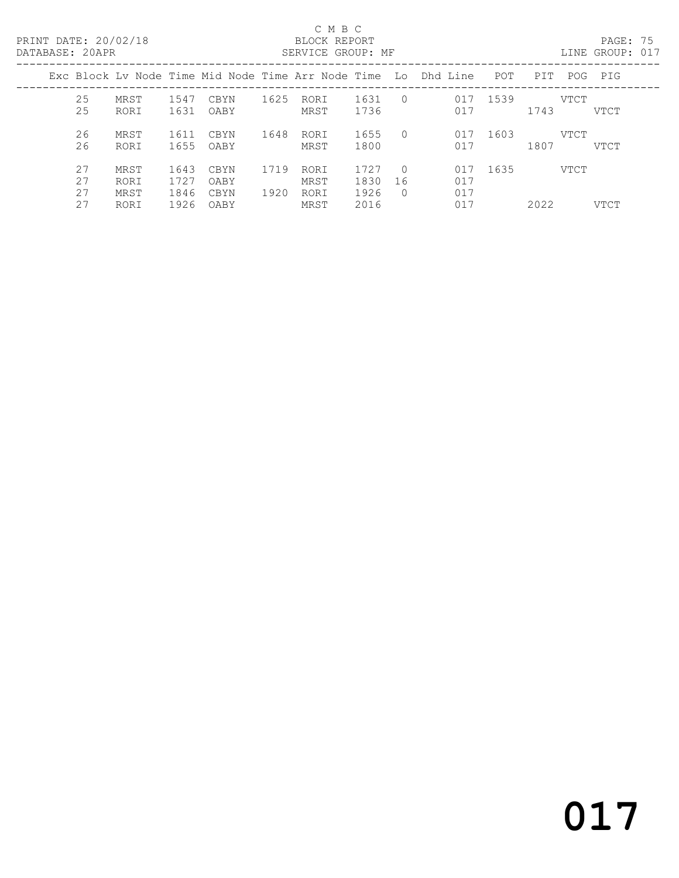### C M B C<br>BLOCK REPORT

PAGE: 75<br>LINE GROUP: 017

| <u>DII ILIDI 10 LUI IN</u> |                      |                      |                      |              | NAIVATON GIVOLI . HI |                      |                              |                                                                    |      |      |      | TTM GIVOL . ATT |
|----------------------------|----------------------|----------------------|----------------------|--------------|----------------------|----------------------|------------------------------|--------------------------------------------------------------------|------|------|------|-----------------|
|                            |                      |                      |                      |              |                      |                      |                              | Exc Block Lv Node Time Mid Node Time Arr Node Time Lo Dhd Line POT |      | PIT  |      | POG PIG         |
| 25<br>25                   | MRST<br>RORI         | 1547<br>1631         | CBYN<br>OABY         | 1625         | RORI<br>MRST         | 1631<br>1736         | $\bigcirc$                   | 017<br>017                                                         | 1539 | 1743 | VTCT | VTCT            |
| 26<br>26                   | MRST<br>RORI         | 1611<br>1655         | CBYN<br>OABY         | 1648         | RORI<br>MRST         | 1655<br>1800         | $\cap$                       | 017<br>017                                                         | 1603 | 1807 | VTCT | VTCT            |
| 27<br>27<br>27             | MRST<br>RORI<br>MRST | 1643<br>1727<br>1846 | CBYN<br>OABY<br>CBYN | 1719<br>1920 | RORI<br>MRST<br>RORI | 1727<br>1830<br>1926 | $\bigcirc$<br>16<br>$\Omega$ | 017<br>017<br>017                                                  | 1635 |      | VTCT |                 |
| 27                         | RORI                 | 1926                 | OABY                 |              | MRST                 | 2016                 |                              | 017                                                                |      | 2022 |      | <b>VTCT</b>     |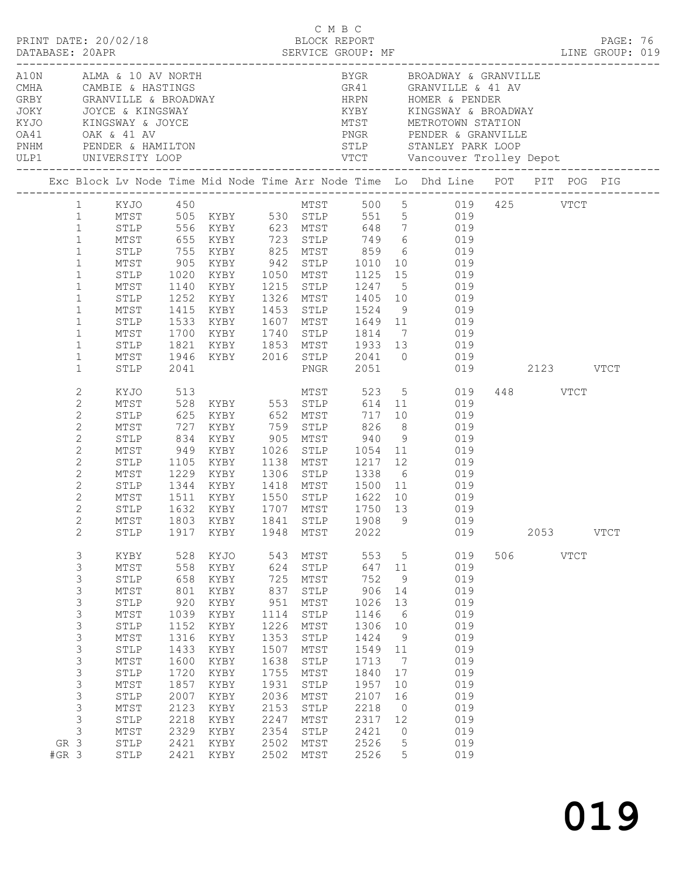|                                                                                                                                                                                                             |                                                                                                                                                                                                                                              |                                                                                                                                                 |                                                                                                                                                                                                     |                                                                                                                                                 |                                                                                                                                                                                      | смвс                                                                                                                                             |                                                                                                 | PRINT DATE: 20/02/18 BLOCK REPORT PAGE: 16<br>DATABASE: 20APR SERVICE GROUP: MF SERVICE SERVICE SERVICE SERGERENT DATABASE: 20APR PAGE: 019<br>LINE GROUP: 019                                                                                                                                                                                                                                                               |     |          |             |             |  |
|-------------------------------------------------------------------------------------------------------------------------------------------------------------------------------------------------------------|----------------------------------------------------------------------------------------------------------------------------------------------------------------------------------------------------------------------------------------------|-------------------------------------------------------------------------------------------------------------------------------------------------|-----------------------------------------------------------------------------------------------------------------------------------------------------------------------------------------------------|-------------------------------------------------------------------------------------------------------------------------------------------------|--------------------------------------------------------------------------------------------------------------------------------------------------------------------------------------|--------------------------------------------------------------------------------------------------------------------------------------------------|-------------------------------------------------------------------------------------------------|------------------------------------------------------------------------------------------------------------------------------------------------------------------------------------------------------------------------------------------------------------------------------------------------------------------------------------------------------------------------------------------------------------------------------|-----|----------|-------------|-------------|--|
|                                                                                                                                                                                                             | ULP1 UNIVERSITY LOOP                                                                                                                                                                                                                         |                                                                                                                                                 | A10N ALMA & 10 AV NORTH<br>CMHA CAMBIE & HASTINGS<br>GRBY GRANVILLE & BROADWAY<br>JOKY JOYCE & KINGSWAY<br>KYJO KINGSWAY & JOYCE<br>OA41 OAK & 41 AV<br>PENDER & HAMILTON<br>WIMM PENDER & HAMILTON |                                                                                                                                                 |                                                                                                                                                                                      |                                                                                                                                                  |                                                                                                 | BYGR BROADWAY & GRANVILLE<br>KYBY KINGSWAY & BROADWAY                                                                                                                                                                                                                                                                                                                                                                        |     |          |             |             |  |
|                                                                                                                                                                                                             |                                                                                                                                                                                                                                              |                                                                                                                                                 |                                                                                                                                                                                                     |                                                                                                                                                 |                                                                                                                                                                                      |                                                                                                                                                  |                                                                                                 | Exc Block Lv Node Time Mid Node Time Arr Node Time Lo Dhd Line POT PIT POG PIG                                                                                                                                                                                                                                                                                                                                               |     |          |             |             |  |
| $\mathbf{1}$<br>$\mathbf{1}$<br>$\mathbf{1}$<br>$\mathbf{1}$<br>$\mathbf{1}$<br>$\mathbf{1}$<br>$\mathbf 1$<br>$\mathbf{1}$<br>$\mathbf{1}$<br>$\mathbf{1}$<br>$\mathbf{1}$<br>$\mathbf{1}$<br>$\mathbf{1}$ | STLP<br>MTST<br>STLP<br>MTST<br>STLP<br>MTST<br>STLP<br>MTST<br>STLP<br>MTST<br>STLP<br>MTST<br>STLP                                                                                                                                         | 2041                                                                                                                                            |                                                                                                                                                                                                     |                                                                                                                                                 |                                                                                                                                                                                      | PNGR 2051                                                                                                                                        |                                                                                                 | 1 KYJO 450 MTST 500 5 019 425 VTCT<br>1 MTST 505 KYBY 530 STLP 551 5 019<br>755 KYBY 825 MTST 859 6 019<br>905 KYBY 942 STLP 1010 10 019<br>1020 KYBY 1050 MTST 1125 15 019<br>1140 KYBY 1215 STLP 1247 5 019<br>1252 KYBY 1326 MTST 1405 10 019<br>1415 KYBY 1453 STLP 1524 9 019<br>1533 KYBY 1607 MTST 1649 11 019<br>1700 KYBY 1740 STLP 1814 7 019<br>1821 KYBY 1853 MTST 1933 13 019<br>1946 KYBY 2016 STLP 2041 0 019 |     |          |             |             |  |
| 2<br>$\mathbf{2}$<br>$\mathbf{2}$<br>$\mathbf{2}$<br>$\mathbf{2}$<br>$\mathbf{2}$<br>$\mathbf{2}$<br>$\overline{c}$<br>$\mathbf{2}$<br>$\mathbf{2}$<br>2<br>$2\overline{ }$                                 | KYJO 513<br>MTST<br>STLP<br>MTST<br>STLP<br>MTST<br>STLP<br>MTST<br>STLP                                                                                                                                                                     | 1105                                                                                                                                            | MTST 1229 KYBY 1306 STLP 1338 6<br>STLP 1344 KYBY 1418 MTST 1500 11<br>1632 KYBY 1707 MTST<br>MTST 1803 KYBY 1841 STLP 1908 9                                                                       |                                                                                                                                                 |                                                                                                                                                                                      | 717<br>1750 13                                                                                                                                   |                                                                                                 | MTST 523 5 019<br>528 KYBY 553 STLP 614 11 019<br>10 019<br>XYBY 759 STLP 826 8 019<br>XYBY 905 MTST 940 9 019<br>949 KYBY 1026 STLP 1054 11 019<br>KYBY 1138 MTST 1217 12 019<br>019<br>019<br>1511 KYBY 1550 STLP 1622 10 019<br>019<br>019                                                                                                                                                                                |     | 448 VTCT |             |             |  |
| $\mathbf{2}$<br>3<br>$\mathsf S$<br>3<br>3<br>3<br>$\mathsf S$<br>$\mathsf 3$<br>3<br>3<br>3<br>$\mathsf 3$<br>3<br>3<br>3<br>$\mathsf S$<br>3<br>GR 3<br>$#GR$ 3                                           | STLP<br>KYBY<br>$\mathtt{MTST}$<br>STLP<br>$\mathtt{MTST}$<br>STLP<br>$\mathtt{MTST}$<br>STLP<br>$\mathtt{MTST}$<br>STLP<br>$\mathtt{MTST}$<br>STLP<br>$\mathtt{MTST}$<br>STLP<br>$\mathtt{MTST}$<br>STLP<br>$\mathtt{MTST}$<br>STLP<br>STLP | 1917<br>528<br>558<br>658<br>801<br>920<br>1039<br>1152<br>1316<br>1433<br>1600<br>1720<br>1857<br>2007<br>2123<br>2218<br>2329<br>2421<br>2421 | KYBY<br>KYJO<br>KYBY<br>KYBY<br>KYBY<br>KYBY<br>KYBY<br>KYBY<br>KYBY<br>KYBY<br>KYBY<br>KYBY<br>KYBY<br>KYBY<br>KYBY<br>KYBY<br>KYBY<br>KYBY<br>KYBY                                                | 1948<br>543<br>624<br>725<br>837<br>951<br>1114<br>1226<br>1353<br>1507<br>1638<br>1755<br>1931<br>2036<br>2153<br>2247<br>2354<br>2502<br>2502 | MTST<br>MTST<br>${\tt STLP}$<br>MTST<br>${\tt STLP}$<br>MTST<br>${\tt STLP}$<br>MTST<br>STLP<br>MTST<br>STLP<br>MTST<br>${\tt STLP}$<br>MTST<br>STLP<br>MTST<br>STLP<br>MTST<br>MTST | 2022<br>553<br>647<br>752<br>906<br>1026<br>1146<br>1306<br>1424<br>1549<br>1713<br>1840<br>1957<br>2107<br>2218<br>2317<br>2421<br>2526<br>2526 | 5<br>11<br>9<br>14<br>13<br>6<br>10<br>9<br>11<br>7<br>17<br>10<br>16<br>0<br>12<br>0<br>5<br>5 | 019<br>019<br>019<br>019<br>019<br>019<br>019<br>019<br>019<br>019<br>019<br>019<br>019<br>019<br>019<br>019<br>019<br>019<br>019                                                                                                                                                                                                                                                                                            | 506 | 2053     | <b>VTCT</b> | <b>VTCT</b> |  |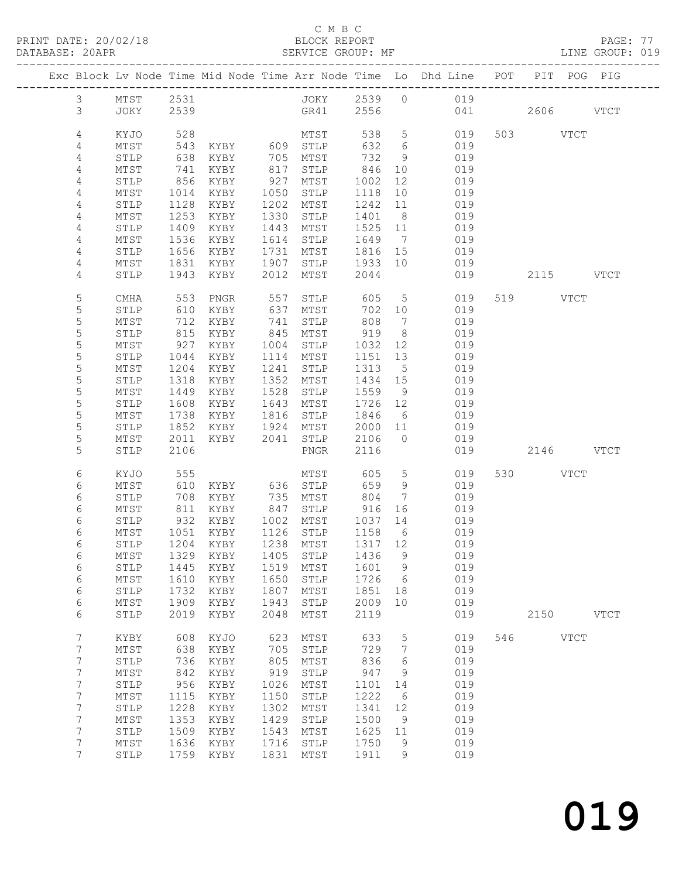PRINT DATE: 20/02/18 BLOCK REPORT BATABASE: 20APR BEST SERVICE GROUP: MF

### C M B C<br>BLOCK REPORT

PAGE: 77<br>LINE GROUP: 019

|  |                                    |              |              |                                 |              |                      |              |                      | Exc Block Lv Node Time Mid Node Time Arr Node Time Lo Dhd Line POT PIT POG PIG |     |           |             |             |
|--|------------------------------------|--------------|--------------|---------------------------------|--------------|----------------------|--------------|----------------------|--------------------------------------------------------------------------------|-----|-----------|-------------|-------------|
|  | $\mathfrak{Z}$                     | MTST         | 2531         |                                 |              |                      |              |                      | JOKY 2539 0 019                                                                |     |           |             |             |
|  | 3                                  | JOKY         | 2539         |                                 |              | GR41                 | 2556         |                      | 041                                                                            |     | 2606 VTCT |             |             |
|  |                                    |              |              |                                 |              |                      |              |                      |                                                                                |     |           |             |             |
|  | 4                                  | KYJO         | 528          |                                 |              | MTST                 | 538          | $5\overline{)}$      | 019                                                                            |     | 503 VTCT  |             |             |
|  | 4                                  | MTST         | 543          | KYBY 609 STLP                   |              |                      | 632          | 6                    | 019                                                                            |     |           |             |             |
|  | 4                                  | STLP         | 638          | KYBY                            |              | 705 MTST             | 732          | 9                    | 019                                                                            |     |           |             |             |
|  | 4                                  | MTST         | 741          | KYBY                            | 817          | STLP                 | 846          | 10                   | 019                                                                            |     |           |             |             |
|  | 4                                  | STLP         | 856          | KYBY                            | 927          | MTST                 | 1002         | 12                   | 019                                                                            |     |           |             |             |
|  | 4                                  | MTST         | 1014         | KYBY                            | 1050         | STLP                 | 1118         | 10 <sup>°</sup>      | 019                                                                            |     |           |             |             |
|  | 4                                  | STLP         | 1128         | KYBY                            | 1202         | MTST                 | 1242         | 11                   | 019                                                                            |     |           |             |             |
|  | 4<br>4                             | MTST         | 1253         | KYBY                            | 1330         | STLP                 | 1401         | 8 <sup>8</sup><br>11 | 019<br>019                                                                     |     |           |             |             |
|  | 4                                  | STLP<br>MTST | 1409<br>1536 | KYBY<br>KYBY                    | 1443<br>1614 | MTST<br>STLP         | 1525<br>1649 | $\overline{7}$       | 019                                                                            |     |           |             |             |
|  | 4                                  | STLP         | 1656         | KYBY                            | 1731         | MTST                 | 1816         | 15                   | 019                                                                            |     |           |             |             |
|  | 4                                  | MTST         | 1831         | KYBY                            | 1907         | STLP                 | 1933         | 10                   | 019                                                                            |     |           |             |             |
|  | 4                                  | STLP         | 1943         | KYBY                            | 2012         | MTST                 | 2044         |                      | 019                                                                            |     | 2115 VTCT |             |             |
|  |                                    |              |              |                                 |              |                      |              |                      |                                                                                |     |           |             |             |
|  | 5                                  | CMHA         | 553          | PNGR                            | 557          | STLP                 | 605          | $5^{\circ}$          | 019                                                                            |     | 519 VTCT  |             |             |
|  | $\mathsf S$                        | STLP         | 610          | KYBY                            | 637          | MTST                 | 702          | 10                   | 019                                                                            |     |           |             |             |
|  | $\mathsf S$                        | MTST         | 712          | KYBY                            | 741          | STLP                 | 808          | $\overline{7}$       | 019                                                                            |     |           |             |             |
|  | $\mathsf S$                        | STLP         | 815          | KYBY                            | 845          | MTST                 | 919          | 8 <sup>8</sup>       | 019                                                                            |     |           |             |             |
|  | 5                                  | MTST         | 927          | KYBY                            | 1004         | STLP                 | 1032         | 12                   | 019                                                                            |     |           |             |             |
|  | $\mathsf S$                        | STLP         | 1044         | KYBY                            |              | 1114 MTST            | 1151         | 13                   | 019                                                                            |     |           |             |             |
|  | 5                                  | MTST         | 1204         | KYBY                            | 1241         | STLP                 | 1313         | 5                    | 019                                                                            |     |           |             |             |
|  | 5                                  | STLP         | 1318         | KYBY                            | 1352         | MTST                 | 1434 15      |                      | 019                                                                            |     |           |             |             |
|  | 5                                  | MTST         | 1449         | KYBY                            | 1528         | STLP                 | 1559         | 9                    | 019                                                                            |     |           |             |             |
|  | 5                                  | STLP         | 1608         | KYBY                            | 1643         | MTST                 | 1726         | 12                   | 019                                                                            |     |           |             |             |
|  | $\mathsf S$<br>5                   | MTST<br>STLP | 1738<br>1852 | KYBY<br>KYBY                    | 1816<br>1924 | STLP                 | 1846<br>2000 | 6                    | 019<br>019                                                                     |     |           |             |             |
|  | 5                                  | MTST         | 2011         | KYBY                            | 2041         | MTST<br>STLP         | 2106         | 11<br>$\bigcirc$     | 019                                                                            |     |           |             |             |
|  | 5                                  | STLP         | 2106         |                                 |              | PNGR                 | 2116         |                      | 019                                                                            |     | 2146 VTCT |             |             |
|  |                                    |              |              |                                 |              |                      |              |                      |                                                                                |     |           |             |             |
|  | 6                                  | KYJO         | 555          |                                 |              | MTST                 | 605          | 5                    | 019                                                                            |     | 530 VTCT  |             |             |
|  | 6                                  | MTST         | 610          | KYBY                            |              | 636 STLP             | 659          | 9                    | 019                                                                            |     |           |             |             |
|  | 6                                  | STLP         | 708          | KYBY                            | 735          | MTST                 | 804          | 7                    | 019                                                                            |     |           |             |             |
|  | 6                                  | MTST         | 811          | KYBY                            | 847          | STLP                 | 916          | 16                   | 019                                                                            |     |           |             |             |
|  | 6                                  | STLP         | 932          | KYBY                            |              | 1002 MTST            | 1037 14      |                      | 019                                                                            |     |           |             |             |
|  | 6                                  | MTST         | 1051         | KYBY                            |              | 1126 STLP            | 1158         | $6\overline{6}$      | 019                                                                            |     |           |             |             |
|  | 6                                  | STLP         |              | 1204 KYBY                       |              | 1238 MTST            | 1317 12      |                      | 019                                                                            |     |           |             |             |
|  | 6                                  |              |              | MTST 1329 KYBY 1405 STLP 1436 9 |              |                      |              |                      | 019                                                                            |     |           |             |             |
|  | 6<br>6                             | STLP<br>MTST | 1445<br>1610 | KYBY<br>KYBY                    | 1519<br>1650 | MTST<br>${\tt STLP}$ | 1601<br>1726 | 9<br>- 6             | 019<br>019                                                                     |     |           |             |             |
|  | 6                                  | STLP         | 1732         | KYBY                            | 1807         | MTST                 | 1851         | 18                   | 019                                                                            |     |           |             |             |
|  | 6                                  | MTST         | 1909         | KYBY                            | 1943         | STLP                 | 2009         | 10                   | 019                                                                            |     |           |             |             |
|  | 6                                  | STLP         | 2019         | KYBY                            | 2048         | MTST                 | 2119         |                      | 019                                                                            |     | 2150      |             | <b>VTCT</b> |
|  |                                    |              |              |                                 |              |                      |              |                      |                                                                                |     |           |             |             |
|  | $7\phantom{.0}$                    | KYBY         | 608          | KYJO                            | 623          | MTST                 | 633          | 5                    | 019                                                                            | 546 |           | <b>VTCT</b> |             |
|  | $7\phantom{.0}$                    | MTST         | 638          | KYBY                            | 705          | STLP                 | 729          | $7\phantom{.0}$      | 019                                                                            |     |           |             |             |
|  | $7\phantom{.}$                     | STLP         | 736          | KYBY                            | 805          | MTST                 | 836          | 6                    | 019                                                                            |     |           |             |             |
|  | $7\phantom{.0}$                    | MTST         | 842          | KYBY                            | 919          | STLP                 | 947          | 9                    | 019                                                                            |     |           |             |             |
|  | $7\phantom{.}$                     | STLP         | 956          | KYBY                            | 1026         | MTST                 | 1101         | 14                   | 019                                                                            |     |           |             |             |
|  | $\boldsymbol{7}$<br>$7\phantom{.}$ | MTST<br>STLP | 1115<br>1228 | KYBY                            | 1150<br>1302 | STLP<br>MTST         | 1222<br>1341 | 6<br>12              | 019<br>019                                                                     |     |           |             |             |
|  | $7\phantom{.}$                     | MTST         | 1353         | KYBY<br>KYBY                    | 1429         | STLP                 | 1500         | 9                    | 019                                                                            |     |           |             |             |
|  | $7\phantom{.}$                     | STLP         | 1509         | KYBY                            | 1543         | MTST                 | 1625         | 11                   | 019                                                                            |     |           |             |             |
|  | $7\phantom{.}$                     | MTST         | 1636         | KYBY                            | 1716         | STLP                 | 1750         | 9                    | 019                                                                            |     |           |             |             |
|  | $7\phantom{.0}$                    | STLP         |              | 1759 KYBY                       | 1831         | MTST                 | 1911         | 9                    | 019                                                                            |     |           |             |             |
|  |                                    |              |              |                                 |              |                      |              |                      |                                                                                |     |           |             |             |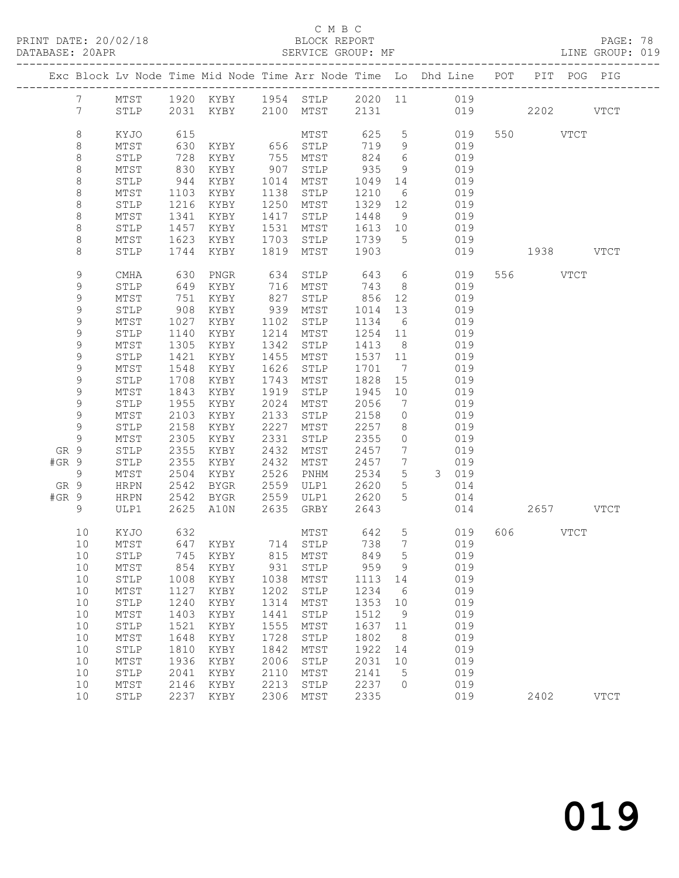### C M B C<br>
C M B C<br>
ELOCK REPORT

| DATABASE: 20APR |                 |              |               |              | SERVICE GROUP: MF                                                              |              |                              |         |            |           |          |           | LINE GROUP: 019 |  |
|-----------------|-----------------|--------------|---------------|--------------|--------------------------------------------------------------------------------|--------------|------------------------------|---------|------------|-----------|----------|-----------|-----------------|--|
|                 |                 |              |               |              | Exc Block Lv Node Time Mid Node Time Arr Node Time Lo Dhd Line POT PIT POG PIG |              |                              |         |            |           |          |           |                 |  |
|                 |                 |              |               |              | 7 MTST 1920 KYBY 1954 STLP 2020 11 019                                         |              |                              |         |            |           |          |           |                 |  |
| $7^{\circ}$     |                 |              |               |              | STLP 2031 KYBY 2100 MTST 2131                                                  |              |                              |         |            |           |          |           |                 |  |
| 8               | KYJO            | 615          |               |              | MTST                                                                           | 625          | $5\overline{)}$              | 019     |            |           | 550 VTCT |           |                 |  |
| 8               | $\mathtt{MTST}$ | 630          | KYBY 656 STLP |              |                                                                                | 719          | 9                            |         | 019        |           |          |           |                 |  |
| $\,8\,$         | STLP            | 728          | KYBY          |              | 755 MTST                                                                       | 824          | 6                            |         | 019        |           |          |           |                 |  |
| 8               | MTST            | 830          | KYBY          | 907          | STLP                                                                           | 935          | 9                            |         | 019        |           |          |           |                 |  |
| $\,8\,$         | STLP            | 944          | KYBY          |              | 1014 MTST                                                                      | 1049 14      |                              |         | 019        |           |          |           |                 |  |
| $\,8\,$         | MTST            | 1103         | KYBY          | 1138         | STLP                                                                           | 1210         | 6                            |         | 019        |           |          |           |                 |  |
| 8               | STLP            | 1216         | KYBY          | 1250         | MTST                                                                           | 1329 12      |                              |         | 019        |           |          |           |                 |  |
| $\,8\,$         | MTST            | 1341         | KYBY          | 1417         | STLP                                                                           | 1448         | 9                            |         | 019        |           |          |           |                 |  |
| $\,8\,$         | STLP            | 1457         | KYBY          | 1531         | MTST                                                                           | 1613 10      |                              |         | 019        |           |          |           |                 |  |
| 8               | MTST            | 1623         | KYBY          |              | 1703 STLP                                                                      | 1739         | $5^{\circ}$                  |         | 019        |           |          |           |                 |  |
| 8               | STLP            | 1744         | KYBY          | 1819         | MTST                                                                           | 1903         |                              |         | 019        | 1938 VTCT |          |           |                 |  |
| 9               | CMHA            | 630<br>649   | PNGR          | 634          | STLP                                                                           | 643          | 6                            |         | 019        |           | 556 VTCT |           |                 |  |
| 9               | STLP            |              | KYBY          |              | 716 MTST                                                                       | 743          | 8 <sup>8</sup>               |         | 019        |           |          |           |                 |  |
| 9               | MTST            | 751          | KYBY          | 827          | STLP                                                                           | 856 12       |                              |         | 019        |           |          |           |                 |  |
| 9               | STLP            | 908          | KYBY          |              | 939 MTST                                                                       | 1014         | 13                           |         | 019        |           |          |           |                 |  |
| 9               | MTST            | 1027         | KYBY          | 1102         | STLP                                                                           | 1134         | 6                            |         | 019        |           |          |           |                 |  |
| $\mathsf 9$     | ${\tt STLP}$    | 1140         | KYBY          |              | 1214 MTST                                                                      | 1254 11      |                              |         | 019        |           |          |           |                 |  |
| 9               | MTST            | 1305         | KYBY          | 1342         | STLP                                                                           | 1413         | 8 <sup>8</sup>               |         | 019        |           |          |           |                 |  |
| 9               | ${\tt STLP}$    | 1421         | KYBY          | 1455         | MTST                                                                           | 1537 11      |                              |         | 019        |           |          |           |                 |  |
| 9               | MTST            | 1548         | KYBY          | 1626         | STLP                                                                           | 1701         | $\overline{7}$               |         | 019        |           |          |           |                 |  |
| $\mathsf 9$     | STLP            | 1708         | KYBY          | 1743         | MTST                                                                           | 1828         | 15                           |         | 019        |           |          |           |                 |  |
| 9<br>9          | MTST            | 1843         | KYBY          | 1919         | STLP                                                                           | 1945         | 10                           |         | 019        |           |          |           |                 |  |
| 9               | STLP            | 1955<br>2103 | KYBY          | 2024<br>2133 | MTST                                                                           | 2056<br>2158 | $\overline{7}$<br>$\circ$    |         | 019<br>019 |           |          |           |                 |  |
| $\mathsf 9$     | MTST<br>STLP    | 2158         | KYBY<br>KYBY  |              | STLP<br>2227 MTST                                                              | 2257         | 8                            |         | 019        |           |          |           |                 |  |
| 9               | MTST            | 2305         | KYBY          | 2331         | STLP                                                                           | 2355         | $\circ$                      |         | 019        |           |          |           |                 |  |
| GR 9            | STLP            | 2355         | KYBY          |              | 2432 MTST                                                                      | 2457         | $7\phantom{.0}\phantom{.0}7$ |         | 019        |           |          |           |                 |  |
| #GR 9           | STLP            | 2355         | KYBY          | 2432         | MTST                                                                           | 2457         | $7\overline{ }$              |         | 019        |           |          |           |                 |  |
| 9               | MTST            | 2504         | KYBY          | 2526         | PNHM                                                                           | 2534         | $5\overline{)}$              |         | 3 019      |           |          |           |                 |  |
| GR 9            | HRPN            | 2542         | BYGR          | 2559         | ULP1                                                                           | 2620         | $5\phantom{.}$               |         | 014        |           |          |           |                 |  |
| #GR 9           | HRPN            | 2542         | BYGR          |              | 2559 ULP1                                                                      | 2620         | 5                            |         | 014        |           |          |           |                 |  |
| 9               | ULP1            | 2625         | A10N          | 2635         | GRBY                                                                           | 2643         |                              |         |            | 014       |          | 2657 VTCT |                 |  |
| 10              | KYJO            | 632          |               |              | MTST 642                                                                       |              |                              | $5 - 5$ | 019        |           | 606 VTCT |           |                 |  |
| 10              |                 |              |               |              | MTST 647 KYBY 714 STLP 738 7 019                                               |              |                              |         |            |           |          |           |                 |  |
| 10              | STLP            | 745          | KYBY          | 815          | MTST                                                                           | 849          | 5                            |         | 019        |           |          |           |                 |  |
| 10              | MTST            | 854          | KYBY          | 931          | STLP                                                                           | 959          | 9                            |         | 019        |           |          |           |                 |  |
| 10              | STLP            | 1008         | KYBY          | 1038         | MTST                                                                           | 1113         | 14                           |         | 019        |           |          |           |                 |  |
| 10              | MTST            | 1127         | KYBY          | 1202         | STLP                                                                           | 1234         | $6\overline{6}$              |         | 019        |           |          |           |                 |  |
| 10              | STLP            | 1240         | KYBY          | 1314         | MTST                                                                           | 1353         | 10                           |         | 019        |           |          |           |                 |  |
| 10              | $\mathtt{MTST}$ | 1403         | KYBY          | 1441         | ${\tt STLP}$                                                                   | 1512         | 9                            |         | 019        |           |          |           |                 |  |
| 10              | STLP            | 1521         | KYBY          | 1555         | MTST                                                                           | 1637         | 11                           |         | 019        |           |          |           |                 |  |
| 10              | $\mathtt{MTST}$ | 1648         | KYBY          | 1728         | STLP                                                                           | 1802         | 8 <sup>8</sup>               |         | 019        |           |          |           |                 |  |
| 10              | STLP            | 1810         | KYBY          | 1842         | MTST                                                                           | 1922         | 14                           |         | 019        |           |          |           |                 |  |
| 10              | $\mathtt{MTST}$ | 1936         | KYBY          | 2006         | STLP                                                                           | 2031         | 10                           |         | 019        |           |          |           |                 |  |
| 10              | STLP            | 2041         | KYBY          | 2110         | MTST                                                                           | 2141         | $5\phantom{.0}$              |         | 019        |           |          |           |                 |  |
| 10              | ${\tt MTST}$    | 2146         | KYBY          | 2213         | STLP                                                                           | 2237         | $\overline{0}$               |         | 019        |           |          |           |                 |  |
| 10              | STLP            | 2237         | KYBY          | 2306         | MTST                                                                           | 2335         |                              |         | 019        |           | 2402     |           | $_{\rm VTCT}$   |  |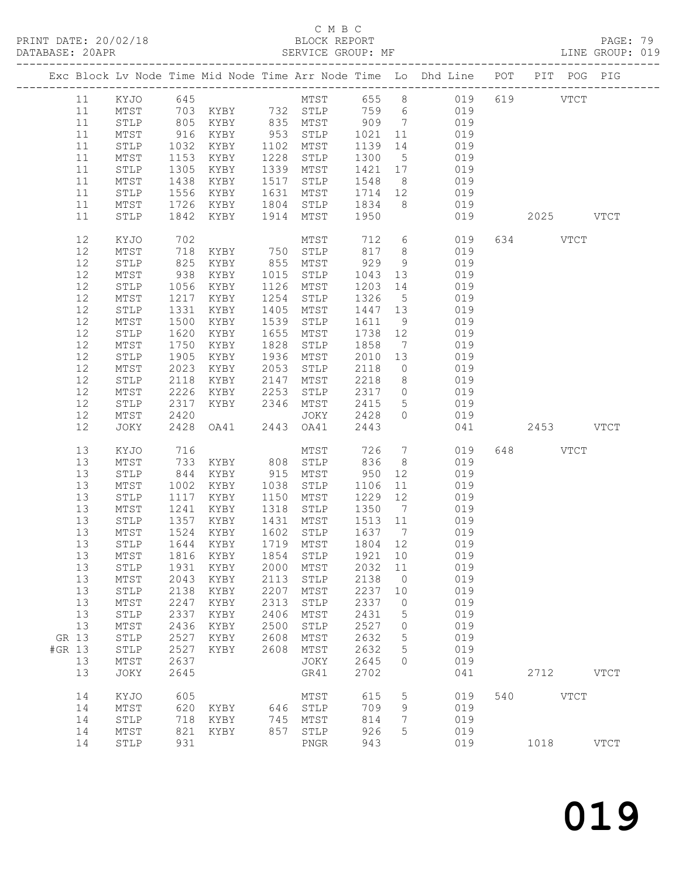PRINT DATE: 20/02/18 BLOCK REPORT BATABASE: 20APR BEST SERVICE GROUP: MF

### C M B C<br>BLOCK REPORT

PAGE: 79<br>LINE GROUP: 019

|        |          |                         |              |                                                                                                |            |                  |              |                 | Exc Block Lv Node Time Mid Node Time Arr Node Time Lo Dhd Line POT PIT POG PIG |     |           |             |             |
|--------|----------|-------------------------|--------------|------------------------------------------------------------------------------------------------|------------|------------------|--------------|-----------------|--------------------------------------------------------------------------------|-----|-----------|-------------|-------------|
|        | 11       | KYJO                    | 645          |                                                                                                |            |                  |              |                 | MTST 655 8 019                                                                 |     | 619 VTCT  |             |             |
|        | 11       | MTST                    |              | 703 KYBY       732   STLP       759     6<br>805    KYBY         835    MTST         909     7 |            |                  |              |                 | 019                                                                            |     |           |             |             |
|        | 11       | STLP                    |              |                                                                                                |            |                  |              |                 | 019                                                                            |     |           |             |             |
|        | 11       | MTST                    | 916          | KYBY                                                                                           |            | 953 STLP 1021 11 |              |                 | 019                                                                            |     |           |             |             |
|        | 11       | STLP                    | 1032         | KYBY                                                                                           | 1102       | MTST             | 1139         | 14              | 019                                                                            |     |           |             |             |
|        | 11       | MTST                    | 1153         | KYBY                                                                                           | 1228       | STLP             | 1300         | 5 <sup>5</sup>  | 019                                                                            |     |           |             |             |
|        | 11       | ${\tt STLP}$            | 1305         | KYBY                                                                                           | 1339       | MTST             | 1421 17      |                 | 019                                                                            |     |           |             |             |
|        | 11       | MTST                    | 1438         | KYBY                                                                                           | 1517       | STLP             | 1548         | 8 <sup>8</sup>  | 019                                                                            |     |           |             |             |
|        | 11       | STLP                    | 1556         | KYBY                                                                                           | 1631       | MTST             | 1714         | 12              | 019                                                                            |     |           |             |             |
|        | 11       | MTST                    | 1726         | KYBY                                                                                           |            | 1804 STLP        | 1834         | 8 <sup>8</sup>  | 019                                                                            |     |           |             |             |
|        | 11       | STLP                    |              | 1842 KYBY                                                                                      |            | 1914 MTST        | 1950         |                 | 019                                                                            |     | 2025 VTCT |             |             |
|        | 12       | KYJO                    | 702          |                                                                                                |            | MTST             | 712          |                 | $6\overline{}$<br>019                                                          |     | 634 VTCT  |             |             |
|        | 12       | MTST                    | 718          |                                                                                                |            |                  | 817          | 8 <sup>8</sup>  | 019                                                                            |     |           |             |             |
|        | 12       | $\texttt{STLP}$         | 825          | KYBY 750 STLP<br>KYBY                                                                          |            | 855 MTST         | 929          | 9               | 019                                                                            |     |           |             |             |
|        | 12       | MTST                    | 938          | KYBY                                                                                           | 1015       | STLP             | 1043         | 13              | 019                                                                            |     |           |             |             |
|        | 12       | STLP                    | 1056         | KYBY                                                                                           | 1126       | MTST             | 1203         | 14              | 019                                                                            |     |           |             |             |
|        | 12       | MTST                    | 1217         | KYBY                                                                                           | 1254       | STLP             | 1326         | $5\overline{)}$ | 019                                                                            |     |           |             |             |
|        | 12       | STLP                    | 1331         | KYBY                                                                                           | 1405       | MTST             | 1447 13      |                 | 019                                                                            |     |           |             |             |
|        | 12       | MTST                    | 1500         | KYBY                                                                                           | 1539       | STLP             | 1611         | 9               | 019                                                                            |     |           |             |             |
|        | 12       | STLP                    | 1620         | KYBY                                                                                           | 1655       | MTST             | 1738 12      |                 | 019                                                                            |     |           |             |             |
|        | 12       | MTST                    | 1750         | KYBY                                                                                           | 1828       | STLP             | 1858         | $\overline{7}$  | 019                                                                            |     |           |             |             |
|        | 12       | STLP                    | 1905         | KYBY                                                                                           | 1936       | MTST             | 2010         | 13              | 019                                                                            |     |           |             |             |
|        | 12       | MTST                    | 2023         | KYBY                                                                                           | 2053       | STLP             | 2118         | $\overline{0}$  | 019                                                                            |     |           |             |             |
|        | 12       | STLP                    | 2118         | KYBY                                                                                           | 2147       | MTST             | 2218         | 8 <sup>8</sup>  | 019                                                                            |     |           |             |             |
|        | 12       | MTST                    | 2226         | KYBY                                                                                           | 2253       | STLP             | 2317         | $\overline{0}$  | 019                                                                            |     |           |             |             |
|        | 12       | STLP                    | 2317         | KYBY                                                                                           |            | 2346 MTST        | 2415         | $5\overline{)}$ | 019                                                                            |     |           |             |             |
|        | 12       | MTST                    | 2420         |                                                                                                |            | JOKY             | 2428         | $\overline{0}$  | 019                                                                            |     |           |             |             |
|        | 12       | JOKY                    |              | 2428 OA41                                                                                      |            | 2443 OA41        | 2443         |                 | 041                                                                            |     | 2453 VTCT |             |             |
|        | 13       | KYJO                    | 716          |                                                                                                |            | MTST             | 726          | $7\overline{ }$ | 019                                                                            |     | 648 VTCT  |             |             |
|        | 13       | MTST                    | 733          | KYBY                                                                                           |            | 808 STLP         | 836          | 8 <sup>8</sup>  | 019                                                                            |     |           |             |             |
|        | 13       | STLP                    | 844          | KYBY                                                                                           |            | 915 MTST         | 950          | 12              | 019                                                                            |     |           |             |             |
|        | 13       | MTST                    | 1002         | KYBY                                                                                           | 1038       | STLP             | 1106         | 11              | 019                                                                            |     |           |             |             |
|        | 13       | STLP                    | 1117         | KYBY                                                                                           | 1150       | MTST             | 1229         | 12              | 019                                                                            |     |           |             |             |
|        | 13       | MTST                    | 1241         | KYBY                                                                                           | 1318       | STLP             | 1350         | $7\overline{ }$ | 019                                                                            |     |           |             |             |
|        | 13       | STLP                    | 1357         | KYBY                                                                                           |            | 1431 MTST        | 1513 11      |                 | 019                                                                            |     |           |             |             |
|        | 13       | MTST                    | 1524         | KYBY                                                                                           |            | 1602 STLP        | 1637         | $7\overline{)}$ | 019                                                                            |     |           |             |             |
|        | 13       | STLP                    |              | 1644 KYBY                                                                                      |            | 1719 MTST        | 1804 12      |                 | 019                                                                            |     |           |             |             |
|        |          |                         |              | 13 MTST 1816 KYBY 1854 STLP 1921 10                                                            |            |                  |              |                 | 019                                                                            |     |           |             |             |
|        | 13       | ${\tt STLP}$            | 1931         | KYBY                                                                                           | 2000       | MTST             | 2032         | 11              | 019                                                                            |     |           |             |             |
|        | 13       | MTST                    | 2043         | KYBY                                                                                           | 2113       | STLP             | 2138         | 0               | 019                                                                            |     |           |             |             |
|        | 13       | STLP                    | 2138         | KYBY                                                                                           | 2207       | MTST             | 2237         | 10              | 019                                                                            |     |           |             |             |
|        | 13       | MTST                    | 2247         | KYBY                                                                                           | 2313       | STLP             | 2337         | 0               | 019                                                                            |     |           |             |             |
|        | 13       | ${\tt STLP}$            | 2337         | KYBY                                                                                           | 2406       | MTST             | 2431         | 5               | 019                                                                            |     |           |             |             |
|        | 13       | MTST                    | 2436         | KYBY                                                                                           | 2500       | STLP             | 2527         | 0               | 019                                                                            |     |           |             |             |
| GR 13  |          | STLP                    | 2527         | KYBY                                                                                           | 2608       | MTST             | 2632         | 5               | 019                                                                            |     |           |             |             |
| #GR 13 |          | STLP                    | 2527         | KYBY                                                                                           | 2608       | MTST             | 2632         | 5               | 019                                                                            |     |           |             |             |
|        | 13<br>13 | $\mathtt{MTST}$<br>JOKY | 2637<br>2645 |                                                                                                |            | JOKY<br>GR41     | 2645<br>2702 | $\circ$         | 019<br>041                                                                     |     | 2712      |             | <b>VTCT</b> |
|        |          |                         |              |                                                                                                |            |                  |              |                 |                                                                                |     |           |             |             |
|        | 14       | KYJO                    | 605          |                                                                                                |            | MTST             | 615          | 5               | 019                                                                            | 540 |           | <b>VTCT</b> |             |
|        | 14<br>14 | MTST                    | 620<br>718   | KYBY<br>KYBY                                                                                   | 646<br>745 | STLP<br>MTST     | 709<br>814   | 9               | 019<br>019                                                                     |     |           |             |             |
|        | 14       | STLP<br>MTST            | 821          | KYBY                                                                                           | 857        | STLP             | 926          | 7<br>5          | 019                                                                            |     |           |             |             |
|        | 14       | STLP                    | 931          |                                                                                                |            | ${\tt PNGR}$     | 943          |                 | 019                                                                            |     | 1018      |             | <b>VTCT</b> |
|        |          |                         |              |                                                                                                |            |                  |              |                 |                                                                                |     |           |             |             |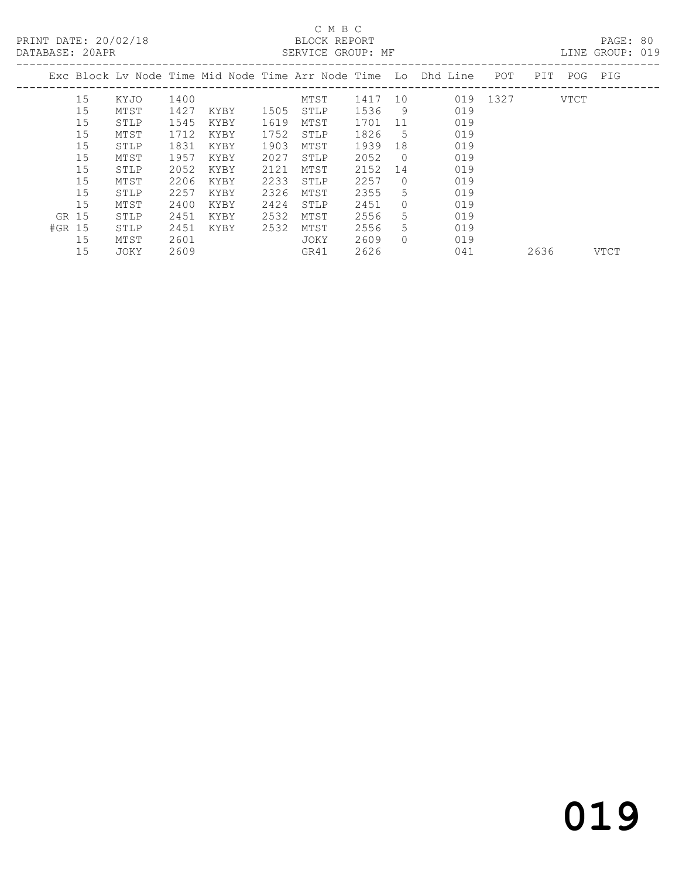### C M B C<br>BLOCK REPORT

PAGE: 80<br>LINE GROUP: 019

|        |      |      |      |      | CHILLED GILCOL. III |      |           |                                                                |      |      |      |      |
|--------|------|------|------|------|---------------------|------|-----------|----------------------------------------------------------------|------|------|------|------|
|        |      |      |      |      |                     |      |           | Exc Block Ly Node Time Mid Node Time Arr Node Time Lo Dhd Line | POT  | PIT  | POG  | PIG  |
| 15     | KYJO | 1400 |      |      | MTST                | 1417 | 10        | 019                                                            | 1327 |      | VTCT |      |
| 15     | MTST | 1427 | KYBY | 1505 | STLP                | 1536 | 9         | 019                                                            |      |      |      |      |
| 15     | STLP | 1545 | KYBY | 1619 | MTST                | 1701 | 11        | 019                                                            |      |      |      |      |
| 15     | MTST | 1712 | KYBY | 1752 | STLP                | 1826 | 5         | 019                                                            |      |      |      |      |
| 15     | STLP | 1831 | KYBY | 1903 | MTST                | 1939 | 18        | 019                                                            |      |      |      |      |
| 15     | MTST | 1957 | KYBY | 2027 | STLP                | 2052 | $\Omega$  | 019                                                            |      |      |      |      |
| 15     | STLP | 2052 | KYBY | 2121 | MTST                | 2152 | 14        | 019                                                            |      |      |      |      |
| 15     | MTST | 2206 | KYBY | 2233 | STLP                | 2257 | $\bigcap$ | 019                                                            |      |      |      |      |
| 15     | STLP | 2257 | KYBY | 2326 | MTST                | 2355 | 5.        | 019                                                            |      |      |      |      |
| 15     | MTST | 2400 | KYBY | 2424 | STLP                | 2451 | 0         | 019                                                            |      |      |      |      |
| GR 15  | STLP | 2451 | KYBY | 2532 | MTST                | 2556 | 5.        | 019                                                            |      |      |      |      |
| #GR 15 | STLP | 2451 | KYBY | 2532 | MTST                | 2556 | 5.        | 019                                                            |      |      |      |      |
| 15     | MTST | 2601 |      |      | JOKY                | 2609 | $\Omega$  | 019                                                            |      |      |      |      |
| 15     | JOKY | 2609 |      |      | GR41                | 2626 |           | 041                                                            |      | 2636 |      | VTCT |
|        |      |      |      |      |                     |      |           |                                                                |      |      |      |      |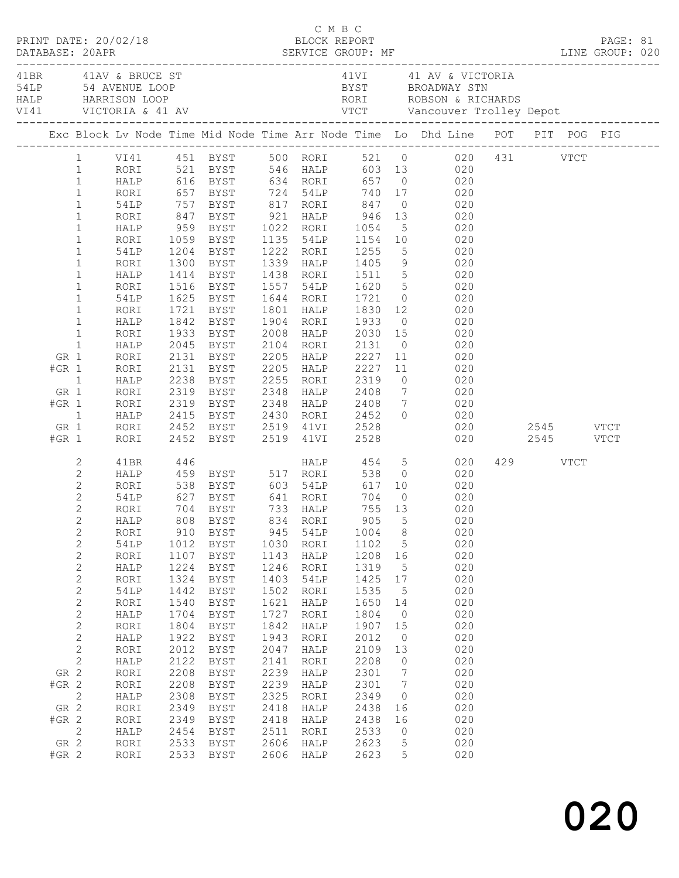|                                                                  |                                                                                                                                                                                                                                                                                                   |                                                                                                                                                                                                                             |                                                                                                                                                                    |                                                                                                                                                                                                                                                                          |                                                                                                                                                             |                                                                                                                                                              |                                                                                                                                                                        |                                                                                                                              | Exc Block Lv Node Time Mid Node Time Arr Node Time Lo Dhd Line POT PIT POG PIG                                                                                                                                                                                                                                                              |                                |          |  |  |
|------------------------------------------------------------------|---------------------------------------------------------------------------------------------------------------------------------------------------------------------------------------------------------------------------------------------------------------------------------------------------|-----------------------------------------------------------------------------------------------------------------------------------------------------------------------------------------------------------------------------|--------------------------------------------------------------------------------------------------------------------------------------------------------------------|--------------------------------------------------------------------------------------------------------------------------------------------------------------------------------------------------------------------------------------------------------------------------|-------------------------------------------------------------------------------------------------------------------------------------------------------------|--------------------------------------------------------------------------------------------------------------------------------------------------------------|------------------------------------------------------------------------------------------------------------------------------------------------------------------------|------------------------------------------------------------------------------------------------------------------------------|---------------------------------------------------------------------------------------------------------------------------------------------------------------------------------------------------------------------------------------------------------------------------------------------------------------------------------------------|--------------------------------|----------|--|--|
|                                                                  | $\mathbf{1}$<br>$\mathbf{1}$<br>$1\,$<br>$\mathbf{1}$<br>$\mathbf{1}$<br>$\mathbf 1$<br>$\,1$<br>$\mathbf 1$<br>$\mathbf 1$<br>$\mathbf 1$                                                                                                                                                        | RORI<br>HALP<br>RORI<br>54LP<br>RORI<br>HALP                                                                                                                                                                                |                                                                                                                                                                    | 847 BYST 921 HALP 946<br>959 BYST      1022   RORI<br>1059   BYST      1135   54LP<br>1204 BYST 1222 RORI<br>1300 BYST<br>1414 BYST 1438 RORI                                                                                                                            |                                                                                                                                                             | 1339 HALP                                                                                                                                                    | 1054<br>1154<br>1255<br>1405                                                                                                                                           |                                                                                                                              | 1 VI41 451 BYST 500 RORI 521 0 020 431 VTCT<br>RORI 521 BYST 546 HALP 603 13 020<br>HALP 616 BYST 634 RORI 657 0 020<br>RORI 657 BYST 724 54LP 740 17 020<br>54LP 757 BYST 817 RORI 847 0 020<br>13 020<br>$\begin{array}{ccc} & 5 & & 020 \\ 10 & & 020 \\ & 5 & & 020 \end{array}$<br>9 020                                               |                                |          |  |  |
| GR 1<br>$#GR$ 1<br>$\overline{1}$<br>GR 1<br>$#GR$ 1<br>GR 1     | $\,1$<br>$\mathbf 1$<br>$\mathbf 1$<br>$\mathbf{1}$<br>$\mathbf{1}$<br>$\mathbf{1}$<br>$\overline{1}$                                                                                                                                                                                             | RORI<br>54LP<br>RORI<br>HALP<br>RORI<br>HALP<br>RORI<br>RORI<br>HALP<br>RORI<br>RORI<br>HALP<br>RORI                                                                                                                        | 1842                                                                                                                                                               | 1516 BYST<br>1625 BYST 1644 RORI<br>1721 BYST<br>BYST<br>1933 BYST<br>2045 BYST<br>2131 BYST<br>2131 BYST<br>2238 BYST      2255   RORI<br>2319   BYST      2348   HALP<br>2319 BYST 2348 HALP<br>2415 BYST<br>2452 BYST     2519   41VI<br>2452   BYST      2519   41VI |                                                                                                                                                             | 1557 54LP<br>1801 HALP<br>1904 RORI<br>2008 HALP<br>2104 RORI<br>2205 HALP<br>2205 HALP<br>2430 RORI                                                         | 1511<br>1620<br>1721<br>1830<br>1933<br>2030<br>2131<br>2227<br>2227<br>2319<br>2408<br>2408 7<br>2452<br>2528<br>2528                                                 |                                                                                                                              | $\begin{bmatrix} 5 & 020 \\ 5 & 020 \\ 0 & 020 \end{bmatrix}$<br>12 0<br>020<br>$0 \qquad \qquad 020$<br>$\begin{array}{ccc} 15 & \hspace{1.5cm} 020 \\ 0 & \hspace{1.5cm} 020 \end{array}$<br>11<br>020<br>11 020<br>$\begin{array}{ccc} 0 & \hspace{1.5cm} & 020 \\ 7 & \hspace{1.5cm} & 020 \end{array}$<br>020<br>$0 \qquad \qquad 020$ | 020 2545 VTCT<br>020 2545 VTCT |          |  |  |
| $#GR$ 1<br>GR 2<br>$#GR$ 2<br>GR 2<br>$#GR$ 2<br>GR 2<br>$#GR$ 2 | 2<br>$\mathbf{2}$<br>$\mathbf{2}$<br>$\mathbf{2}$<br>$\overline{2}$<br>$\overline{2}$<br>$\sqrt{2}$<br>$\sqrt{2}$<br>$\sqrt{2}$<br>$\sqrt{2}$<br>$\sqrt{2}$<br>$\sqrt{2}$<br>$\mathbf{2}$<br>$\sqrt{2}$<br>$\sqrt{2}$<br>$\sqrt{2}$<br>$\sqrt{2}$<br>$\mathbf{2}$<br>$\mathbf{2}$<br>$\mathbf{2}$ | RORI<br>41BR<br>HALP<br>RORI<br>54LP<br>RORI<br>HALP<br>RORI<br>54LP<br>RORI<br>HALP<br>RORI<br><b>54LP</b><br>RORI<br>HALP<br>RORI<br>HALP<br>RORI<br>HALP<br>RORI<br>RORI<br>HALP<br>RORI<br>RORI<br>HALP<br>RORI<br>RORI | 446<br>910<br>1012<br>1107<br>1224<br>1324<br>1442<br>1540<br>1704<br>1804<br>1922<br>2012<br>2122<br>2208<br>2208<br>2308<br>2349<br>2349<br>2454<br>2533<br>2533 | 704 BYST 733 HALP<br>808 BYST 834 RORI 905 5<br><b>BYST</b><br><b>BYST</b><br>BYST<br>BYST<br><b>BYST</b><br>${\tt BYST}$<br><b>BYST</b><br>BYST<br>BYST<br>BYST<br>BYST<br>BYST<br>BYST<br>BYST<br>BYST<br>BYST<br><b>BYST</b><br>BYST<br>BYST<br><b>BYST</b>           | 945<br>1030<br>1143<br>1246<br>1403<br>1502<br>1621<br>1727<br>1842<br>1943<br>2047<br>2141<br>2239<br>2239<br>2325<br>2418<br>2418<br>2511<br>2606<br>2606 | 54LP<br>RORI<br>HALP<br>RORI<br>54LP<br>RORI<br>HALP<br>RORI<br>HALP<br>RORI<br>HALP<br>RORI<br>HALP<br>HALP<br>RORI<br>HALP<br>HALP<br>RORI<br>HALP<br>HALP | 755 13<br>1004<br>1102<br>1208<br>1319<br>1425<br>1535<br>1650<br>1804<br>1907<br>2012<br>2109<br>2208<br>2301<br>2301<br>2349<br>2438<br>2438<br>2533<br>2623<br>2623 | 8<br>5<br>16<br>5<br>$17$<br>5<br>14<br>$\circ$<br>15<br>$\circledcirc$<br>13<br>0<br>7<br>7<br>0<br>16<br>16<br>0<br>5<br>5 | HALP 454 5 020<br>459 BYST 517 RORI 538 0 020<br>538 BYST 603 54LP 617 10 020<br>627 BYST 641 RORI 704 0 020<br>020<br>020<br>020<br>020<br>020<br>020<br>020<br>020<br>020<br>020<br>020<br>020<br>020<br>020<br>020<br>020<br>020<br>020<br>020<br>020<br>020<br>020                                                                      |                                | 429 VTCT |  |  |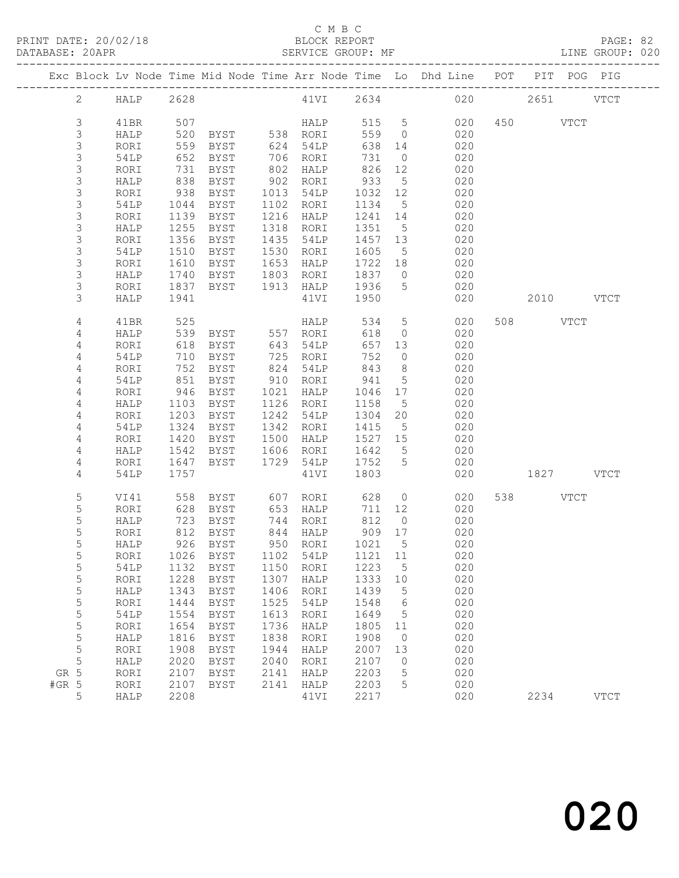### C M B C<br>BLOCK REPORT

LINE GROUP: 020

|         |                |           |      |               |      |                      |          |                 | Exc Block Lv Node Time Mid Node Time Arr Node Time Lo Dhd Line POT PIT POG PIG |           |             |
|---------|----------------|-----------|------|---------------|------|----------------------|----------|-----------------|--------------------------------------------------------------------------------|-----------|-------------|
|         | $\overline{2}$ | HALP 2628 |      |               |      |                      |          |                 | 41VI 2634 020 2651 VTCT                                                        |           |             |
|         | 3              | 41BR      | 507  |               |      | HALP 515 5           |          |                 | 020                                                                            | 450 VTCT  |             |
|         | 3              | HALP      | 520  |               |      | BYST 538 RORI        | 559 0    |                 | 020                                                                            |           |             |
|         | $\mathsf S$    | RORI      | 559  | BYST          |      | 624 54LP             | 638 14   |                 | 020                                                                            |           |             |
|         | $\mathsf S$    | 54LP      | 652  | BYST          |      | 706 RORI             | 731      | $\overline{0}$  | 020                                                                            |           |             |
|         | $\mathsf S$    | RORI      | 731  | BYST          |      | 802 HALP             | 826      | 12              | 020                                                                            |           |             |
|         | 3              | HALP      | 838  | BYST          |      | 902 RORI             | 933      | $5\overline{)}$ | 020                                                                            |           |             |
|         | $\mathsf S$    | RORI      | 938  | BYST          |      | 1013 54LP            | 1032 12  |                 | 020                                                                            |           |             |
|         | $\mathsf S$    | 54LP      | 1044 | BYST          |      | 1102 RORI            | 1134     | $5\overline{)}$ | 020                                                                            |           |             |
|         | 3              | RORI      | 1139 | BYST          |      | 1216 HALP            | 1241 14  |                 | 020                                                                            |           |             |
|         | $\mathsf S$    | HALP      | 1255 | BYST          |      | 1318 RORI            | 1351     | $5^{\circ}$     | 020                                                                            |           |             |
|         | $\mathsf S$    | RORI      | 1356 | BYST          |      | 1435 54LP            | 1457 13  |                 | 020                                                                            |           |             |
|         | $\mathsf S$    | 54LP      | 1510 | BYST          |      | 1530 RORI            | 1605     | $5\overline{)}$ | 020                                                                            |           |             |
|         | 3              | RORI      | 1610 | BYST          |      | 1653 HALP            | 1722 18  |                 | 020                                                                            |           |             |
|         | 3              | HALP      | 1740 | BYST          |      | 1803 RORI            | 1837 0   |                 | 020                                                                            |           |             |
|         | 3              | RORI      | 1837 | BYST          |      | 1913 HALP            | 1936     | $5\overline{)}$ | 020                                                                            |           |             |
|         | 3              | HALP      | 1941 |               |      | 41VI                 | 1950     |                 | 020                                                                            | 2010 VTCT |             |
|         |                |           |      |               |      |                      |          |                 |                                                                                |           |             |
|         | 4              | 41BR      | 525  |               |      | <b>HALP</b>          | 534 5    |                 | 020                                                                            | 508 VTCT  |             |
|         | 4              | HALP      | 539  | BYST 557 RORI |      |                      | 618      | $\overline{0}$  | 020                                                                            |           |             |
|         | 4              | RORI      | 618  | BYST          |      | 643 54LP             | 657 13   |                 | 020                                                                            |           |             |
|         | 4              | 54LP      | 710  | BYST          |      | 725 RORI             | 752      | $\overline{0}$  | 020                                                                            |           |             |
|         | 4              | RORI      | 752  | BYST          |      | 824 54LP             | 843      | 8 <sup>8</sup>  | 020                                                                            |           |             |
|         | 4              | 54LP      | 851  | BYST          |      | 910 RORI             | 941      | $5^{\circ}$     | 020                                                                            |           |             |
|         | 4              | RORI      | 946  | BYST          |      | 1021 HALP            | 1046 17  |                 | 020                                                                            |           |             |
|         | 4              | HALP      | 1103 | BYST          |      | 1126 RORI            | 1158     | $5^{\circ}$     | 020                                                                            |           |             |
|         | 4              | RORI      | 1203 | BYST          |      | 1242 54LP            | 1304 20  |                 | 020                                                                            |           |             |
|         | 4              | 54LP      | 1324 | BYST          |      | 1342 RORI            | 1415     | $5\overline{)}$ | 020                                                                            |           |             |
|         | 4              | RORI      | 1420 | BYST          |      | 1500 HALP            | 1527 15  |                 | 020                                                                            |           |             |
|         | 4              | HALP      | 1542 | BYST          |      | 1606 RORI            | 1642     | $5\overline{)}$ | 020                                                                            |           |             |
|         | 4              | RORI      | 1647 | BYST          |      | 1729 54LP            | 1752 5   |                 | 020                                                                            |           |             |
|         | 4              | 54LP      | 1757 |               |      | 41VI                 | 1803     |                 | 020                                                                            | 1827 VTCT |             |
|         |                |           |      |               |      |                      |          |                 |                                                                                |           |             |
|         | 5              | VI41      | 558  |               |      | BYST 607 RORI        | 628      |                 | $\overline{0}$<br>020                                                          | 538 VTCT  |             |
|         | 5              | RORI      | 628  |               |      | BYST 653 HALP        | 711 12   |                 | 020                                                                            |           |             |
|         | 5              | HALP      | 723  | BYST          |      | 744 RORI             | 812      | $\overline{0}$  | 020                                                                            |           |             |
|         | 5              | RORI      | 812  | BYST          |      | 844 HALP<br>950 RORI | $909$ 17 |                 | 020                                                                            |           |             |
|         | 5              | HALP      |      | 926 BYST      |      |                      | 1021 5   |                 | 020                                                                            |           |             |
|         | 5              |           |      |               |      |                      |          |                 | RORI 1026 BYST 1102 54LP 1121 11 020                                           |           |             |
|         | 5              | 54LP      | 1132 | BYST          | 1150 | RORI                 | 1223     | 5               | 020                                                                            |           |             |
|         | 5              | RORI      | 1228 | BYST          | 1307 | HALP                 | 1333     | 10              | 020                                                                            |           |             |
|         | 5              | HALP      | 1343 | BYST          | 1406 | RORI                 | 1439     | 5               | 020                                                                            |           |             |
|         | 5              | RORI      | 1444 | <b>BYST</b>   | 1525 | 54LP                 | 1548     | 6               | 020                                                                            |           |             |
|         | 5              | 54LP      | 1554 | BYST          | 1613 | RORI                 | 1649     | 5               | 020                                                                            |           |             |
|         | 5              | RORI      | 1654 | <b>BYST</b>   | 1736 | HALP                 | 1805     | 11              | 020                                                                            |           |             |
|         | 5              | HALP      | 1816 | BYST          | 1838 | RORI                 | 1908     | $\overline{0}$  | 020                                                                            |           |             |
|         | 5              | RORI      | 1908 | <b>BYST</b>   | 1944 | HALP                 | 2007     | 13              | 020                                                                            |           |             |
|         | 5              | HALP      | 2020 | BYST          | 2040 | RORI                 | 2107     | $\overline{0}$  | 020                                                                            |           |             |
| GR 5    |                | RORI      | 2107 | <b>BYST</b>   | 2141 | HALP                 | 2203     | 5               | 020                                                                            |           |             |
| $#GR$ 5 |                | RORI      | 2107 | BYST          | 2141 | HALP                 | 2203     | 5               | 020                                                                            |           |             |
|         | 5              | HALP      | 2208 |               |      | 41VI                 | 2217     |                 | 020                                                                            | 2234      | <b>VTCT</b> |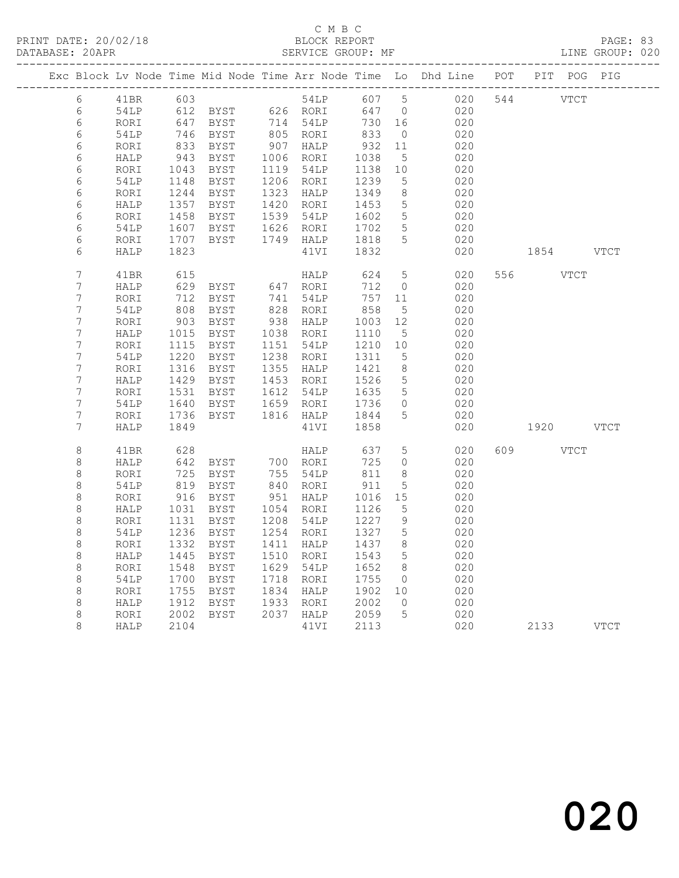|                  |              |              |                                                           |                             |                   |                                | Exc Block Lv Node Time Mid Node Time Arr Node Time Lo Dhd Line POT PIT POG PIG |           |             |  |
|------------------|--------------|--------------|-----------------------------------------------------------|-----------------------------|-------------------|--------------------------------|--------------------------------------------------------------------------------|-----------|-------------|--|
| 6                | 41BR 603     |              |                                                           | 54LP                        |                   |                                | 607 5 020                                                                      | 544 VTCT  |             |  |
| 6                | 54LP         |              | 612 BYST 626 RORI                                         |                             | 647 0             |                                | 020                                                                            |           |             |  |
| 6                | RORI         |              | 647 BYST<br>746 BYST<br>BYST                              | 714 54LP<br>805 RORI        | 730 16            |                                | 020                                                                            |           |             |  |
| 6                | 54LP         |              |                                                           |                             | 833               | $\overline{0}$                 | 020                                                                            |           |             |  |
| 6                | RORI         | 833          | BYST                                                      | 907 HALP<br>1006 RORI       | 932               | 11                             | 020                                                                            |           |             |  |
| 6                | HALP         |              | 943 BYST                                                  |                             | 1038              | $5^{\circ}$                    | 020                                                                            |           |             |  |
| 6                | RORI         | 1043<br>1148 | BYST                                                      | 1119 54LP<br>1206 RORI      | 1138              | 10                             | 020                                                                            |           |             |  |
| 6                | 54LP         | 1148         | BYST                                                      |                             | 1239              | $5\overline{)}$                | 020                                                                            |           |             |  |
| 6                | RORI         | 1244         | BYST                                                      | 1323 HALP                   | 1349<br>1453      | 8                              | 020                                                                            |           |             |  |
| 6                | HALP         | 1357         | BYST                                                      | 1420 RORI                   |                   | $5\phantom{.0}$                | 020                                                                            |           |             |  |
| 6                | RORI         |              | 1458 BYST 1539 54LP 1602<br>1607 BYST 1626 RORI 1702      |                             |                   | $5\overline{)}$                | 020                                                                            |           |             |  |
| 6<br>6           | 54LP         |              | 1707 BYST                                                 | 1749 HALP 1818              |                   | $5\overline{)}$<br>$5^{\circ}$ | 020<br>020                                                                     |           |             |  |
| 6                | RORI<br>HALP | 1823         |                                                           | 41VI                        | 1832              |                                | 020                                                                            |           | 1854 VTCT   |  |
|                  |              |              |                                                           |                             |                   |                                |                                                                                |           |             |  |
| $\overline{7}$   | 41BR         | 615          |                                                           | HALP                        | 624               | $5\phantom{.0}$                | 020                                                                            | 556 75    | VTCT        |  |
| $\boldsymbol{7}$ | HALP         | 629          | BYST 647 RORI                                             |                             | 712               | $\overline{0}$                 | 020                                                                            |           |             |  |
| $\boldsymbol{7}$ | RORI         |              | 712 BYST                                                  | 741 54LP                    | 757 11            |                                | 020                                                                            |           |             |  |
| $\boldsymbol{7}$ | 54LP         | 808          | BYST                                                      | 828 RORI                    | 858               | $5\overline{)}$                | 020                                                                            |           |             |  |
| $\boldsymbol{7}$ | RORI         | 903          | BYST                                                      | 938 HALP                    | 1003              | 12                             | 020                                                                            |           |             |  |
| $\overline{7}$   | HALP         | 1015         | BYST                                                      | 1038 RORI                   | 1110              | $5^{\circ}$                    | 020                                                                            |           |             |  |
| $7\phantom{.0}$  | RORI         | 1115         | BYST                                                      | 1151 54LP                   | 1210 10           |                                | 020                                                                            |           |             |  |
| $7\phantom{.0}$  | 54LP         | 1220         | BYST                                                      | 1238 RORI                   | 1311              | 5                              | 020                                                                            |           |             |  |
| $7\phantom{.0}$  | RORI         | 1316         | BYST                                                      | 1355 HALP<br>1453 RORI      | 1421<br>1526      | 8 <sup>8</sup>                 | 020                                                                            |           |             |  |
| $7\phantom{.0}$  | HALP         |              | 1429 BYST                                                 |                             |                   | 5                              | 020                                                                            |           |             |  |
| $7\phantom{.0}$  | RORI         | 1531         | BYST                                                      | 1612 54LP                   | 1635<br>1736      | $5\overline{)}$                | 020                                                                            |           |             |  |
| $7\phantom{.0}$  | 54LP         | 1640         | BYST                                                      | 1659 RORI                   |                   | $\overline{0}$                 | 020                                                                            |           |             |  |
| 7                | RORI         | 1736         | BYST                                                      | 1816 HALP 1844<br>41VI 1858 |                   | 5                              | 020                                                                            |           |             |  |
| 7                | HALP         | 1849         |                                                           | 41VI                        | 1858              |                                | 020                                                                            |           | 1920 VTCT   |  |
| $\,8\,$          | 41BR         | 628          |                                                           | HALP                        | 637               | 5                              | 020                                                                            | 609 — 100 | <b>VTCT</b> |  |
| $\,8\,$          | HALP         |              | 642 BYST       700   RORI<br>725   BYST        755   54LP |                             | 725               | $\overline{0}$                 | 020                                                                            |           |             |  |
| $\,8\,$          | RORI         |              | $725$ BYST                                                |                             | 811               | 8 <sup>8</sup>                 | 020                                                                            |           |             |  |
| $\,8\,$          | 54LP         | 819          | BYST                                                      | 840 RORI<br>951 HALP        | 911               | 5                              | 020                                                                            |           |             |  |
| 8                | RORI         |              | 916 BYST                                                  |                             | 1016              | 15                             | 020                                                                            |           |             |  |
| 8                | HALP         | 1031         | BYST                                                      | 1054 RORI<br>1208 54LP      | $1120$<br>$1227$  | 5                              | 020                                                                            |           |             |  |
| 8                | RORI         | 1131         | BYST                                                      |                             |                   | 9                              | 020                                                                            |           |             |  |
| $\,8\,$          | 54LP         | 1236         | BYST                                                      | 1254 RORI                   | 1327<br>1437      | $5\overline{)}$                | 020                                                                            |           |             |  |
| $\,8\,$          | RORI         | 1332         | BYST                                                      | 1411 HALP                   |                   | 8                              | 020                                                                            |           |             |  |
| $\,8\,$          | HALP         | 1445         | BYST                                                      | 1510 RORI                   | 1543<br>1652      | 5                              | 020                                                                            |           |             |  |
| $\,8\,$          | RORI         | 1548         | BYST                                                      | 1629 54LP                   | 1652              | 8 <sup>8</sup>                 | 020                                                                            |           |             |  |
| $\,8\,$          | 54LP         | 1700         | BYST                                                      | 1718 RORI                   | 1755 0<br>1902 10 |                                | 020                                                                            |           |             |  |
| $\,8\,$          | RORI         | 1755         | BYST                                                      | 1834 HALP                   |                   |                                | 020                                                                            |           |             |  |
| 8                | HALP         | 1912         | BYST                                                      | 1933 RORI                   | 2002              | $\overline{0}$                 | 020                                                                            |           |             |  |
| 8                | RORI         | 2002         | BYST                                                      | 2037 HALP 2059              |                   | 5                              | 020                                                                            |           |             |  |
| 8                | HALP         | 2104         |                                                           | 41VI                        | 2113              |                                | 020                                                                            |           | 2133 VTCT   |  |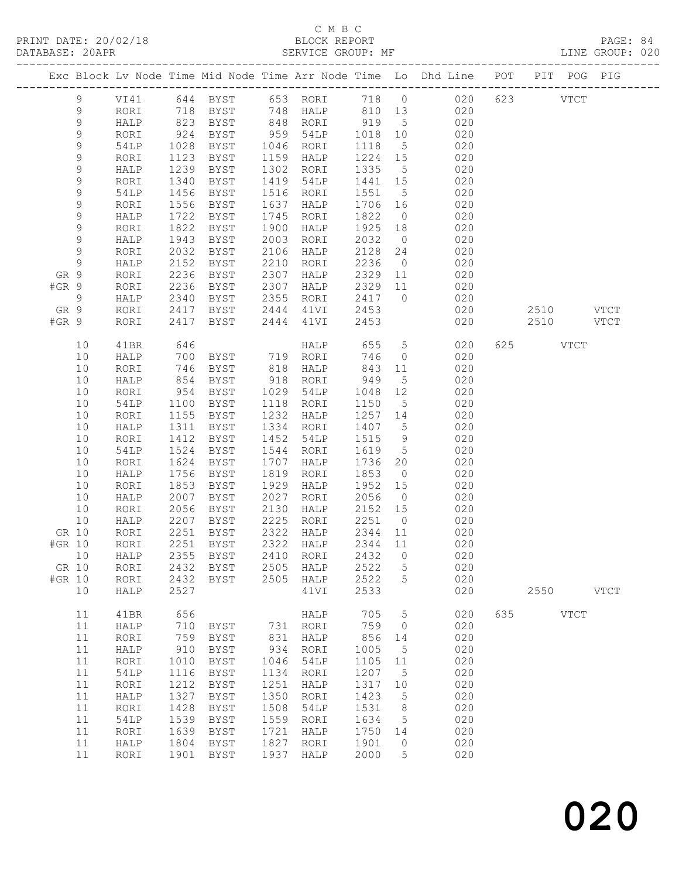### C M B C

| Exc Block Lv Node Time Mid Node Time Arr Node Time Lo Dhd Line POT PIT POG PIG<br>9<br>$\,9$<br>823 BYST<br>848 RORI 919 5 020<br>$\mathsf 9$<br>HALP<br>$\mathsf 9$<br>924<br>BYST<br>959 54LP<br>1018 10 020<br>RORI<br>$\mathsf 9$<br>54LP<br>1028<br>1123<br>1118 5 020<br>1224 15 020<br>BYST<br>1046 RORI<br>9<br>1159 HALP<br>RORI<br>BYST<br>1335 5 020<br>$\mathsf 9$<br>1239<br>1302 RORI<br>HALP<br>BYST<br>$\mathsf 9$<br>1340<br>1441 15 020<br>RORI<br>BYST<br>1419 54LP<br>9<br>54LP<br>1456<br>1516 RORI<br>1551 5 020<br>1706 16 020<br>BYST<br>1551<br>9<br>1556<br>1637<br>RORI<br>BYST<br>HALP<br>$0\qquad \qquad 020$<br>$\mathsf 9$<br>1722<br>1745<br>1822<br>HALP<br>BYST<br>RORI<br>$\mathsf 9$<br>1822<br>1925 18 020<br>RORI<br>BYST<br>1900<br>HALP<br>9<br>1943<br>2003<br>2032<br>HALP<br>BYST<br>RORI<br>$\begin{array}{ccc} 0 & 020 \\ 24 & 020 \end{array}$<br>$\mathsf 9$<br>2032<br>2106<br>2128<br>RORI<br>BYST<br>HALP<br>$0 \qquad 020$<br>$\mathsf 9$<br>2236<br>HALP<br>2152<br>BYST<br>2210<br>RORI<br>2236<br>BYST<br>2307<br>2329 11 020<br>GR 9<br>RORI<br>HALP<br>#GR 9<br>2236<br>BYST<br>2307<br>2329 11 020<br>RORI<br>2307 HALP 2329<br>2355 RORI 2417<br>2444 41VI 2453<br>9<br>2340 BYST<br>2417 BYST<br>2417 0<br>020<br>HALP<br>$020$<br>$020$<br>$020$<br>2510 VTCT<br>GR 9<br>RORI<br>#GR 9<br>2417 BYST<br>2444 41VI<br>2453<br>2510 VTCT<br>RORI<br>HALP 655 5 020<br>625 VTCT<br>10<br>646<br>41BR<br>700 BYST 719 RORI<br>$\overline{0}$<br>746<br>020<br>10<br>HALP<br>746<br>818 HALP<br>10<br>BYST<br>843 11 020<br>RORI<br>854<br>949<br>5 020<br>10<br>HALP<br>BYST<br>918 RORI<br>10<br>954<br>1029 54LP<br>1048 12<br>020<br>RORI<br>BYST<br>$\frac{1}{5}$ 020<br>10<br>54LP<br>1100<br>1118 RORI<br>1150<br>BYST<br>1257 14 020<br>10<br>1232<br>RORI<br>1155<br>BYST<br>HALP<br>1311<br>1334 RORI<br>1407 5 020<br>10<br>HALP<br>BYST<br>1412<br>9<br>10<br>BYST<br>1452<br>1515<br>020<br>RORI<br>54LP<br>$1619$ 5 020<br>1524<br>1544 RORI<br>10<br>54LP<br>BYST<br>1736 20 020<br>10<br>1624<br>1707<br>RORI<br>BYST<br>HALP<br>1756<br>BYST<br>1819<br>1853<br>10<br>HALP<br>RORI<br>$0 \qquad \qquad 020$<br>10<br>1853<br>1929<br>1952 15 020<br>RORI<br>BYST<br>HALP<br>1855 Live<br>2007 BYST<br>2007 DVCT<br>$2056$ 0<br>2027 RORI<br>10<br>HALP<br>020<br>2056 BYST<br>2130 HALP 2152 15<br>020<br>10<br>RORI<br>2207 BYST<br>2225 RORI<br>2251 0 020<br>10<br>HALP<br>GR 10 RORI 2251 BYST 2322 HALP 2344 11<br>020<br>2251<br>2322<br>2344<br>#GR 10<br>RORI<br><b>BYST</b><br>HALP<br>11<br>020<br>$10$<br>HALP<br>2355<br>2410<br>2432<br>$\circledcirc$<br>020<br><b>BYST</b><br>RORI<br>GR 10<br>2432<br>2505<br>2522<br>020<br>RORI<br><b>BYST</b><br>HALP<br>5<br>#GR 10<br>2432<br>2505<br>2522<br>5<br>020<br>RORI<br><b>BYST</b><br>HALP<br>10<br>HALP<br>2527<br>41VI<br>2533<br>020<br>2550<br><b>VTCT</b><br>656<br>705<br>020<br>635<br><b>VTCT</b><br>11<br>41BR<br>HALP<br>5<br>759<br>11<br>710<br>731<br>020<br>HALP<br>BYST<br>RORI<br>$\circ$<br>020<br>11<br>759<br>831<br>HALP<br>856<br>RORI<br><b>BYST</b><br>14<br>11<br>910<br>934<br>1005<br>5<br>020<br>HALP<br><b>BYST</b><br>RORI<br>11<br>1010<br>1046<br>020<br>RORI<br>BYST<br>54LP<br>1105<br>11<br>11<br>1116<br>1207<br>020<br>54LP<br>BYST<br>1134<br>RORI<br>5<br>11<br>1212<br>1251<br>1317<br>020<br>RORI<br><b>BYST</b><br>HALP<br>10<br>1327<br>1350<br>1423<br>5<br>020<br>11<br>HALP<br><b>BYST</b><br>RORI<br>020<br>11<br>1428<br>1508<br>1531<br>RORI<br>BYST<br><b>54LP</b><br>8<br>11<br>1539<br>1559<br>1634<br>020<br>54LP<br>BYST<br>RORI<br>5<br>11<br>1639<br>1721<br>1750<br>020<br>RORI<br><b>BYST</b><br>HALP<br>14<br>1827<br>11<br>1804<br>1901<br>020<br>HALP<br>BYST<br>RORI<br>$\circ$ |    |      |      |             |      |      |      |   |     |  |  |  |
|-------------------------------------------------------------------------------------------------------------------------------------------------------------------------------------------------------------------------------------------------------------------------------------------------------------------------------------------------------------------------------------------------------------------------------------------------------------------------------------------------------------------------------------------------------------------------------------------------------------------------------------------------------------------------------------------------------------------------------------------------------------------------------------------------------------------------------------------------------------------------------------------------------------------------------------------------------------------------------------------------------------------------------------------------------------------------------------------------------------------------------------------------------------------------------------------------------------------------------------------------------------------------------------------------------------------------------------------------------------------------------------------------------------------------------------------------------------------------------------------------------------------------------------------------------------------------------------------------------------------------------------------------------------------------------------------------------------------------------------------------------------------------------------------------------------------------------------------------------------------------------------------------------------------------------------------------------------------------------------------------------------------------------------------------------------------------------------------------------------------------------------------------------------------------------------------------------------------------------------------------------------------------------------------------------------------------------------------------------------------------------------------------------------------------------------------------------------------------------------------------------------------------------------------------------------------------------------------------------------------------------------------------------------------------------------------------------------------------------------------------------------------------------------------------------------------------------------------------------------------------------------------------------------------------------------------------------------------------------------------------------------------------------------------------------------------------------------------------------------------------------------------------------------------------------------------------------------------------------------------------------------------------------------------------------------------------------------------------------------------------------------------------------------------------------------------------------------------------------------------------------------------------------------------------------------------------------------------------------------------------------------------------------------------------------------------------------------------------------------------------------------------------------------|----|------|------|-------------|------|------|------|---|-----|--|--|--|
|                                                                                                                                                                                                                                                                                                                                                                                                                                                                                                                                                                                                                                                                                                                                                                                                                                                                                                                                                                                                                                                                                                                                                                                                                                                                                                                                                                                                                                                                                                                                                                                                                                                                                                                                                                                                                                                                                                                                                                                                                                                                                                                                                                                                                                                                                                                                                                                                                                                                                                                                                                                                                                                                                                                                                                                                                                                                                                                                                                                                                                                                                                                                                                                                                                                                                                                                                                                                                                                                                                                                                                                                                                                                                                                                                                                     |    |      |      |             |      |      |      |   |     |  |  |  |
|                                                                                                                                                                                                                                                                                                                                                                                                                                                                                                                                                                                                                                                                                                                                                                                                                                                                                                                                                                                                                                                                                                                                                                                                                                                                                                                                                                                                                                                                                                                                                                                                                                                                                                                                                                                                                                                                                                                                                                                                                                                                                                                                                                                                                                                                                                                                                                                                                                                                                                                                                                                                                                                                                                                                                                                                                                                                                                                                                                                                                                                                                                                                                                                                                                                                                                                                                                                                                                                                                                                                                                                                                                                                                                                                                                                     |    |      |      |             |      |      |      |   |     |  |  |  |
|                                                                                                                                                                                                                                                                                                                                                                                                                                                                                                                                                                                                                                                                                                                                                                                                                                                                                                                                                                                                                                                                                                                                                                                                                                                                                                                                                                                                                                                                                                                                                                                                                                                                                                                                                                                                                                                                                                                                                                                                                                                                                                                                                                                                                                                                                                                                                                                                                                                                                                                                                                                                                                                                                                                                                                                                                                                                                                                                                                                                                                                                                                                                                                                                                                                                                                                                                                                                                                                                                                                                                                                                                                                                                                                                                                                     |    |      |      |             |      |      |      |   |     |  |  |  |
|                                                                                                                                                                                                                                                                                                                                                                                                                                                                                                                                                                                                                                                                                                                                                                                                                                                                                                                                                                                                                                                                                                                                                                                                                                                                                                                                                                                                                                                                                                                                                                                                                                                                                                                                                                                                                                                                                                                                                                                                                                                                                                                                                                                                                                                                                                                                                                                                                                                                                                                                                                                                                                                                                                                                                                                                                                                                                                                                                                                                                                                                                                                                                                                                                                                                                                                                                                                                                                                                                                                                                                                                                                                                                                                                                                                     |    |      |      |             |      |      |      |   |     |  |  |  |
|                                                                                                                                                                                                                                                                                                                                                                                                                                                                                                                                                                                                                                                                                                                                                                                                                                                                                                                                                                                                                                                                                                                                                                                                                                                                                                                                                                                                                                                                                                                                                                                                                                                                                                                                                                                                                                                                                                                                                                                                                                                                                                                                                                                                                                                                                                                                                                                                                                                                                                                                                                                                                                                                                                                                                                                                                                                                                                                                                                                                                                                                                                                                                                                                                                                                                                                                                                                                                                                                                                                                                                                                                                                                                                                                                                                     |    |      |      |             |      |      |      |   |     |  |  |  |
|                                                                                                                                                                                                                                                                                                                                                                                                                                                                                                                                                                                                                                                                                                                                                                                                                                                                                                                                                                                                                                                                                                                                                                                                                                                                                                                                                                                                                                                                                                                                                                                                                                                                                                                                                                                                                                                                                                                                                                                                                                                                                                                                                                                                                                                                                                                                                                                                                                                                                                                                                                                                                                                                                                                                                                                                                                                                                                                                                                                                                                                                                                                                                                                                                                                                                                                                                                                                                                                                                                                                                                                                                                                                                                                                                                                     |    |      |      |             |      |      |      |   |     |  |  |  |
|                                                                                                                                                                                                                                                                                                                                                                                                                                                                                                                                                                                                                                                                                                                                                                                                                                                                                                                                                                                                                                                                                                                                                                                                                                                                                                                                                                                                                                                                                                                                                                                                                                                                                                                                                                                                                                                                                                                                                                                                                                                                                                                                                                                                                                                                                                                                                                                                                                                                                                                                                                                                                                                                                                                                                                                                                                                                                                                                                                                                                                                                                                                                                                                                                                                                                                                                                                                                                                                                                                                                                                                                                                                                                                                                                                                     |    |      |      |             |      |      |      |   |     |  |  |  |
|                                                                                                                                                                                                                                                                                                                                                                                                                                                                                                                                                                                                                                                                                                                                                                                                                                                                                                                                                                                                                                                                                                                                                                                                                                                                                                                                                                                                                                                                                                                                                                                                                                                                                                                                                                                                                                                                                                                                                                                                                                                                                                                                                                                                                                                                                                                                                                                                                                                                                                                                                                                                                                                                                                                                                                                                                                                                                                                                                                                                                                                                                                                                                                                                                                                                                                                                                                                                                                                                                                                                                                                                                                                                                                                                                                                     |    |      |      |             |      |      |      |   |     |  |  |  |
|                                                                                                                                                                                                                                                                                                                                                                                                                                                                                                                                                                                                                                                                                                                                                                                                                                                                                                                                                                                                                                                                                                                                                                                                                                                                                                                                                                                                                                                                                                                                                                                                                                                                                                                                                                                                                                                                                                                                                                                                                                                                                                                                                                                                                                                                                                                                                                                                                                                                                                                                                                                                                                                                                                                                                                                                                                                                                                                                                                                                                                                                                                                                                                                                                                                                                                                                                                                                                                                                                                                                                                                                                                                                                                                                                                                     |    |      |      |             |      |      |      |   |     |  |  |  |
|                                                                                                                                                                                                                                                                                                                                                                                                                                                                                                                                                                                                                                                                                                                                                                                                                                                                                                                                                                                                                                                                                                                                                                                                                                                                                                                                                                                                                                                                                                                                                                                                                                                                                                                                                                                                                                                                                                                                                                                                                                                                                                                                                                                                                                                                                                                                                                                                                                                                                                                                                                                                                                                                                                                                                                                                                                                                                                                                                                                                                                                                                                                                                                                                                                                                                                                                                                                                                                                                                                                                                                                                                                                                                                                                                                                     |    |      |      |             |      |      |      |   |     |  |  |  |
|                                                                                                                                                                                                                                                                                                                                                                                                                                                                                                                                                                                                                                                                                                                                                                                                                                                                                                                                                                                                                                                                                                                                                                                                                                                                                                                                                                                                                                                                                                                                                                                                                                                                                                                                                                                                                                                                                                                                                                                                                                                                                                                                                                                                                                                                                                                                                                                                                                                                                                                                                                                                                                                                                                                                                                                                                                                                                                                                                                                                                                                                                                                                                                                                                                                                                                                                                                                                                                                                                                                                                                                                                                                                                                                                                                                     |    |      |      |             |      |      |      |   |     |  |  |  |
|                                                                                                                                                                                                                                                                                                                                                                                                                                                                                                                                                                                                                                                                                                                                                                                                                                                                                                                                                                                                                                                                                                                                                                                                                                                                                                                                                                                                                                                                                                                                                                                                                                                                                                                                                                                                                                                                                                                                                                                                                                                                                                                                                                                                                                                                                                                                                                                                                                                                                                                                                                                                                                                                                                                                                                                                                                                                                                                                                                                                                                                                                                                                                                                                                                                                                                                                                                                                                                                                                                                                                                                                                                                                                                                                                                                     |    |      |      |             |      |      |      |   |     |  |  |  |
|                                                                                                                                                                                                                                                                                                                                                                                                                                                                                                                                                                                                                                                                                                                                                                                                                                                                                                                                                                                                                                                                                                                                                                                                                                                                                                                                                                                                                                                                                                                                                                                                                                                                                                                                                                                                                                                                                                                                                                                                                                                                                                                                                                                                                                                                                                                                                                                                                                                                                                                                                                                                                                                                                                                                                                                                                                                                                                                                                                                                                                                                                                                                                                                                                                                                                                                                                                                                                                                                                                                                                                                                                                                                                                                                                                                     |    |      |      |             |      |      |      |   |     |  |  |  |
|                                                                                                                                                                                                                                                                                                                                                                                                                                                                                                                                                                                                                                                                                                                                                                                                                                                                                                                                                                                                                                                                                                                                                                                                                                                                                                                                                                                                                                                                                                                                                                                                                                                                                                                                                                                                                                                                                                                                                                                                                                                                                                                                                                                                                                                                                                                                                                                                                                                                                                                                                                                                                                                                                                                                                                                                                                                                                                                                                                                                                                                                                                                                                                                                                                                                                                                                                                                                                                                                                                                                                                                                                                                                                                                                                                                     |    |      |      |             |      |      |      |   |     |  |  |  |
|                                                                                                                                                                                                                                                                                                                                                                                                                                                                                                                                                                                                                                                                                                                                                                                                                                                                                                                                                                                                                                                                                                                                                                                                                                                                                                                                                                                                                                                                                                                                                                                                                                                                                                                                                                                                                                                                                                                                                                                                                                                                                                                                                                                                                                                                                                                                                                                                                                                                                                                                                                                                                                                                                                                                                                                                                                                                                                                                                                                                                                                                                                                                                                                                                                                                                                                                                                                                                                                                                                                                                                                                                                                                                                                                                                                     |    |      |      |             |      |      |      |   |     |  |  |  |
|                                                                                                                                                                                                                                                                                                                                                                                                                                                                                                                                                                                                                                                                                                                                                                                                                                                                                                                                                                                                                                                                                                                                                                                                                                                                                                                                                                                                                                                                                                                                                                                                                                                                                                                                                                                                                                                                                                                                                                                                                                                                                                                                                                                                                                                                                                                                                                                                                                                                                                                                                                                                                                                                                                                                                                                                                                                                                                                                                                                                                                                                                                                                                                                                                                                                                                                                                                                                                                                                                                                                                                                                                                                                                                                                                                                     |    |      |      |             |      |      |      |   |     |  |  |  |
|                                                                                                                                                                                                                                                                                                                                                                                                                                                                                                                                                                                                                                                                                                                                                                                                                                                                                                                                                                                                                                                                                                                                                                                                                                                                                                                                                                                                                                                                                                                                                                                                                                                                                                                                                                                                                                                                                                                                                                                                                                                                                                                                                                                                                                                                                                                                                                                                                                                                                                                                                                                                                                                                                                                                                                                                                                                                                                                                                                                                                                                                                                                                                                                                                                                                                                                                                                                                                                                                                                                                                                                                                                                                                                                                                                                     |    |      |      |             |      |      |      |   |     |  |  |  |
|                                                                                                                                                                                                                                                                                                                                                                                                                                                                                                                                                                                                                                                                                                                                                                                                                                                                                                                                                                                                                                                                                                                                                                                                                                                                                                                                                                                                                                                                                                                                                                                                                                                                                                                                                                                                                                                                                                                                                                                                                                                                                                                                                                                                                                                                                                                                                                                                                                                                                                                                                                                                                                                                                                                                                                                                                                                                                                                                                                                                                                                                                                                                                                                                                                                                                                                                                                                                                                                                                                                                                                                                                                                                                                                                                                                     |    |      |      |             |      |      |      |   |     |  |  |  |
|                                                                                                                                                                                                                                                                                                                                                                                                                                                                                                                                                                                                                                                                                                                                                                                                                                                                                                                                                                                                                                                                                                                                                                                                                                                                                                                                                                                                                                                                                                                                                                                                                                                                                                                                                                                                                                                                                                                                                                                                                                                                                                                                                                                                                                                                                                                                                                                                                                                                                                                                                                                                                                                                                                                                                                                                                                                                                                                                                                                                                                                                                                                                                                                                                                                                                                                                                                                                                                                                                                                                                                                                                                                                                                                                                                                     |    |      |      |             |      |      |      |   |     |  |  |  |
|                                                                                                                                                                                                                                                                                                                                                                                                                                                                                                                                                                                                                                                                                                                                                                                                                                                                                                                                                                                                                                                                                                                                                                                                                                                                                                                                                                                                                                                                                                                                                                                                                                                                                                                                                                                                                                                                                                                                                                                                                                                                                                                                                                                                                                                                                                                                                                                                                                                                                                                                                                                                                                                                                                                                                                                                                                                                                                                                                                                                                                                                                                                                                                                                                                                                                                                                                                                                                                                                                                                                                                                                                                                                                                                                                                                     |    |      |      |             |      |      |      |   |     |  |  |  |
|                                                                                                                                                                                                                                                                                                                                                                                                                                                                                                                                                                                                                                                                                                                                                                                                                                                                                                                                                                                                                                                                                                                                                                                                                                                                                                                                                                                                                                                                                                                                                                                                                                                                                                                                                                                                                                                                                                                                                                                                                                                                                                                                                                                                                                                                                                                                                                                                                                                                                                                                                                                                                                                                                                                                                                                                                                                                                                                                                                                                                                                                                                                                                                                                                                                                                                                                                                                                                                                                                                                                                                                                                                                                                                                                                                                     |    |      |      |             |      |      |      |   |     |  |  |  |
|                                                                                                                                                                                                                                                                                                                                                                                                                                                                                                                                                                                                                                                                                                                                                                                                                                                                                                                                                                                                                                                                                                                                                                                                                                                                                                                                                                                                                                                                                                                                                                                                                                                                                                                                                                                                                                                                                                                                                                                                                                                                                                                                                                                                                                                                                                                                                                                                                                                                                                                                                                                                                                                                                                                                                                                                                                                                                                                                                                                                                                                                                                                                                                                                                                                                                                                                                                                                                                                                                                                                                                                                                                                                                                                                                                                     |    |      |      |             |      |      |      |   |     |  |  |  |
|                                                                                                                                                                                                                                                                                                                                                                                                                                                                                                                                                                                                                                                                                                                                                                                                                                                                                                                                                                                                                                                                                                                                                                                                                                                                                                                                                                                                                                                                                                                                                                                                                                                                                                                                                                                                                                                                                                                                                                                                                                                                                                                                                                                                                                                                                                                                                                                                                                                                                                                                                                                                                                                                                                                                                                                                                                                                                                                                                                                                                                                                                                                                                                                                                                                                                                                                                                                                                                                                                                                                                                                                                                                                                                                                                                                     |    |      |      |             |      |      |      |   |     |  |  |  |
|                                                                                                                                                                                                                                                                                                                                                                                                                                                                                                                                                                                                                                                                                                                                                                                                                                                                                                                                                                                                                                                                                                                                                                                                                                                                                                                                                                                                                                                                                                                                                                                                                                                                                                                                                                                                                                                                                                                                                                                                                                                                                                                                                                                                                                                                                                                                                                                                                                                                                                                                                                                                                                                                                                                                                                                                                                                                                                                                                                                                                                                                                                                                                                                                                                                                                                                                                                                                                                                                                                                                                                                                                                                                                                                                                                                     |    |      |      |             |      |      |      |   |     |  |  |  |
|                                                                                                                                                                                                                                                                                                                                                                                                                                                                                                                                                                                                                                                                                                                                                                                                                                                                                                                                                                                                                                                                                                                                                                                                                                                                                                                                                                                                                                                                                                                                                                                                                                                                                                                                                                                                                                                                                                                                                                                                                                                                                                                                                                                                                                                                                                                                                                                                                                                                                                                                                                                                                                                                                                                                                                                                                                                                                                                                                                                                                                                                                                                                                                                                                                                                                                                                                                                                                                                                                                                                                                                                                                                                                                                                                                                     |    |      |      |             |      |      |      |   |     |  |  |  |
|                                                                                                                                                                                                                                                                                                                                                                                                                                                                                                                                                                                                                                                                                                                                                                                                                                                                                                                                                                                                                                                                                                                                                                                                                                                                                                                                                                                                                                                                                                                                                                                                                                                                                                                                                                                                                                                                                                                                                                                                                                                                                                                                                                                                                                                                                                                                                                                                                                                                                                                                                                                                                                                                                                                                                                                                                                                                                                                                                                                                                                                                                                                                                                                                                                                                                                                                                                                                                                                                                                                                                                                                                                                                                                                                                                                     |    |      |      |             |      |      |      |   |     |  |  |  |
|                                                                                                                                                                                                                                                                                                                                                                                                                                                                                                                                                                                                                                                                                                                                                                                                                                                                                                                                                                                                                                                                                                                                                                                                                                                                                                                                                                                                                                                                                                                                                                                                                                                                                                                                                                                                                                                                                                                                                                                                                                                                                                                                                                                                                                                                                                                                                                                                                                                                                                                                                                                                                                                                                                                                                                                                                                                                                                                                                                                                                                                                                                                                                                                                                                                                                                                                                                                                                                                                                                                                                                                                                                                                                                                                                                                     |    |      |      |             |      |      |      |   |     |  |  |  |
|                                                                                                                                                                                                                                                                                                                                                                                                                                                                                                                                                                                                                                                                                                                                                                                                                                                                                                                                                                                                                                                                                                                                                                                                                                                                                                                                                                                                                                                                                                                                                                                                                                                                                                                                                                                                                                                                                                                                                                                                                                                                                                                                                                                                                                                                                                                                                                                                                                                                                                                                                                                                                                                                                                                                                                                                                                                                                                                                                                                                                                                                                                                                                                                                                                                                                                                                                                                                                                                                                                                                                                                                                                                                                                                                                                                     |    |      |      |             |      |      |      |   |     |  |  |  |
|                                                                                                                                                                                                                                                                                                                                                                                                                                                                                                                                                                                                                                                                                                                                                                                                                                                                                                                                                                                                                                                                                                                                                                                                                                                                                                                                                                                                                                                                                                                                                                                                                                                                                                                                                                                                                                                                                                                                                                                                                                                                                                                                                                                                                                                                                                                                                                                                                                                                                                                                                                                                                                                                                                                                                                                                                                                                                                                                                                                                                                                                                                                                                                                                                                                                                                                                                                                                                                                                                                                                                                                                                                                                                                                                                                                     |    |      |      |             |      |      |      |   |     |  |  |  |
|                                                                                                                                                                                                                                                                                                                                                                                                                                                                                                                                                                                                                                                                                                                                                                                                                                                                                                                                                                                                                                                                                                                                                                                                                                                                                                                                                                                                                                                                                                                                                                                                                                                                                                                                                                                                                                                                                                                                                                                                                                                                                                                                                                                                                                                                                                                                                                                                                                                                                                                                                                                                                                                                                                                                                                                                                                                                                                                                                                                                                                                                                                                                                                                                                                                                                                                                                                                                                                                                                                                                                                                                                                                                                                                                                                                     |    |      |      |             |      |      |      |   |     |  |  |  |
|                                                                                                                                                                                                                                                                                                                                                                                                                                                                                                                                                                                                                                                                                                                                                                                                                                                                                                                                                                                                                                                                                                                                                                                                                                                                                                                                                                                                                                                                                                                                                                                                                                                                                                                                                                                                                                                                                                                                                                                                                                                                                                                                                                                                                                                                                                                                                                                                                                                                                                                                                                                                                                                                                                                                                                                                                                                                                                                                                                                                                                                                                                                                                                                                                                                                                                                                                                                                                                                                                                                                                                                                                                                                                                                                                                                     |    |      |      |             |      |      |      |   |     |  |  |  |
|                                                                                                                                                                                                                                                                                                                                                                                                                                                                                                                                                                                                                                                                                                                                                                                                                                                                                                                                                                                                                                                                                                                                                                                                                                                                                                                                                                                                                                                                                                                                                                                                                                                                                                                                                                                                                                                                                                                                                                                                                                                                                                                                                                                                                                                                                                                                                                                                                                                                                                                                                                                                                                                                                                                                                                                                                                                                                                                                                                                                                                                                                                                                                                                                                                                                                                                                                                                                                                                                                                                                                                                                                                                                                                                                                                                     |    |      |      |             |      |      |      |   |     |  |  |  |
|                                                                                                                                                                                                                                                                                                                                                                                                                                                                                                                                                                                                                                                                                                                                                                                                                                                                                                                                                                                                                                                                                                                                                                                                                                                                                                                                                                                                                                                                                                                                                                                                                                                                                                                                                                                                                                                                                                                                                                                                                                                                                                                                                                                                                                                                                                                                                                                                                                                                                                                                                                                                                                                                                                                                                                                                                                                                                                                                                                                                                                                                                                                                                                                                                                                                                                                                                                                                                                                                                                                                                                                                                                                                                                                                                                                     |    |      |      |             |      |      |      |   |     |  |  |  |
|                                                                                                                                                                                                                                                                                                                                                                                                                                                                                                                                                                                                                                                                                                                                                                                                                                                                                                                                                                                                                                                                                                                                                                                                                                                                                                                                                                                                                                                                                                                                                                                                                                                                                                                                                                                                                                                                                                                                                                                                                                                                                                                                                                                                                                                                                                                                                                                                                                                                                                                                                                                                                                                                                                                                                                                                                                                                                                                                                                                                                                                                                                                                                                                                                                                                                                                                                                                                                                                                                                                                                                                                                                                                                                                                                                                     |    |      |      |             |      |      |      |   |     |  |  |  |
|                                                                                                                                                                                                                                                                                                                                                                                                                                                                                                                                                                                                                                                                                                                                                                                                                                                                                                                                                                                                                                                                                                                                                                                                                                                                                                                                                                                                                                                                                                                                                                                                                                                                                                                                                                                                                                                                                                                                                                                                                                                                                                                                                                                                                                                                                                                                                                                                                                                                                                                                                                                                                                                                                                                                                                                                                                                                                                                                                                                                                                                                                                                                                                                                                                                                                                                                                                                                                                                                                                                                                                                                                                                                                                                                                                                     |    |      |      |             |      |      |      |   |     |  |  |  |
|                                                                                                                                                                                                                                                                                                                                                                                                                                                                                                                                                                                                                                                                                                                                                                                                                                                                                                                                                                                                                                                                                                                                                                                                                                                                                                                                                                                                                                                                                                                                                                                                                                                                                                                                                                                                                                                                                                                                                                                                                                                                                                                                                                                                                                                                                                                                                                                                                                                                                                                                                                                                                                                                                                                                                                                                                                                                                                                                                                                                                                                                                                                                                                                                                                                                                                                                                                                                                                                                                                                                                                                                                                                                                                                                                                                     |    |      |      |             |      |      |      |   |     |  |  |  |
|                                                                                                                                                                                                                                                                                                                                                                                                                                                                                                                                                                                                                                                                                                                                                                                                                                                                                                                                                                                                                                                                                                                                                                                                                                                                                                                                                                                                                                                                                                                                                                                                                                                                                                                                                                                                                                                                                                                                                                                                                                                                                                                                                                                                                                                                                                                                                                                                                                                                                                                                                                                                                                                                                                                                                                                                                                                                                                                                                                                                                                                                                                                                                                                                                                                                                                                                                                                                                                                                                                                                                                                                                                                                                                                                                                                     |    |      |      |             |      |      |      |   |     |  |  |  |
|                                                                                                                                                                                                                                                                                                                                                                                                                                                                                                                                                                                                                                                                                                                                                                                                                                                                                                                                                                                                                                                                                                                                                                                                                                                                                                                                                                                                                                                                                                                                                                                                                                                                                                                                                                                                                                                                                                                                                                                                                                                                                                                                                                                                                                                                                                                                                                                                                                                                                                                                                                                                                                                                                                                                                                                                                                                                                                                                                                                                                                                                                                                                                                                                                                                                                                                                                                                                                                                                                                                                                                                                                                                                                                                                                                                     |    |      |      |             |      |      |      |   |     |  |  |  |
|                                                                                                                                                                                                                                                                                                                                                                                                                                                                                                                                                                                                                                                                                                                                                                                                                                                                                                                                                                                                                                                                                                                                                                                                                                                                                                                                                                                                                                                                                                                                                                                                                                                                                                                                                                                                                                                                                                                                                                                                                                                                                                                                                                                                                                                                                                                                                                                                                                                                                                                                                                                                                                                                                                                                                                                                                                                                                                                                                                                                                                                                                                                                                                                                                                                                                                                                                                                                                                                                                                                                                                                                                                                                                                                                                                                     |    |      |      |             |      |      |      |   |     |  |  |  |
|                                                                                                                                                                                                                                                                                                                                                                                                                                                                                                                                                                                                                                                                                                                                                                                                                                                                                                                                                                                                                                                                                                                                                                                                                                                                                                                                                                                                                                                                                                                                                                                                                                                                                                                                                                                                                                                                                                                                                                                                                                                                                                                                                                                                                                                                                                                                                                                                                                                                                                                                                                                                                                                                                                                                                                                                                                                                                                                                                                                                                                                                                                                                                                                                                                                                                                                                                                                                                                                                                                                                                                                                                                                                                                                                                                                     |    |      |      |             |      |      |      |   |     |  |  |  |
|                                                                                                                                                                                                                                                                                                                                                                                                                                                                                                                                                                                                                                                                                                                                                                                                                                                                                                                                                                                                                                                                                                                                                                                                                                                                                                                                                                                                                                                                                                                                                                                                                                                                                                                                                                                                                                                                                                                                                                                                                                                                                                                                                                                                                                                                                                                                                                                                                                                                                                                                                                                                                                                                                                                                                                                                                                                                                                                                                                                                                                                                                                                                                                                                                                                                                                                                                                                                                                                                                                                                                                                                                                                                                                                                                                                     |    |      |      |             |      |      |      |   |     |  |  |  |
|                                                                                                                                                                                                                                                                                                                                                                                                                                                                                                                                                                                                                                                                                                                                                                                                                                                                                                                                                                                                                                                                                                                                                                                                                                                                                                                                                                                                                                                                                                                                                                                                                                                                                                                                                                                                                                                                                                                                                                                                                                                                                                                                                                                                                                                                                                                                                                                                                                                                                                                                                                                                                                                                                                                                                                                                                                                                                                                                                                                                                                                                                                                                                                                                                                                                                                                                                                                                                                                                                                                                                                                                                                                                                                                                                                                     |    |      |      |             |      |      |      |   |     |  |  |  |
|                                                                                                                                                                                                                                                                                                                                                                                                                                                                                                                                                                                                                                                                                                                                                                                                                                                                                                                                                                                                                                                                                                                                                                                                                                                                                                                                                                                                                                                                                                                                                                                                                                                                                                                                                                                                                                                                                                                                                                                                                                                                                                                                                                                                                                                                                                                                                                                                                                                                                                                                                                                                                                                                                                                                                                                                                                                                                                                                                                                                                                                                                                                                                                                                                                                                                                                                                                                                                                                                                                                                                                                                                                                                                                                                                                                     |    |      |      |             |      |      |      |   |     |  |  |  |
|                                                                                                                                                                                                                                                                                                                                                                                                                                                                                                                                                                                                                                                                                                                                                                                                                                                                                                                                                                                                                                                                                                                                                                                                                                                                                                                                                                                                                                                                                                                                                                                                                                                                                                                                                                                                                                                                                                                                                                                                                                                                                                                                                                                                                                                                                                                                                                                                                                                                                                                                                                                                                                                                                                                                                                                                                                                                                                                                                                                                                                                                                                                                                                                                                                                                                                                                                                                                                                                                                                                                                                                                                                                                                                                                                                                     |    |      |      |             |      |      |      |   |     |  |  |  |
|                                                                                                                                                                                                                                                                                                                                                                                                                                                                                                                                                                                                                                                                                                                                                                                                                                                                                                                                                                                                                                                                                                                                                                                                                                                                                                                                                                                                                                                                                                                                                                                                                                                                                                                                                                                                                                                                                                                                                                                                                                                                                                                                                                                                                                                                                                                                                                                                                                                                                                                                                                                                                                                                                                                                                                                                                                                                                                                                                                                                                                                                                                                                                                                                                                                                                                                                                                                                                                                                                                                                                                                                                                                                                                                                                                                     |    |      |      |             |      |      |      |   |     |  |  |  |
|                                                                                                                                                                                                                                                                                                                                                                                                                                                                                                                                                                                                                                                                                                                                                                                                                                                                                                                                                                                                                                                                                                                                                                                                                                                                                                                                                                                                                                                                                                                                                                                                                                                                                                                                                                                                                                                                                                                                                                                                                                                                                                                                                                                                                                                                                                                                                                                                                                                                                                                                                                                                                                                                                                                                                                                                                                                                                                                                                                                                                                                                                                                                                                                                                                                                                                                                                                                                                                                                                                                                                                                                                                                                                                                                                                                     |    |      |      |             |      |      |      |   |     |  |  |  |
|                                                                                                                                                                                                                                                                                                                                                                                                                                                                                                                                                                                                                                                                                                                                                                                                                                                                                                                                                                                                                                                                                                                                                                                                                                                                                                                                                                                                                                                                                                                                                                                                                                                                                                                                                                                                                                                                                                                                                                                                                                                                                                                                                                                                                                                                                                                                                                                                                                                                                                                                                                                                                                                                                                                                                                                                                                                                                                                                                                                                                                                                                                                                                                                                                                                                                                                                                                                                                                                                                                                                                                                                                                                                                                                                                                                     |    |      |      |             |      |      |      |   |     |  |  |  |
|                                                                                                                                                                                                                                                                                                                                                                                                                                                                                                                                                                                                                                                                                                                                                                                                                                                                                                                                                                                                                                                                                                                                                                                                                                                                                                                                                                                                                                                                                                                                                                                                                                                                                                                                                                                                                                                                                                                                                                                                                                                                                                                                                                                                                                                                                                                                                                                                                                                                                                                                                                                                                                                                                                                                                                                                                                                                                                                                                                                                                                                                                                                                                                                                                                                                                                                                                                                                                                                                                                                                                                                                                                                                                                                                                                                     |    |      |      |             |      |      |      |   |     |  |  |  |
|                                                                                                                                                                                                                                                                                                                                                                                                                                                                                                                                                                                                                                                                                                                                                                                                                                                                                                                                                                                                                                                                                                                                                                                                                                                                                                                                                                                                                                                                                                                                                                                                                                                                                                                                                                                                                                                                                                                                                                                                                                                                                                                                                                                                                                                                                                                                                                                                                                                                                                                                                                                                                                                                                                                                                                                                                                                                                                                                                                                                                                                                                                                                                                                                                                                                                                                                                                                                                                                                                                                                                                                                                                                                                                                                                                                     |    |      |      |             |      |      |      |   |     |  |  |  |
|                                                                                                                                                                                                                                                                                                                                                                                                                                                                                                                                                                                                                                                                                                                                                                                                                                                                                                                                                                                                                                                                                                                                                                                                                                                                                                                                                                                                                                                                                                                                                                                                                                                                                                                                                                                                                                                                                                                                                                                                                                                                                                                                                                                                                                                                                                                                                                                                                                                                                                                                                                                                                                                                                                                                                                                                                                                                                                                                                                                                                                                                                                                                                                                                                                                                                                                                                                                                                                                                                                                                                                                                                                                                                                                                                                                     |    |      |      |             |      |      |      |   |     |  |  |  |
|                                                                                                                                                                                                                                                                                                                                                                                                                                                                                                                                                                                                                                                                                                                                                                                                                                                                                                                                                                                                                                                                                                                                                                                                                                                                                                                                                                                                                                                                                                                                                                                                                                                                                                                                                                                                                                                                                                                                                                                                                                                                                                                                                                                                                                                                                                                                                                                                                                                                                                                                                                                                                                                                                                                                                                                                                                                                                                                                                                                                                                                                                                                                                                                                                                                                                                                                                                                                                                                                                                                                                                                                                                                                                                                                                                                     |    |      |      |             |      |      |      |   |     |  |  |  |
|                                                                                                                                                                                                                                                                                                                                                                                                                                                                                                                                                                                                                                                                                                                                                                                                                                                                                                                                                                                                                                                                                                                                                                                                                                                                                                                                                                                                                                                                                                                                                                                                                                                                                                                                                                                                                                                                                                                                                                                                                                                                                                                                                                                                                                                                                                                                                                                                                                                                                                                                                                                                                                                                                                                                                                                                                                                                                                                                                                                                                                                                                                                                                                                                                                                                                                                                                                                                                                                                                                                                                                                                                                                                                                                                                                                     |    |      |      |             |      |      |      |   |     |  |  |  |
|                                                                                                                                                                                                                                                                                                                                                                                                                                                                                                                                                                                                                                                                                                                                                                                                                                                                                                                                                                                                                                                                                                                                                                                                                                                                                                                                                                                                                                                                                                                                                                                                                                                                                                                                                                                                                                                                                                                                                                                                                                                                                                                                                                                                                                                                                                                                                                                                                                                                                                                                                                                                                                                                                                                                                                                                                                                                                                                                                                                                                                                                                                                                                                                                                                                                                                                                                                                                                                                                                                                                                                                                                                                                                                                                                                                     | 11 | RORI | 1901 | <b>BYST</b> | 1937 | HALP | 2000 | 5 | 020 |  |  |  |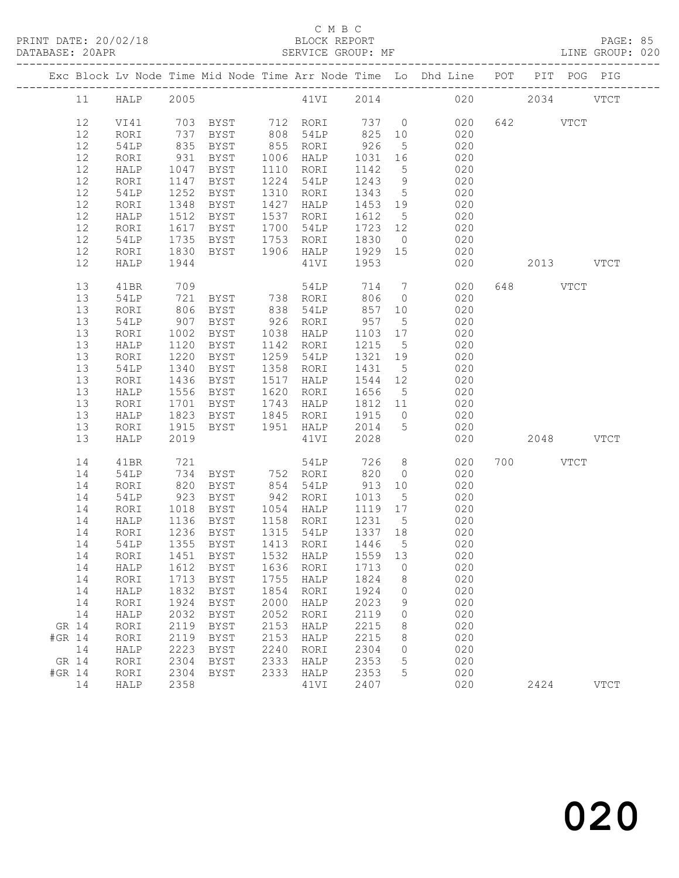|        |          |              |                  |                                     |              |                   |                 |                       | Exc Block Lv Node Time Mid Node Time Arr Node Time Lo Dhd Line POT PIT POG PIG |           |             |
|--------|----------|--------------|------------------|-------------------------------------|--------------|-------------------|-----------------|-----------------------|--------------------------------------------------------------------------------|-----------|-------------|
|        | 11       | HALP         |                  |                                     |              |                   |                 |                       | 2005    41VI    2014    020    2034    VTCT                                    |           |             |
|        | 12       | VI41         |                  |                                     |              |                   |                 |                       | 020                                                                            | 642 VTCT  |             |
|        | 12       | RORI         |                  |                                     |              |                   |                 |                       | 020                                                                            |           |             |
|        | 12       | 54LP         | 835              | BYST                                |              | 855 RORI          | 926             | 5 <sup>5</sup>        | 020                                                                            |           |             |
|        | 12       | RORI         | 931              | BYST                                | 1006         | HALP              | 1031            | 16                    | 020                                                                            |           |             |
|        | 12       | HALP         | 1047             | BYST                                |              | 1110 RORI         | 1142            | $5\overline{)}$       | 020                                                                            |           |             |
|        | 12       | RORI         | 1147             | BYST                                |              | 1224 54LP         | 1243            | 9                     | 020                                                                            |           |             |
|        | 12       | 54LP         | 1252             | BYST                                | 1310         | RORI              | 1343            | $5\overline{)}$       | 020                                                                            |           |             |
|        | 12       | RORI         | 1348             | BYST                                | 1427         | HALP              | 1453 19         |                       | 020                                                                            |           |             |
|        | 12       | HALP         | 1512             | BYST                                | 1537         | RORI              | 1612            | $5\overline{)}$       | 020                                                                            |           |             |
|        | 12       | RORI         | 1617             | BYST                                |              | 1700 54LP         | 1723 12         |                       | 020                                                                            |           |             |
|        | 12       | 54LP         | 1735             | BYST                                | 1753         | RORI              | 1830            | $\overline{0}$        | 020                                                                            |           |             |
|        | 12       | RORI         | 1830             | BYST                                |              | 1906 HALP         | 1929 15         |                       | 020                                                                            |           |             |
|        | 12       | HALP         | 1944             |                                     |              | 41VI              | 1953            |                       | 020                                                                            | 2013 VTCT |             |
|        | 13       | 41BR         | 709              |                                     |              | 54LP              | 714             | $7\overline{ }$       | 020                                                                            | 648 VTCT  |             |
|        | 13       | 54LP         | 721              | BYST 738 RORI                       |              |                   | 806             | $\overline{0}$        | 020                                                                            |           |             |
|        | 13       | RORI         | 806              | BYST                                | 838          | 54LP              | 857             | 10                    | 020                                                                            |           |             |
|        | 13       | 54LP         | 907              | BYST                                |              | 926 RORI          | 957             | $5\overline{)}$       | 020<br>020                                                                     |           |             |
|        | 13<br>13 | RORI         | 1002<br>1120     | BYST<br>BYST                        | 1038         | HALP<br>1142 RORI | 1103 17<br>1215 |                       | 020                                                                            |           |             |
|        | 13       | HALP<br>RORI | 1220             | BYST                                | 1259         | 54LP              | 1321            | $5\overline{)}$<br>19 | 020                                                                            |           |             |
|        | 13       | 54LP         | 1340             | BYST                                |              | 1358 RORI         | 1431            | $5\overline{)}$       | 020                                                                            |           |             |
|        | 13       | RORI         | 1436             | BYST                                | 1517         | HALP              | 1544 12         |                       | 020                                                                            |           |             |
|        | 13       | HALP         | 1556             | BYST                                | 1620         | RORI              | 1656            | $5\overline{)}$       | 020                                                                            |           |             |
|        | 13       | RORI         | 1701             | BYST                                |              | 1743 HALP         | 1812 11         |                       | 020                                                                            |           |             |
|        | 13       | HALP         | 1823             | BYST                                |              | 1845 RORI         | 1915            | $\overline{0}$        | 020                                                                            |           |             |
|        | 13       | RORI         | 1915             | BYST                                |              | 1951 HALP         | 2014            | $5\overline{)}$       | 020                                                                            |           |             |
|        | 13       | HALP         | 2019             |                                     |              | 41VI              | 2028            |                       | 020                                                                            | 2048 VTCT |             |
|        | 14       | 41BR         | 721              |                                     |              | 54LP              | 726             | 8 <sup>8</sup>        | 020                                                                            | 700 VTCT  |             |
|        | 14       | 54LP         | 734              | BYST 752 RORI                       |              |                   | 820             | $\overline{0}$        | 020                                                                            |           |             |
|        | 14       | RORI         | 820              | BYST                                |              | 854 54LP          | 913             | 10                    | 020                                                                            |           |             |
|        | 14       | 54LP         | 923              | BYST                                |              | 942 RORI          | 1013            | $5\overline{)}$       | 020                                                                            |           |             |
|        | 14       | RORI         | 1018             | BYST                                |              | 1054 HALP         | 1119 17         |                       | 020                                                                            |           |             |
|        | 14       | HALP         | $\frac{1}{1136}$ | BYST                                |              | 1158 RORI         | 1231 5          |                       | 020                                                                            |           |             |
|        | 14       | RORI         |                  | 1236 BYST                           |              | 1315 54LP 1337 18 |                 |                       | 020                                                                            |           |             |
|        | 14       | 54LP         |                  | 1355 BYST                           |              | 1413 RORI         | 1446 5          |                       | 020                                                                            |           |             |
|        |          |              |                  | 14 RORI 1451 BYST 1532 HALP 1559 13 |              |                   |                 |                       | 020                                                                            |           |             |
|        | 14       | HALP         | 1612             | <b>BYST</b>                         | 1636         | RORI              | 1713            | 0                     | 020                                                                            |           |             |
|        | 14       | RORI         | 1713             | <b>BYST</b>                         | 1755         | HALP              | 1824            | 8                     | 020                                                                            |           |             |
|        | 14       | HALP         | 1832             | <b>BYST</b>                         | 1854         | RORI              | 1924            | 0                     | 020                                                                            |           |             |
|        | 14<br>14 | RORI         | 1924<br>2032     | <b>BYST</b><br><b>BYST</b>          | 2000<br>2052 | HALP              | 2023<br>2119    | 9<br>0                | 020<br>020                                                                     |           |             |
| GR 14  |          | HALP<br>RORI | 2119             | <b>BYST</b>                         | 2153         | RORI<br>HALP      | 2215            | 8                     | 020                                                                            |           |             |
| #GR 14 |          | RORI         | 2119             | <b>BYST</b>                         | 2153         | HALP              | 2215            | 8                     | 020                                                                            |           |             |
|        | 14       | HALP         | 2223             | <b>BYST</b>                         | 2240         | RORI              | 2304            | 0                     | 020                                                                            |           |             |
| GR 14  |          | RORI         | 2304             | <b>BYST</b>                         | 2333         | HALP              | 2353            | 5                     | 020                                                                            |           |             |
| #GR 14 |          | RORI         | 2304             | <b>BYST</b>                         | 2333         | HALP              | 2353            | 5                     | 020                                                                            |           |             |
|        | 14       | HALP         | 2358             |                                     |              | 41VI              | 2407            |                       | 020                                                                            | 2424      | <b>VTCT</b> |
|        |          |              |                  |                                     |              |                   |                 |                       |                                                                                |           |             |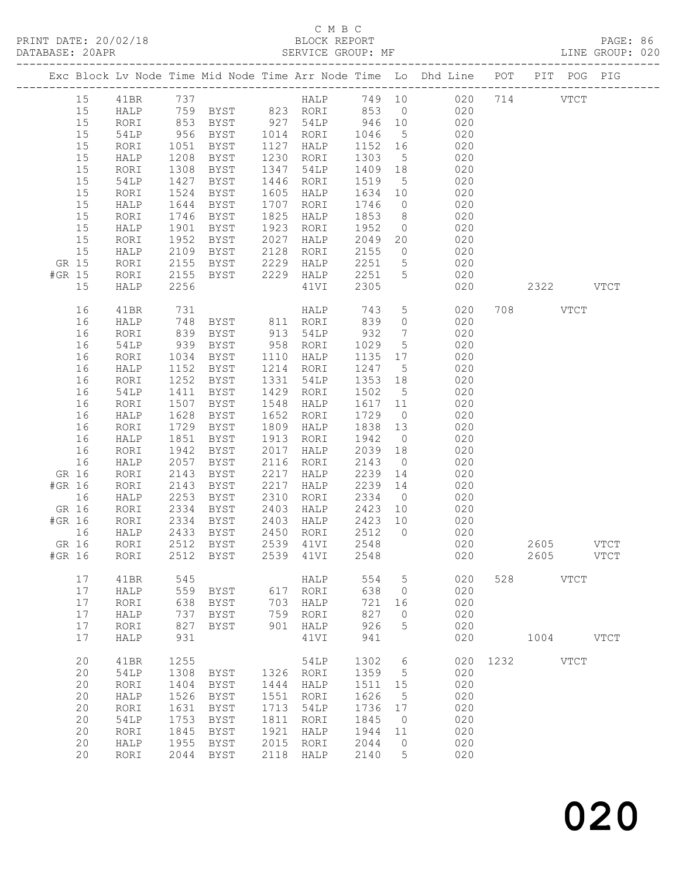|        |              |      |                                      |      |                  |                   |                 | Exc Block Lv Node Time Mid Node Time Arr Node Time Lo Dhd Line POT PIT POG PIG               |      |           |               |               |
|--------|--------------|------|--------------------------------------|------|------------------|-------------------|-----------------|----------------------------------------------------------------------------------------------|------|-----------|---------------|---------------|
| 15     | 41BR         | 737  |                                      |      |                  |                   |                 | HALP 749 10 020 714                                                                          |      |           | $_{\rm VTCT}$ |               |
| 15     | HALP         |      |                                      |      |                  |                   |                 |                                                                                              |      |           |               |               |
| 15     | RORI         |      |                                      |      |                  |                   |                 | $0\frac{1}{2}0$                                                                              |      |           |               |               |
| 15     | 54LP         |      |                                      |      |                  |                   |                 | 759 BYST 823 RORI 853 0 020<br>853 BYST 927 54LP 946 10 020<br>956 BYST 1014 RORI 1046 5 020 |      |           |               |               |
| 15     | RORI         | 1051 | BYST                                 |      | 1127 HALP        | 1152 16           |                 | 020                                                                                          |      |           |               |               |
| 15     | HALP         | 1208 | BYST                                 | 1230 | RORI             | 1303              | $5\overline{)}$ | 020                                                                                          |      |           |               |               |
| 15     | RORI         | 1308 | BYST                                 | 1347 | 54LP             | 1409 18           |                 | 020                                                                                          |      |           |               |               |
| 15     | 54LP         | 1427 | BYST                                 | 1446 | RORI             | 1519              | $5\overline{)}$ | 020                                                                                          |      |           |               |               |
| 15     | RORI         | 1524 | BYST                                 | 1605 | HALP             | 1634 10           |                 | 020                                                                                          |      |           |               |               |
| 15     | HALP         | 1644 | BYST                                 | 1707 | RORI             | 1746              | $\overline{0}$  | 020                                                                                          |      |           |               |               |
| 15     | RORI         | 1746 | BYST                                 | 1825 | HALP             | 1853              | 8 <sup>8</sup>  | 020                                                                                          |      |           |               |               |
| 15     | HALP         | 1901 | BYST                                 | 1923 | RORI             | 1952              | $\overline{0}$  | 020                                                                                          |      |           |               |               |
| 15     | RORI         | 1952 | BYST                                 | 2027 | HALP             | 2049 20           |                 | 020                                                                                          |      |           |               |               |
| 15     | HALP         | 2109 | BYST                                 | 2128 | RORI             | 2155              |                 | $0 \qquad 020$                                                                               |      |           |               |               |
| GR 15  | RORI         | 2155 | BYST                                 | 2229 | HALP             | 2251              | $5\overline{)}$ | 020                                                                                          |      |           |               |               |
| #GR 15 | RORI         | 2155 | BYST                                 | 2229 | HALP             | 2251              | $5\overline{)}$ | 020                                                                                          |      |           |               |               |
| 15     | HALP         | 2256 |                                      |      | 41VI             | 2305              |                 | 020                                                                                          |      | 2322 VTCT |               |               |
|        |              |      |                                      |      |                  |                   |                 |                                                                                              |      |           |               |               |
| 16     | 41BR         | 731  |                                      |      | HALP             |                   | 5 <sup>5</sup>  | 020                                                                                          |      | 708 VTCT  |               |               |
| 16     | HALP         | 748  |                                      |      |                  | 743<br>839        | $\overline{0}$  | 020                                                                                          |      |           |               |               |
| 16     | RORI         | 839  | BYST                                 |      | 913 54LP         | 932               | $7\overline{ }$ | 020                                                                                          |      |           |               |               |
| 16     | 54LP         | 939  | BYST                                 |      | 958 RORI         | 1029              | 5 <sup>5</sup>  | 020                                                                                          |      |           |               |               |
| 16     | RORI         | 1034 | BYST                                 | 1110 | HALP             | 1135              | 17              | 020                                                                                          |      |           |               |               |
| 16     | HALP         | 1152 | BYST                                 |      | 1214 RORI        | 1247              | $5\overline{)}$ | 020                                                                                          |      |           |               |               |
| 16     | RORI         | 1252 | BYST                                 | 1331 | 54LP             | 1353              | 18              | 020                                                                                          |      |           |               |               |
| 16     | 54LP         | 1411 | BYST                                 | 1429 | RORI             | 1502              | $5\overline{)}$ | 020                                                                                          |      |           |               |               |
| 16     | RORI         | 1507 | BYST                                 | 1548 | HALP             | 1617              | 11              | 020                                                                                          |      |           |               |               |
| 16     | HALP         | 1628 | BYST                                 | 1652 | RORI             | 1729              | $\overline{0}$  | 020                                                                                          |      |           |               |               |
| 16     |              | 1729 | BYST                                 | 1809 |                  | 1838 13           |                 | 020                                                                                          |      |           |               |               |
|        | RORI         | 1851 |                                      | 1913 | HALP             | 1942              |                 | 020                                                                                          |      |           |               |               |
| 16     | HALP         |      | BYST                                 |      | RORI             |                   | $\overline{0}$  |                                                                                              |      |           |               |               |
| 16     | RORI         | 1942 | BYST                                 | 2017 | HALP             | 2039              | 18              | 020                                                                                          |      |           |               |               |
| 16     | HALP         | 2057 | BYST                                 | 2116 | RORI             | 2143              | $\overline{0}$  | 020                                                                                          |      |           |               |               |
| GR 16  | RORI         | 2143 | BYST                                 | 2217 | HALP             | 2239              | 14              | 020                                                                                          |      |           |               |               |
| #GR 16 | RORI         | 2143 | BYST                                 | 2217 | HALP             | 2239 14           |                 | 020                                                                                          |      |           |               |               |
| 16     | HALP         | 2253 | BYST                                 | 2310 | RORI             | 2334              | $\overline{0}$  | 020                                                                                          |      |           |               |               |
| GR 16  | RORI         | 2334 | BYST                                 | 2403 | HALP             | 2423<br>$2423$ 10 | 10              | 020                                                                                          |      |           |               |               |
| #GR 16 | RORI         | 2334 | BYST                                 |      | 2403 HALP        |                   |                 | 020<br>020                                                                                   |      |           |               |               |
| 16     | HALP         | 2433 | BYST                                 |      | 2450 RORI 2512 0 |                   |                 |                                                                                              |      |           |               |               |
| GR 16  | RORI         |      | 2512 BYST                            |      | 2539 41VI        | 2548              |                 | 020                                                                                          |      | 2605 VTCT |               |               |
|        |              |      | #GR 16 RORI 2512 BYST 2539 41VI 2548 |      |                  |                   |                 | 020                                                                                          |      | 2605      |               | $_{\rm VTCT}$ |
| 17     |              | 545  |                                      |      |                  | 554               |                 | 020                                                                                          | 528  |           | $_{\rm VTCT}$ |               |
| 17     | 41BR         | 559  |                                      | 617  | HALP             | 638               | 5               | 020                                                                                          |      |           |               |               |
|        | HALP         |      | BYST                                 |      | RORI             |                   | $\circ$         |                                                                                              |      |           |               |               |
| 17     | RORI         | 638  | <b>BYST</b>                          | 703  | HALP             | 721               | 16              | 020                                                                                          |      |           |               |               |
| 17     | HALP         | 737  | <b>BYST</b>                          | 759  | RORI             | 827               | 0               | 020                                                                                          |      |           |               |               |
| 17     | RORI         | 827  | <b>BYST</b>                          | 901  | HALP             | 926               | 5               | 020                                                                                          |      |           |               |               |
| 17     | HALP         | 931  |                                      |      | 41VI             | 941               |                 | 020                                                                                          |      | 1004      |               | <b>VTCT</b>   |
| 20     |              | 1255 |                                      |      |                  | 1302              |                 | 020                                                                                          | 1232 |           |               |               |
|        | 41BR         |      |                                      |      | 54LP             |                   | 6               |                                                                                              |      |           | VTCT          |               |
| 20     | 54LP         | 1308 | <b>BYST</b>                          | 1326 | RORI             | 1359              | 5               | 020                                                                                          |      |           |               |               |
| 20     | RORI         | 1404 | <b>BYST</b>                          | 1444 | HALP             | 1511              | 15              | 020                                                                                          |      |           |               |               |
| 20     | HALP         | 1526 | <b>BYST</b>                          | 1551 | RORI             | 1626              | 5               | 020                                                                                          |      |           |               |               |
| 20     | RORI         | 1631 | <b>BYST</b>                          | 1713 | 54LP             | 1736              | 17              | 020                                                                                          |      |           |               |               |
| 20     | 54LP         | 1753 | <b>BYST</b>                          | 1811 | RORI             | 1845              | $\mathbf{0}$    | 020                                                                                          |      |           |               |               |
| 20     | RORI         | 1845 | <b>BYST</b>                          | 1921 | HALP             | 1944              | 11              | 020                                                                                          |      |           |               |               |
| 20     | ${\tt HALP}$ | 1955 | <b>BYST</b>                          | 2015 | RORI             | 2044              | $\circ$         | 020                                                                                          |      |           |               |               |
| 20     | RORI         | 2044 | <b>BYST</b>                          | 2118 | HALP             | 2140              | 5               | 020                                                                                          |      |           |               |               |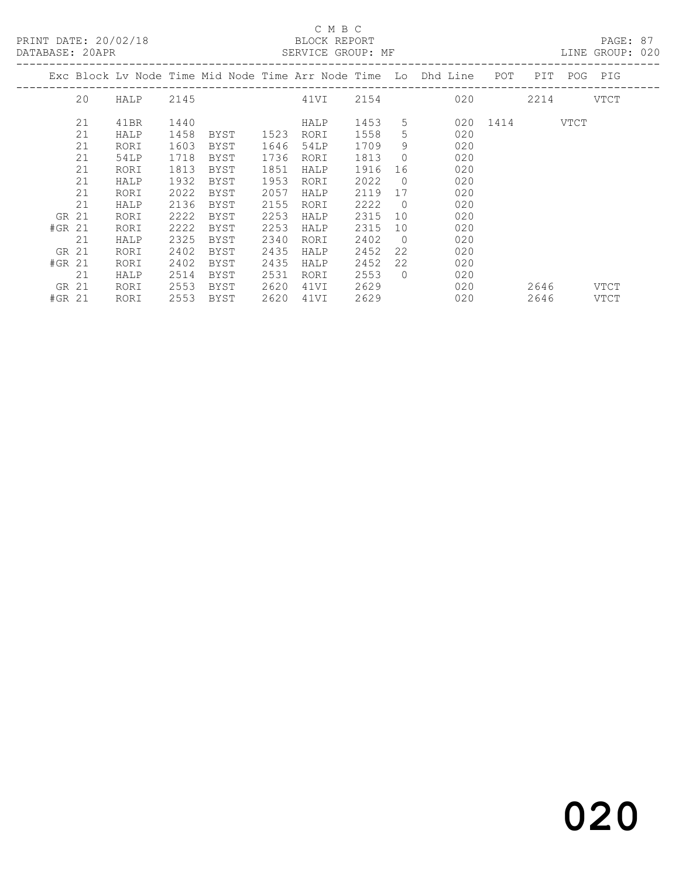PRINT DATE: 20/02/18 BLOCK REPORT<br>DATABASE: 20APR BATABASE: 20APR

### C M B C<br>BLOCK REPORT

PAGE: 87<br>LINE GROUP: 020

|           |    |      |      |      |      | THE STREET CLASS IS A STREET |      |                |                                                                        |               |           |         |             |
|-----------|----|------|------|------|------|------------------------------|------|----------------|------------------------------------------------------------------------|---------------|-----------|---------|-------------|
|           |    |      |      |      |      |                              |      |                | Exc Block Lv Node Time Mid Node Time Arr Node Time Lo Dhd Line POT PIT |               |           | POG PIG |             |
|           | 20 | HALP | 2145 |      |      |                              |      |                | 41VI 2154 020                                                          |               | 2214 VTCT |         |             |
|           | 21 | 41BR | 1440 |      |      | HALP                         | 1453 | 5              |                                                                        | 020 1414 VTCT |           |         |             |
|           | 21 | HALP | 1458 | BYST | 1523 | RORI                         | 1558 | 5              | 020                                                                    |               |           |         |             |
|           | 21 | RORI | 1603 | BYST | 1646 | 54LP                         | 1709 | 9              | 020                                                                    |               |           |         |             |
|           | 21 | 54LP | 1718 | BYST | 1736 | RORI                         | 1813 | $\overline{0}$ | 020                                                                    |               |           |         |             |
|           | 21 | RORI | 1813 | BYST | 1851 | HALP                         | 1916 | 16             | 020                                                                    |               |           |         |             |
|           | 21 | HALP | 1932 | BYST | 1953 | RORI                         | 2022 | $\overline{0}$ | 020                                                                    |               |           |         |             |
|           | 21 | RORI | 2022 | BYST | 2057 | HALP                         | 2119 | 17             | 020                                                                    |               |           |         |             |
|           | 21 | HALP | 2136 | BYST | 2155 | RORI                         | 2222 | $\overline{0}$ | 020                                                                    |               |           |         |             |
| <b>GR</b> | 21 | RORI | 2222 | BYST | 2253 | HALP                         | 2315 | 10             | 020                                                                    |               |           |         |             |
| $#GR$ 21  |    | RORI | 2222 | BYST | 2253 | HALP                         | 2315 | 10             | 020                                                                    |               |           |         |             |
|           | 21 | HALP | 2325 | BYST | 2340 | RORI                         | 2402 | $\overline{0}$ | 020                                                                    |               |           |         |             |
| GR 21     |    | RORI | 2402 | BYST | 2435 | HALP                         | 2452 | 22             | 020                                                                    |               |           |         |             |
| $#GR$ 21  |    | RORI | 2402 | BYST | 2435 | HALP                         | 2452 | 22             | 020                                                                    |               |           |         |             |
|           | 21 | HALP | 2514 | BYST | 2531 | RORI                         | 2553 | $\bigcirc$     | 020                                                                    |               |           |         |             |
| GR 21     |    | RORI | 2553 | BYST | 2620 | 41VI                         | 2629 |                | 020                                                                    |               | 2646      |         | VTCT        |
| #GR 21    |    | RORI | 2553 | BYST | 2620 | 41VI                         | 2629 |                | 020                                                                    |               | 2646      |         | <b>VTCT</b> |
|           |    |      |      |      |      |                              |      |                |                                                                        |               |           |         |             |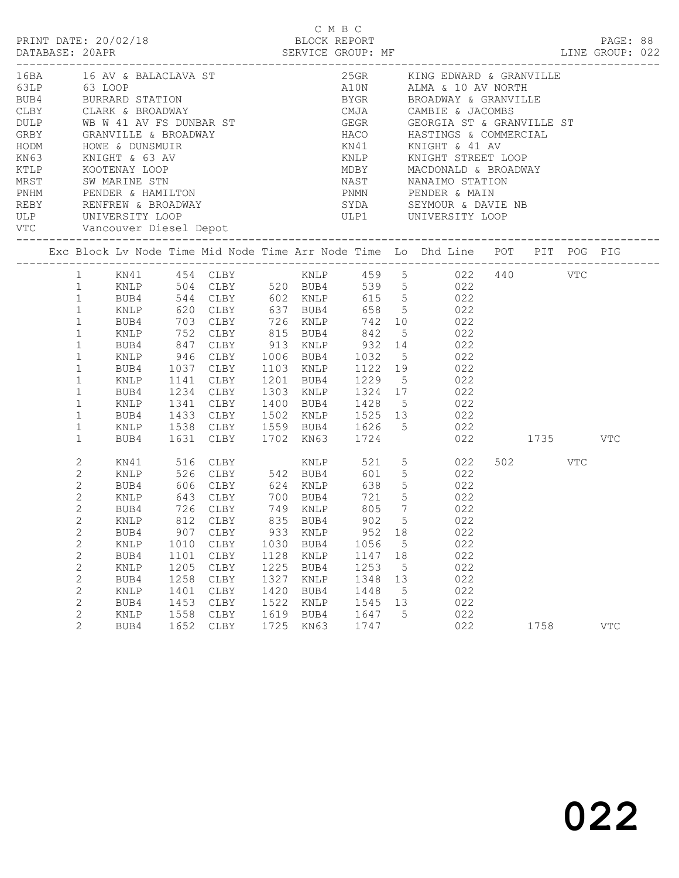|                                                                                                                                                                                                                                                                                                                                            |                                                                                 |                                                                                                        |                                                                                 |                                                                      | C M B C                                                                    |                                                             | LINE GROUP: 022                                                                                                                                                                                                                                                                                                                                                                                                                                                                                                                                  |                 | PAGE: 88   |  |
|--------------------------------------------------------------------------------------------------------------------------------------------------------------------------------------------------------------------------------------------------------------------------------------------------------------------------------------------|---------------------------------------------------------------------------------|--------------------------------------------------------------------------------------------------------|---------------------------------------------------------------------------------|----------------------------------------------------------------------|----------------------------------------------------------------------------|-------------------------------------------------------------|--------------------------------------------------------------------------------------------------------------------------------------------------------------------------------------------------------------------------------------------------------------------------------------------------------------------------------------------------------------------------------------------------------------------------------------------------------------------------------------------------------------------------------------------------|-----------------|------------|--|
| KN63 KNIGHT & 63 AV<br>ULP UNIVERSITY LOOP                                                                                                                                                                                                                                                                                                 |                                                                                 |                                                                                                        |                                                                                 |                                                                      |                                                                            |                                                             | 16BA 16 AV & BALACLAVA ST 25GR KING EDWARD & GRAND 63 LOOP A10N ALMA & 10 AV NORT BUB4 BURRARD STATION BY BROADWAY CAMBIE & JACOMBS DULP WB W 41 AV FS DUNBAR ST GEGR GEORGIA ST & GRAND HOME HOME & DUNSMUIR HOME WE A DUNSMU<br>25GR KING EDWARD & GRANVILLE<br>A10N ALMA & 10 AV NORTH<br>BYGR BROADWAY & GRANVILLE<br>GEGR GEORGIA ST & GRANVILLE ST<br>HACO HASTINGS & COMMERCIAL<br>KN41 KNIGHT & 41 AV<br>KNLP KNIGHT STREET LOOP<br>MDBY MACDONALD & BROADWAY<br>MDBY MACDONALD & BROADWAY<br>NAST NANAIMO STATION<br>PNMN PENDER & MAIN |                 |            |  |
|                                                                                                                                                                                                                                                                                                                                            |                                                                                 |                                                                                                        |                                                                                 |                                                                      |                                                                            |                                                             | Exc Block Lv Node Time Mid Node Time Arr Node Time Lo Dhd Line POT PIT POG PIG                                                                                                                                                                                                                                                                                                                                                                                                                                                                   |                 |            |  |
| $\mathbf{1}$<br>KNLP<br>$\mathbf{1}$<br>BUB4<br>$\mathbf{1}$<br>KNLP<br>$\mathbf{1}$<br>BUB4<br>$\mathbf{1}$<br>KNLP<br>$\mathbf{1}$<br>BUB4<br>$\mathbf{1}$<br>KNLP<br>$\mathbf{1}$<br>BUB4<br>$\mathbf{1}$<br>KNLP<br>$\mathbf{1}$<br>$\mathbf{1}$<br>$\mathbf{1}$                                                                       |                                                                                 |                                                                                                        |                                                                                 |                                                                      |                                                                            |                                                             | 620 CLBY 637 BUB4 658 5 022<br>703 CLBY 726 KNLP 742 10 022<br>752 CLBY 815 BUB4 842 5 022<br>847 CLBY 913 KNLP 932 14 022<br>946 CLBY 1006 BUB4 1032 5 022<br>1037 CLBY 1103 KNLP 1122 19 022<br>1141 CLBY 1201 BUB4 1229 5 022<br>1234 CLBY 1303 KNLP 1324 17 022<br>1341 CLBY 1400 BUB4 1428 5 022<br>BUB4 1433 CLBY 1502 KNLP 1525 13 022<br>KNLP 1538 CLBY 1559 BUB4 1626 5 022<br>BUB4 1631 CLBY 1702 KN63 1724 022 1735 VTC                                                                                                               |                 |            |  |
| 2<br>KN41<br>$\mathbf{2}$<br>KNLP<br>$\overline{c}$<br>BUB4<br>$\overline{c}$<br>KNLP<br>$\overline{c}$<br>BUB4<br>$\mathbf{2}$<br>2<br>BUB4<br>$\mathbf{2}$<br>KNLP<br>$\mathbf{2}$<br>BUB4<br>$\mathbf{2}$<br><b>KNLP</b><br>$\mathbf{2}$<br>BUB4<br>2<br>KNLP<br>$\mathbf{2}$<br>BUB4<br>$\mathbf{2}$<br>KNLP<br>$\overline{2}$<br>BUB4 | 726 CLBY<br>907<br>1010<br>1101<br>1205<br>1258<br>1401<br>1453<br>1558<br>1652 | CLBY<br>${\tt CLBY}$<br>CLBY<br>$\texttt{CLBY}{}$<br>$\texttt{CLBY}{}$<br>CLBY<br>CLBY<br>CLBY<br>CLBY | 749 KNLP<br>933<br>1030<br>1128<br>1225<br>1327<br>1420<br>1522<br>1619<br>1725 | KNLP<br>BUB4<br>KNLP<br>BUB4<br>KNLP<br>BUB4<br>KNLP<br>BUB4<br>KN63 | 805<br>952<br>1056<br>1147<br>1253<br>1348<br>1448<br>1545<br>1647<br>1747 | $7\overline{ }$<br>18<br>5<br>18<br>5<br>13<br>5<br>13<br>5 | 643 CLBY 700 BUB4 721 5 022<br>022<br>KNLP 812 CLBY 835 BUB4 902 5 022<br>022<br>022<br>022<br>022<br>022<br>022<br>022<br>022<br>022                                                                                                                                                                                                                                                                                                                                                                                                            | 502 VTC<br>1758 | <b>VTC</b> |  |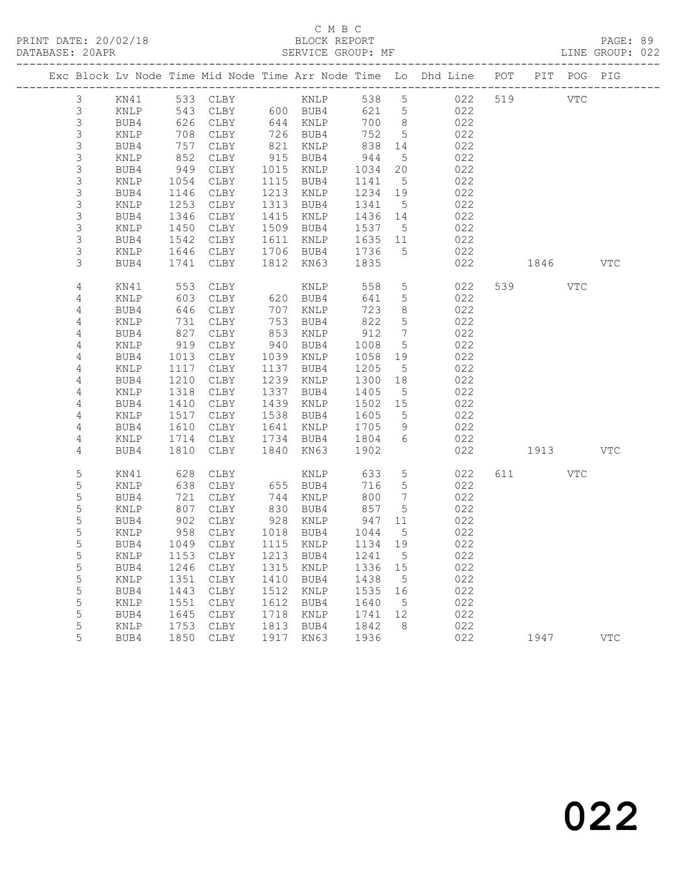# C M B C<br>BLOCK REPORT

LINE GROUP: 022

|                            |                 |              |                            |              |                      |                 |                              | Exc Block Lv Node Time Mid Node Time Arr Node Time Lo Dhd Line POT |           | PIT POG PIG |            |
|----------------------------|-----------------|--------------|----------------------------|--------------|----------------------|-----------------|------------------------------|--------------------------------------------------------------------|-----------|-------------|------------|
| 3                          | KN41            |              | 533 CLBY KNLP              |              |                      | 538 5           |                              | 022                                                                | 519 VTC   |             |            |
| $\mathsf 3$                | KNLP            | 543          |                            |              | CLBY 600 BUB4        | 621 5           |                              | 022                                                                |           |             |            |
| $\mathsf S$                | BUB4            | 626          | CLBY                       |              | 644 KNLP             | 700 8           |                              | 022                                                                |           |             |            |
| $\mathsf S$                | KNLP            | 708          | CLBY                       | 726          | BUB4                 | 752             | $5^{\circ}$                  | 022                                                                |           |             |            |
| $\mathsf S$                | BUB4            | 757          | CLBY                       | 821          | KNLP                 | 838             | 14                           | 022                                                                |           |             |            |
| $\mathsf S$                | KNLP            | 852          | CLBY                       |              | 915 BUB4             | 944             | $5\overline{)}$              | 022                                                                |           |             |            |
| $\mathsf 3$                | BUB4            | 949          | CLBY                       |              | 1015 KNLP            | 1034            | 20                           | 022                                                                |           |             |            |
| $\mathsf S$                | KNLP            | 1054         | CLBY                       |              | 1115 BUB4            | 1141            | $5^{\circ}$                  | 022                                                                |           |             |            |
| $\mathsf S$                | BUB4            | 1146         | CLBY                       | 1213         | KNLP                 | 1234 19         |                              | 022                                                                |           |             |            |
| $\mathsf S$                | KNLP            | 1253         | CLBY                       | 1313         | BUB4                 | 1341            | $5^{\circ}$                  | 022                                                                |           |             |            |
| 3                          | BUB4            | 1346         | CLBY                       | 1415         | KNLP                 | 1436 14         |                              | 022                                                                |           |             |            |
| $\mathsf S$<br>$\mathsf S$ | KNLP            | 1450         | CLBY                       | 1509         | BUB4                 | 1537            | $5\overline{)}$              | 022                                                                |           |             |            |
| $\mathsf S$                | BUB4            | 1542<br>1646 | CLBY                       | 1611         | KNLP<br>1706 BUB4    | 1635 11<br>1736 | $5^{\circ}$                  | 022<br>022                                                         |           |             |            |
| 3                          | KNLP<br>BUB4    | 1741         | CLBY<br>CLBY               | 1812         | KN63                 | 1835            |                              | 022                                                                | 1846      |             | <b>VTC</b> |
|                            |                 |              |                            |              |                      |                 |                              |                                                                    |           |             |            |
| 4                          | KN41            | 553          | CLBY                       |              | KNLP                 | 558             | $5\overline{)}$              | 022                                                                | 539 VTC   |             |            |
| 4                          | KNLP            | 603          | CLBY                       |              | 620 BUB4             | 641             | $5\phantom{.0}$              | 022                                                                |           |             |            |
| 4                          | BUB4            | 646          | CLBY                       | 707          | KNLP                 | 723             | 8 <sup>8</sup>               | 022                                                                |           |             |            |
| 4                          | KNLP            | 731          | CLBY                       | 753          | BUB4                 | 822             | $5\phantom{.0}$              | 022                                                                |           |             |            |
| 4                          | BUB4            | 827          | CLBY                       | 853          | KNLP                 | 912             | $7\phantom{.0}\phantom{.0}7$ | 022                                                                |           |             |            |
| 4                          | $\texttt{KNLP}$ | 919          | CLBY                       | 940          | BUB4                 | 1008            | $5\overline{)}$              | 022                                                                |           |             |            |
| $\sqrt{4}$                 | BUB4            | 1013         | CLBY                       | 1039         | KNLP                 | 1058            | 19                           | 022                                                                |           |             |            |
| 4                          | KNLP            | 1117         | CLBY                       | 1137         | BUB4                 | 1205            | $5^{\circ}$                  | 022                                                                |           |             |            |
| 4                          | BUB4            | 1210         | CLBY                       | 1239         | KNLP                 | 1300            | 18                           | 022                                                                |           |             |            |
| 4                          | KNLP            | 1318         | CLBY                       | 1337         | BUB4                 | 1405            | $5^{\circ}$                  | 022                                                                |           |             |            |
| 4                          | BUB4            | 1410         | CLBY                       | 1439         | KNLP                 | 1502 15         |                              | 022                                                                |           |             |            |
| 4                          | KNLP            | 1517         | CLBY                       | 1538         | BUB4                 | 1605            | $5^{\circ}$                  | 022                                                                |           |             |            |
| 4                          | BUB4            | 1610         | CLBY                       | 1641         | KNLP                 | 1705            | 9<br>6                       | 022                                                                |           |             |            |
| 4<br>4                     | KNLP<br>BUB4    | 1714<br>1810 | CLBY<br>CLBY               | 1734<br>1840 | BUB4<br>KN63         | 1804<br>1902    |                              | 022<br>022                                                         | 1913      |             | <b>VTC</b> |
|                            |                 |              |                            |              |                      |                 |                              |                                                                    |           |             |            |
| 5                          | KN41            | 628          | CLBY                       |              | KNLP                 | 633             | $5\phantom{.0}$              | 022                                                                | 611 — 100 | VTC         |            |
| 5                          | KNLP            | 638          | CLBY                       |              | 655 BUB4<br>744 KNID | 716             | $5\phantom{.0}$              | 022                                                                |           |             |            |
| 5                          | BUB4            | 721          | CLBY                       | 744          | KNLP                 | 800             | $7\phantom{.0}\phantom{.0}7$ | 022                                                                |           |             |            |
| 5                          | KNLP            | 807          | CLBY                       | 830          | BUB4                 | 857             | $5\overline{)}$              | 022                                                                |           |             |            |
| 5                          | BUB4            | 902          | CLBY                       | 928          | KNLP                 | 947             | 11                           | 022                                                                |           |             |            |
| 5                          | KNLP            | 958          | CLBY                       |              | 1018 BUB4            | 1044            | $5^{\circ}$                  | 022                                                                |           |             |            |
| 5                          | BUB4            | 1049         | CLBY                       |              | 1115 KNLP            | 1134 19         |                              | 022                                                                |           |             |            |
| 5                          | KNLP            |              | 1153 CLBY 1213 BUB4 1241 5 |              |                      |                 |                              | 022                                                                |           |             |            |
| 5                          | BUB4            | 1246         | CLBY                       | 1315         | KNLP                 | 1336            | 15                           | 022                                                                |           |             |            |
| 5                          | KNLP            | 1351         | CLBY                       | 1410         | BUB4                 | 1438            | $5^{\circ}$                  | 022                                                                |           |             |            |
| 5                          | BUB4            | 1443         | CLBY                       | 1512         | KNLP                 | 1535            | 16                           | 022                                                                |           |             |            |
| $\mathsf S$<br>5           | KNLP            | 1551         | CLBY                       | 1612         | BUB4                 | 1640            | 5                            | 022<br>022                                                         |           |             |            |
| 5                          | BUB4            | 1645<br>1753 | CLBY                       | 1718<br>1813 | KNLP                 | 1741            | 12<br>8                      | 022                                                                |           |             |            |
| 5                          | KNLP<br>BUB4    | 1850         | CLBY<br>CLBY               | 1917         | BUB4<br>KN63         | 1842<br>1936    |                              | 022                                                                | 1947      |             | <b>VTC</b> |
|                            |                 |              |                            |              |                      |                 |                              |                                                                    |           |             |            |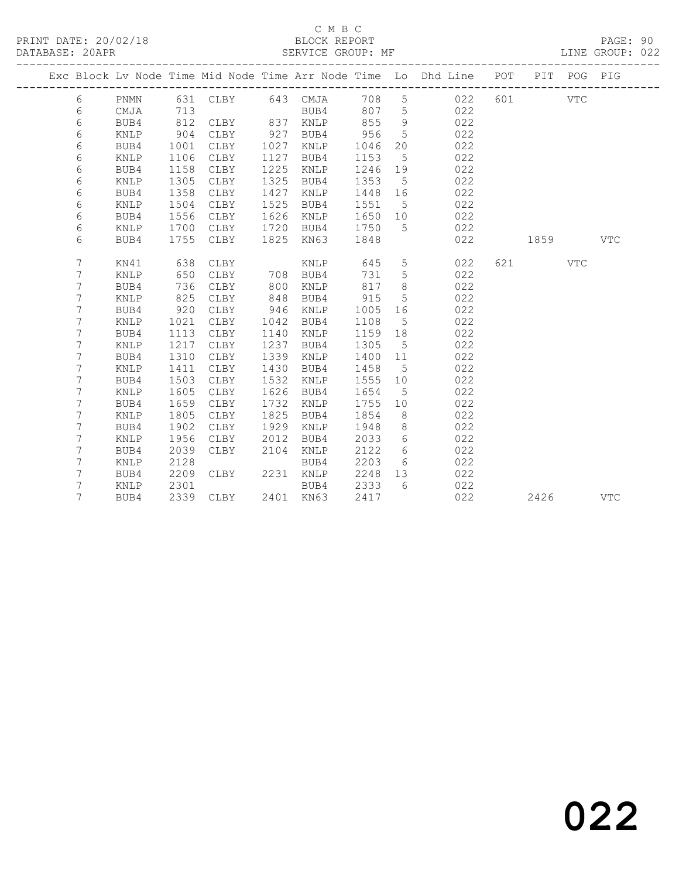### C M B C

DATABASE: 20APR SERVICE GROUP: MF LINE GROUP: 022

|  |                |      |      |               |      |           |         |                 | Exc Block Lv Node Time Mid Node Time Arr Node Time Lo Dhd Line POT PIT POG PIG |                                                                                                       |            |
|--|----------------|------|------|---------------|------|-----------|---------|-----------------|--------------------------------------------------------------------------------|-------------------------------------------------------------------------------------------------------|------------|
|  |                |      |      |               |      |           |         |                 |                                                                                |                                                                                                       |            |
|  | 6              | PNMN |      |               |      |           |         |                 | 631 CLBY 643 CMJA 708 5 022                                                    | 601 VTC                                                                                               |            |
|  | 6              | CMJA | 713  |               |      | BUB4      | 807 5   |                 | 022                                                                            |                                                                                                       |            |
|  | 6              | BUB4 | 812  | CLBY 837 KNLP |      |           | 855     | 9               | 022                                                                            |                                                                                                       |            |
|  | 6              | KNLP | 904  | CLBY          | 927  | BUB4      | 956     | $5^{\circ}$     | 022                                                                            |                                                                                                       |            |
|  | 6              | BUB4 | 1001 | CLBY          | 1027 | KNLP      | 1046    | 20              | 022                                                                            |                                                                                                       |            |
|  | 6              | KNLP | 1106 | CLBY          | 1127 | BUB4      | 1153    | $5^{\circ}$     | 022                                                                            |                                                                                                       |            |
|  | 6              | BUB4 | 1158 | CLBY          | 1225 | KNLP      | 1246    | 19              | 022                                                                            |                                                                                                       |            |
|  | 6              | KNLP | 1305 | CLBY          | 1325 | BUB4      | 1353    | $5^{\circ}$     | 022                                                                            |                                                                                                       |            |
|  | 6              | BUB4 | 1358 | CLBY          | 1427 | KNLP      | 1448    | 16              | 022                                                                            |                                                                                                       |            |
|  | 6              | KNLP | 1504 | CLBY          | 1525 | BUB4      | 1551    | 5 <sup>5</sup>  | 022                                                                            |                                                                                                       |            |
|  | 6              | BUB4 | 1556 | CLBY          | 1626 | KNLP      | 1650 10 |                 | 022                                                                            |                                                                                                       |            |
|  | 6              | KNLP | 1700 | CLBY          | 1720 | BUB4      | 1750    | $5^{\circ}$     | 022                                                                            |                                                                                                       |            |
|  | 6              | BUB4 | 1755 | CLBY          | 1825 | KN63      | 1848    |                 | 022                                                                            | 1859 — 1859 — 1859 — 1859 — 1859 — 1859 — 1859 — 1859 — 1859 — 1859 — 1859 — 1859 — 1859 — 1859 — 185 | VTC        |
|  |                |      |      |               |      |           |         |                 |                                                                                |                                                                                                       |            |
|  | 7              | KN41 | 638  | CLBY          |      | KNLP      | 645     | $5\overline{)}$ | 022                                                                            | 621 VTC                                                                                               |            |
|  | 7              | KNLP | 650  | CLBY          |      | 708 BUB4  | 731     | $5\phantom{.0}$ | 022                                                                            |                                                                                                       |            |
|  | 7              | BUB4 | 736  | CLBY          | 800  | KNLP      | 817     | 8               | 022                                                                            |                                                                                                       |            |
|  | 7              | KNLP | 825  | CLBY          | 848  | BUB4      | 915     | $5\overline{)}$ | 022                                                                            |                                                                                                       |            |
|  | 7              | BUB4 | 920  | CLBY          | 946  | KNLP      | 1005    | 16              | 022                                                                            |                                                                                                       |            |
|  | $\overline{7}$ | KNLP | 1021 | CLBY          | 1042 | BUB4      | 1108    | $5^{\circ}$     | 022                                                                            |                                                                                                       |            |
|  | 7              | BUB4 | 1113 | CLBY          | 1140 | KNLP      | 1159 18 |                 | 022                                                                            |                                                                                                       |            |
|  | 7              | KNLP | 1217 | CLBY          | 1237 | BUB4      | 1305    | $5^{\circ}$     | 022                                                                            |                                                                                                       |            |
|  | 7              | BUB4 | 1310 | CLBY          | 1339 | KNLP      | 1400 11 |                 | 022                                                                            |                                                                                                       |            |
|  | 7              | KNLP | 1411 | CLBY          | 1430 | BUB4      | 1458    | $5^{\circ}$     | 022                                                                            |                                                                                                       |            |
|  | 7              | BUB4 | 1503 | CLBY          | 1532 | KNLP      | 1555 10 |                 | 022                                                                            |                                                                                                       |            |
|  | 7              | KNLP | 1605 | CLBY          | 1626 | BUB4      | 1654    | $5^{\circ}$     | 022                                                                            |                                                                                                       |            |
|  | 7              | BUB4 | 1659 | CLBY          | 1732 | KNLP      | 1755 10 |                 | 022                                                                            |                                                                                                       |            |
|  | 7              | KNLP | 1805 | CLBY          | 1825 | BUB4      | 1854    | 8 <sup>8</sup>  | 022                                                                            |                                                                                                       |            |
|  | 7              | BUB4 | 1902 | CLBY          | 1929 | KNLP      | 1948    | 8 <sup>8</sup>  | 022                                                                            |                                                                                                       |            |
|  | 7              | KNLP | 1956 | CLBY          | 2012 | BUB4      | 2033    | 6               | 022                                                                            |                                                                                                       |            |
|  | 7              | BUB4 | 2039 | CLBY          | 2104 | KNLP      | 2122    | $6\overline{6}$ | 022                                                                            |                                                                                                       |            |
|  | 7              | KNLP | 2128 |               |      | BUB4      | 2203    | $6\overline{6}$ | 022                                                                            |                                                                                                       |            |
|  | 7              | BUB4 | 2209 | CLBY          |      | 2231 KNLP | 2248    | 13              | 022                                                                            |                                                                                                       |            |
|  | 7              | KNLP | 2301 |               |      | BUB4      | 2333    | 6               | 022                                                                            |                                                                                                       |            |
|  | 7              | BUB4 |      | 2339 CLBY     |      | 2401 KN63 | 2417    |                 | 022                                                                            | 2426                                                                                                  | <b>VTC</b> |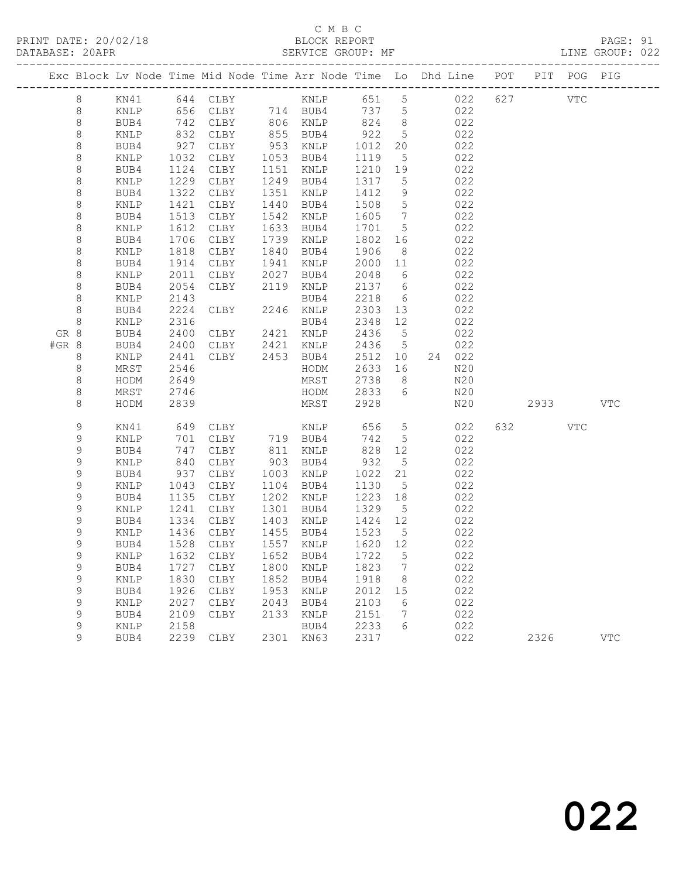# C M B C

| DATABASE: 20APR             |              |              |                                  |              | SERVICE GROUP: MF                                                              |                   |                                  |            |         |          | LINE GROUP: 022 |
|-----------------------------|--------------|--------------|----------------------------------|--------------|--------------------------------------------------------------------------------|-------------------|----------------------------------|------------|---------|----------|-----------------|
|                             |              |              |                                  |              | Exc Block Lv Node Time Mid Node Time Arr Node Time Lo Dhd Line POT PIT POG PIG |                   |                                  |            |         |          |                 |
| 8                           |              |              |                                  |              |                                                                                |                   |                                  |            |         |          |                 |
| 8                           | KNLP         |              |                                  |              | 656 CLBY 714 BUB4 737 5 022                                                    |                   |                                  |            |         |          |                 |
| 8                           | BUB4         | 742<br>832   | CLBY 806 KNLP                    |              |                                                                                | 824 8             |                                  | 022        |         |          |                 |
| $\,8\,$                     | KNLP         |              | CLBY                             |              | 855 BUB4                                                                       | $\frac{624}{922}$ | 5 <sup>5</sup>                   | 022        |         |          |                 |
| 8                           | BUB4         | 927          | CLBY                             |              | 953 KNLP                                                                       |                   | 20                               | 022        |         |          |                 |
| 8                           | KNLP         | 1032         | CLBY                             |              | 1053 BUB4                                                                      | 1119              | $5\overline{)}$                  | 022        |         |          |                 |
| 8                           | BUB4         | 1124         | CLBY                             |              | 1151 KNLP                                                                      | 1210              | 19                               | 022        |         |          |                 |
| 8                           | KNLP         | 1229         | CLBY                             |              | 1249 BUB4                                                                      | 1317 5            |                                  | 022        |         |          |                 |
| 8                           | BUB4         | 1322         | CLBY                             |              | 1351 KNLP                                                                      | 1412              | 9                                | 022        |         |          |                 |
| 8                           | KNLP         | 1421         | CLBY                             | 1440         | BUB4                                                                           | 1508              | $5\overline{)}$                  | 022        |         |          |                 |
| 8                           | BUB4         | 1513         | CLBY                             | 1542         | KNLP                                                                           | 1605              | $7\overline{)}$                  | 022        |         |          |                 |
| 8                           | KNLP         | 1612<br>1706 | CLBY                             |              | 1633 BUB4<br>1739 KNLP                                                         | 1701 5            |                                  | 022<br>022 |         |          |                 |
| 8<br>8                      | BUB4<br>KNLP | 1818         | CLBY<br>CLBY                     |              | 1840 BUB4                                                                      | 1802<br>1906      | 16<br>8 <sup>8</sup>             | 022        |         |          |                 |
| 8                           | BUB4         | 1914         | CLBY                             |              | 1941 KNLP                                                                      | 2000              | 11                               | 022        |         |          |                 |
| 8                           | KNLP         | 2011         |                                  |              |                                                                                | 2048              | 6                                | 022        |         |          |                 |
| 8                           | BUB4         | 2054         | CLBY 2027 BUB4<br>CLBY 2119 KNLP |              |                                                                                | 2137 6            |                                  | 022        |         |          |                 |
| 8                           | KNLP         | 2143         |                                  |              | BUB4                                                                           | 2218              | 6                                | 022        |         |          |                 |
| 8                           | BUB4         | 2224         | CLBY 2246 KNLP                   |              |                                                                                | 2303 13           |                                  | 022        |         |          |                 |
| 8                           | KNLP         | 2316         |                                  |              | BUB4                                                                           | 2348              | 12                               | 022        |         |          |                 |
| GR 8                        | BUB4         | 2400         | CLBY 2421 KNLP                   |              |                                                                                | 2436 5            |                                  | 022        |         |          |                 |
| #GR 8                       | BUB4         | 2400         | CLBY                             |              | 2421 KNLP                                                                      | 2436              | $5\overline{)}$                  | 022        |         |          |                 |
| 8                           | KNLP         | 2441         |                                  |              | CLBY 2453 BUB4                                                                 | 2512              | 10                               | 24 022     |         |          |                 |
| 8                           | MRST         | 2546         |                                  |              | HODM                                                                           | 2633              | 16                               | N20        |         |          |                 |
| 8                           | HODM         | 2649         |                                  |              | MRST                                                                           | 2738              | 8 <sup>8</sup>                   | N20        |         |          |                 |
| 8                           | MRST         | 2746         |                                  |              | HODM 2833 6                                                                    |                   |                                  | N20        |         |          |                 |
| 8                           | HODM         | 2839         |                                  |              | MRST                                                                           | 2928              |                                  | N20        |         | 2933 VTC |                 |
| 9                           | KN41         |              | 649 CLBY                         |              | KNLP                                                                           | 656               | $5\overline{)}$                  | 022        | 632 VTC |          |                 |
| 9                           | KNLP         | 701          | CLBY                             |              | 719 BUB4                                                                       | 742               | $5\overline{)}$                  | 022        |         |          |                 |
| 9                           | BUB4         | 747          | CLBY                             |              | 811 KNLP                                                                       |                   | 828 12                           | 022        |         |          |                 |
| 9                           | KNLP         | 840          | CLBY                             |              | 903 BUB4                                                                       | 932               | $5^{\circ}$                      | 022        |         |          |                 |
| 9                           | BUB4         | 937          | CLBY                             |              | 1003 KNLP                                                                      | 1022 21           |                                  | 022        |         |          |                 |
| $\mathsf 9$                 | KNLP         | 1043         | CLBY                             |              | 1104 BUB4                                                                      | 1130              | $5\overline{)}$                  | 022        |         |          |                 |
| 9                           | BUB4         | 1135         | CLBY                             |              | 1202 KNLP                                                                      | 1223 18           |                                  | 022        |         |          |                 |
| 9                           | KNLP         | 1241         | CLBY                             |              | 1301 BUB4                                                                      | 1329              | $5^{\circ}$                      | 022        |         |          |                 |
| 9                           | BUB4         |              | 1334 CLBY<br>1436 CLBY           |              | 1403 KNLP                                                                      | 1424 12           |                                  | 022        |         |          |                 |
| $\mathsf 9$<br>$\mathsf{Q}$ | KNLP         |              |                                  |              | 1455 BUB4                                                                      | 1523 5            |                                  | 022        |         |          |                 |
|                             |              |              |                                  |              | BUB4 1528 CLBY 1557 KNLP 1620 12                                               |                   |                                  | 022        |         |          |                 |
| 9                           | KNLP         | 1632         | CLBY                             | 1652<br>1800 | BUB4                                                                           | 1722              | 5                                | 022<br>022 |         |          |                 |
| 9<br>9                      | BUB4<br>KNLP | 1727<br>1830 | CLBY<br>CLBY                     | 1852         | KNLP<br>BUB4                                                                   | 1823<br>1918      | $\overline{7}$<br>8 <sup>8</sup> | 022        |         |          |                 |
| 9                           | BUB4         | 1926         | CLBY                             | 1953         | KNLP                                                                           | 2012              | 15                               | 022        |         |          |                 |
| 9                           | KNLP         | 2027         | CLBY                             | 2043         | BUB4                                                                           | 2103              | 6                                | 022        |         |          |                 |
| 9                           | BUB4         | 2109         | CLBY                             | 2133         | KNLP                                                                           | 2151              | 7                                | 022        |         |          |                 |
| $\mathsf 9$                 | KNLP         | 2158         |                                  |              | BUB4                                                                           | 2233              | 6                                | 022        |         |          |                 |
| 9                           | BUB4         |              | 2239 CLBY                        |              | 2301 KN63                                                                      | 2317              |                                  | 022        | 2326    |          | <b>VTC</b>      |
|                             |              |              |                                  |              |                                                                                |                   |                                  |            |         |          |                 |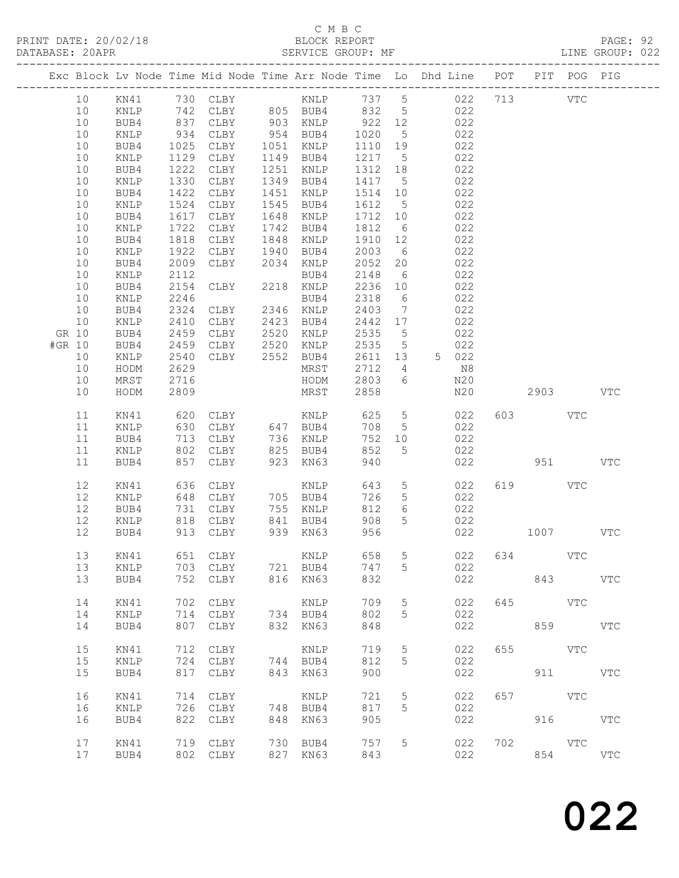### C M B C<br>BLOCK REPORT

| PRINT DATE: 20/02/18<br>DATABASE: 20APR |    |               |      |                                                                                |      | BLOCK REPORT<br>SERVICE GROUP: MF |      |                 |                   |       |     |            |         | PAGE: 92<br>LINE GROUP: 022 |  |
|-----------------------------------------|----|---------------|------|--------------------------------------------------------------------------------|------|-----------------------------------|------|-----------------|-------------------|-------|-----|------------|---------|-----------------------------|--|
|                                         |    |               |      | Exc Block Lv Node Time Mid Node Time Arr Node Time Lo Dhd Line POT PIT POG PIG |      |                                   |      |                 |                   |       |     |            |         |                             |  |
|                                         | 10 | KN41 730 CLBY |      |                                                                                |      | KNLP                              |      |                 | 737 5 022 713 VTC |       |     |            |         |                             |  |
|                                         | 10 | KNLP          |      | 742 CLBY                                                                       |      | 805 BUB4                          | 832  |                 | 5 022             |       |     |            |         |                             |  |
|                                         | 10 | BUB4          |      | 837 CLBY                                                                       |      | 903 KNLP                          | 922  |                 | 12                | 022   |     |            |         |                             |  |
|                                         | 10 | KNLP          | 934  | CLBY                                                                           | 954  | BUB4                              | 1020 | 5 <sup>5</sup>  |                   | 022   |     |            |         |                             |  |
|                                         | 10 | BUB4          | 1025 | CLBY                                                                           | 1051 | KNLP                              | 1110 | 19              |                   | 022   |     |            |         |                             |  |
|                                         | 10 | KNLP          | 1129 | CLBY                                                                           | 1149 | BUB4                              | 1217 | 5 <sup>5</sup>  |                   | 022   |     |            |         |                             |  |
|                                         | 10 | BUB4          | 1222 | CLBY                                                                           | 1251 | KNLP                              | 1312 | 18              |                   | 022   |     |            |         |                             |  |
|                                         | 10 | KNLP          | 1330 | CLBY                                                                           | 1349 | BUB4                              | 1417 | 5 <sup>5</sup>  |                   | 022   |     |            |         |                             |  |
|                                         | 10 | BUB4          | 1422 | CLBY                                                                           | 1451 | KNLP                              | 1514 | 10              |                   | 022   |     |            |         |                             |  |
|                                         | 10 | KNLP          | 1524 | CLBY                                                                           | 1545 | BUB4                              | 1612 | 5 <sup>5</sup>  |                   | 022   |     |            |         |                             |  |
|                                         | 10 | BUB4          | 1617 | CLBY                                                                           | 1648 | KNLP                              | 1712 | 10              |                   | 022   |     |            |         |                             |  |
|                                         | 10 | KNLP          | 1722 | CLBY                                                                           | 1742 | BUB4                              | 1812 | 6               |                   | 022   |     |            |         |                             |  |
|                                         | 10 | BUB4          | 1818 | CLBY                                                                           | 1848 | KNLP                              | 1910 | 12              |                   | 022   |     |            |         |                             |  |
|                                         | 10 | KNLP          | 1922 | CLBY                                                                           | 1940 | BUB4                              | 2003 | 6               |                   | 022   |     |            |         |                             |  |
|                                         | 10 | BUB4          | 2009 | CLBY                                                                           | 2034 | KNLP                              | 2052 |                 | 20                | 022   |     |            |         |                             |  |
|                                         | 10 | KNLP          | 2112 |                                                                                |      | BUB4                              | 2148 | 6               |                   | 022   |     |            |         |                             |  |
|                                         | 10 | BUB4          |      | 2154 CLBY                                                                      |      | 2218 KNLP                         | 2236 | 10              |                   | 022   |     |            |         |                             |  |
|                                         | 10 | KNLP          | 2246 |                                                                                |      | BUB4                              | 2318 | 6               |                   | 022   |     |            |         |                             |  |
|                                         | 10 | BUB4          |      | 2324 CLBY                                                                      |      | 2346 KNLP                         | 2403 | $\overline{7}$  |                   | 022   |     |            |         |                             |  |
|                                         | 10 | KNLP          | 2410 | CLBY                                                                           | 2423 | BUB4                              | 2442 | 17              |                   | 022   |     |            |         |                             |  |
| GR 10                                   |    | BUB4          | 2459 | CLBY                                                                           | 2520 | KNLP                              | 2535 | 5               |                   | 022   |     |            |         |                             |  |
| #GR 10                                  |    | BUB4          | 2459 | CLBY                                                                           | 2520 | KNLP                              | 2535 | $5\overline{)}$ |                   | 022   |     |            |         |                             |  |
|                                         | 10 | KNLP          |      | 2540 CLBY 2552                                                                 |      | BUB4                              | 2611 | 13              |                   | 5 022 |     |            |         |                             |  |
|                                         | 10 | HODM          | 2629 |                                                                                |      | MRST                              | 2712 | $4\overline{ }$ |                   | N8    |     |            |         |                             |  |
|                                         | 10 | MRST          | 2716 |                                                                                |      | HODM                              | 2803 | 6               |                   | N20   |     |            |         |                             |  |
|                                         | 10 | HODM          | 2809 |                                                                                |      | MRST                              | 2858 |                 |                   | N20   |     | 2903 VTC   |         |                             |  |
|                                         | 11 | KN41          | 620  | CLBY                                                                           |      | KNLP                              | 625  | $5\overline{)}$ |                   | 022   |     | 603 VTC    |         |                             |  |
|                                         | 11 | KNLP          | 630  | CLBY                                                                           | 647  | BUB4                              | 708  | 5               |                   | 022   |     |            |         |                             |  |
|                                         | 11 | BUB4          | 713  | CLBY                                                                           | 736  | KNLP                              | 752  |                 | 10                | 022   |     |            |         |                             |  |
|                                         | 11 | KNLP          | 802  | CLBY                                                                           | 825  | BUB4                              | 852  | 5               |                   | 022   |     |            |         |                             |  |
|                                         | 11 | BUB4          | 857  | CLBY                                                                           | 923  | KN63                              | 940  |                 |                   | 022   |     |            | 951 VTC |                             |  |
|                                         | 12 | KN41 636 CLBY |      |                                                                                |      | KNLP                              | 643  | 5 <sup>5</sup>  |                   | 022   | 619 | <b>VTC</b> |         |                             |  |
|                                         | 12 | KNLP          |      | 648 CLBY                                                                       |      | 705 BUB4                          | 726  | 5 <sup>5</sup>  |                   | 022   |     |            |         |                             |  |

| <b>VTC</b>   |            | 951  |     | 022                             |                  | 940                             | <b>KN63</b>                          | 923                      | CLBY                                               | 857                             | BUB4                                        | 11                         |  |
|--------------|------------|------|-----|---------------------------------|------------------|---------------------------------|--------------------------------------|--------------------------|----------------------------------------------------|---------------------------------|---------------------------------------------|----------------------------|--|
| <b>VTC</b>   | <b>VTC</b> | 1007 | 619 | 022<br>022<br>022<br>022<br>022 | 5<br>5<br>6<br>5 | 643<br>726<br>812<br>908<br>956 | KNLP<br>BUB4<br>KNLP<br>BUB4<br>KN63 | 705<br>755<br>841<br>939 | CLBY<br>CLBY<br><b>CLBY</b><br><b>CLBY</b><br>CLBY | 636<br>648<br>731<br>818<br>913 | KN41<br><b>KNLP</b><br>BUB4<br>KNLP<br>BUB4 | 12<br>12<br>12<br>12<br>12 |  |
| $_{\rm VTC}$ | <b>VTC</b> | 843  | 634 | 022<br>022<br>022               | 5<br>5           | 658<br>747<br>832               | KNLP<br>BUB4<br>KN63                 | 721<br>816               | CLBY<br>CLBY<br>CLBY                               | 651<br>703<br>752               | KN41<br><b>KNLP</b><br>BUB4                 | 13<br>13<br>13             |  |
| <b>VTC</b>   | <b>VTC</b> | 859  | 645 | 022<br>022<br>022               | 5<br>5           | 709<br>802<br>848               | KNLP<br>BUB4<br>KN63                 | 734<br>832               | CLBY<br>CLBY<br>CLBY                               | 702<br>714<br>807               | KN41<br>KNLP<br>BUB4                        | 14<br>14<br>14             |  |
| $_{\rm VTC}$ | <b>VTC</b> | 911  | 655 | 022<br>022<br>022               | 5<br>5           | 719<br>812<br>900               | KNLP<br>BUB4<br>KN63                 | 744<br>843               | <b>CLBY</b><br><b>CLBY</b><br>CLBY                 | 712<br>724<br>817               | KN41<br>KNLP<br>BUB4                        | 15<br>15<br>15             |  |
| $_{\rm VTC}$ | VTC        | 916  | 657 | 022<br>022<br>022               | 5<br>5           | 721<br>817<br>905               | KNLP<br>BUB4<br>KN63                 | 748<br>848               | CLBY<br>CLBY<br><b>CLBY</b>                        | 714<br>726<br>822               | KN41<br>KNLP<br>BUB4                        | 16<br>16<br>16             |  |
| <b>VTC</b>   | VTC        | 854  | 702 | 022<br>022                      | 5                | 757<br>843                      | BUB4<br>KN63                         | 730<br>827               | CLBY<br>CLBY                                       | 719<br>802                      | KN41<br>BUB4                                | 17<br>17                   |  |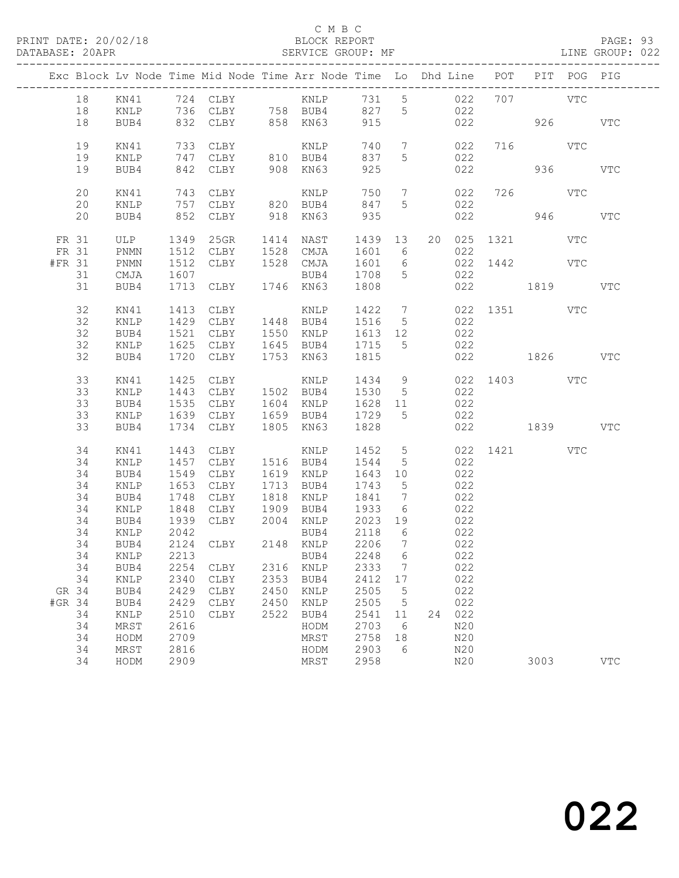|        |          |              |              | Exc Block Lv Node Time Mid Node Time Arr Node Time Lo Dhd Line POT PIT POG PIG                               |              |                          |         |                                   |    |            |                 |         |            |
|--------|----------|--------------|--------------|--------------------------------------------------------------------------------------------------------------|--------------|--------------------------|---------|-----------------------------------|----|------------|-----------------|---------|------------|
|        | 18       | KN41         |              | 724 CLBY KNLP 731 5                                                                                          |              |                          |         |                                   |    | 022        | 707 VTC         |         |            |
|        | 18       | KNLP         |              | 736 CLBY 758 BUB4                                                                                            |              |                          | 827 5   |                                   |    | 022        |                 |         |            |
|        | 18       | BUB4         |              | 832 CLBY                                                                                                     |              | 858 KN63                 | 915     |                                   |    | 022        | 926 VTC         |         |            |
|        | 19       | KN41         | 733          | CLBY                                                                                                         |              | KNLP                     | 740     | $\overline{7}$                    |    | 022        | 716 VTC         |         |            |
|        | 19       | KNLP         | 747          | CLBY                                                                                                         |              | $810$ BUB4               | 837     | 5                                 |    | 022        |                 |         |            |
|        | 19       | BUB4         | 842          | CLBY                                                                                                         |              | 908 KN63                 | 925     |                                   |    | 022        |                 | 936 000 | <b>VTC</b> |
|        | 20       | KN41         |              | $743 \quad \underbrace{\phantom{00000000}}_{\text{757}} \quad \underbrace{\phantom{00000000}}_{\text{CLBY}}$ |              |                          | 750     | $\overline{7}$                    |    | 022        | 726 VTC         |         |            |
|        | 20       | KNLP         |              |                                                                                                              |              | KNLP<br>820 BUB4         | 847     | $5\overline{)}$                   |    | 022        |                 |         |            |
|        | 20       | BUB4         |              | 852 CLBY                                                                                                     |              | 918 KN63                 | 935     |                                   |    | 022        |                 | 946 940 | VTC        |
| FR 31  |          | ULP          | 1349         | 25GR                                                                                                         |              | 1414 NAST                | 1439 13 |                                   |    |            | 20 025 1321 VTC |         |            |
| FR 31  |          | PNMN         | 1512         | CLBY                                                                                                         |              | 1528 CMJA                | 1601 6  |                                   |    | 022        |                 |         |            |
| #FR 31 |          | PNMN         | 1512         | CLBY                                                                                                         |              | 1528 CMJA                | 1601    | $6\overline{6}$                   |    |            | 022 1442 VTC    |         |            |
|        | 31       | CMJA         | 1607         |                                                                                                              |              | BUB4                     | 1708    | $5^{\circ}$                       |    | 022        |                 |         |            |
|        | 31       | BUB4         |              | 1713 CLBY                                                                                                    |              | 1746 KN63                | 1808    |                                   |    |            | 022 1819        |         | VTC        |
|        | 32       | KN41         | 1413         | CLBY                                                                                                         |              | KNLP 1422 7 022 1351 VTC |         |                                   |    |            |                 |         |            |
|        | 32       | KNLP         | 1429         |                                                                                                              |              | CLBY 1448 BUB4 1516      |         | $5\overline{)}$                   |    | 022        |                 |         |            |
|        | 32       | BUB4         | 1521         | CLBY                                                                                                         |              | 1550 KNLP                | 1613 12 |                                   |    | 022        |                 |         |            |
|        | 32       | KNLP         | 1625         | CLBY                                                                                                         |              | 1645 BUB4                | 1715    | $5^{\circ}$                       |    | 022        |                 |         |            |
|        | 32       | BUB4         | 1720         | CLBY                                                                                                         |              | 1753 KN63                | 1815    |                                   |    | 022        | 1826            |         | <b>VTC</b> |
|        | 33       | KN41         | 1425         |                                                                                                              |              |                          |         |                                   |    |            | 022 1403 VTC    |         |            |
|        | 33       | KNLP         | 1443         |                                                                                                              |              |                          |         |                                   |    | 022        |                 |         |            |
|        | 33       | BUB4         | 1535         | CLBY                                                                                                         |              | 1604 KNLP                | 1628 11 |                                   |    | 022        |                 |         |            |
|        | 33       | KNLP         | 1639         | CLBY                                                                                                         |              | 1659 BUB4 1729           |         | $5^{\circ}$                       |    | 022        |                 |         |            |
|        | 33       | BUB4         | 1734         | CLBY                                                                                                         |              | 1805 KN63                | 1828    |                                   |    |            | 022 1839        |         | <b>VTC</b> |
|        | 34       | KN41         | 1443         | CLBY                                                                                                         |              | KNLP                     | 1452    | $5\overline{)}$                   |    |            | 022 1421 VTC    |         |            |
|        | 34       | KNLP         | 1457         | CLBY                                                                                                         |              | 1516 BUB4                | 1544    | $5^{\circ}$                       |    | 022        |                 |         |            |
|        | 34       | BUB4         | 1549         | CLBY                                                                                                         |              | 1619 KNLP                | 1643 10 |                                   |    | 022        |                 |         |            |
|        | 34       | KNLP         | 1653         | CLBY                                                                                                         |              | 1713 BUB4                | 1743    | $5^{\circ}$                       |    | 022        |                 |         |            |
|        | 34<br>34 | BUB4<br>KNLP | 1748<br>1848 | CLBY<br>CLBY                                                                                                 | 1818<br>1909 | KNLP<br>BUB4 1933        | 1841    | $\overline{7}$<br>$6\overline{6}$ |    | 022<br>022 |                 |         |            |
|        | 34       | BUB4         | 1939         | CLBY                                                                                                         |              | 2004 KNLP                | 2023 19 |                                   |    | 022        |                 |         |            |
|        | 34       | KNLP         | 2042         |                                                                                                              |              | BUB4                     | 2118    | 6                                 |    | 022        |                 |         |            |
|        | 34       | BUB4         |              | 2124 CLBY 2148 KNLP                                                                                          |              |                          | 2206    | $\overline{7}$                    |    | 022        |                 |         |            |
|        |          |              |              | 34 KNLP 2213 BUB4 2248 6                                                                                     |              |                          |         |                                   |    | 022        |                 |         |            |
|        | 34       | BUB4         | 2254         | CLBY                                                                                                         | 2316         | KNLP                     | 2333    | $7\phantom{.0}$                   |    | 022        |                 |         |            |
|        | 34       | KNLP         | 2340         | ${\tt CLBY}$                                                                                                 | 2353         | BUB4                     | 2412    | 17                                |    | 022        |                 |         |            |
| GR 34  |          | BUB4         | 2429         | CLBY                                                                                                         | 2450         | KNLP                     | 2505    | $5^{\circ}$                       |    | 022        |                 |         |            |
| #GR 34 |          | BUB4         | 2429         | CLBY                                                                                                         | 2450         | KNLP                     | 2505    | 5                                 |    | 022        |                 |         |            |
|        | 34       | KNLP         | 2510         | CLBY                                                                                                         | 2522         | BUB4                     | 2541    | 11                                | 24 | 022        |                 |         |            |
|        | 34       | MRST         | 2616         |                                                                                                              |              | HODM                     | 2703    | 6                                 |    | N20        |                 |         |            |
|        | 34       | HODM         | 2709         |                                                                                                              |              | MRST                     | 2758    | 18                                |    | N20        |                 |         |            |
|        | 34       | MRST         | 2816         |                                                                                                              |              | HODM                     | 2903    | 6                                 |    | N20        |                 |         |            |
|        | 34       | HODM         | 2909         |                                                                                                              |              | MRST                     | 2958    |                                   |    | N20        | 3003            |         | <b>VTC</b> |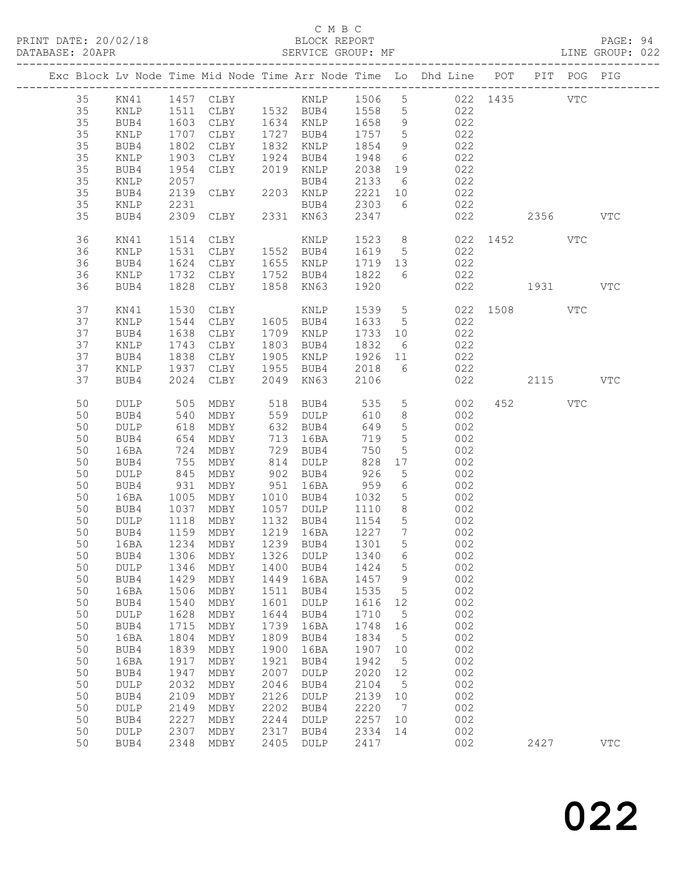### C M B C

| DATABASE: 20APR |    |                 |      | SERVICE GROUP: MF                |      |                                                |                  |                 |                                                                                |              |          | LINE GROUP: 022 |
|-----------------|----|-----------------|------|----------------------------------|------|------------------------------------------------|------------------|-----------------|--------------------------------------------------------------------------------|--------------|----------|-----------------|
|                 |    |                 |      |                                  |      |                                                |                  |                 | Exc Block Lv Node Time Mid Node Time Arr Node Time Lo Dhd Line POT PIT POG PIG |              |          |                 |
|                 | 35 |                 |      |                                  |      |                                                |                  |                 |                                                                                |              |          |                 |
|                 | 35 | KNLP            |      |                                  |      |                                                |                  |                 | 1511 CLBY 1532 BUB4 1558 5 022                                                 |              |          |                 |
|                 | 35 | BUB4            | 1603 |                                  |      |                                                |                  |                 | 022                                                                            |              |          |                 |
|                 | 35 | KNLP            | 1707 |                                  |      | CLBY 1634 KNLP 1658 9<br>CLBY 1727 BUB4 1757 5 |                  |                 | 022                                                                            |              |          |                 |
|                 | 35 | BUB4            | 1802 | CLBY                             |      | 1832 KNLP                                      | 1854             | 9               | 022                                                                            |              |          |                 |
|                 | 35 | KNLP            | 1903 |                                  |      | CLBY 1924 BUB4 1948 6                          |                  |                 | 022                                                                            |              |          |                 |
|                 | 35 | BUB4            | 1954 | CLBY                             |      | 2019 KNLP                                      | 2038             | 19              | 022                                                                            |              |          |                 |
|                 | 35 | KNLP            | 2057 |                                  |      | BUB4                                           | 2133 6           |                 | 022                                                                            |              |          |                 |
|                 | 35 | BUB4            | 2139 | EUBY 2203 KNLP                   |      |                                                | 2221 10          |                 | $022$                                                                          |              |          |                 |
|                 | 35 | KNLP            | 2231 |                                  |      |                                                |                  |                 | BUB4 2303 6 022                                                                |              |          |                 |
|                 | 35 | BUB4            |      | 2309 CLBY 2331 KN63              |      |                                                | 2347             |                 |                                                                                | 022          | 2356 VTC |                 |
|                 |    |                 |      |                                  |      |                                                |                  |                 |                                                                                |              |          |                 |
|                 | 36 | KN41            | 1514 | CLBY                             |      | KNLP                                           |                  |                 | 1523 8                                                                         | 022 1452 VTC |          |                 |
|                 | 36 | KNLP            | 1531 | CLBY 1552 BUB4                   |      |                                                | 1619 5           |                 | 022                                                                            |              |          |                 |
|                 | 36 | BUB4            | 1624 |                                  |      | CLBY 1655 KNLP                                 |                  |                 | 1719 13 022                                                                    |              |          |                 |
|                 | 36 | KNLP            | 1732 | CLBY 1752 BUB4                   |      |                                                | 1822 6           |                 | 022                                                                            |              |          |                 |
|                 | 36 | BUB4            |      | 1828 CLBY 1858 KN63              |      |                                                | 1920             |                 |                                                                                | 022 1931 VTC |          |                 |
|                 | 37 | KN41            | 1530 | CLBY                             |      | KNLP                                           |                  |                 | 1539 5                                                                         | 022 1508 VTC |          |                 |
|                 | 37 | KNLP            | 1544 | CLBY 1605 BUB4                   |      |                                                | 1633 5           |                 | 022                                                                            |              |          |                 |
|                 | 37 | BUB4            | 1638 | CLBY                             |      | 1709 KNLP                                      | 1733 10          |                 | 022                                                                            |              |          |                 |
|                 | 37 | KNLP            | 1743 | CLBY                             |      | 1803 BUB4                                      | 1832             |                 | $\begin{array}{c c}\n6 & 022\n\end{array}$                                     |              |          |                 |
|                 | 37 | BUB4            | 1838 | CLBY                             |      |                                                |                  |                 | 1905 KNLP 1926 11 022                                                          |              |          |                 |
|                 | 37 | KNLP            | 1937 | CLBY 1955 BUB4                   |      |                                                | 2018 6           |                 | 022                                                                            |              |          |                 |
|                 | 37 | BUB4            | 2024 | CLBY                             |      | 2049 KN63                                      | 2106             |                 |                                                                                | 022          | 2115     | VTC             |
|                 | 50 | DULP            | 505  |                                  |      | MDBY 518 BUB4                                  | 535              |                 | $5 - 5$<br>002                                                                 |              | 452 VTC  |                 |
|                 | 50 | BUB4            | 540  | MDBY                             |      | 559 DULP                                       | 610              | 8 <sup>8</sup>  | 002                                                                            |              |          |                 |
|                 | 50 | DULP            | 618  | MDBY                             |      | 632 BUB4                                       | 649              | $5\overline{)}$ | 002                                                                            |              |          |                 |
|                 | 50 | BUB4            | 654  | MDBY                             |      | 713 16BA                                       | 719              | $5\overline{)}$ | 002                                                                            |              |          |                 |
|                 | 50 | 16BA            | 724  | MDBY                             |      | 729 BUB4                                       | 750              | $5\overline{)}$ | 002                                                                            |              |          |                 |
|                 | 50 | BUB4            | 755  | MDBY                             |      | 814 DULP                                       | 828              | 17              | 002                                                                            |              |          |                 |
|                 | 50 | DULP            | 845  | MDBY                             |      |                                                |                  | 5 <sup>5</sup>  | 002                                                                            |              |          |                 |
|                 |    |                 | 931  |                                  |      | 902 BUB4<br>951 16BA                           | 926<br>959       |                 |                                                                                |              |          |                 |
|                 | 50 | BUB4            | 1005 | MDBY                             |      | 1010 BUB4 1032                                 |                  | $6\overline{6}$ | 002                                                                            |              |          |                 |
|                 | 50 | 16BA            |      | MDBY                             |      |                                                |                  | 5 <sup>5</sup>  | 002                                                                            |              |          |                 |
|                 | 50 | BUB4            | 1037 | MDBY 1057 DULP                   |      |                                                | 1110             | 8 <sup>8</sup>  | 002                                                                            |              |          |                 |
|                 | 50 | DULP            |      | 1118 MDBY<br>1159 MDBY<br>MDBY   |      | 1132 BUB4<br>1219 16BA                         | 1154 5<br>1227 7 |                 | 002<br>002                                                                     |              |          |                 |
|                 | 50 | BUB4            |      |                                  |      |                                                |                  |                 | 5 002                                                                          |              |          |                 |
|                 |    |                 |      | 50 16BA 1234 MDBY 1239 BUB4 1301 |      |                                                |                  |                 |                                                                                |              |          |                 |
|                 | 50 | BUB4            | 1306 | MDBY                             | 1326 | DULP                                           | 1340             | 6               | 002                                                                            |              |          |                 |
|                 | 50 | DULP            | 1346 | MDBY                             | 1400 | BUB4                                           | 1424             | $5\phantom{.0}$ | 002                                                                            |              |          |                 |
|                 | 50 | BUB4            | 1429 | MDBY                             | 1449 | 16BA                                           | 1457             | 9               | 002                                                                            |              |          |                 |
|                 | 50 | 16BA            | 1506 | MDBY                             | 1511 | BUB4                                           | 1535             | 5               | 002                                                                            |              |          |                 |
|                 | 50 | BUB4            | 1540 | MDBY                             | 1601 | DULP                                           | 1616             | 12              | 002                                                                            |              |          |                 |
|                 | 50 | DULP            | 1628 | MDBY                             | 1644 | BUB4                                           | 1710             | $5^{\circ}$     | 002                                                                            |              |          |                 |
|                 | 50 | BUB4            | 1715 | MDBY                             | 1739 | 16BA                                           | 1748             | 16              | 002                                                                            |              |          |                 |
|                 | 50 | 16BA            | 1804 | MDBY                             | 1809 | BUB4                                           | 1834             | $5^{\circ}$     | 002                                                                            |              |          |                 |
|                 | 50 | BUB4            | 1839 | MDBY                             | 1900 | 16BA                                           | 1907             | 10              | 002                                                                            |              |          |                 |
|                 | 50 | 16BA            | 1917 | MDBY                             | 1921 | BUB4                                           | 1942             | $5^{\circ}$     | 002                                                                            |              |          |                 |
|                 | 50 | BUB4            | 1947 | MDBY                             | 2007 | DULP                                           | 2020             | 12              | 002                                                                            |              |          |                 |
|                 | 50 | $\texttt{DULP}$ | 2032 | MDBY                             | 2046 | BUB4                                           | 2104             | $5^{\circ}$     | 002                                                                            |              |          |                 |
|                 | 50 | BUB4            | 2109 | MDBY                             | 2126 | DULP                                           | 2139             | 10              | 002                                                                            |              |          |                 |
|                 | 50 | DULP            | 2149 | MDBY                             | 2202 | BUB4                                           | 2220             | $\overline{7}$  | 002                                                                            |              |          |                 |
|                 | 50 | BUB4            | 2227 | MDBY                             | 2244 | DULP                                           | 2257             | 10              | 002                                                                            |              |          |                 |
|                 | 50 | DULP            | 2307 | MDBY                             | 2317 | BUB4                                           | 2334             | 14              | 002                                                                            |              |          |                 |
|                 | 50 | BUB4            | 2348 | MDBY                             | 2405 | DULP                                           | 2417             |                 | 002                                                                            |              | 2427     | $_{\rm VTC}$    |
|                 |    |                 |      |                                  |      |                                                |                  |                 |                                                                                |              |          |                 |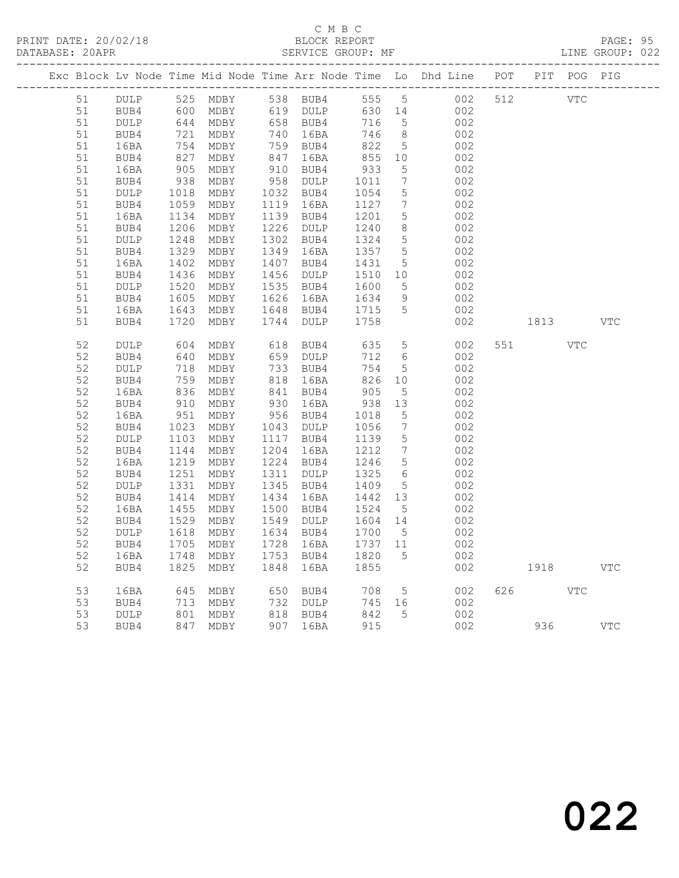### C M B C DATABASE: 20APR SERVICE GROUP: MF LINE GROUP: 022

|          |             |                                                         |              |      |                      |               |                      | Exc Block Lv Node Time Mid Node Time Arr Node Time Lo Dhd Line POT PIT POG PIG |     |      |            |            |
|----------|-------------|---------------------------------------------------------|--------------|------|----------------------|---------------|----------------------|--------------------------------------------------------------------------------|-----|------|------------|------------|
| 51       | DULP        |                                                         | 525 MDBY     |      | 538 BUB4             |               | 555 5                | 002                                                                            | 512 | VTC  |            |            |
| 51       | BUB4        | 600                                                     | MDBY         |      | 619 DULP             | 630 14        |                      | 002                                                                            |     |      |            |            |
| 51       | DULP        | 644<br>644<br>721                                       | MDBY         |      | 658 BUB4<br>740 16BA | 716           | $5^{\circ}$          | 002                                                                            |     |      |            |            |
| 51       | BUB4        |                                                         | MDBY         |      |                      | 746           | 8 <sup>8</sup>       | 002                                                                            |     |      |            |            |
| 51       | 16BA        | 754<br>$\frac{1}{827}$                                  | MDBY         |      | 759 BUB4<br>847 16BA | 822           | $5\overline{)}$      | 002                                                                            |     |      |            |            |
| 51       | BUB4        |                                                         | MDBY         |      |                      | 855           | 10                   | 002                                                                            |     |      |            |            |
| 51       | 16BA        | 905<br>938                                              | MDBY         |      | 910 BUB4<br>958 DULP | 933           | $5\phantom{.0}$      | 002                                                                            |     |      |            |            |
| 51       | BUB4        |                                                         | MDBY         |      |                      | 1011          | $7\phantom{.0}$      | 002                                                                            |     |      |            |            |
| 51       | DULP        | 1018<br>1059                                            | MDBY         |      | 1032 BUB4            | 1054          | $5\phantom{.0}$      | 002                                                                            |     |      |            |            |
| 51       | BUB4        |                                                         | MDBY         |      | 1119 16BA            | 1127          | $7\phantom{.0}$      | 002                                                                            |     |      |            |            |
| 51       | 16BA        | 1134<br>$\frac{1}{1206}$                                | MDBY         |      | 1139 BUB4            | 1201          | $5\phantom{.0}$      | 002                                                                            |     |      |            |            |
| 51       | BUB4        |                                                         | MDBY         |      | 1226 DULP            | 1240          | 8                    | 002                                                                            |     |      |            |            |
| 51       | DULP        |                                                         | MDBY         |      | 1302 BUB4            | 1324          | 5                    | 002                                                                            |     |      |            |            |
| 51       | BUB4        | $12 - 1329$<br>$1329$                                   | MDBY         |      | 1349 16BA            | 1357          | $5^{\circ}$          | 002                                                                            |     |      |            |            |
| 51       | 16BA        | $1402$<br>$1436$                                        | MDBY         |      | 1407 BUB4            | 1431          | $5\phantom{.0}$      | 002                                                                            |     |      |            |            |
| 51       | BUB4        |                                                         | MDBY         |      | 1456 DULP            | 1510          | 10                   | 002                                                                            |     |      |            |            |
| 51       | DULP        | 1520<br>1605                                            | MDBY         |      | 1535 BUB4            | 1600          | $5\phantom{.0}$      | 002                                                                            |     |      |            |            |
| 51       | BUB4        |                                                         | MDBY         |      | 1626 16BA            | 1634          | 9<br>$5\overline{)}$ | 002                                                                            |     |      |            |            |
| 51       | 16BA        | 1643                                                    | MDBY         |      | 1648 BUB4            | 1715          |                      | 002                                                                            |     |      |            |            |
| 51       | BUB4        | 1720                                                    | MDBY         |      | 1744 DULP            | 1758          |                      | 002                                                                            |     | 1813 |            | <b>VTC</b> |
| 52       | DULP        | 604                                                     | MDBY         |      | 618 BUB4             | 635           | $5\phantom{.0}$      | 002                                                                            | 551 |      | <b>VTC</b> |            |
| 52       | BUB4        | 640                                                     | MDBY         |      | 659 DULP             | 712           | 6                    | 002                                                                            |     |      |            |            |
| 52       | <b>DULP</b> | 718                                                     | MDBY         |      | 733 BUB4             | 754           | $5\overline{)}$      | 002                                                                            |     |      |            |            |
| 52       | BUB4        | $75 -$<br>836<br>210                                    | MDBY         |      | 818 16BA             | 826           | 10                   | 002                                                                            |     |      |            |            |
| 52       | 16BA        |                                                         | MDBY         |      | 841 BUB4             | 905           | $5\overline{)}$      | 002                                                                            |     |      |            |            |
| 52       | BUB4        | 910                                                     | MDBY         |      | 930 16BA             | 938           | 13                   | 002                                                                            |     |      |            |            |
| 52       | 16BA        | 951                                                     | MDBY         |      | 956 BUB4             | 1018          | $5\overline{)}$      | 002                                                                            |     |      |            |            |
| 52       | BUB4        | 1023                                                    | MDBY         |      | 1043 DULP            | 1056          | $7\phantom{.0}$      | 002                                                                            |     |      |            |            |
| 52       | DULP        | 1103                                                    | MDBY         |      | 1117 BUB4            | 1139          | $5\overline{)}$      | 002                                                                            |     |      |            |            |
| 52       | BUB4        | 1144                                                    | MDBY         |      | 1204 16BA            | 1212          | $7\phantom{.0}\,$    | 002                                                                            |     |      |            |            |
| 52       | 16BA        | 1219                                                    | MDBY         |      | 1224 BUB4            | 1246          | $5\overline{)}$      | 002                                                                            |     |      |            |            |
| 52       | BUB4        | 1251                                                    | MDBY         |      | 1311 DULP            | 1325          | $6\overline{6}$      | 002                                                                            |     |      |            |            |
| 52       | DULP        | 1331                                                    | MDBY         |      | 1345 BUB4            | 1409          | 5                    | 002                                                                            |     |      |            |            |
| 52       | BUB4        | 1414                                                    | MDBY         |      | 1434 16BA            | 1442          | 13                   | 002                                                                            |     |      |            |            |
| 52       | 16BA        | 1455                                                    | MDBY         |      | 1500 BUB4            | 1524          | $5\overline{)}$      | 002                                                                            |     |      |            |            |
| 52       | BUB4        | 1529                                                    | MDBY         |      | 1549 DULP            | 1604 14       |                      | 002                                                                            |     |      |            |            |
| 52       | DULP        | 1618                                                    | MDBY         |      | 1634 BUB4            | 1700          | $5\overline{)}$      | 002                                                                            |     |      |            |            |
| 52       | BUB4        | 1705                                                    | MDBY         |      | 1728 16BA            | 1737 11       |                      | 002                                                                            |     |      |            |            |
| 52       | 16BA        | 1748                                                    | MDBY         |      | 1753 BUB4            | 1820          | 5                    | 002                                                                            |     |      |            |            |
| 52       | BUB4        | 1825                                                    | MDBY         | 1848 | 16BA                 | 1855          |                      | 002                                                                            |     | 1918 |            | VTC        |
| 53       |             |                                                         |              |      |                      |               |                      |                                                                                | 626 |      | <b>VTC</b> |            |
|          | 16BA        | 645                                                     | MDBY         |      | 650 BUB4             | 708<br>745 16 | $5\overline{)}$      | 002                                                                            |     |      |            |            |
| 53       | BUB4        | 713                                                     | MDBY<br>MDBY |      | 732 DULP<br>818 BUB4 | 842           | 5                    | 002                                                                            |     |      |            |            |
| 53<br>53 | <b>DULP</b> | $\begin{array}{c}\n 0.1 \\  \hline\n 0.1\n \end{array}$ |              |      |                      | 915           |                      | 002                                                                            |     |      |            | <b>VTC</b> |
|          | BUB4        | 847                                                     | MDBY         |      | 907 16BA             |               |                      | 002                                                                            |     | 936  |            |            |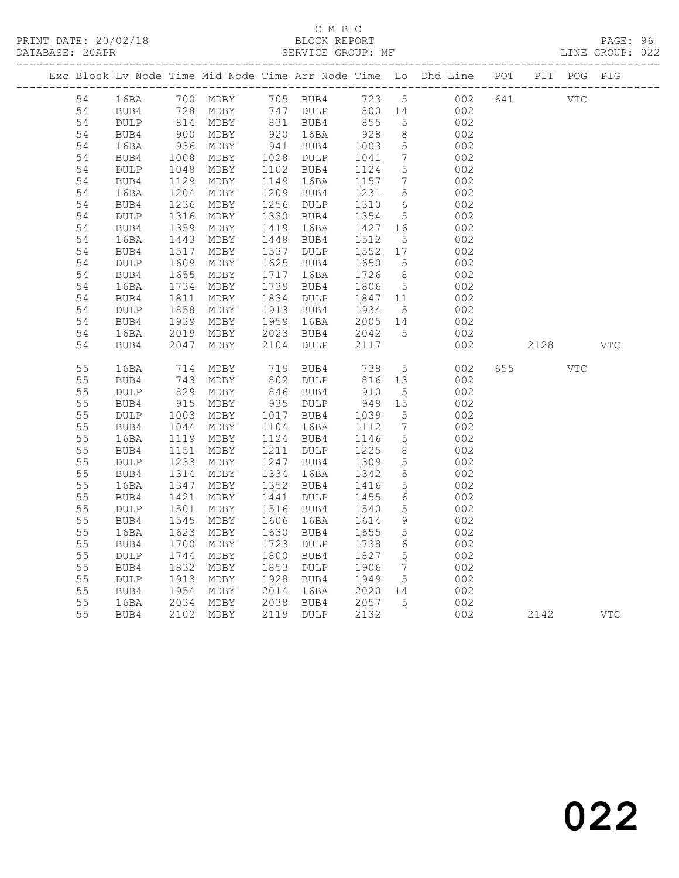### C M B C DATABASE: 20APR SERVICE GROUP: MF LINE GROUP: 022

|          |                 |                            |                        |      |                        |                               |                              | Exc Block Lv Node Time Mid Node Time Arr Node Time Lo Dhd Line POT PIT POG PIG |     |      |            |              |
|----------|-----------------|----------------------------|------------------------|------|------------------------|-------------------------------|------------------------------|--------------------------------------------------------------------------------|-----|------|------------|--------------|
| 54       | 16BA            |                            | 700 MDBY               |      |                        |                               |                              | 105 BUB4 123 5 002<br>147 DULP 800 14 002                                      | 641 | VTC  |            |              |
| 54       | BUB4            |                            | 728 MDBY               |      | 747 DULP               | 800 14                        |                              | 002                                                                            |     |      |            |              |
| 54       | DULP            |                            | 814 MDBY<br>900 MDBY   |      | 831 BUB4<br>920 16BA   | 855                           | 5                            | 002                                                                            |     |      |            |              |
| 54       | BUB4            |                            |                        |      |                        | $928$<br>$1003$               | 8 <sup>8</sup>               | 002                                                                            |     |      |            |              |
| 54       | 16BA            | $936$<br>$1008$            | MDBY                   |      | 941 BUB4               |                               | $5\overline{)}$              | 002                                                                            |     |      |            |              |
| 54       | BUB4            |                            | MDBY                   |      | 1028 DULP              | 1041                          | $7\overline{ }$              | 002                                                                            |     |      |            |              |
| 54       | DULP            | $1048$<br>$1129$<br>$1204$ | MDBY                   |      | 1102 BUB4              | 1124                          | $5\overline{)}$              | 002                                                                            |     |      |            |              |
| 54       | BUB4            |                            | MDBY                   |      | 1149 16BA              | 1157<br>1231                  | $\overline{7}$               | 002                                                                            |     |      |            |              |
| 54<br>54 | 16BA<br>BUB4    | 1236                       | MDBY<br>MDBY           |      | 1209 BUB4<br>1256 DULP |                               | 5<br>$6\overline{6}$         | 002<br>002                                                                     |     |      |            |              |
| 54       | $\texttt{DULP}$ | $1230$<br>$1316$           | MDBY                   |      | 1330 BUB4              | 1310<br>1354                  | $5\overline{)}$              | 002                                                                            |     |      |            |              |
| 54       | BUB4            |                            | MDBY                   |      | 1419 16BA              |                               |                              | 002                                                                            |     |      |            |              |
| 54       | 16BA            | 1359<br>1443               | MDBY                   |      | 1448 BUB4              | $1427$ $16$<br>1512 =<br>1512 | $5\overline{)}$              | 002                                                                            |     |      |            |              |
| 54       | BUB4            |                            | MDBY                   |      | 1537 DULP              | 1552 17                       |                              | 002                                                                            |     |      |            |              |
| 54       | DULP            | 1517<br>1609               | MDBY                   |      | 1625 BUB4              | 1650                          | $5\overline{)}$              | 002                                                                            |     |      |            |              |
| 54       | BUB4            |                            | MDBY                   |      | 1717 16BA              | 1726                          | 8 <sup>8</sup>               | 002                                                                            |     |      |            |              |
| 54       | 16BA            | 1655<br>1734               | MDBY                   |      | 1739 BUB4              | 1806                          | $5\overline{)}$              | 002                                                                            |     |      |            |              |
| 54       | BUB4            | 1811                       | MDBY                   |      | 1834 DULP              | 1847 11                       |                              | 002                                                                            |     |      |            |              |
| 54       | DULP            |                            |                        |      | 1913 BUB4              |                               | $5\overline{)}$              | 002                                                                            |     |      |            |              |
| 54       | BUB4            |                            | 1858 MDBY<br>1939 MDBY |      | 1959 16BA              | 1934 5<br>2005 14             |                              | 002                                                                            |     |      |            |              |
| 54       | 16BA            | 2019                       | MDBY                   |      | 2023 BUB4              | 2042<br>2117                  | 5                            | 002                                                                            |     |      |            |              |
| 54       | BUB4            | 2047                       | MDBY                   | 2104 | DULP                   |                               |                              | 002                                                                            |     | 2128 |            | <b>VTC</b>   |
| 55       | 16BA            | 714                        | MDBY                   |      | 719 BUB4               | 738                           | 5 <sup>5</sup>               | 002                                                                            | 655 |      | <b>VTC</b> |              |
| 55       | BUB4            | $\frac{1}{829}$            | MDBY                   |      | $802$ DULP             |                               |                              | 002                                                                            |     |      |            |              |
| 55       | DULP            |                            | MDBY                   |      | 846 BUB4               | 816 13<br>910 5               |                              | 002                                                                            |     |      |            |              |
| 55       | BUB4            | 915                        | MDBY                   |      | 935 DULP               | 948 15                        |                              | 002                                                                            |     |      |            |              |
| 55       | $\texttt{DULP}$ | 1003                       | MDBY                   |      | 1017 BUB4              | 1039                          | $5\overline{)}$              | 002                                                                            |     |      |            |              |
| 55       | BUB4            |                            | MDBY                   |      | 1104 16BA              | 1112                          | $7\phantom{.0}\phantom{.0}7$ | 002                                                                            |     |      |            |              |
| 55       | 16BA            | 1119                       | MDBY                   |      | 1124 BUB4              | 1146<br>1225                  | $5\overline{)}$              | 002                                                                            |     |      |            |              |
| 55       | BUB4            | $\frac{1044}{1119}$        | MDBY                   |      | 1211 DULP              |                               | 8 <sup>8</sup>               | 002                                                                            |     |      |            |              |
| 55       | DULP            |                            | MDBY                   |      | 1247 BUB4              | 1309<br>1342                  | $5\overline{)}$              | 002                                                                            |     |      |            |              |
| 55       | BUB4            | $1233$<br>$1314$           | MDBY                   |      | 1334 16BA              |                               | $5\overline{)}$              | 002                                                                            |     |      |            |              |
| 55       | 16BA            | 1347<br>134/1421           | MDBY                   |      | 1352 BUB4              | 1416<br>1455                  | $5\overline{)}$              | 002                                                                            |     |      |            |              |
| 55       | BUB4            |                            | MDBY                   |      | 1441 DULP              | 1455                          | 6                            | 002                                                                            |     |      |            |              |
| 55       | DULP            | 1501<br>1545               | MDBY                   |      | 1516 BUB4              | 1540                          | $5\phantom{.0}$              | 002                                                                            |     |      |            |              |
| 55       | BUB4            |                            | MDBY                   |      | 1606 16BA<br>1630 BUB4 | 1614<br>1655                  | 9<br>$5\overline{)}$         | 002                                                                            |     |      |            |              |
| 55<br>55 | 16BA<br>BUB4    | 1623<br>1700               | MDBY<br>MDBY           |      | 1723 DULP              | 1738                          | $6\overline{6}$              | 002<br>002                                                                     |     |      |            |              |
| 55       | DULP            | 1744                       | MDBY                   |      | 1800 BUB4              | 1827                          | $5\overline{)}$              | 002                                                                            |     |      |            |              |
| 55       | BUB4            | 1832                       | MDBY                   |      | 1853 DULP              | 1906                          | $7\overline{ }$              | 002                                                                            |     |      |            |              |
| 55       | DULP            | 1992<br>1913               | MDBY                   |      | 1928 BUB4              | 1949                          | $5\overline{)}$              | 002                                                                            |     |      |            |              |
| 55       | BUB4            |                            | MDBY                   |      |                        |                               |                              | 002                                                                            |     |      |            |              |
| 55       | 16BA            | 1954<br>2034               | MDBY                   |      | 2014 16BA<br>2038 BUB4 | 2020 14<br>2057 5             |                              | 002                                                                            |     |      |            |              |
| 55       | BUB4            |                            | 2102 MDBY              |      | 2119 DULP              | 2132                          |                              | 002                                                                            |     | 2142 |            | $_{\rm VTC}$ |
|          |                 |                            |                        |      |                        |                               |                              |                                                                                |     |      |            |              |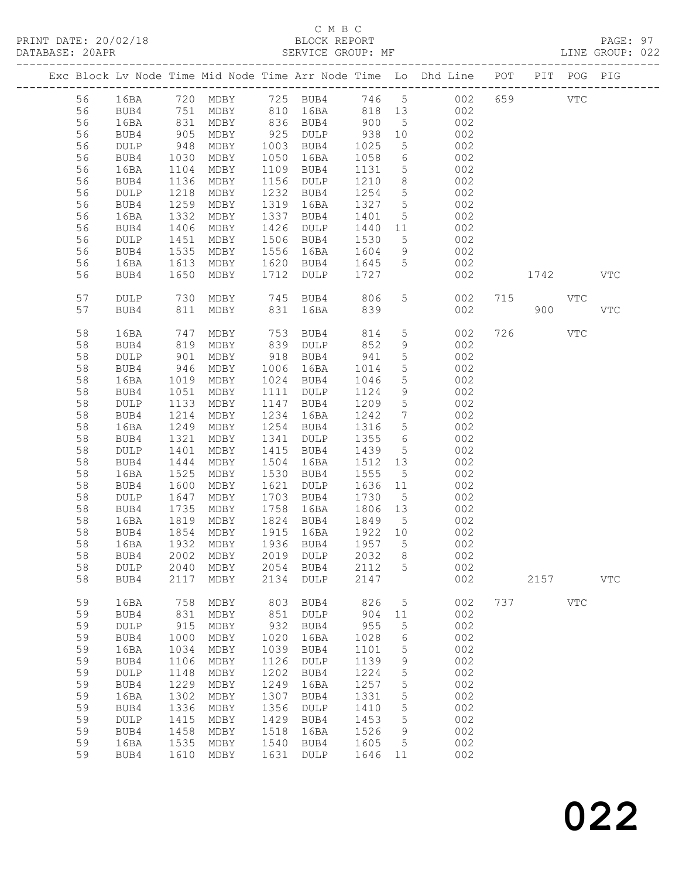### C M B C

| DATABASE: 20APR |    |                 |                   | SERVICE GROUP: MF        |      |                                             |         |                 |                                                                                |     |            |            | LINE GROUP: 022 |  |
|-----------------|----|-----------------|-------------------|--------------------------|------|---------------------------------------------|---------|-----------------|--------------------------------------------------------------------------------|-----|------------|------------|-----------------|--|
|                 |    |                 |                   |                          |      |                                             |         |                 | Exc Block Lv Node Time Mid Node Time Arr Node Time Lo Dhd Line POT PIT POG PIG |     |            |            |                 |  |
|                 | 56 |                 |                   |                          |      |                                             |         |                 | 16BA 720 MDBY 725 BUB4 746 5 002 659 VTC                                       |     |            |            |                 |  |
|                 | 56 | BUB4            |                   | 751 MDBY 810 16BA 818 13 |      |                                             |         |                 | 002                                                                            |     |            |            |                 |  |
|                 | 56 | 16BA            |                   |                          |      | MDBY 836 BUB4 900                           |         | 5 <sup>5</sup>  | 002                                                                            |     |            |            |                 |  |
|                 | 56 | BUB4            | 831<br>905<br>948 | MDBY                     |      |                                             |         | 10              | 002                                                                            |     |            |            |                 |  |
|                 | 56 | DULP            |                   | MDBY                     |      | 925 DULP 938<br>1003 BUB4 1025<br>1003 BUB4 | 1025    |                 | $\frac{1}{5}$ 002                                                              |     |            |            |                 |  |
|                 | 56 | BUB4            | 1030              | MDBY                     |      | 1050 16BA                                   | 1058    |                 | 6 002                                                                          |     |            |            |                 |  |
|                 | 56 | 16BA            | 1104              | MDBY                     |      | 1109 BUB4                                   | 1131    | 5 <sup>5</sup>  | 002                                                                            |     |            |            |                 |  |
|                 | 56 | BUB4            | 1136              | MDBY                     |      | 1156 DULP                                   | 1210    | 8 <sup>8</sup>  | 002                                                                            |     |            |            |                 |  |
|                 | 56 | DULP            | 1218              | MDBY                     |      | 1232 BUB4                                   | 1254 5  |                 | 002                                                                            |     |            |            |                 |  |
|                 | 56 | BUB4            | 1259              | MDBY                     | 1319 | 16BA                                        | 1327 5  |                 | 002                                                                            |     |            |            |                 |  |
|                 | 56 | 16BA            | 1332              | MDBY                     |      | 1337 BUB4                                   | 1401    | $5\overline{)}$ | 002                                                                            |     |            |            |                 |  |
|                 | 56 | BUB4            | 1406              | MDBY                     |      | 1426 DULP                                   | 1440 11 |                 | 002                                                                            |     |            |            |                 |  |
|                 | 56 | DULP            | $\frac{1}{1}$ 451 | MDBY                     |      | 1506 BUB4                                   | 1530    | 5 <sup>5</sup>  | 002                                                                            |     |            |            |                 |  |
|                 | 56 | BUB4            | 1535              | MDBY                     |      | 1556 16BA                                   | 1604    |                 | $9 \left( \frac{1}{2} \right)$<br>002                                          |     |            |            |                 |  |
|                 | 56 | 16BA            | 1613              | MDBY                     |      | 1620 BUB4 1645                              |         | 5 <sup>5</sup>  | 002                                                                            |     |            |            |                 |  |
|                 | 56 |                 | 1650              |                          |      |                                             |         |                 |                                                                                |     | 1742       |            | VTC             |  |
|                 |    | BUB4            |                   | MDBY                     |      | 1712 DULP                                   | 1727    |                 | 002                                                                            |     |            |            |                 |  |
|                 | 57 | DULP            | 730               |                          |      | MDBY 745 BUB4 806                           |         |                 | 5 <sub>5</sub><br>002                                                          | 715 | <b>VTC</b> |            |                 |  |
|                 | 57 | BUB4            | 811               |                          |      | MDBY 831 16BA 839                           |         |                 | 002                                                                            |     | 900        |            | <b>VTC</b>      |  |
|                 | 58 | 16BA            | 747               | MDBY                     |      | 753 BUB4                                    | 814     |                 | $5 - 5$<br>002                                                                 |     | 726        | VTC        |                 |  |
|                 | 58 | BUB4            | 819               | MDBY                     |      | 839 DULP                                    | 852     | 9               | 002                                                                            |     |            |            |                 |  |
|                 | 58 | DULP            | 901               | MDBY                     |      | 918 BUB4                                    | 941     | $5\overline{)}$ | 002                                                                            |     |            |            |                 |  |
|                 | 58 | BUB4            | 946<br>1019       | MDBY                     |      | 1006 16BA                                   | 1014    | 5 <sup>5</sup>  | 002                                                                            |     |            |            |                 |  |
|                 | 58 | 16BA            |                   | MDBY                     |      | 1024 BUB4                                   | 1046    | 5 <sup>5</sup>  | 002                                                                            |     |            |            |                 |  |
|                 | 58 | BUB4            | 1051              | MDBY                     | 1111 | DULP                                        | 1124    | 9               | 002                                                                            |     |            |            |                 |  |
|                 | 58 | DULP            | 1133              | MDBY                     |      | 1147 BUB4                                   | 1209    | $5\overline{)}$ | 002                                                                            |     |            |            |                 |  |
|                 | 58 | BUB4            | 1214              | MDBY                     |      | 1234 16BA                                   | 1242    | $7\overline{ }$ | 002                                                                            |     |            |            |                 |  |
|                 | 58 | 16BA            | 1249              | MDBY                     |      | 1254 BUB4                                   | 1316    | 5 <sup>5</sup>  | 002                                                                            |     |            |            |                 |  |
|                 | 58 | BUB4            | 1321              | MDBY                     |      | 1341 DULP                                   | 1355    | $6\overline{6}$ | 002                                                                            |     |            |            |                 |  |
|                 | 58 | DULP            | 1401              | MDBY                     |      | 1415 BUB4                                   | 1439    | 5 <sup>5</sup>  | 002                                                                            |     |            |            |                 |  |
|                 | 58 | BUB4            | 1444              | MDBY                     | 1504 | 16BA                                        | 1512    | 13              | 002                                                                            |     |            |            |                 |  |
|                 | 58 | 16BA            | 1525              | MDBY                     |      | 1530 BUB4                                   | 1555    | 5 <sup>5</sup>  | 002                                                                            |     |            |            |                 |  |
|                 | 58 | BUB4            | 1600              | MDBY                     | 1621 | DULP                                        | 1636 11 |                 | 002                                                                            |     |            |            |                 |  |
|                 | 58 | DULP            | 1647              | MDBY                     |      | 1703 BUB4                                   | 1730    | $5\overline{)}$ | 002                                                                            |     |            |            |                 |  |
|                 | 58 | BUB4            | 1735              | MDBY                     |      | 1758 16BA                                   | 1806 13 |                 | 002                                                                            |     |            |            |                 |  |
|                 | 58 | 16BA            |                   | MDBY                     |      | 1824 BUB4                                   | 1849    | $5\overline{)}$ | 002                                                                            |     |            |            |                 |  |
|                 | 58 | BUB4            |                   | 1819 MDBY<br>1854 MDBY   |      | 1915 16BA                                   | 1922 10 |                 | 002                                                                            |     |            |            |                 |  |
|                 |    |                 |                   |                          |      |                                             |         |                 | 58 16BA 1932 MDBY 1936 BUB4 1957 5 002                                         |     |            |            |                 |  |
|                 | 58 | BUB4            | 2002              | MDBY                     | 2019 | DULP                                        | 2032    | 8               | 002                                                                            |     |            |            |                 |  |
|                 | 58 | DULP            | 2040              | MDBY                     | 2054 | BUB4                                        | 2112    | 5               | 002                                                                            |     |            |            |                 |  |
|                 | 58 | BUB4            | 2117              | MDBY                     | 2134 | DULP                                        | 2147    |                 | 002                                                                            |     | 2157       |            | <b>VTC</b>      |  |
|                 | 59 | 16BA            | 758               | MDBY                     | 803  | BUB4                                        | 826     | 5               | 002                                                                            |     | 737        | <b>VTC</b> |                 |  |
|                 | 59 | BUB4            | 831               | MDBY                     | 851  | DULP                                        | 904     | 11              | 002                                                                            |     |            |            |                 |  |
|                 | 59 | $\texttt{DULP}$ | 915               | MDBY                     | 932  | BUB4                                        | 955     | $\overline{5}$  | 002                                                                            |     |            |            |                 |  |
|                 | 59 | BUB4            | 1000              | MDBY                     | 1020 | 16BA                                        | 1028    | 6               | 002                                                                            |     |            |            |                 |  |
|                 | 59 | 16BA            | 1034              | MDBY                     | 1039 | BUB4                                        | 1101    | 5               | 002                                                                            |     |            |            |                 |  |
|                 | 59 | BUB4            | 1106              | MDBY                     | 1126 | DULP                                        | 1139    | 9               | 002                                                                            |     |            |            |                 |  |
|                 | 59 | DULP            | 1148              | MDBY                     | 1202 | BUB4                                        | 1224    | 5               | 002                                                                            |     |            |            |                 |  |
|                 | 59 | BUB4            | 1229              | MDBY                     | 1249 | 16BA                                        | 1257    | 5               | 002                                                                            |     |            |            |                 |  |
|                 | 59 | 16BA            | 1302              | MDBY                     | 1307 | BUB4                                        | 1331    | 5               | 002                                                                            |     |            |            |                 |  |
|                 | 59 | BUB4            | 1336              | MDBY                     | 1356 | DULP                                        | 1410    | 5               | 002                                                                            |     |            |            |                 |  |
|                 | 59 | DULP            | 1415              | MDBY                     | 1429 | BUB4                                        | 1453    | 5               | 002                                                                            |     |            |            |                 |  |
|                 | 59 | BUB4            | 1458              | MDBY                     | 1518 | 16BA                                        | 1526    |                 | 002                                                                            |     |            |            |                 |  |
|                 | 59 | 16BA            | 1535              | MDBY                     | 1540 | BUB4                                        | 1605    | 9<br>5          | 002                                                                            |     |            |            |                 |  |
|                 | 59 | BUB4            | 1610              | MDBY                     | 1631 | DULP                                        | 1646    | 11              | 002                                                                            |     |            |            |                 |  |
|                 |    |                 |                   |                          |      |                                             |         |                 |                                                                                |     |            |            |                 |  |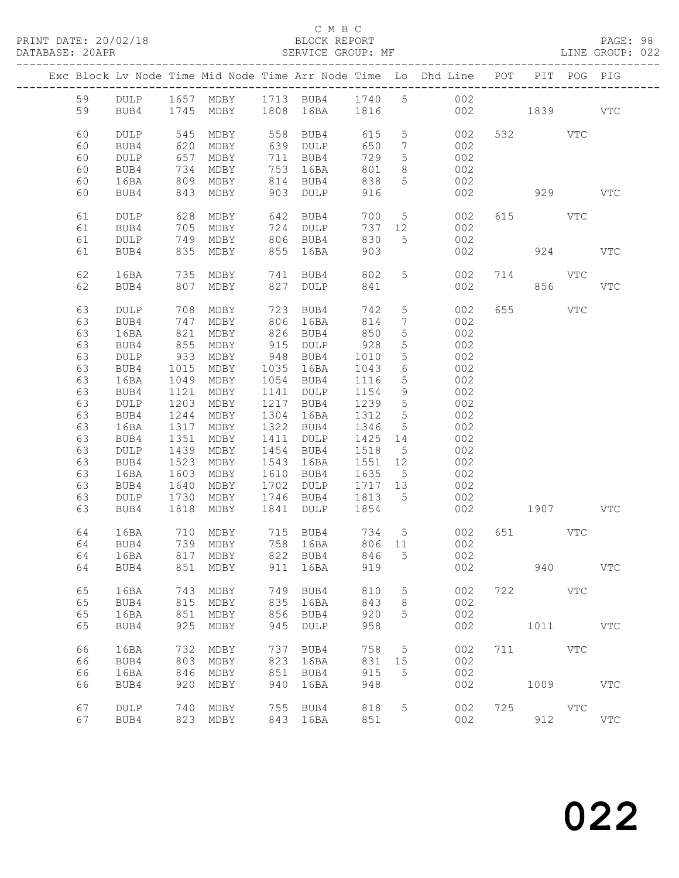### C M B C

### DATABASE: 20APR SERVICE GROUP: MF LINE GROUP: 022

|    |                 |      |                          |      |                                                                       |         |                              | Exc Block Lv Node Time Mid Node Time Arr Node Time Lo Dhd Line POT |          |            | PIT POG PIG |            |
|----|-----------------|------|--------------------------|------|-----------------------------------------------------------------------|---------|------------------------------|--------------------------------------------------------------------|----------|------------|-------------|------------|
| 59 |                 |      |                          |      |                                                                       |         |                              | DULP 1657 MDBY 1713 BUB4 1740 5 002                                |          |            |             |            |
| 59 | BUB4            |      | 1745 MDBY 1808 16BA 1816 |      |                                                                       |         |                              |                                                                    | 002 1839 |            |             | VTC        |
|    |                 |      |                          |      |                                                                       |         |                              |                                                                    |          |            |             |            |
|    |                 |      |                          |      |                                                                       |         |                              |                                                                    |          |            |             |            |
| 60 | <b>DULP</b>     | 545  | MDBY                     |      | 558 BUB4                                                              | 615     | 5 <sup>5</sup>               | 002                                                                |          | 532 VTC    |             |            |
| 60 | BUB4            | 620  | MDBY                     |      | 639 DULP                                                              | 650     | $7\phantom{.0}\phantom{.0}7$ | 002                                                                |          |            |             |            |
| 60 | $\texttt{DULP}$ | 657  | MDBY                     |      | 711 BUB4                                                              | 729     | $5\phantom{.0}$              | 002                                                                |          |            |             |            |
| 60 | BUB4            | 734  | MDBY                     |      | 753 16BA                                                              | 801     | 8                            | 002                                                                |          |            |             |            |
| 60 | 16BA            | 809  | MDBY                     |      | 814 BUB4                                                              | 838     | 5 <sup>5</sup>               | 002                                                                |          |            |             |            |
| 60 | BUB4            | 843  | MDBY                     |      | 903 DULP                                                              | 916     |                              | 002                                                                |          | 929        |             | <b>VTC</b> |
|    |                 |      |                          |      |                                                                       |         |                              |                                                                    |          |            |             |            |
| 61 | DULP            |      | 628 MDBY                 |      | 642 BUB4                                                              | 700     |                              | 5 <sub>1</sub><br>002                                              |          | 615 VTC    |             |            |
| 61 | BUB4            | 705  | MDBY                     |      | 724 DULP                                                              | 737     | 12                           | 002                                                                |          |            |             |            |
| 61 | DULP            | 749  | MDBY                     |      | 806 BUB4                                                              | 830     | 5 <sup>5</sup>               | 002                                                                |          |            |             |            |
| 61 | BUB4            |      | 835 MDBY                 |      | 855 16BA                                                              | 903     |                              | 002                                                                |          | 924        |             | <b>VTC</b> |
|    |                 |      |                          |      |                                                                       |         |                              |                                                                    |          |            |             |            |
| 62 | 16BA            | 735  | MDBY                     |      | 741 BUB4                                                              | 802     | 5 <sup>5</sup>               | 002                                                                |          | 714 VTC    |             |            |
|    |                 |      |                          |      |                                                                       |         |                              |                                                                    |          |            |             |            |
| 62 | BUB4            | 807  | MDBY                     | 827  | DULP                                                                  | 841     |                              | 002                                                                |          | 856        |             | <b>VTC</b> |
|    |                 |      |                          |      |                                                                       |         |                              |                                                                    |          |            |             |            |
| 63 | DULP            | 708  | MDBY                     | 723  | BUB4                                                                  | 742     | $5\phantom{.0}$              | 002                                                                | 655      | <b>VTC</b> |             |            |
| 63 | BUB4            | 747  | MDBY                     |      | 806 16BA                                                              | 814     | $7\phantom{.0}$              | 002                                                                |          |            |             |            |
| 63 | 16BA            | 821  | MDBY                     |      | 826 BUB4                                                              | 850     | $5\phantom{.}$               | 002                                                                |          |            |             |            |
| 63 | BUB4            | 855  | MDBY                     |      | 915 DULP                                                              | 928     | $5\phantom{.0}$              | 002                                                                |          |            |             |            |
| 63 | DULP            | 933  | MDBY                     |      | 948 BUB4                                                              | 1010    | $5\phantom{.0}$              | 002                                                                |          |            |             |            |
| 63 | BUB4            | 1015 | MDBY                     |      | 1035 16BA                                                             | 1043    | 6                            | 002                                                                |          |            |             |            |
| 63 | 16BA            | 1049 | MDBY                     |      | 1054 BUB4                                                             | 1116    | $5\phantom{.}$               | 002                                                                |          |            |             |            |
| 63 | BUB4            | 1121 | MDBY                     |      | 1141 DULP                                                             | 1154    | 9                            | 002                                                                |          |            |             |            |
| 63 | DULP            | 1203 | MDBY                     |      | 1217 BUB4                                                             | 1239    | $5\overline{)}$              | 002                                                                |          |            |             |            |
| 63 | BUB4            | 1244 | MDBY                     |      | 1304 16BA                                                             | 1312    | 5                            | 002                                                                |          |            |             |            |
| 63 | 16BA            | 1317 | MDBY                     |      | 1322 BUB4                                                             | 1346    | $5\overline{)}$              | 002                                                                |          |            |             |            |
| 63 | BUB4            | 1351 | MDBY                     |      | 1411 DULP                                                             | 1425 14 |                              | 002                                                                |          |            |             |            |
| 63 |                 |      |                          |      |                                                                       |         |                              |                                                                    |          |            |             |            |
|    | DULP            | 1439 | MDBY                     |      | 1454 BUB4                                                             | 1518    | $5\overline{)}$              | 002                                                                |          |            |             |            |
| 63 | BUB4            | 1523 | MDBY                     |      | 1543 16BA                                                             | 1551 12 |                              | 002                                                                |          |            |             |            |
| 63 | 16BA            | 1603 | MDBY                     |      | 1610 BUB4                                                             | 1635 5  |                              | 002                                                                |          |            |             |            |
| 63 | BUB4            | 1640 | MDBY                     |      | 1702 DULP                                                             | 1717 13 |                              | 002                                                                |          |            |             |            |
| 63 | DULP            | 1730 | MDBY                     |      | 1746 BUB4                                                             | 1813 5  |                              | 002                                                                |          |            |             |            |
| 63 | BUB4            |      | 1818 MDBY                | 1841 | <b>DULP</b>                                                           | 1854    |                              | 002                                                                |          | 1907 VTC   |             |            |
|    |                 |      |                          |      |                                                                       |         |                              |                                                                    |          |            |             |            |
| 64 | 16BA            | 710  | MDBY                     |      | 715    BUB4            734       5<br>758    16BA           806    11 |         |                              | 002                                                                |          | 651 VTC    |             |            |
| 64 | BUB4            |      | 739 MDBY                 |      |                                                                       |         |                              | 002                                                                |          |            |             |            |
|    |                 |      |                          |      |                                                                       |         |                              | 64 16BA 817 MDBY 822 BUB4 846 5 002                                |          |            |             |            |
| 64 | BUB4            | 851  | MDBY                     | 911  | 16BA                                                                  | 919     |                              | 002                                                                |          | 940        |             | <b>VTC</b> |
|    |                 |      |                          |      |                                                                       |         |                              |                                                                    |          |            |             |            |
| 65 | 16BA            | 743  | MDBY                     | 749  | BUB4                                                                  | 810     | $5\phantom{.0}$              | 002                                                                |          | 722 VTC    |             |            |
| 65 | BUB4            | 815  | MDBY                     | 835  | 16BA                                                                  | 843     | 8                            | 002                                                                |          |            |             |            |
| 65 | 16BA            | 851  | MDBY                     | 856  | BUB4                                                                  | 920     | 5                            | 002                                                                |          |            |             |            |
| 65 | BUB4            | 925  | MDBY                     | 945  | DULP                                                                  | 958     |                              | 002                                                                |          | 1011 \     |             | <b>VTC</b> |
|    |                 |      |                          |      |                                                                       |         |                              |                                                                    |          |            |             |            |
| 66 | 16BA            | 732  |                          | 737  |                                                                       | 758     |                              | 002                                                                | 711      | <b>VTC</b> |             |            |
|    |                 |      | MDBY                     |      | BUB4                                                                  |         | 5                            |                                                                    |          |            |             |            |
| 66 | BUB4            | 803  | MDBY                     | 823  | 16BA                                                                  | 831     | 15                           | 002                                                                |          |            |             |            |
| 66 | 16BA            | 846  | MDBY                     | 851  | BUB4                                                                  | 915     | 5                            | 002                                                                |          |            |             |            |
| 66 | BUB4            | 920  | MDBY                     | 940  | 16BA                                                                  | 948     |                              | 002                                                                |          | 1009       |             | <b>VTC</b> |
|    |                 |      |                          |      |                                                                       |         |                              |                                                                    |          |            |             |            |
| 67 | <b>DULP</b>     | 740  | MDBY                     | 755  | BUB4                                                                  | 818     | 5                            | 002                                                                |          | 725 VTC    |             |            |
| 67 | BUB4            |      | 823 MDBY                 |      | 843 16BA                                                              | 851     |                              | 002                                                                |          | 912        |             | <b>VTC</b> |
|    |                 |      |                          |      |                                                                       |         |                              |                                                                    |          |            |             |            |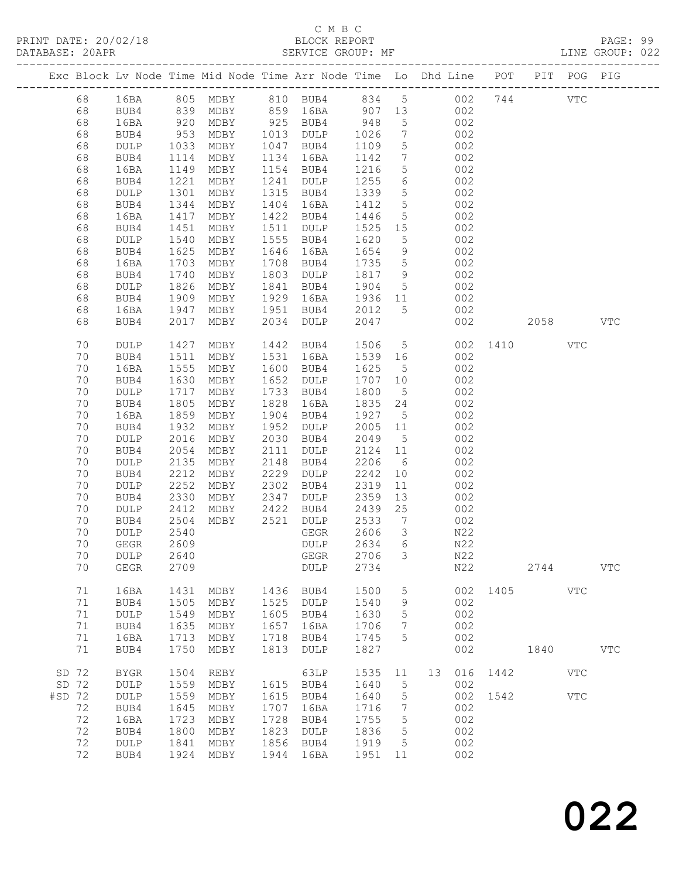# C M B C

| DATABASE: 20APR |    |                       |                    |                |      | SERVICE GROUP: MF                                                              |         |                              |                |     |             |            |            | LINE GROUP: 022 |  |
|-----------------|----|-----------------------|--------------------|----------------|------|--------------------------------------------------------------------------------|---------|------------------------------|----------------|-----|-------------|------------|------------|-----------------|--|
|                 |    | --------------------- |                    |                |      | Exc Block Lv Node Time Mid Node Time Arr Node Time Lo Dhd Line POT PIT POG PIG |         |                              |                |     |             |            |            |                 |  |
|                 | 68 |                       |                    |                |      | 16BA 805 MDBY 810 BUB4 834 5 002 744 VTC                                       |         |                              |                |     |             |            |            |                 |  |
|                 | 68 | BUB4                  |                    |                |      | 839 MDBY 859 16BA 907 13                                                       |         |                              |                | 002 |             |            |            |                 |  |
|                 | 68 | 16BA                  |                    |                |      |                                                                                |         | 5 <sup>5</sup>               | 002            |     |             |            |            |                 |  |
|                 | 68 | BUB4                  | 920<br>953<br>1033 |                |      | MDBY 925 BUB4 948<br>MDBY 1013 DULP 1026                                       |         | $7\overline{ }$              |                | 002 |             |            |            |                 |  |
|                 | 68 | DULP                  |                    | MDBY           |      | 1047 BUB4                                                                      | 1109    | 5 <sup>5</sup>               | 002            |     |             |            |            |                 |  |
|                 | 68 | BUB4                  | 1114               | MDBY           |      | 1134 16BA                                                                      | 1142    | $7\phantom{.0}\phantom{.0}7$ |                | 002 |             |            |            |                 |  |
|                 | 68 | 16BA                  | 1149               | MDBY           |      | 1154 BUB4                                                                      | 1216    | 5 <sup>5</sup>               |                | 002 |             |            |            |                 |  |
|                 | 68 | BUB4                  | 1221               | MDBY           |      | 1241 DULP                                                                      | 1255    | $6\overline{6}$              |                | 002 |             |            |            |                 |  |
|                 | 68 | DULP                  | 1301               | MDBY           |      | 1315 BUB4                                                                      | 1339    | 5 <sup>5</sup>               |                | 002 |             |            |            |                 |  |
|                 | 68 | BUB4                  | 1344               | MDBY           | 1404 | 16BA                                                                           | 1412    | $5\overline{)}$              |                | 002 |             |            |            |                 |  |
|                 | 68 | 16BA                  | 1417               | MDBY           |      | 1422 BUB4                                                                      | 1446    | 5 <sup>5</sup>               |                | 002 |             |            |            |                 |  |
|                 | 68 | BUB4                  | 1451               | MDBY           |      | 1511 DULP                                                                      | 1525 15 |                              |                | 002 |             |            |            |                 |  |
|                 | 68 | DULP                  | 1540               | MDBY           |      | 1555 BUB4                                                                      | 1620    | $5\overline{)}$              |                | 002 |             |            |            |                 |  |
|                 | 68 | BUB4                  | 1625               | MDBY           |      | 1646 16BA                                                                      | 1654    | 9                            |                | 002 |             |            |            |                 |  |
|                 | 68 | 16BA                  | 1703               | MDBY           |      | 1708 BUB4                                                                      | 1735    | $5\overline{)}$              |                | 002 |             |            |            |                 |  |
|                 | 68 | BUB4                  |                    | MDBY           |      | 1803 DULP                                                                      | 1817 9  |                              |                | 002 |             |            |            |                 |  |
|                 | 68 | DULP                  | $1/7$<br>1826      | MDBY           |      | 1841 BUB4                                                                      | 1904    | $5\overline{)}$              |                | 002 |             |            |            |                 |  |
|                 | 68 | BUB4                  | 1909               | MDBY           |      | 1929 16BA                                                                      | 1936 11 |                              |                | 002 |             |            |            |                 |  |
|                 | 68 | 16BA                  | 1947               | MDBY           |      | 1951 BUB4                                                                      | 2012    | 5 <sup>5</sup>               |                | 002 |             |            |            |                 |  |
|                 | 68 | BUB4                  | 2017               | MDBY           |      | 2034 DULP                                                                      | 2047    |                              |                | 002 |             | 2058 70    |            | VTC             |  |
|                 | 70 | DULP                  | 1427               | MDBY           |      | 1442 BUB4                                                                      | 1506    |                              | 5 <sub>5</sub> |     | 002 1410    |            | VTC        |                 |  |
|                 | 70 | BUB4                  | 1511               | MDBY           |      | 1531 16BA                                                                      | 1539 16 |                              |                | 002 |             |            |            |                 |  |
|                 | 70 | 16BA                  | 1555               | MDBY           |      | 1600 BUB4                                                                      | 1625    | 5 <sup>5</sup>               |                | 002 |             |            |            |                 |  |
|                 | 70 | BUB4                  | 1630               | MDBY           | 1652 | DULP                                                                           | 1707 10 |                              |                | 002 |             |            |            |                 |  |
|                 | 70 | DULP                  | 1717               | MDBY           | 1733 | BUB4                                                                           | 1800    | $5\overline{)}$              |                | 002 |             |            |            |                 |  |
|                 | 70 | BUB4                  | 1805               | MDBY           | 1828 | 16BA                                                                           | 1835 24 |                              |                | 002 |             |            |            |                 |  |
|                 | 70 | 16BA                  | 1859               | MDBY           | 1904 | BUB4                                                                           | 1927    | $5\overline{)}$              |                | 002 |             |            |            |                 |  |
|                 | 70 | BUB4                  | 1932               | MDBY           |      | 1952 DULP                                                                      | 2005 11 |                              |                | 002 |             |            |            |                 |  |
|                 | 70 | DULP                  | 2016               | MDBY           |      | 2030 BUB4                                                                      | 2049    | 5 <sup>5</sup>               |                | 002 |             |            |            |                 |  |
|                 | 70 | BUB4                  | 2054               | MDBY           | 2111 | DULP                                                                           | 2124 11 |                              |                | 002 |             |            |            |                 |  |
|                 | 70 | DULP                  | 2135               | MDBY           | 2148 | BUB4                                                                           | 2206    | $6\overline{6}$              |                | 002 |             |            |            |                 |  |
|                 | 70 | BUB4                  | 2212               | MDBY           | 2229 | DULP                                                                           | 2242    | 10                           |                | 002 |             |            |            |                 |  |
|                 | 70 | DULP                  | 2252               | MDBY           | 2302 | BUB4                                                                           | 2319    | $11$                         |                | 002 |             |            |            |                 |  |
|                 | 70 | BUB4                  | 2330               | MDBY           | 2347 | DULP                                                                           | 2359    | 13                           |                | 002 |             |            |            |                 |  |
|                 | 70 | DULP                  | 2412               | $MDBY$ 2422    |      | BUB4                                                                           | 2439    | 25                           |                | 002 |             |            |            |                 |  |
|                 | 70 | BUB4                  | 2504               | MDBY 2521 DULP |      |                                                                                | 2533    | $\overline{7}$               |                | 002 |             |            |            |                 |  |
|                 | 70 | <b>DULP</b>           | 2540               |                |      | GEGR                                                                           | 2606    | $\mathcal{S}$                |                | N22 |             |            |            |                 |  |
|                 | 70 | GEGR 2609             |                    |                |      | DULP 2634 6                                                                    |         |                              |                | N22 |             |            |            |                 |  |
|                 | 70 | DULP                  | 2640               |                |      | GEGR                                                                           | 2706    | $\mathcal{S}$                |                | N22 |             |            |            |                 |  |
|                 | 70 | ${\tt GEGR}$          | 2709               |                |      | DULP                                                                           | 2734    |                              |                | N22 |             | 2744       |            | <b>VTC</b>      |  |
|                 | 71 | 16BA                  | 1431               | MDBY           | 1436 | BUB4                                                                           | 1500    | 5                            |                |     | 002 1405    |            | <b>VTC</b> |                 |  |
|                 | 71 | BUB4                  | 1505               | MDBY           |      | 1525 DULP                                                                      | 1540    | 9                            |                | 002 |             |            |            |                 |  |
|                 | 71 | DULP                  | 1549               | MDBY           |      | 1605 BUB4                                                                      | 1630    | 5                            |                | 002 |             |            |            |                 |  |
|                 | 71 | BUB4                  | 1635               | MDBY           | 1657 | 16BA                                                                           | 1706    | $7\phantom{.0}$              |                | 002 |             |            |            |                 |  |
|                 | 71 | 16BA                  | 1713               | MDBY           | 1718 | BUB4                                                                           | 1745    | 5                            |                | 002 |             |            |            |                 |  |
|                 | 71 | BUB4                  | 1750               | MDBY           | 1813 | DULP                                                                           | 1827    |                              |                | 002 |             | 1840       |            | VTC             |  |
| SD 72           |    | <b>BYGR</b>           | 1504               | REBY           |      | 63LP                                                                           | 1535 11 |                              |                |     | 13 016 1442 |            | <b>VTC</b> |                 |  |
| SD 72           |    | DULP                  | 1559               | MDBY           |      | 1615 BUB4                                                                      | 1640    | 5                            |                | 002 |             |            |            |                 |  |
| $#SD$ 72        |    | DULP                  | 1559               | MDBY           |      | 1615 BUB4                                                                      | 1640    | $5^{\circ}$                  |                |     | 002 1542    | <b>VTC</b> |            |                 |  |
|                 | 72 | BUB4                  | 1645               | MDBY           | 1707 | 16BA                                                                           | 1716    | $\overline{7}$               |                | 002 |             |            |            |                 |  |
|                 | 72 | 16BA                  | 1723               | MDBY           | 1728 | BUB4                                                                           | 1755    | 5                            |                | 002 |             |            |            |                 |  |
|                 | 72 | BUB4                  | 1800               | MDBY           | 1823 | DULP                                                                           | 1836    | $5^{\circ}$                  |                | 002 |             |            |            |                 |  |
|                 | 72 | <b>DULP</b>           | 1841               | MDBY           |      | 1856 BUB4                                                                      | 1919    | $5\overline{)}$              |                | 002 |             |            |            |                 |  |
|                 | 72 | BUB4                  |                    | 1924 MDBY      |      | 1944 16BA                                                                      | 1951 11 |                              |                | 002 |             |            |            |                 |  |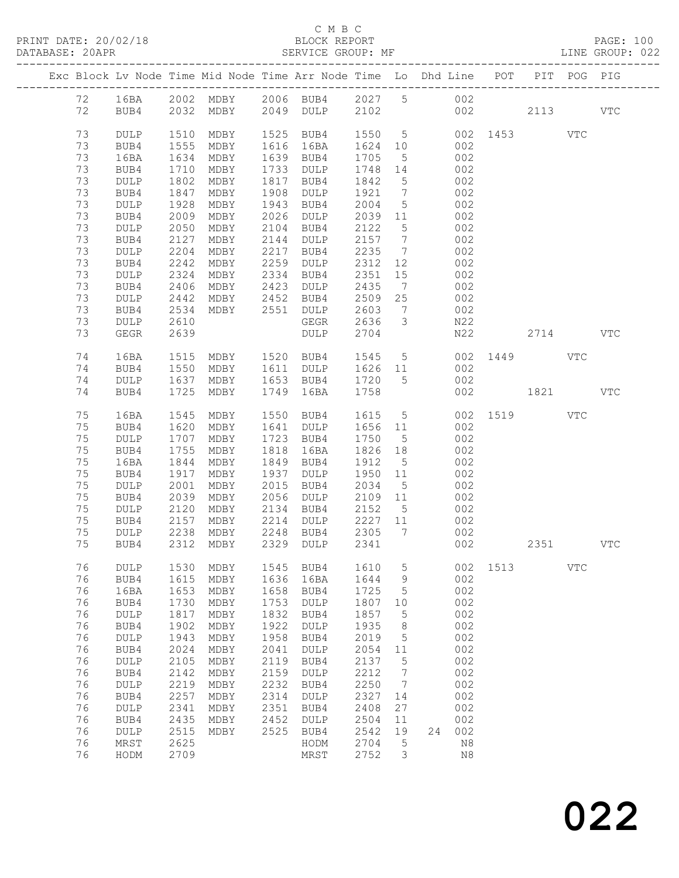### C M B C<br>BLOCK REPORT

LINE GROUP: 022

|  |    |                 |      | Exc Block Lv Node Time Mid Node Time Arr Node Time Lo Dhd Line POT |      |                 |      |                              |    |          |          |      | PIT POG PIG |            |
|--|----|-----------------|------|--------------------------------------------------------------------|------|-----------------|------|------------------------------|----|----------|----------|------|-------------|------------|
|  | 72 | 16BA            |      | 2002 MDBY                                                          |      | 2006 BUB4       | 2027 | 5 <sup>5</sup>               |    | 002      |          |      |             |            |
|  | 72 | BUB4            | 2032 | MDBY                                                               | 2049 | DULP            | 2102 |                              |    |          | 002 00   | 2113 |             | <b>VTC</b> |
|  |    |                 |      |                                                                    |      |                 |      |                              |    |          |          |      |             |            |
|  | 73 | DULP            | 1510 | MDBY                                                               | 1525 | BUB4            | 1550 | $5\overline{)}$              |    |          | 002 1453 |      | VTC         |            |
|  | 73 | BUB4            | 1555 | MDBY                                                               | 1616 | 16BA            | 1624 | 10                           |    | 002      |          |      |             |            |
|  | 73 | 16BA            | 1634 | MDBY                                                               | 1639 | BUB4            | 1705 | 5                            |    | 002      |          |      |             |            |
|  | 73 | BUB4            | 1710 | MDBY                                                               | 1733 | DULP            | 1748 | 14                           |    | 002      |          |      |             |            |
|  | 73 | $\texttt{DULP}$ | 1802 | MDBY                                                               | 1817 | BUB4            | 1842 | $5\overline{)}$              |    | 002      |          |      |             |            |
|  | 73 | BUB4            | 1847 | MDBY                                                               | 1908 | DULP            | 1921 | $7\phantom{.0}\phantom{.0}7$ |    | 002      |          |      |             |            |
|  | 73 | DULP            | 1928 | MDBY                                                               | 1943 | BUB4            | 2004 | 5                            |    | 002      |          |      |             |            |
|  | 73 | BUB4            | 2009 | MDBY                                                               | 2026 | DULP            | 2039 | 11                           |    | 002      |          |      |             |            |
|  | 73 | DULP            | 2050 | MDBY                                                               | 2104 | BUB4            | 2122 | $5\phantom{.0}$              |    | 002      |          |      |             |            |
|  | 73 | BUB4            | 2127 | MDBY                                                               | 2144 | DULP            | 2157 | $7\phantom{.0}$              |    | 002      |          |      |             |            |
|  | 73 | DULP            | 2204 | MDBY                                                               | 2217 | BUB4            | 2235 | $7\phantom{.0}\phantom{.0}7$ |    | 002      |          |      |             |            |
|  | 73 | BUB4            | 2242 | MDBY                                                               | 2259 | DULP            | 2312 | 12                           |    | 002      |          |      |             |            |
|  | 73 | DULP            | 2324 | MDBY                                                               | 2334 | BUB4            | 2351 | 15                           |    | 002      |          |      |             |            |
|  | 73 | BUB4            | 2406 | MDBY                                                               | 2423 | DULP            | 2435 | $7\phantom{.0}\phantom{.0}7$ |    | 002      |          |      |             |            |
|  | 73 | DULP            | 2442 | MDBY                                                               | 2452 | BUB4            | 2509 | 25                           |    | 002      |          |      |             |            |
|  | 73 | BUB4            | 2534 | MDBY                                                               | 2551 | $\texttt{DULP}$ | 2603 | $\overline{7}$               |    | 002      |          |      |             |            |
|  | 73 | DULP            | 2610 |                                                                    |      | GEGR            | 2636 | $\mathcal{S}$                |    | N22      |          |      |             |            |
|  | 73 | GEGR            | 2639 |                                                                    |      | DULP            | 2704 |                              |    | N22      |          | 2714 |             | <b>VTC</b> |
|  |    |                 |      |                                                                    |      |                 |      |                              |    |          |          |      |             |            |
|  | 74 | 16BA            | 1515 | MDBY                                                               | 1520 | BUB4            | 1545 | $5\overline{)}$              |    | 002      | 1449     |      | <b>VTC</b>  |            |
|  | 74 | BUB4            | 1550 | MDBY                                                               | 1611 | DULP            | 1626 | 11                           |    | 002      |          |      |             |            |
|  | 74 | DULP            | 1637 | MDBY                                                               | 1653 | BUB4            | 1720 | 5                            |    | 002      |          |      |             |            |
|  | 74 | BUB4            | 1725 | MDBY                                                               | 1749 | 16BA            | 1758 |                              |    | 002      |          | 1821 |             | <b>VTC</b> |
|  |    |                 |      |                                                                    |      |                 |      |                              |    |          |          |      |             |            |
|  | 75 | 16BA            | 1545 | MDBY                                                               | 1550 | BUB4            | 1615 | $5\overline{)}$              |    | 002      | 1519     |      | VTC         |            |
|  | 75 | BUB4            | 1620 | MDBY                                                               | 1641 | DULP            | 1656 | 11                           |    | 002      |          |      |             |            |
|  | 75 | DULP            | 1707 | MDBY                                                               | 1723 | BUB4            | 1750 | $5^{\circ}$                  |    | 002      |          |      |             |            |
|  | 75 | BUB4            | 1755 | MDBY                                                               | 1818 | 16BA            | 1826 | 18                           |    | 002      |          |      |             |            |
|  | 75 | 16BA            | 1844 | MDBY                                                               | 1849 | BUB4            | 1912 | $5\overline{)}$              |    | 002      |          |      |             |            |
|  | 75 | BUB4            | 1917 | MDBY                                                               | 1937 | DULP            | 1950 | 11                           |    | 002      |          |      |             |            |
|  | 75 | DULP            | 2001 | MDBY                                                               | 2015 | BUB4            | 2034 | $5\overline{)}$              |    | 002      |          |      |             |            |
|  | 75 | BUB4            | 2039 | MDBY                                                               | 2056 | $\texttt{DULP}$ | 2109 | 11                           |    | 002      |          |      |             |            |
|  | 75 | DULP            | 2120 | MDBY                                                               | 2134 | BUB4            | 2152 | $5^{\circ}$                  |    | 002      |          |      |             |            |
|  | 75 | BUB4            | 2157 | MDBY                                                               | 2214 | DULP            | 2227 | 11                           |    | 002      |          |      |             |            |
|  | 75 | DULP            | 2238 | MDBY                                                               | 2248 | BUB4            | 2305 | 7                            |    | 002      |          |      |             |            |
|  | 75 | BUB4            | 2312 | MDBY                                                               | 2329 | DULP            | 2341 |                              |    | 002      |          | 2351 |             | <b>VTC</b> |
|  |    |                 |      |                                                                    |      |                 |      |                              |    |          |          |      |             |            |
|  | 76 | DULP            | 1530 | MDBY                                                               | 1545 | BUB4            | 1610 | 5                            |    | 002      | 1513     |      | <b>VTC</b>  |            |
|  | 76 | BUB4            | 1615 | MDBY                                                               | 1636 | 16BA            | 1644 | 9                            |    | 002      |          |      |             |            |
|  | 76 | 16BA            | 1653 | MDBY                                                               | 1658 | BUB4            | 1725 | 5                            |    | 002      |          |      |             |            |
|  | 76 | BUB4            | 1730 | MDBY                                                               | 1753 | <b>DULP</b>     | 1807 | 10                           |    | 002      |          |      |             |            |
|  | 76 | $\texttt{DULP}$ | 1817 | MDBY                                                               | 1832 | BUB4            | 1857 | 5                            |    | 002      |          |      |             |            |
|  | 76 | BUB4            | 1902 | MDBY                                                               | 1922 | <b>DULP</b>     | 1935 | $\,8\,$                      |    | 002      |          |      |             |            |
|  | 76 | DULP            | 1943 | MDBY                                                               | 1958 | BUB4            | 2019 | 5                            |    | 002      |          |      |             |            |
|  | 76 | BUB4            | 2024 | MDBY                                                               | 2041 | <b>DULP</b>     | 2054 | 11                           |    | 002      |          |      |             |            |
|  | 76 | DULP            | 2105 | MDBY                                                               | 2119 | BUB4            | 2137 | 5                            |    | 002      |          |      |             |            |
|  | 76 | BUB4            | 2142 | MDBY                                                               | 2159 | <b>DULP</b>     | 2212 | 7                            |    | 002      |          |      |             |            |
|  | 76 | DULP            | 2219 | MDBY                                                               | 2232 | BUB4            | 2250 | 7                            |    | 002      |          |      |             |            |
|  | 76 | BUB4            | 2257 | MDBY                                                               | 2314 | <b>DULP</b>     | 2327 | 14                           |    | 002      |          |      |             |            |
|  | 76 | $\texttt{DULP}$ | 2341 | MDBY                                                               | 2351 | BUB4            | 2408 | 27                           |    | 002      |          |      |             |            |
|  | 76 | BUB4            | 2435 | MDBY                                                               | 2452 | $\texttt{DULP}$ | 2504 | 11                           |    | 002      |          |      |             |            |
|  | 76 | DULP            | 2515 | MDBY                                                               | 2525 | BUB4            | 2542 | 19                           | 24 | 002      |          |      |             |            |
|  | 76 | $\tt MRST$      | 2625 |                                                                    |      | HODM            | 2704 | 5                            |    | N8       |          |      |             |            |
|  | 76 | HODM            | 2709 |                                                                    |      | MRST            | 2752 | 3                            |    | $\rm N8$ |          |      |             |            |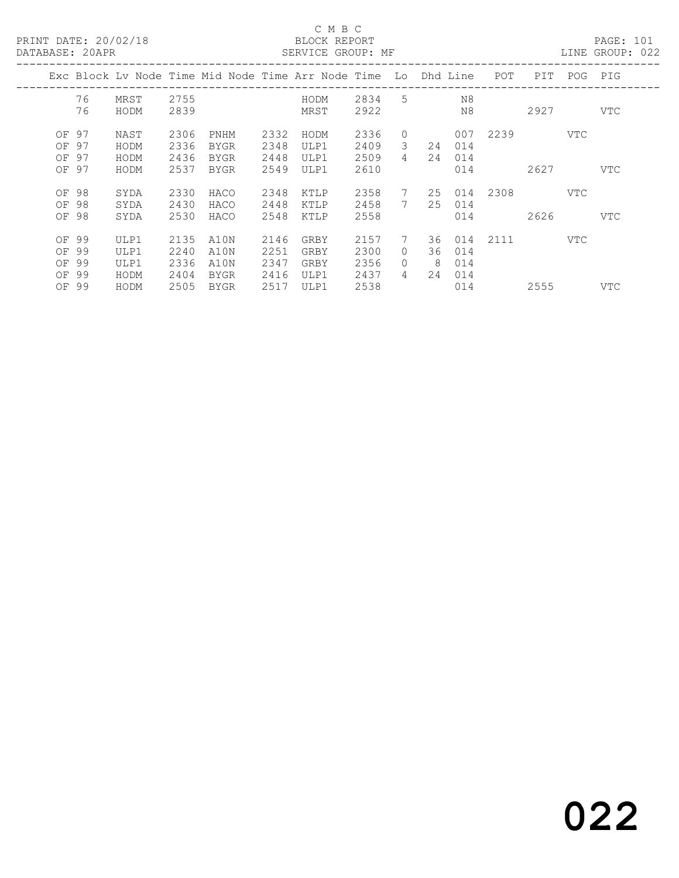### C M B C

| DATABASE: 20APR |    |      |      |             |      | SERVICE GROUP: MF                                                  |        |                |    |     |              |      |          | LINE GROUP: 022 |  |
|-----------------|----|------|------|-------------|------|--------------------------------------------------------------------|--------|----------------|----|-----|--------------|------|----------|-----------------|--|
|                 |    |      |      |             |      | Exc Block Lv Node Time Mid Node Time Arr Node Time Lo Dhd Line POT |        |                |    |     |              | PIT  |          | POG PIG         |  |
|                 | 76 | MRST | 2755 |             |      | HODM                                                               | 2834 5 |                | N8 |     |              |      |          |                 |  |
|                 | 76 | HODM | 2839 |             |      | MRST                                                               | 2922   |                |    | N8  |              |      | 2927     | VTC             |  |
| OF 97           |    | NAST | 2306 | PNHM        | 2332 | HODM                                                               | 2336   | $\circ$        |    |     | 007 2239 VTC |      |          |                 |  |
| OF 97           |    | HODM | 2336 | <b>BYGR</b> | 2348 | ULP1                                                               | 2409   | $\mathcal{E}$  | 24 | 014 |              |      |          |                 |  |
| OF 97           |    | HODM | 2436 | BYGR        | 2448 | ULP1                                                               | 2509   | 4              | 24 | 014 |              |      |          |                 |  |
| OF 97           |    | HODM | 2537 | BYGR        | 2549 | ULP1                                                               | 2610   |                |    | 014 |              | 2627 |          | VTC             |  |
| OF 98           |    | SYDA | 2330 | HACO        | 2348 | KTLP                                                               | 2358   | $7\phantom{0}$ |    |     | 25 014 2308  |      | VTC      |                 |  |
| OF 98           |    | SYDA | 2430 | HACO        | 2448 | KTLP                                                               | 2458   | 7              | 25 | 014 |              |      |          |                 |  |
| OF 98           |    | SYDA | 2530 | HACO        | 2548 | KTLP                                                               | 2558   |                |    |     | 014          |      | 2626 200 | VTC             |  |
| OF 99           |    | ULP1 | 2135 | A10N        | 2146 | GRBY                                                               | 2157   | $7\phantom{0}$ | 36 |     | 014 2111     |      | VTC      |                 |  |
| OF 99           |    | ULP1 | 2240 | A10N        | 2251 | GRBY                                                               | 2300   | $\Omega$       | 36 | 014 |              |      |          |                 |  |
| OF 99           |    | ULP1 | 2336 | A10N        | 2347 | GRBY                                                               | 2356   | $\Omega$       | 8  | 014 |              |      |          |                 |  |
| OF 99           |    | HODM | 2404 | BYGR        | 2416 | ULP1                                                               | 2437   | $\overline{4}$ | 24 | 014 |              |      |          |                 |  |
| OF 99           |    | HODM | 2505 | BYGR        | 2517 | ULP1                                                               | 2538   |                |    | 014 |              | 2555 |          | VTC             |  |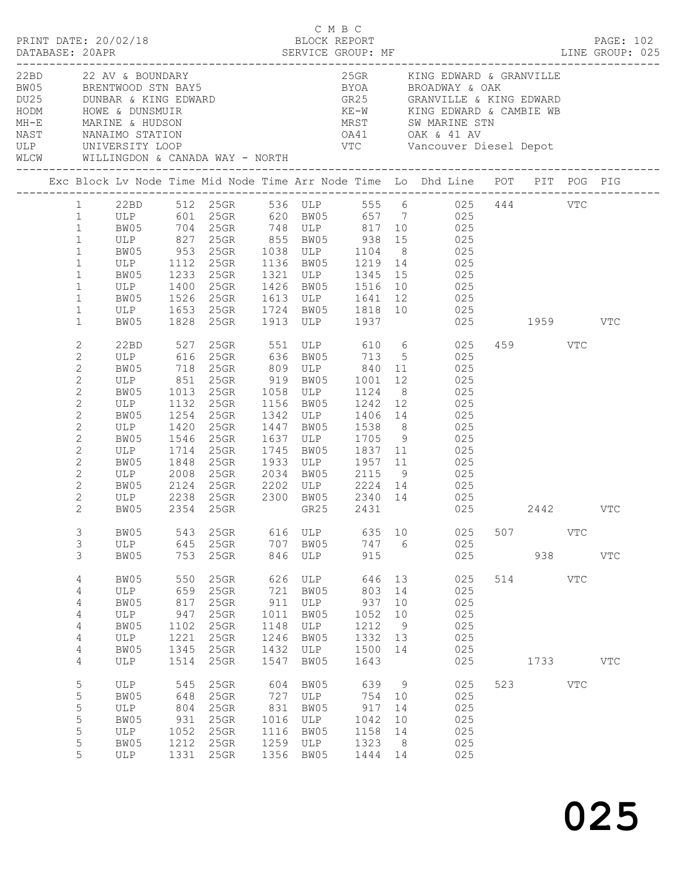|                                                                                                                                                                                                                                                                                                                                                                         |                                                                                                 |                                                                              |                                                                                                                               |                                                           | C M B C                                                                       |                                                                                           |                                        | PRINT DATE: 20/02/18<br>BLOCK REPORT BLOCK PERRE THE SERVICE GROUP: MF DATABASE: 20APR DATABASE: 20APR DERVICE GROUP: MF DERVICE GROUP: 025                                                                                                                                                                                                                                                                                                                                                                                                                                                                                               |     |         |                      |              |  |
|-------------------------------------------------------------------------------------------------------------------------------------------------------------------------------------------------------------------------------------------------------------------------------------------------------------------------------------------------------------------------|-------------------------------------------------------------------------------------------------|------------------------------------------------------------------------------|-------------------------------------------------------------------------------------------------------------------------------|-----------------------------------------------------------|-------------------------------------------------------------------------------|-------------------------------------------------------------------------------------------|----------------------------------------|-------------------------------------------------------------------------------------------------------------------------------------------------------------------------------------------------------------------------------------------------------------------------------------------------------------------------------------------------------------------------------------------------------------------------------------------------------------------------------------------------------------------------------------------------------------------------------------------------------------------------------------------|-----|---------|----------------------|--------------|--|
|                                                                                                                                                                                                                                                                                                                                                                         | 22BD 22 AV & BOUNDARY<br>WLCW WILLINGDON & CANADA WAY - NORTH                                   |                                                                              |                                                                                                                               |                                                           |                                                                               |                                                                                           |                                        | 25GR KING EDWARD & GRANVILLE<br>And the MRINE of MANAL MARINE CONNECTING CONNECTING CONTRACT CONTRACT CONTRACT CONTRACT CONTRACT CONTRACT CONTRACT CONTRACT CONTRACT CONTRACT CONTRACT CONTRACT CONTRACT CONTRACT CONTRACT CONTRACT CONTRACT CONTRACT CONTRACT                                                                                                                                                                                                                                                                                                                                                                            |     |         |                      |              |  |
|                                                                                                                                                                                                                                                                                                                                                                         |                                                                                                 |                                                                              |                                                                                                                               |                                                           |                                                                               |                                                                                           |                                        | Exc Block Lv Node Time Mid Node Time Arr Node Time Lo Dhd Line POT PIT POG PIG                                                                                                                                                                                                                                                                                                                                                                                                                                                                                                                                                            |     |         |                      |              |  |
| $1 \quad$<br>$\mathbf{1}$<br>$\mathbf{1}$<br>$\mathbf{1}$<br>$\mathbf{1}$<br>$\mathbf{1}$<br>$\mathbf{1}$<br>$\mathbf{1}$<br>$\mathbf{1}$<br>$\mathbf{1}$<br>$\mathbf{1}$<br>2<br>$\mathbf{2}$<br>$\mathbf{2}$<br>$\mathbf{2}$<br>$\mathbf{2}$<br>$\overline{c}$<br>$\mathbf{2}$<br>$\overline{c}$<br>$\mathbf{2}$<br>$\mathbf{2}$<br>$\mathbf{2}$<br>$\mathbf{2}$<br>2 | BW05<br>ULP 1400<br>ULP 851<br>BW05<br>ULP<br>BW05<br>ULP<br>BW05<br>ULP<br>BW05<br>ULP<br>BW05 | 1233<br>1013<br>1132<br>1254<br>1420<br>1546<br>1714<br>1848<br>2008<br>2124 | 25GR 1426 BW05 1516<br>$25$ GR<br>$25$ GR<br>1132 25GR<br>$25$ GR<br>$25$ GR<br>$25$ GR<br>$25$ GR<br>25GR<br>$25$ GR<br>25GR | 1342<br>1447<br>1637<br>1745<br>1933<br>2034<br>2202      | 919 BW05<br>1058 ULP<br>1156 BW05<br>ULP<br>BW05<br>ULP<br>BW05<br>ULP<br>ULP | 1001<br>1124<br>1242 12<br>1705 9<br>1837 11<br>$\begin{bmatrix} 1957 & 11 \end{bmatrix}$ |                                        | 22BD 512 25GR 536 ULP 555 6 025 444 VTC<br>ULP 601 25GR 620 BW05 657 7 025<br>BW05 704 25GR 748 ULP 817 10 025<br>ULP 827 25GR 855 BW05 938 15 025<br>BW05 953 25GR 1038 ULP 1104 8 025<br>ULP 1112 25GR 1136 BW05 1219 14 025<br>25GR 1321 ULP 1345 15 025<br>10 025<br>BW05 1526 25GR 1613 ULP 1641 12 025<br>ULP 1653 25GR 1724 BW05 1818 10 025<br>BW05 1828 25GR 1913 ULP 1937 025 1959 VTC<br>22BD 527 25GR 551 ULP 610 6 025<br>ULP 616 25GR 636 BW05 713 5 025<br>BW05 718 25GR 809 ULP 840 11 025<br>12 025<br>8 025<br>025<br>$1242$ 12 025<br>1406 14 025<br>1538 8 025<br>025<br>025<br>025<br>BW05 2115 9 025<br>2224 14 025 |     | 459 VTC |                      |              |  |
| $\overline{c}$<br>2                                                                                                                                                                                                                                                                                                                                                     | ULP 2238 25GR<br>BW05 2354 25GR                                                                 |                                                                              |                                                                                                                               |                                                           |                                                                               |                                                                                           |                                        | 25GR 2300 BW05 2340 14 025<br>25GR GR25 2431 025                                                                                                                                                                                                                                                                                                                                                                                                                                                                                                                                                                                          |     | 2442    |                      | VTC          |  |
| $\mathfrak{Z}$<br>3<br>3                                                                                                                                                                                                                                                                                                                                                | BW05<br>ULP<br>BW05                                                                             | 543<br>645<br>753                                                            | 25GR<br>25GR<br>25GR                                                                                                          | 616<br>707<br>846                                         | ULP<br>BW05<br>ULP                                                            | 635<br>747<br>915                                                                         | 10<br>- 6                              | 025<br>025<br>025                                                                                                                                                                                                                                                                                                                                                                                                                                                                                                                                                                                                                         | 507 |         | <b>VTC</b><br>938 33 | $_{\rm VTC}$ |  |
| 4<br>$\overline{4}$<br>4<br>4<br>4<br>4<br>$\overline{4}$                                                                                                                                                                                                                                                                                                               | BW05<br>ULP<br>BW05<br>ULP<br>BW05<br>ULP<br>BW05                                               | 550<br>659<br>817<br>947<br>1102<br>1221<br>1345                             | 25GR<br>25GR<br>25GR<br>25GR<br>25GR<br>25GR<br>25GR                                                                          | 626<br>721<br>911<br>1011<br>1148<br>1246<br>1432         | ULP<br>BW05<br>ULP<br>BW05<br>ULP<br>BW05<br>ULP                              | 646<br>803<br>937<br>1052<br>1212<br>1332<br>1500                                         | 13<br>14<br>10<br>10<br>9<br>13<br>14  | 025<br>025<br>025<br>025<br>025<br>025<br>025                                                                                                                                                                                                                                                                                                                                                                                                                                                                                                                                                                                             | 514 |         | VTC                  |              |  |
| 4<br>$\mathsf S$<br>$\mathsf S$<br>5<br>5<br>5<br>$\mathsf S$<br>5                                                                                                                                                                                                                                                                                                      | ULP<br>ULP<br>BW05<br>ULP<br>BW05<br>ULP<br>BW05<br>ULP                                         | 1514<br>545<br>648<br>804<br>931<br>1052<br>1212<br>1331                     | 25GR<br>25GR<br>25GR<br>25GR<br>25GR<br>25GR<br>25GR<br>25GR                                                                  | 1547<br>604<br>727<br>831<br>1016<br>1116<br>1259<br>1356 | BW05<br>BW05<br>ULP<br>BW05<br>ULP<br>BW05<br>ULP<br>BW05                     | 1643<br>639<br>754<br>917<br>1042<br>1158<br>1323<br>1444                                 | 9<br>10<br>14<br>10<br>14<br>- 8<br>14 | 025<br>025<br>025<br>025<br>025<br>025<br>025<br>025                                                                                                                                                                                                                                                                                                                                                                                                                                                                                                                                                                                      | 523 | 1733    | <b>VTC</b>           | $_{\rm VTC}$ |  |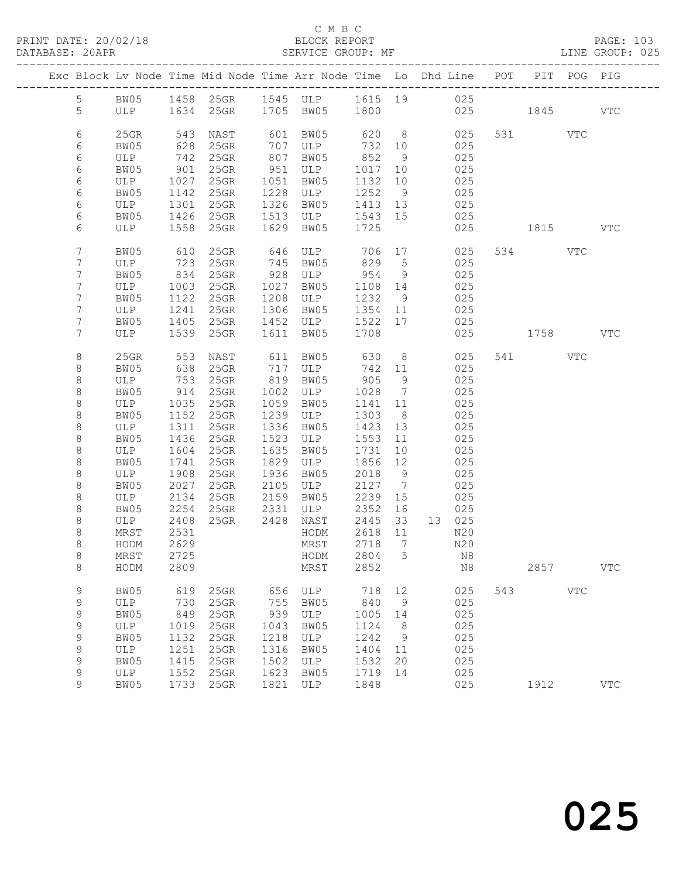#### C M B C<br>BLOCK REPORT SERVICE GROUP: MF

|  |                    |             |              | Exc Block Lv Node Time Mid Node Time Arr Node Time Lo Dhd Line POT PIT POG PIG |              |                |              |                      |         |            |     |          |            |            |
|--|--------------------|-------------|--------------|--------------------------------------------------------------------------------|--------------|----------------|--------------|----------------------|---------|------------|-----|----------|------------|------------|
|  | $5\phantom{.0}$    |             |              | BW05 1458 25GR 1545 ULP 1615 19 025                                            |              |                |              |                      |         |            |     |          |            |            |
|  | 5                  |             |              | ULP 1634 25GR 1705 BW05 1800                                                   |              |                |              |                      |         | 025 1845   |     |          |            | <b>VTC</b> |
|  |                    |             |              |                                                                                |              |                |              |                      |         |            |     |          |            |            |
|  | 6                  | $25$ GR     | 543          | NAST                                                                           |              | 601 BW05       |              |                      | 620 8   | 025        |     | 531 VTC  |            |            |
|  | 6                  | BW05        | 628          | $25$ GR                                                                        |              | 707 ULP        | 732          | 10                   |         | 025        |     |          |            |            |
|  | 6                  | ULP         |              | 742 25GR                                                                       |              | 807 BW05       | 852          | 9                    |         | 025        |     |          |            |            |
|  | 6                  | BW05        | 901          | $25$ GR                                                                        | 951          | ULP            | 1017         | 10                   |         | 025        |     |          |            |            |
|  | 6                  | ULP         | 1027         | $25$ GR                                                                        | 1051         | BW05           | 1132         | 10                   |         | 025        |     |          |            |            |
|  | 6                  | BW05        | 1142         | $25$ GR                                                                        | 1228         | ULP            | 1252         | 9                    |         | 025        |     |          |            |            |
|  | 6                  | ULP         | 1301         | 25GR                                                                           | 1326         | BW05           | 1413 13      |                      |         | 025        |     |          |            |            |
|  | 6                  | BW05        |              | 1426 25GR                                                                      | 1513         | ULP            | 1543 15      |                      |         | 025        |     |          |            |            |
|  | 6                  | ULP         | 1558         | 25GR                                                                           | 1629         | BW05           | 1725         |                      |         | 025        |     | 1815 VTC |            |            |
|  |                    |             |              |                                                                                |              |                |              |                      |         |            |     |          |            |            |
|  | $7\phantom{.}$     | BW05        | 610          | 25GR                                                                           |              | 646 ULP        | 706 17       |                      |         | 025        |     | 534 VTC  |            |            |
|  | $\overline{7}$     | ULP         | 723          | $25$ GR                                                                        |              | 745 BW05       | 829          | $5\overline{)}$      |         | 025        |     |          |            |            |
|  | 7                  | BW05        | 834          | $25$ GR                                                                        | 928          | ULP            | 954          | 9                    |         | 025        |     |          |            |            |
|  | 7                  | ULP         | 1003         | 25GR                                                                           | 1027         | BW05           | 1108 14      |                      |         | 025        |     |          |            |            |
|  | 7                  | BW05        | 1122         | $25$ GR                                                                        | 1208         | ULP            | 1232 9       |                      |         | 025        |     |          |            |            |
|  | 7                  | ULP         | 1241         | 25GR                                                                           | 1306         | BW05           | 1354 11      |                      |         | 025        |     |          |            |            |
|  | 7                  | BW05        | 1405         | 25GR                                                                           | 1452         | ULP            | 1522 17      |                      |         | 025        |     |          |            |            |
|  | 7                  | ULP         | 1539         | $25$ GR                                                                        | 1611         | BW05           | 1708         |                      |         | 025        |     | 1758 VTC |            |            |
|  |                    |             |              |                                                                                |              |                |              |                      |         |            |     |          |            |            |
|  | 8                  | $25$ GR     | 553          | NAST                                                                           |              | 611 BW05       | 630          |                      | $8 - 8$ | 025        |     | 541 VTC  |            |            |
|  | 8                  | BW05        | 638          | $25$ GR                                                                        |              | 717 ULP        | 742 11       |                      |         | 025        |     |          |            |            |
|  | $\,8\,$            | ULP         | 753          | $25$ GR                                                                        |              | 819 BW05       | 905          | 9                    |         | 025        |     |          |            |            |
|  | $\,8\,$            | BW05        | 914          | $25$ GR                                                                        | 1002         | ULP            | 1028         | $\overline{7}$       |         | 025        |     |          |            |            |
|  | $\,8\,$            | ULP         | 1035         | $25$ GR                                                                        | 1059         | BW05           | 1141 11      |                      |         | 025        |     |          |            |            |
|  | 8                  | BW05        | 1152         | 25GR                                                                           | 1239         | ULP            | 1303         | 8 <sup>8</sup>       |         | 025        |     |          |            |            |
|  | 8                  | ULP         | 1311         | $25$ GR                                                                        | 1336         | BW05           | 1423         | 13                   |         | 025        |     |          |            |            |
|  | $\,8\,$            | BW05        | 1436         | $25$ GR                                                                        | 1523         | ULP            | 1553         | 11                   |         | 025        |     |          |            |            |
|  | $\,8\,$            | ULP         | 1604         | $25$ GR                                                                        | 1635         | BW05           | 1731         | 10                   |         | 025        |     |          |            |            |
|  | 8                  | BW05        | 1741         | 25GR                                                                           | 1829         | ULP            | 1856         | 12                   |         | 025        |     |          |            |            |
|  | $\,8\,$            | ULP         | 1908         | 25GR                                                                           | 1936         | BW05           | 2018         | 9                    |         | 025        |     |          |            |            |
|  | $\,8\,$<br>$\,8\,$ | BW05<br>ULP | 2027<br>2134 | 25GR                                                                           | 2105<br>2159 | ULP<br>BW05    | 2127<br>2239 | $\overline{7}$<br>15 |         | 025<br>025 |     |          |            |            |
|  | 8                  | BW05        | 2254         | $25$ GR<br>25GR                                                                | 2331         | ULP            | 2352         | 16                   |         | 025        |     |          |            |            |
|  | 8                  | ULP         | 2408         | 25GR                                                                           | 2428         | NAST           | 2445         | 33                   |         | 13 025     |     |          |            |            |
|  | $\,8\,$            | MRST        | 2531         |                                                                                |              | HODM           | 2618         | 11                   |         | N20        |     |          |            |            |
|  | $\,8\,$            | HODM        | 2629         |                                                                                |              | MRST           | 2718         | $\overline{7}$       |         | N20        |     |          |            |            |
|  | $\,8\,$            | MRST        | 2725         |                                                                                |              | HODM 2804 5 N8 |              |                      |         |            |     |          |            |            |
|  | 8                  | HODM        | 2809         |                                                                                |              | MRST           | 2852         |                      |         | N8         |     | 2857     |            | <b>VTC</b> |
|  |                    |             |              |                                                                                |              |                |              |                      |         |            |     |          |            |            |
|  | 9                  | BW05        | 619          | 25GR                                                                           | 656          | ULP            | 718          | 12                   |         | 025        | 543 |          | <b>VTC</b> |            |
|  | 9                  | ULP         | 730          | 25GR                                                                           | 755          | BW05           | 840          | 9                    |         | 025        |     |          |            |            |
|  | 9                  | BW05        | 849          | 25GR                                                                           | 939          | ULP            | 1005         | 14                   |         | 025        |     |          |            |            |
|  | $\mathsf 9$        | ULP         | 1019         | 25GR                                                                           | 1043         | BW05           | 1124         | 8                    |         | 025        |     |          |            |            |
|  | $\mathsf 9$        | BW05        | 1132         | 25GR                                                                           | 1218         | ULP            | 1242         | 9                    |         | 025        |     |          |            |            |
|  | $\mathsf 9$        | ULP         | 1251         | 25GR                                                                           | 1316         | BW05           | 1404         | 11                   |         | 025        |     |          |            |            |
|  | $\mathsf 9$        | BW05        | 1415         | 25GR                                                                           | 1502         | ULP            | 1532         | 20                   |         | 025        |     |          |            |            |
|  | $\mathsf 9$        | ULP         | 1552         | 25GR                                                                           | 1623         | BW05           | 1719         | 14                   |         | 025        |     |          |            |            |
|  | 9                  | BW05        | 1733         | 25GR                                                                           | 1821         | ULP            | 1848         |                      |         | 025        |     | 1912     |            | <b>VTC</b> |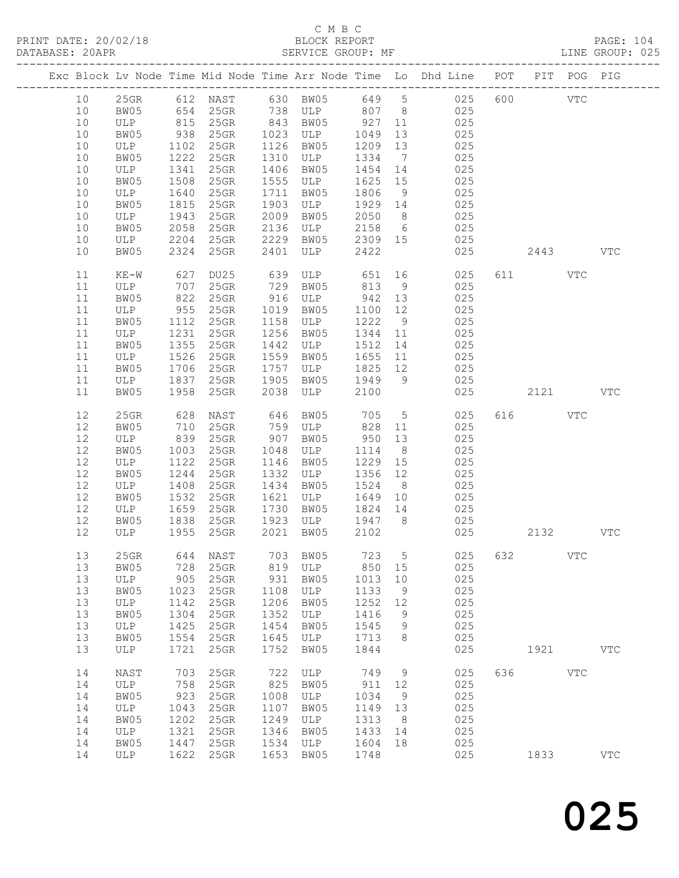|      |         |      |                      |      |                             |         |                 | Exc Block Lv Node Time Mid Node Time Arr Node Time Lo Dhd Line POT |     |          | PIT POG PIG  |            |
|------|---------|------|----------------------|------|-----------------------------|---------|-----------------|--------------------------------------------------------------------|-----|----------|--------------|------------|
| 10   |         |      |                      |      |                             |         |                 | 25GR 612 NAST 630 BW05 649 5 025                                   | 600 |          | VTC          |            |
| 10   | BW05    |      |                      |      |                             |         |                 | 025                                                                |     |          |              |            |
| 10   | ULP     |      | 654 25GR<br>815 25GR |      |                             |         |                 | 025                                                                |     |          |              |            |
| 10   | BW05    | 938  | $25$ GR              | 1023 | ULP                         | 1049    | 13              | 025                                                                |     |          |              |            |
| 10   | ULP     | 1102 | $25$ GR              | 1126 | BW05                        | 1209    | 13              | 025                                                                |     |          |              |            |
| 10   | BW05    | 1222 | 25GR                 | 1310 | ULP                         | 1334    | $\overline{7}$  | 025                                                                |     |          |              |            |
| 10   | ULP     | 1341 | 25GR                 | 1406 | BW05                        | 1454    | 14              | 025                                                                |     |          |              |            |
|      |         |      |                      | 1555 |                             |         |                 | 025                                                                |     |          |              |            |
| 10   | BW05    | 1508 | 25GR                 |      | ULP                         | 1625    | 15              |                                                                    |     |          |              |            |
| 10   | ULP     | 1640 | 25GR                 | 1711 | BW05                        | 1806    | 9               | 025                                                                |     |          |              |            |
| 10   | BW05    | 1815 | 25GR                 | 1903 | ULP                         | 1929    | 14              | 025                                                                |     |          |              |            |
| 10   | ULP     | 1943 | 25GR                 | 2009 | BW05                        | 2050    | 8 <sup>8</sup>  | 025                                                                |     |          |              |            |
| 10   | BW05    | 2058 | 25GR                 | 2136 | ULP 2158                    |         | $6\overline{6}$ | 025                                                                |     |          |              |            |
| 10   | ULP     | 2204 | 25GR                 | 2229 | BW05 2309 15                |         |                 | 025                                                                |     |          |              |            |
| 10   | BW05    | 2324 | 25GR                 | 2401 | ULP                         | 2422    |                 | 025                                                                |     | 2443     |              | VTC        |
|      |         |      |                      |      |                             |         |                 |                                                                    |     |          |              |            |
| 11   | $KE-W$  | 627  | DU25                 | 639  | ULP                         | 651     |                 | 025                                                                |     | 611 — 10 | VTC          |            |
| 11   | ULP     | 707  | 25GR                 | 729  | BW05                        | 813     | 9               | 025                                                                |     |          |              |            |
| 11   | BW05    | 822  | $25$ GR              |      | 916 ULP                     | 942     | 13              | 025                                                                |     |          |              |            |
| 11   | ULP     | 955  | $25$ GR              | 1019 | BW05                        | 1100 12 |                 | 025                                                                |     |          |              |            |
| 11   | BW05    | 1112 | $25$ GR              | 1158 | ULP                         | 1222    | 9               | 025                                                                |     |          |              |            |
| 11   | ULP     | 1231 | 25GR                 | 1256 | BW05                        | 1344    | 11              | 025                                                                |     |          |              |            |
| 11   | BW05    | 1355 | 25GR                 | 1442 | ULP                         | 1512    | 14              | 025                                                                |     |          |              |            |
| 11   | ULP     | 1526 | 25GR                 | 1559 | BW05                        | 1655    | 11              | 025                                                                |     |          |              |            |
| 11   | BW05    | 1706 | 25GR                 | 1757 | ULP                         | 1825    | 12              | 025                                                                |     |          |              |            |
| 11   | ULP     | 1837 | $25$ GR              | 1905 | BW05 1949                   |         | 9               | 025                                                                |     |          |              |            |
| 11   | BW05    | 1958 | $25$ GR              | 2038 | ULP                         | 2100    |                 | 025                                                                |     | 2121     |              | <b>VTC</b> |
|      |         |      |                      |      |                             |         |                 |                                                                    |     |          |              |            |
| 12   | $25$ GR | 628  | NAST                 | 646  | BW05                        | 705     | $5\overline{)}$ | 025                                                                |     | 616 7    | VTC          |            |
| 12   | BW05    | 710  | 25GR                 | 759  | ULP                         | 828     | 11              | 025                                                                |     |          |              |            |
| $12$ | ULP     | 839  | 25GR                 | 907  | BW05                        | 950     | 13              | 025                                                                |     |          |              |            |
| 12   | BW05    | 1003 | $25$ GR              | 1048 | ULP                         | 1114    | 8 <sup>8</sup>  | 025                                                                |     |          |              |            |
| 12   | ULP     | 1122 | 25GR                 | 1146 | BW05                        | 1229    | 15              | 025                                                                |     |          |              |            |
| $12$ | BW05    | 1244 | 25GR                 | 1332 | ULP                         | 1356    | 12              | 025                                                                |     |          |              |            |
| 12   | ULP     | 1408 | 25GR                 | 1434 | BW05                        | 1524    | 8 <sup>8</sup>  | 025                                                                |     |          |              |            |
| $12$ | BW05    | 1532 | 25GR                 | 1621 |                             |         |                 |                                                                    |     |          |              |            |
| 12   | ULP     | 1659 | $25$ GR              | 1730 | ULP 1645 10<br>RM05 1824 14 |         |                 | 025<br>025                                                         |     |          |              |            |
| 12   | BW05    |      | 1838 25GR            | 1923 | ULP 1947 8                  |         |                 | 025                                                                |     |          |              |            |
| 12   | ULP     |      | 1955 25GR            | 2021 | BW05                        | 2102    |                 | 025                                                                |     | 2132     | <b>VTC</b>   |            |
|      |         |      |                      |      |                             |         |                 |                                                                    |     |          |              |            |
|      |         |      |                      |      |                             |         |                 |                                                                    |     |          |              |            |
| 13   |         |      | 25GR 644 NAST        |      |                             |         |                 | 703 BW05 723 5 025 632                                             |     |          | $_{\rm VTC}$ |            |
| 13   | BW05    | 728  | 25GR                 | 819  | ULP                         | 850     | 15              | 025                                                                |     |          |              |            |
| 13   | ULP     | 905  | 25GR                 | 931  | BW05                        | 1013    | 10              | 025                                                                |     |          |              |            |
| 13   | BW05    | 1023 | 25GR                 | 1108 | ULP                         | 1133    | 9               | 025                                                                |     |          |              |            |
| 13   | ULP     | 1142 | 25GR                 | 1206 | BW05                        | 1252    | 12              | 025                                                                |     |          |              |            |
| 13   | BW05    | 1304 | 25GR                 | 1352 | ULP                         | 1416    | 9               | 025                                                                |     |          |              |            |
| 13   | ULP     | 1425 | 25GR                 | 1454 | BW05                        | 1545    | 9               | 025                                                                |     |          |              |            |
| 13   | BW05    | 1554 | 25GR                 | 1645 | ULP                         | 1713    | 8               | 025                                                                |     |          |              |            |
| 13   | ULP     | 1721 | 25GR                 | 1752 | BW05                        | 1844    |                 | 025                                                                |     | 1921     |              | <b>VTC</b> |
|      |         |      |                      |      |                             |         |                 |                                                                    |     |          |              |            |
| 14   | NAST    | 703  | 25GR                 | 722  | ULP                         | 749     | 9               | 025                                                                | 636 |          | $_{\rm VTC}$ |            |
| 14   | ULP     | 758  | 25GR                 | 825  | BW05                        | 911     | 12              | 025                                                                |     |          |              |            |
| 14   | BW05    | 923  | 25GR                 | 1008 | ULP                         | 1034    | 9               | 025                                                                |     |          |              |            |
| 14   | ULP     | 1043 | 25GR                 | 1107 | BW05                        | 1149    | 13              | 025                                                                |     |          |              |            |
| 14   | BW05    | 1202 | 25GR                 | 1249 | ULP                         | 1313    | 8               | 025                                                                |     |          |              |            |
| 14   | ULP     | 1321 | 25GR                 | 1346 | BW05                        | 1433    | 14              | 025                                                                |     |          |              |            |
| 14   | BW05    | 1447 | 25GR                 | 1534 | ULP                         | 1604    | 18              | 025                                                                |     |          |              |            |
| 14   | ULP     | 1622 | 25GR                 | 1653 | BW05                        | 1748    |                 | 025                                                                |     | 1833     |              | VTC        |
|      |         |      |                      |      |                             |         |                 |                                                                    |     |          |              |            |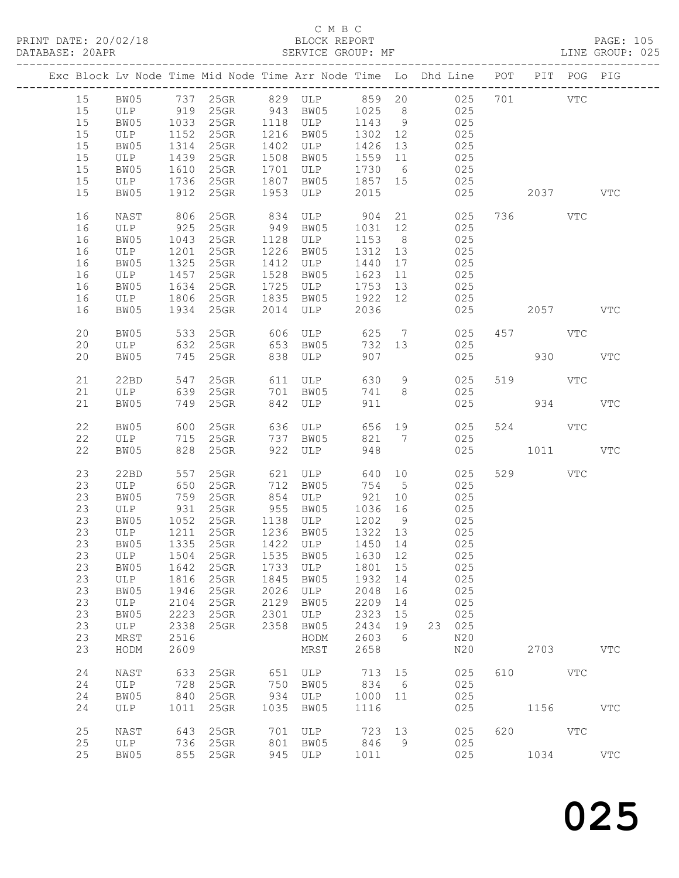|    | Exc Block Lv Node Time Mid Node Time Arr Node Time Lo Dhd Line POT PIT POG PIG |      |                                                                                                            |      |              |         |                 |        |     |     |             |     |              |
|----|--------------------------------------------------------------------------------|------|------------------------------------------------------------------------------------------------------------|------|--------------|---------|-----------------|--------|-----|-----|-------------|-----|--------------|
| 15 |                                                                                |      | BW05 737 25GR 829 ULP 859 20 025<br>ULP 919 25GR 943 BW05 1025 8 025<br>BW05 1033 25GR 1118 ULP 1143 9 025 |      |              |         |                 |        |     |     | 701 VTC     |     |              |
| 15 |                                                                                |      |                                                                                                            |      |              |         |                 |        |     |     |             |     |              |
| 15 |                                                                                |      |                                                                                                            |      |              |         |                 |        | 025 |     |             |     |              |
| 15 | ULP                                                                            | 1152 | $25$ GR                                                                                                    |      | 1216 BW05    | 1302 12 |                 | 025    |     |     |             |     |              |
| 15 | BW05                                                                           | 1314 | $25$ GR                                                                                                    | 1402 | ULP          | 1426    | 13              |        | 025 |     |             |     |              |
| 15 | ULP                                                                            | 1439 | 25GR                                                                                                       | 1508 | BW05         | 1559 11 |                 |        | 025 |     |             |     |              |
| 15 | BW05                                                                           | 1610 | 25GR                                                                                                       | 1701 | ULP          | 1730    | $6\overline{6}$ |        | 025 |     |             |     |              |
| 15 | ULP                                                                            | 1736 | $25$ GR                                                                                                    | 1807 | BW05 1857 15 |         |                 | 025    |     |     |             |     |              |
| 15 | BW05                                                                           | 1912 | $25$ GR                                                                                                    | 1953 |              | 2015    |                 |        | 025 |     | 2037 — 2037 |     | $_{\rm VTC}$ |
|    |                                                                                |      |                                                                                                            |      | ULP          |         |                 |        |     |     |             |     |              |
| 16 | NAST                                                                           |      | 806 25GR                                                                                                   | 834  | ULP 904 21   |         |                 |        | 025 |     | 736 VTC     |     |              |
| 16 | ULP                                                                            | 925  | 25GR                                                                                                       | 949  | BW05         | 1031 12 |                 |        | 025 |     |             |     |              |
| 16 | BW05                                                                           | 1043 | $25$ GR                                                                                                    | 1128 | ULP          | 1153    | 8 <sup>8</sup>  |        | 025 |     |             |     |              |
| 16 | ULP                                                                            | 1201 | $25$ GR                                                                                                    | 1226 | BW05         | 1312 13 |                 |        | 025 |     |             |     |              |
| 16 | BW05                                                                           | 1325 | $25$ GR                                                                                                    | 1412 | ULP          | 1440    | 17              |        | 025 |     |             |     |              |
| 16 | ULP                                                                            |      | 1457 25GR                                                                                                  | 1528 | BW05         | 1623    | 11              | 025    |     |     |             |     |              |
| 16 | BW05                                                                           | 1634 | $25$ GR                                                                                                    |      | 1725 ULP     | 1753 13 |                 | 025    |     |     |             |     |              |
| 16 | ULP                                                                            | 1806 | $25$ GR                                                                                                    |      | 1835 BW05    | 1922 12 |                 |        | 025 |     |             |     |              |
| 16 | BW05                                                                           |      | 1934 25GR                                                                                                  |      | 2014 ULP     | 2036    |                 |        | 025 |     | 2057        |     | VTC          |
|    |                                                                                |      |                                                                                                            |      |              |         |                 |        |     |     |             |     |              |
| 20 | BW05                                                                           | 533  | $25$ GR                                                                                                    | 606  | ULP 625      |         |                 | 7 025  |     |     | 457 VTC     |     |              |
| 20 | ULP                                                                            | 632  | $25$ GR                                                                                                    | 653  | BW05         | 732 13  |                 |        | 025 |     |             |     |              |
| 20 | BW05                                                                           |      | 745 25GR                                                                                                   |      | 838 ULP      | 907     |                 |        | 025 |     | 930         |     | $_{\rm VTC}$ |
|    |                                                                                |      |                                                                                                            |      |              |         |                 |        |     |     |             |     |              |
| 21 | 22BD                                                                           | 547  | $25$ GR                                                                                                    | 611  | ULP          | 630     | 9               |        | 025 | 519 |             | VTC |              |
| 21 | ULP                                                                            |      | 639 25GR                                                                                                   |      | 701 BW05     | 741     | 8 <sup>8</sup>  |        | 025 |     |             |     |              |
| 21 | BW05                                                                           | 749  | $25$ GR                                                                                                    |      | 842 ULP      | 911     |                 |        | 025 |     |             | 934 | <b>VTC</b>   |
|    |                                                                                |      |                                                                                                            |      |              |         |                 |        |     |     |             |     |              |
| 22 | BW05                                                                           | 600  | $25$ GR                                                                                                    |      | 636 ULP      |         |                 | 656 19 | 025 |     | 524 VTC     |     |              |
| 22 | ULP                                                                            | 715  | $25$ GR                                                                                                    | 737  | BW05         | 821     | 7               |        | 025 |     |             |     |              |
| 22 | BW05                                                                           | 828  | $25$ GR                                                                                                    | 922  | ULP          | 948     |                 |        | 025 |     | 1011        |     | VTC          |
|    |                                                                                |      |                                                                                                            |      |              |         |                 |        |     |     |             |     |              |
| 23 | 22BD                                                                           | 557  | $25$ GR                                                                                                    | 621  | ULP          | 640     | 10              |        | 025 |     | 529 VTC     |     |              |
| 23 | ULP                                                                            | 650  | $25$ GR                                                                                                    |      | 712 BW05     | 754     | $5^{\circ}$     |        | 025 |     |             |     |              |
| 23 | BW05                                                                           |      | 759 25GR<br>931 25GR                                                                                       | 854  | ULP          | 921     | 10              |        | 025 |     |             |     |              |
| 23 | ULP                                                                            |      |                                                                                                            |      | $955$ BW05   | 1036 16 |                 |        | 025 |     |             |     |              |
| 23 | BW05                                                                           |      | 1052 25GR 1138 ULP 1202                                                                                    |      |              |         | 9               |        | 025 |     |             |     |              |
| 23 | ULP                                                                            | 1211 | 25GR                                                                                                       |      | 1236 BW05    | 1322 13 |                 |        | 025 |     |             |     |              |
| 23 | BW05                                                                           |      | 1335 25GR                                                                                                  |      | 1422 ULP     | 1450 14 |                 |        | 025 |     |             |     |              |
|    | 23 ULP 1504 25GR 1535 BW05 1630 12 025                                         |      |                                                                                                            |      |              |         |                 |        |     |     |             |     |              |
| 23 | BW05                                                                           | 1642 | 25GR                                                                                                       | 1733 | ULP          | 1801    | 15              |        | 025 |     |             |     |              |
| 23 | ULP                                                                            | 1816 | 25GR                                                                                                       | 1845 | BW05         | 1932    | 14              |        | 025 |     |             |     |              |
| 23 | BW05                                                                           | 1946 | 25GR                                                                                                       | 2026 | ULP          | 2048    | 16              |        | 025 |     |             |     |              |
| 23 | ULP                                                                            | 2104 | 25GR                                                                                                       | 2129 | BW05         | 2209    | 14              |        | 025 |     |             |     |              |
| 23 | BW05                                                                           | 2223 | 25GR                                                                                                       | 2301 | ULP          | 2323    | 15              |        | 025 |     |             |     |              |
| 23 | ULP                                                                            | 2338 | 25GR                                                                                                       | 2358 | BW05         | 2434    | 19              | 23     | 025 |     |             |     |              |
| 23 | MRST                                                                           | 2516 |                                                                                                            |      | HODM         | 2603    | 6               |        | N20 |     |             |     |              |
| 23 | HODM                                                                           | 2609 |                                                                                                            |      | MRST         | 2658    |                 |        | N20 |     | 2703        |     | <b>VTC</b>   |
|    |                                                                                |      |                                                                                                            |      |              |         |                 |        |     |     |             |     |              |
| 24 | NAST                                                                           | 633  | 25GR                                                                                                       | 651  | ULP          | 713 15  |                 |        | 025 | 610 |             | VTC |              |
| 24 | ULP                                                                            | 728  | $25$ GR                                                                                                    | 750  | BW05         | 834     | 6               |        | 025 |     |             |     |              |
| 24 | BW05                                                                           | 840  | 25GR                                                                                                       | 934  | ULP          | 1000    | 11              |        | 025 |     |             |     |              |
| 24 | ULP                                                                            | 1011 | 25GR                                                                                                       | 1035 | BW05         | 1116    |                 |        | 025 |     | 1156        |     | <b>VTC</b>   |
| 25 | NAST                                                                           | 643  | 25GR                                                                                                       | 701  | ULP          | 723     | 13              |        | 025 | 620 |             | VTC |              |
| 25 | ULP                                                                            | 736  | 25GR                                                                                                       | 801  | BW05         | 846     | 9               |        | 025 |     |             |     |              |
| 25 | BW05                                                                           |      | 855 25GR                                                                                                   | 945  | ULP          | 1011    |                 |        | 025 |     | 1034        |     | $_{\rm VTC}$ |
|    |                                                                                |      |                                                                                                            |      |              |         |                 |        |     |     |             |     |              |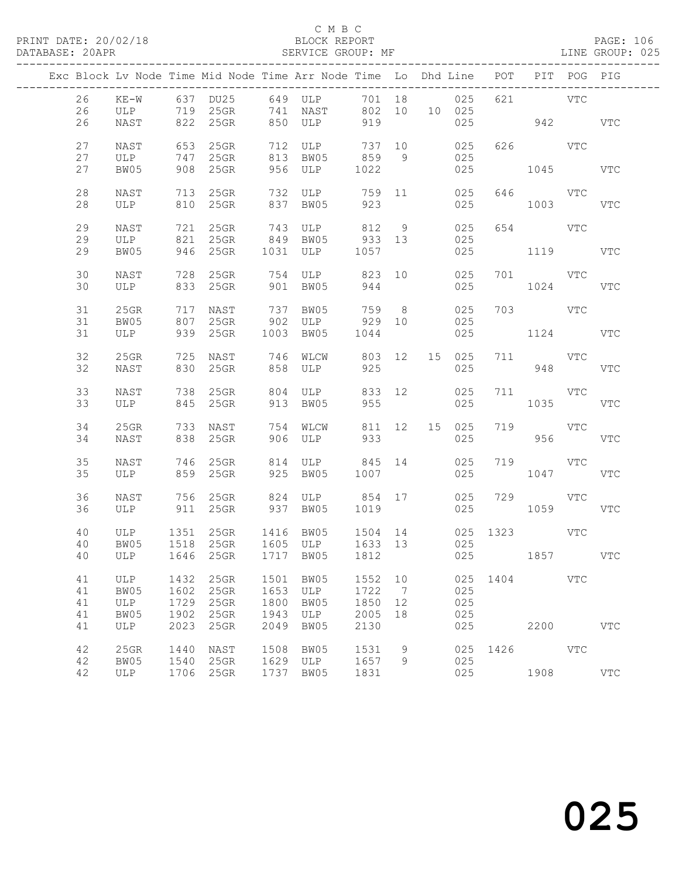| Exc Block Lv Node Time Mid Node Time Arr Node Time Lo Dhd Line POT PIT POG PIG |                                 |              |                                              |              |                                  |                      |                      |        |               |                      |                        |     |            |
|--------------------------------------------------------------------------------|---------------------------------|--------------|----------------------------------------------|--------------|----------------------------------|----------------------|----------------------|--------|---------------|----------------------|------------------------|-----|------------|
| 26                                                                             | $KE-W$                          |              | 637 DU25 649 ULP                             |              |                                  |                      |                      | 701 18 | 025           | 621                  | <b>VTC</b>             |     |            |
| 26<br>26                                                                       | ULP<br>NAST                     |              | 719 25GR<br>822 25GR                         |              | 741 NAST<br>850 ULP              | 802 10<br>919        |                      |        | 10 025<br>025 |                      | 942 VTC                |     |            |
|                                                                                |                                 |              |                                              |              |                                  |                      |                      |        |               |                      |                        |     |            |
| 27<br>27                                                                       | NAST<br>ULP                     | 653<br>747   | 25GR<br>25GR                                 |              | 712 ULP<br>813 BW05              | 737 10<br>859        | 9                    |        | 025<br>025    |                      | 626 VTC                |     |            |
| 27                                                                             | BW05                            | 908          | 25GR                                         |              | 956 ULP                          | 1022                 |                      |        | 025           |                      | 1045                   |     | VTC        |
|                                                                                |                                 |              |                                              |              |                                  |                      |                      |        |               |                      |                        |     |            |
| 28<br>28                                                                       | NAST<br>ULP                     |              | 713 25GR<br>810 25GR                         |              | 732 ULP<br>837 BW05              | 759 11<br>923        |                      |        | 025<br>025    |                      | 646 VTC<br>1003        |     | VTC        |
|                                                                                |                                 |              |                                              |              |                                  |                      |                      |        |               |                      |                        |     |            |
| 29<br>29                                                                       | NAST<br>ULP                     | 721          | $25$ GR<br>821 25GR                          | 743<br>849   | ULP 812 9                        |                      |                      |        | 025<br>025    | 654                  | VTC                    |     |            |
| 29                                                                             | BW05                            |              | 946 25GR                                     |              | 049 BW05 933 13<br>1031 ULP 1057 |                      |                      |        | 025           |                      | 1119                   |     | VTC        |
|                                                                                |                                 |              |                                              |              |                                  |                      |                      |        |               |                      |                        |     |            |
| 30<br>30                                                                       | NAST<br>ULP                     | 728          | $25$ GR<br>833 25GR                          |              | 754 ULP 823 10<br>901 BW05       | 944                  |                      |        | 025<br>025    |                      | 701 VTC<br>1024        |     | <b>VTC</b> |
|                                                                                |                                 |              |                                              |              |                                  |                      |                      |        |               |                      |                        |     |            |
| 31<br>31                                                                       | 25GR<br>BW05                    | 717<br>807   | NAST<br>$25$ GR                              | 737<br>902   | BW05<br>ULP 929 10               | 759 8                |                      |        | 025<br>025    |                      | 703 VTC                |     |            |
| 31                                                                             | ULP                             |              | 939 25GR                                     |              | 1003 BW05                        | 1044                 |                      |        | 025           |                      | 1124 VTC               |     |            |
| 32                                                                             | 25GR                            | 725          | NAST                                         | 746          | WLCW                             | 803 12               |                      |        | 15 025        |                      | 711 VTC                |     |            |
| 32                                                                             | NAST                            | 830          | $25$ GR                                      | 858          | ULP                              | 925                  |                      |        | 025           |                      | 948                    |     | <b>VTC</b> |
|                                                                                |                                 |              |                                              |              |                                  |                      |                      |        |               |                      |                        |     |            |
| 33<br>33                                                                       | NAST<br>ULP                     |              | 738 25GR<br>845 25GR                         | 913          | 804 ULP<br>BW05                  | 833 12<br>955        |                      |        | 025<br>025    |                      | 711 VTC<br>1035        |     | VTC        |
|                                                                                |                                 |              |                                              |              |                                  |                      |                      |        |               |                      |                        |     |            |
| 34<br>34                                                                       | 25GR<br>NAST                    |              | 733 NAST<br>838 25GR                         |              | 754 WLCW<br>906 ULP              | 811 12 15 025<br>933 |                      |        | 025           | 719                  | <b>VTC</b><br>956 1990 |     | <b>VTC</b> |
|                                                                                |                                 |              |                                              |              |                                  |                      |                      |        |               |                      |                        |     |            |
| 35                                                                             | NAST                            |              | 746 25GR                                     | 814          | ULP                              | 845 14               |                      |        | 025           |                      | 719                    | VTC |            |
| 35                                                                             | ULP                             |              | 859 25GR                                     |              | 925 BW05                         | 1007                 |                      |        | 025           |                      | 1047                   |     | <b>VTC</b> |
| 36                                                                             | NAST                            |              | 756 25GR                                     |              | 824 ULP 854 17                   |                      |                      |        | 025           |                      | 729 VTC                |     |            |
| 36                                                                             | ULP                             |              | 911 25GR                                     |              | 937 BW05                         | 1019                 |                      |        | 025           |                      | 1059                   |     | VTC        |
| 40                                                                             | ULP 1351 25GR<br>BW05 1518 25GR |              |                                              |              | 1416 BW05                        |                      |                      |        |               | 1504 14 025 1323 VTC |                        |     |            |
| 40                                                                             |                                 |              |                                              |              | 1605 ULP                         | 1633 13              |                      |        | 025           |                      |                        |     |            |
|                                                                                |                                 |              | 40 ULP 1646 25GR 1717 BW05 1812 025 1857 VTC |              |                                  |                      |                      |        |               |                      |                        |     |            |
| 41                                                                             | ULP                             | 1432         | 25GR                                         |              | 1501 BW05                        | 1552 10              |                      |        |               | 025 1404 VTC         |                        |     |            |
| 41<br>41                                                                       | BW05<br>ULP                     | 1602<br>1729 | 25GR<br>25GR                                 | 1653<br>1800 | ULP<br>BW05                      | 1722<br>1850         | $\overline{7}$<br>12 |        | 025<br>025    |                      |                        |     |            |
| 41                                                                             | BW05                            | 1902         | 25GR                                         | 1943         | ULP                              | 2005                 | 18                   |        | 025           |                      |                        |     |            |
| 41                                                                             | ULP                             | 2023         | 25GR                                         | 2049         | BW05                             | 2130                 |                      |        | 025           |                      | 2200                   |     | <b>VTC</b> |
| 42                                                                             | 25GR                            | 1440         | NAST                                         | 1508         | BW05                             | 1531                 | 9                    |        |               | 025 1426 VTC         |                        |     |            |
| 42                                                                             | BW05                            | 1540         | 25GR                                         |              | 1629 ULP                         | 1657                 | 9                    |        | 025           |                      |                        |     |            |
| 42                                                                             | ULP                             |              | 1706 25GR                                    |              | 1737 BW05                        | 1831                 |                      |        | 025           |                      | 1908 VTC               |     |            |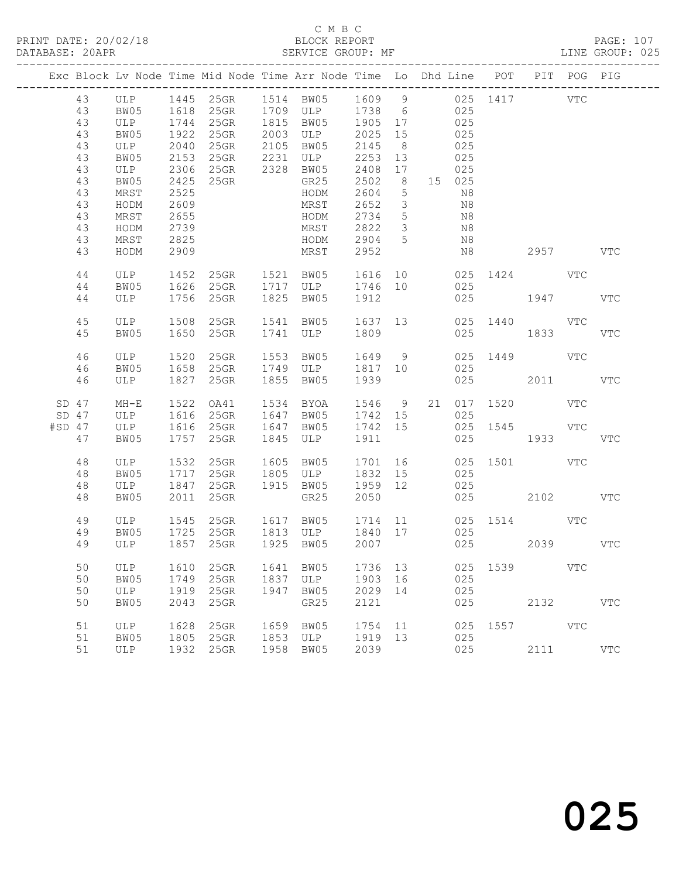|          |                                                                                  |                                                                                                   |                                                                                      |                                 |                      | Exc Block Lv Node Time Mid Node Time Arr Node Time Lo Dhd Line POT                                                                                                                        |                                                                                            |                                                                                                                                                      |      |                                                                                                  |          |                                              | PIT POG PIG |            |
|----------|----------------------------------------------------------------------------------|---------------------------------------------------------------------------------------------------|--------------------------------------------------------------------------------------|---------------------------------|----------------------|-------------------------------------------------------------------------------------------------------------------------------------------------------------------------------------------|--------------------------------------------------------------------------------------------|------------------------------------------------------------------------------------------------------------------------------------------------------|------|--------------------------------------------------------------------------------------------------|----------|----------------------------------------------|-------------|------------|
|          | 43<br>43<br>43<br>43<br>43<br>43<br>43<br>43<br>43<br>43<br>43<br>43<br>43<br>43 | BW05<br>ULP<br>BW05<br>ULP<br>BW05<br>ULP<br>BW05<br>MRST<br>HODM<br>MRST<br>HODM<br>MRST<br>HODM | 1922<br>2040<br>2153<br>2306<br>2425<br>2525<br>2609<br>2655<br>2739<br>2825<br>2909 | 25GR<br>25GR<br>25GR            | 2105                 | ULP 1445 25GR 1514 BW05 1609 9 025 1417<br>1618  25GR  1709  ULP  1738  6<br>1744  25GR  1815  BW05  1905  17<br>2003 ULP<br>BW05<br>GR25<br>HODM<br>MRST<br>HODM<br>MRST<br>HODM<br>MRST | 2025 15<br>2145<br>2253 13<br>2408<br>2502<br>2604<br>2652<br>2734<br>2822<br>2904<br>2952 | 8 <sup>8</sup><br>17<br>8 <sup>8</sup><br>$5\phantom{0}$<br>$\overline{\mathbf{3}}$<br>$5\overline{)}$<br>$\overline{\mathbf{3}}$<br>$5\overline{)}$ |      | 025<br>025<br>025<br>025<br>025<br>025<br>15 025<br>N8<br>N8<br>N8<br>N <sub>8</sub><br>N8<br>N8 |          | 2957 VTC                                     | VTC         |            |
|          | 44<br>44<br>44                                                                   | ULP<br>BW05<br>ULP                                                                                | 1452<br>1626<br>1756                                                                 | 25GR<br>25GR                    |                      | 1521 BW05<br>25GR 1717 ULP 1746 10<br>1825 BW05                                                                                                                                           | 1616<br>1912                                                                               |                                                                                                                                                      | 10 0 | 025                                                                                              |          | 025 1424 VTC<br>025 1947                     |             | <b>VTC</b> |
|          | 45<br>45                                                                         | BW05                                                                                              | 1650                                                                                 | ULP 1508 25GR<br>$25$ GR        |                      | 1541 BW05<br>1741 ULP                                                                                                                                                                     | 1637 13<br>1809                                                                            |                                                                                                                                                      |      | 025                                                                                              |          | 025 1440 VTC<br>1833                         |             | <b>VTC</b> |
|          | 46<br>46<br>46                                                                   | ULP<br>BW05<br>ULP                                                                                | 1520<br>1658                                                                         | 25GR<br>25GR<br>1827 25GR       |                      | 1553 BW05<br>1749 ULP<br>1855 BW05                                                                                                                                                        | 1649 9<br>1817 10<br>1939                                                                  |                                                                                                                                                      |      | 025<br>025                                                                                       |          | 025 1449 VTC<br>2011                         |             | <b>VTC</b> |
| $#SD$ 47 | $SD$ 47<br>$SD$ 47<br>47                                                         | $MH-E$<br>ULP 1616 25GR<br>ULP<br>BW05                                                            | 1522<br>1757                                                                         | OA41<br>1616 25GR<br>25GR       | 1845                 | 1534 BYOA<br>1647 BW05<br>1647 BW05<br>ULP                                                                                                                                                | 1742 15<br>1742 15<br>1911                                                                 |                                                                                                                                                      |      | 025<br>025                                                                                       | 025 1545 | 1546 9 21 017 1520 VTC<br><b>VTC</b><br>1933 |             | VTC        |
|          | 48<br>48<br>48<br>48                                                             | ULP<br>BW05<br>ULP<br>BW05                                                                        | 1532<br>1717<br>1847<br>2011                                                         | 25GR<br>$25$ GR<br>25GR<br>25GR |                      | 1605 BW05<br>1805 ULP<br>1915 BW05<br>GR25                                                                                                                                                | 1701<br>1832 15<br>1959 12<br>2050                                                         |                                                                                                                                                      |      | 025<br>025                                                                                       |          | 025 1501 VTC<br>025 2102                     |             | VTC        |
|          | 49<br>49<br>49                                                                   | ULP 1545<br>BW05<br>ULP 1857 25GR                                                                 | 1725                                                                                 | $25$ GR                         |                      | 1617 BW05 1714 11 025 1514 VTC<br>25GR 1813 ULP 1840 17 025<br>1925 BW05 2007                                                                                                             |                                                                                            |                                                                                                                                                      |      |                                                                                                  |          | 025 2039 VTC                                 |             |            |
|          | 50<br>50<br>50<br>50                                                             | ULP<br>BW05<br>ULP<br>BW05                                                                        | 1610<br>1749<br>1919<br>2043                                                         | 25GR<br>25GR<br>25GR<br>25GR    | 1641<br>1837<br>1947 | BW05<br>ULP<br>BW05<br>GR25                                                                                                                                                               | 1736<br>1903<br>2029<br>2121                                                               | 13<br>16<br>14                                                                                                                                       |      | 025<br>025<br>025<br>025                                                                         | 1539     | 2132                                         | <b>VTC</b>  | <b>VTC</b> |
|          | 51<br>51<br>51                                                                   | ULP<br>BW05<br>ULP                                                                                | 1628<br>1805<br>1932                                                                 | 25GR<br>25GR<br>25GR            | 1659<br>1853<br>1958 | BW05<br>ULP<br>BW05                                                                                                                                                                       | 1754<br>1919<br>2039                                                                       | 11<br>13                                                                                                                                             |      | 025<br>025<br>025                                                                                | 1557     | 2111                                         | VTC         | <b>VTC</b> |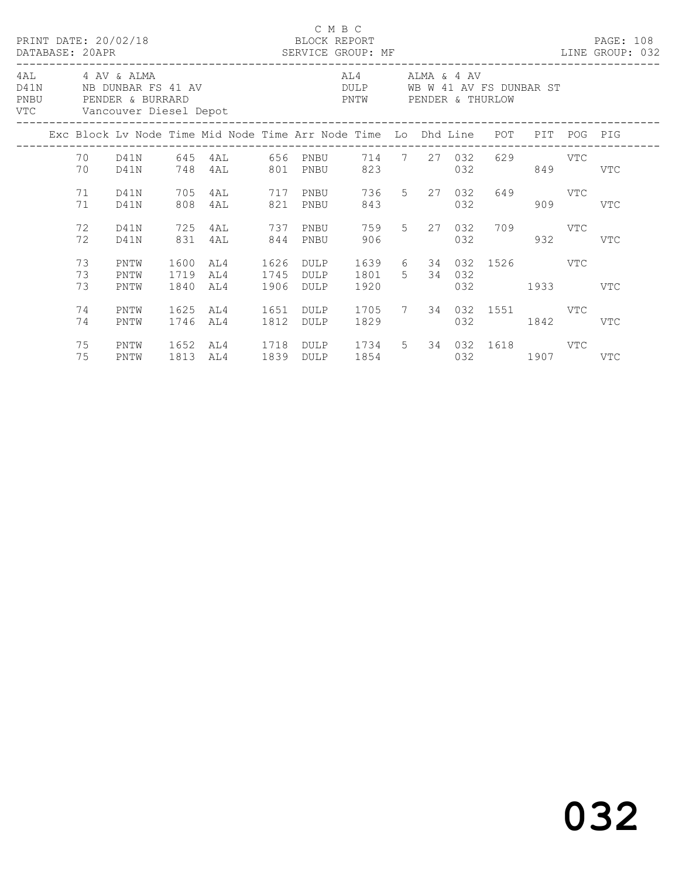|      |  |                                                                                              |                      |                      |                                                                                |              | C M B C                                                                  |                        |  |         |     |                                    |  |     |     |  |  |
|------|--|----------------------------------------------------------------------------------------------|----------------------|----------------------|--------------------------------------------------------------------------------|--------------|--------------------------------------------------------------------------|------------------------|--|---------|-----|------------------------------------|--|-----|-----|--|--|
| PNBU |  | 4AL 4 AV & ALMA<br>D41N NB DUNBAR FS 41 AV<br>PENDER & BURRARD<br>VTC Vancouver Diesel Depot |                      |                      |                                                                                |              | AL4 ALMA & 4 AV<br>DULP WB W 41 AV FS DUNBAR ST<br>PNTW PENDER & THURLOW |                        |  |         |     |                                    |  |     |     |  |  |
|      |  |                                                                                              |                      |                      | Exc Block Lv Node Time Mid Node Time Arr Node Time Lo Dhd Line POT PIT POG PIG |              |                                                                          |                        |  |         |     |                                    |  |     |     |  |  |
|      |  | 70                                                                                           | D41N                 |                      | 70 D41N 645 4AL 656 PNBU 714 7 27 032 629 VTC<br>748 4AL 801 PNBU              |              |                                                                          |                        |  | 823 823 |     | 032 849 VTC                        |  |     |     |  |  |
|      |  | 71<br>71                                                                                     | D41N<br>D41N         | 705<br>808           | 4AL 717 PNBU 736 5 27 032 649 VTC<br>4AL                                       |              | 821 PNBU                                                                 | 843                    |  |         | 032 |                                    |  | 909 | VTC |  |  |
|      |  | 72<br>72                                                                                     | D41N<br>D41N         | 725<br>831           | 4AL 737 PNBU<br>4AL 844 PNBU                                                   |              |                                                                          | 906                    |  |         |     | 759 5 27 032 709 VTC<br>032        |  | 932 | VTC |  |  |
|      |  | 73<br>73<br>73                                                                               | PNTW<br>PNTW<br>PNTW | 1600<br>1719<br>1840 | AL4<br>AL4<br>AL4                                                              | 1745<br>1906 | 1626 DULP<br>DULP<br>DULP                                                | 1801 5 34 032<br>1920  |  |         |     | 1639 6 34 032 1526 VTC<br>032 1933 |  |     | VTC |  |  |
|      |  | 74<br>74                                                                                     | PNTW<br>PNTW         | 1625<br>1746         | AL4<br>AL4                                                                     | 1651<br>1812 | DULP<br>DULP                                                             | 1705 7 34 032 1551 VTC |  |         |     | 032 1842                           |  |     | VTC |  |  |
|      |  | 75<br>75                                                                                     | PNTW<br>PNTW         | 1652                 | AL4 1718 DULP 1734 5 34 032 1618 VTC<br>1813 AL4                               |              | 1839 DULP                                                                |                        |  |         |     | 1854 032 1907 VTC                  |  |     |     |  |  |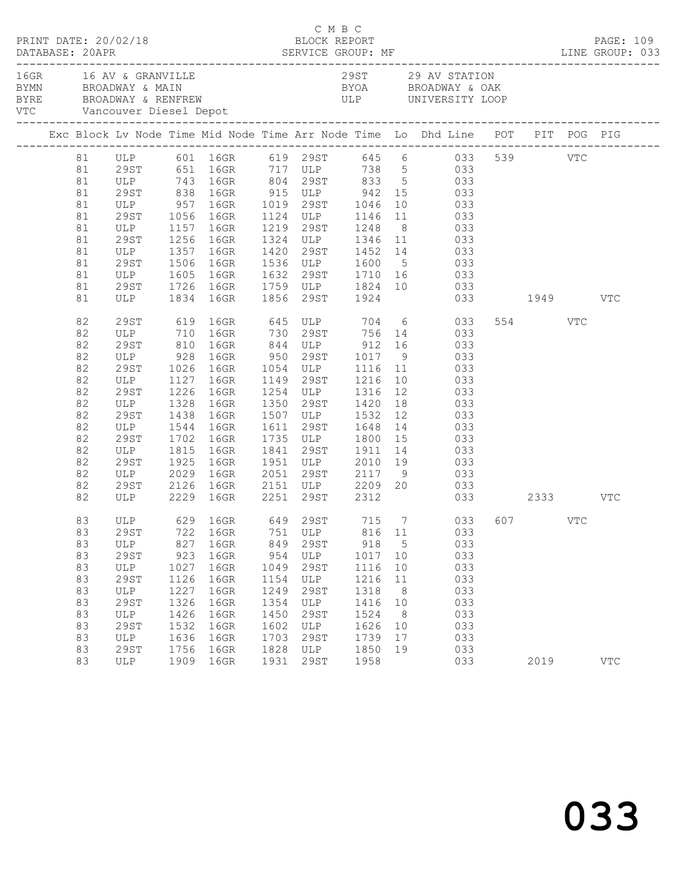| PRINT DATE: 20/02/18 |                                 |      |                              |      | C M B C | BLOCK REPORT   |                 |                                                                                                                                                                                                                                                            |         | PAGE: 109<br>DATABASE: 20APR SERVICE GROUP: MF LINE GROUP: 033 |
|----------------------|---------------------------------|------|------------------------------|------|---------|----------------|-----------------|------------------------------------------------------------------------------------------------------------------------------------------------------------------------------------------------------------------------------------------------------------|---------|----------------------------------------------------------------|
|                      | 16GR 16 AV & GRANVILLE          |      | VTC Vancouver Diesel Depot   |      |         |                |                 | 29ST 29 AV STATION<br>BYMN BROADWAY & MAIN BYOA BROADWAY & MAIN BYOA BROADWAY & OAK<br>BYRE BROADWAY & RENFREW ULP UNIVERSITY LOOP                                                                                                                         |         |                                                                |
|                      |                                 |      |                              |      |         |                |                 | Exc Block Lv Node Time Mid Node Time Arr Node Time Lo Dhd Line POT PIT POG PIG                                                                                                                                                                             |         |                                                                |
|                      |                                 |      |                              |      |         |                |                 | 81 ULP 601 16GR 619 29ST 645 6 033 539 VTC<br>81 29ST 651 16GR 717 ULP 738 5 033                                                                                                                                                                           |         |                                                                |
|                      |                                 |      |                              |      |         |                |                 |                                                                                                                                                                                                                                                            |         |                                                                |
| 81                   |                                 |      |                              |      |         |                |                 | ULP 743 16GR 804 29ST 833 5 033                                                                                                                                                                                                                            |         |                                                                |
| 81                   |                                 |      |                              |      |         |                |                 |                                                                                                                                                                                                                                                            |         |                                                                |
| 81                   |                                 |      |                              |      |         |                |                 | 29<br>ST 838 16GR 915 ULP 942 15 033<br>ULP 957 16GR 1019 29<br>ST 1056 16GR 1124 ULP 1146 11 033                                                                                                                                                          |         |                                                                |
| 81                   |                                 |      |                              |      |         |                |                 |                                                                                                                                                                                                                                                            |         |                                                                |
| 81                   | ULP 1157 16GR                   |      |                              |      |         | 1219 29ST 1248 |                 | 8 033                                                                                                                                                                                                                                                      |         |                                                                |
| 81                   |                                 |      |                              |      |         |                |                 | $\begin{tabular}{cccccc} 29ST & 1256 & 16GR & 1324 & ULP & 1346 & 11 & 033 \\ ULP & 1357 & 16GR & 1420 & 29ST & 1452 & 14 & 033 \\ 29ST & 1506 & 16GR & 1536 & ULP & 1600 & 5 & 033 \\ ULP & 1605 & 16GR & 1632 & 29ST & 1710 & 16 & 033 \\ \end{tabular}$ |         |                                                                |
| 81                   |                                 |      |                              |      |         |                |                 |                                                                                                                                                                                                                                                            |         |                                                                |
| 81                   |                                 |      |                              |      |         |                |                 |                                                                                                                                                                                                                                                            |         |                                                                |
| 81                   |                                 |      |                              |      |         |                |                 |                                                                                                                                                                                                                                                            |         |                                                                |
| 81                   | 29ST                            |      |                              |      |         |                |                 | 1726 16GR 1759 ULP 1824 10 033                                                                                                                                                                                                                             |         |                                                                |
| 81                   |                                 |      | ULP 1834 16GR 1856 29ST 1924 |      |         |                |                 | 033 1949 VTC                                                                                                                                                                                                                                               |         |                                                                |
| 82                   | 29ST                            |      |                              |      |         |                |                 | 619 16GR 645 ULP 704 6 033                                                                                                                                                                                                                                 | 554 VTC |                                                                |
| 82                   |                                 |      |                              |      |         |                |                 |                                                                                                                                                                                                                                                            |         |                                                                |
| 82                   |                                 |      |                              |      |         |                |                 | ULP 710 16GR 730 29ST 756 14 033<br>29ST 810 16GR 844 ULP 912 16 033<br>ULP 928 16GR 950 29ST 1017 9 033<br>29ST 1026 16GR 1054 ULP 1116 11 033                                                                                                            |         |                                                                |
| 82                   |                                 |      |                              |      |         |                |                 |                                                                                                                                                                                                                                                            |         |                                                                |
| 82                   |                                 |      |                              |      |         |                |                 |                                                                                                                                                                                                                                                            |         |                                                                |
| 82                   | ULP                             |      | 1127 16GR                    |      |         |                |                 | 1149 29ST 1216 10 033                                                                                                                                                                                                                                      |         |                                                                |
| 82                   | 29ST                            | 1226 | 16GR                         |      |         |                |                 |                                                                                                                                                                                                                                                            |         |                                                                |
| 82                   | ULP                             |      |                              |      |         |                |                 | 1254 ULP 1316 12 033<br>1350 29ST 1420 18 033<br>1507 ULP 1532 12 033                                                                                                                                                                                      |         |                                                                |
| 82                   | 29ST                            |      | 1328 16GR<br>1438 16GR       |      |         |                |                 |                                                                                                                                                                                                                                                            |         |                                                                |
| 82                   | ULP                             |      | 1544 16GR                    |      |         |                |                 | 1611 29ST 1648 14 033                                                                                                                                                                                                                                      |         |                                                                |
| 82                   | 29ST                            | 1702 | 16GR                         |      |         |                |                 |                                                                                                                                                                                                                                                            |         |                                                                |
| 82                   | ULP 1815 16GR<br>29ST 1925 16GR |      |                              |      |         |                |                 | 1735 ULP 1800 15 033<br>1841 29ST 1911 14 033<br>1951 ULP 2010 19 033                                                                                                                                                                                      |         |                                                                |
| 82                   |                                 |      |                              |      |         |                |                 |                                                                                                                                                                                                                                                            |         |                                                                |
| 82                   | ULP 2029                        |      | 16GR                         |      |         |                |                 | 2051 29ST 2117 9 033                                                                                                                                                                                                                                       |         |                                                                |
| 82                   | 29ST                            |      |                              |      |         |                |                 | 2126 16GR 2151 ULP 2209 20 033                                                                                                                                                                                                                             |         |                                                                |
| 82                   |                                 |      | ULP 2229 16GR 2251 29ST 2312 |      |         |                |                 | 033 2333 VTC                                                                                                                                                                                                                                               |         |                                                                |
| 83                   |                                 |      |                              |      |         |                |                 | ULP 629 16GR 649 29ST 715 7 033 607 VTC                                                                                                                                                                                                                    |         |                                                                |
| 83                   | 29ST                            | 722  | 16GR                         | 751  | ULP     | 816            | 11              | 033                                                                                                                                                                                                                                                        |         |                                                                |
| 83                   | ULP                             | 827  | 16GR                         | 849  | 29ST    | 918            | $5\overline{)}$ | 033                                                                                                                                                                                                                                                        |         |                                                                |
| 83                   | 29ST                            | 923  | 16GR                         | 954  | ULP     | 1017           | 10              | 033                                                                                                                                                                                                                                                        |         |                                                                |
| 83                   | ULP                             | 1027 | 16GR                         | 1049 | 29ST    | 1116           | 10              | 033                                                                                                                                                                                                                                                        |         |                                                                |
| 83                   | 29ST                            | 1126 | 16GR                         | 1154 | ULP     | 1216           | 11              | 033                                                                                                                                                                                                                                                        |         |                                                                |
| 83                   | ULP                             | 1227 | 16GR                         | 1249 | 29ST    | 1318           | 8               | 033                                                                                                                                                                                                                                                        |         |                                                                |
| 83                   | 29ST                            | 1326 | 16GR                         | 1354 | ULP     | 1416           | 10              | 033                                                                                                                                                                                                                                                        |         |                                                                |
| 83                   | ULP                             | 1426 | 16GR                         | 1450 | 29ST    | 1524           | 8               | 033                                                                                                                                                                                                                                                        |         |                                                                |
| 83                   | 29ST                            | 1532 | 16GR                         | 1602 | ULP     | 1626           | 10              | 033                                                                                                                                                                                                                                                        |         |                                                                |
| 83                   | ULP                             | 1636 | 16GR                         | 1703 | 29ST    | 1739           | 17              | 033                                                                                                                                                                                                                                                        |         |                                                                |
| 83                   | 29ST                            | 1756 | 16GR                         | 1828 | ULP     | 1850           | 19              | 033                                                                                                                                                                                                                                                        |         |                                                                |
| 83                   | ULP                             |      | 1909 16GR                    | 1931 | 29ST    | 1958           |                 | 033                                                                                                                                                                                                                                                        | 2019    | <b>VTC</b>                                                     |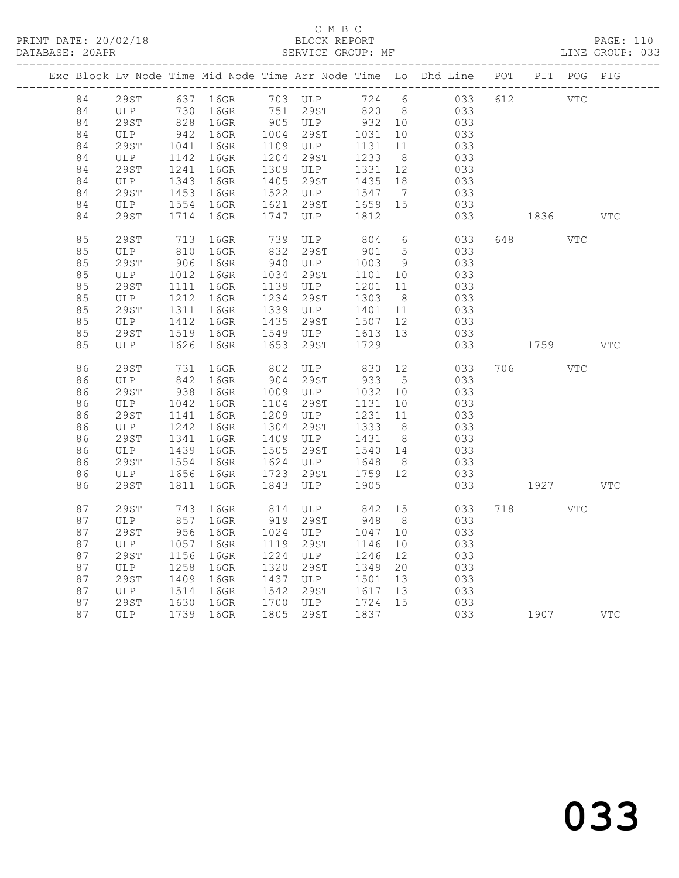#### C M B C<br>BLOCK REPORT SERVICE GROUP: MF

|  |          |             |              |                                                |      |                                                        |                 |                 | Exc Block Lv Node Time Mid Node Time Arr Node Time Lo Dhd Line POT PIT POG PIG |     |                                                                                                                                                                                                                                 |            |            |
|--|----------|-------------|--------------|------------------------------------------------|------|--------------------------------------------------------|-----------------|-----------------|--------------------------------------------------------------------------------|-----|---------------------------------------------------------------------------------------------------------------------------------------------------------------------------------------------------------------------------------|------------|------------|
|  | 84       |             |              | 29ST 637 16GR 703 ULP<br>ULP 730 16GR 751 29ST |      | 703 ULP                                                | 724 6           |                 | 033                                                                            |     | 612 VTC                                                                                                                                                                                                                         |            |            |
|  | 84       | ULP         |              |                                                |      |                                                        | 820 8           |                 | 033                                                                            |     |                                                                                                                                                                                                                                 |            |            |
|  | 84       | 29ST        |              | 828 16GR                                       |      | 905 ULP 932 10<br>1004 29ST 1031 10                    |                 |                 | 033                                                                            |     |                                                                                                                                                                                                                                 |            |            |
|  | 84       | ULP         |              | 942 16GR                                       |      |                                                        |                 |                 | 033                                                                            |     |                                                                                                                                                                                                                                 |            |            |
|  | 84       | 29ST        | 1041         | 16GR                                           |      | 1109 ULP                                               | 1131 11         |                 | 033                                                                            |     |                                                                                                                                                                                                                                 |            |            |
|  | 84       | ULP         | 1142         | 16GR                                           |      | 1204 29ST                                              | 1233            | 8 <sup>8</sup>  | 033                                                                            |     |                                                                                                                                                                                                                                 |            |            |
|  | 84       | 29ST        |              | 1241 16GR                                      |      | 1309 ULP 1331 12                                       |                 |                 | 033                                                                            |     |                                                                                                                                                                                                                                 |            |            |
|  | 84       | ULP         | 1343         | 16GR                                           | 1405 | 29ST<br>$1522$ ULP $1547$                              | 1435            | 18              | 033                                                                            |     |                                                                                                                                                                                                                                 |            |            |
|  | 84<br>84 | 29ST        | 1453         | 16GR                                           | 1621 |                                                        |                 | $\overline{7}$  | 033                                                                            |     |                                                                                                                                                                                                                                 |            |            |
|  | 84       | ULP         | 1554<br>1714 | 16GR<br>16GR                                   |      | 29ST<br>ULP<br>1747 ULP                                | 1659 15<br>1812 |                 | 033                                                                            |     | 1836                                                                                                                                                                                                                            |            | <b>VTC</b> |
|  |          | 29ST        |              |                                                |      |                                                        |                 |                 | 033                                                                            |     |                                                                                                                                                                                                                                 |            |            |
|  | 85       | <b>29ST</b> | 713          | 16GR                                           |      | 739 ULP                                                | 804             | $6\overline{6}$ | 033                                                                            | 648 |                                                                                                                                                                                                                                 | <b>VTC</b> |            |
|  | 85       | ULP         | 810          | 16GR                                           | 832  | 29ST                                                   | 901             | $5\overline{)}$ | 033                                                                            |     |                                                                                                                                                                                                                                 |            |            |
|  | 85       | <b>29ST</b> | 906          | 16GR                                           |      | 940 ULP                                                | 1003            | 9               | 033                                                                            |     |                                                                                                                                                                                                                                 |            |            |
|  | 85       | ULP         |              | 1012 16GR                                      |      | 1034 29ST                                              | 1101 10         |                 | 033                                                                            |     |                                                                                                                                                                                                                                 |            |            |
|  | 85       | <b>29ST</b> | 1111         | 16GR                                           |      | 1139 ULP                                               | 1201            | 11              | 033                                                                            |     |                                                                                                                                                                                                                                 |            |            |
|  | 85       | ULP         | 1212         | 16GR                                           | 1234 | 29ST<br>$1234$ $232$<br>1339 ULP 1401<br>1339 ULP 1507 | 1303            | 8 <sup>8</sup>  | 033                                                                            |     |                                                                                                                                                                                                                                 |            |            |
|  | 85       | 29ST        | 1311         | 16GR                                           |      |                                                        |                 | 11              | 033                                                                            |     |                                                                                                                                                                                                                                 |            |            |
|  | 85       | ULP         | 1412         | 16GR                                           |      |                                                        |                 | 12              | 033                                                                            |     |                                                                                                                                                                                                                                 |            |            |
|  | 85       | 29ST        | 1519         | 16GR                                           |      | 1549 ULP<br>1653 29ST                                  | 1613            | 13              | 033                                                                            |     |                                                                                                                                                                                                                                 |            |            |
|  | 85       | ULP         | 1626         | 16GR                                           | 1653 | 29ST                                                   | 1729            |                 | 033                                                                            |     | 1759                                                                                                                                                                                                                            |            | <b>VTC</b> |
|  | 86       | <b>29ST</b> | 731          | 16GR                                           |      | 802 ULP                                                | 830             | 12              | 033                                                                            | 706 |                                                                                                                                                                                                                                 | <b>VTC</b> |            |
|  | 86       | ULP         | 842          | 16GR                                           |      | 904 29ST                                               | 933             | $5\overline{)}$ | 033                                                                            |     |                                                                                                                                                                                                                                 |            |            |
|  | 86       | 29ST        | 938          | 16GR                                           |      |                                                        | 1032 10         |                 | 033                                                                            |     |                                                                                                                                                                                                                                 |            |            |
|  | 86       | ULP         |              | 1042 16GR                                      | 1104 | $\frac{904}{1009}$ ULP $\frac{1032}{103}$              |                 | 10              | 033                                                                            |     |                                                                                                                                                                                                                                 |            |            |
|  | 86       | <b>29ST</b> | 1141         | 16GR                                           |      | $110 - 1231$<br>1209 ULP 1231<br>2004 29ST 1333        |                 | 11              | 033                                                                            |     |                                                                                                                                                                                                                                 |            |            |
|  | 86       | ULP         | 1242         | 16GR                                           |      | 1304 29ST                                              |                 | 8 <sup>8</sup>  | 033                                                                            |     |                                                                                                                                                                                                                                 |            |            |
|  | 86       | 29ST        | 1341         | 16GR                                           |      | 1409 ULP<br>1505 29ST                                  | 1431            | 8 <sup>8</sup>  | 033                                                                            |     |                                                                                                                                                                                                                                 |            |            |
|  | 86       | ULP         | 1439         | 16GR                                           |      | 1505 29ST                                              | 1540 14         |                 | 033                                                                            |     |                                                                                                                                                                                                                                 |            |            |
|  | 86       | 29ST        | 1554         | 16GR                                           |      | 1624 ULP<br>1723 29ST                                  | 1648            | 8 <sup>8</sup>  | 033                                                                            |     |                                                                                                                                                                                                                                 |            |            |
|  | 86       | ULP         | 1656         | 16GR                                           | 1723 | 29ST                                                   | 1759 12         |                 | 033                                                                            |     |                                                                                                                                                                                                                                 |            |            |
|  | 86       | <b>29ST</b> | 1811         | 16GR                                           | 1843 | ULP                                                    | 1905            |                 | 033                                                                            |     | 1927                                                                                                                                                                                                                            |            | <b>VTC</b> |
|  | 87       | <b>29ST</b> | 743          | 16GR                                           |      | 814 ULP                                                | 842             | 15              | 033                                                                            | 718 |                                                                                                                                                                                                                                 | <b>VTC</b> |            |
|  | 87       | ULP         | 857          | 16GR                                           |      | 919 29ST                                               | 948             | 8 <sup>8</sup>  | 033                                                                            |     |                                                                                                                                                                                                                                 |            |            |
|  | 87       | <b>29ST</b> |              | 956 16GR                                       |      | 1024 ULP                                               | 1047            | 10              | 033                                                                            |     |                                                                                                                                                                                                                                 |            |            |
|  | 87       | ULP         | 1057         | 16GR                                           |      | 1119 29ST                                              | 1146            | 10              | 033                                                                            |     |                                                                                                                                                                                                                                 |            |            |
|  | 87       | <b>29ST</b> | 1156         | 16GR                                           |      | 1224 ULP                                               | 1246            | 12              | 033                                                                            |     |                                                                                                                                                                                                                                 |            |            |
|  | 87       | ULP         | 1258         | 16GR                                           | 1320 | 29ST                                                   | 1349            | 20              | 033                                                                            |     |                                                                                                                                                                                                                                 |            |            |
|  | 87       | <b>29ST</b> | 1409         | 16GR                                           |      | 1437 ULP                                               | 1501 13         |                 | 033                                                                            |     |                                                                                                                                                                                                                                 |            |            |
|  | 87       | ULP         | 1514         | 16GR                                           |      | 1542 29ST 1617 13                                      |                 |                 | 033                                                                            |     |                                                                                                                                                                                                                                 |            |            |
|  | 87       | 29ST        | 1630         | 16GR                                           |      |                                                        |                 |                 | 033                                                                            |     |                                                                                                                                                                                                                                 |            |            |
|  | 87       | ULP         |              | 1739 16GR                                      |      | 1700 ULP 1724 15<br>1805 29ST 1837<br>1805 29ST        | 1837            |                 | 033                                                                            |     | 1907 — 1907 — 1907 — 1907 — 1907 — 1907 — 1907 — 1907 — 1908 — 1918 — 1919 — 1919 — 1919 — 1920 — 1920 — 1920 — 1920 — 1920 — 1920 — 1920 — 1920 — 1920 — 1920 — 1920 — 1920 — 1920 — 1920 — 1920 — 1920 — 1920 — 1920 — 1920 — |            | VTC        |
|  |          |             |              |                                                |      |                                                        |                 |                 |                                                                                |     |                                                                                                                                                                                                                                 |            |            |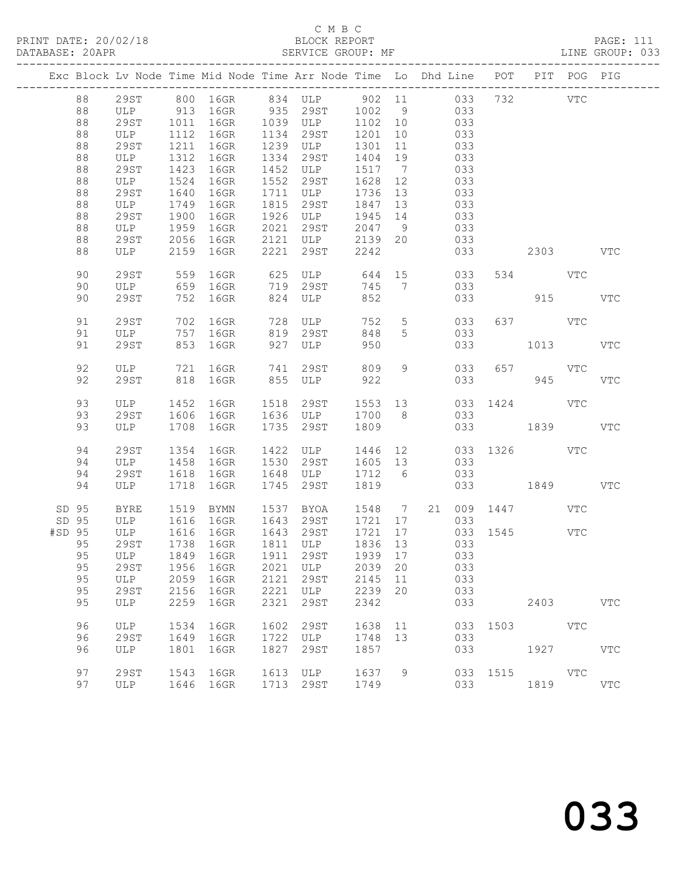#### C M B C<br>BLOCK REPORT SERVICE GROUP: MF

|        |       |             |                | Exc Block Lv Node Time Mid Node Time Arr Node Time Lo Dhd Line POT PIT POG PIG |      |                                 |         |                |     |     |          |                        |     |            |
|--------|-------|-------------|----------------|--------------------------------------------------------------------------------|------|---------------------------------|---------|----------------|-----|-----|----------|------------------------|-----|------------|
|        | 88    |             |                | 29ST 800 16GR 834 ULP 902 11 033 732 VTC                                       |      |                                 |         |                |     |     |          |                        |     |            |
|        | 88    |             |                | ULP 913 16GR 935 29ST 1002 9 033                                               |      |                                 |         |                |     |     |          |                        |     |            |
|        | 88    | 29ST        | 1011           | 16GR                                                                           |      | 1039 ULP 1102 10                |         |                | 033 |     |          |                        |     |            |
|        | 88    | ULP         | 1112           | 16GR                                                                           |      | 1134 29ST                       | 1201    | 10             |     | 033 |          |                        |     |            |
|        | 88    | 29ST        | 1211           | 16GR                                                                           |      | 1239 ULP                        | 1301 11 |                |     | 033 |          |                        |     |            |
|        | 88    | ULP         | 1312           | 16GR                                                                           |      | 1334 29ST                       | 1404 19 |                |     | 033 |          |                        |     |            |
|        | 88    | 29ST        | 1423           | 16GR                                                                           |      | 1452 ULP                        | 1517 7  |                |     | 033 |          |                        |     |            |
|        | 88    | ULP         | 1524           | 16GR                                                                           |      | 1552 29ST                       | 1628 12 |                |     | 033 |          |                        |     |            |
|        | 88    | 29ST        | 1640           | 16GR                                                                           |      | 1711 ULP                        | 1736 13 |                |     | 033 |          |                        |     |            |
|        | 88    | ULP         | 1749           | 16GR                                                                           | 1815 | 29ST                            | 1847 13 |                |     | 033 |          |                        |     |            |
|        | 88    | 29ST        | 1900           | 16GR                                                                           |      | 1926 ULP                        | 1945 14 |                |     | 033 |          |                        |     |            |
|        | 88    | ULP         | 1959           | 16GR                                                                           | 2021 | 29ST                            | 2047 9  |                |     | 033 |          |                        |     |            |
|        | 88    | 29ST        | 2056           | 16GR                                                                           |      | 2121 ULP 2139<br>2221 29ST 2242 | 2139 20 |                |     | 033 |          |                        |     |            |
|        | 88    | ULP         |                | 2159 16GR                                                                      | 2221 |                                 |         |                |     | 033 |          | 2303                   |     | <b>VTC</b> |
|        | 90    | 29ST        | 559            | 16GR                                                                           |      | 625 ULP 644                     |         |                | 15  | 033 |          | 534 VTC                |     |            |
|        | 90    | ULP         |                | 659 16GR                                                                       |      | 719 29ST                        | 745 7   |                |     | 033 |          |                        |     |            |
|        | 90    | 29ST        |                | 752 16GR                                                                       |      | 824 ULP                         | 852     |                |     | 033 |          |                        | 915 | VTC        |
|        | 91    | 29ST        |                | 702 16GR                                                                       |      | 728 ULP                         | 752     | 5 <sup>5</sup> |     | 033 |          | 637 VTC                |     |            |
|        | 91    | ULP         |                | 757 16GR                                                                       |      | 819 29ST                        | 848     | 5              |     | 033 |          |                        |     |            |
|        | 91    | 29ST        |                | 853 16GR                                                                       |      | 927 ULP                         | 950     |                |     | 033 |          | 1013                   |     | VTC        |
|        | 92    | ULP         |                | 721 16GR                                                                       | 741  | 29ST 809                        |         | 9              |     | 033 |          | 657 VTC                |     |            |
|        | 92    | 29ST        |                | 818 16GR                                                                       |      | 855 ULP 922                     |         |                |     |     | 033      | 945                    |     | <b>VTC</b> |
|        | 93    | ULP         |                | 1452 16GR 1518                                                                 |      | 29ST                            | 1553 13 |                |     |     |          | 033 1424 VTC           |     |            |
|        | 93    | 29ST        |                | 1606 16GR                                                                      |      | 1636 ULP                        | 1700 8  |                |     | 033 |          |                        |     |            |
|        | 93    | ULP         | 1708           | 16GR                                                                           |      | 1735 29ST                       | 1809    |                |     |     |          | 033 1839               |     | VTC        |
|        |       |             |                |                                                                                |      |                                 |         |                |     |     |          |                        |     |            |
|        | 94    | 29ST        | 1354           | 16GR                                                                           |      | 1422 ULP                        | 1446 12 |                |     |     |          | 033 1326 VTC           |     |            |
|        | 94    | ULP         | 1458           | 16GR                                                                           |      | 1530 29ST                       | 1605 13 |                |     | 033 |          |                        |     |            |
|        | 94    | 29ST        | 1618           | 16GR                                                                           |      | 1648 ULP                        | 1712 6  |                |     | 033 |          |                        |     |            |
|        | 94    | ULP         | 1718           | 16GR                                                                           | 1745 | 29ST                            | 1819    |                |     |     |          | 033 1849               |     | VTC        |
|        | SD 95 | BYRE        |                | 1519 BYMN                                                                      |      | 1537 BYOA                       |         |                |     |     |          | 1548 7 21 009 1447 VTC |     |            |
|        | SD 95 | ULP 1616    |                | 16GR                                                                           |      | 1643 29ST                       | 1721 17 |                |     | 033 |          |                        |     |            |
| #SD 95 |       | ULP         | $1616$<br>1739 | 16GR                                                                           |      | 1643 29ST                       | 1721 17 |                |     |     |          | $033$ 1545<br>033      | VTC |            |
|        | 95    | 29ST        |                | 1738 16GR                                                                      |      | $1811$ ULP                      | 1836 13 |                |     | 033 |          |                        |     |            |
|        |       |             |                | 95 ULP 1849 16GR 1911 29ST 1939 17 033                                         |      |                                 |         |                |     |     |          |                        |     |            |
|        | 95    | 29ST        | 1956           | 16GR                                                                           |      | 2021 ULP                        | 2039 20 |                |     | 033 |          |                        |     |            |
|        | 95    | ULP         | 2059           | 16GR                                                                           | 2121 | 29ST                            | 2145    | 11             |     | 033 |          |                        |     |            |
|        | 95    | 29ST        | 2156           | 16GR                                                                           | 2221 | ULP                             | 2239    | 20             |     | 033 |          |                        |     |            |
|        | 95    | ULP         | 2259           | 16GR                                                                           | 2321 | 29ST                            | 2342    |                |     | 033 |          | 2403                   |     | <b>VTC</b> |
|        | 96    | ULP         | 1534           | 16GR                                                                           | 1602 | 29ST                            | 1638    | 11             |     |     | 033 1503 | VTC                    |     |            |
|        | 96    | <b>29ST</b> | 1649           | 16GR                                                                           |      | 1722 ULP                        | 1748 13 |                |     | 033 |          |                        |     |            |
|        | 96    | ULP         | 1801           | 16GR                                                                           | 1827 | 29ST                            | 1857    |                |     | 033 |          | 1927                   |     | VTC        |
|        | 97    | <b>29ST</b> | 1543           | 16GR                                                                           |      | 1613 ULP                        | 1637    | 9              |     |     |          | 033 1515 VTC           |     |            |
|        | 97    | ULP         |                | 1646 16GR                                                                      |      | 1713 29ST                       | 1749    |                |     | 033 |          | 1819                   |     | VTC        |
|        |       |             |                |                                                                                |      |                                 |         |                |     |     |          |                        |     |            |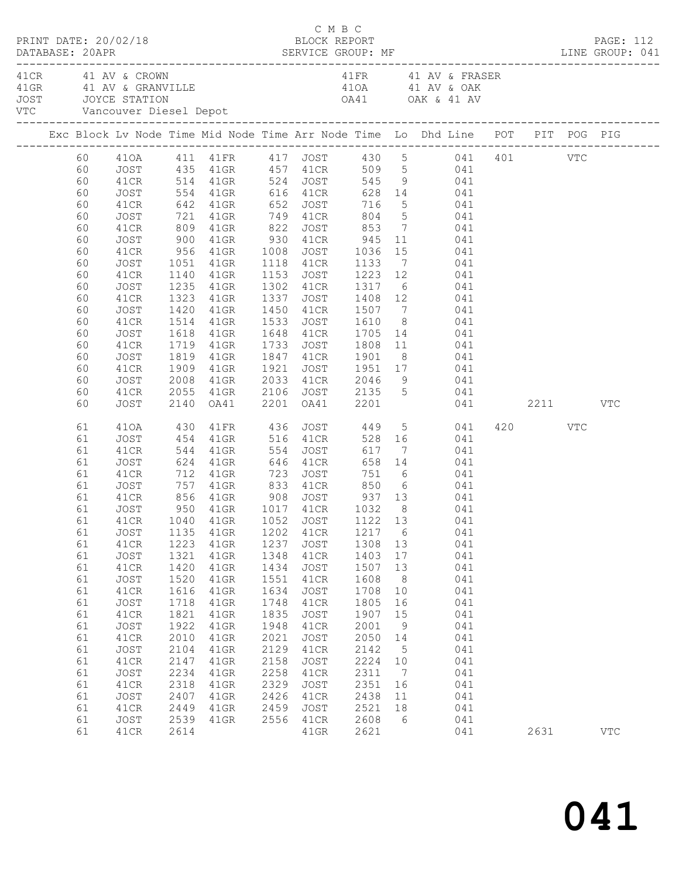| PRINT DATE: 20/02/18 |                                                                                                                                                                |                                                                                                                                                                                                                          |                                                                                                                                      |                                                                                                                                                                                                                                                                                    |                                                                                                                                      | C M B C<br>BLOCK REPORT                                                                                                                         |                                                                                                                                                   |                                                                                                          |                                                                                                                                                                                                                                                                                                                                                                                                                                                                                                                                                                                                                              |             |     | PAGE: 112  |
|----------------------|----------------------------------------------------------------------------------------------------------------------------------------------------------------|--------------------------------------------------------------------------------------------------------------------------------------------------------------------------------------------------------------------------|--------------------------------------------------------------------------------------------------------------------------------------|------------------------------------------------------------------------------------------------------------------------------------------------------------------------------------------------------------------------------------------------------------------------------------|--------------------------------------------------------------------------------------------------------------------------------------|-------------------------------------------------------------------------------------------------------------------------------------------------|---------------------------------------------------------------------------------------------------------------------------------------------------|----------------------------------------------------------------------------------------------------------|------------------------------------------------------------------------------------------------------------------------------------------------------------------------------------------------------------------------------------------------------------------------------------------------------------------------------------------------------------------------------------------------------------------------------------------------------------------------------------------------------------------------------------------------------------------------------------------------------------------------------|-------------|-----|------------|
| 41 CR 41 AV & CROWN  |                                                                                                                                                                |                                                                                                                                                                                                                          |                                                                                                                                      | VTC Vancouver Diesel Depot                                                                                                                                                                                                                                                         |                                                                                                                                      |                                                                                                                                                 |                                                                                                                                                   |                                                                                                          | 41FR 41 AV & FRASER<br>41 CK 41 AV & CRANVILLE<br>41 GRANVILLE<br>31 JOYCE STATION<br>41 OA41 OAK & 41 AV                                                                                                                                                                                                                                                                                                                                                                                                                                                                                                                    |             |     |            |
|                      |                                                                                                                                                                |                                                                                                                                                                                                                          |                                                                                                                                      |                                                                                                                                                                                                                                                                                    |                                                                                                                                      |                                                                                                                                                 |                                                                                                                                                   |                                                                                                          | Exc Block Lv Node Time Mid Node Time Arr Node Time Lo Dhd Line POT PIT POG PIG                                                                                                                                                                                                                                                                                                                                                                                                                                                                                                                                               |             |     |            |
|                      | 60<br>60<br>60<br>60<br>60<br>60<br>60<br>60<br>60<br>60<br>60<br>60<br>60<br>60<br>60<br>60<br>60<br>60<br>60<br>60<br>60                                     | JOST<br>41CR<br>JOST<br>41CR<br>JOST<br>41CR<br>JOST<br>41CR<br>JOST<br>41CR<br>JOST<br>41CR<br>JOST<br>41CR<br>JOST<br>41CR<br>JOST<br>41CR                                                                             | 1323                                                                                                                                 | 900 41GR 930 41CR 945<br>1051 41GR<br>1140 41GR<br>1235 41GR<br>41GR<br>1420 41GR<br>1514 41GR<br>1618 41GR<br>1719 41GR<br>1819 41GR<br>1909 41GR<br>2055 41GR                                                                                                                    | 1337<br>1921                                                                                                                         |                                                                                                                                                 |                                                                                                                                                   |                                                                                                          | 410A 411 41FR 417 JOST 430 5 041 401 VTC<br>JOST 435 41GR 457 41CR 509 5 041<br>41CR 514 41GR 524 JOST 545 9 041<br>554 41GR 616 41CR 628 14 041<br>642 41GR 652 JOST 716 5 041<br>721 41GR 749 41CR 804 5 041<br>809 41GR 822 JOST 853 7 041<br>11 041<br>956 41GR 1008 JOST 1036 15 041<br>1051 41GR 1118 41CR 1133 7 041<br>1140 41GR 1153 JOST 1223 12 041<br>1302 41CR 1317 6 041<br>1337 JOST 1408 12 041<br>1450 41CR 1507 7 041<br>1533 JOST 1610 8 041<br>1648 41CR 1705 14 041<br>1733 JOST 1808 11 041<br>1847 41CR 1901 8 041<br>1921 JOST 1951 17 041<br>2008 41GR 2033 41CR 2046 9 041<br>2106 JOST 2135 5 041 |             |     |            |
|                      | 60<br>61<br>61<br>61<br>61<br>61<br>61<br>61<br>61<br>61<br>61<br>61<br>61<br>61<br>61<br>61<br>61<br>61<br>61<br>61<br>61<br>61<br>61<br>61<br>61<br>61<br>61 | JOST<br>410A 430<br>JOST<br>41CR<br>JOST<br>41CR<br>JOST<br>41CR<br>JOST<br>JOST<br>41CR<br>JOST<br>41CR<br>JOST<br>41CR<br>JOST<br>41CR<br>JOST<br>41CR<br>JOST<br>41CR<br>JOST<br>41CR<br>JOST<br>41CR<br>JOST<br>41CR | 1223<br>1321<br>1420<br>1520<br>1616<br>1718<br>1821<br>1922<br>2010<br>2104<br>2147<br>2234<br>2318<br>2407<br>2449<br>2539<br>2614 | 2140 OA41<br>454 41GR 516 41CR<br>544 41GR 554 JOST 617 7<br>624 41GR 646 41CR 658 14<br>712 41GR 723 JOST 751 6<br>1135 41GR<br>$41$ GR<br>41GR<br>41GR<br>41GR<br>41GR<br>41GR<br>$41$ GR<br>$41$ GR<br>$41$ GR<br>41GR<br>$41$ GR<br>41GR<br>$41$ GR<br>41GR<br>41GR<br>$41$ GR | 1202<br>1237<br>1348<br>1434<br>1551<br>1634<br>1748<br>1835<br>1948<br>2021<br>2129<br>2158<br>2258<br>2329<br>2426<br>2459<br>2556 | 41CR<br>JOST<br>41CR<br>JOST<br>41CR<br>JOST<br>41CR<br>JOST<br>41CR<br>JOST<br>41CR<br>JOST<br>41CR<br>JOST<br>41CR<br>JOST<br>41CR<br>$41$ GR | 1217 6<br>1308 13<br>1403<br>1507<br>1608<br>1708<br>1805<br>1907<br>2001<br>2050<br>2142<br>2224<br>2311<br>2351<br>2438<br>2521<br>2608<br>2621 | 17<br>13<br>8<br>10<br>16<br>15<br>9<br>14<br>$5^{\circ}$<br>10<br>$\overline{7}$<br>16<br>11<br>18<br>6 | 2201 0A41 2201 041 2211 VTC<br>41FR 436 JOST 449 5 041<br>528 16 041<br>$617$ $7$ $041$<br>$658$ $14$ $041$<br>041<br>751 6 041<br>757 41GR 833 41CR 850 6 041<br>041<br>041<br>041<br>041<br>041<br>041<br>041<br>041<br>041<br>041<br>041<br>041<br>041<br>041<br>041<br>041<br>041<br>041<br>041<br>041                                                                                                                                                                                                                                                                                                                   | 420<br>2631 | VTC | <b>VTC</b> |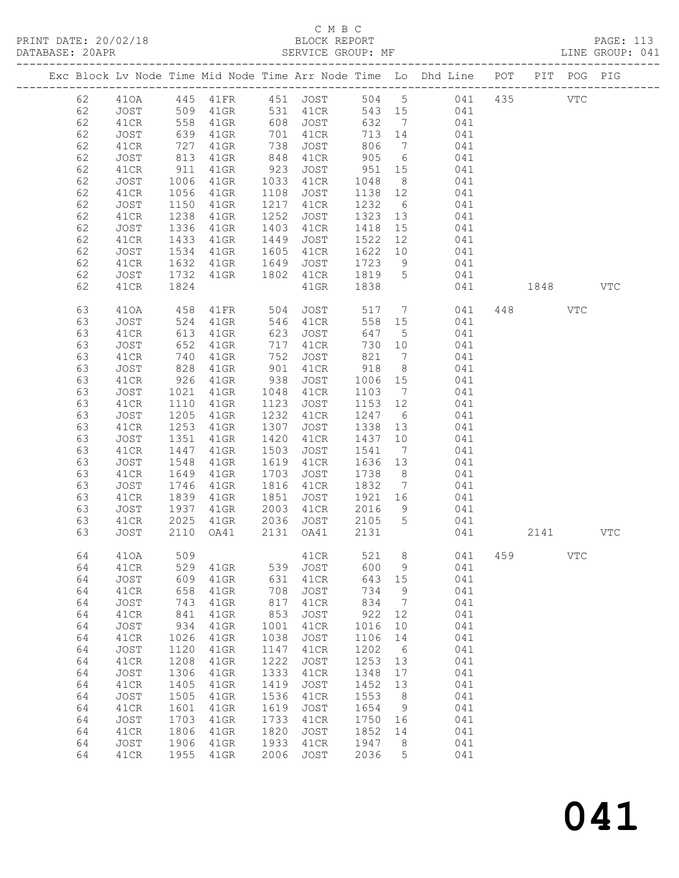## C M B C<br>BLOCK REPORT

| DATABASE: 20APR |               |            |                      |                   |          |         |                |                                                                                |     |          |     | LINE GROUP: 041 |
|-----------------|---------------|------------|----------------------|-------------------|----------|---------|----------------|--------------------------------------------------------------------------------|-----|----------|-----|-----------------|
|                 |               |            |                      |                   |          |         |                | Exc Block Lv Node Time Mid Node Time Arr Node Time Lo Dhd Line POT PIT POG PIG |     |          |     |                 |
| 62              | 410A 445 41FR |            |                      |                   |          |         |                | 451 JOST 504 5 041 435                                                         |     |          | VTC |                 |
| 62              |               |            |                      |                   |          |         |                | 041                                                                            |     |          |     |                 |
| 62              |               |            |                      |                   |          |         |                | 041                                                                            |     |          |     |                 |
| 62              | <b>JOST</b>   | 639        | 41GR 701             |                   | 41CR     | 713 14  |                | 041                                                                            |     |          |     |                 |
| 62              | 41CR          | 727        | $41$ GR              | 738               | JOST     | 806 7   |                | 041                                                                            |     |          |     |                 |
| 62              | JOST          | 813        | $41$ GR              | 848<br>923        | 41CR     | 905 6   |                | 041                                                                            |     |          |     |                 |
| 62              | 41CR          | 911        | $41$ GR              |                   | JOST     | 951 15  |                | 041                                                                            |     |          |     |                 |
| 62              | JOST          | 1006       | 41GR                 | 1033              | 41CR     | 1048 8  |                | 041                                                                            |     |          |     |                 |
| 62              | 41CR          | 1056       | $41$ GR              | 1108              | JOST     | 1138 12 |                | 041                                                                            |     |          |     |                 |
| 62              | JOST          | 1150       | $41$ GR              | 1217              | 41CR     | 1232 6  |                | 041                                                                            |     |          |     |                 |
| 62              | 41CR          | 1238       | $41$ GR              | 1252              | JOST     | 1323 13 |                | 041                                                                            |     |          |     |                 |
| 62              | JOST          | 1336       | $41$ GR              | 1403              | 41CR     | 1418 15 |                | 041                                                                            |     |          |     |                 |
| 62              | 41CR          | 1433       | $41$ GR              | 1449              | JOST     | 1522 12 |                | 041                                                                            |     |          |     |                 |
| 62              | JOST          | 1534       | $41$ GR              | 1605              | 41CR     | 1622 10 |                | 041                                                                            |     |          |     |                 |
| 62              | 41CR          | 1632       | $41$ GR              | 1649              | JOST     | 1723 9  |                | 041                                                                            |     |          |     |                 |
| 62              | JOST          | 1732       | 41GR                 | 1802              | 41CR     | 1819 5  |                | 041                                                                            |     |          |     |                 |
| 62              | 41CR          | 1824       |                      |                   | $41$ GR  | 1838    |                | 041                                                                            |     | 1848     |     | <b>VTC</b>      |
| 63              | 410A          | 458        |                      |                   | JOST     | 517 7   |                | 041                                                                            | 448 |          | VTC |                 |
| 63              | JOST          | 524        | 41FR 504<br>41GR 546 |                   | 41CR     | 558 15  |                | 041                                                                            |     |          |     |                 |
| 63              | 41CR          | 613        | $41$ GR              |                   | 623 JOST | 647 5   |                | 041                                                                            |     |          |     |                 |
| 63              | JOST          | 652        | $41$ GR              | 717               | 41CR     | 730 10  |                | 041                                                                            |     |          |     |                 |
| 63              | 41CR          | 740        | $41$ GR              |                   | JOST     | 821 7   |                | 041                                                                            |     |          |     |                 |
| 63              | JOST          | 828<br>926 | $41$ GR              | 752<br>901<br>938 | 41CR     | 918 8   |                | 041                                                                            |     |          |     |                 |
| 63              | 41CR          |            | 41GR                 |                   | JOST     | 1006 15 |                | 041                                                                            |     |          |     |                 |
| 63              | JOST          | 1021       | $41$ GR              | 1048              | 41CR     | 1103 7  |                | 041                                                                            |     |          |     |                 |
| 63              | 41CR          | 1110       | $41$ GR              | 1123              | JOST     | 1153 12 |                | 041                                                                            |     |          |     |                 |
| 63              | JOST          | 1205       | 41GR                 | 1232              | 41CR     | 1247 6  |                | 041                                                                            |     |          |     |                 |
| 63              | 41CR          | 1253       | $41$ GR              | 1307              | JOST     | 1338 13 |                | 041                                                                            |     |          |     |                 |
| 63              | JOST          | 1351       | $41$ GR              | 1420              | 41CR     | 1437 10 |                | 041                                                                            |     |          |     |                 |
| 63              | 41CR          | 1447       | 41GR                 | 1503              | JOST     | 1541    | $\overline{7}$ | 041                                                                            |     |          |     |                 |
| 63              | JOST          | 1548       | 41GR                 | 1619              | 41CR     | 1636 13 |                | 041                                                                            |     |          |     |                 |
| 63              | 41CR          | 1649       | $41$ GR              | 1703              | JOST     | 1738 8  |                | 041                                                                            |     |          |     |                 |
| 63              | JOST          | 1746       | $41$ GR              | 1816              | 41CR     | 1832 7  |                | 041                                                                            |     |          |     |                 |
| 63              | 41CR          | 1839       | $41$ GR              | 1851              | JOST     | 1921 16 |                | 041                                                                            |     |          |     |                 |
| 63              | JOST          | 1937       | $41$ GR              | 2003              | 41CR     | 2016 9  |                | 041                                                                            |     |          |     |                 |
| 63              | 41CR          |            | 2025 41GR            | 2036              | JOST     | 2105 5  |                | 041                                                                            |     |          |     |                 |
| 63              | JOST          |            | 2110 OA41            | 2131              | OA41     | 2131    |                | 041                                                                            |     | 2141 VTC |     |                 |

64 41OA 509 41CR 521 8 041 459 VTC

64 41CR 529 41GR 539 JOST 600 9 041

 64 JOST 609 41GR 631 41CR 643 15 041 64 41CR 658 41GR 708 JOST 734 9 041 64 JOST 743 41GR 817 41CR 834 7 041 64 41CR 841 41GR 853 JOST 922 12 041 64 JOST 934 41GR 1001 41CR 1016 10 041 64 41CR 1026 41GR 1038 JOST 1106 14 041 64 JOST 1120 41GR 1147 41CR 1202 6 041

 64 41CR 1806 41GR 1820 JOST 1852 14 041 64 JOST 1906 41GR 1933 41CR 1947 8 041 64 41CR 1955 41GR 2006 JOST 2036 5 041

| 64 | 41CR | 1208 | 41GR      |           | 1222 JOST | 1253 13 |    | 041 |
|----|------|------|-----------|-----------|-----------|---------|----|-----|
| 64 | JOST | 1306 | 41GR      | 1333      | 41CR      | 1348 17 |    | 041 |
| 64 | 41CR | 1405 | 41GR      | 1419 JOST |           | 1452 13 |    | 041 |
| 64 | JOST |      | 1505 41GR | 1536 41CR |           | 1553    | -8 | 041 |
| 64 | 41CR | 1601 | 41GR      | 1619      | JOST      | 1654    | q  | 041 |
| 64 | JOST | 1703 | 41GR      | 1733      | 41CR      | 1750    | 16 | 041 |

# 041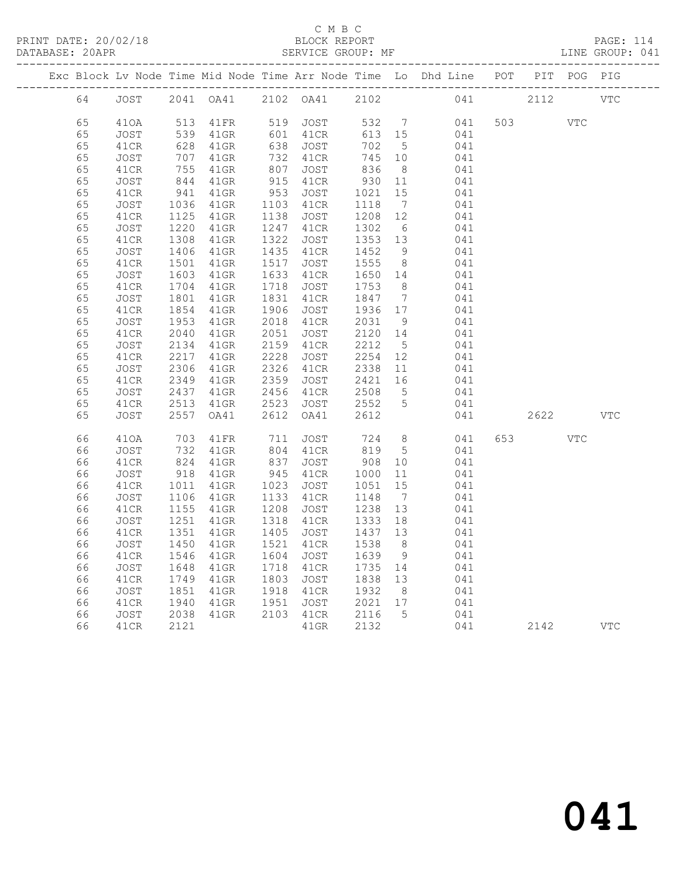### C M B C<br>BLOCK REPORT

PRINT DATE: 20/02/18 BLOCK REPORT PAGE: 114 SERVICE GROUP: MF -------------------------------------------------------------------------------------------------

|    |      |      |           |      |           |         |                 | Exc Block Lv Node Time Mid Node Time Arr Node Time Lo Dhd Line POT |     | PIT  | POG        | PIG        |
|----|------|------|-----------|------|-----------|---------|-----------------|--------------------------------------------------------------------|-----|------|------------|------------|
| 64 | JOST |      | 2041 OA41 |      | 2102 OA41 | 2102    |                 | 041                                                                |     | 2112 |            | <b>VTC</b> |
| 65 | 410A | 513  | 41FR      | 519  | JOST      | 532     | $\overline{7}$  | 041                                                                | 503 |      | <b>VTC</b> |            |
| 65 | JOST | 539  | $41$ GR   | 601  | 41CR      | 613     | 15              | 041                                                                |     |      |            |            |
| 65 | 41CR | 628  | $41$ GR   | 638  | JOST      | 702     | $5^{\circ}$     | 041                                                                |     |      |            |            |
| 65 | JOST | 707  | $41$ GR   | 732  | 41CR      | 745     | 10              | 041                                                                |     |      |            |            |
| 65 | 41CR | 755  | $41$ GR   | 807  | JOST      | 836     | 8               | 041                                                                |     |      |            |            |
| 65 | JOST | 844  | $41$ GR   | 915  | 41CR      | 930     | 11              | 041                                                                |     |      |            |            |
| 65 | 41CR | 941  | $41$ GR   | 953  | JOST      | 1021    | 15              | 041                                                                |     |      |            |            |
| 65 | JOST | 1036 | $41$ GR   | 1103 | 41CR      | 1118    | $\overline{7}$  | 041                                                                |     |      |            |            |
| 65 | 41CR | 1125 | $41$ GR   | 1138 | JOST      | 1208    | 12              | 041                                                                |     |      |            |            |
| 65 | JOST | 1220 | $41$ GR   | 1247 | 41CR      | 1302    | 6               | 041                                                                |     |      |            |            |
| 65 | 41CR | 1308 | $41$ GR   | 1322 | JOST      | 1353    | 13              | 041                                                                |     |      |            |            |
| 65 | JOST | 1406 | $41$ GR   | 1435 | 41CR      | 1452    | - 9             | 041                                                                |     |      |            |            |
| 65 | 41CR | 1501 | $41$ GR   | 1517 | JOST      | 1555    | 8 <sup>8</sup>  | 041                                                                |     |      |            |            |
| 65 | JOST | 1603 | $41$ GR   | 1633 | 41CR      | 1650 14 |                 | 041                                                                |     |      |            |            |
| 65 | 41CR | 1704 | 41GR      | 1718 | JOST      | 1753    | 8               | 041                                                                |     |      |            |            |
| 65 | JOST | 1801 | $41$ GR   | 1831 | 41CR      | 1847    | $\overline{7}$  | 041                                                                |     |      |            |            |
| 65 | 41CR | 1854 | $41$ GR   | 1906 | JOST      | 1936    | 17              | 041                                                                |     |      |            |            |
| 65 | JOST | 1953 | $41$ GR   | 2018 | 41CR      | 2031    | 9               | 041                                                                |     |      |            |            |
| 65 | 41CR | 2040 | $41$ GR   | 2051 | JOST      | 2120    | 14              | 041                                                                |     |      |            |            |
| 65 | JOST | 2134 | $41$ GR   | 2159 | 41CR      | 2212    | 5               | 041                                                                |     |      |            |            |
| 65 | 41CR | 2217 | $41$ GR   | 2228 | JOST      | 2254    | 12              | 041                                                                |     |      |            |            |
| 65 | JOST | 2306 | $41$ GR   | 2326 | 41CR      | 2338    | 11              | 041                                                                |     |      |            |            |
| 65 | 41CR | 2349 | $41$ GR   | 2359 | JOST      | 2421    | 16              | 041                                                                |     |      |            |            |
| 65 | JOST | 2437 | $41$ GR   | 2456 | 41CR      | 2508    | $5\overline{)}$ | 041                                                                |     |      |            |            |
| 65 | 41CR | 2513 | $41$ GR   | 2523 | JOST      | 2552    | 5               | 041                                                                |     |      |            |            |
| 65 | JOST | 2557 | OA41      | 2612 | OA41      | 2612    |                 | 041                                                                |     | 2622 |            | <b>VTC</b> |
| 66 | 410A | 703  | 41FR      | 711  | JOST      | 724     | 8 <sup>8</sup>  | 041                                                                | 653 |      | <b>VTC</b> |            |
| 66 | JOST | 732  | $41$ GR   | 804  | 41CR      | 819     | $5\overline{)}$ | 041                                                                |     |      |            |            |
| 66 | 41CR | 824  | 41GR      | 837  | JOST      | 908     | 10 <sup>°</sup> | 041                                                                |     |      |            |            |
| 66 | JOST | 918  | $41$ GR   | 945  | 41CR      | 1000    | 11              | 041                                                                |     |      |            |            |
| 66 | 41CR | 1011 | $41$ GR   | 1023 | JOST      | 1051    | 15              | 041                                                                |     |      |            |            |
| 66 | JOST | 1106 | $41$ GR   | 1133 | 41CR      | 1148    | $7\overline{ }$ | 041                                                                |     |      |            |            |
| 66 | 41CR | 1155 | $41$ GR   | 1208 | JOST      | 1238    | 13              | 041                                                                |     |      |            |            |
| 66 | JOST | 1251 | $41$ GR   | 1318 | 41CR      | 1333    | 18              | 041                                                                |     |      |            |            |
| 66 | 41CR | 1351 | $41$ GR   | 1405 | JOST      | 1437    | 13              | 041                                                                |     |      |            |            |
| 66 | JOST | 1450 | $41$ GR   | 1521 | 41CR      | 1538    | 8 <sup>8</sup>  | 041                                                                |     |      |            |            |
| 66 | 41CR | 1546 | $41$ GR   | 1604 | JOST      | 1639    | 9               | 041                                                                |     |      |            |            |
| 66 | JOST | 1648 | $41$ GR   | 1718 | 41CR      | 1735    | 14              | 041                                                                |     |      |            |            |
| 66 | 41CR | 1749 | $41$ GR   | 1803 | JOST      | 1838    | 13              | 041                                                                |     |      |            |            |
| 66 | JOST | 1851 | $41$ GR   | 1918 | 41CR      | 1932    | 8 <sup>8</sup>  | 041                                                                |     |      |            |            |
| 66 | 41CR | 1940 | $41$ GR   | 1951 | JOST      | 2021    | 17              | 041                                                                |     |      |            |            |
| 66 | JOST | 2038 | $41$ GR   | 2103 | 41CR      | 2116    | 5               | 041                                                                |     |      |            |            |
| 66 | 41CR | 2121 |           |      | $41$ GR   | 2132    |                 | 041                                                                |     | 2142 |            | VTC        |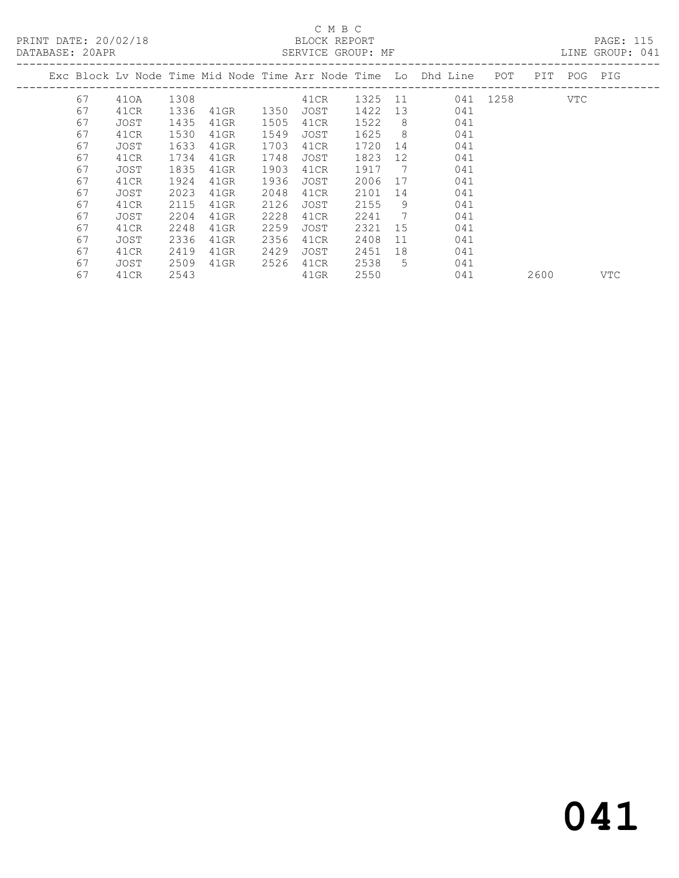## C M B C

| DATABASE: 20APR |    |      |      |         |      | SERVICE GROUP: MF |         |     |                                                                     |          |             | LINE GROUP: 041 |  |
|-----------------|----|------|------|---------|------|-------------------|---------|-----|---------------------------------------------------------------------|----------|-------------|-----------------|--|
|                 |    |      |      |         |      |                   |         |     | Exc Block Lv Node Time Mid Node Time Arr Node Time  Lo  Dhd Line  . | POT      | PIT POG PIG |                 |  |
|                 | 67 | 410A | 1308 |         |      | 41CR              | 1325 11 |     |                                                                     | 041 1258 | VTC         |                 |  |
|                 | 67 | 41CR | 1336 | 41GR    | 1350 | JOST              | 1422    | 13  | 041                                                                 |          |             |                 |  |
|                 | 67 | JOST | 1435 | $41$ GR | 1505 | 41CR              | 1522    | -8  | 041                                                                 |          |             |                 |  |
|                 | 67 | 41CR | 1530 | $41$ GR | 1549 | JOST              | 1625    | - 8 | 041                                                                 |          |             |                 |  |
|                 | 67 | JOST | 1633 | 41GR    | 1703 | 41CR              | 1720    | 14  | 041                                                                 |          |             |                 |  |
|                 | 67 | 41CR | 1734 | 41GR    | 1748 | JOST              | 1823    | 12  | 041                                                                 |          |             |                 |  |
|                 | 67 | JOST | 1835 | 41GR    | 1903 | 41CR              | 1917    | 7   | 041                                                                 |          |             |                 |  |
|                 | 67 | 41CR | 1924 | 41GR    | 1936 | JOST              | 2006    | 17  | 041                                                                 |          |             |                 |  |
|                 | 67 | JOST | 2023 | 41GR    | 2048 | 41CR              | 2101    | 14  | 041                                                                 |          |             |                 |  |
|                 | 67 | 41CR | 2115 | 41GR    | 2126 | JOST              | 2155    | 9   | 041                                                                 |          |             |                 |  |
|                 | 67 | JOST | 2204 | 41GR    | 2228 | 41CR              | 2241    | 7   | 041                                                                 |          |             |                 |  |
|                 | 67 | 41CR | 2248 | 41GR    | 2259 | JOST              | 2321    | 15  | 041                                                                 |          |             |                 |  |
|                 | 67 | JOST | 2336 | 41GR    | 2356 | 41CR              | 2408    | 11  | 041                                                                 |          |             |                 |  |
|                 | 67 | 41CR | 2419 | $41$ GR | 2429 | JOST              | 2451    | 18  | 041                                                                 |          |             |                 |  |
|                 | 67 | JOST | 2509 | 41GR    | 2526 | 41CR              | 2538    | 5   | 041                                                                 |          |             |                 |  |

67 41CR 2543 41GR 2550 041 2600 VTC

# 041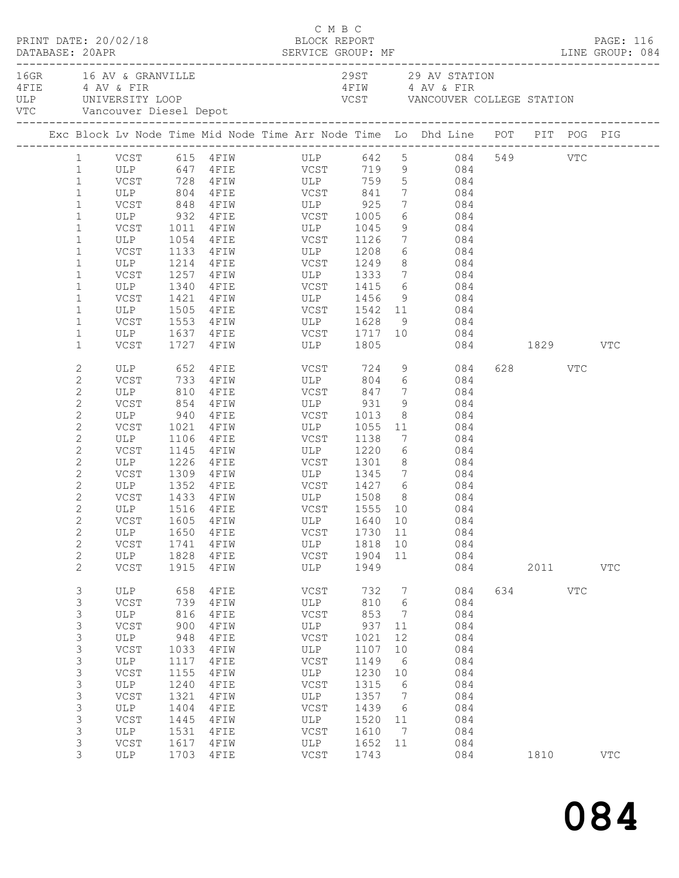|  | DATABASE: 20APR                                                                                                                                                                                                                                                              | PRINT DATE: 20/02/18                                                                                                                        |                                                                                                                         |                                                                                                                                                 | C M B C<br>BLOCK REPORT                                                                                                                                                                                |                                                                                                                          |                                                                                                    |                                                                                                                                                                                                                                                                    |          |                              | PAGE: 116         |  |
|--|------------------------------------------------------------------------------------------------------------------------------------------------------------------------------------------------------------------------------------------------------------------------------|---------------------------------------------------------------------------------------------------------------------------------------------|-------------------------------------------------------------------------------------------------------------------------|-------------------------------------------------------------------------------------------------------------------------------------------------|--------------------------------------------------------------------------------------------------------------------------------------------------------------------------------------------------------|--------------------------------------------------------------------------------------------------------------------------|----------------------------------------------------------------------------------------------------|--------------------------------------------------------------------------------------------------------------------------------------------------------------------------------------------------------------------------------------------------------------------|----------|------------------------------|-------------------|--|
|  |                                                                                                                                                                                                                                                                              | 16GR 16 AV & GRANVILLE<br>4 FIE 4 AV & FIR<br>VTC Vancouver Diesel Depot                                                                    |                                                                                                                         | ULP UNIVERSITY LOOP                                                                                                                             |                                                                                                                                                                                                        |                                                                                                                          |                                                                                                    | 29ST 29 AV STATION<br>4 FIW 4 AV & FIR<br>VCST VANCOUVER COLLEGE STATION                                                                                                                                                                                           |          |                              |                   |  |
|  |                                                                                                                                                                                                                                                                              |                                                                                                                                             |                                                                                                                         |                                                                                                                                                 |                                                                                                                                                                                                        |                                                                                                                          |                                                                                                    | Exc Block Lv Node Time Mid Node Time Arr Node Time Lo Dhd Line POT PIT POG PIG                                                                                                                                                                                     |          |                              |                   |  |
|  | $\mathbf{1}$<br>$\mathbf{1}$<br>$\mathbf 1$<br>$\mathbf{1}$<br>$\mathbf 1$<br>$\mathbf 1$<br>$\mathbf 1$<br>$\mathbf{1}$<br>$\mathbf 1$                                                                                                                                      | ULP                                                                                                                                         | 1054                                                                                                                    |                                                                                                                                                 | ULP 804 4FIE VCST 841<br>VCST 848 4FIW ULP 925<br>ULP 932 4FIE VCST 1005<br>VCST 1011 4FIW ULP 1045<br>4FIE VCST 1126<br>VCST 1133 4FIW ULP 1208<br>ULP 1214 4FIE VCST 1249<br>VCST 1257 4FIW ULP 1333 |                                                                                                                          | 8 <sup>8</sup>                                                                                     | 1 VCST 615 4FIW ULP 642 5 084 549 VTC<br>1 ULP 647 4FIE VCST 719 9 084<br>VCST 728 4FIW ULP 759 5 084<br>$7 \hspace{1.5cm} 084$<br>$\begin{array}{ccc} 7 & \quad & 084 \\ 6 & \quad & 084 \end{array}$<br>9 084<br>7 084<br>$6\overline{6}$<br>084<br>084<br>7 084 |          |                              |                   |  |
|  | $\mathbf 1$<br>$\mathbf 1$<br>$\mathbf{1}$<br>$\mathbf 1$<br>$\mathbf 1$<br>$\mathbf 1$                                                                                                                                                                                      | ULP<br>VCST<br>VCST<br>VCST                                                                                                                 | 1340<br>1421                                                                                                            | ULP 1505 4FIE<br>1727 4FIW                                                                                                                      | 4 FIE VCST 1415<br>4FIW ULP 1456 9<br>4FIE VCST 1542 11<br>ULP 1805                                                                                                                                    |                                                                                                                          |                                                                                                    | 6 084<br>084<br>084<br>9 084                                                                                                                                                                                                                                       | 084 1829 |                              | VTC               |  |
|  | $\mathbf{2}$<br>$\mathbf{2}$<br>$\mathbf{2}$<br>$\mathbf{2}$<br>$\mathbf{2}$<br>$\mathbf{2}$<br>$\mathbf{2}$<br>$\mathbf{2}$<br>$\mathbf{2}$<br>$\mathbf{2}$<br>$\mathbf{2}$<br>$\mathbf{2}$<br>$\mathbf{2}$<br>$\mathbf{2}$<br>$\mathbf{2}$<br>$\mathbf{2}$<br>$\mathbf{2}$ | ULP<br>VCST 854 4FIW<br>ULP 940 4FIE<br>VCST<br>ULP<br>VCST<br>ULP<br>VCST<br>VCST<br>VCSI 1999 FEIN<br>ULP 1516 4FIE<br>ULP<br>VCST<br>ULP | 810<br>1106<br>1650<br>1741<br>1828                                                                                     | ULP 652 4FIE<br>VCST 733 4FIW<br>$4$ FIE<br>$4$ FIW<br>$4$ F I E<br>1145    4FIW<br>1226 4FIE<br>1309 4FIW<br>1433 4FIW<br>4FIE<br>4FIW<br>4FIE | VCST 724 9<br>ULP<br>VCST 847<br>ULP 931<br>VCST 1013<br>1021 4FIW ULP 1055<br>VCST<br>ULP 1220<br>VCST 1301<br>VCST<br>ULP<br>VCST                                                                    | 1138<br>1730 11<br>1818<br>1904                                                                                          | $7\overline{ }$<br>9<br>$6\overline{6}$<br>10<br>11                                                | 084<br>804 6 084<br>084<br>084<br>$\begin{array}{c c}\n\hline\n8 & 084\n\end{array}$<br>11 084<br>7<br>084<br>084<br>$8 - 1$<br>084<br>ULP 1345 7 084<br>ULP 1508 8 084<br>VCST 1555 10 084<br>VCST 1605 4FIW ULP 1640 10 084<br>084<br>084<br>084                 |          | 628 VTC                      |                   |  |
|  | $\mathbf{2}$<br>3<br>3<br>3<br>3<br>$\mathsf 3$<br>$\mathsf 3$<br>$\mathsf 3$<br>3<br>$\mathsf S$<br>$\mathsf S$<br>$\mathsf 3$<br>3<br>3<br>$\mathsf S$<br>3                                                                                                                | VCST<br>ULP<br>VCST<br>ULP<br>VCST<br>ULP<br>VCST<br>ULP<br>VCST<br>ULP<br>VCST<br>ULP<br>VCST<br><b>ULP</b><br>VCST<br>ULP                 | 1915<br>658<br>739<br>816<br>900<br>948<br>1033<br>1117<br>1155<br>1240<br>1321<br>1404<br>1445<br>1531<br>1617<br>1703 | 4FIW<br>4FIE<br>4FIW<br>4FIE<br>4FIW<br>4FIE<br>4FIW<br>4FIE<br>4FIW<br>4FIE<br>4FIW<br>4FIE<br>4FIW<br>4FIE<br>4FIW<br>4FIE                    | ULP<br>VCST<br>ULP<br>VCST<br>ULP<br>VCST<br>ULP<br>VCST<br>ULP<br>VCST<br>ULP<br>VCST<br>ULP<br>VCST<br>ULP<br>VCST                                                                                   | 1949<br>732<br>810<br>853<br>937<br>1021<br>1107<br>1149<br>1230<br>1315<br>1357<br>1439<br>1520<br>1610<br>1652<br>1743 | 7<br>6<br>$\overline{7}$<br>11<br>12<br>10<br>6<br>10<br>6<br>$\overline{7}$<br>6<br>11<br>7<br>11 | 084<br>084<br>084<br>084<br>084<br>084<br>084<br>084<br>084<br>084<br>084<br>084<br>084<br>084<br>084<br>084                                                                                                                                                       |          | 2011 2012<br>634 VTC<br>1810 | VTC<br><b>VTC</b> |  |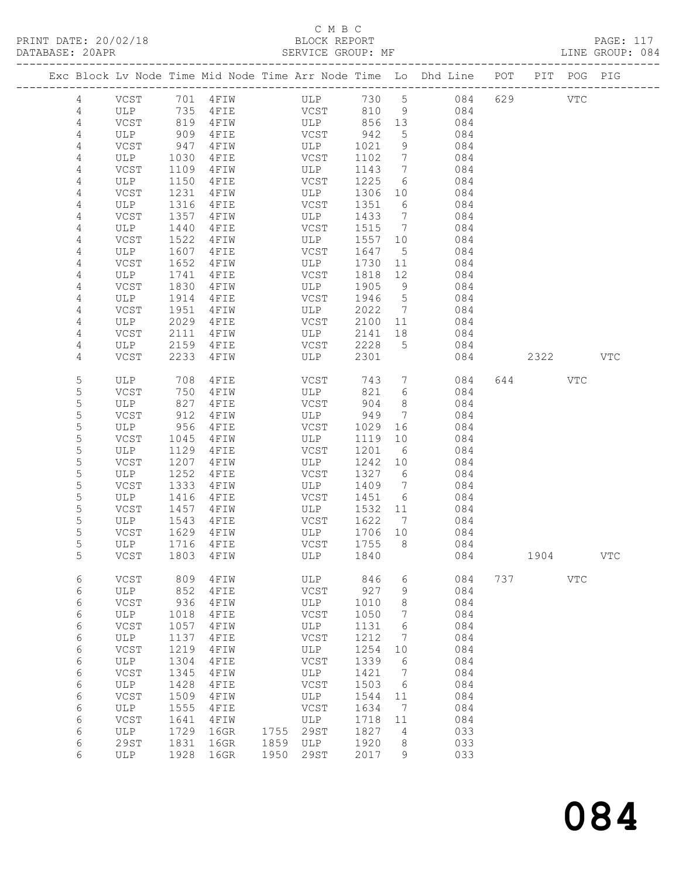PRINT DATE: 20/02/18 BLOCK REPORT PAGE: 117 DATABASE: 20APR

### C M B C<br>BLOCK REPORT

| DAIABASE; ZUAPR |             |      |           | SERATOR GROOF: ME                                                              |      |                 |                        |     |      |            | TIME GROOL: 004 |
|-----------------|-------------|------|-----------|--------------------------------------------------------------------------------|------|-----------------|------------------------|-----|------|------------|-----------------|
|                 |             |      |           | Exc Block Lv Node Time Mid Node Time Arr Node Time Lo Dhd Line POT PIT POG PIG |      |                 | ---------------------- |     |      |            |                 |
| 4               | VCST        |      | 701 4FIW  | ULP                                                                            | 730  | $5\overline{)}$ | 084                    | 629 |      | VTC        |                 |
| $\overline{4}$  | ULP         | 735  | 4FIE      | VCST                                                                           | 810  | 9               | 084                    |     |      |            |                 |
| 4               | VCST        | 819  | 4FIW      | ULP                                                                            | 856  | 13              | 084                    |     |      |            |                 |
| 4               | ULP         | 909  | 4FIE      | VCST                                                                           | 942  | 5               | 084                    |     |      |            |                 |
| $\overline{4}$  | VCST        | 947  | 4FIW      | ULP                                                                            | 1021 | 9               | 084                    |     |      |            |                 |
| $\overline{4}$  | ULP         | 1030 | 4FIE      | VCST                                                                           | 1102 | $7\overline{ }$ | 084                    |     |      |            |                 |
| 4               | VCST        | 1109 | 4FIW      | ULP                                                                            | 1143 | $7\phantom{.0}$ | 084                    |     |      |            |                 |
| 4               | ULP         | 1150 | 4FIE      | VCST                                                                           | 1225 | 6               | 084                    |     |      |            |                 |
| 4               | VCST        | 1231 | 4FIW      | ULP                                                                            | 1306 | 10              | 084                    |     |      |            |                 |
| 4               | ULP         | 1316 | 4FIE      | VCST                                                                           | 1351 | 6               | 084                    |     |      |            |                 |
| 4               | VCST        | 1357 | 4FIW      | ULP                                                                            | 1433 | $7\phantom{.0}$ | 084                    |     |      |            |                 |
| 4               | ULP         | 1440 | 4FIE      | VCST                                                                           | 1515 | $7\phantom{.0}$ | 084                    |     |      |            |                 |
| 4               | VCST        | 1522 | 4FIW      | ULP                                                                            | 1557 | 10              | 084                    |     |      |            |                 |
| 4               | ULP         | 1607 | 4FIE      | VCST                                                                           | 1647 | $5^{\circ}$     | 084                    |     |      |            |                 |
| 4               | VCST        | 1652 | 4FIW      | ULP                                                                            | 1730 | 11              | 084                    |     |      |            |                 |
| 4               | ULP         | 1741 | 4FIE      | VCST                                                                           | 1818 | 12              | 084                    |     |      |            |                 |
| 4               | VCST        | 1830 | 4FIW      | ULP                                                                            | 1905 | 9               | 084                    |     |      |            |                 |
| 4               | ULP         | 1914 | 4FIE      | VCST                                                                           | 1946 | 5 <sup>5</sup>  | 084                    |     |      |            |                 |
| 4               | VCST        | 1951 | 4FIW      | ULP                                                                            | 2022 | 7               | 084                    |     |      |            |                 |
| 4               | ULP         | 2029 | 4FIE      | VCST                                                                           | 2100 | 11              | 084                    |     |      |            |                 |
| 4               | VCST        | 2111 | 4FIW      | ULP                                                                            | 2141 | 18              | 084                    |     |      |            |                 |
| 4               | ULP         | 2159 | 4FIE      | VCST                                                                           | 2228 | 5               | 084                    |     |      |            |                 |
| 4               | VCST        | 2233 | 4FIW      | ULP                                                                            | 2301 |                 | 084                    |     | 2322 |            | <b>VTC</b>      |
| 5               | ULP         | 708  | 4FIE      | VCST                                                                           | 743  | $7\overline{ }$ | 084                    | 644 |      | VTC        |                 |
| 5               | VCST        | 750  | 4FIW      | ULP                                                                            | 821  | 6               | 084                    |     |      |            |                 |
| $\mathsf S$     | ULP         | 827  | 4FIE      | VCST                                                                           | 904  | 8               | 084                    |     |      |            |                 |
| 5               | VCST        | 912  | 4FIW      | ULP                                                                            | 949  | 7               | 084                    |     |      |            |                 |
| 5               | ULP         | 956  | 4FIE      | VCST                                                                           | 1029 | 16              | 084                    |     |      |            |                 |
| $\mathsf S$     | VCST        | 1045 | 4FIW      | ULP                                                                            | 1119 | 10              | 084                    |     |      |            |                 |
| $\mathsf S$     | ULP         | 1129 | 4FIE      | VCST                                                                           | 1201 | $6\overline{6}$ | 084                    |     |      |            |                 |
| 5               | VCST        | 1207 | 4FIW      | ULP                                                                            | 1242 | 10              | 084                    |     |      |            |                 |
| 5               | ULP         | 1252 | 4FIE      | VCST                                                                           | 1327 | 6               | 084                    |     |      |            |                 |
| 5               | VCST        | 1333 | 4FIW      | ULP                                                                            | 1409 | $7\phantom{.0}$ | 084                    |     |      |            |                 |
| $\mathsf S$     | ULP         | 1416 | 4FIE      | VCST                                                                           | 1451 | 6               | 084                    |     |      |            |                 |
| 5               | VCST        | 1457 | 4FIW      | ULP                                                                            | 1532 | 11              | 084                    |     |      |            |                 |
| 5               | ULP         | 1543 | 4FIE      | VCST                                                                           | 1622 | $7\phantom{.0}$ | 084                    |     |      |            |                 |
| 5               | VCST        | 1629 | 4FIW      | ULP                                                                            | 1706 | 10              | 084                    |     |      |            |                 |
| 5               | ULP         | 1716 | 4FIE      | VCST                                                                           | 1755 | 8               | 084                    |     |      |            |                 |
| 5               | VCST        | 1803 | 4FIW      | ULP                                                                            | 1840 |                 | 084                    |     | 1904 |            | <b>VTC</b>      |
| 6               | <b>VCST</b> | 809  | 4FIW      | ULP                                                                            | 846  | 6               | 084                    | 737 |      | <b>VTC</b> |                 |
| 6               | <b>ULP</b>  | 852  | 4FIE      | VCST                                                                           | 927  | 9               | 084                    |     |      |            |                 |
| 6               | <b>VCST</b> | 936  | 4FIW      | ULP                                                                            | 1010 | 8               | 084                    |     |      |            |                 |
| 6               | ULP         | 1018 | 4FIE      | VCST                                                                           | 1050 | 7               | 084                    |     |      |            |                 |
| 6               | VCST        | 1057 | 4FIW      | ULP                                                                            | 1131 | 6               | 084                    |     |      |            |                 |
| 6               | ULP         | 1137 | 4FIE      | VCST                                                                           | 1212 | 7               | 084                    |     |      |            |                 |
| 6               | VCST        | 1219 | $4$ FIW   | ULP                                                                            | 1254 | 10              | 084                    |     |      |            |                 |
| 6               | ULP         | 1304 | $4$ F I E | VCST                                                                           | 1339 | 6               | 084                    |     |      |            |                 |
|                 |             |      |           |                                                                                |      |                 |                        |     |      |            |                 |

 6 VCST 1345 4FIW ULP 1421 7 084 6 ULP 1428 4FIE VCST 1503 6 084 6 VCST 1509 4FIW ULP 1544 11 084

6 ULP 1928 16GR 1950 29ST 2017 9 033

 6 ULP 1555 4FIE VCST 1634 7 084 6 VCST 1641 4FIW ULP 1718 11 084 6 ULP 1729 16GR 1755 29ST 1827 4 033 6 29ST 1831 16GR 1859 ULP 1920 8 033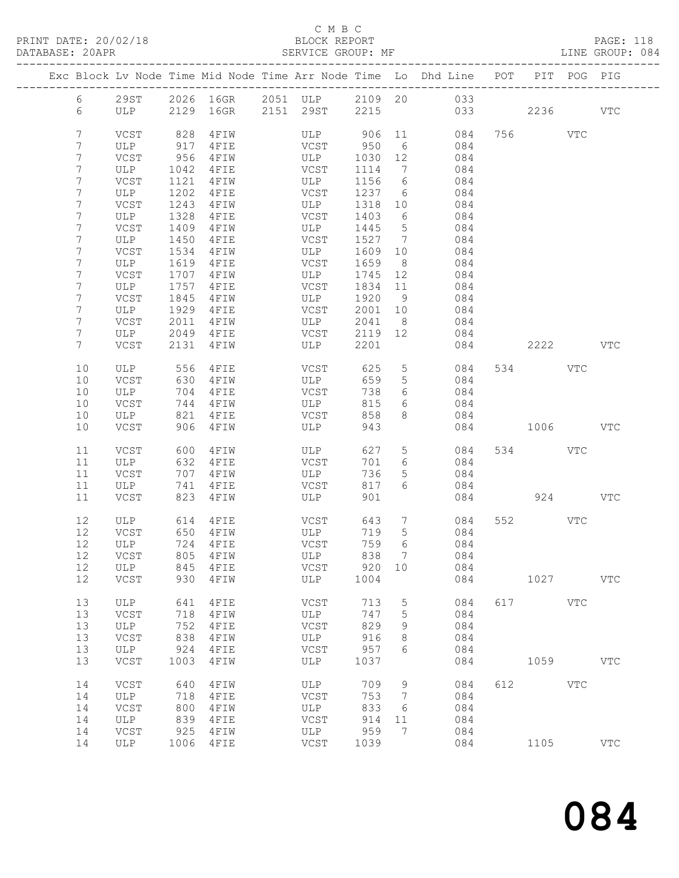### C M B C

| PRINT DATE: 20/02/18 BLOCK REPORT<br>DATABASE: 20APR SERVICE GROUP: |                 |              |      |           |               |         |                 | SERVICE GROUP: MF LINE GROUP: 084<br>______________________________________    |              |         |              | PAGE: 118  |  |
|---------------------------------------------------------------------|-----------------|--------------|------|-----------|---------------|---------|-----------------|--------------------------------------------------------------------------------|--------------|---------|--------------|------------|--|
|                                                                     |                 |              |      |           |               |         |                 | Exc Block Lv Node Time Mid Node Time Arr Node Time Lo Dhd Line POT PIT POG PIG |              |         |              |            |  |
|                                                                     | $6\overline{6}$ |              |      |           |               |         |                 | 29ST 2026 16GR 2051 ULP 2109 20 033                                            |              |         |              |            |  |
|                                                                     | 6               |              |      |           |               |         |                 | ULP 2129 16GR 2151 29ST 2215 033 2236 VTC                                      |              |         |              |            |  |
|                                                                     | $7\phantom{.0}$ | VCST         | 828  | 4 F I W   |               |         |                 | ULP 906 11 084                                                                 |              | 756 VTC |              |            |  |
|                                                                     | 7               | ULP          | 917  | 4FIE      | VCST 950      |         |                 | 6 084                                                                          |              |         |              |            |  |
|                                                                     | 7               | VCST         | 956  | 4 F I W   | ULP           | 1030 12 |                 | 084                                                                            |              |         |              |            |  |
|                                                                     | 7               | ULP          | 1042 | 4 F I E   | VCST          | 1114    | $7\overline{ }$ | 084                                                                            |              |         |              |            |  |
|                                                                     | 7               | VCST         | 1121 | 4 F I W   | ULP           | 1156 6  |                 | 084                                                                            |              |         |              |            |  |
|                                                                     | 7               | ULP          | 1202 | $4$ F I E | <b>VCST</b>   |         |                 | 1237 6 084                                                                     |              |         |              |            |  |
|                                                                     | 7               | VCST         | 1243 | 4 F I W   | ULP           | 1318 10 |                 | 084                                                                            |              |         |              |            |  |
|                                                                     | 7               | ULP          | 1328 | 4FIE      | VCST          | 1403 6  |                 | 084                                                                            |              |         |              |            |  |
|                                                                     | 7               | VCST         | 1409 | 4 F I W   | ULP           | 1445    | 5 <sup>5</sup>  | 084                                                                            |              |         |              |            |  |
|                                                                     | 7               | ULP          | 1450 | $4$ FIE   | VCST          | 1527    | $7\overline{ }$ | 084                                                                            |              |         |              |            |  |
|                                                                     | 7               | VCST         | 1534 | 4 F I W   | ULP           | 1609 10 |                 | 084                                                                            |              |         |              |            |  |
|                                                                     | 7               | ULP          | 1619 | 4 F I E   | VCST          | 1659    | 8 <sup>8</sup>  | 084                                                                            |              |         |              |            |  |
|                                                                     | 7               | VCST         | 1707 | 4 F I W   | ULP           | 1745 12 |                 | 084                                                                            |              |         |              |            |  |
|                                                                     | 7               | ULP          | 1757 | $4$ FIE   | <b>VCST</b>   | 1834 11 |                 | 084                                                                            |              |         |              |            |  |
|                                                                     | 7               | VCST         | 1845 | 4 F I W   | ULP           | 1920 9  |                 | 084                                                                            |              |         |              |            |  |
|                                                                     | 7               | ULP          | 1929 | 4FIE      | VCST          | 2001 10 |                 | 084                                                                            |              |         |              |            |  |
|                                                                     | 7               | VCST         | 2011 |           | 4FIW ULP      |         |                 | 2041 8 084                                                                     |              |         |              |            |  |
|                                                                     | 7               | ULP          |      | 2049 4FIE | <b>VCST</b>   | 2119 12 |                 | 084                                                                            |              |         |              |            |  |
|                                                                     | $7\phantom{.0}$ | VCST         | 2131 | 4 F I W   | ULP           | 2201    |                 | 084                                                                            | 2222 VTC     |         |              |            |  |
|                                                                     | 10              | ULP          | 556  | 4FIE      | VCST          | 625     |                 | 5 084                                                                          |              | 534     | VTC          |            |  |
|                                                                     | $10$            | VCST         | 630  | 4FIW      | ULP           | 659     | 5 <sup>5</sup>  | 084                                                                            |              |         |              |            |  |
|                                                                     | 10              | ULP          | 704  | 4 F I E   | VCST          | 738     |                 | 6 084                                                                          |              |         |              |            |  |
|                                                                     | 10              | VCST         | 744  | 4 F I W   | ULP           | 815     | 6               | 084                                                                            |              |         |              |            |  |
|                                                                     | 10              | ULP          | 821  | 4 F I E   | VCST          | 858     | 8               | 084                                                                            |              |         |              |            |  |
|                                                                     | 10              | VCST         | 906  | 4 F I W   | ULP           | 943     |                 |                                                                                | 084 1006 VTC |         |              |            |  |
|                                                                     | 11              | VCST         | 600  | 4 F I W   | ULP           | 627     |                 | 5 <sub>5</sub><br>084                                                          |              | 534 VTC |              |            |  |
|                                                                     | 11              | ULP          | 632  | 4 F I E   | VCST          | 701     | 6               | 084                                                                            |              |         |              |            |  |
|                                                                     | 11              | VCST         | 707  | 4 F I W   | ULP           | 736     | 5 <sub>5</sub>  | 084                                                                            |              |         |              |            |  |
|                                                                     | 11              | ULP          | 741  | $4$ F I E | VCST          | 817     | 6               | 084                                                                            |              |         |              |            |  |
|                                                                     | 11              | VCST         | 823  | 4 F I W   | ULP           | 901     |                 |                                                                                |              |         | 924 VTC      |            |  |
|                                                                     | 12              | ULP 614 4FIE |      |           | VCST          |         |                 | 643 7 084                                                                      |              | 552 VTC |              |            |  |
|                                                                     | 12              | VCST         | 650  | 4FIW      | ULP           | 719     | 5               | 084                                                                            |              |         |              |            |  |
|                                                                     | 12              | ULP          | 724  | 4FIE      | VCST          | 759     | 6               | 084                                                                            |              |         |              |            |  |
|                                                                     | 12              | VCST         | 805  | 4FIW      | ULP           | 838     | 7               | 084                                                                            |              |         |              |            |  |
|                                                                     | 12              | ULP          | 845  | 4FIE      | VCST          | 920     | 10              | 084                                                                            |              |         |              |            |  |
|                                                                     | 12              | VCST         | 930  | 4FIW      | ULP           | 1004    |                 | 084                                                                            |              | 1027    |              | <b>VTC</b> |  |
|                                                                     | 13              | ULP          | 641  | 4FIE      | <b>VCST</b>   | 713     | $\mathsf S$     | 084                                                                            | 617          |         | $_{\rm VTC}$ |            |  |
|                                                                     | 13              | VCST         | 718  | 4FIW      | ULP           | 747     | 5               | 084                                                                            |              |         |              |            |  |
|                                                                     | 13              | ULP          | 752  | 4FIE      | VCST          | 829     | 9               | 084                                                                            |              |         |              |            |  |
|                                                                     | 13              | <b>VCST</b>  | 838  | 4FIW      | ULP           | 916     | 8               | 084                                                                            |              |         |              |            |  |
|                                                                     | 13              | ULP          | 924  | 4FIE      | VCST          | 957     | 6               | 084                                                                            |              |         |              |            |  |
|                                                                     | 13              | <b>VCST</b>  | 1003 | 4FIW      | ULP           | 1037    |                 | 084                                                                            |              | 1059    |              | <b>VTC</b> |  |
|                                                                     | 14              | VCST         | 640  | 4FIW      | ULP           | 709     | 9               | 084                                                                            | 612          |         | $_{\rm VTC}$ |            |  |
|                                                                     | 14              | ULP          | 718  | 4FIE      | VCST          | 753     | 7               | 084                                                                            |              |         |              |            |  |
|                                                                     | 14              | VCST         | 800  | 4FIW      | ULP           | 833     | 6               | 084                                                                            |              |         |              |            |  |
|                                                                     | 14              | ULP          | 839  | 4FIE      | VCST          | 914     | 11              | 084                                                                            |              |         |              |            |  |
|                                                                     | 14              | <b>VCST</b>  | 925  | 4FIW      | ULP           | 959     | 7               | 084                                                                            |              |         |              |            |  |
|                                                                     | 14              | ULP          | 1006 | 4FIE      | $_{\rm VCST}$ | 1039    |                 | 084                                                                            |              | 1105    |              | VTC        |  |

# 084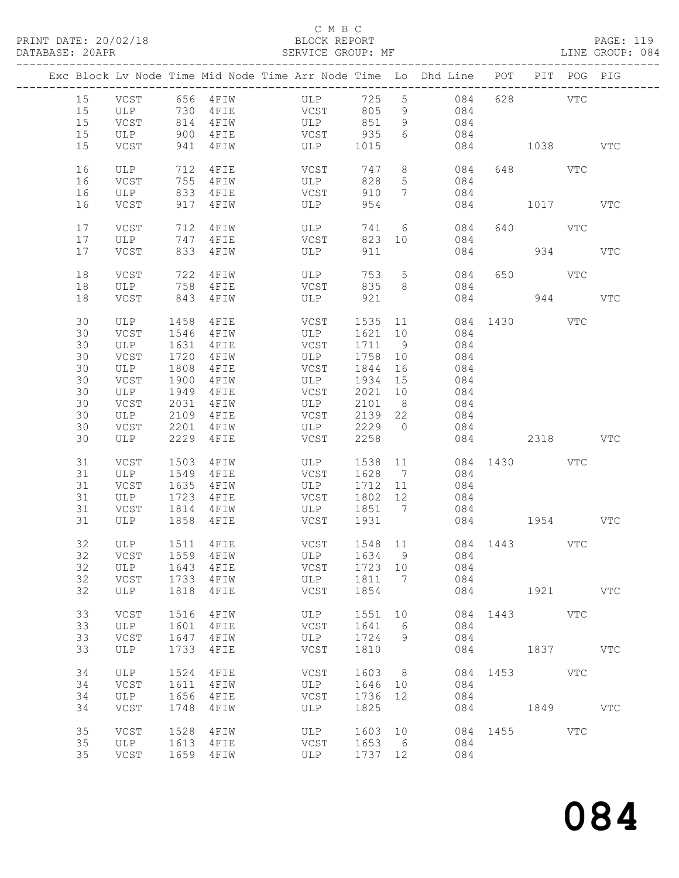#### C M B C<br>BLOCK REPORT SERVICE GROUP: MF

|    |         |      |                  | Exc Block Lv Node Time Mid Node Time Arr Node Time Lo Dhd Line POT PIT POG PIG |         |                 |                  |     |              |     |            |
|----|---------|------|------------------|--------------------------------------------------------------------------------|---------|-----------------|------------------|-----|--------------|-----|------------|
| 15 |         |      |                  | VCST 656 4FIW ULP                                                              | 725 5   |                 | 084              |     | 628 VTC      |     |            |
| 15 | ULP 730 |      | $4$ F I E        | VCST                                                                           | 805     | 9               | 084              |     |              |     |            |
| 15 | VCST    | 814  |                  | 4FIW ULP 851                                                                   |         | 9               | 084              |     |              |     |            |
| 15 | ULP     | 900  | 4FIE             | VCST 935                                                                       |         | 6               | 084              |     |              |     |            |
| 15 | VCST    | 941  | 4 F I W          | ULP 1015                                                                       |         |                 |                  |     | 084 1038     |     | <b>VTC</b> |
|    |         |      |                  |                                                                                |         |                 |                  |     |              |     |            |
| 16 | ULP     | 712  | 4FIE             | VCST                                                                           | 747     | 8               | 084              |     | 648 VTC      |     |            |
| 16 | VCST    | 755  | 4 F I W          | ULP                                                                            | 828     | $5\overline{)}$ | 084              |     |              |     |            |
| 16 | ULP     | 833  |                  | VCST                                                                           | 910     | $\overline{7}$  | 084              |     |              |     |            |
| 16 |         |      | 4FIE<br>917 4FIW |                                                                                | 954     |                 |                  |     |              |     | VTC        |
|    | VCST    |      |                  | $\begin{array}{c}\n\sim 1 \\ \hline\n\text{ULP}\n\end{array}$                  |         |                 | 084              |     | 1017         |     |            |
| 17 | VCST    | 712  | 4 F I W          |                                                                                | 741 6   |                 | 084              |     | 640 VTC      |     |            |
|    |         |      |                  | ULP                                                                            |         |                 |                  |     |              |     |            |
| 17 | ULP     | 747  | 4FIE             | VCST                                                                           | 823 10  |                 | 084              |     |              |     |            |
| 17 | VCST    |      | 833 4FIW         | ULP                                                                            | 911     |                 | 084              |     |              | 934 | <b>VTC</b> |
|    |         |      |                  |                                                                                |         |                 |                  |     |              |     |            |
| 18 | VCST    | 722  | 4 F I W          | ULP                                                                            | 753     | $5\overline{)}$ | 084              | 650 | <b>VTC</b>   |     |            |
| 18 | ULP     | 758  | 4FIE             | VCST                                                                           | 835     | 8 <sup>8</sup>  | 084              |     |              |     |            |
| 18 | VCST    |      | 843 4FIW         | ULP                                                                            | 921     |                 |                  | 084 |              | 944 | VTC        |
|    |         |      |                  |                                                                                |         |                 |                  |     |              |     |            |
| 30 | ULP     | 1458 | 4 F I E          | VCST                                                                           |         |                 | 1535 11          |     | 084 1430 VTC |     |            |
| 30 | VCST    | 1546 | 4FIW             | <b>ULP</b>                                                                     | 1621 10 |                 | 084              |     |              |     |            |
| 30 | ULP     | 1631 | 4 F I E          | VCST                                                                           | 1711 9  |                 | 084              |     |              |     |            |
| 30 | VCST    | 1720 | 4 F I W          | ULP                                                                            | 1758 10 |                 | 084              |     |              |     |            |
| 30 | ULP     | 1808 | $4$ FIE          | VCST                                                                           | 1844    | 16              | 084              |     |              |     |            |
| 30 | VCST    | 1900 | 4 F I W          | ULP                                                                            | 1934 15 |                 | 084              |     |              |     |            |
| 30 | ULP     | 1949 | 4 F I E          | VCST                                                                           | 2021 10 |                 | 084              |     |              |     |            |
| 30 | VCST    | 2031 | 4 F I W          | ULP                                                                            | 2101 8  |                 | 084              |     |              |     |            |
| 30 | ULP     | 2109 | 4FIE             | VCST                                                                           | 2139 22 |                 | 084              |     |              |     |            |
| 30 | VCST    | 2201 | 4 F I W          | ULP                                                                            | 2229    | $\overline{0}$  | 084              |     |              |     |            |
| 30 | ULP     | 2229 | 4FIE             | VCST                                                                           | 2258    |                 |                  |     | 084 2318     |     | VTC        |
|    |         |      |                  |                                                                                |         |                 |                  |     |              |     |            |
| 31 | VCST    | 1503 | 4 F I W          | ULP                                                                            | 1538 11 |                 |                  |     | 084 1430 VTC |     |            |
| 31 | ULP     | 1549 | 4 F I E          | VCST                                                                           | 1628 7  |                 | 084              |     |              |     |            |
| 31 | VCST    | 1635 | 4 F I W          | ULP                                                                            | 1712 11 |                 | 084              |     |              |     |            |
| 31 | ULP     | 1723 | 4 F I E          | VCST                                                                           | 1802 12 |                 | 084              |     |              |     |            |
| 31 | VCST    | 1814 | 4 F I W          | ULP                                                                            | 1851 7  |                 | 084              |     |              |     |            |
| 31 | ULP     | 1858 | 4 F I E          | VCST                                                                           | 1931    |                 |                  |     | 084 1954 VTC |     |            |
|    |         |      |                  |                                                                                |         |                 |                  |     |              |     |            |
| 32 | ULP     |      | 1511 4FIE        | VCST                                                                           |         |                 | 1548 11 084 1443 |     |              | VTC |            |
|    |         |      |                  | 32 VCST 1559 4FIW ULP 1634 9 084                                               |         |                 |                  |     |              |     |            |
| 32 | ULP     | 1643 | 4 F I E          | VCST                                                                           | 1723 10 |                 | 084              |     |              |     |            |
| 32 | VCST    | 1733 | 4 F I W          | ULP                                                                            | 1811    | 7               | 084              |     |              |     |            |
| 32 | ULP     | 1818 | 4FIE             | VCST                                                                           | 1854    |                 | 084              |     | 1921         |     | <b>VTC</b> |
|    |         |      |                  |                                                                                |         |                 |                  |     |              |     |            |
| 33 | VCST    | 1516 | 4 F I W          | ULP                                                                            | 1551    | 10              | 084              |     | 1443 VTC     |     |            |
| 33 | ULP     | 1601 | 4FIE             | VCST                                                                           | 1641    | 6               | 084              |     |              |     |            |
| 33 | VCST    | 1647 | 4 F I W          | ULP                                                                            | 1724    | 9               | 084              |     |              |     |            |
| 33 | ULP     | 1733 | 4FIE             | VCST                                                                           | 1810    |                 | 084              |     | 1837         |     | VTC        |
|    |         |      |                  |                                                                                |         |                 |                  |     |              |     |            |
| 34 | ULP     | 1524 | 4FIE             | VCST                                                                           | 1603    | 8 <sup>8</sup>  | 084              |     | 1453 VTC     |     |            |
| 34 | VCST    | 1611 | 4FIW             | ULP                                                                            | 1646 10 |                 | 084              |     |              |     |            |
| 34 | ULP     | 1656 | 4FIE             | VCST                                                                           | 1736    | 12              | 084              |     |              |     |            |
| 34 | VCST    | 1748 | 4FIW             | ULP                                                                            | 1825    |                 | 084              |     | 1849         |     | <b>VTC</b> |
|    |         |      |                  |                                                                                |         |                 |                  |     |              |     |            |
| 35 | VCST    | 1528 | 4 F I W          | ULP                                                                            | 1603 10 |                 |                  |     | 084 1455 VTC |     |            |
| 35 | ULP     |      | 1613 4FIE        | VCST                                                                           | 1653 6  |                 | 084              |     |              |     |            |
| 35 | VCST    |      | 1659 4FIW        | ULP                                                                            | 1737 12 |                 | 084              |     |              |     |            |
|    |         |      |                  |                                                                                |         |                 |                  |     |              |     |            |